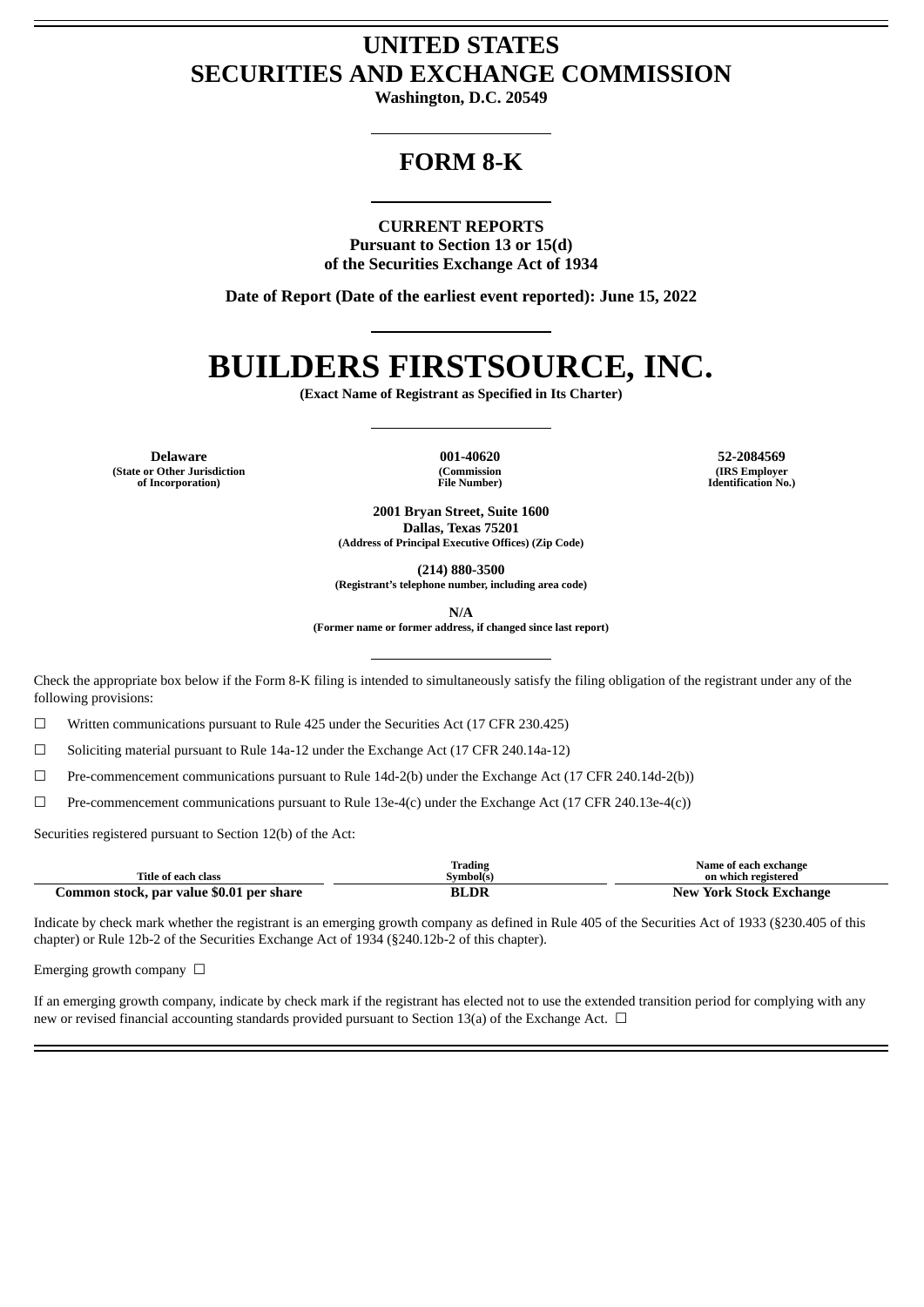# **UNITED STATES SECURITIES AND EXCHANGE COMMISSION**

**Washington, D.C. 20549**

# **FORM 8-K**

**CURRENT REPORTS**

**Pursuant to Section 13 or 15(d) of the Securities Exchange Act of 1934**

**Date of Report (Date of the earliest event reported): June 15, 2022**

# **BUILDERS FIRSTSOURCE, INC.**

**(Exact Name of Registrant as Specified in Its Charter)**

**Delaware 001-40620 52-2084569 (State or Other Jurisdiction of Incorporation)**

**(Commission File Number)**

**(IRS Employer Identification No.)**

**2001 Bryan Street, Suite 1600 Dallas, Texas 75201 (Address of Principal Executive Offices) (Zip Code)**

**(214) 880-3500**

**(Registrant's telephone number, including area code)**

**N/A**

**(Former name or former address, if changed since last report)**

Check the appropriate box below if the Form 8-K filing is intended to simultaneously satisfy the filing obligation of the registrant under any of the following provisions:

 $\Box$  Written communications pursuant to Rule 425 under the Securities Act (17 CFR 230.425)

☐ Soliciting material pursuant to Rule 14a-12 under the Exchange Act (17 CFR 240.14a-12)

 $\Box$  Pre-commencement communications pursuant to Rule 14d-2(b) under the Exchange Act (17 CFR 240.14d-2(b))

☐ Pre-commencement communications pursuant to Rule 13e-4(c) under the Exchange Act (17 CFR 240.13e-4(c))

Securities registered pursuant to Section 12(b) of the Act:

|                                          | Trading   | Name of each exchange          |
|------------------------------------------|-----------|--------------------------------|
| Title of each class                      | Svmbol(s) | on which registered            |
| Common stock, par value \$0.01 per share | LDR<br>ВI | <b>New York Stock Exchange</b> |

Indicate by check mark whether the registrant is an emerging growth company as defined in Rule 405 of the Securities Act of 1933 (§230.405 of this chapter) or Rule 12b-2 of the Securities Exchange Act of 1934 (§240.12b-2 of this chapter).

Emerging growth company  $\Box$ 

If an emerging growth company, indicate by check mark if the registrant has elected not to use the extended transition period for complying with any new or revised financial accounting standards provided pursuant to Section 13(a) of the Exchange Act.  $\Box$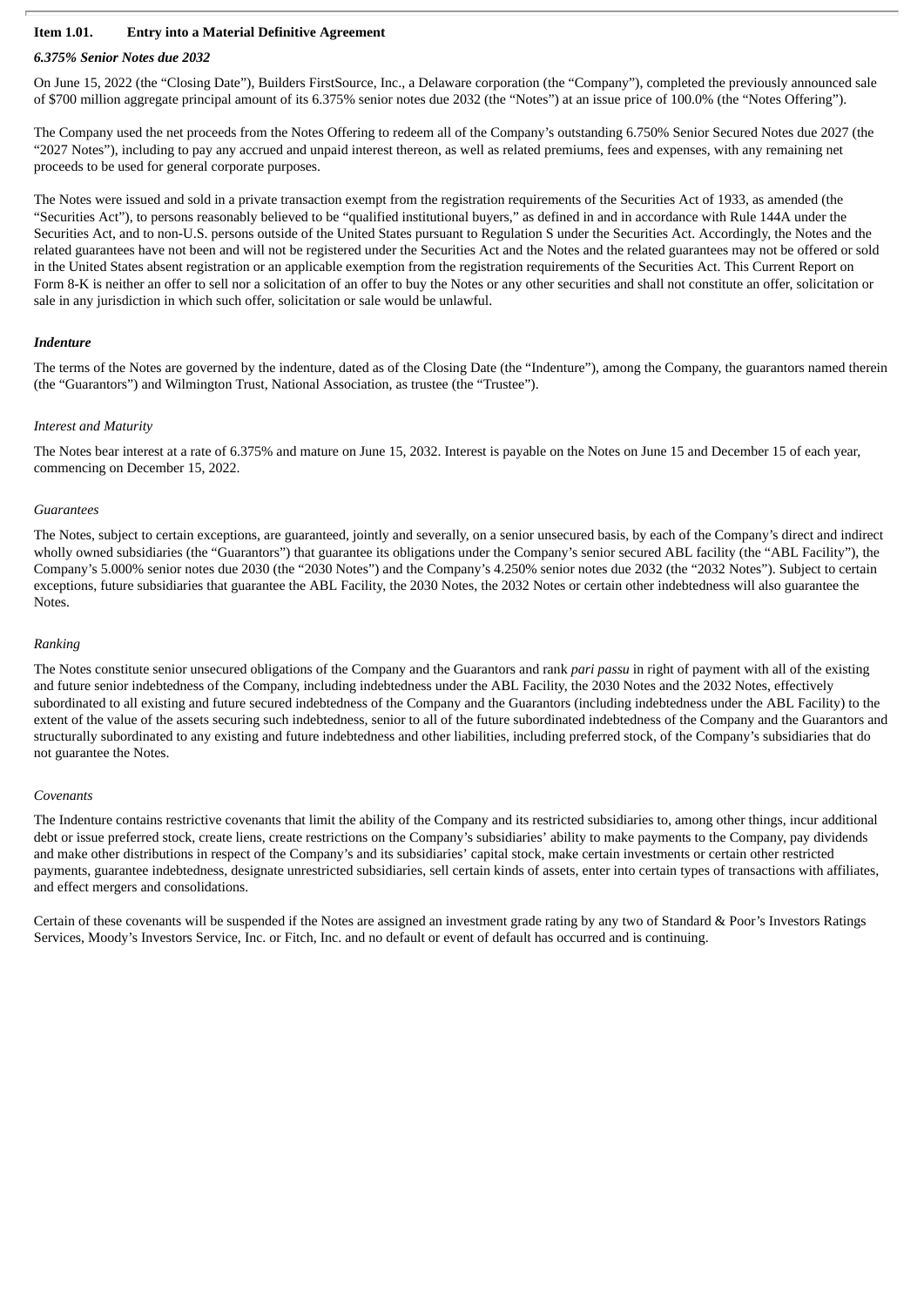### **Item 1.01. Entry into a Material Definitive Agreement**

### *6.375% Senior Notes due 2032*

On June 15, 2022 (the "Closing Date"), Builders FirstSource, Inc., a Delaware corporation (the "Company"), completed the previously announced sale of \$700 million aggregate principal amount of its 6.375% senior notes due 2032 (the "Notes") at an issue price of 100.0% (the "Notes Offering").

The Company used the net proceeds from the Notes Offering to redeem all of the Company's outstanding 6.750% Senior Secured Notes due 2027 (the "2027 Notes"), including to pay any accrued and unpaid interest thereon, as well as related premiums, fees and expenses, with any remaining net proceeds to be used for general corporate purposes.

The Notes were issued and sold in a private transaction exempt from the registration requirements of the Securities Act of 1933, as amended (the "Securities Act"), to persons reasonably believed to be "qualified institutional buyers," as defined in and in accordance with Rule 144A under the Securities Act, and to non-U.S. persons outside of the United States pursuant to Regulation S under the Securities Act. Accordingly, the Notes and the related guarantees have not been and will not be registered under the Securities Act and the Notes and the related guarantees may not be offered or sold in the United States absent registration or an applicable exemption from the registration requirements of the Securities Act. This Current Report on Form 8-K is neither an offer to sell nor a solicitation of an offer to buy the Notes or any other securities and shall not constitute an offer, solicitation or sale in any jurisdiction in which such offer, solicitation or sale would be unlawful.

### *Indenture*

The terms of the Notes are governed by the indenture, dated as of the Closing Date (the "Indenture"), among the Company, the guarantors named therein (the "Guarantors") and Wilmington Trust, National Association, as trustee (the "Trustee").

### *Interest and Maturity*

The Notes bear interest at a rate of 6.375% and mature on June 15, 2032. Interest is payable on the Notes on June 15 and December 15 of each year, commencing on December 15, 2022.

#### *Guarantees*

The Notes, subject to certain exceptions, are guaranteed, jointly and severally, on a senior unsecured basis, by each of the Company's direct and indirect wholly owned subsidiaries (the "Guarantors") that guarantee its obligations under the Company's senior secured ABL facility (the "ABL Facility"), the Company's 5.000% senior notes due 2030 (the "2030 Notes") and the Company's 4.250% senior notes due 2032 (the "2032 Notes"). Subject to certain exceptions, future subsidiaries that guarantee the ABL Facility, the 2030 Notes, the 2032 Notes or certain other indebtedness will also guarantee the Notes.

### *Ranking*

The Notes constitute senior unsecured obligations of the Company and the Guarantors and rank *pari passu* in right of payment with all of the existing and future senior indebtedness of the Company, including indebtedness under the ABL Facility, the 2030 Notes and the 2032 Notes, effectively subordinated to all existing and future secured indebtedness of the Company and the Guarantors (including indebtedness under the ABL Facility) to the extent of the value of the assets securing such indebtedness, senior to all of the future subordinated indebtedness of the Company and the Guarantors and structurally subordinated to any existing and future indebtedness and other liabilities, including preferred stock, of the Company's subsidiaries that do not guarantee the Notes.

#### *Covenants*

The Indenture contains restrictive covenants that limit the ability of the Company and its restricted subsidiaries to, among other things, incur additional debt or issue preferred stock, create liens, create restrictions on the Company's subsidiaries' ability to make payments to the Company, pay dividends and make other distributions in respect of the Company's and its subsidiaries' capital stock, make certain investments or certain other restricted payments, guarantee indebtedness, designate unrestricted subsidiaries, sell certain kinds of assets, enter into certain types of transactions with affiliates, and effect mergers and consolidations.

Certain of these covenants will be suspended if the Notes are assigned an investment grade rating by any two of Standard & Poor's Investors Ratings Services, Moody's Investors Service, Inc. or Fitch, Inc. and no default or event of default has occurred and is continuing.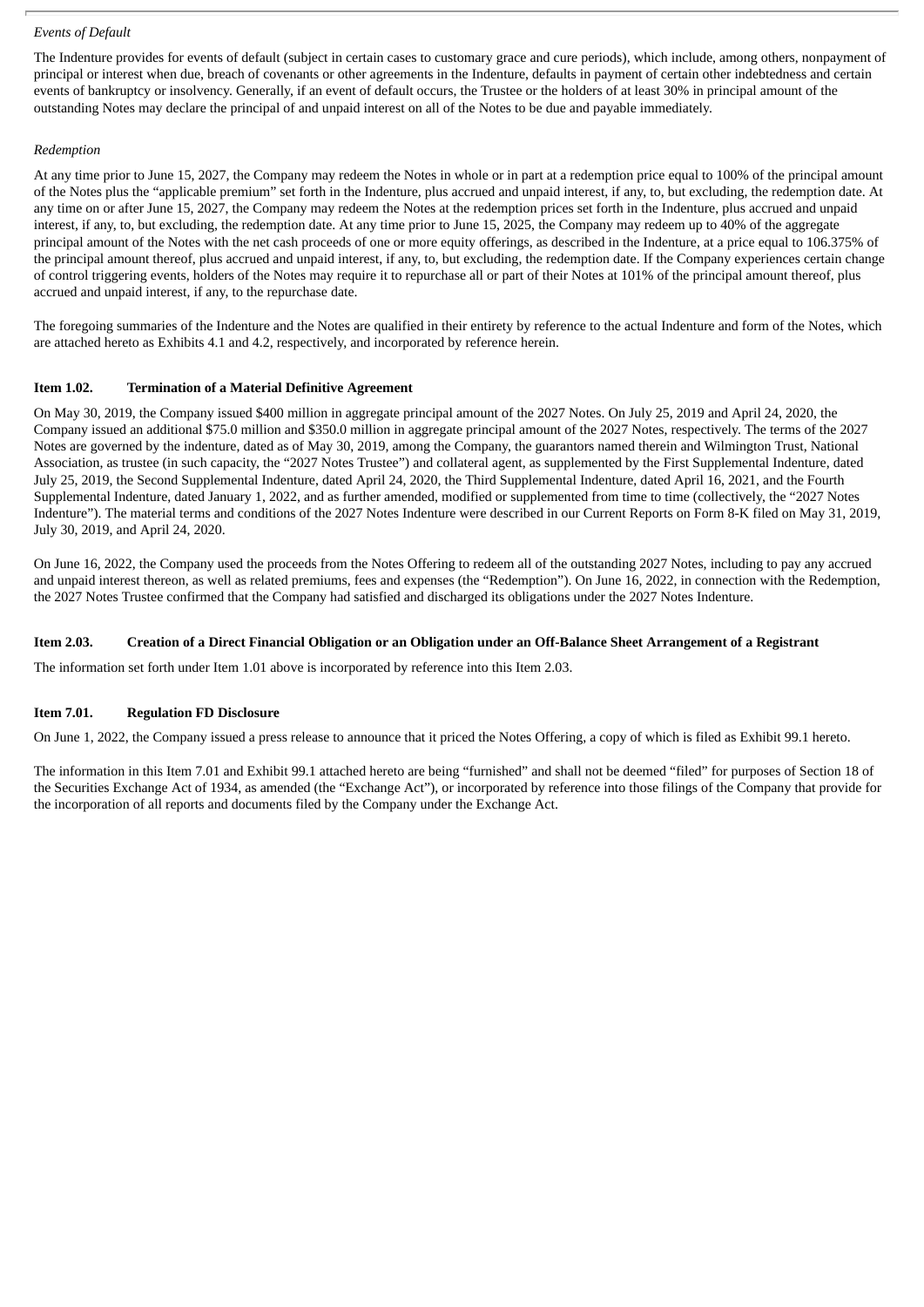### *Events of Default*

The Indenture provides for events of default (subject in certain cases to customary grace and cure periods), which include, among others, nonpayment of principal or interest when due, breach of covenants or other agreements in the Indenture, defaults in payment of certain other indebtedness and certain events of bankruptcy or insolvency. Generally, if an event of default occurs, the Trustee or the holders of at least 30% in principal amount of the outstanding Notes may declare the principal of and unpaid interest on all of the Notes to be due and payable immediately.

### *Redemption*

At any time prior to June 15, 2027, the Company may redeem the Notes in whole or in part at a redemption price equal to 100% of the principal amount of the Notes plus the "applicable premium" set forth in the Indenture, plus accrued and unpaid interest, if any, to, but excluding, the redemption date. At any time on or after June 15, 2027, the Company may redeem the Notes at the redemption prices set forth in the Indenture, plus accrued and unpaid interest, if any, to, but excluding, the redemption date. At any time prior to June 15, 2025, the Company may redeem up to 40% of the aggregate principal amount of the Notes with the net cash proceeds of one or more equity offerings, as described in the Indenture, at a price equal to 106.375% of the principal amount thereof, plus accrued and unpaid interest, if any, to, but excluding, the redemption date. If the Company experiences certain change of control triggering events, holders of the Notes may require it to repurchase all or part of their Notes at 101% of the principal amount thereof, plus accrued and unpaid interest, if any, to the repurchase date.

The foregoing summaries of the Indenture and the Notes are qualified in their entirety by reference to the actual Indenture and form of the Notes, which are attached hereto as Exhibits 4.1 and 4.2, respectively, and incorporated by reference herein.

### **Item 1.02. Termination of a Material Definitive Agreement**

On May 30, 2019, the Company issued \$400 million in aggregate principal amount of the 2027 Notes. On July 25, 2019 and April 24, 2020, the Company issued an additional \$75.0 million and \$350.0 million in aggregate principal amount of the 2027 Notes, respectively. The terms of the 2027 Notes are governed by the indenture, dated as of May 30, 2019, among the Company, the guarantors named therein and Wilmington Trust, National Association, as trustee (in such capacity, the "2027 Notes Trustee") and collateral agent, as supplemented by the First Supplemental Indenture, dated July 25, 2019, the Second Supplemental Indenture, dated April 24, 2020, the Third Supplemental Indenture, dated April 16, 2021, and the Fourth Supplemental Indenture, dated January 1, 2022, and as further amended, modified or supplemented from time to time (collectively, the "2027 Notes Indenture"). The material terms and conditions of the 2027 Notes Indenture were described in our Current Reports on Form 8-K filed on May 31, 2019, July 30, 2019, and April 24, 2020.

On June 16, 2022, the Company used the proceeds from the Notes Offering to redeem all of the outstanding 2027 Notes, including to pay any accrued and unpaid interest thereon, as well as related premiums, fees and expenses (the "Redemption"). On June 16, 2022, in connection with the Redemption, the 2027 Notes Trustee confirmed that the Company had satisfied and discharged its obligations under the 2027 Notes Indenture.

### Item 2.03. Creation of a Direct Financial Obligation or an Obligation under an Off-Balance Sheet Arrangement of a Registrant

The information set forth under Item 1.01 above is incorporated by reference into this Item 2.03.

### **Item 7.01. Regulation FD Disclosure**

On June 1, 2022, the Company issued a press release to announce that it priced the Notes Offering, a copy of which is filed as Exhibit 99.1 hereto.

The information in this Item 7.01 and Exhibit 99.1 attached hereto are being "furnished" and shall not be deemed "filed" for purposes of Section 18 of the Securities Exchange Act of 1934, as amended (the "Exchange Act"), or incorporated by reference into those filings of the Company that provide for the incorporation of all reports and documents filed by the Company under the Exchange Act.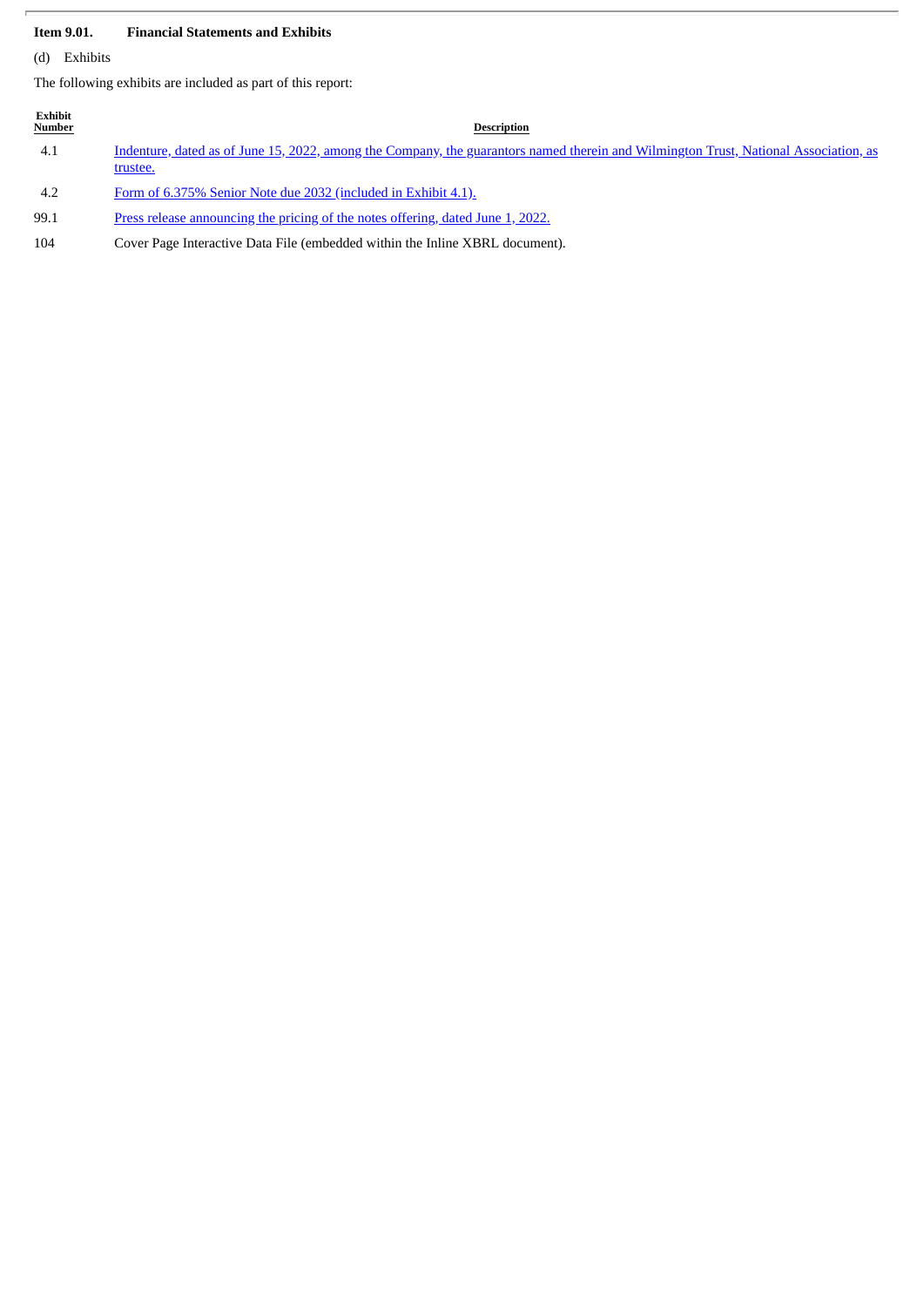### **Item 9.01. Financial Statements and Exhibits**

(d) Exhibits

The following exhibits are included as part of this report:

| Exhibit<br><b>Number</b> | <b>Description</b>                                                                                                                                      |
|--------------------------|---------------------------------------------------------------------------------------------------------------------------------------------------------|
| 4.1                      | <u>Indenture, dated as of June 15, 2022, among the Company, the guarantors named therein and Wilmington Trust, National Association, as</u><br>trustee. |
| 4.2                      | Form of 6.375% Senior Note due 2032 (included in Exhibit 4.1).                                                                                          |
| 99.1                     | Press release announcing the pricing of the notes offering, dated June 1, 2022.                                                                         |

104 Cover Page Interactive Data File (embedded within the Inline XBRL document).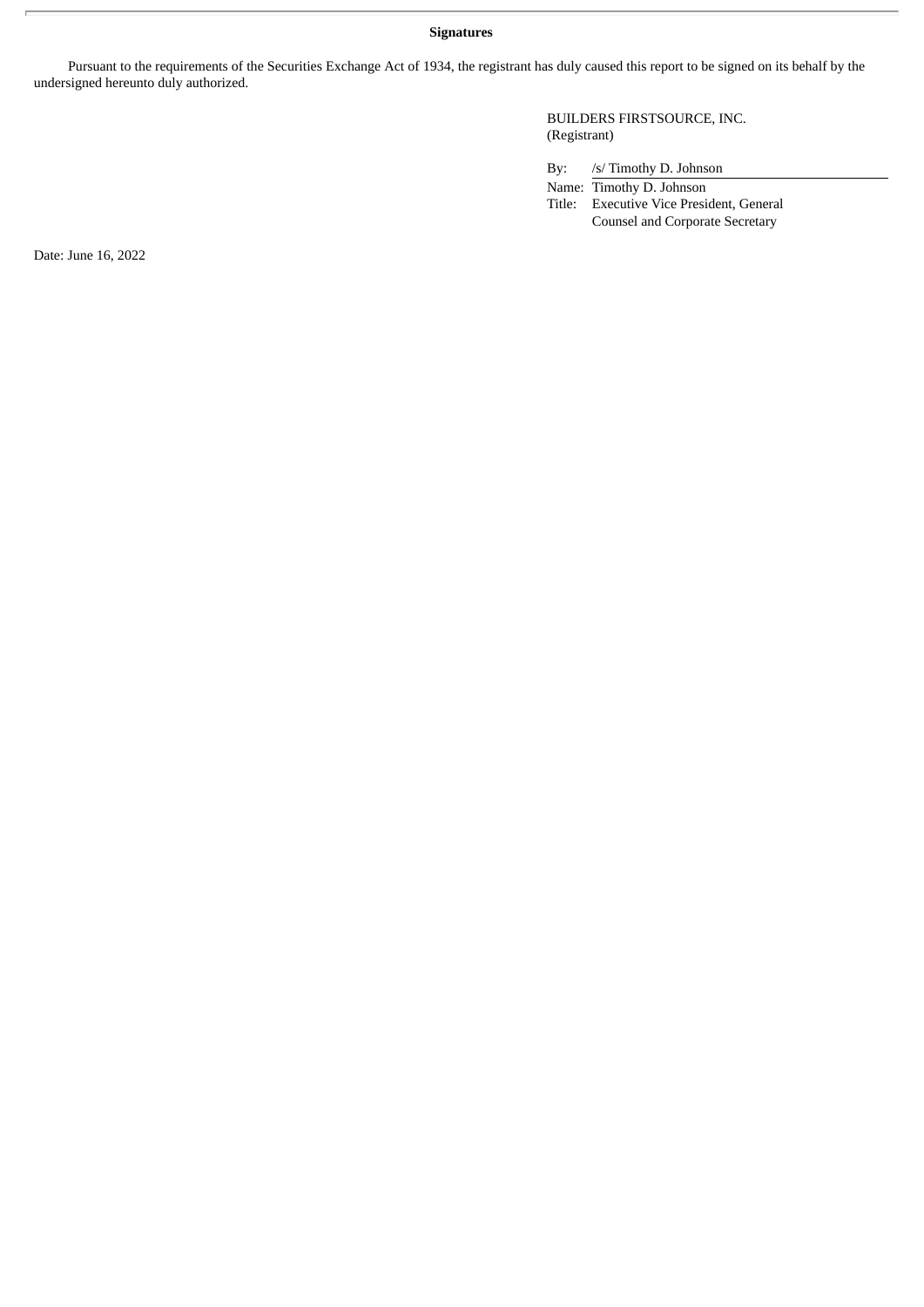### **Signatures**

Pursuant to the requirements of the Securities Exchange Act of 1934, the registrant has duly caused this report to be signed on its behalf by the undersigned hereunto duly authorized.

> BUILDERS FIRSTSOURCE, INC. (Registrant)

By: /s/ Timothy D. Johnson

Name: Timothy D. Johnson

Title: Executive Vice President, General Counsel and Corporate Secretary

Date: June 16, 2022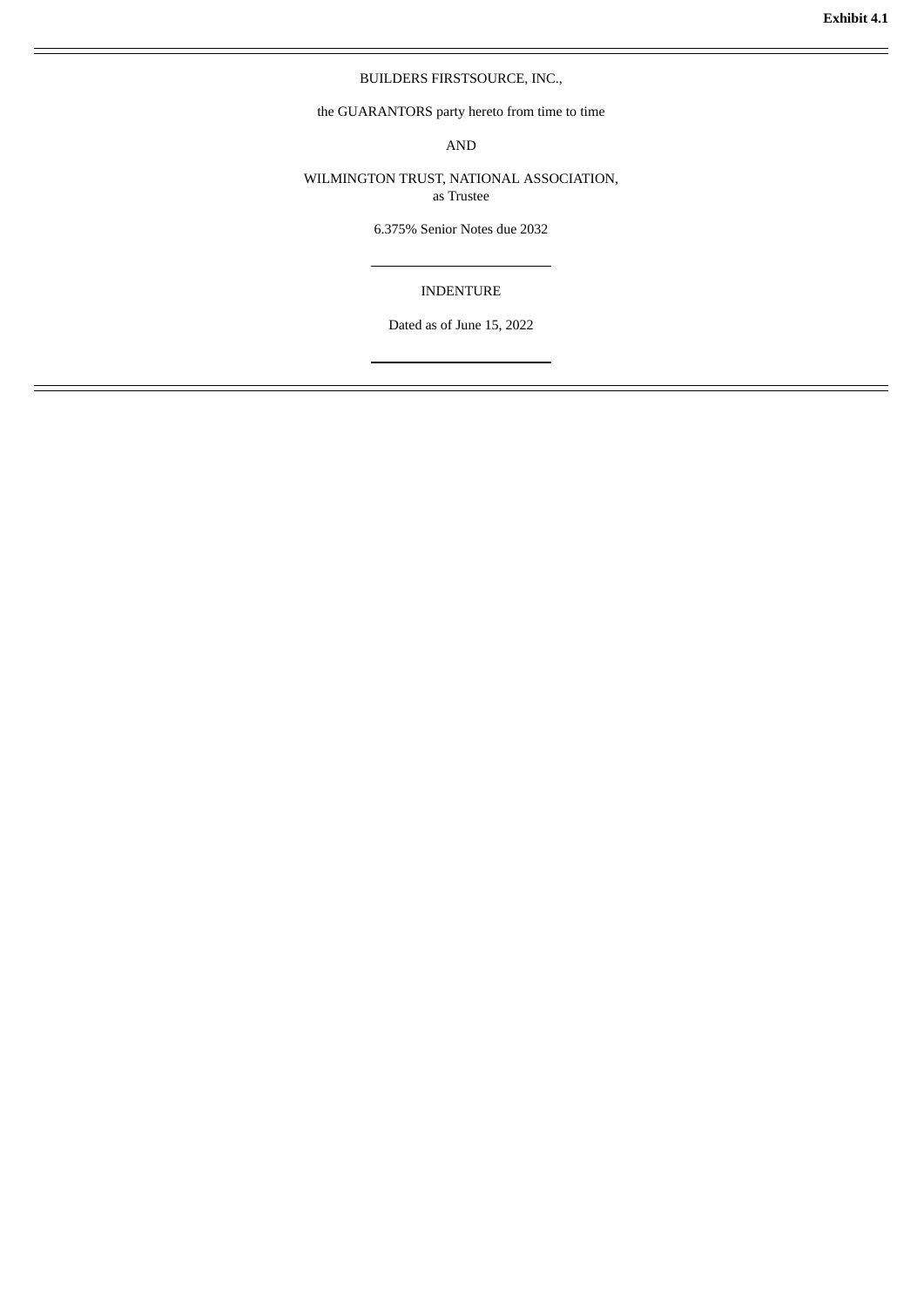### BUILDERS FIRSTSOURCE, INC.,

<span id="page-5-0"></span>the GUARANTORS party hereto from time to time

AND

WILMINGTON TRUST, NATIONAL ASSOCIATION, as Trustee

6.375% Senior Notes due 2032

### INDENTURE

Dated as of June 15, 2022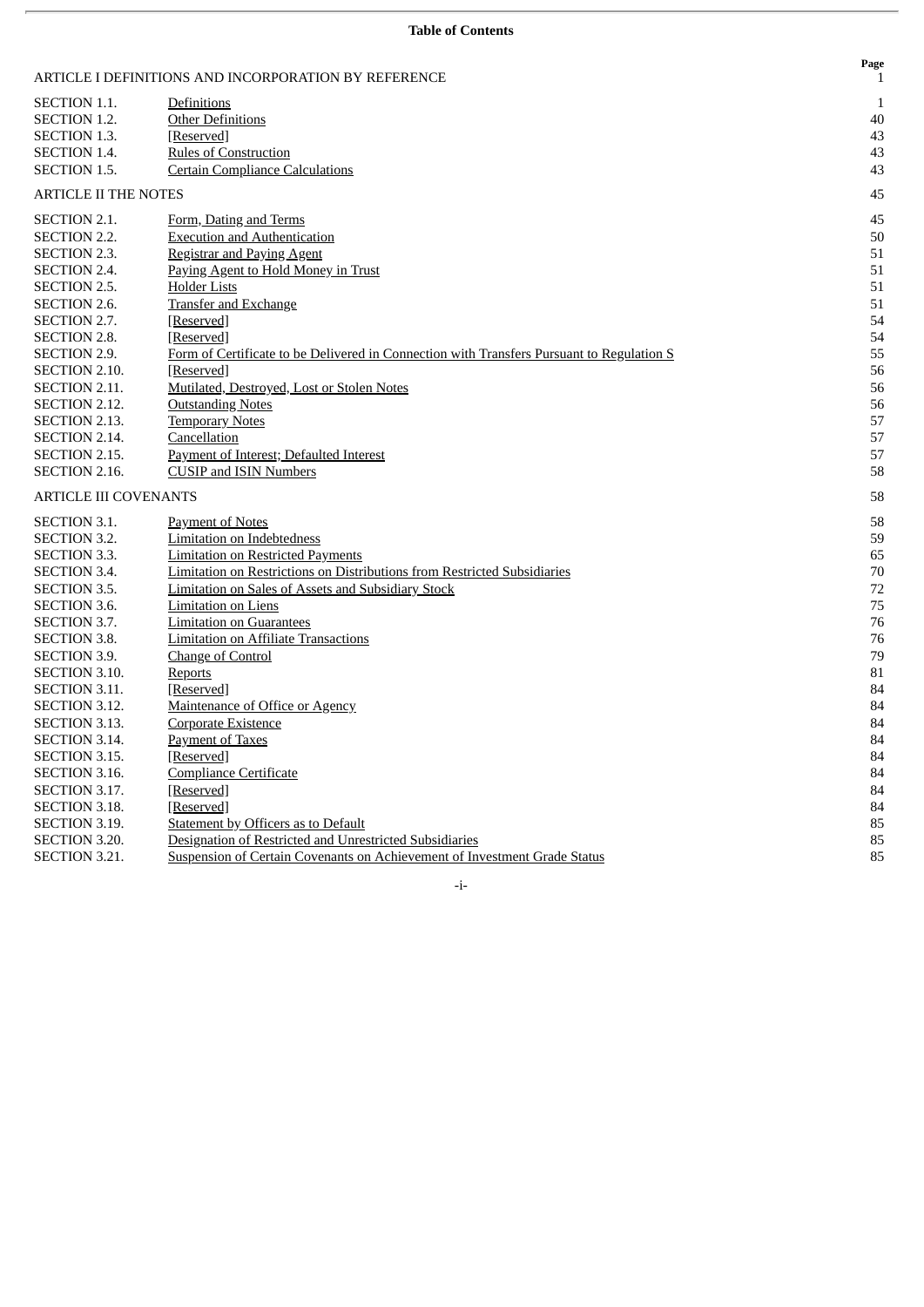|  |  | <b>Table of Contents</b> |
|--|--|--------------------------|
|--|--|--------------------------|

|                              | ARTICLE I DEFINITIONS AND INCORPORATION BY REFERENCE                                      | Page<br>$\mathbf{1}$ |
|------------------------------|-------------------------------------------------------------------------------------------|----------------------|
| SECTION 1.1.                 | Definitions                                                                               | 1                    |
| <b>SECTION 1.2.</b>          | <b>Other Definitions</b>                                                                  | 40                   |
| <b>SECTION 1.3.</b>          | [Reserved]                                                                                | 43                   |
| <b>SECTION 1.4.</b>          | <b>Rules of Construction</b>                                                              | 43                   |
| <b>SECTION 1.5.</b>          | <b>Certain Compliance Calculations</b>                                                    | 43                   |
| <b>ARTICLE II THE NOTES</b>  |                                                                                           | 45                   |
| <b>SECTION 2.1.</b>          | Form, Dating and Terms                                                                    | 45                   |
| <b>SECTION 2.2.</b>          | <b>Execution and Authentication</b>                                                       | 50                   |
| SECTION 2.3.                 | <b>Registrar and Paying Agent</b>                                                         | 51                   |
| SECTION 2.4.                 | Paying Agent to Hold Money in Trust                                                       | 51                   |
| <b>SECTION 2.5.</b>          | <b>Holder Lists</b>                                                                       | 51                   |
| <b>SECTION 2.6.</b>          | <b>Transfer and Exchange</b>                                                              | 51                   |
| SECTION 2.7.                 | [Reserved]                                                                                | 54                   |
| <b>SECTION 2.8.</b>          | [Reserved]                                                                                | 54                   |
| <b>SECTION 2.9.</b>          | Form of Certificate to be Delivered in Connection with Transfers Pursuant to Regulation S | 55                   |
| SECTION 2.10.                | [Reserved]                                                                                | 56                   |
| SECTION 2.11.                | Mutilated, Destroyed, Lost or Stolen Notes                                                | 56                   |
| SECTION 2.12.                | <b>Outstanding Notes</b>                                                                  | 56                   |
| SECTION 2.13.                | <b>Temporary Notes</b>                                                                    | 57                   |
| SECTION 2.14.                | Cancellation                                                                              | 57                   |
| SECTION 2.15.                | Payment of Interest; Defaulted Interest                                                   | 57                   |
| <b>SECTION 2.16.</b>         | <b>CUSIP</b> and ISIN Numbers                                                             | 58                   |
| <b>ARTICLE III COVENANTS</b> |                                                                                           | 58                   |
| <b>SECTION 3.1.</b>          | <b>Payment of Notes</b>                                                                   | 58                   |
| <b>SECTION 3.2.</b>          | <b>Limitation on Indebtedness</b>                                                         | 59                   |
| <b>SECTION 3.3.</b>          | <b>Limitation on Restricted Payments</b>                                                  | 65                   |
| SECTION 3.4.                 | <b>Limitation on Restrictions on Distributions from Restricted Subsidiaries</b>           | 70                   |
| SECTION 3.5.                 | <b>Limitation on Sales of Assets and Subsidiary Stock</b>                                 | 72                   |
| SECTION 3.6.                 | <b>Limitation on Liens</b>                                                                | 75                   |
| SECTION 3.7.                 | <b>Limitation on Guarantees</b>                                                           | 76                   |
| <b>SECTION 3.8.</b>          | <b>Limitation on Affiliate Transactions</b>                                               | 76                   |
| <b>SECTION 3.9.</b>          | Change of Control                                                                         | 79                   |
| <b>SECTION 3.10.</b>         | Reports                                                                                   | 81                   |
| <b>SECTION 3.11.</b>         | [Reserved]                                                                                | 84                   |
| SECTION 3.12.                | Maintenance of Office or Agency                                                           | 84                   |
| SECTION 3.13.                | <b>Corporate Existence</b>                                                                | 84                   |
| SECTION 3.14.                | Payment of Taxes                                                                          | 84                   |
| SECTION 3.15.                | [Reserved]                                                                                | 84                   |
| SECTION 3.16.                | <b>Compliance Certificate</b>                                                             | 84                   |
| SECTION 3.17.                | [Reserved]                                                                                | 84                   |
| <b>SECTION 3.18.</b>         | [Reserved]                                                                                | 84                   |
| <b>SECTION 3.19.</b>         | Statement by Officers as to Default                                                       | 85                   |
| <b>SECTION 3.20.</b>         | Designation of Restricted and Unrestricted Subsidiaries                                   | 85                   |
| SECTION 3.21.                | Suspension of Certain Covenants on Achievement of Investment Grade Status                 | 85                   |

-i-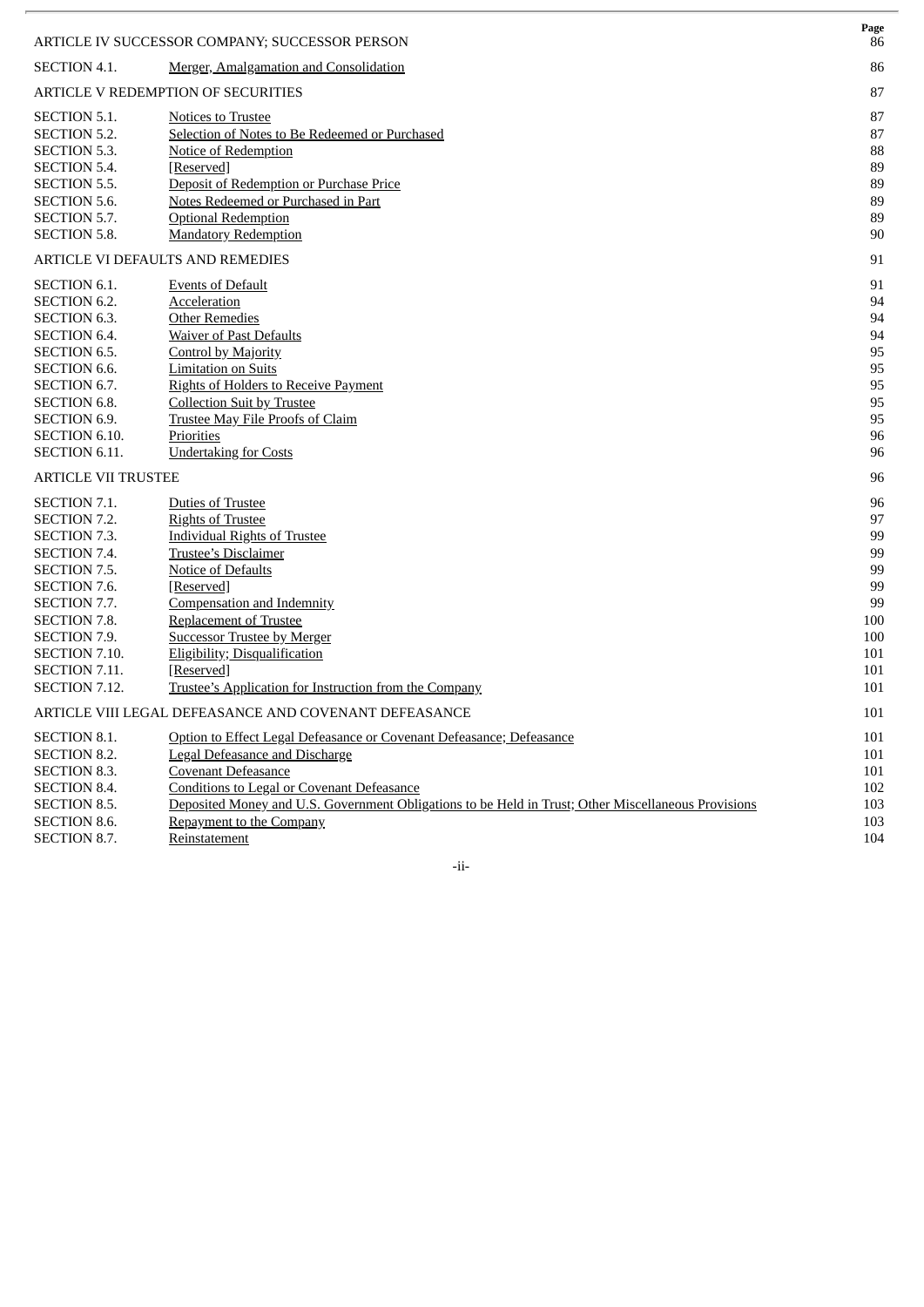|                                     | ARTICLE IV SUCCESSOR COMPANY; SUCCESSOR PERSON                                                      | Page<br>86 |
|-------------------------------------|-----------------------------------------------------------------------------------------------------|------------|
| <b>SECTION 4.1.</b>                 | Merger, Amalgamation and Consolidation                                                              | 86         |
|                                     | ARTICLE V REDEMPTION OF SECURITIES                                                                  | 87         |
| <b>SECTION 5.1.</b>                 | <b>Notices to Trustee</b>                                                                           | 87         |
| <b>SECTION 5.2.</b>                 | Selection of Notes to Be Redeemed or Purchased                                                      | 87         |
| <b>SECTION 5.3.</b>                 | Notice of Redemption                                                                                | 88         |
| SECTION 5.4.                        | [Reserved]                                                                                          | 89         |
| <b>SECTION 5.5.</b>                 | Deposit of Redemption or Purchase Price                                                             | 89         |
| <b>SECTION 5.6.</b>                 | Notes Redeemed or Purchased in Part                                                                 | 89         |
| SECTION 5.7.                        | <b>Optional Redemption</b>                                                                          | 89         |
| <b>SECTION 5.8.</b>                 | <b>Mandatory Redemption</b>                                                                         | 90         |
|                                     | ARTICLE VI DEFAULTS AND REMEDIES                                                                    | 91         |
| SECTION 6.1.                        | <b>Events of Default</b>                                                                            | 91         |
| <b>SECTION 6.2.</b>                 | Acceleration                                                                                        | 94         |
| <b>SECTION 6.3.</b>                 | <b>Other Remedies</b>                                                                               | 94         |
| <b>SECTION 6.4.</b>                 | <b>Waiver of Past Defaults</b>                                                                      | 94         |
| <b>SECTION 6.5.</b>                 | Control by Majority                                                                                 | 95         |
| <b>SECTION 6.6.</b>                 | <b>Limitation on Suits</b>                                                                          | 95         |
| SECTION 6.7.<br><b>SECTION 6.8.</b> | <b>Rights of Holders to Receive Payment</b><br><b>Collection Suit by Trustee</b>                    | 95<br>95   |
| <b>SECTION 6.9.</b>                 | <b>Trustee May File Proofs of Claim</b>                                                             | 95         |
| SECTION 6.10.                       | Priorities                                                                                          | 96         |
| SECTION 6.11.                       | <b>Undertaking for Costs</b>                                                                        | 96         |
| <b>ARTICLE VII TRUSTEE</b>          |                                                                                                     | 96         |
|                                     |                                                                                                     |            |
| SECTION 7.1.                        | <b>Duties of Trustee</b>                                                                            | 96         |
| SECTION 7.2.                        | <b>Rights of Trustee</b>                                                                            | 97         |
| SECTION 7.3.                        | <b>Individual Rights of Trustee</b>                                                                 | 99         |
| SECTION 7.4.<br><b>SECTION 7.5.</b> | <b>Trustee's Disclaimer</b><br><b>Notice of Defaults</b>                                            | 99<br>99   |
| SECTION 7.6.                        | [Reserved]                                                                                          | 99         |
| SECTION 7.7.                        | Compensation and Indemnity                                                                          | 99         |
| <b>SECTION 7.8.</b>                 | <b>Replacement of Trustee</b>                                                                       | 100        |
| SECTION 7.9.                        | <b>Successor Trustee by Merger</b>                                                                  | 100        |
| SECTION 7.10.                       | Eligibility; Disqualification                                                                       | 101        |
| SECTION 7.11.                       | [Reserved]                                                                                          | 101        |
| SECTION 7.12.                       | Trustee's Application for Instruction from the Company                                              | 101        |
|                                     | ARTICLE VIII LEGAL DEFEASANCE AND COVENANT DEFEASANCE                                               | 101        |
| <b>SECTION 8.1.</b>                 | Option to Effect Legal Defeasance or Covenant Defeasance; Defeasance                                | 101        |
| SECTION 8.2.                        | <b>Legal Defeasance and Discharge</b>                                                               | 101        |
| SECTION 8.3.                        | Covenant Defeasance                                                                                 | 101        |
| SECTION 8.4.                        | <b>Conditions to Legal or Covenant Defeasance</b>                                                   | 102        |
| SECTION 8.5.                        | Deposited Money and U.S. Government Obligations to be Held in Trust; Other Miscellaneous Provisions | 103        |
| SECTION 8.6.                        | Repayment to the Company                                                                            | 103        |
| SECTION 8.7.                        | Reinstatement                                                                                       | 104        |

-ii-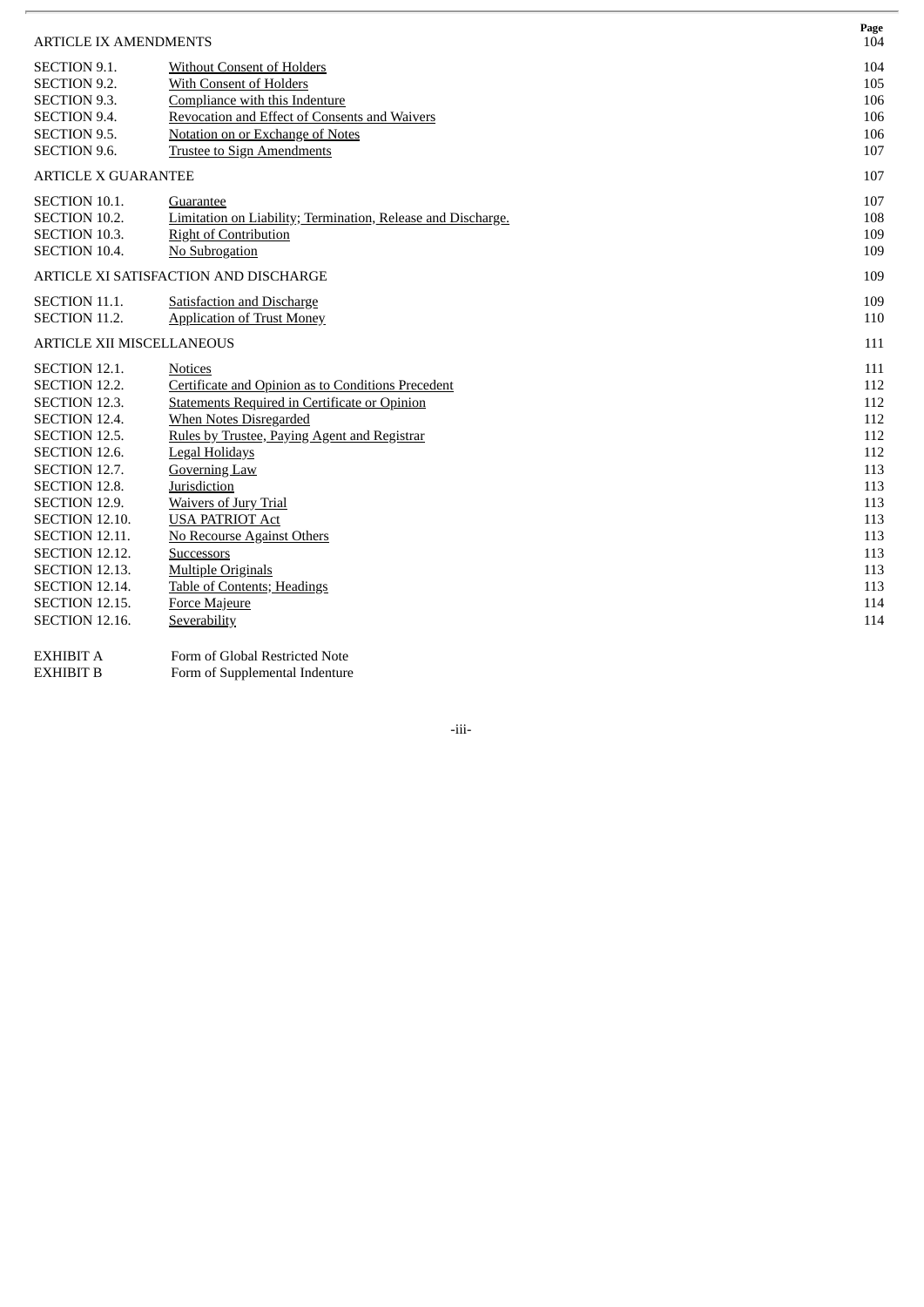| <b>ARTICLE IX AMENDMENTS</b>     |                                                              | Page<br>104 |
|----------------------------------|--------------------------------------------------------------|-------------|
| <b>SECTION 9.1.</b>              | <b>Without Consent of Holders</b>                            | 104         |
| <b>SECTION 9.2.</b>              | With Consent of Holders                                      | 105         |
| <b>SECTION 9.3.</b>              | Compliance with this Indenture                               | 106         |
| <b>SECTION 9.4.</b>              | Revocation and Effect of Consents and Waivers                | 106         |
| <b>SECTION 9.5.</b>              | Notation on or Exchange of Notes                             | 106         |
| <b>SECTION 9.6.</b>              | <b>Trustee to Sign Amendments</b>                            | 107         |
| <b>ARTICLE X GUARANTEE</b>       |                                                              | 107         |
| <b>SECTION 10.1.</b>             | Guarantee                                                    | 107         |
| SECTION 10.2.                    | Limitation on Liability; Termination, Release and Discharge. | 108         |
| <b>SECTION 10.3.</b>             | <b>Right of Contribution</b>                                 | 109         |
| <b>SECTION 10.4.</b>             | No Subrogation                                               | 109         |
|                                  | ARTICLE XI SATISFACTION AND DISCHARGE                        | 109         |
| SECTION 11.1.                    | <b>Satisfaction and Discharge</b>                            | 109         |
| <b>SECTION 11.2.</b>             | <b>Application of Trust Money</b>                            | 110         |
| <b>ARTICLE XII MISCELLANEOUS</b> |                                                              | 111         |
| <b>SECTION 12.1.</b>             | Notices                                                      | 111         |
| SECTION 12.2.                    | Certificate and Opinion as to Conditions Precedent           | 112         |
| SECTION 12.3.                    | <b>Statements Required in Certificate or Opinion</b>         | 112         |
| SECTION 12.4.                    | When Notes Disregarded                                       | 112         |
| SECTION 12.5.                    | Rules by Trustee, Paying Agent and Registrar                 | 112         |
| SECTION 12.6.                    | <b>Legal Holidays</b>                                        | 112         |
| SECTION 12.7.                    | <b>Governing Law</b>                                         | 113         |
| SECTION 12.8.                    | Jurisdiction                                                 | 113         |
| SECTION 12.9.                    | <b>Waivers of Jury Trial</b>                                 | 113         |
| <b>SECTION 12.10.</b>            | <b>USA PATRIOT Act</b>                                       | 113         |
| <b>SECTION 12.11.</b>            | <b>No Recourse Against Others</b>                            | 113         |
| <b>SECTION 12.12.</b>            | <b>Successors</b>                                            | 113         |
| <b>SECTION 12.13.</b>            | <b>Multiple Originals</b>                                    | 113         |
| <b>SECTION 12.14.</b>            | <b>Table of Contents; Headings</b>                           | 113         |
| <b>SECTION 12.15.</b>            | <b>Force Majeure</b>                                         | 114         |
| <b>SECTION 12.16.</b>            | Severability                                                 | 114         |
| <b>EXHIBIT A</b>                 | Form of Global Restricted Note                               |             |

EXHIBIT B Form of Supplemental Indenture

-iii-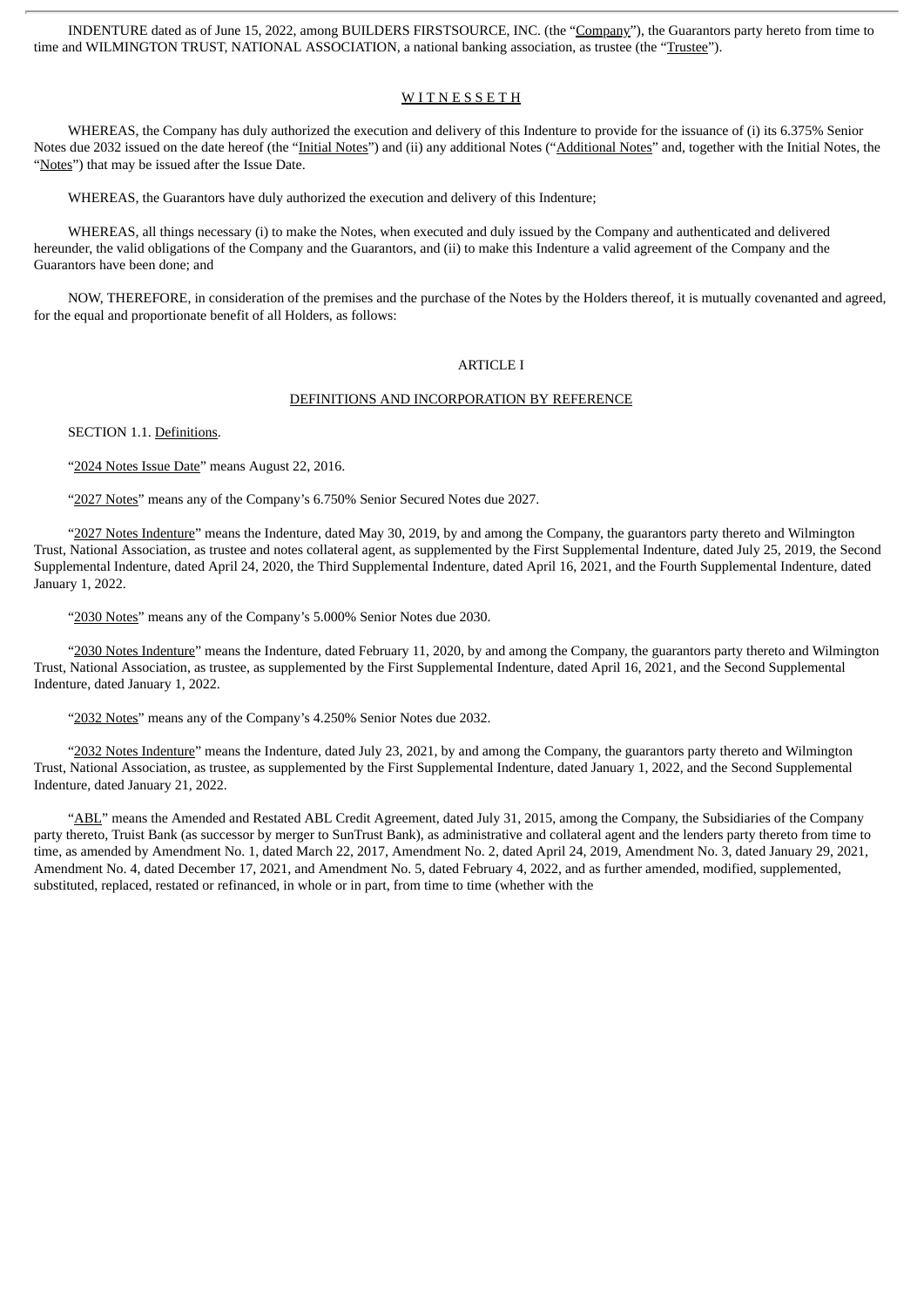INDENTURE dated as of June 15, 2022, among BUILDERS FIRSTSOURCE, INC. (the "Company"), the Guarantors party hereto from time to time and WILMINGTON TRUST, NATIONAL ASSOCIATION, a national banking association, as trustee (the "Trustee").

### **WITNESSETH**

WHEREAS, the Company has duly authorized the execution and delivery of this Indenture to provide for the issuance of (i) its 6.375% Senior Notes due 2032 issued on the date hereof (the "Initial Notes") and (ii) any additional Notes ("Additional Notes" and, together with the Initial Notes, the "Notes") that may be issued after the Issue Date.

WHEREAS, the Guarantors have duly authorized the execution and delivery of this Indenture;

WHEREAS, all things necessary (i) to make the Notes, when executed and duly issued by the Company and authenticated and delivered hereunder, the valid obligations of the Company and the Guarantors, and (ii) to make this Indenture a valid agreement of the Company and the Guarantors have been done; and

NOW, THEREFORE, in consideration of the premises and the purchase of the Notes by the Holders thereof, it is mutually covenanted and agreed, for the equal and proportionate benefit of all Holders, as follows:

### ARTICLE I

#### DEFINITIONS AND INCORPORATION BY REFERENCE

SECTION 1.1. Definitions.

"2024 Notes Issue Date" means August 22, 2016.

"2027 Notes" means any of the Company's 6.750% Senior Secured Notes due 2027.

"2027 Notes Indenture" means the Indenture, dated May 30, 2019, by and among the Company, the guarantors party thereto and Wilmington Trust, National Association, as trustee and notes collateral agent, as supplemented by the First Supplemental Indenture, dated July 25, 2019, the Second Supplemental Indenture, dated April 24, 2020, the Third Supplemental Indenture, dated April 16, 2021, and the Fourth Supplemental Indenture, dated January 1, 2022.

"2030 Notes" means any of the Company's 5.000% Senior Notes due 2030.

"2030 Notes Indenture" means the Indenture, dated February 11, 2020, by and among the Company, the guarantors party thereto and Wilmington Trust, National Association, as trustee, as supplemented by the First Supplemental Indenture, dated April 16, 2021, and the Second Supplemental Indenture, dated January 1, 2022.

"2032 Notes" means any of the Company's 4.250% Senior Notes due 2032.

"2032 Notes Indenture" means the Indenture, dated July 23, 2021, by and among the Company, the guarantors party thereto and Wilmington Trust, National Association, as trustee, as supplemented by the First Supplemental Indenture, dated January 1, 2022, and the Second Supplemental Indenture, dated January 21, 2022.

"ABL" means the Amended and Restated ABL Credit Agreement, dated July 31, 2015, among the Company, the Subsidiaries of the Company party thereto, Truist Bank (as successor by merger to SunTrust Bank), as administrative and collateral agent and the lenders party thereto from time to time, as amended by Amendment No. 1, dated March 22, 2017, Amendment No. 2, dated April 24, 2019, Amendment No. 3, dated January 29, 2021, Amendment No. 4, dated December 17, 2021, and Amendment No. 5, dated February 4, 2022, and as further amended, modified, supplemented, substituted, replaced, restated or refinanced, in whole or in part, from time to time (whether with the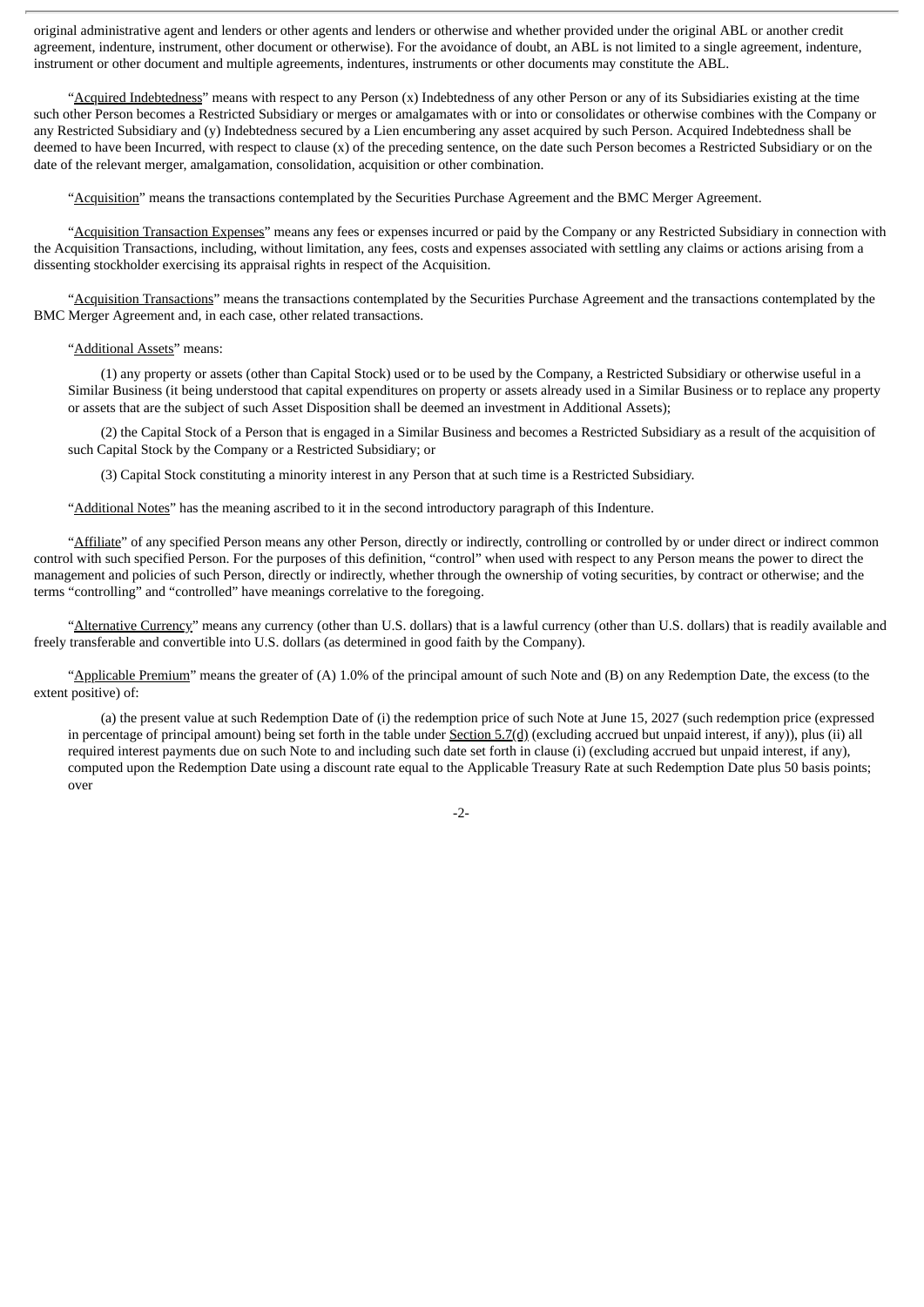original administrative agent and lenders or other agents and lenders or otherwise and whether provided under the original ABL or another credit agreement, indenture, instrument, other document or otherwise). For the avoidance of doubt, an ABL is not limited to a single agreement, indenture, instrument or other document and multiple agreements, indentures, instruments or other documents may constitute the ABL.

"Acquired Indebtedness" means with respect to any Person (x) Indebtedness of any other Person or any of its Subsidiaries existing at the time such other Person becomes a Restricted Subsidiary or merges or amalgamates with or into or consolidates or otherwise combines with the Company or any Restricted Subsidiary and (y) Indebtedness secured by a Lien encumbering any asset acquired by such Person. Acquired Indebtedness shall be deemed to have been Incurred, with respect to clause (x) of the preceding sentence, on the date such Person becomes a Restricted Subsidiary or on the date of the relevant merger, amalgamation, consolidation, acquisition or other combination.

"Acquisition" means the transactions contemplated by the Securities Purchase Agreement and the BMC Merger Agreement.

"Acquisition Transaction Expenses" means any fees or expenses incurred or paid by the Company or any Restricted Subsidiary in connection with the Acquisition Transactions, including, without limitation, any fees, costs and expenses associated with settling any claims or actions arising from a dissenting stockholder exercising its appraisal rights in respect of the Acquisition.

"Acquisition Transactions" means the transactions contemplated by the Securities Purchase Agreement and the transactions contemplated by the BMC Merger Agreement and, in each case, other related transactions.

### "Additional Assets" means:

(1) any property or assets (other than Capital Stock) used or to be used by the Company, a Restricted Subsidiary or otherwise useful in a Similar Business (it being understood that capital expenditures on property or assets already used in a Similar Business or to replace any property or assets that are the subject of such Asset Disposition shall be deemed an investment in Additional Assets);

(2) the Capital Stock of a Person that is engaged in a Similar Business and becomes a Restricted Subsidiary as a result of the acquisition of such Capital Stock by the Company or a Restricted Subsidiary; or

(3) Capital Stock constituting a minority interest in any Person that at such time is a Restricted Subsidiary.

"Additional Notes" has the meaning ascribed to it in the second introductory paragraph of this Indenture.

"Affiliate" of any specified Person means any other Person, directly or indirectly, controlling or controlled by or under direct or indirect common control with such specified Person. For the purposes of this definition, "control" when used with respect to any Person means the power to direct the management and policies of such Person, directly or indirectly, whether through the ownership of voting securities, by contract or otherwise; and the terms "controlling" and "controlled" have meanings correlative to the foregoing.

"Alternative Currency" means any currency (other than U.S. dollars) that is a lawful currency (other than U.S. dollars) that is readily available and freely transferable and convertible into U.S. dollars (as determined in good faith by the Company).

"Applicable Premium" means the greater of (A) 1.0% of the principal amount of such Note and (B) on any Redemption Date, the excess (to the extent positive) of:

(a) the present value at such Redemption Date of (i) the redemption price of such Note at June 15, 2027 (such redemption price (expressed in percentage of principal amount) being set forth in the table under Section 5.7(d) (excluding accrued but unpaid interest, if any)), plus (ii) all required interest payments due on such Note to and including such date set forth in clause (i) (excluding accrued but unpaid interest, if any), computed upon the Redemption Date using a discount rate equal to the Applicable Treasury Rate at such Redemption Date plus 50 basis points; over

-2-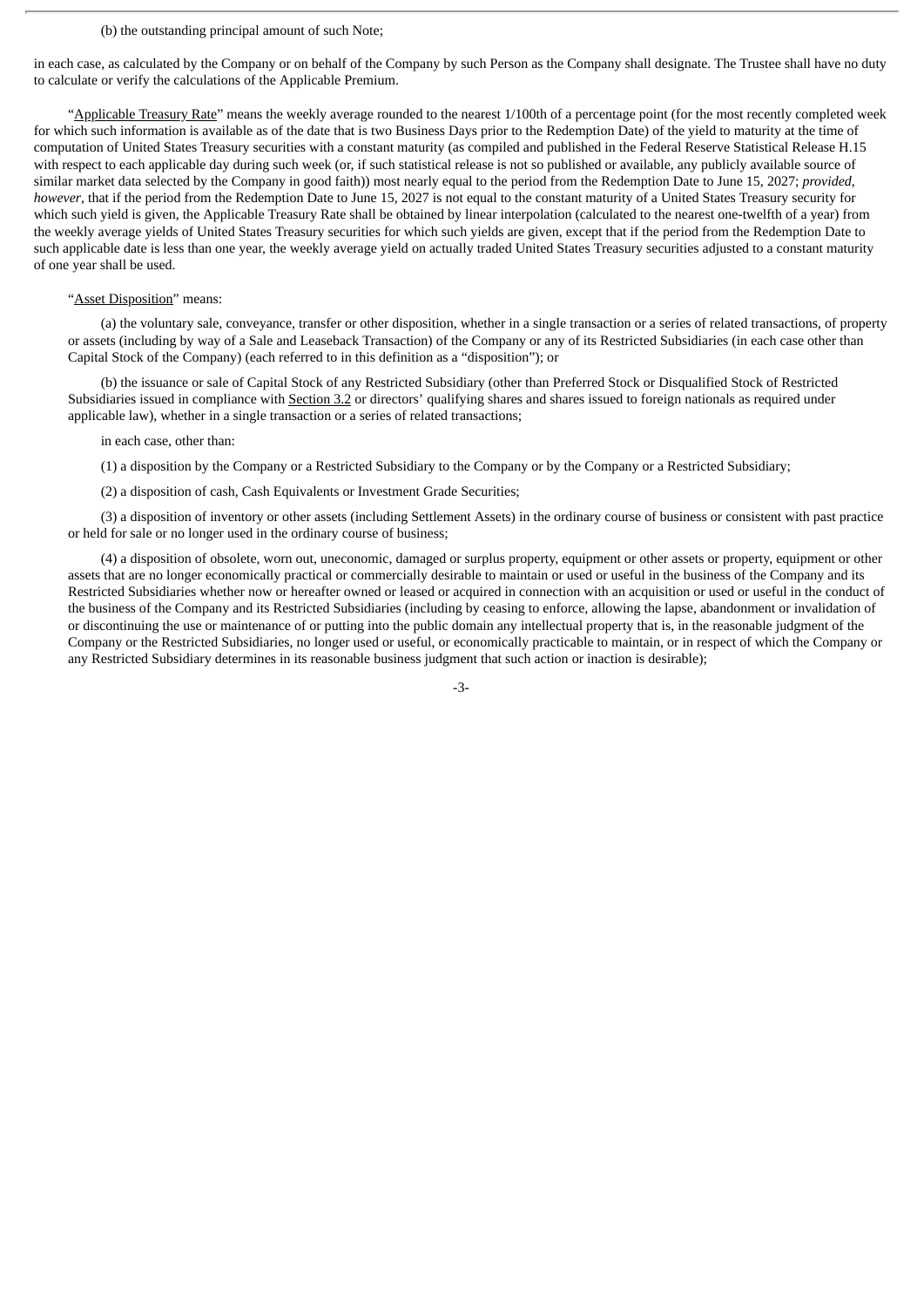### (b) the outstanding principal amount of such Note;

in each case, as calculated by the Company or on behalf of the Company by such Person as the Company shall designate. The Trustee shall have no duty to calculate or verify the calculations of the Applicable Premium.

"Applicable Treasury Rate" means the weekly average rounded to the nearest 1/100th of a percentage point (for the most recently completed week for which such information is available as of the date that is two Business Days prior to the Redemption Date) of the yield to maturity at the time of computation of United States Treasury securities with a constant maturity (as compiled and published in the Federal Reserve Statistical Release H.15 with respect to each applicable day during such week (or, if such statistical release is not so published or available, any publicly available source of similar market data selected by the Company in good faith)) most nearly equal to the period from the Redemption Date to June 15, 2027; *provided*, *however*, that if the period from the Redemption Date to June 15, 2027 is not equal to the constant maturity of a United States Treasury security for which such yield is given, the Applicable Treasury Rate shall be obtained by linear interpolation (calculated to the nearest one-twelfth of a year) from the weekly average yields of United States Treasury securities for which such yields are given, except that if the period from the Redemption Date to such applicable date is less than one year, the weekly average yield on actually traded United States Treasury securities adjusted to a constant maturity of one year shall be used.

### "Asset Disposition" means:

(a) the voluntary sale, conveyance, transfer or other disposition, whether in a single transaction or a series of related transactions, of property or assets (including by way of a Sale and Leaseback Transaction) of the Company or any of its Restricted Subsidiaries (in each case other than Capital Stock of the Company) (each referred to in this definition as a "disposition"); or

(b) the issuance or sale of Capital Stock of any Restricted Subsidiary (other than Preferred Stock or Disqualified Stock of Restricted Subsidiaries issued in compliance with Section 3.2 or directors' qualifying shares and shares issued to foreign nationals as required under applicable law), whether in a single transaction or a series of related transactions;

### in each case, other than:

(1) a disposition by the Company or a Restricted Subsidiary to the Company or by the Company or a Restricted Subsidiary;

(2) a disposition of cash, Cash Equivalents or Investment Grade Securities;

(3) a disposition of inventory or other assets (including Settlement Assets) in the ordinary course of business or consistent with past practice or held for sale or no longer used in the ordinary course of business;

(4) a disposition of obsolete, worn out, uneconomic, damaged or surplus property, equipment or other assets or property, equipment or other assets that are no longer economically practical or commercially desirable to maintain or used or useful in the business of the Company and its Restricted Subsidiaries whether now or hereafter owned or leased or acquired in connection with an acquisition or used or useful in the conduct of the business of the Company and its Restricted Subsidiaries (including by ceasing to enforce, allowing the lapse, abandonment or invalidation of or discontinuing the use or maintenance of or putting into the public domain any intellectual property that is, in the reasonable judgment of the Company or the Restricted Subsidiaries, no longer used or useful, or economically practicable to maintain, or in respect of which the Company or any Restricted Subsidiary determines in its reasonable business judgment that such action or inaction is desirable);

-3-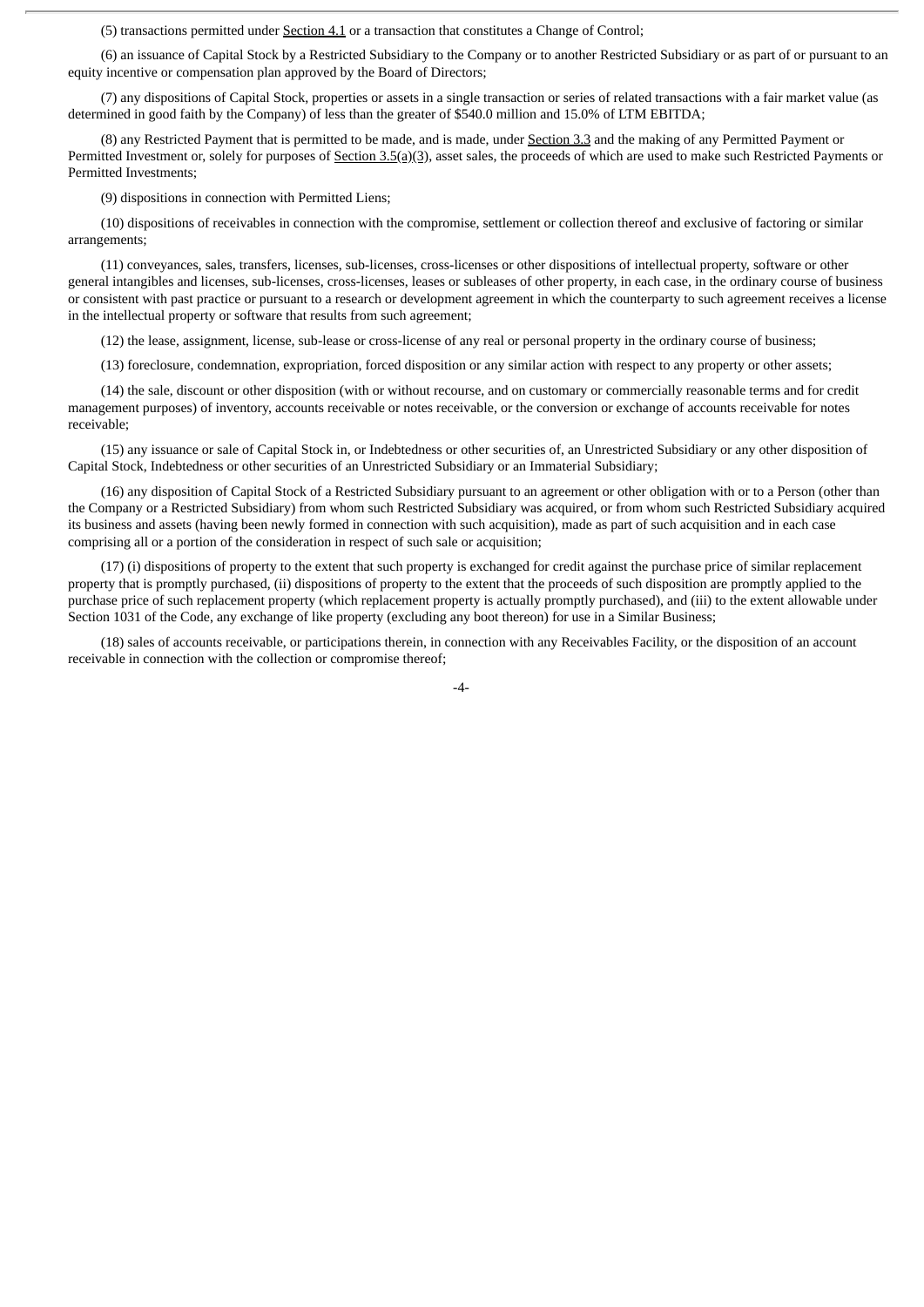(5) transactions permitted under Section 4.1 or a transaction that constitutes a Change of Control;

(6) an issuance of Capital Stock by a Restricted Subsidiary to the Company or to another Restricted Subsidiary or as part of or pursuant to an equity incentive or compensation plan approved by the Board of Directors;

(7) any dispositions of Capital Stock, properties or assets in a single transaction or series of related transactions with a fair market value (as determined in good faith by the Company) of less than the greater of \$540.0 million and 15.0% of LTM EBITDA;

(8) any Restricted Payment that is permitted to be made, and is made, under Section 3.3 and the making of any Permitted Payment or Permitted Investment or, solely for purposes of Section  $3.5(a)(3)$ , asset sales, the proceeds of which are used to make such Restricted Payments or Permitted Investments;

(9) dispositions in connection with Permitted Liens;

(10) dispositions of receivables in connection with the compromise, settlement or collection thereof and exclusive of factoring or similar arrangements;

(11) conveyances, sales, transfers, licenses, sub-licenses, cross-licenses or other dispositions of intellectual property, software or other general intangibles and licenses, sub-licenses, cross-licenses, leases or subleases of other property, in each case, in the ordinary course of business or consistent with past practice or pursuant to a research or development agreement in which the counterparty to such agreement receives a license in the intellectual property or software that results from such agreement;

(12) the lease, assignment, license, sub-lease or cross-license of any real or personal property in the ordinary course of business;

(13) foreclosure, condemnation, expropriation, forced disposition or any similar action with respect to any property or other assets;

(14) the sale, discount or other disposition (with or without recourse, and on customary or commercially reasonable terms and for credit management purposes) of inventory, accounts receivable or notes receivable, or the conversion or exchange of accounts receivable for notes receivable;

(15) any issuance or sale of Capital Stock in, or Indebtedness or other securities of, an Unrestricted Subsidiary or any other disposition of Capital Stock, Indebtedness or other securities of an Unrestricted Subsidiary or an Immaterial Subsidiary;

(16) any disposition of Capital Stock of a Restricted Subsidiary pursuant to an agreement or other obligation with or to a Person (other than the Company or a Restricted Subsidiary) from whom such Restricted Subsidiary was acquired, or from whom such Restricted Subsidiary acquired its business and assets (having been newly formed in connection with such acquisition), made as part of such acquisition and in each case comprising all or a portion of the consideration in respect of such sale or acquisition;

(17) (i) dispositions of property to the extent that such property is exchanged for credit against the purchase price of similar replacement property that is promptly purchased, (ii) dispositions of property to the extent that the proceeds of such disposition are promptly applied to the purchase price of such replacement property (which replacement property is actually promptly purchased), and (iii) to the extent allowable under Section 1031 of the Code, any exchange of like property (excluding any boot thereon) for use in a Similar Business;

(18) sales of accounts receivable, or participations therein, in connection with any Receivables Facility, or the disposition of an account receivable in connection with the collection or compromise thereof;

-4-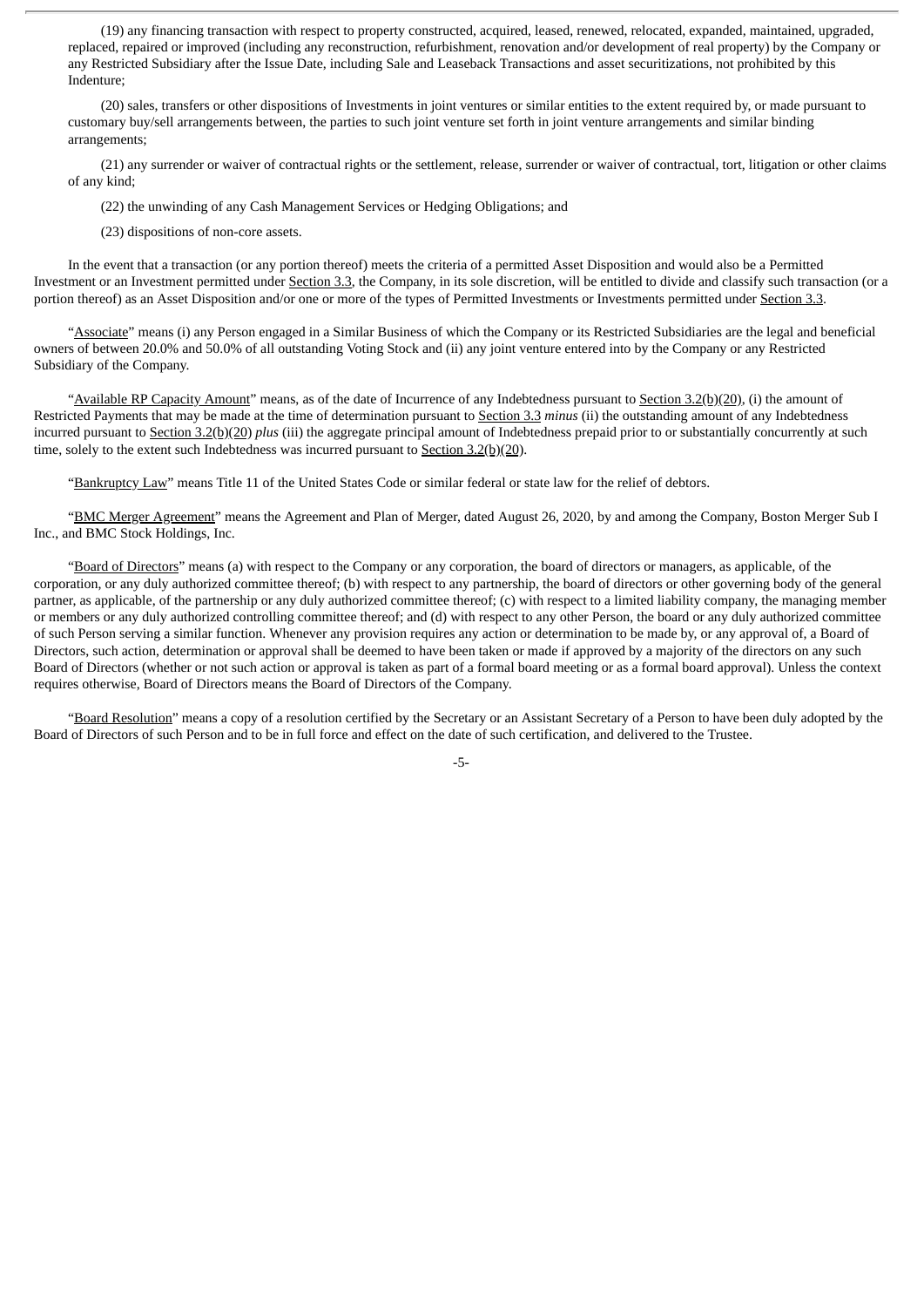(19) any financing transaction with respect to property constructed, acquired, leased, renewed, relocated, expanded, maintained, upgraded, replaced, repaired or improved (including any reconstruction, refurbishment, renovation and/or development of real property) by the Company or any Restricted Subsidiary after the Issue Date, including Sale and Leaseback Transactions and asset securitizations, not prohibited by this Indenture;

(20) sales, transfers or other dispositions of Investments in joint ventures or similar entities to the extent required by, or made pursuant to customary buy/sell arrangements between, the parties to such joint venture set forth in joint venture arrangements and similar binding arrangements;

(21) any surrender or waiver of contractual rights or the settlement, release, surrender or waiver of contractual, tort, litigation or other claims of any kind;

(22) the unwinding of any Cash Management Services or Hedging Obligations; and

(23) dispositions of non-core assets.

In the event that a transaction (or any portion thereof) meets the criteria of a permitted Asset Disposition and would also be a Permitted Investment or an Investment permitted under Section 3.3, the Company, in its sole discretion, will be entitled to divide and classify such transaction (or a portion thereof) as an Asset Disposition and/or one or more of the types of Permitted Investments or Investments permitted under Section 3.3.

"Associate" means (i) any Person engaged in a Similar Business of which the Company or its Restricted Subsidiaries are the legal and beneficial owners of between 20.0% and 50.0% of all outstanding Voting Stock and (ii) any joint venture entered into by the Company or any Restricted Subsidiary of the Company.

"Available RP Capacity Amount" means, as of the date of Incurrence of any Indebtedness pursuant to Section 3.2(b)(20), (i) the amount of Restricted Payments that may be made at the time of determination pursuant to Section 3.3 *minus* (ii) the outstanding amount of any Indebtedness incurred pursuant to Section 3.2(b)(20) *plus* (iii) the aggregate principal amount of Indebtedness prepaid prior to or substantially concurrently at such time, solely to the extent such Indebtedness was incurred pursuant to Section 3.2(b)(20).

"Bankruptcy Law" means Title 11 of the United States Code or similar federal or state law for the relief of debtors.

"BMC Merger Agreement" means the Agreement and Plan of Merger, dated August 26, 2020, by and among the Company, Boston Merger Sub I Inc., and BMC Stock Holdings, Inc.

"Board of Directors" means (a) with respect to the Company or any corporation, the board of directors or managers, as applicable, of the corporation, or any duly authorized committee thereof; (b) with respect to any partnership, the board of directors or other governing body of the general partner, as applicable, of the partnership or any duly authorized committee thereof; (c) with respect to a limited liability company, the managing member or members or any duly authorized controlling committee thereof; and (d) with respect to any other Person, the board or any duly authorized committee of such Person serving a similar function. Whenever any provision requires any action or determination to be made by, or any approval of, a Board of Directors, such action, determination or approval shall be deemed to have been taken or made if approved by a majority of the directors on any such Board of Directors (whether or not such action or approval is taken as part of a formal board meeting or as a formal board approval). Unless the context requires otherwise, Board of Directors means the Board of Directors of the Company.

"Board Resolution" means a copy of a resolution certified by the Secretary or an Assistant Secretary of a Person to have been duly adopted by the Board of Directors of such Person and to be in full force and effect on the date of such certification, and delivered to the Trustee.

-5-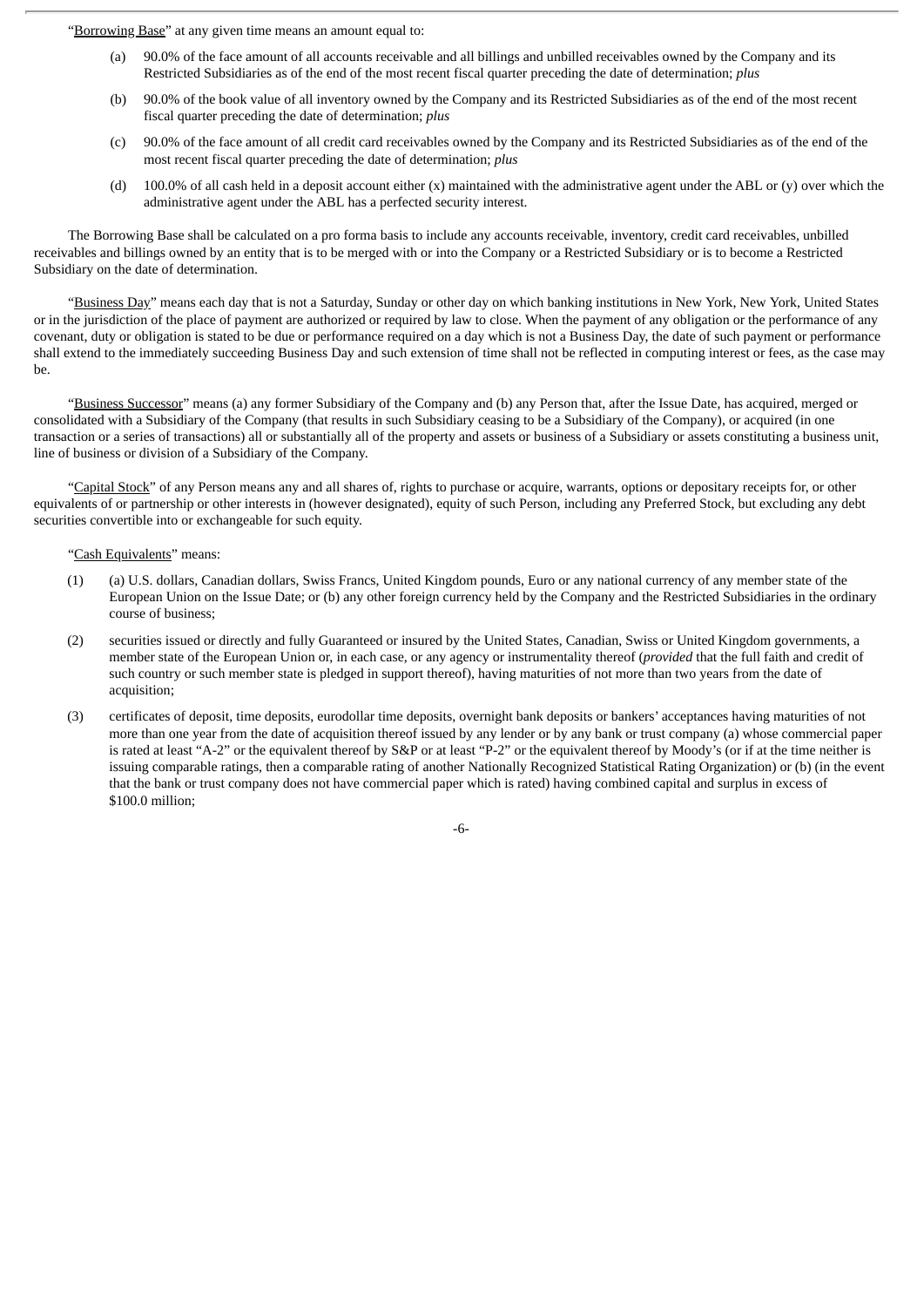"Borrowing Base" at any given time means an amount equal to:

- (a) 90.0% of the face amount of all accounts receivable and all billings and unbilled receivables owned by the Company and its Restricted Subsidiaries as of the end of the most recent fiscal quarter preceding the date of determination; *plus*
- (b) 90.0% of the book value of all inventory owned by the Company and its Restricted Subsidiaries as of the end of the most recent fiscal quarter preceding the date of determination; *plus*
- (c) 90.0% of the face amount of all credit card receivables owned by the Company and its Restricted Subsidiaries as of the end of the most recent fiscal quarter preceding the date of determination; *plus*
- (d) 100.0% of all cash held in a deposit account either  $(x)$  maintained with the administrative agent under the ABL or  $(y)$  over which the administrative agent under the ABL has a perfected security interest.

The Borrowing Base shall be calculated on a pro forma basis to include any accounts receivable, inventory, credit card receivables, unbilled receivables and billings owned by an entity that is to be merged with or into the Company or a Restricted Subsidiary or is to become a Restricted Subsidiary on the date of determination.

"Business Day" means each day that is not a Saturday, Sunday or other day on which banking institutions in New York, New York, United States or in the jurisdiction of the place of payment are authorized or required by law to close. When the payment of any obligation or the performance of any covenant, duty or obligation is stated to be due or performance required on a day which is not a Business Day, the date of such payment or performance shall extend to the immediately succeeding Business Day and such extension of time shall not be reflected in computing interest or fees, as the case may be.

"Business Successor" means (a) any former Subsidiary of the Company and (b) any Person that, after the Issue Date, has acquired, merged or consolidated with a Subsidiary of the Company (that results in such Subsidiary ceasing to be a Subsidiary of the Company), or acquired (in one transaction or a series of transactions) all or substantially all of the property and assets or business of a Subsidiary or assets constituting a business unit, line of business or division of a Subsidiary of the Company.

"Capital Stock" of any Person means any and all shares of, rights to purchase or acquire, warrants, options or depositary receipts for, or other equivalents of or partnership or other interests in (however designated), equity of such Person, including any Preferred Stock, but excluding any debt securities convertible into or exchangeable for such equity.

### "Cash Equivalents" means:

- (1) (a) U.S. dollars, Canadian dollars, Swiss Francs, United Kingdom pounds, Euro or any national currency of any member state of the European Union on the Issue Date; or (b) any other foreign currency held by the Company and the Restricted Subsidiaries in the ordinary course of business;
- (2) securities issued or directly and fully Guaranteed or insured by the United States, Canadian, Swiss or United Kingdom governments, a member state of the European Union or, in each case, or any agency or instrumentality thereof (*provided* that the full faith and credit of such country or such member state is pledged in support thereof), having maturities of not more than two years from the date of acquisition;
- (3) certificates of deposit, time deposits, eurodollar time deposits, overnight bank deposits or bankers' acceptances having maturities of not more than one year from the date of acquisition thereof issued by any lender or by any bank or trust company (a) whose commercial paper is rated at least "A-2" or the equivalent thereof by S&P or at least "P-2" or the equivalent thereof by Moody's (or if at the time neither is issuing comparable ratings, then a comparable rating of another Nationally Recognized Statistical Rating Organization) or (b) (in the event that the bank or trust company does not have commercial paper which is rated) having combined capital and surplus in excess of \$100.0 million;

-6-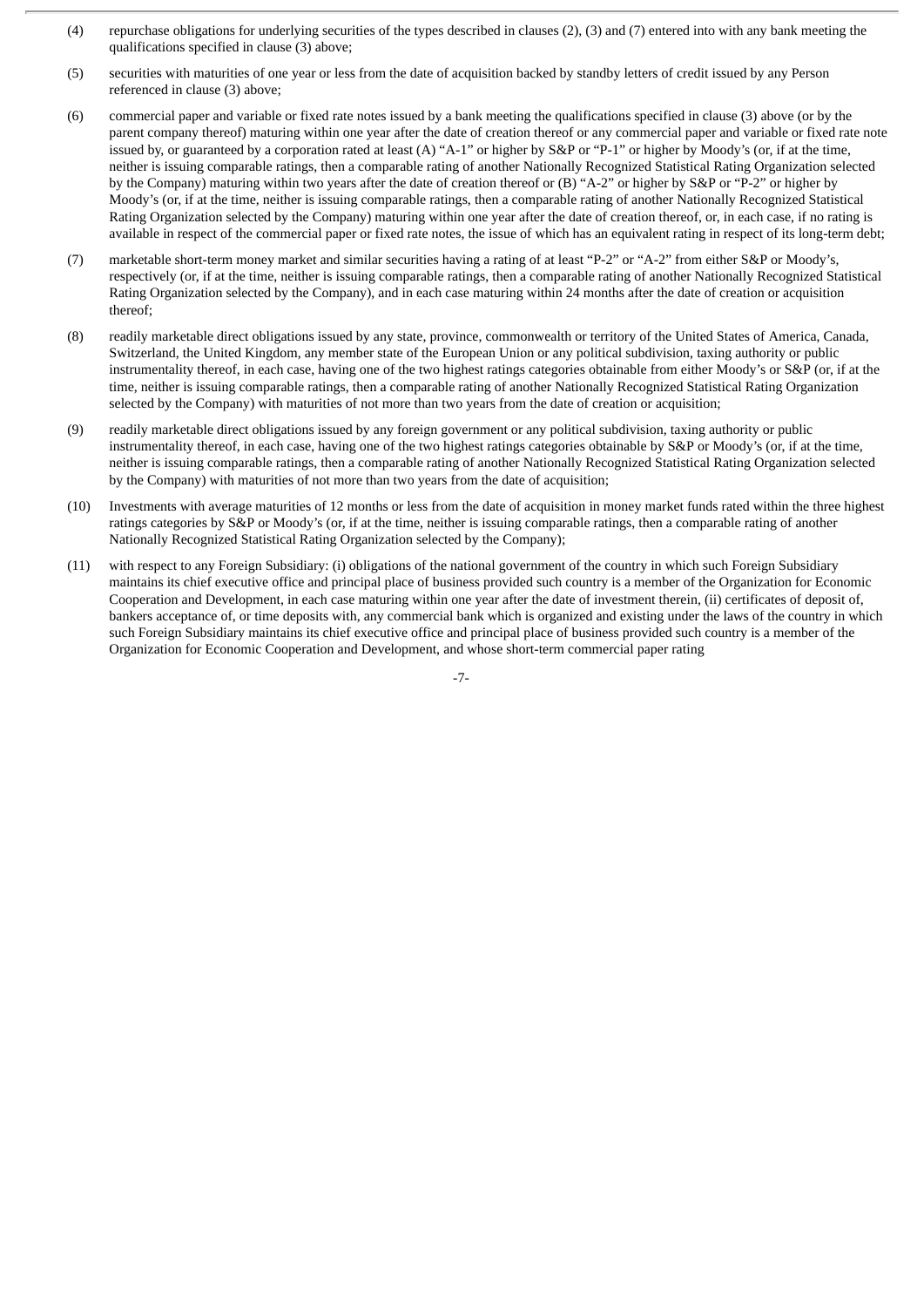- (4) repurchase obligations for underlying securities of the types described in clauses (2), (3) and (7) entered into with any bank meeting the qualifications specified in clause (3) above;
- (5) securities with maturities of one year or less from the date of acquisition backed by standby letters of credit issued by any Person referenced in clause (3) above;
- (6) commercial paper and variable or fixed rate notes issued by a bank meeting the qualifications specified in clause (3) above (or by the parent company thereof) maturing within one year after the date of creation thereof or any commercial paper and variable or fixed rate note issued by, or guaranteed by a corporation rated at least (A) "A-1" or higher by S&P or "P-1" or higher by Moody's (or, if at the time, neither is issuing comparable ratings, then a comparable rating of another Nationally Recognized Statistical Rating Organization selected by the Company) maturing within two years after the date of creation thereof or (B) "A-2" or higher by S&P or "P-2" or higher by Moody's (or, if at the time, neither is issuing comparable ratings, then a comparable rating of another Nationally Recognized Statistical Rating Organization selected by the Company) maturing within one year after the date of creation thereof, or, in each case, if no rating is available in respect of the commercial paper or fixed rate notes, the issue of which has an equivalent rating in respect of its long-term debt;
- (7) marketable short-term money market and similar securities having a rating of at least "P-2" or "A-2" from either S&P or Moody's, respectively (or, if at the time, neither is issuing comparable ratings, then a comparable rating of another Nationally Recognized Statistical Rating Organization selected by the Company), and in each case maturing within 24 months after the date of creation or acquisition thereof;
- (8) readily marketable direct obligations issued by any state, province, commonwealth or territory of the United States of America, Canada, Switzerland, the United Kingdom, any member state of the European Union or any political subdivision, taxing authority or public instrumentality thereof, in each case, having one of the two highest ratings categories obtainable from either Moody's or S&P (or, if at the time, neither is issuing comparable ratings, then a comparable rating of another Nationally Recognized Statistical Rating Organization selected by the Company) with maturities of not more than two years from the date of creation or acquisition;
- (9) readily marketable direct obligations issued by any foreign government or any political subdivision, taxing authority or public instrumentality thereof, in each case, having one of the two highest ratings categories obtainable by S&P or Moody's (or, if at the time, neither is issuing comparable ratings, then a comparable rating of another Nationally Recognized Statistical Rating Organization selected by the Company) with maturities of not more than two years from the date of acquisition;
- (10) Investments with average maturities of 12 months or less from the date of acquisition in money market funds rated within the three highest ratings categories by S&P or Moody's (or, if at the time, neither is issuing comparable ratings, then a comparable rating of another Nationally Recognized Statistical Rating Organization selected by the Company);
- (11) with respect to any Foreign Subsidiary: (i) obligations of the national government of the country in which such Foreign Subsidiary maintains its chief executive office and principal place of business provided such country is a member of the Organization for Economic Cooperation and Development, in each case maturing within one year after the date of investment therein, (ii) certificates of deposit of, bankers acceptance of, or time deposits with, any commercial bank which is organized and existing under the laws of the country in which such Foreign Subsidiary maintains its chief executive office and principal place of business provided such country is a member of the Organization for Economic Cooperation and Development, and whose short-term commercial paper rating

-7-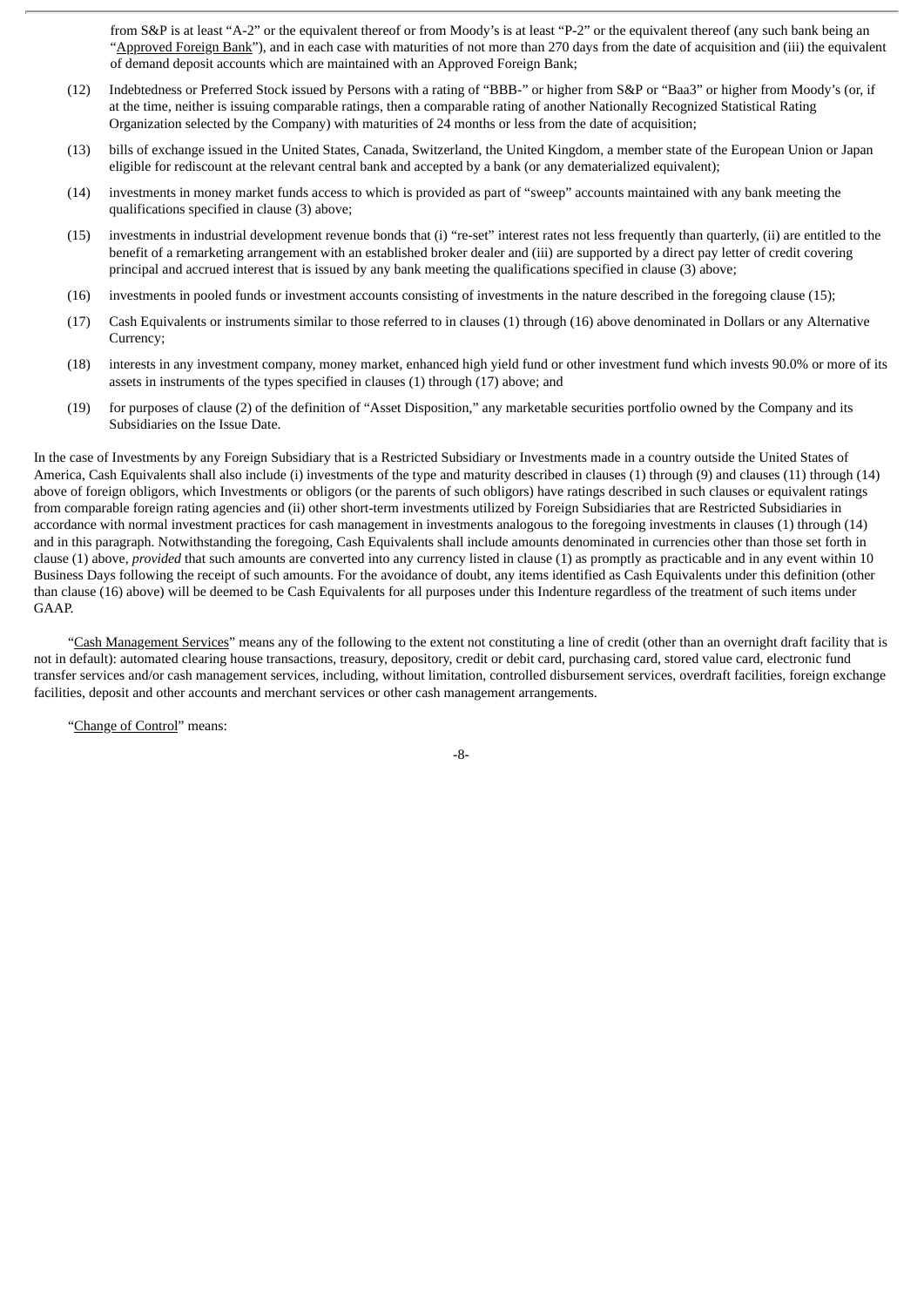from S&P is at least "A-2" or the equivalent thereof or from Moody's is at least "P-2" or the equivalent thereof (any such bank being an "Approved Foreign Bank"), and in each case with maturities of not more than 270 days from the date of acquisition and (iii) the equivalent of demand deposit accounts which are maintained with an Approved Foreign Bank;

- (12) Indebtedness or Preferred Stock issued by Persons with a rating of "BBB-" or higher from S&P or "Baa3" or higher from Moody's (or, if at the time, neither is issuing comparable ratings, then a comparable rating of another Nationally Recognized Statistical Rating Organization selected by the Company) with maturities of 24 months or less from the date of acquisition;
- (13) bills of exchange issued in the United States, Canada, Switzerland, the United Kingdom, a member state of the European Union or Japan eligible for rediscount at the relevant central bank and accepted by a bank (or any dematerialized equivalent);
- (14) investments in money market funds access to which is provided as part of "sweep" accounts maintained with any bank meeting the qualifications specified in clause (3) above;
- (15) investments in industrial development revenue bonds that (i) "re-set" interest rates not less frequently than quarterly, (ii) are entitled to the benefit of a remarketing arrangement with an established broker dealer and (iii) are supported by a direct pay letter of credit covering principal and accrued interest that is issued by any bank meeting the qualifications specified in clause (3) above;
- (16) investments in pooled funds or investment accounts consisting of investments in the nature described in the foregoing clause (15);
- (17) Cash Equivalents or instruments similar to those referred to in clauses (1) through (16) above denominated in Dollars or any Alternative Currency;
- (18) interests in any investment company, money market, enhanced high yield fund or other investment fund which invests 90.0% or more of its assets in instruments of the types specified in clauses (1) through (17) above; and
- (19) for purposes of clause (2) of the definition of "Asset Disposition," any marketable securities portfolio owned by the Company and its Subsidiaries on the Issue Date.

In the case of Investments by any Foreign Subsidiary that is a Restricted Subsidiary or Investments made in a country outside the United States of America, Cash Equivalents shall also include (i) investments of the type and maturity described in clauses (1) through (9) and clauses (11) through (14) above of foreign obligors, which Investments or obligors (or the parents of such obligors) have ratings described in such clauses or equivalent ratings from comparable foreign rating agencies and (ii) other short-term investments utilized by Foreign Subsidiaries that are Restricted Subsidiaries in accordance with normal investment practices for cash management in investments analogous to the foregoing investments in clauses (1) through (14) and in this paragraph. Notwithstanding the foregoing, Cash Equivalents shall include amounts denominated in currencies other than those set forth in clause (1) above, *provided* that such amounts are converted into any currency listed in clause (1) as promptly as practicable and in any event within 10 Business Days following the receipt of such amounts. For the avoidance of doubt, any items identified as Cash Equivalents under this definition (other than clause (16) above) will be deemed to be Cash Equivalents for all purposes under this Indenture regardless of the treatment of such items under GAAP.

"Cash Management Services" means any of the following to the extent not constituting a line of credit (other than an overnight draft facility that is not in default): automated clearing house transactions, treasury, depository, credit or debit card, purchasing card, stored value card, electronic fund transfer services and/or cash management services, including, without limitation, controlled disbursement services, overdraft facilities, foreign exchange facilities, deposit and other accounts and merchant services or other cash management arrangements.

"Change of Control" means:

-8-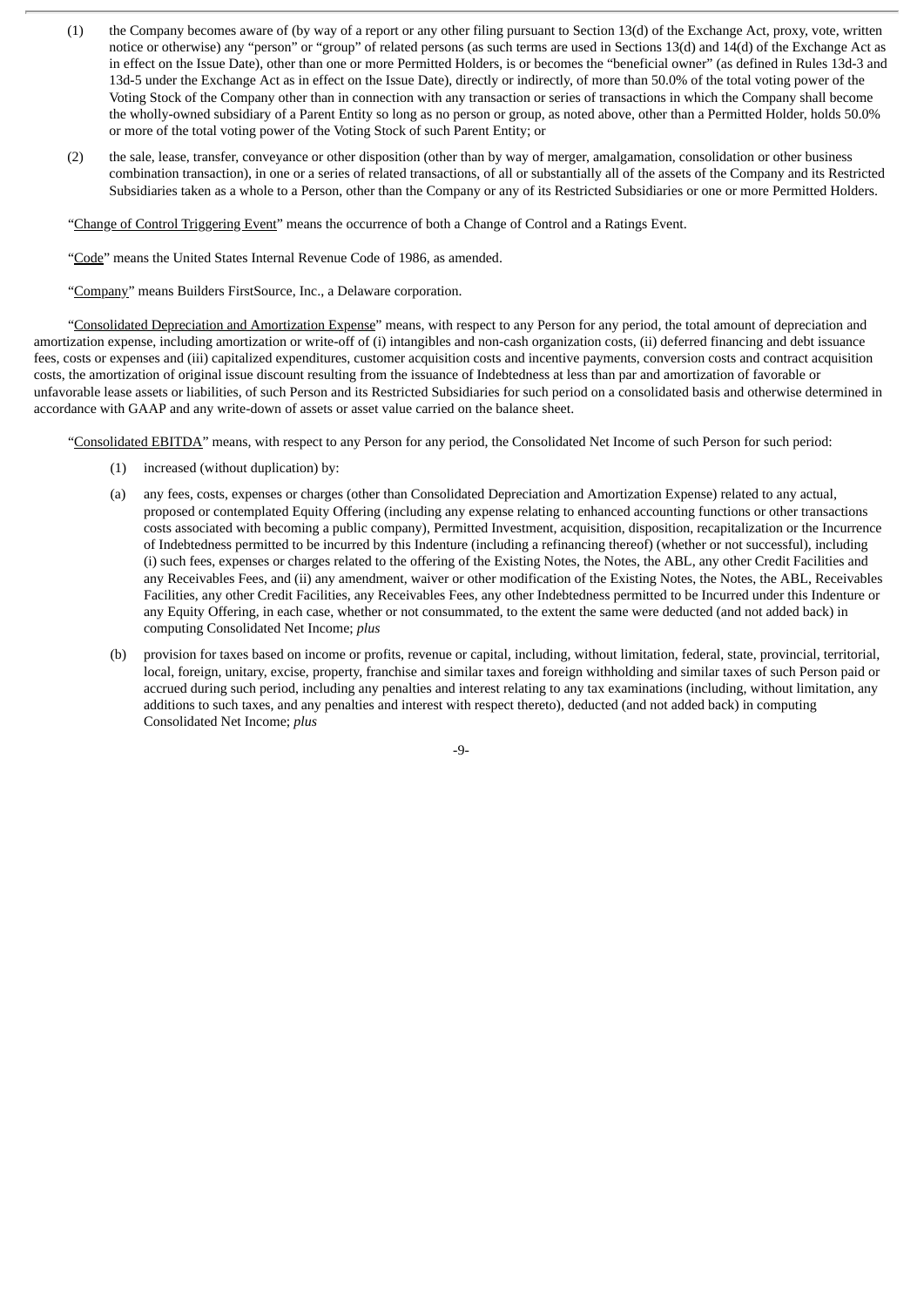- (1) the Company becomes aware of (by way of a report or any other filing pursuant to Section 13(d) of the Exchange Act, proxy, vote, written notice or otherwise) any "person" or "group" of related persons (as such terms are used in Sections 13(d) and 14(d) of the Exchange Act as in effect on the Issue Date), other than one or more Permitted Holders, is or becomes the "beneficial owner" (as defined in Rules 13d-3 and 13d-5 under the Exchange Act as in effect on the Issue Date), directly or indirectly, of more than 50.0% of the total voting power of the Voting Stock of the Company other than in connection with any transaction or series of transactions in which the Company shall become the wholly-owned subsidiary of a Parent Entity so long as no person or group, as noted above, other than a Permitted Holder, holds 50.0% or more of the total voting power of the Voting Stock of such Parent Entity; or
- (2) the sale, lease, transfer, conveyance or other disposition (other than by way of merger, amalgamation, consolidation or other business combination transaction), in one or a series of related transactions, of all or substantially all of the assets of the Company and its Restricted Subsidiaries taken as a whole to a Person, other than the Company or any of its Restricted Subsidiaries or one or more Permitted Holders.

"Change of Control Triggering Event" means the occurrence of both a Change of Control and a Ratings Event.

"Code" means the United States Internal Revenue Code of 1986, as amended.

"Company" means Builders FirstSource, Inc., a Delaware corporation.

"Consolidated Depreciation and Amortization Expense" means, with respect to any Person for any period, the total amount of depreciation and amortization expense, including amortization or write-off of (i) intangibles and non-cash organization costs, (ii) deferred financing and debt issuance fees, costs or expenses and (iii) capitalized expenditures, customer acquisition costs and incentive payments, conversion costs and contract acquisition costs, the amortization of original issue discount resulting from the issuance of Indebtedness at less than par and amortization of favorable or unfavorable lease assets or liabilities, of such Person and its Restricted Subsidiaries for such period on a consolidated basis and otherwise determined in accordance with GAAP and any write-down of assets or asset value carried on the balance sheet.

"Consolidated EBITDA" means, with respect to any Person for any period, the Consolidated Net Income of such Person for such period:

- (1) increased (without duplication) by:
- (a) any fees, costs, expenses or charges (other than Consolidated Depreciation and Amortization Expense) related to any actual, proposed or contemplated Equity Offering (including any expense relating to enhanced accounting functions or other transactions costs associated with becoming a public company), Permitted Investment, acquisition, disposition, recapitalization or the Incurrence of Indebtedness permitted to be incurred by this Indenture (including a refinancing thereof) (whether or not successful), including (i) such fees, expenses or charges related to the offering of the Existing Notes, the Notes, the ABL, any other Credit Facilities and any Receivables Fees, and (ii) any amendment, waiver or other modification of the Existing Notes, the Notes, the ABL, Receivables Facilities, any other Credit Facilities, any Receivables Fees, any other Indebtedness permitted to be Incurred under this Indenture or any Equity Offering, in each case, whether or not consummated, to the extent the same were deducted (and not added back) in computing Consolidated Net Income; *plus*
- (b) provision for taxes based on income or profits, revenue or capital, including, without limitation, federal, state, provincial, territorial, local, foreign, unitary, excise, property, franchise and similar taxes and foreign withholding and similar taxes of such Person paid or accrued during such period, including any penalties and interest relating to any tax examinations (including, without limitation, any additions to such taxes, and any penalties and interest with respect thereto), deducted (and not added back) in computing Consolidated Net Income; *plus*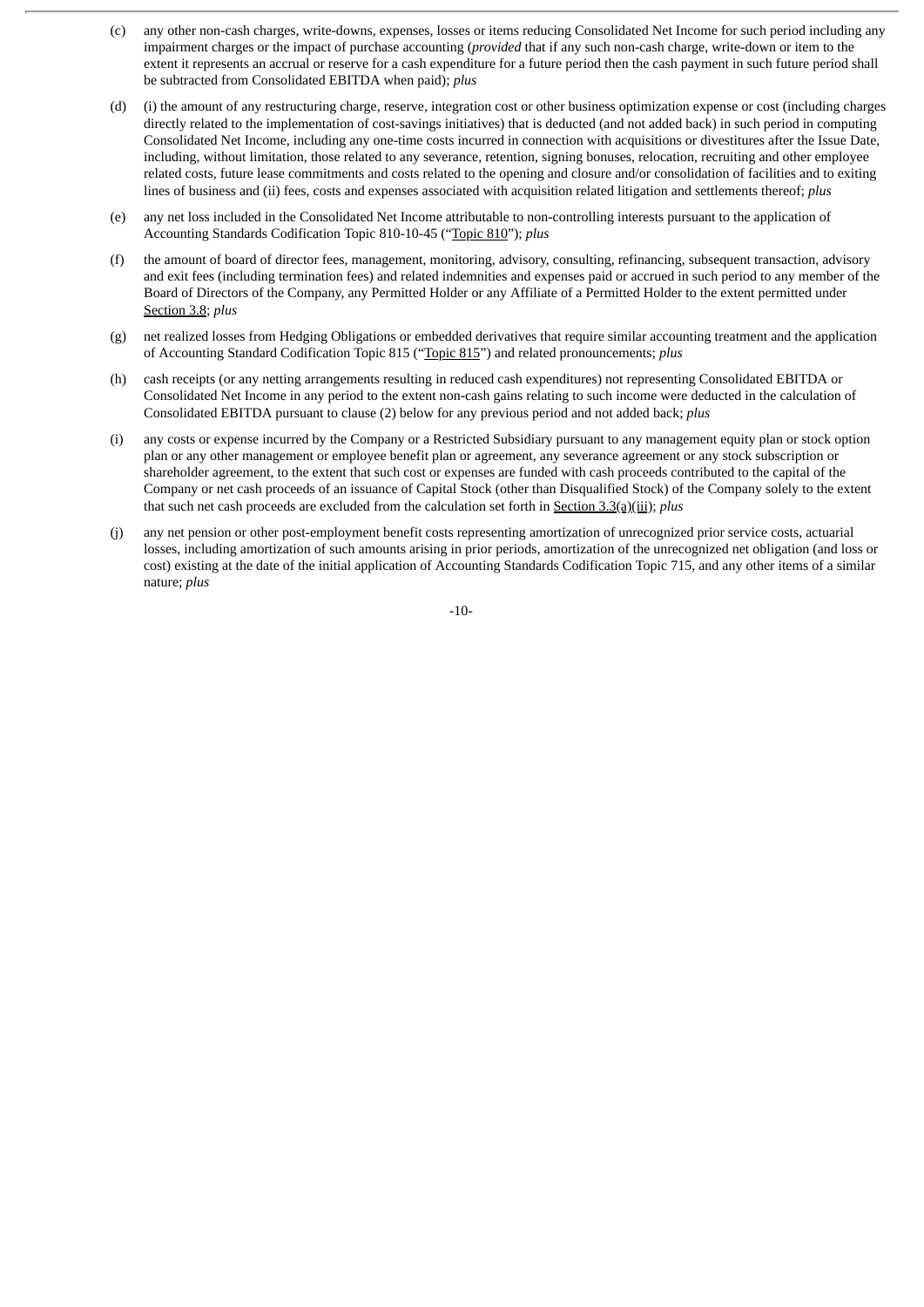- (c) any other non-cash charges, write-downs, expenses, losses or items reducing Consolidated Net Income for such period including any impairment charges or the impact of purchase accounting (*provided* that if any such non-cash charge, write-down or item to the extent it represents an accrual or reserve for a cash expenditure for a future period then the cash payment in such future period shall be subtracted from Consolidated EBITDA when paid); *plus*
- (d) (i) the amount of any restructuring charge, reserve, integration cost or other business optimization expense or cost (including charges directly related to the implementation of cost-savings initiatives) that is deducted (and not added back) in such period in computing Consolidated Net Income, including any one-time costs incurred in connection with acquisitions or divestitures after the Issue Date, including, without limitation, those related to any severance, retention, signing bonuses, relocation, recruiting and other employee related costs, future lease commitments and costs related to the opening and closure and/or consolidation of facilities and to exiting lines of business and (ii) fees, costs and expenses associated with acquisition related litigation and settlements thereof; *plus*
- (e) any net loss included in the Consolidated Net Income attributable to non-controlling interests pursuant to the application of Accounting Standards Codification Topic 810-10-45 ("Topic 810"); *plus*
- (f) the amount of board of director fees, management, monitoring, advisory, consulting, refinancing, subsequent transaction, advisory and exit fees (including termination fees) and related indemnities and expenses paid or accrued in such period to any member of the Board of Directors of the Company, any Permitted Holder or any Affiliate of a Permitted Holder to the extent permitted under Section 3.8; *plus*
- (g) net realized losses from Hedging Obligations or embedded derivatives that require similar accounting treatment and the application of Accounting Standard Codification Topic 815 ("Topic 815") and related pronouncements; *plus*
- (h) cash receipts (or any netting arrangements resulting in reduced cash expenditures) not representing Consolidated EBITDA or Consolidated Net Income in any period to the extent non-cash gains relating to such income were deducted in the calculation of Consolidated EBITDA pursuant to clause (2) below for any previous period and not added back; *plus*
- (i) any costs or expense incurred by the Company or a Restricted Subsidiary pursuant to any management equity plan or stock option plan or any other management or employee benefit plan or agreement, any severance agreement or any stock subscription or shareholder agreement, to the extent that such cost or expenses are funded with cash proceeds contributed to the capital of the Company or net cash proceeds of an issuance of Capital Stock (other than Disqualified Stock) of the Company solely to the extent that such net cash proceeds are excluded from the calculation set forth in Section 3.3(a)(iii); *plus*
- (j) any net pension or other post-employment benefit costs representing amortization of unrecognized prior service costs, actuarial losses, including amortization of such amounts arising in prior periods, amortization of the unrecognized net obligation (and loss or cost) existing at the date of the initial application of Accounting Standards Codification Topic 715, and any other items of a similar nature; *plus*

-10-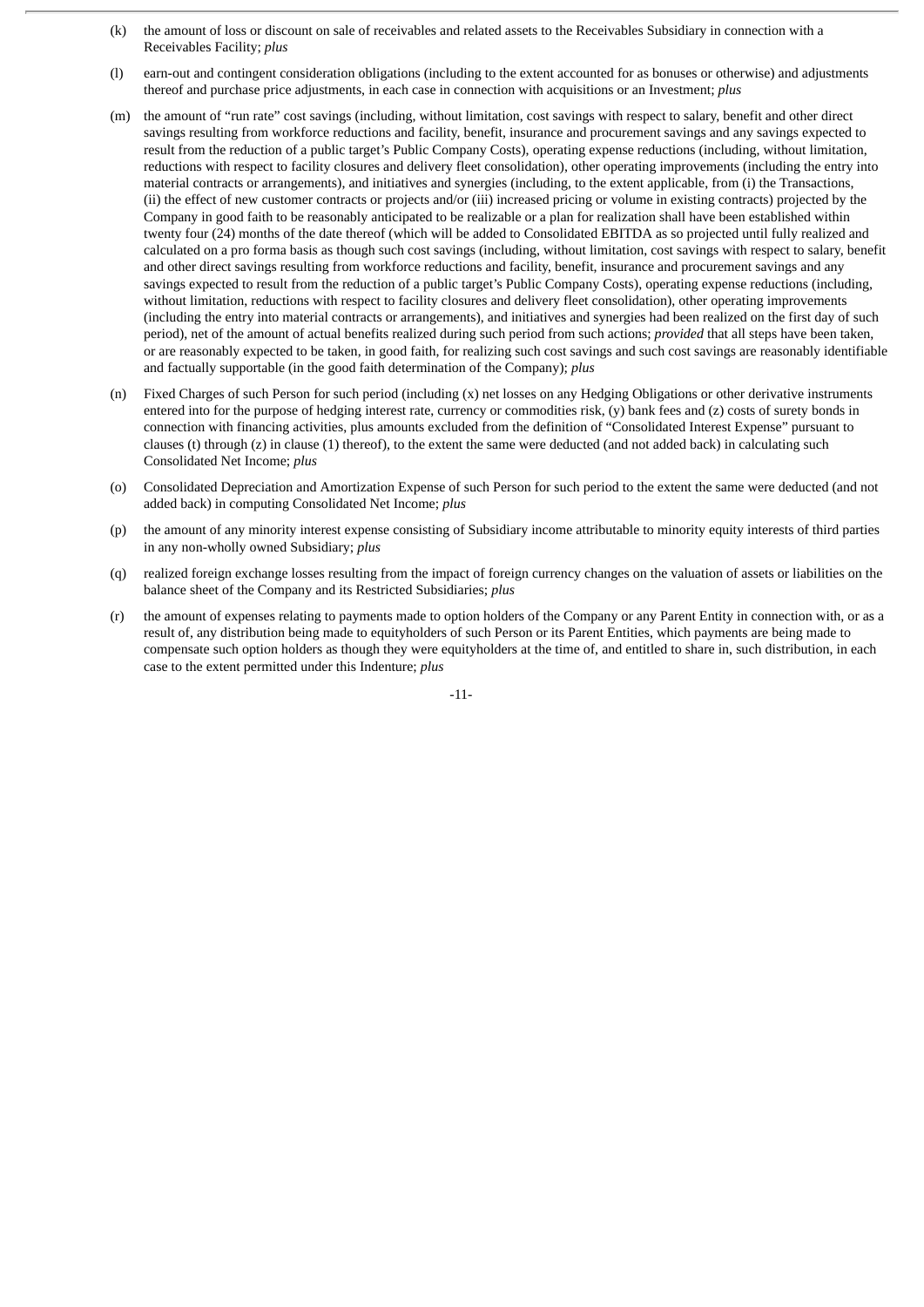- (k) the amount of loss or discount on sale of receivables and related assets to the Receivables Subsidiary in connection with a Receivables Facility; *plus*
- (l) earn-out and contingent consideration obligations (including to the extent accounted for as bonuses or otherwise) and adjustments thereof and purchase price adjustments, in each case in connection with acquisitions or an Investment; *plus*
- (m) the amount of "run rate" cost savings (including, without limitation, cost savings with respect to salary, benefit and other direct savings resulting from workforce reductions and facility, benefit, insurance and procurement savings and any savings expected to result from the reduction of a public target's Public Company Costs), operating expense reductions (including, without limitation, reductions with respect to facility closures and delivery fleet consolidation), other operating improvements (including the entry into material contracts or arrangements), and initiatives and synergies (including, to the extent applicable, from (i) the Transactions, (ii) the effect of new customer contracts or projects and/or (iii) increased pricing or volume in existing contracts) projected by the Company in good faith to be reasonably anticipated to be realizable or a plan for realization shall have been established within twenty four (24) months of the date thereof (which will be added to Consolidated EBITDA as so projected until fully realized and calculated on a pro forma basis as though such cost savings (including, without limitation, cost savings with respect to salary, benefit and other direct savings resulting from workforce reductions and facility, benefit, insurance and procurement savings and any savings expected to result from the reduction of a public target's Public Company Costs), operating expense reductions (including, without limitation, reductions with respect to facility closures and delivery fleet consolidation), other operating improvements (including the entry into material contracts or arrangements), and initiatives and synergies had been realized on the first day of such period), net of the amount of actual benefits realized during such period from such actions; *provided* that all steps have been taken, or are reasonably expected to be taken, in good faith, for realizing such cost savings and such cost savings are reasonably identifiable and factually supportable (in the good faith determination of the Company); *plus*
- (n) Fixed Charges of such Person for such period (including (x) net losses on any Hedging Obligations or other derivative instruments entered into for the purpose of hedging interest rate, currency or commodities risk, (y) bank fees and (z) costs of surety bonds in connection with financing activities, plus amounts excluded from the definition of "Consolidated Interest Expense" pursuant to clauses (t) through (z) in clause (1) thereof), to the extent the same were deducted (and not added back) in calculating such Consolidated Net Income; *plus*
- (o) Consolidated Depreciation and Amortization Expense of such Person for such period to the extent the same were deducted (and not added back) in computing Consolidated Net Income; *plus*
- (p) the amount of any minority interest expense consisting of Subsidiary income attributable to minority equity interests of third parties in any non-wholly owned Subsidiary; *plus*
- (q) realized foreign exchange losses resulting from the impact of foreign currency changes on the valuation of assets or liabilities on the balance sheet of the Company and its Restricted Subsidiaries; *plus*
- (r) the amount of expenses relating to payments made to option holders of the Company or any Parent Entity in connection with, or as a result of, any distribution being made to equityholders of such Person or its Parent Entities, which payments are being made to compensate such option holders as though they were equityholders at the time of, and entitled to share in, such distribution, in each case to the extent permitted under this Indenture; *plus*

-11-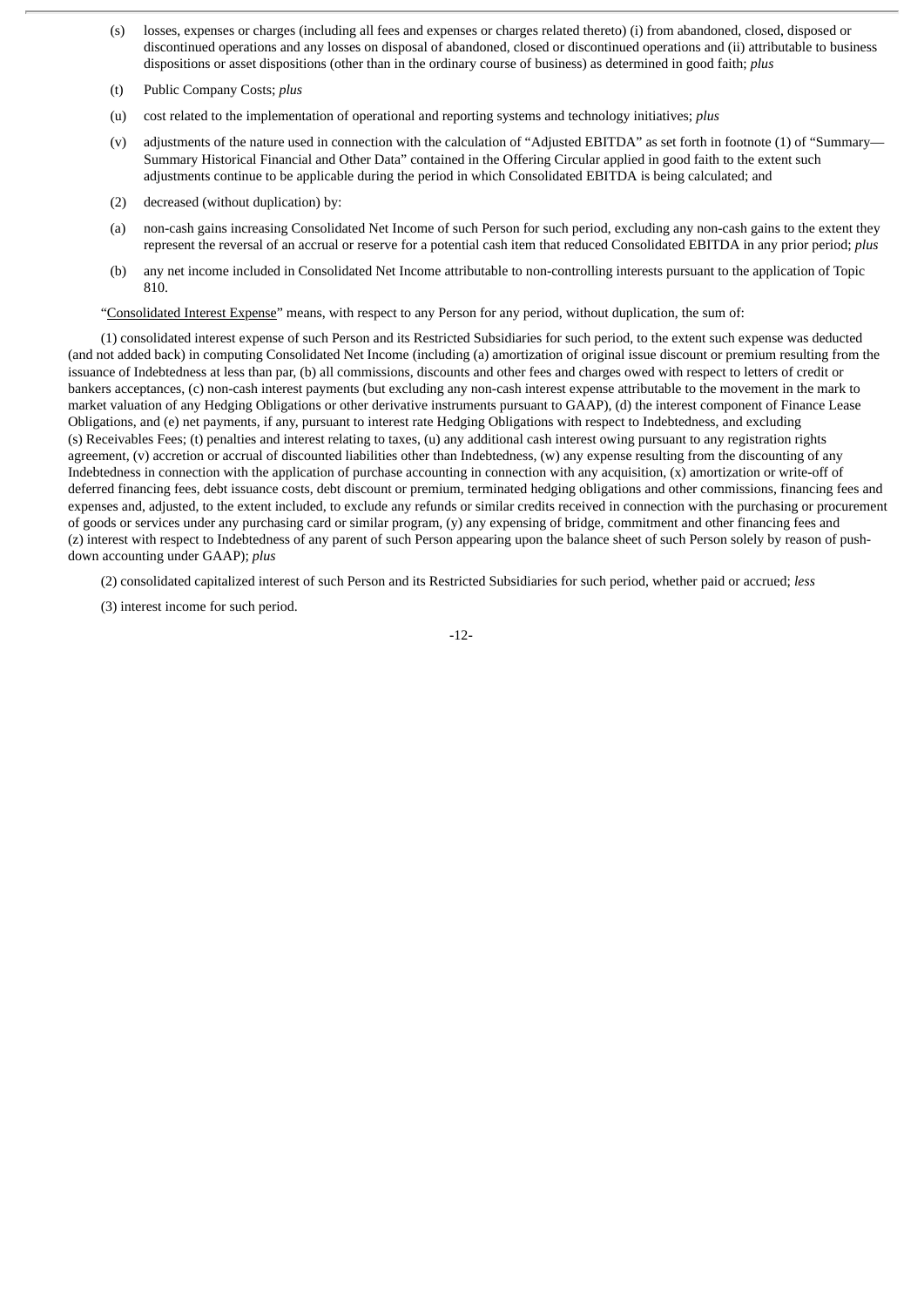- (s) losses, expenses or charges (including all fees and expenses or charges related thereto) (i) from abandoned, closed, disposed or discontinued operations and any losses on disposal of abandoned, closed or discontinued operations and (ii) attributable to business dispositions or asset dispositions (other than in the ordinary course of business) as determined in good faith; *plus*
- (t) Public Company Costs; *plus*
- (u) cost related to the implementation of operational and reporting systems and technology initiatives; *plus*
- (v) adjustments of the nature used in connection with the calculation of "Adjusted EBITDA" as set forth in footnote (1) of "Summary— Summary Historical Financial and Other Data" contained in the Offering Circular applied in good faith to the extent such adjustments continue to be applicable during the period in which Consolidated EBITDA is being calculated; and
- (2) decreased (without duplication) by:
- (a) non-cash gains increasing Consolidated Net Income of such Person for such period, excluding any non-cash gains to the extent they represent the reversal of an accrual or reserve for a potential cash item that reduced Consolidated EBITDA in any prior period; *plus*
- (b) any net income included in Consolidated Net Income attributable to non-controlling interests pursuant to the application of Topic 810.

"Consolidated Interest Expense" means, with respect to any Person for any period, without duplication, the sum of:

(1) consolidated interest expense of such Person and its Restricted Subsidiaries for such period, to the extent such expense was deducted (and not added back) in computing Consolidated Net Income (including (a) amortization of original issue discount or premium resulting from the issuance of Indebtedness at less than par, (b) all commissions, discounts and other fees and charges owed with respect to letters of credit or bankers acceptances, (c) non-cash interest payments (but excluding any non-cash interest expense attributable to the movement in the mark to market valuation of any Hedging Obligations or other derivative instruments pursuant to GAAP), (d) the interest component of Finance Lease Obligations, and (e) net payments, if any, pursuant to interest rate Hedging Obligations with respect to Indebtedness, and excluding (s) Receivables Fees; (t) penalties and interest relating to taxes, (u) any additional cash interest owing pursuant to any registration rights agreement, (v) accretion or accrual of discounted liabilities other than Indebtedness, (w) any expense resulting from the discounting of any Indebtedness in connection with the application of purchase accounting in connection with any acquisition, (x) amortization or write-off of deferred financing fees, debt issuance costs, debt discount or premium, terminated hedging obligations and other commissions, financing fees and expenses and, adjusted, to the extent included, to exclude any refunds or similar credits received in connection with the purchasing or procurement of goods or services under any purchasing card or similar program, (y) any expensing of bridge, commitment and other financing fees and (z) interest with respect to Indebtedness of any parent of such Person appearing upon the balance sheet of such Person solely by reason of pushdown accounting under GAAP); *plus*

(2) consolidated capitalized interest of such Person and its Restricted Subsidiaries for such period, whether paid or accrued; *less*

(3) interest income for such period.

-12-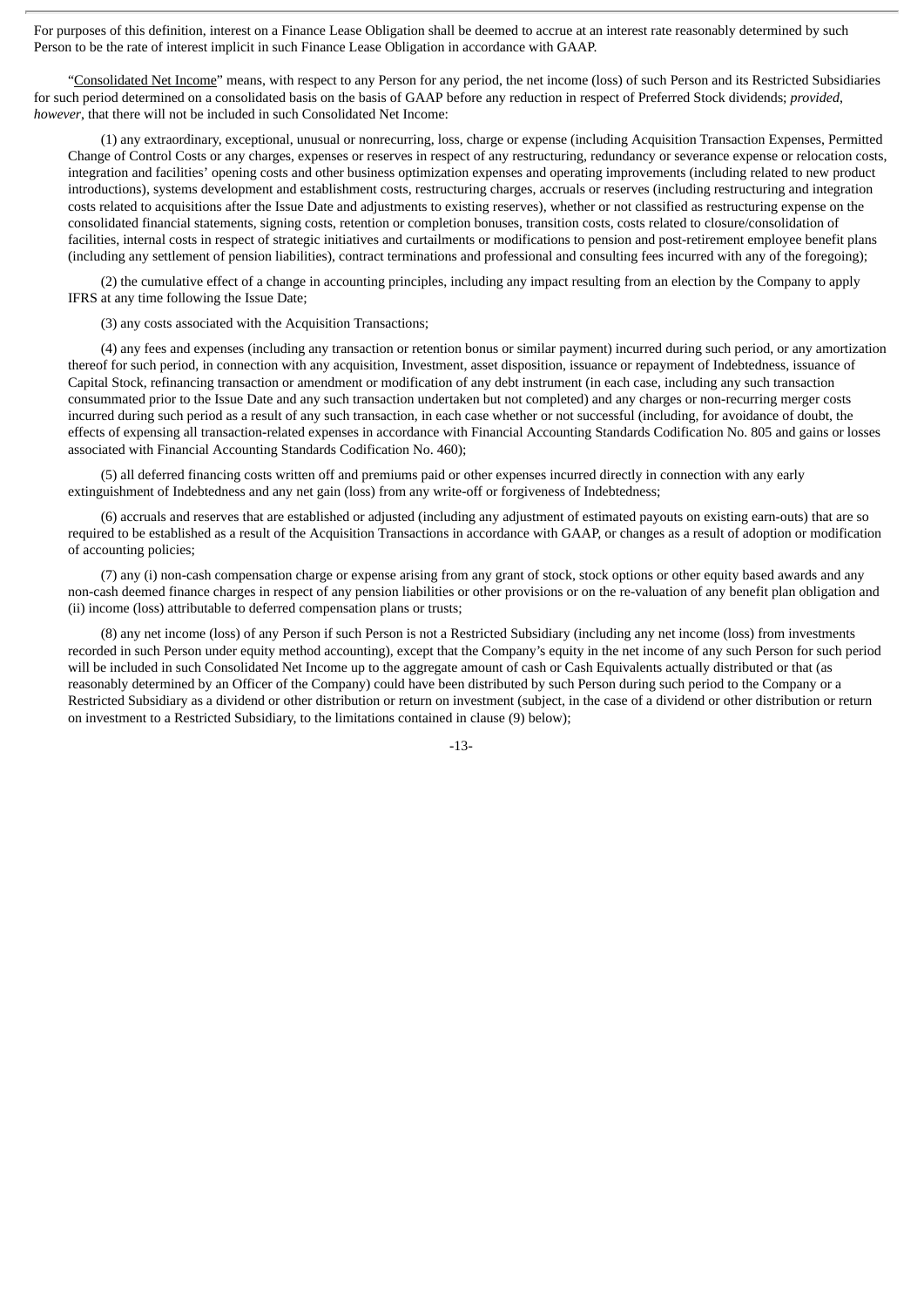For purposes of this definition, interest on a Finance Lease Obligation shall be deemed to accrue at an interest rate reasonably determined by such Person to be the rate of interest implicit in such Finance Lease Obligation in accordance with GAAP.

"Consolidated Net Income" means, with respect to any Person for any period, the net income (loss) of such Person and its Restricted Subsidiaries for such period determined on a consolidated basis on the basis of GAAP before any reduction in respect of Preferred Stock dividends; *provided*, *however*, that there will not be included in such Consolidated Net Income:

(1) any extraordinary, exceptional, unusual or nonrecurring, loss, charge or expense (including Acquisition Transaction Expenses, Permitted Change of Control Costs or any charges, expenses or reserves in respect of any restructuring, redundancy or severance expense or relocation costs, integration and facilities' opening costs and other business optimization expenses and operating improvements (including related to new product introductions), systems development and establishment costs, restructuring charges, accruals or reserves (including restructuring and integration costs related to acquisitions after the Issue Date and adjustments to existing reserves), whether or not classified as restructuring expense on the consolidated financial statements, signing costs, retention or completion bonuses, transition costs, costs related to closure/consolidation of facilities, internal costs in respect of strategic initiatives and curtailments or modifications to pension and post-retirement employee benefit plans (including any settlement of pension liabilities), contract terminations and professional and consulting fees incurred with any of the foregoing);

(2) the cumulative effect of a change in accounting principles, including any impact resulting from an election by the Company to apply IFRS at any time following the Issue Date;

(3) any costs associated with the Acquisition Transactions;

(4) any fees and expenses (including any transaction or retention bonus or similar payment) incurred during such period, or any amortization thereof for such period, in connection with any acquisition, Investment, asset disposition, issuance or repayment of Indebtedness, issuance of Capital Stock, refinancing transaction or amendment or modification of any debt instrument (in each case, including any such transaction consummated prior to the Issue Date and any such transaction undertaken but not completed) and any charges or non-recurring merger costs incurred during such period as a result of any such transaction, in each case whether or not successful (including, for avoidance of doubt, the effects of expensing all transaction-related expenses in accordance with Financial Accounting Standards Codification No. 805 and gains or losses associated with Financial Accounting Standards Codification No. 460);

(5) all deferred financing costs written off and premiums paid or other expenses incurred directly in connection with any early extinguishment of Indebtedness and any net gain (loss) from any write-off or forgiveness of Indebtedness;

(6) accruals and reserves that are established or adjusted (including any adjustment of estimated payouts on existing earn-outs) that are so required to be established as a result of the Acquisition Transactions in accordance with GAAP, or changes as a result of adoption or modification of accounting policies;

(7) any (i) non-cash compensation charge or expense arising from any grant of stock, stock options or other equity based awards and any non-cash deemed finance charges in respect of any pension liabilities or other provisions or on the re-valuation of any benefit plan obligation and (ii) income (loss) attributable to deferred compensation plans or trusts;

(8) any net income (loss) of any Person if such Person is not a Restricted Subsidiary (including any net income (loss) from investments recorded in such Person under equity method accounting), except that the Company's equity in the net income of any such Person for such period will be included in such Consolidated Net Income up to the aggregate amount of cash or Cash Equivalents actually distributed or that (as reasonably determined by an Officer of the Company) could have been distributed by such Person during such period to the Company or a Restricted Subsidiary as a dividend or other distribution or return on investment (subject, in the case of a dividend or other distribution or return on investment to a Restricted Subsidiary, to the limitations contained in clause (9) below);

-13-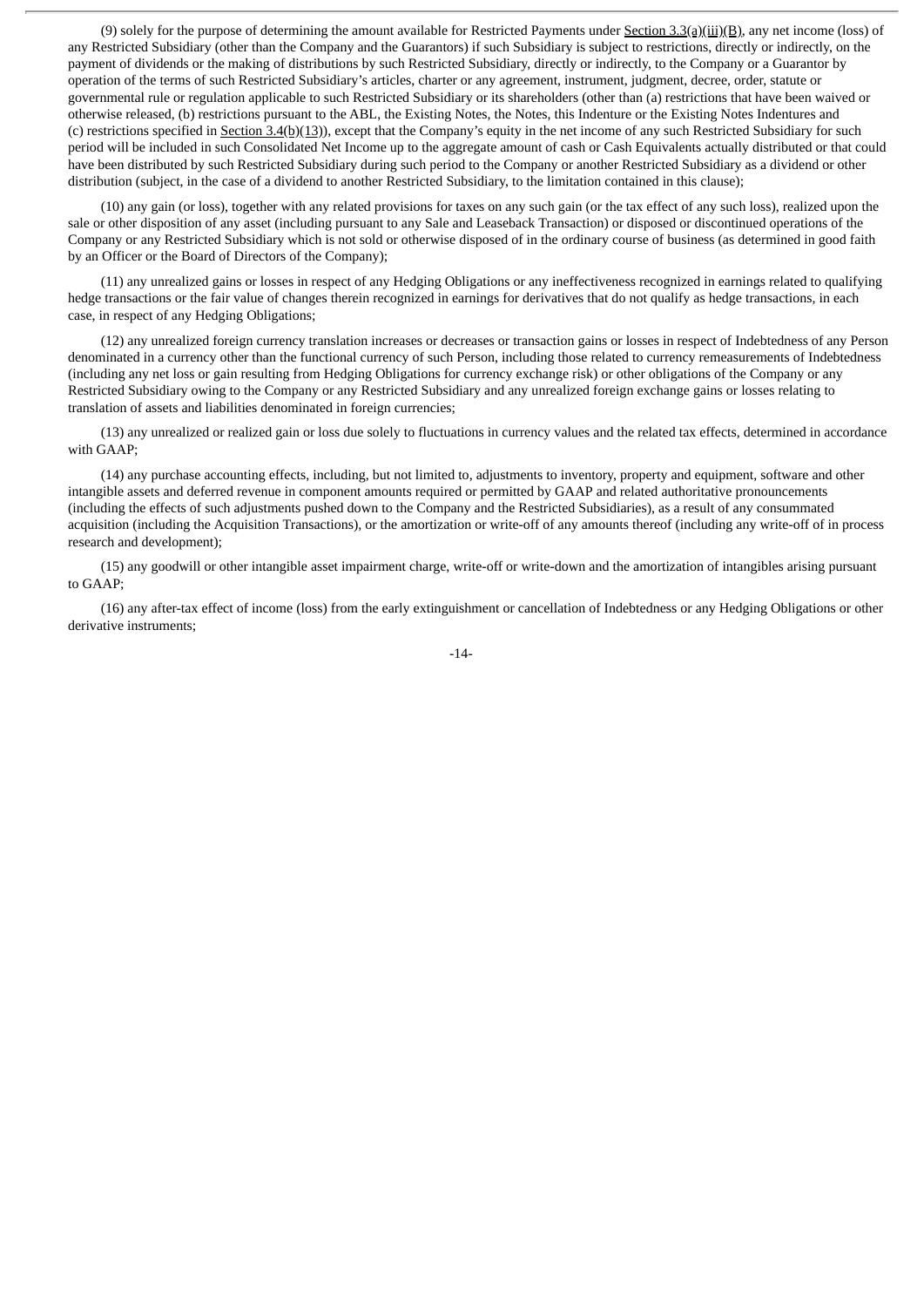(9) solely for the purpose of determining the amount available for Restricted Payments under Section 3.3(a)(iii)(B), any net income (loss) of any Restricted Subsidiary (other than the Company and the Guarantors) if such Subsidiary is subject to restrictions, directly or indirectly, on the payment of dividends or the making of distributions by such Restricted Subsidiary, directly or indirectly, to the Company or a Guarantor by operation of the terms of such Restricted Subsidiary's articles, charter or any agreement, instrument, judgment, decree, order, statute or governmental rule or regulation applicable to such Restricted Subsidiary or its shareholders (other than (a) restrictions that have been waived or otherwise released, (b) restrictions pursuant to the ABL, the Existing Notes, the Notes, this Indenture or the Existing Notes Indentures and (c) restrictions specified in Section 3.4(b)(13)), except that the Company's equity in the net income of any such Restricted Subsidiary for such period will be included in such Consolidated Net Income up to the aggregate amount of cash or Cash Equivalents actually distributed or that could have been distributed by such Restricted Subsidiary during such period to the Company or another Restricted Subsidiary as a dividend or other distribution (subject, in the case of a dividend to another Restricted Subsidiary, to the limitation contained in this clause);

(10) any gain (or loss), together with any related provisions for taxes on any such gain (or the tax effect of any such loss), realized upon the sale or other disposition of any asset (including pursuant to any Sale and Leaseback Transaction) or disposed or discontinued operations of the Company or any Restricted Subsidiary which is not sold or otherwise disposed of in the ordinary course of business (as determined in good faith by an Officer or the Board of Directors of the Company);

(11) any unrealized gains or losses in respect of any Hedging Obligations or any ineffectiveness recognized in earnings related to qualifying hedge transactions or the fair value of changes therein recognized in earnings for derivatives that do not qualify as hedge transactions, in each case, in respect of any Hedging Obligations;

(12) any unrealized foreign currency translation increases or decreases or transaction gains or losses in respect of Indebtedness of any Person denominated in a currency other than the functional currency of such Person, including those related to currency remeasurements of Indebtedness (including any net loss or gain resulting from Hedging Obligations for currency exchange risk) or other obligations of the Company or any Restricted Subsidiary owing to the Company or any Restricted Subsidiary and any unrealized foreign exchange gains or losses relating to translation of assets and liabilities denominated in foreign currencies;

(13) any unrealized or realized gain or loss due solely to fluctuations in currency values and the related tax effects, determined in accordance with GAAP;

(14) any purchase accounting effects, including, but not limited to, adjustments to inventory, property and equipment, software and other intangible assets and deferred revenue in component amounts required or permitted by GAAP and related authoritative pronouncements (including the effects of such adjustments pushed down to the Company and the Restricted Subsidiaries), as a result of any consummated acquisition (including the Acquisition Transactions), or the amortization or write-off of any amounts thereof (including any write-off of in process research and development);

(15) any goodwill or other intangible asset impairment charge, write-off or write-down and the amortization of intangibles arising pursuant to GAAP;

(16) any after-tax effect of income (loss) from the early extinguishment or cancellation of Indebtedness or any Hedging Obligations or other derivative instruments;

-14-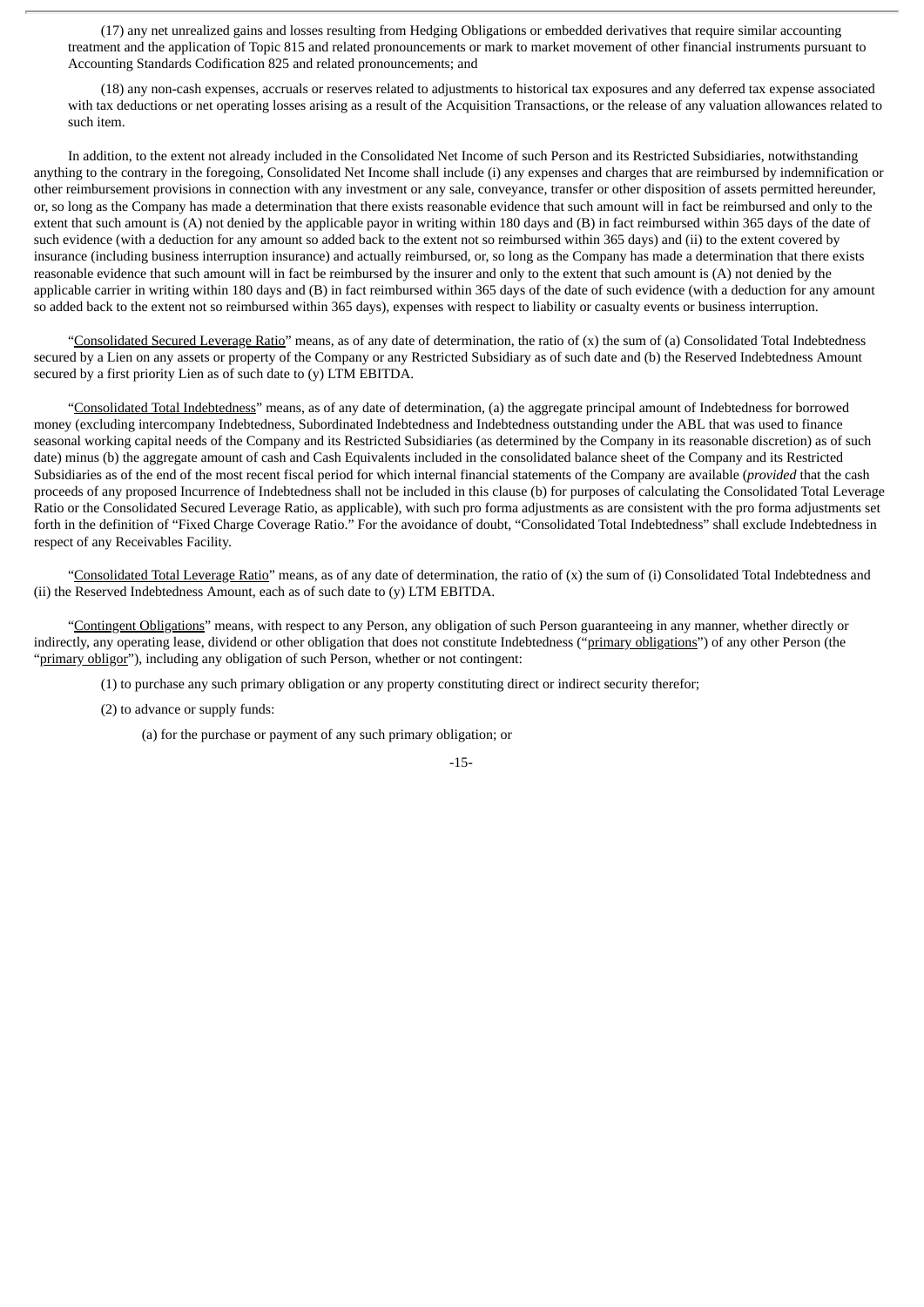(17) any net unrealized gains and losses resulting from Hedging Obligations or embedded derivatives that require similar accounting treatment and the application of Topic 815 and related pronouncements or mark to market movement of other financial instruments pursuant to Accounting Standards Codification 825 and related pronouncements; and

(18) any non-cash expenses, accruals or reserves related to adjustments to historical tax exposures and any deferred tax expense associated with tax deductions or net operating losses arising as a result of the Acquisition Transactions, or the release of any valuation allowances related to such item.

In addition, to the extent not already included in the Consolidated Net Income of such Person and its Restricted Subsidiaries, notwithstanding anything to the contrary in the foregoing, Consolidated Net Income shall include (i) any expenses and charges that are reimbursed by indemnification or other reimbursement provisions in connection with any investment or any sale, conveyance, transfer or other disposition of assets permitted hereunder, or, so long as the Company has made a determination that there exists reasonable evidence that such amount will in fact be reimbursed and only to the extent that such amount is (A) not denied by the applicable payor in writing within 180 days and (B) in fact reimbursed within 365 days of the date of such evidence (with a deduction for any amount so added back to the extent not so reimbursed within 365 days) and (ii) to the extent covered by insurance (including business interruption insurance) and actually reimbursed, or, so long as the Company has made a determination that there exists reasonable evidence that such amount will in fact be reimbursed by the insurer and only to the extent that such amount is (A) not denied by the applicable carrier in writing within 180 days and (B) in fact reimbursed within 365 days of the date of such evidence (with a deduction for any amount so added back to the extent not so reimbursed within 365 days), expenses with respect to liability or casualty events or business interruption.

"Consolidated Secured Leverage Ratio" means, as of any date of determination, the ratio of (x) the sum of (a) Consolidated Total Indebtedness secured by a Lien on any assets or property of the Company or any Restricted Subsidiary as of such date and (b) the Reserved Indebtedness Amount secured by a first priority Lien as of such date to (y) LTM EBITDA.

"Consolidated Total Indebtedness" means, as of any date of determination, (a) the aggregate principal amount of Indebtedness for borrowed money (excluding intercompany Indebtedness, Subordinated Indebtedness and Indebtedness outstanding under the ABL that was used to finance seasonal working capital needs of the Company and its Restricted Subsidiaries (as determined by the Company in its reasonable discretion) as of such date) minus (b) the aggregate amount of cash and Cash Equivalents included in the consolidated balance sheet of the Company and its Restricted Subsidiaries as of the end of the most recent fiscal period for which internal financial statements of the Company are available (*provided* that the cash proceeds of any proposed Incurrence of Indebtedness shall not be included in this clause (b) for purposes of calculating the Consolidated Total Leverage Ratio or the Consolidated Secured Leverage Ratio, as applicable), with such pro forma adjustments as are consistent with the pro forma adjustments set forth in the definition of "Fixed Charge Coverage Ratio." For the avoidance of doubt, "Consolidated Total Indebtedness" shall exclude Indebtedness in respect of any Receivables Facility.

"Consolidated Total Leverage Ratio" means, as of any date of determination, the ratio of (x) the sum of (i) Consolidated Total Indebtedness and (ii) the Reserved Indebtedness Amount, each as of such date to (y) LTM EBITDA.

"Contingent Obligations" means, with respect to any Person, any obligation of such Person guaranteeing in any manner, whether directly or indirectly, any operating lease, dividend or other obligation that does not constitute Indebtedness ("primary obligations") of any other Person (the "primary obligor"), including any obligation of such Person, whether or not contingent:

(1) to purchase any such primary obligation or any property constituting direct or indirect security therefor;

(2) to advance or supply funds:

(a) for the purchase or payment of any such primary obligation; or

-15-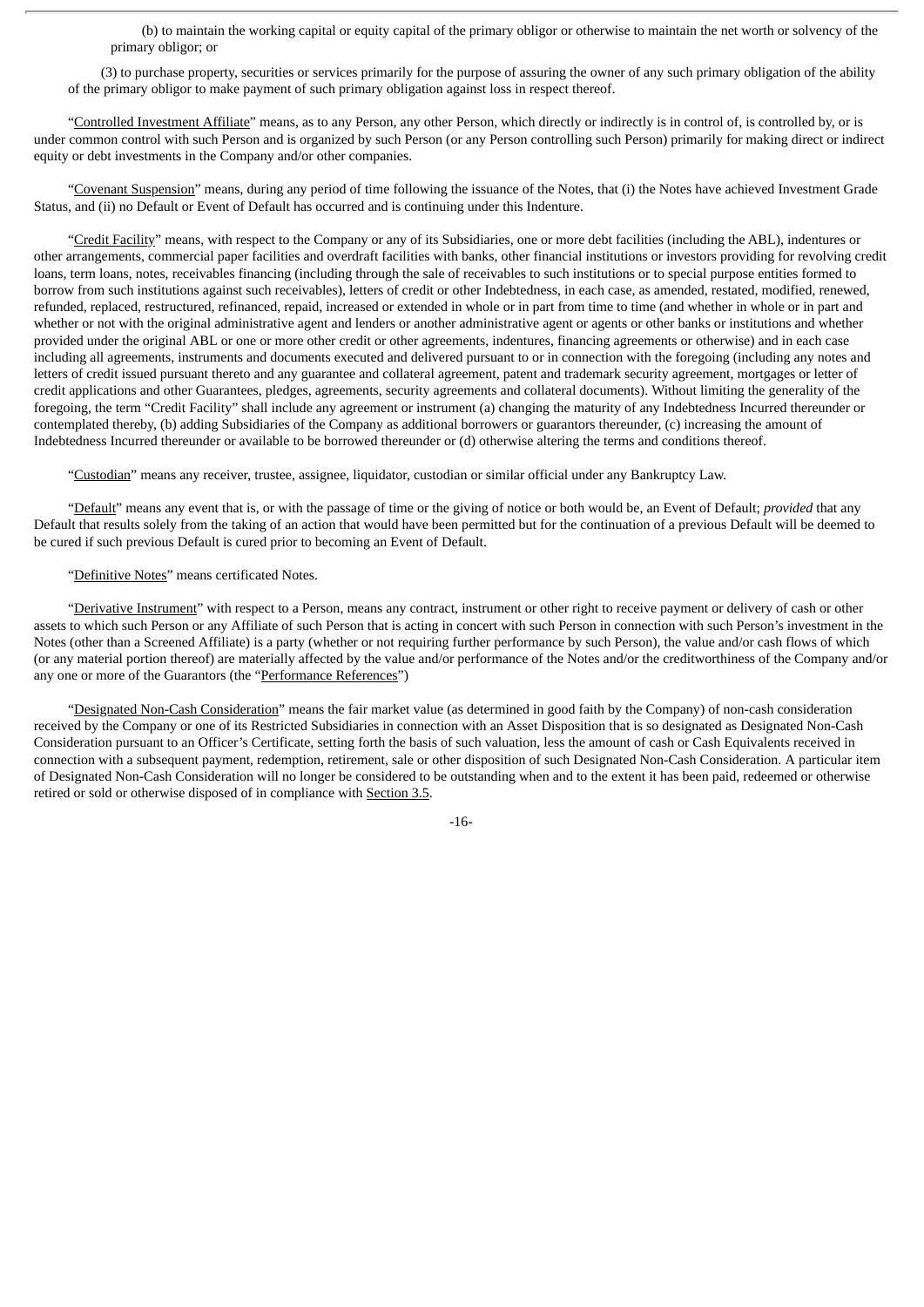(b) to maintain the working capital or equity capital of the primary obligor or otherwise to maintain the net worth or solvency of the primary obligor; or

(3) to purchase property, securities or services primarily for the purpose of assuring the owner of any such primary obligation of the ability of the primary obligor to make payment of such primary obligation against loss in respect thereof.

"Controlled Investment Affiliate" means, as to any Person, any other Person, which directly or indirectly is in control of, is controlled by, or is under common control with such Person and is organized by such Person (or any Person controlling such Person) primarily for making direct or indirect equity or debt investments in the Company and/or other companies.

"Covenant Suspension" means, during any period of time following the issuance of the Notes, that (i) the Notes have achieved Investment Grade Status, and (ii) no Default or Event of Default has occurred and is continuing under this Indenture.

"Credit Facility" means, with respect to the Company or any of its Subsidiaries, one or more debt facilities (including the ABL), indentures or other arrangements, commercial paper facilities and overdraft facilities with banks, other financial institutions or investors providing for revolving credit loans, term loans, notes, receivables financing (including through the sale of receivables to such institutions or to special purpose entities formed to borrow from such institutions against such receivables), letters of credit or other Indebtedness, in each case, as amended, restated, modified, renewed, refunded, replaced, restructured, refinanced, repaid, increased or extended in whole or in part from time to time (and whether in whole or in part and whether or not with the original administrative agent and lenders or another administrative agent or agents or other banks or institutions and whether provided under the original ABL or one or more other credit or other agreements, indentures, financing agreements or otherwise) and in each case including all agreements, instruments and documents executed and delivered pursuant to or in connection with the foregoing (including any notes and letters of credit issued pursuant thereto and any guarantee and collateral agreement, patent and trademark security agreement, mortgages or letter of credit applications and other Guarantees, pledges, agreements, security agreements and collateral documents). Without limiting the generality of the foregoing, the term "Credit Facility" shall include any agreement or instrument (a) changing the maturity of any Indebtedness Incurred thereunder or contemplated thereby, (b) adding Subsidiaries of the Company as additional borrowers or guarantors thereunder, (c) increasing the amount of Indebtedness Incurred thereunder or available to be borrowed thereunder or (d) otherwise altering the terms and conditions thereof.

"Custodian" means any receiver, trustee, assignee, liquidator, custodian or similar official under any Bankruptcy Law.

"Default" means any event that is, or with the passage of time or the giving of notice or both would be, an Event of Default; *provided* that any Default that results solely from the taking of an action that would have been permitted but for the continuation of a previous Default will be deemed to be cured if such previous Default is cured prior to becoming an Event of Default.

### "Definitive Notes" means certificated Notes.

"Derivative Instrument" with respect to a Person, means any contract, instrument or other right to receive payment or delivery of cash or other assets to which such Person or any Affiliate of such Person that is acting in concert with such Person in connection with such Person's investment in the Notes (other than a Screened Affiliate) is a party (whether or not requiring further performance by such Person), the value and/or cash flows of which (or any material portion thereof) are materially affected by the value and/or performance of the Notes and/or the creditworthiness of the Company and/or any one or more of the Guarantors (the "Performance References")

"Designated Non-Cash Consideration" means the fair market value (as determined in good faith by the Company) of non-cash consideration received by the Company or one of its Restricted Subsidiaries in connection with an Asset Disposition that is so designated as Designated Non-Cash Consideration pursuant to an Officer's Certificate, setting forth the basis of such valuation, less the amount of cash or Cash Equivalents received in connection with a subsequent payment, redemption, retirement, sale or other disposition of such Designated Non-Cash Consideration. A particular item of Designated Non-Cash Consideration will no longer be considered to be outstanding when and to the extent it has been paid, redeemed or otherwise retired or sold or otherwise disposed of in compliance with Section 3.5.

-16-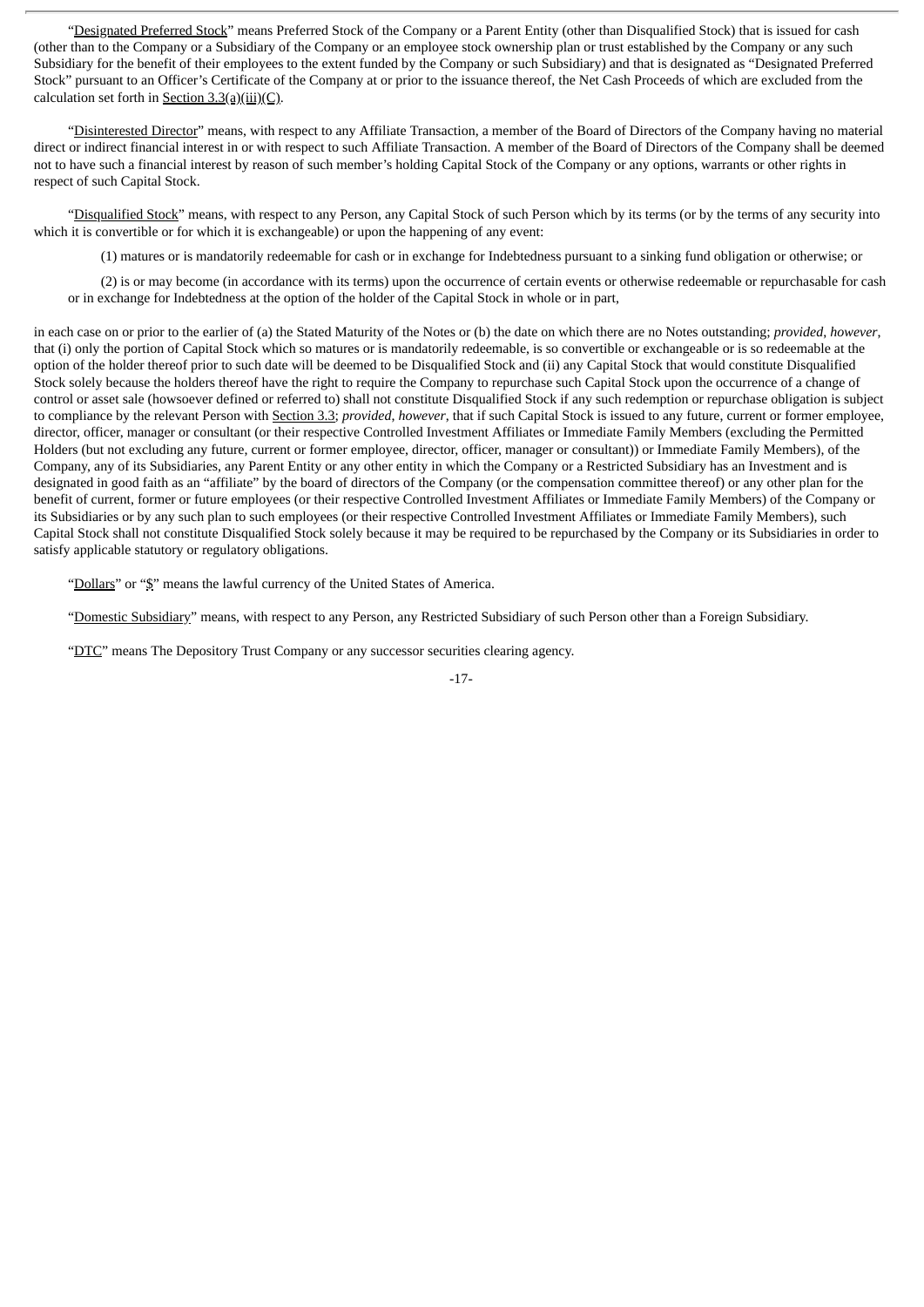"Designated Preferred Stock" means Preferred Stock of the Company or a Parent Entity (other than Disqualified Stock) that is issued for cash (other than to the Company or a Subsidiary of the Company or an employee stock ownership plan or trust established by the Company or any such Subsidiary for the benefit of their employees to the extent funded by the Company or such Subsidiary) and that is designated as "Designated Preferred Stock" pursuant to an Officer's Certificate of the Company at or prior to the issuance thereof, the Net Cash Proceeds of which are excluded from the calculation set forth in Section  $3.3(a)(iii)(C)$ .

"Disinterested Director" means, with respect to any Affiliate Transaction, a member of the Board of Directors of the Company having no material direct or indirect financial interest in or with respect to such Affiliate Transaction. A member of the Board of Directors of the Company shall be deemed not to have such a financial interest by reason of such member's holding Capital Stock of the Company or any options, warrants or other rights in respect of such Capital Stock.

"Disqualified Stock" means, with respect to any Person, any Capital Stock of such Person which by its terms (or by the terms of any security into which it is convertible or for which it is exchangeable) or upon the happening of any event:

(1) matures or is mandatorily redeemable for cash or in exchange for Indebtedness pursuant to a sinking fund obligation or otherwise; or

(2) is or may become (in accordance with its terms) upon the occurrence of certain events or otherwise redeemable or repurchasable for cash or in exchange for Indebtedness at the option of the holder of the Capital Stock in whole or in part,

in each case on or prior to the earlier of (a) the Stated Maturity of the Notes or (b) the date on which there are no Notes outstanding; *provided*, *however*, that (i) only the portion of Capital Stock which so matures or is mandatorily redeemable, is so convertible or exchangeable or is so redeemable at the option of the holder thereof prior to such date will be deemed to be Disqualified Stock and (ii) any Capital Stock that would constitute Disqualified Stock solely because the holders thereof have the right to require the Company to repurchase such Capital Stock upon the occurrence of a change of control or asset sale (howsoever defined or referred to) shall not constitute Disqualified Stock if any such redemption or repurchase obligation is subject to compliance by the relevant Person with Section 3.3; *provided*, *however*, that if such Capital Stock is issued to any future, current or former employee, director, officer, manager or consultant (or their respective Controlled Investment Affiliates or Immediate Family Members (excluding the Permitted Holders (but not excluding any future, current or former employee, director, officer, manager or consultant)) or Immediate Family Members), of the Company, any of its Subsidiaries, any Parent Entity or any other entity in which the Company or a Restricted Subsidiary has an Investment and is designated in good faith as an "affiliate" by the board of directors of the Company (or the compensation committee thereof) or any other plan for the benefit of current, former or future employees (or their respective Controlled Investment Affiliates or Immediate Family Members) of the Company or its Subsidiaries or by any such plan to such employees (or their respective Controlled Investment Affiliates or Immediate Family Members), such Capital Stock shall not constitute Disqualified Stock solely because it may be required to be repurchased by the Company or its Subsidiaries in order to satisfy applicable statutory or regulatory obligations.

"Dollars" or "\$" means the lawful currency of the United States of America.

"Domestic Subsidiary" means, with respect to any Person, any Restricted Subsidiary of such Person other than a Foreign Subsidiary.

"DTC" means The Depository Trust Company or any successor securities clearing agency.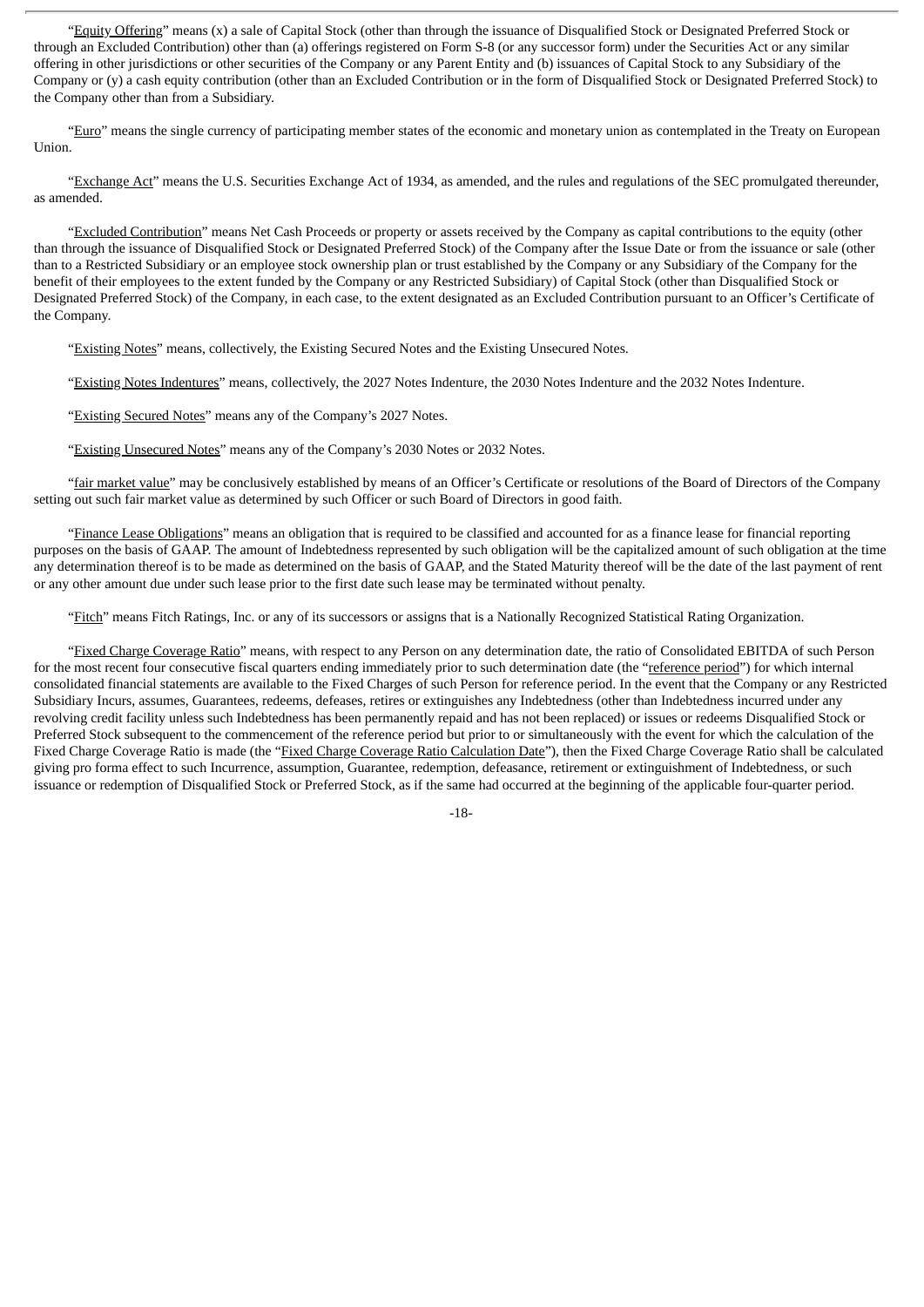"Equity Offering" means (x) a sale of Capital Stock (other than through the issuance of Disqualified Stock or Designated Preferred Stock or through an Excluded Contribution) other than (a) offerings registered on Form S-8 (or any successor form) under the Securities Act or any similar offering in other jurisdictions or other securities of the Company or any Parent Entity and (b) issuances of Capital Stock to any Subsidiary of the Company or (y) a cash equity contribution (other than an Excluded Contribution or in the form of Disqualified Stock or Designated Preferred Stock) to the Company other than from a Subsidiary.

"Euro" means the single currency of participating member states of the economic and monetary union as contemplated in the Treaty on European Union.

"Exchange Act" means the U.S. Securities Exchange Act of 1934, as amended, and the rules and regulations of the SEC promulgated thereunder, as amended.

"Excluded Contribution" means Net Cash Proceeds or property or assets received by the Company as capital contributions to the equity (other than through the issuance of Disqualified Stock or Designated Preferred Stock) of the Company after the Issue Date or from the issuance or sale (other than to a Restricted Subsidiary or an employee stock ownership plan or trust established by the Company or any Subsidiary of the Company for the benefit of their employees to the extent funded by the Company or any Restricted Subsidiary) of Capital Stock (other than Disqualified Stock or Designated Preferred Stock) of the Company, in each case, to the extent designated as an Excluded Contribution pursuant to an Officer's Certificate of the Company.

"Existing Notes" means, collectively, the Existing Secured Notes and the Existing Unsecured Notes.

"Existing Notes Indentures" means, collectively, the 2027 Notes Indenture, the 2030 Notes Indenture and the 2032 Notes Indenture.

"Existing Secured Notes" means any of the Company's 2027 Notes.

"Existing Unsecured Notes" means any of the Company's 2030 Notes or 2032 Notes.

"fair market value" may be conclusively established by means of an Officer's Certificate or resolutions of the Board of Directors of the Company setting out such fair market value as determined by such Officer or such Board of Directors in good faith.

"Finance Lease Obligations" means an obligation that is required to be classified and accounted for as a finance lease for financial reporting purposes on the basis of GAAP. The amount of Indebtedness represented by such obligation will be the capitalized amount of such obligation at the time any determination thereof is to be made as determined on the basis of GAAP, and the Stated Maturity thereof will be the date of the last payment of rent or any other amount due under such lease prior to the first date such lease may be terminated without penalty.

"Fitch" means Fitch Ratings, Inc. or any of its successors or assigns that is a Nationally Recognized Statistical Rating Organization.

"Fixed Charge Coverage Ratio" means, with respect to any Person on any determination date, the ratio of Consolidated EBITDA of such Person for the most recent four consecutive fiscal quarters ending immediately prior to such determination date (the "reference period") for which internal consolidated financial statements are available to the Fixed Charges of such Person for reference period. In the event that the Company or any Restricted Subsidiary Incurs, assumes, Guarantees, redeems, defeases, retires or extinguishes any Indebtedness (other than Indebtedness incurred under any revolving credit facility unless such Indebtedness has been permanently repaid and has not been replaced) or issues or redeems Disqualified Stock or Preferred Stock subsequent to the commencement of the reference period but prior to or simultaneously with the event for which the calculation of the Fixed Charge Coverage Ratio is made (the "Fixed Charge Coverage Ratio Calculation Date"), then the Fixed Charge Coverage Ratio shall be calculated giving pro forma effect to such Incurrence, assumption, Guarantee, redemption, defeasance, retirement or extinguishment of Indebtedness, or such issuance or redemption of Disqualified Stock or Preferred Stock, as if the same had occurred at the beginning of the applicable four-quarter period.

-18-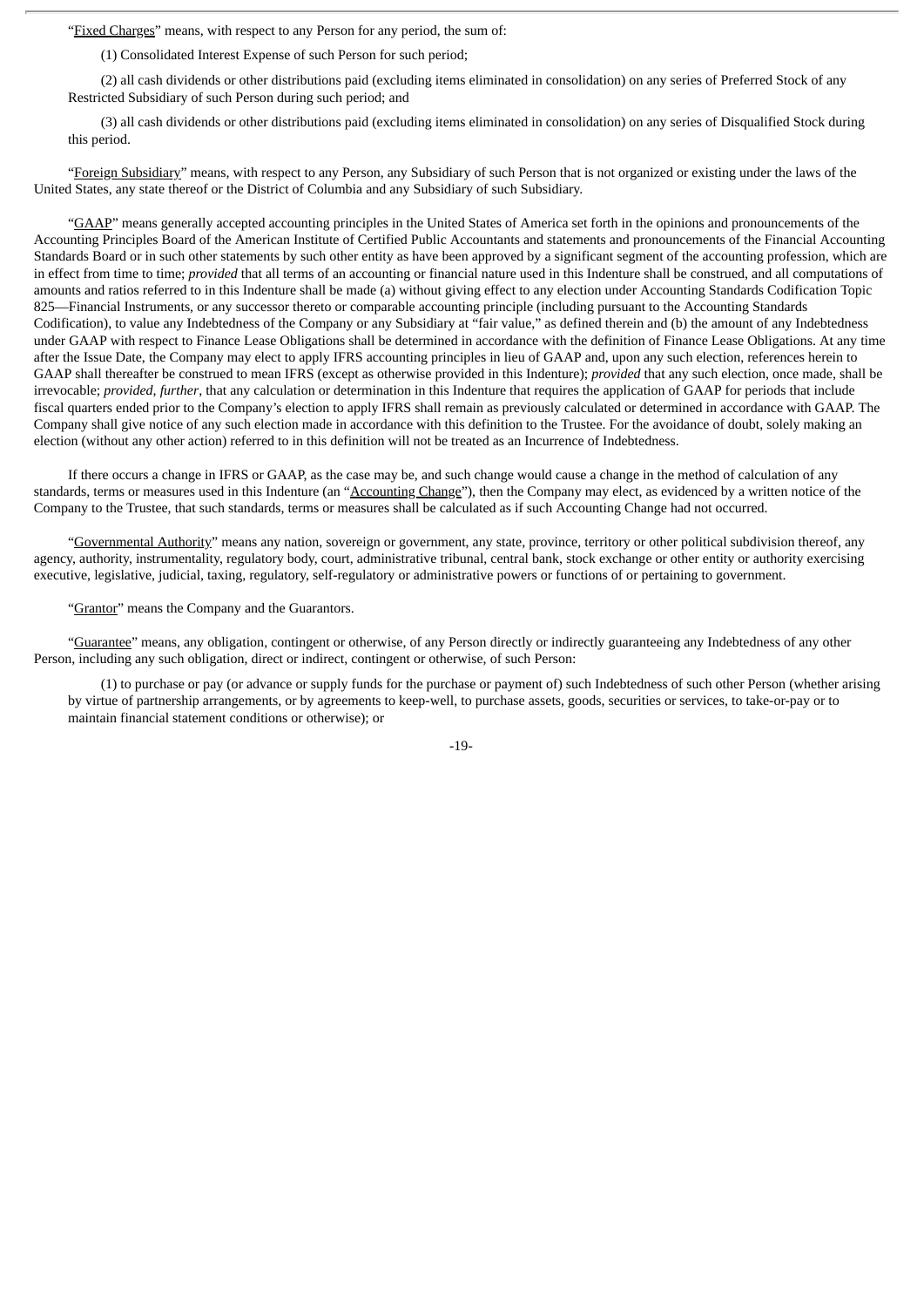"Fixed Charges" means, with respect to any Person for any period, the sum of:

(1) Consolidated Interest Expense of such Person for such period;

(2) all cash dividends or other distributions paid (excluding items eliminated in consolidation) on any series of Preferred Stock of any Restricted Subsidiary of such Person during such period; and

(3) all cash dividends or other distributions paid (excluding items eliminated in consolidation) on any series of Disqualified Stock during this period.

"Foreign Subsidiary" means, with respect to any Person, any Subsidiary of such Person that is not organized or existing under the laws of the United States, any state thereof or the District of Columbia and any Subsidiary of such Subsidiary.

"GAAP" means generally accepted accounting principles in the United States of America set forth in the opinions and pronouncements of the Accounting Principles Board of the American Institute of Certified Public Accountants and statements and pronouncements of the Financial Accounting Standards Board or in such other statements by such other entity as have been approved by a significant segment of the accounting profession, which are in effect from time to time; *provided* that all terms of an accounting or financial nature used in this Indenture shall be construed, and all computations of amounts and ratios referred to in this Indenture shall be made (a) without giving effect to any election under Accounting Standards Codification Topic 825—Financial Instruments, or any successor thereto or comparable accounting principle (including pursuant to the Accounting Standards Codification), to value any Indebtedness of the Company or any Subsidiary at "fair value," as defined therein and (b) the amount of any Indebtedness under GAAP with respect to Finance Lease Obligations shall be determined in accordance with the definition of Finance Lease Obligations. At any time after the Issue Date, the Company may elect to apply IFRS accounting principles in lieu of GAAP and, upon any such election, references herein to GAAP shall thereafter be construed to mean IFRS (except as otherwise provided in this Indenture); *provided* that any such election, once made, shall be irrevocable; *provided*, *further*, that any calculation or determination in this Indenture that requires the application of GAAP for periods that include fiscal quarters ended prior to the Company's election to apply IFRS shall remain as previously calculated or determined in accordance with GAAP. The Company shall give notice of any such election made in accordance with this definition to the Trustee. For the avoidance of doubt, solely making an election (without any other action) referred to in this definition will not be treated as an Incurrence of Indebtedness.

If there occurs a change in IFRS or GAAP, as the case may be, and such change would cause a change in the method of calculation of any standards, terms or measures used in this Indenture (an "Accounting Change"), then the Company may elect, as evidenced by a written notice of the Company to the Trustee, that such standards, terms or measures shall be calculated as if such Accounting Change had not occurred.

"Governmental Authority" means any nation, sovereign or government, any state, province, territory or other political subdivision thereof, any agency, authority, instrumentality, regulatory body, court, administrative tribunal, central bank, stock exchange or other entity or authority exercising executive, legislative, judicial, taxing, regulatory, self-regulatory or administrative powers or functions of or pertaining to government.

"Grantor" means the Company and the Guarantors.

"Guarantee" means, any obligation, contingent or otherwise, of any Person directly or indirectly guaranteeing any Indebtedness of any other Person, including any such obligation, direct or indirect, contingent or otherwise, of such Person:

(1) to purchase or pay (or advance or supply funds for the purchase or payment of) such Indebtedness of such other Person (whether arising by virtue of partnership arrangements, or by agreements to keep-well, to purchase assets, goods, securities or services, to take-or-pay or to maintain financial statement conditions or otherwise); or

-19-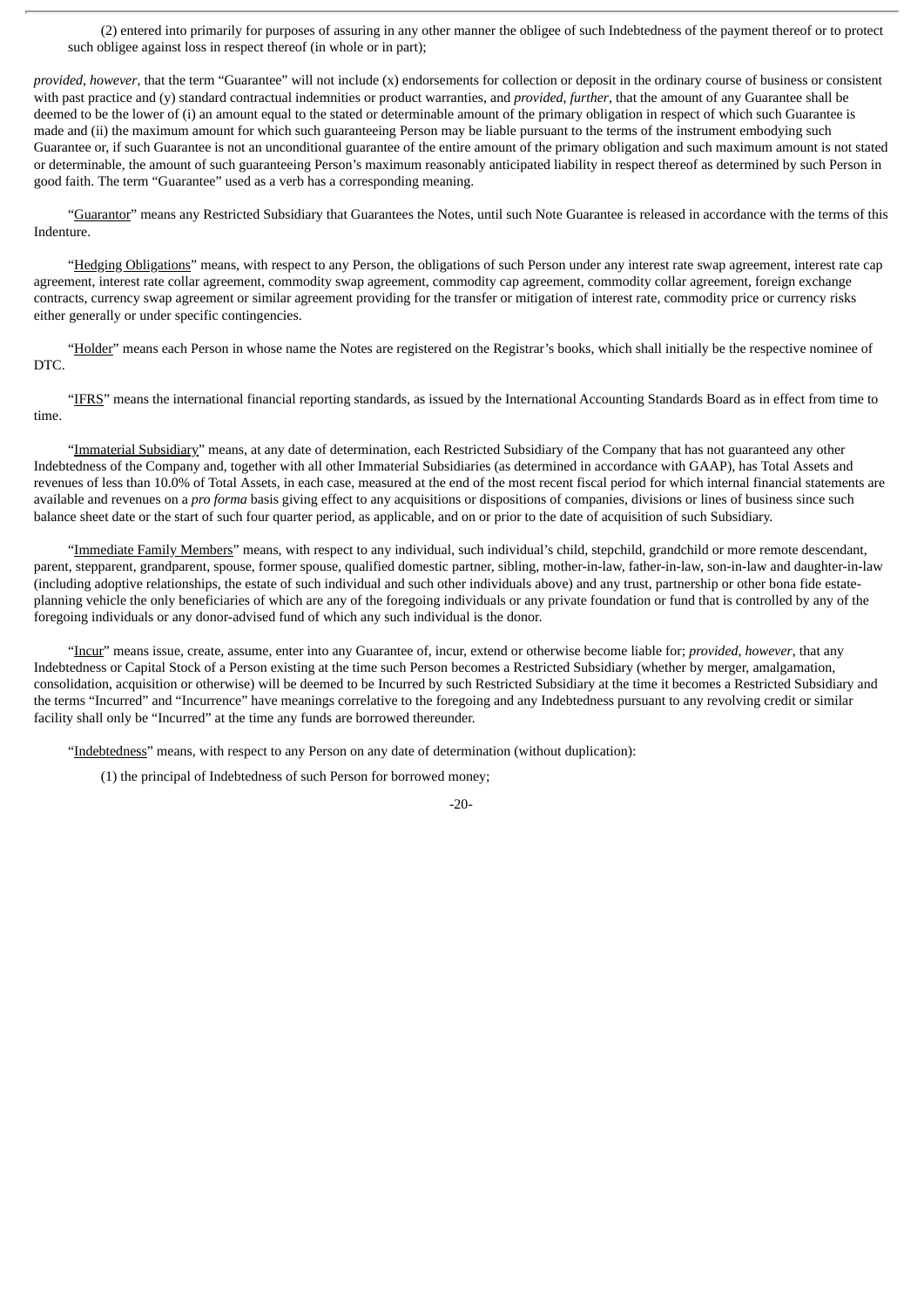(2) entered into primarily for purposes of assuring in any other manner the obligee of such Indebtedness of the payment thereof or to protect such obligee against loss in respect thereof (in whole or in part);

*provided*, *however*, that the term "Guarantee" will not include (x) endorsements for collection or deposit in the ordinary course of business or consistent with past practice and (y) standard contractual indemnities or product warranties, and *provided*, *further*, that the amount of any Guarantee shall be deemed to be the lower of (i) an amount equal to the stated or determinable amount of the primary obligation in respect of which such Guarantee is made and (ii) the maximum amount for which such guaranteeing Person may be liable pursuant to the terms of the instrument embodying such Guarantee or, if such Guarantee is not an unconditional guarantee of the entire amount of the primary obligation and such maximum amount is not stated or determinable, the amount of such guaranteeing Person's maximum reasonably anticipated liability in respect thereof as determined by such Person in good faith. The term "Guarantee" used as a verb has a corresponding meaning.

"Guarantor" means any Restricted Subsidiary that Guarantees the Notes, until such Note Guarantee is released in accordance with the terms of this Indenture.

"Hedging Obligations" means, with respect to any Person, the obligations of such Person under any interest rate swap agreement, interest rate cap agreement, interest rate collar agreement, commodity swap agreement, commodity cap agreement, commodity collar agreement, foreign exchange contracts, currency swap agreement or similar agreement providing for the transfer or mitigation of interest rate, commodity price or currency risks either generally or under specific contingencies.

"Holder" means each Person in whose name the Notes are registered on the Registrar's books, which shall initially be the respective nominee of DTC.

"IFRS" means the international financial reporting standards, as issued by the International Accounting Standards Board as in effect from time to time.

"Immaterial Subsidiary" means, at any date of determination, each Restricted Subsidiary of the Company that has not guaranteed any other Indebtedness of the Company and, together with all other Immaterial Subsidiaries (as determined in accordance with GAAP), has Total Assets and revenues of less than 10.0% of Total Assets, in each case, measured at the end of the most recent fiscal period for which internal financial statements are available and revenues on a *pro forma* basis giving effect to any acquisitions or dispositions of companies, divisions or lines of business since such balance sheet date or the start of such four quarter period, as applicable, and on or prior to the date of acquisition of such Subsidiary.

"Immediate Family Members" means, with respect to any individual, such individual's child, stepchild, grandchild or more remote descendant, parent, stepparent, grandparent, spouse, former spouse, qualified domestic partner, sibling, mother-in-law, father-in-law, son-in-law and daughter-in-law (including adoptive relationships, the estate of such individual and such other individuals above) and any trust, partnership or other bona fide estateplanning vehicle the only beneficiaries of which are any of the foregoing individuals or any private foundation or fund that is controlled by any of the foregoing individuals or any donor-advised fund of which any such individual is the donor.

"Incur" means issue, create, assume, enter into any Guarantee of, incur, extend or otherwise become liable for; *provided*, *however*, that any Indebtedness or Capital Stock of a Person existing at the time such Person becomes a Restricted Subsidiary (whether by merger, amalgamation, consolidation, acquisition or otherwise) will be deemed to be Incurred by such Restricted Subsidiary at the time it becomes a Restricted Subsidiary and the terms "Incurred" and "Incurrence" have meanings correlative to the foregoing and any Indebtedness pursuant to any revolving credit or similar facility shall only be "Incurred" at the time any funds are borrowed thereunder.

"Indebtedness" means, with respect to any Person on any date of determination (without duplication):

(1) the principal of Indebtedness of such Person for borrowed money;

 $-20-$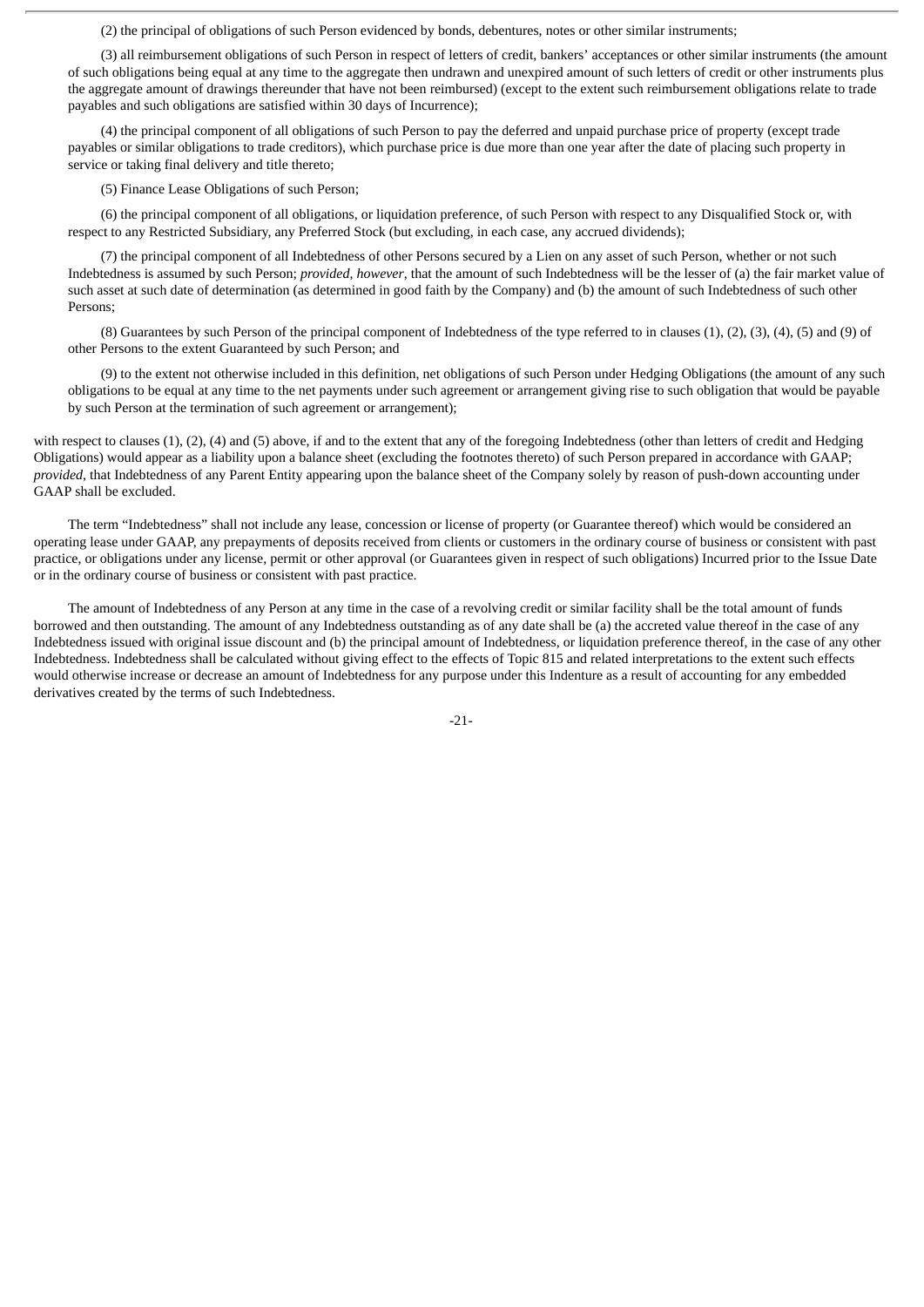(2) the principal of obligations of such Person evidenced by bonds, debentures, notes or other similar instruments;

(3) all reimbursement obligations of such Person in respect of letters of credit, bankers' acceptances or other similar instruments (the amount of such obligations being equal at any time to the aggregate then undrawn and unexpired amount of such letters of credit or other instruments plus the aggregate amount of drawings thereunder that have not been reimbursed) (except to the extent such reimbursement obligations relate to trade payables and such obligations are satisfied within 30 days of Incurrence);

(4) the principal component of all obligations of such Person to pay the deferred and unpaid purchase price of property (except trade payables or similar obligations to trade creditors), which purchase price is due more than one year after the date of placing such property in service or taking final delivery and title thereto;

(5) Finance Lease Obligations of such Person;

(6) the principal component of all obligations, or liquidation preference, of such Person with respect to any Disqualified Stock or, with respect to any Restricted Subsidiary, any Preferred Stock (but excluding, in each case, any accrued dividends);

(7) the principal component of all Indebtedness of other Persons secured by a Lien on any asset of such Person, whether or not such Indebtedness is assumed by such Person; *provided*, *however*, that the amount of such Indebtedness will be the lesser of (a) the fair market value of such asset at such date of determination (as determined in good faith by the Company) and (b) the amount of such Indebtedness of such other Persons;

(8) Guarantees by such Person of the principal component of Indebtedness of the type referred to in clauses (1), (2), (3), (4), (5) and (9) of other Persons to the extent Guaranteed by such Person; and

(9) to the extent not otherwise included in this definition, net obligations of such Person under Hedging Obligations (the amount of any such obligations to be equal at any time to the net payments under such agreement or arrangement giving rise to such obligation that would be payable by such Person at the termination of such agreement or arrangement);

with respect to clauses (1), (2), (4) and (5) above, if and to the extent that any of the foregoing Indebtedness (other than letters of credit and Hedging Obligations) would appear as a liability upon a balance sheet (excluding the footnotes thereto) of such Person prepared in accordance with GAAP; *provided*, that Indebtedness of any Parent Entity appearing upon the balance sheet of the Company solely by reason of push-down accounting under GAAP shall be excluded.

The term "Indebtedness" shall not include any lease, concession or license of property (or Guarantee thereof) which would be considered an operating lease under GAAP, any prepayments of deposits received from clients or customers in the ordinary course of business or consistent with past practice, or obligations under any license, permit or other approval (or Guarantees given in respect of such obligations) Incurred prior to the Issue Date or in the ordinary course of business or consistent with past practice.

The amount of Indebtedness of any Person at any time in the case of a revolving credit or similar facility shall be the total amount of funds borrowed and then outstanding. The amount of any Indebtedness outstanding as of any date shall be (a) the accreted value thereof in the case of any Indebtedness issued with original issue discount and (b) the principal amount of Indebtedness, or liquidation preference thereof, in the case of any other Indebtedness. Indebtedness shall be calculated without giving effect to the effects of Topic 815 and related interpretations to the extent such effects would otherwise increase or decrease an amount of Indebtedness for any purpose under this Indenture as a result of accounting for any embedded derivatives created by the terms of such Indebtedness.

-21-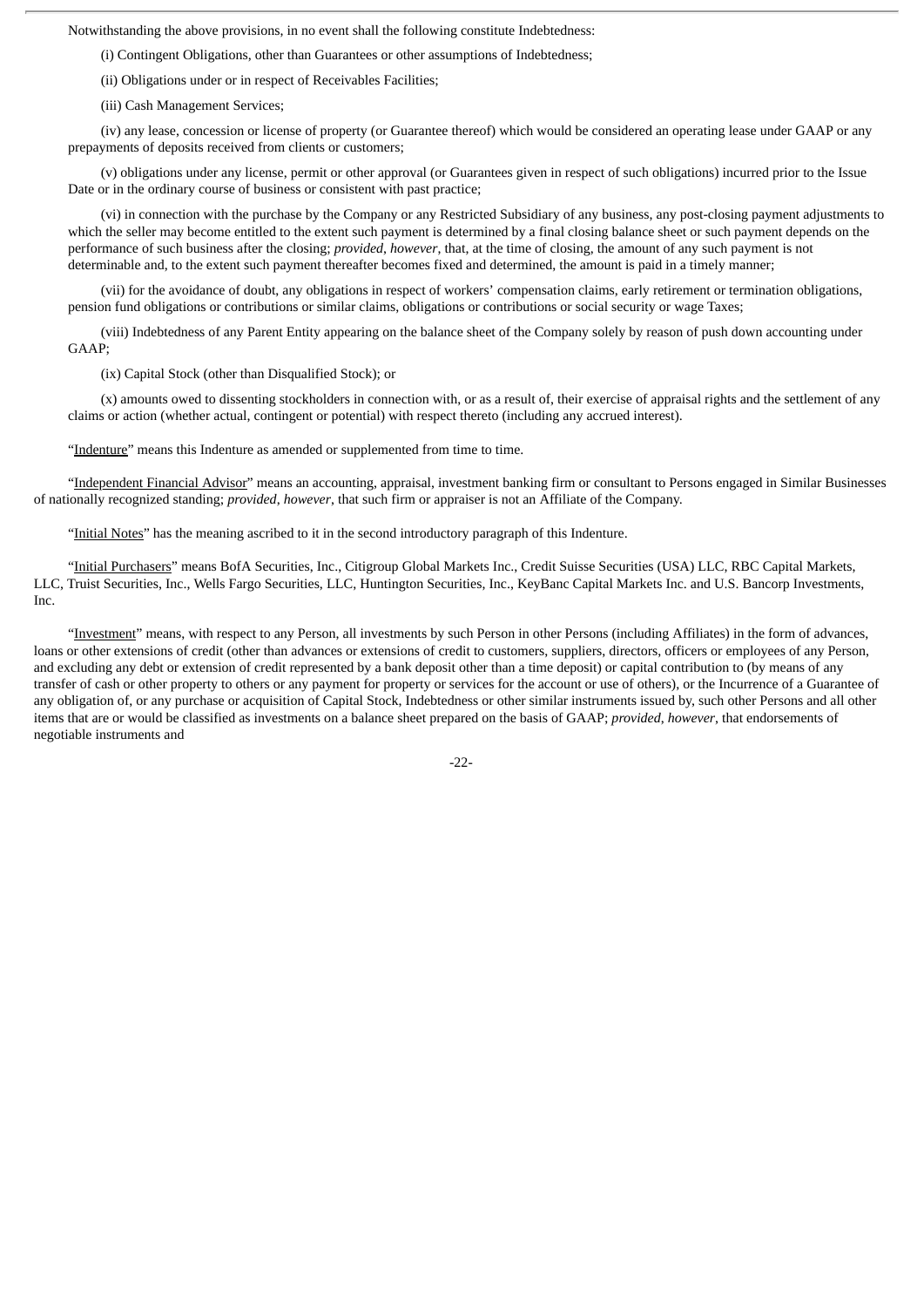Notwithstanding the above provisions, in no event shall the following constitute Indebtedness:

(i) Contingent Obligations, other than Guarantees or other assumptions of Indebtedness;

(ii) Obligations under or in respect of Receivables Facilities;

(iii) Cash Management Services;

(iv) any lease, concession or license of property (or Guarantee thereof) which would be considered an operating lease under GAAP or any prepayments of deposits received from clients or customers;

(v) obligations under any license, permit or other approval (or Guarantees given in respect of such obligations) incurred prior to the Issue Date or in the ordinary course of business or consistent with past practice;

(vi) in connection with the purchase by the Company or any Restricted Subsidiary of any business, any post-closing payment adjustments to which the seller may become entitled to the extent such payment is determined by a final closing balance sheet or such payment depends on the performance of such business after the closing; *provided*, *however*, that, at the time of closing, the amount of any such payment is not determinable and, to the extent such payment thereafter becomes fixed and determined, the amount is paid in a timely manner;

(vii) for the avoidance of doubt, any obligations in respect of workers' compensation claims, early retirement or termination obligations, pension fund obligations or contributions or similar claims, obligations or contributions or social security or wage Taxes;

(viii) Indebtedness of any Parent Entity appearing on the balance sheet of the Company solely by reason of push down accounting under GAAP;

(ix) Capital Stock (other than Disqualified Stock); or

(x) amounts owed to dissenting stockholders in connection with, or as a result of, their exercise of appraisal rights and the settlement of any claims or action (whether actual, contingent or potential) with respect thereto (including any accrued interest).

"Indenture" means this Indenture as amended or supplemented from time to time.

"Independent Financial Advisor" means an accounting, appraisal, investment banking firm or consultant to Persons engaged in Similar Businesses of nationally recognized standing; *provided*, *however*, that such firm or appraiser is not an Affiliate of the Company.

"Initial Notes" has the meaning ascribed to it in the second introductory paragraph of this Indenture.

"Initial Purchasers" means BofA Securities, Inc., Citigroup Global Markets Inc., Credit Suisse Securities (USA) LLC, RBC Capital Markets, LLC, Truist Securities, Inc., Wells Fargo Securities, LLC, Huntington Securities, Inc., KeyBanc Capital Markets Inc. and U.S. Bancorp Investments, Inc.

"Investment" means, with respect to any Person, all investments by such Person in other Persons (including Affiliates) in the form of advances, loans or other extensions of credit (other than advances or extensions of credit to customers, suppliers, directors, officers or employees of any Person, and excluding any debt or extension of credit represented by a bank deposit other than a time deposit) or capital contribution to (by means of any transfer of cash or other property to others or any payment for property or services for the account or use of others), or the Incurrence of a Guarantee of any obligation of, or any purchase or acquisition of Capital Stock, Indebtedness or other similar instruments issued by, such other Persons and all other items that are or would be classified as investments on a balance sheet prepared on the basis of GAAP; *provided*, *however*, that endorsements of negotiable instruments and

-22-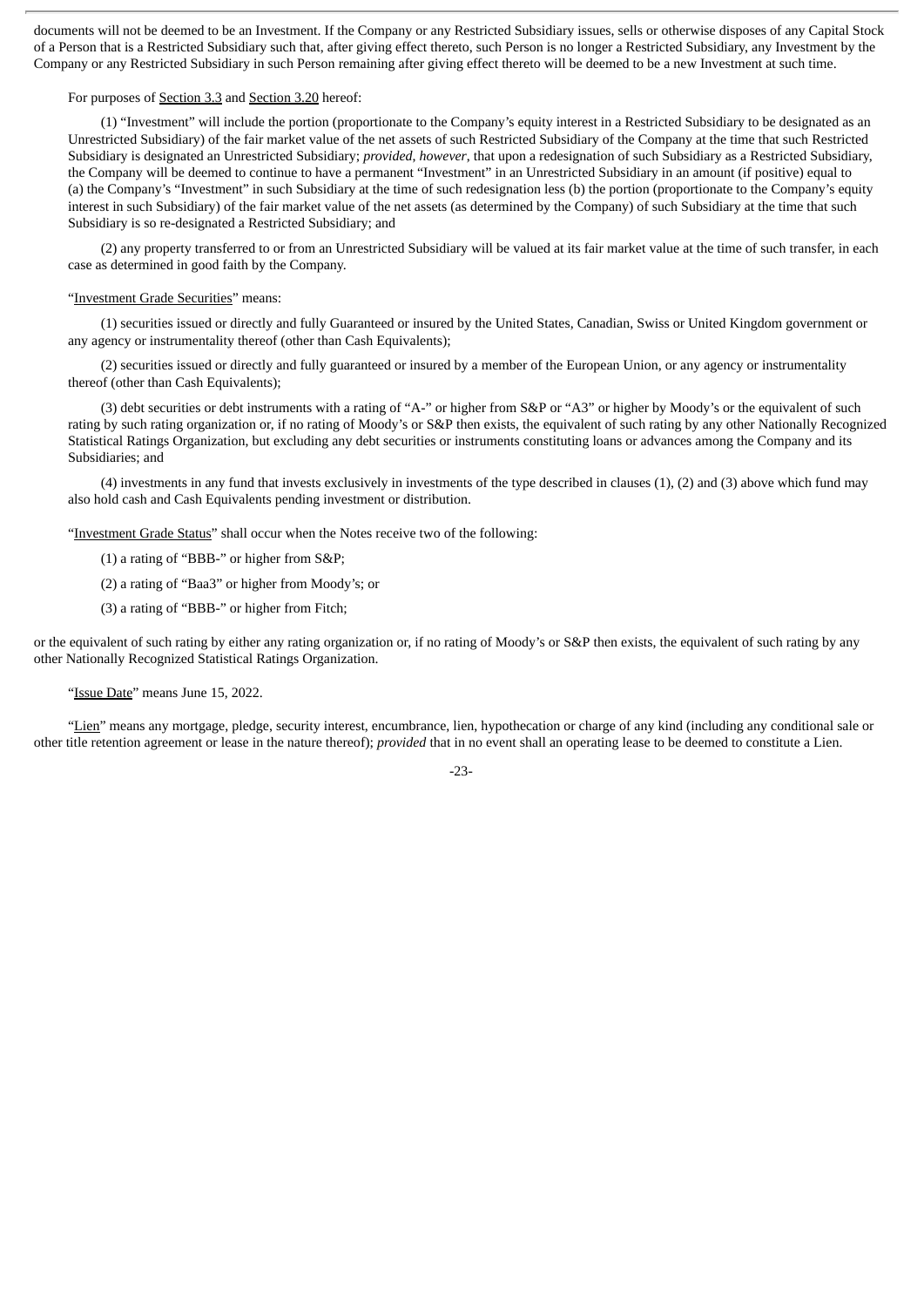documents will not be deemed to be an Investment. If the Company or any Restricted Subsidiary issues, sells or otherwise disposes of any Capital Stock of a Person that is a Restricted Subsidiary such that, after giving effect thereto, such Person is no longer a Restricted Subsidiary, any Investment by the Company or any Restricted Subsidiary in such Person remaining after giving effect thereto will be deemed to be a new Investment at such time.

### For purposes of Section 3.3 and Section 3.20 hereof:

(1) "Investment" will include the portion (proportionate to the Company's equity interest in a Restricted Subsidiary to be designated as an Unrestricted Subsidiary) of the fair market value of the net assets of such Restricted Subsidiary of the Company at the time that such Restricted Subsidiary is designated an Unrestricted Subsidiary; *provided*, *however*, that upon a redesignation of such Subsidiary as a Restricted Subsidiary, the Company will be deemed to continue to have a permanent "Investment" in an Unrestricted Subsidiary in an amount (if positive) equal to (a) the Company's "Investment" in such Subsidiary at the time of such redesignation less (b) the portion (proportionate to the Company's equity interest in such Subsidiary) of the fair market value of the net assets (as determined by the Company) of such Subsidiary at the time that such Subsidiary is so re-designated a Restricted Subsidiary; and

(2) any property transferred to or from an Unrestricted Subsidiary will be valued at its fair market value at the time of such transfer, in each case as determined in good faith by the Company.

#### "Investment Grade Securities" means:

(1) securities issued or directly and fully Guaranteed or insured by the United States, Canadian, Swiss or United Kingdom government or any agency or instrumentality thereof (other than Cash Equivalents);

(2) securities issued or directly and fully guaranteed or insured by a member of the European Union, or any agency or instrumentality thereof (other than Cash Equivalents);

(3) debt securities or debt instruments with a rating of "A-" or higher from S&P or "A3" or higher by Moody's or the equivalent of such rating by such rating organization or, if no rating of Moody's or S&P then exists, the equivalent of such rating by any other Nationally Recognized Statistical Ratings Organization, but excluding any debt securities or instruments constituting loans or advances among the Company and its Subsidiaries; and

(4) investments in any fund that invests exclusively in investments of the type described in clauses (1), (2) and (3) above which fund may also hold cash and Cash Equivalents pending investment or distribution.

"Investment Grade Status" shall occur when the Notes receive two of the following:

(1) a rating of "BBB-" or higher from S&P;

(2) a rating of "Baa3" or higher from Moody's; or

(3) a rating of "BBB-" or higher from Fitch;

or the equivalent of such rating by either any rating organization or, if no rating of Moody's or S&P then exists, the equivalent of such rating by any other Nationally Recognized Statistical Ratings Organization.

"Issue Date" means June 15, 2022.

"Lien" means any mortgage, pledge, security interest, encumbrance, lien, hypothecation or charge of any kind (including any conditional sale or other title retention agreement or lease in the nature thereof); *provided* that in no event shall an operating lease to be deemed to constitute a Lien.

-23-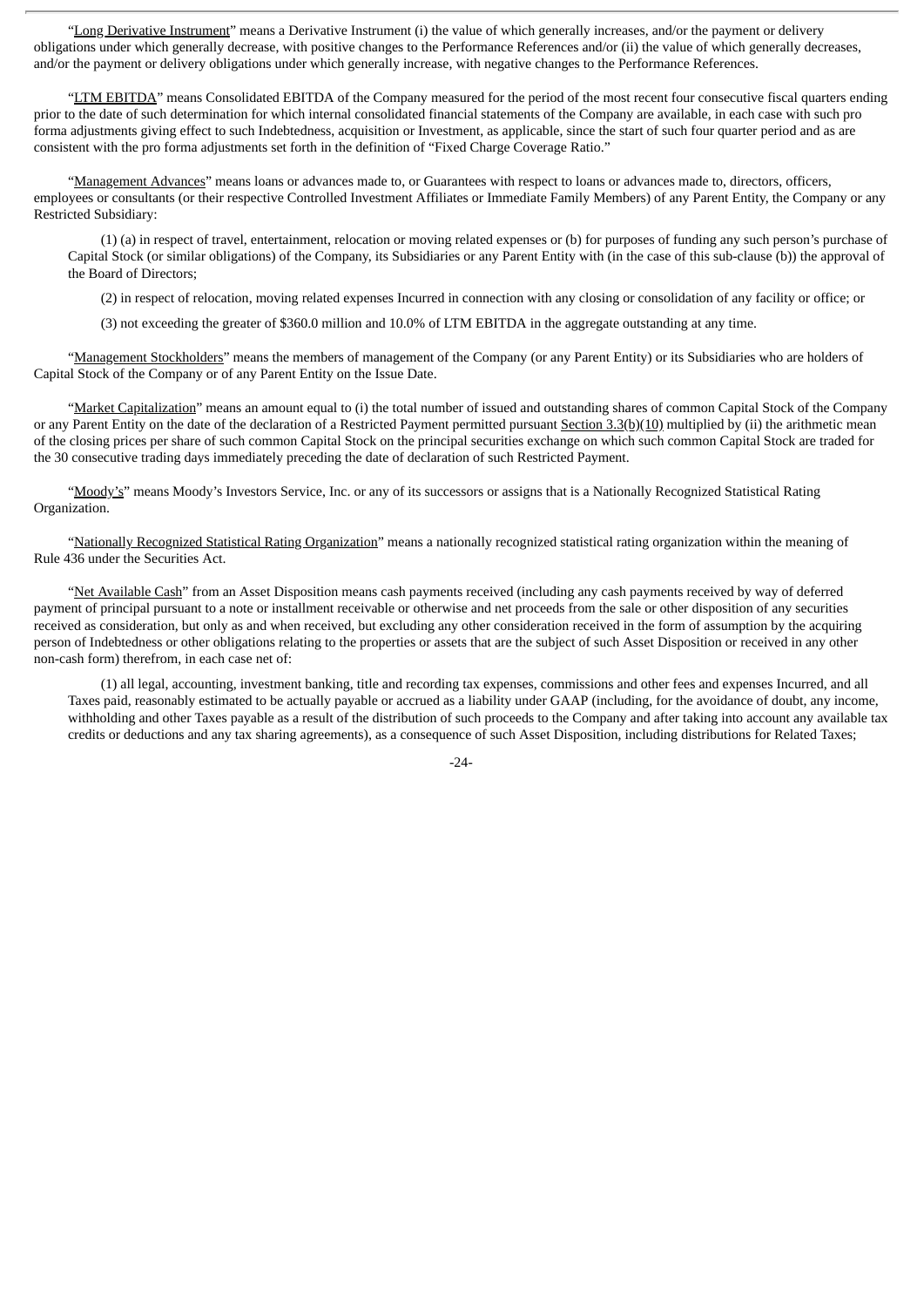"Long Derivative Instrument" means a Derivative Instrument (i) the value of which generally increases, and/or the payment or delivery obligations under which generally decrease, with positive changes to the Performance References and/or (ii) the value of which generally decreases, and/or the payment or delivery obligations under which generally increase, with negative changes to the Performance References.

"LTM EBITDA" means Consolidated EBITDA of the Company measured for the period of the most recent four consecutive fiscal quarters ending prior to the date of such determination for which internal consolidated financial statements of the Company are available, in each case with such pro forma adjustments giving effect to such Indebtedness, acquisition or Investment, as applicable, since the start of such four quarter period and as are consistent with the pro forma adjustments set forth in the definition of "Fixed Charge Coverage Ratio."

"Management Advances" means loans or advances made to, or Guarantees with respect to loans or advances made to, directors, officers, employees or consultants (or their respective Controlled Investment Affiliates or Immediate Family Members) of any Parent Entity, the Company or any Restricted Subsidiary:

(1) (a) in respect of travel, entertainment, relocation or moving related expenses or (b) for purposes of funding any such person's purchase of Capital Stock (or similar obligations) of the Company, its Subsidiaries or any Parent Entity with (in the case of this sub-clause (b)) the approval of the Board of Directors;

(2) in respect of relocation, moving related expenses Incurred in connection with any closing or consolidation of any facility or office; or

(3) not exceeding the greater of \$360.0 million and 10.0% of LTM EBITDA in the aggregate outstanding at any time.

"Management Stockholders" means the members of management of the Company (or any Parent Entity) or its Subsidiaries who are holders of Capital Stock of the Company or of any Parent Entity on the Issue Date.

"Market Capitalization" means an amount equal to (i) the total number of issued and outstanding shares of common Capital Stock of the Company or any Parent Entity on the date of the declaration of a Restricted Payment permitted pursuant Section 3.3(b)(10) multiplied by (ii) the arithmetic mean of the closing prices per share of such common Capital Stock on the principal securities exchange on which such common Capital Stock are traded for the 30 consecutive trading days immediately preceding the date of declaration of such Restricted Payment.

"Moody's" means Moody's Investors Service, Inc. or any of its successors or assigns that is a Nationally Recognized Statistical Rating Organization.

"Nationally Recognized Statistical Rating Organization" means a nationally recognized statistical rating organization within the meaning of Rule 436 under the Securities Act.

"Net Available Cash" from an Asset Disposition means cash payments received (including any cash payments received by way of deferred payment of principal pursuant to a note or installment receivable or otherwise and net proceeds from the sale or other disposition of any securities received as consideration, but only as and when received, but excluding any other consideration received in the form of assumption by the acquiring person of Indebtedness or other obligations relating to the properties or assets that are the subject of such Asset Disposition or received in any other non-cash form) therefrom, in each case net of:

(1) all legal, accounting, investment banking, title and recording tax expenses, commissions and other fees and expenses Incurred, and all Taxes paid, reasonably estimated to be actually payable or accrued as a liability under GAAP (including, for the avoidance of doubt, any income, withholding and other Taxes payable as a result of the distribution of such proceeds to the Company and after taking into account any available tax credits or deductions and any tax sharing agreements), as a consequence of such Asset Disposition, including distributions for Related Taxes;

 $-24-$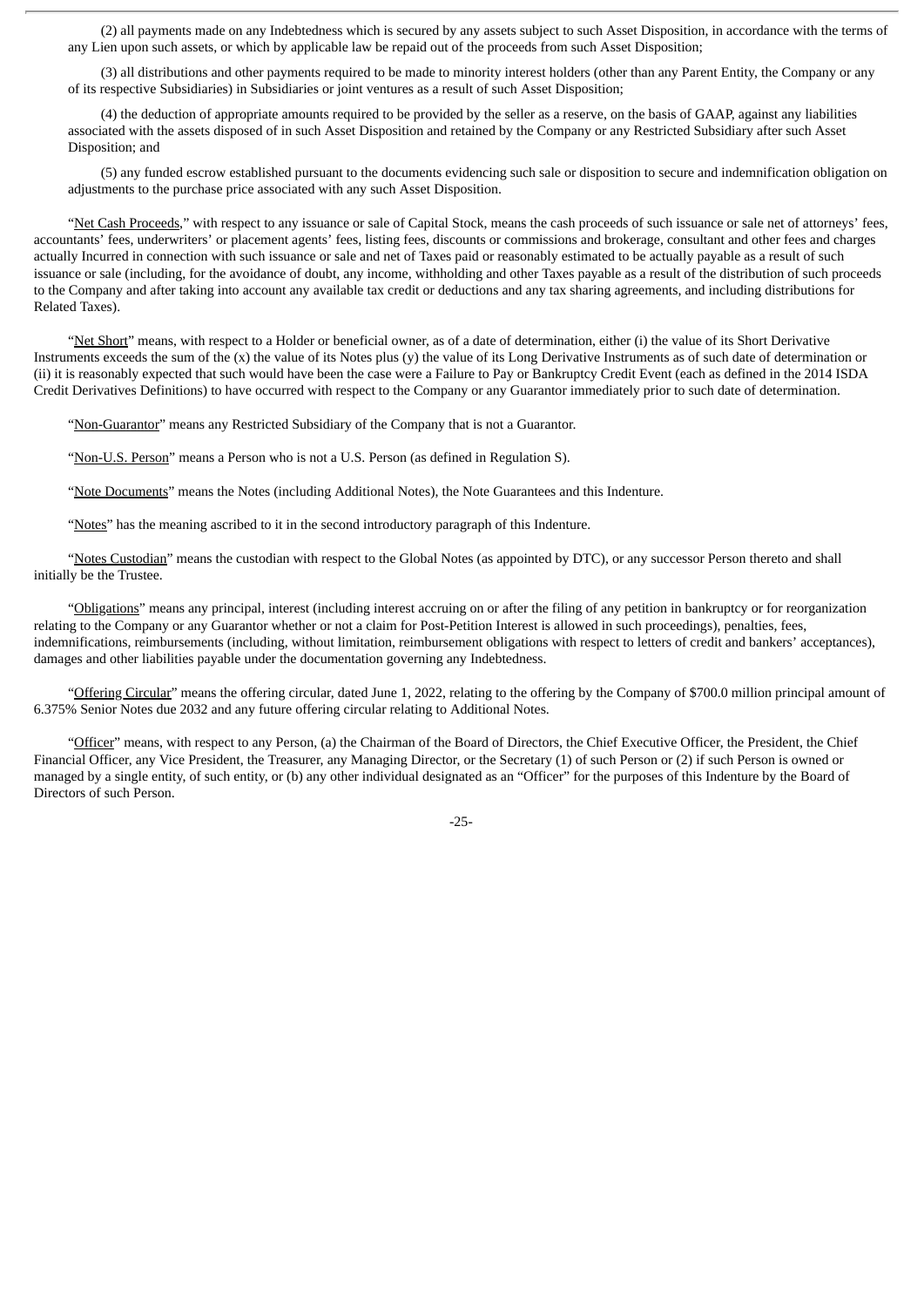(2) all payments made on any Indebtedness which is secured by any assets subject to such Asset Disposition, in accordance with the terms of any Lien upon such assets, or which by applicable law be repaid out of the proceeds from such Asset Disposition;

(3) all distributions and other payments required to be made to minority interest holders (other than any Parent Entity, the Company or any of its respective Subsidiaries) in Subsidiaries or joint ventures as a result of such Asset Disposition;

(4) the deduction of appropriate amounts required to be provided by the seller as a reserve, on the basis of GAAP, against any liabilities associated with the assets disposed of in such Asset Disposition and retained by the Company or any Restricted Subsidiary after such Asset Disposition; and

(5) any funded escrow established pursuant to the documents evidencing such sale or disposition to secure and indemnification obligation on adjustments to the purchase price associated with any such Asset Disposition.

"Net Cash Proceeds," with respect to any issuance or sale of Capital Stock, means the cash proceeds of such issuance or sale net of attorneys' fees, accountants' fees, underwriters' or placement agents' fees, listing fees, discounts or commissions and brokerage, consultant and other fees and charges actually Incurred in connection with such issuance or sale and net of Taxes paid or reasonably estimated to be actually payable as a result of such issuance or sale (including, for the avoidance of doubt, any income, withholding and other Taxes payable as a result of the distribution of such proceeds to the Company and after taking into account any available tax credit or deductions and any tax sharing agreements, and including distributions for Related Taxes).

"Net Short" means, with respect to a Holder or beneficial owner, as of a date of determination, either (i) the value of its Short Derivative Instruments exceeds the sum of the (x) the value of its Notes plus (y) the value of its Long Derivative Instruments as of such date of determination or (ii) it is reasonably expected that such would have been the case were a Failure to Pay or Bankruptcy Credit Event (each as defined in the 2014 ISDA Credit Derivatives Definitions) to have occurred with respect to the Company or any Guarantor immediately prior to such date of determination.

"Non-Guarantor" means any Restricted Subsidiary of the Company that is not a Guarantor.

"Non-U.S. Person" means a Person who is not a U.S. Person (as defined in Regulation S).

"Note Documents" means the Notes (including Additional Notes), the Note Guarantees and this Indenture.

"Notes" has the meaning ascribed to it in the second introductory paragraph of this Indenture.

"Notes Custodian" means the custodian with respect to the Global Notes (as appointed by DTC), or any successor Person thereto and shall initially be the Trustee.

"Obligations" means any principal, interest (including interest accruing on or after the filing of any petition in bankruptcy or for reorganization relating to the Company or any Guarantor whether or not a claim for Post-Petition Interest is allowed in such proceedings), penalties, fees, indemnifications, reimbursements (including, without limitation, reimbursement obligations with respect to letters of credit and bankers' acceptances), damages and other liabilities payable under the documentation governing any Indebtedness.

"Offering Circular" means the offering circular, dated June 1, 2022, relating to the offering by the Company of \$700.0 million principal amount of 6.375% Senior Notes due 2032 and any future offering circular relating to Additional Notes.

"Officer" means, with respect to any Person, (a) the Chairman of the Board of Directors, the Chief Executive Officer, the President, the Chief Financial Officer, any Vice President, the Treasurer, any Managing Director, or the Secretary (1) of such Person or (2) if such Person is owned or managed by a single entity, of such entity, or (b) any other individual designated as an "Officer" for the purposes of this Indenture by the Board of Directors of such Person.

-25-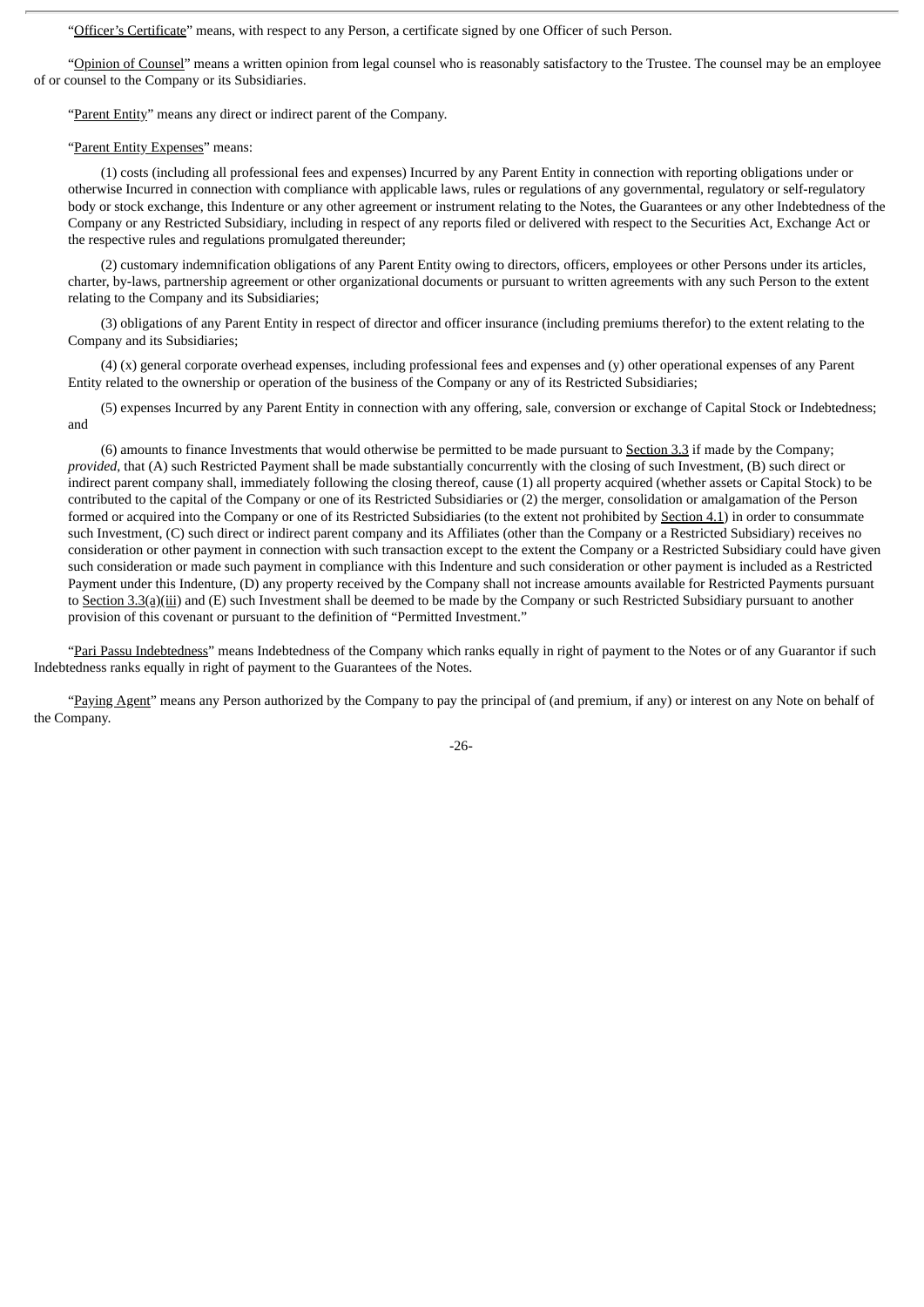"Officer's Certificate" means, with respect to any Person, a certificate signed by one Officer of such Person.

"Opinion of Counsel" means a written opinion from legal counsel who is reasonably satisfactory to the Trustee. The counsel may be an employee of or counsel to the Company or its Subsidiaries.

"Parent Entity" means any direct or indirect parent of the Company.

### "Parent Entity Expenses" means:

(1) costs (including all professional fees and expenses) Incurred by any Parent Entity in connection with reporting obligations under or otherwise Incurred in connection with compliance with applicable laws, rules or regulations of any governmental, regulatory or self-regulatory body or stock exchange, this Indenture or any other agreement or instrument relating to the Notes, the Guarantees or any other Indebtedness of the Company or any Restricted Subsidiary, including in respect of any reports filed or delivered with respect to the Securities Act, Exchange Act or the respective rules and regulations promulgated thereunder;

(2) customary indemnification obligations of any Parent Entity owing to directors, officers, employees or other Persons under its articles, charter, by-laws, partnership agreement or other organizational documents or pursuant to written agreements with any such Person to the extent relating to the Company and its Subsidiaries;

(3) obligations of any Parent Entity in respect of director and officer insurance (including premiums therefor) to the extent relating to the Company and its Subsidiaries;

(4) (x) general corporate overhead expenses, including professional fees and expenses and (y) other operational expenses of any Parent Entity related to the ownership or operation of the business of the Company or any of its Restricted Subsidiaries;

(5) expenses Incurred by any Parent Entity in connection with any offering, sale, conversion or exchange of Capital Stock or Indebtedness; and

(6) amounts to finance Investments that would otherwise be permitted to be made pursuant to Section 3.3 if made by the Company; *provided*, that (A) such Restricted Payment shall be made substantially concurrently with the closing of such Investment, (B) such direct or indirect parent company shall, immediately following the closing thereof, cause (1) all property acquired (whether assets or Capital Stock) to be contributed to the capital of the Company or one of its Restricted Subsidiaries or (2) the merger, consolidation or amalgamation of the Person formed or acquired into the Company or one of its Restricted Subsidiaries (to the extent not prohibited by Section 4.1) in order to consummate such Investment, (C) such direct or indirect parent company and its Affiliates (other than the Company or a Restricted Subsidiary) receives no consideration or other payment in connection with such transaction except to the extent the Company or a Restricted Subsidiary could have given such consideration or made such payment in compliance with this Indenture and such consideration or other payment is included as a Restricted Payment under this Indenture, (D) any property received by the Company shall not increase amounts available for Restricted Payments pursuant to Section 3.3(a)(iii) and (E) such Investment shall be deemed to be made by the Company or such Restricted Subsidiary pursuant to another provision of this covenant or pursuant to the definition of "Permitted Investment."

"Pari Passu Indebtedness" means Indebtedness of the Company which ranks equally in right of payment to the Notes or of any Guarantor if such Indebtedness ranks equally in right of payment to the Guarantees of the Notes.

"Paying Agent" means any Person authorized by the Company to pay the principal of (and premium, if any) or interest on any Note on behalf of the Company.

-26-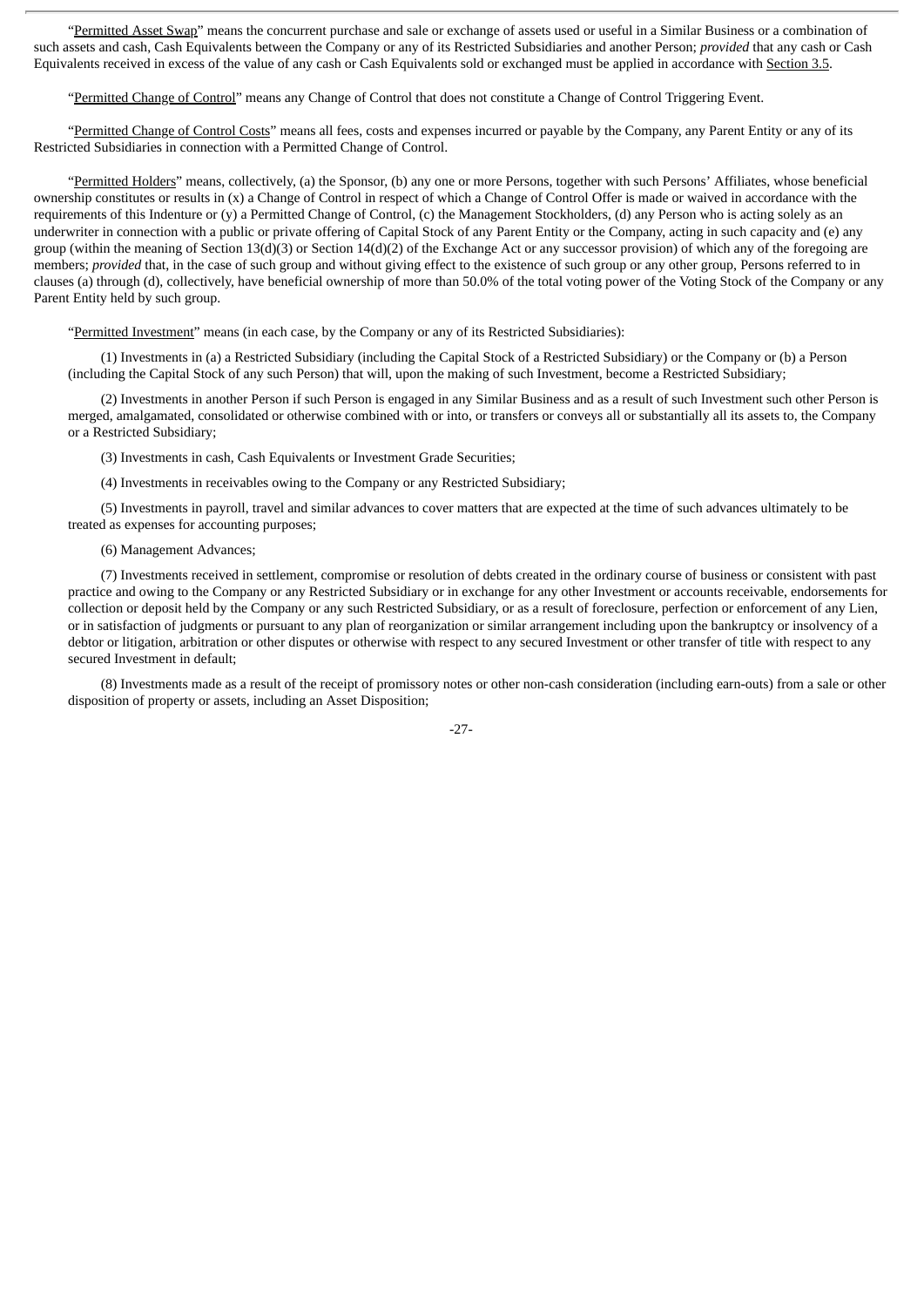"Permitted Asset Swap" means the concurrent purchase and sale or exchange of assets used or useful in a Similar Business or a combination of such assets and cash, Cash Equivalents between the Company or any of its Restricted Subsidiaries and another Person; *provided* that any cash or Cash Equivalents received in excess of the value of any cash or Cash Equivalents sold or exchanged must be applied in accordance with Section 3.5.

"Permitted Change of Control" means any Change of Control that does not constitute a Change of Control Triggering Event.

"Permitted Change of Control Costs" means all fees, costs and expenses incurred or payable by the Company, any Parent Entity or any of its Restricted Subsidiaries in connection with a Permitted Change of Control.

"Permitted Holders" means, collectively, (a) the Sponsor, (b) any one or more Persons, together with such Persons' Affiliates, whose beneficial ownership constitutes or results in (x) a Change of Control in respect of which a Change of Control Offer is made or waived in accordance with the requirements of this Indenture or (y) a Permitted Change of Control, (c) the Management Stockholders, (d) any Person who is acting solely as an underwriter in connection with a public or private offering of Capital Stock of any Parent Entity or the Company, acting in such capacity and (e) any group (within the meaning of Section 13(d)(3) or Section 14(d)(2) of the Exchange Act or any successor provision) of which any of the foregoing are members; *provided* that, in the case of such group and without giving effect to the existence of such group or any other group, Persons referred to in clauses (a) through (d), collectively, have beneficial ownership of more than 50.0% of the total voting power of the Voting Stock of the Company or any Parent Entity held by such group.

"Permitted Investment" means (in each case, by the Company or any of its Restricted Subsidiaries):

(1) Investments in (a) a Restricted Subsidiary (including the Capital Stock of a Restricted Subsidiary) or the Company or (b) a Person (including the Capital Stock of any such Person) that will, upon the making of such Investment, become a Restricted Subsidiary;

(2) Investments in another Person if such Person is engaged in any Similar Business and as a result of such Investment such other Person is merged, amalgamated, consolidated or otherwise combined with or into, or transfers or conveys all or substantially all its assets to, the Company or a Restricted Subsidiary;

(3) Investments in cash, Cash Equivalents or Investment Grade Securities;

(4) Investments in receivables owing to the Company or any Restricted Subsidiary;

(5) Investments in payroll, travel and similar advances to cover matters that are expected at the time of such advances ultimately to be treated as expenses for accounting purposes;

(6) Management Advances;

(7) Investments received in settlement, compromise or resolution of debts created in the ordinary course of business or consistent with past practice and owing to the Company or any Restricted Subsidiary or in exchange for any other Investment or accounts receivable, endorsements for collection or deposit held by the Company or any such Restricted Subsidiary, or as a result of foreclosure, perfection or enforcement of any Lien, or in satisfaction of judgments or pursuant to any plan of reorganization or similar arrangement including upon the bankruptcy or insolvency of a debtor or litigation, arbitration or other disputes or otherwise with respect to any secured Investment or other transfer of title with respect to any secured Investment in default;

(8) Investments made as a result of the receipt of promissory notes or other non-cash consideration (including earn-outs) from a sale or other disposition of property or assets, including an Asset Disposition;

-27-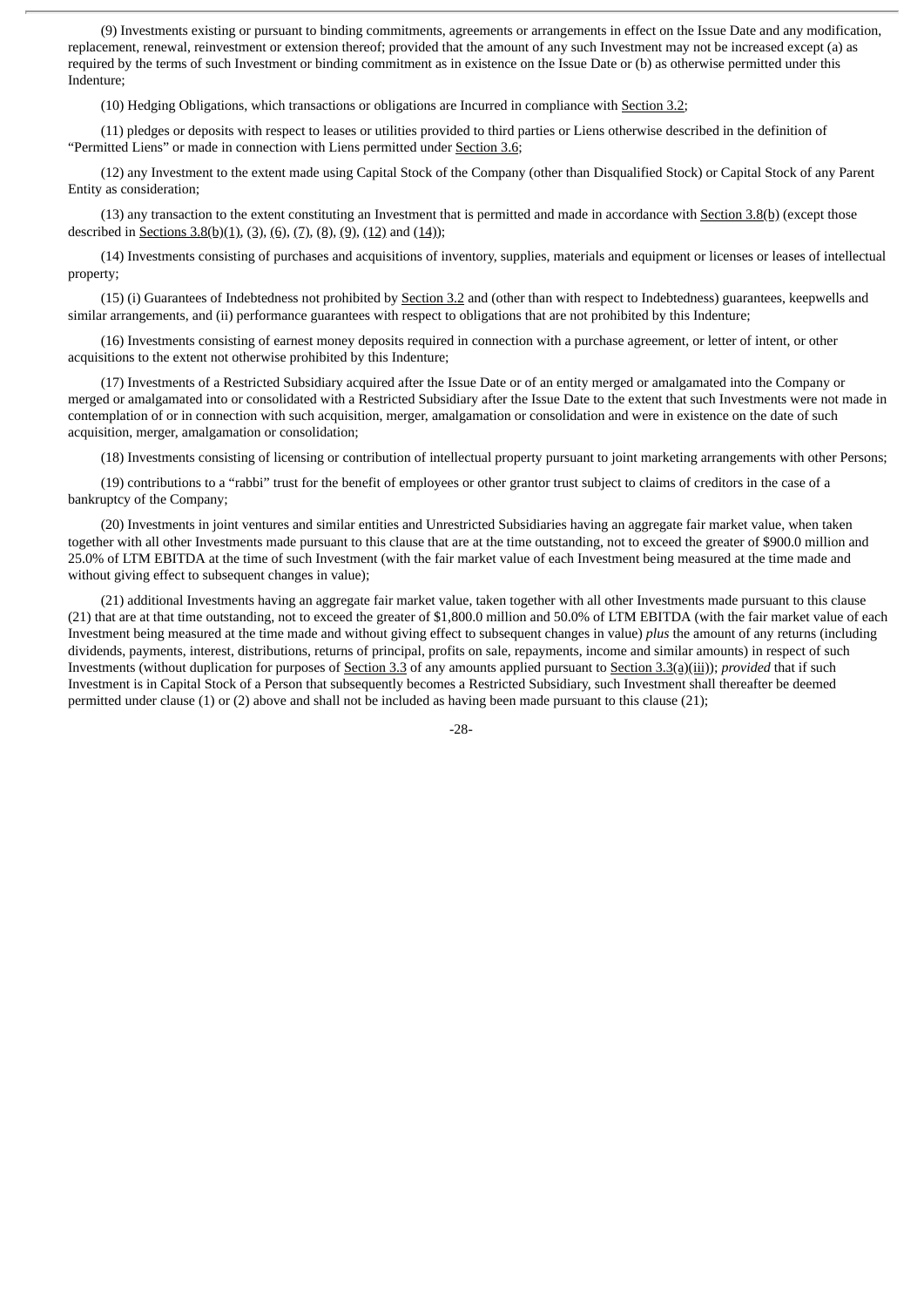(9) Investments existing or pursuant to binding commitments, agreements or arrangements in effect on the Issue Date and any modification, replacement, renewal, reinvestment or extension thereof; provided that the amount of any such Investment may not be increased except (a) as required by the terms of such Investment or binding commitment as in existence on the Issue Date or (b) as otherwise permitted under this Indenture;

(10) Hedging Obligations, which transactions or obligations are Incurred in compliance with Section 3.2;

(11) pledges or deposits with respect to leases or utilities provided to third parties or Liens otherwise described in the definition of "Permitted Liens" or made in connection with Liens permitted under Section 3.6;

(12) any Investment to the extent made using Capital Stock of the Company (other than Disqualified Stock) or Capital Stock of any Parent Entity as consideration;

(13) any transaction to the extent constituting an Investment that is permitted and made in accordance with **Section 3.8(b)** (except those described in <u>Sections 3.8(b)(1), (3), (6), (7), (8), (9), (12</u>) and (14));

(14) Investments consisting of purchases and acquisitions of inventory, supplies, materials and equipment or licenses or leases of intellectual property;

(15) (i) Guarantees of Indebtedness not prohibited by Section 3.2 and (other than with respect to Indebtedness) guarantees, keepwells and similar arrangements, and (ii) performance guarantees with respect to obligations that are not prohibited by this Indenture;

(16) Investments consisting of earnest money deposits required in connection with a purchase agreement, or letter of intent, or other acquisitions to the extent not otherwise prohibited by this Indenture;

(17) Investments of a Restricted Subsidiary acquired after the Issue Date or of an entity merged or amalgamated into the Company or merged or amalgamated into or consolidated with a Restricted Subsidiary after the Issue Date to the extent that such Investments were not made in contemplation of or in connection with such acquisition, merger, amalgamation or consolidation and were in existence on the date of such acquisition, merger, amalgamation or consolidation;

(18) Investments consisting of licensing or contribution of intellectual property pursuant to joint marketing arrangements with other Persons;

(19) contributions to a "rabbi" trust for the benefit of employees or other grantor trust subject to claims of creditors in the case of a bankruptcy of the Company;

(20) Investments in joint ventures and similar entities and Unrestricted Subsidiaries having an aggregate fair market value, when taken together with all other Investments made pursuant to this clause that are at the time outstanding, not to exceed the greater of \$900.0 million and 25.0% of LTM EBITDA at the time of such Investment (with the fair market value of each Investment being measured at the time made and without giving effect to subsequent changes in value);

(21) additional Investments having an aggregate fair market value, taken together with all other Investments made pursuant to this clause (21) that are at that time outstanding, not to exceed the greater of \$1,800.0 million and 50.0% of LTM EBITDA (with the fair market value of each Investment being measured at the time made and without giving effect to subsequent changes in value) *plus* the amount of any returns (including dividends, payments, interest, distributions, returns of principal, profits on sale, repayments, income and similar amounts) in respect of such Investments (without duplication for purposes of Section 3.3 of any amounts applied pursuant to Section 3.3(a)(iii)); *provided* that if such Investment is in Capital Stock of a Person that subsequently becomes a Restricted Subsidiary, such Investment shall thereafter be deemed permitted under clause (1) or (2) above and shall not be included as having been made pursuant to this clause (21);

-28-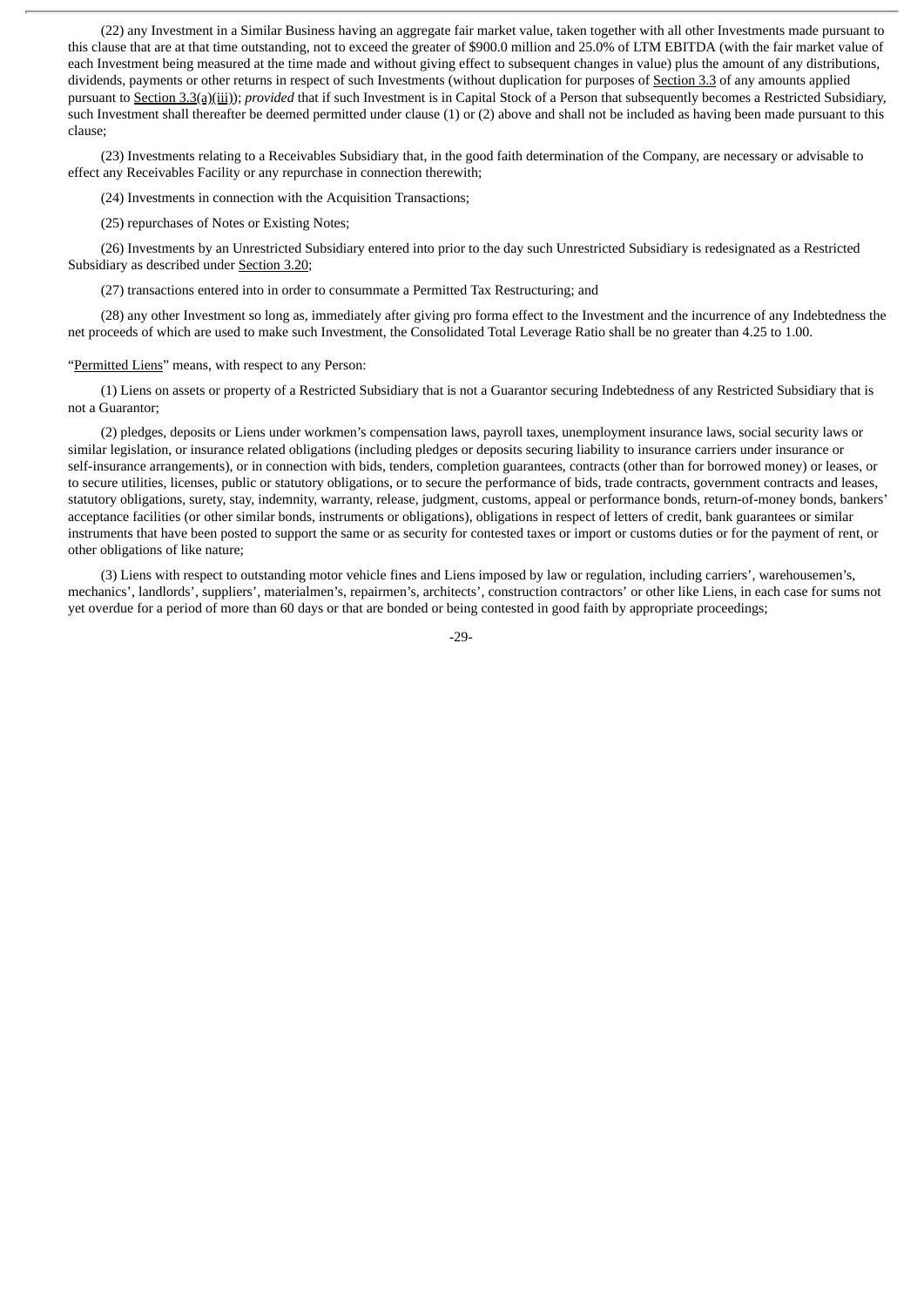(22) any Investment in a Similar Business having an aggregate fair market value, taken together with all other Investments made pursuant to this clause that are at that time outstanding, not to exceed the greater of \$900.0 million and 25.0% of LTM EBITDA (with the fair market value of each Investment being measured at the time made and without giving effect to subsequent changes in value) plus the amount of any distributions, dividends, payments or other returns in respect of such Investments (without duplication for purposes of Section 3.3 of any amounts applied pursuant to Section 3.3(a)(iii)); *provided* that if such Investment is in Capital Stock of a Person that subsequently becomes a Restricted Subsidiary, such Investment shall thereafter be deemed permitted under clause (1) or (2) above and shall not be included as having been made pursuant to this clause;

(23) Investments relating to a Receivables Subsidiary that, in the good faith determination of the Company, are necessary or advisable to effect any Receivables Facility or any repurchase in connection therewith;

(24) Investments in connection with the Acquisition Transactions;

(25) repurchases of Notes or Existing Notes;

(26) Investments by an Unrestricted Subsidiary entered into prior to the day such Unrestricted Subsidiary is redesignated as a Restricted Subsidiary as described under Section 3.20;

(27) transactions entered into in order to consummate a Permitted Tax Restructuring; and

(28) any other Investment so long as, immediately after giving pro forma effect to the Investment and the incurrence of any Indebtedness the net proceeds of which are used to make such Investment, the Consolidated Total Leverage Ratio shall be no greater than 4.25 to 1.00.

### "Permitted Liens" means, with respect to any Person:

(1) Liens on assets or property of a Restricted Subsidiary that is not a Guarantor securing Indebtedness of any Restricted Subsidiary that is not a Guarantor;

(2) pledges, deposits or Liens under workmen's compensation laws, payroll taxes, unemployment insurance laws, social security laws or similar legislation, or insurance related obligations (including pledges or deposits securing liability to insurance carriers under insurance or self-insurance arrangements), or in connection with bids, tenders, completion guarantees, contracts (other than for borrowed money) or leases, or to secure utilities, licenses, public or statutory obligations, or to secure the performance of bids, trade contracts, government contracts and leases, statutory obligations, surety, stay, indemnity, warranty, release, judgment, customs, appeal or performance bonds, return-of-money bonds, bankers' acceptance facilities (or other similar bonds, instruments or obligations), obligations in respect of letters of credit, bank guarantees or similar instruments that have been posted to support the same or as security for contested taxes or import or customs duties or for the payment of rent, or other obligations of like nature;

(3) Liens with respect to outstanding motor vehicle fines and Liens imposed by law or regulation, including carriers', warehousemen's, mechanics', landlords', suppliers', materialmen's, repairmen's, architects', construction contractors' or other like Liens, in each case for sums not yet overdue for a period of more than 60 days or that are bonded or being contested in good faith by appropriate proceedings;

-29-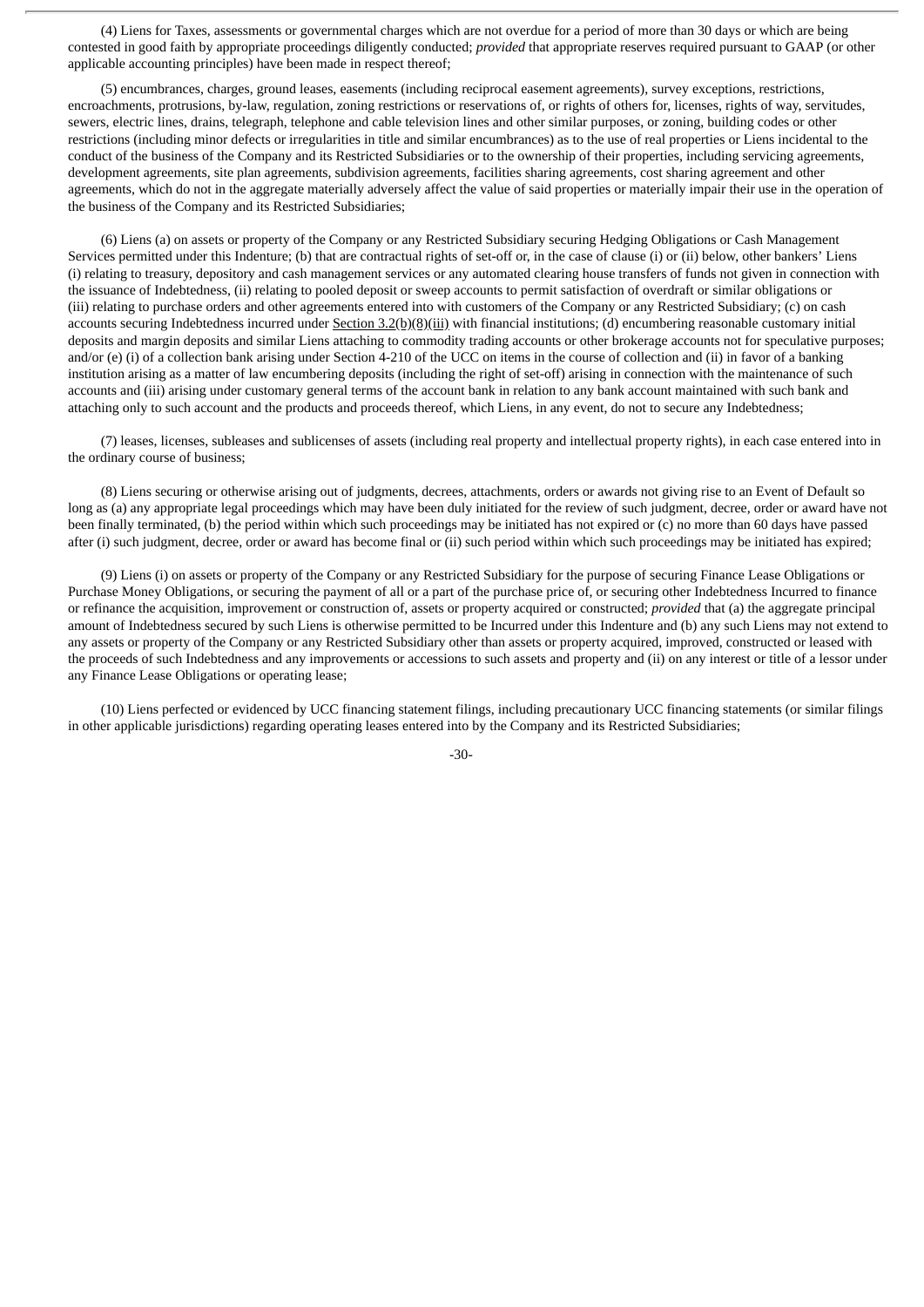(4) Liens for Taxes, assessments or governmental charges which are not overdue for a period of more than 30 days or which are being contested in good faith by appropriate proceedings diligently conducted; *provided* that appropriate reserves required pursuant to GAAP (or other applicable accounting principles) have been made in respect thereof;

(5) encumbrances, charges, ground leases, easements (including reciprocal easement agreements), survey exceptions, restrictions, encroachments, protrusions, by-law, regulation, zoning restrictions or reservations of, or rights of others for, licenses, rights of way, servitudes, sewers, electric lines, drains, telegraph, telephone and cable television lines and other similar purposes, or zoning, building codes or other restrictions (including minor defects or irregularities in title and similar encumbrances) as to the use of real properties or Liens incidental to the conduct of the business of the Company and its Restricted Subsidiaries or to the ownership of their properties, including servicing agreements, development agreements, site plan agreements, subdivision agreements, facilities sharing agreements, cost sharing agreement and other agreements, which do not in the aggregate materially adversely affect the value of said properties or materially impair their use in the operation of the business of the Company and its Restricted Subsidiaries;

(6) Liens (a) on assets or property of the Company or any Restricted Subsidiary securing Hedging Obligations or Cash Management Services permitted under this Indenture; (b) that are contractual rights of set-off or, in the case of clause (i) or (ii) below, other bankers' Liens (i) relating to treasury, depository and cash management services or any automated clearing house transfers of funds not given in connection with the issuance of Indebtedness, (ii) relating to pooled deposit or sweep accounts to permit satisfaction of overdraft or similar obligations or (iii) relating to purchase orders and other agreements entered into with customers of the Company or any Restricted Subsidiary; (c) on cash accounts securing Indebtedness incurred under Section 3.2(b)(8)(iii) with financial institutions; (d) encumbering reasonable customary initial deposits and margin deposits and similar Liens attaching to commodity trading accounts or other brokerage accounts not for speculative purposes; and/or (e) (i) of a collection bank arising under Section 4-210 of the UCC on items in the course of collection and (ii) in favor of a banking institution arising as a matter of law encumbering deposits (including the right of set-off) arising in connection with the maintenance of such accounts and (iii) arising under customary general terms of the account bank in relation to any bank account maintained with such bank and attaching only to such account and the products and proceeds thereof, which Liens, in any event, do not to secure any Indebtedness;

(7) leases, licenses, subleases and sublicenses of assets (including real property and intellectual property rights), in each case entered into in the ordinary course of business;

(8) Liens securing or otherwise arising out of judgments, decrees, attachments, orders or awards not giving rise to an Event of Default so long as (a) any appropriate legal proceedings which may have been duly initiated for the review of such judgment, decree, order or award have not been finally terminated, (b) the period within which such proceedings may be initiated has not expired or (c) no more than 60 days have passed after (i) such judgment, decree, order or award has become final or (ii) such period within which such proceedings may be initiated has expired;

(9) Liens (i) on assets or property of the Company or any Restricted Subsidiary for the purpose of securing Finance Lease Obligations or Purchase Money Obligations, or securing the payment of all or a part of the purchase price of, or securing other Indebtedness Incurred to finance or refinance the acquisition, improvement or construction of, assets or property acquired or constructed; *provided* that (a) the aggregate principal amount of Indebtedness secured by such Liens is otherwise permitted to be Incurred under this Indenture and (b) any such Liens may not extend to any assets or property of the Company or any Restricted Subsidiary other than assets or property acquired, improved, constructed or leased with the proceeds of such Indebtedness and any improvements or accessions to such assets and property and (ii) on any interest or title of a lessor under any Finance Lease Obligations or operating lease;

(10) Liens perfected or evidenced by UCC financing statement filings, including precautionary UCC financing statements (or similar filings in other applicable jurisdictions) regarding operating leases entered into by the Company and its Restricted Subsidiaries;

-30-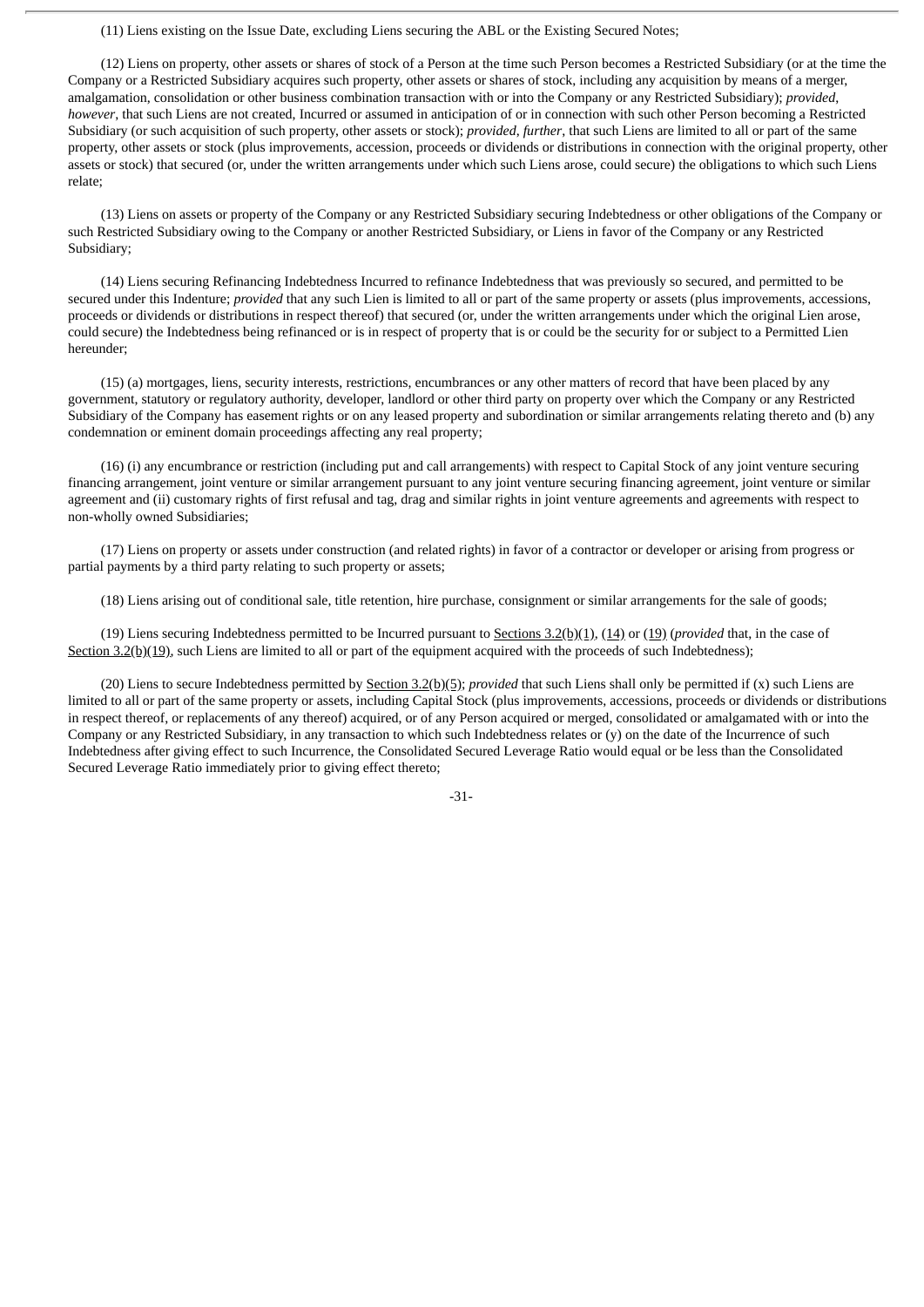(11) Liens existing on the Issue Date, excluding Liens securing the ABL or the Existing Secured Notes;

(12) Liens on property, other assets or shares of stock of a Person at the time such Person becomes a Restricted Subsidiary (or at the time the Company or a Restricted Subsidiary acquires such property, other assets or shares of stock, including any acquisition by means of a merger, amalgamation, consolidation or other business combination transaction with or into the Company or any Restricted Subsidiary); *provided*, *however*, that such Liens are not created, Incurred or assumed in anticipation of or in connection with such other Person becoming a Restricted Subsidiary (or such acquisition of such property, other assets or stock); *provided*, *further*, that such Liens are limited to all or part of the same property, other assets or stock (plus improvements, accession, proceeds or dividends or distributions in connection with the original property, other assets or stock) that secured (or, under the written arrangements under which such Liens arose, could secure) the obligations to which such Liens relate;

(13) Liens on assets or property of the Company or any Restricted Subsidiary securing Indebtedness or other obligations of the Company or such Restricted Subsidiary owing to the Company or another Restricted Subsidiary, or Liens in favor of the Company or any Restricted Subsidiary;

(14) Liens securing Refinancing Indebtedness Incurred to refinance Indebtedness that was previously so secured, and permitted to be secured under this Indenture; *provided* that any such Lien is limited to all or part of the same property or assets (plus improvements, accessions, proceeds or dividends or distributions in respect thereof) that secured (or, under the written arrangements under which the original Lien arose, could secure) the Indebtedness being refinanced or is in respect of property that is or could be the security for or subject to a Permitted Lien hereunder;

(15) (a) mortgages, liens, security interests, restrictions, encumbrances or any other matters of record that have been placed by any government, statutory or regulatory authority, developer, landlord or other third party on property over which the Company or any Restricted Subsidiary of the Company has easement rights or on any leased property and subordination or similar arrangements relating thereto and (b) any condemnation or eminent domain proceedings affecting any real property;

(16) (i) any encumbrance or restriction (including put and call arrangements) with respect to Capital Stock of any joint venture securing financing arrangement, joint venture or similar arrangement pursuant to any joint venture securing financing agreement, joint venture or similar agreement and (ii) customary rights of first refusal and tag, drag and similar rights in joint venture agreements and agreements with respect to non-wholly owned Subsidiaries;

(17) Liens on property or assets under construction (and related rights) in favor of a contractor or developer or arising from progress or partial payments by a third party relating to such property or assets;

(18) Liens arising out of conditional sale, title retention, hire purchase, consignment or similar arrangements for the sale of goods;

(19) Liens securing Indebtedness permitted to be Incurred pursuant to Sections 3.2(b)(1), (14) or (19) (*provided* that, in the case of Section  $3.2(b)(19)$ , such Liens are limited to all or part of the equipment acquired with the proceeds of such Indebtedness);

(20) Liens to secure Indebtedness permitted by Section 3.2(b)(5); *provided* that such Liens shall only be permitted if (x) such Liens are limited to all or part of the same property or assets, including Capital Stock (plus improvements, accessions, proceeds or dividends or distributions in respect thereof, or replacements of any thereof) acquired, or of any Person acquired or merged, consolidated or amalgamated with or into the Company or any Restricted Subsidiary, in any transaction to which such Indebtedness relates or (y) on the date of the Incurrence of such Indebtedness after giving effect to such Incurrence, the Consolidated Secured Leverage Ratio would equal or be less than the Consolidated Secured Leverage Ratio immediately prior to giving effect thereto;

-31-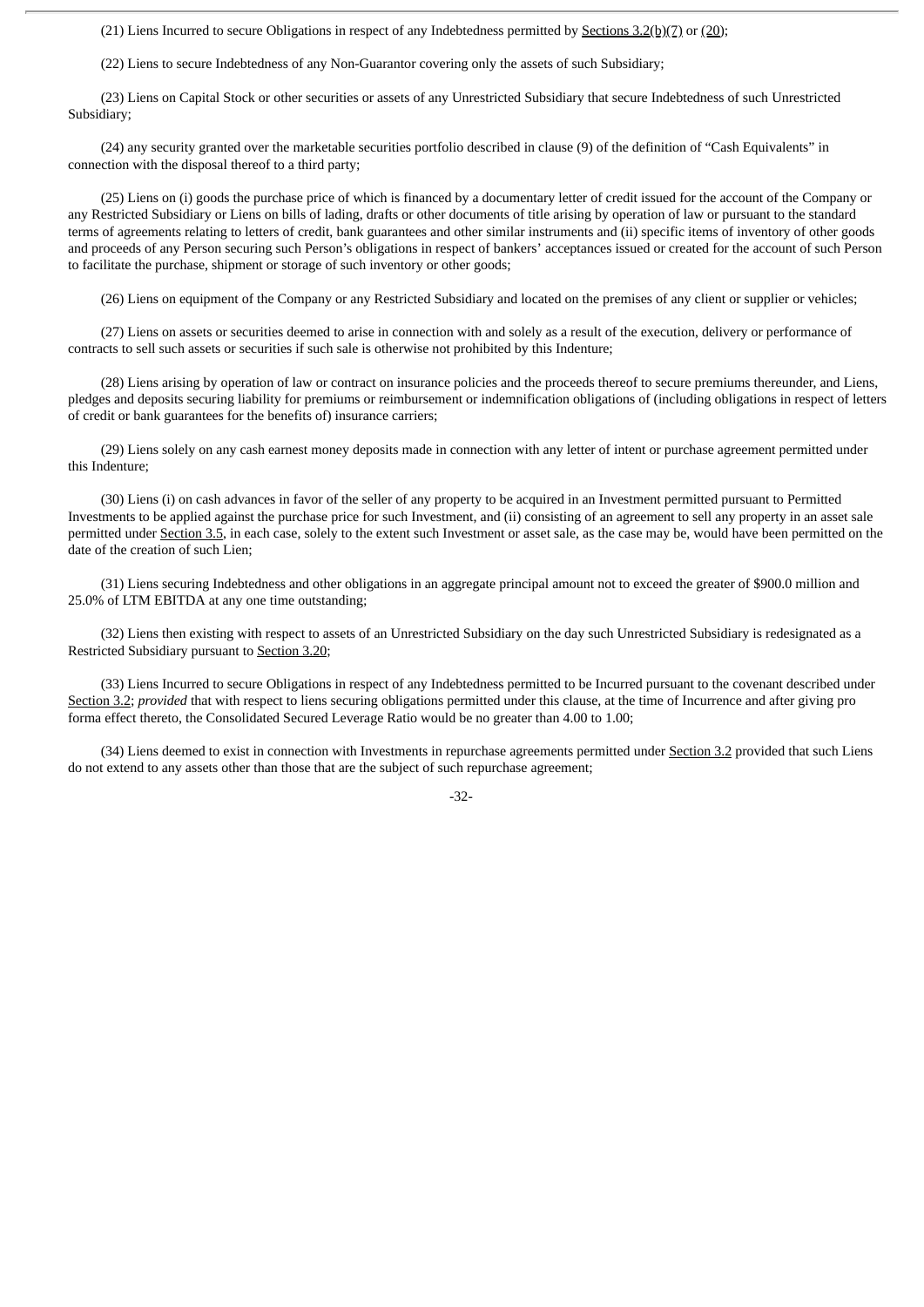(21) Liens Incurred to secure Obligations in respect of any Indebtedness permitted by Sections 3.2(b)(7) or (20);

(22) Liens to secure Indebtedness of any Non-Guarantor covering only the assets of such Subsidiary;

(23) Liens on Capital Stock or other securities or assets of any Unrestricted Subsidiary that secure Indebtedness of such Unrestricted Subsidiary;

(24) any security granted over the marketable securities portfolio described in clause (9) of the definition of "Cash Equivalents" in connection with the disposal thereof to a third party;

(25) Liens on (i) goods the purchase price of which is financed by a documentary letter of credit issued for the account of the Company or any Restricted Subsidiary or Liens on bills of lading, drafts or other documents of title arising by operation of law or pursuant to the standard terms of agreements relating to letters of credit, bank guarantees and other similar instruments and (ii) specific items of inventory of other goods and proceeds of any Person securing such Person's obligations in respect of bankers' acceptances issued or created for the account of such Person to facilitate the purchase, shipment or storage of such inventory or other goods;

(26) Liens on equipment of the Company or any Restricted Subsidiary and located on the premises of any client or supplier or vehicles;

(27) Liens on assets or securities deemed to arise in connection with and solely as a result of the execution, delivery or performance of contracts to sell such assets or securities if such sale is otherwise not prohibited by this Indenture;

(28) Liens arising by operation of law or contract on insurance policies and the proceeds thereof to secure premiums thereunder, and Liens, pledges and deposits securing liability for premiums or reimbursement or indemnification obligations of (including obligations in respect of letters of credit or bank guarantees for the benefits of) insurance carriers;

(29) Liens solely on any cash earnest money deposits made in connection with any letter of intent or purchase agreement permitted under this Indenture;

(30) Liens (i) on cash advances in favor of the seller of any property to be acquired in an Investment permitted pursuant to Permitted Investments to be applied against the purchase price for such Investment, and (ii) consisting of an agreement to sell any property in an asset sale permitted under Section 3.5, in each case, solely to the extent such Investment or asset sale, as the case may be, would have been permitted on the date of the creation of such Lien;

(31) Liens securing Indebtedness and other obligations in an aggregate principal amount not to exceed the greater of \$900.0 million and 25.0% of LTM EBITDA at any one time outstanding;

(32) Liens then existing with respect to assets of an Unrestricted Subsidiary on the day such Unrestricted Subsidiary is redesignated as a Restricted Subsidiary pursuant to Section 3.20;

(33) Liens Incurred to secure Obligations in respect of any Indebtedness permitted to be Incurred pursuant to the covenant described under Section 3.2; *provided* that with respect to liens securing obligations permitted under this clause, at the time of Incurrence and after giving pro forma effect thereto, the Consolidated Secured Leverage Ratio would be no greater than 4.00 to 1.00;

(34) Liens deemed to exist in connection with Investments in repurchase agreements permitted under Section 3.2 provided that such Liens do not extend to any assets other than those that are the subject of such repurchase agreement;

-32-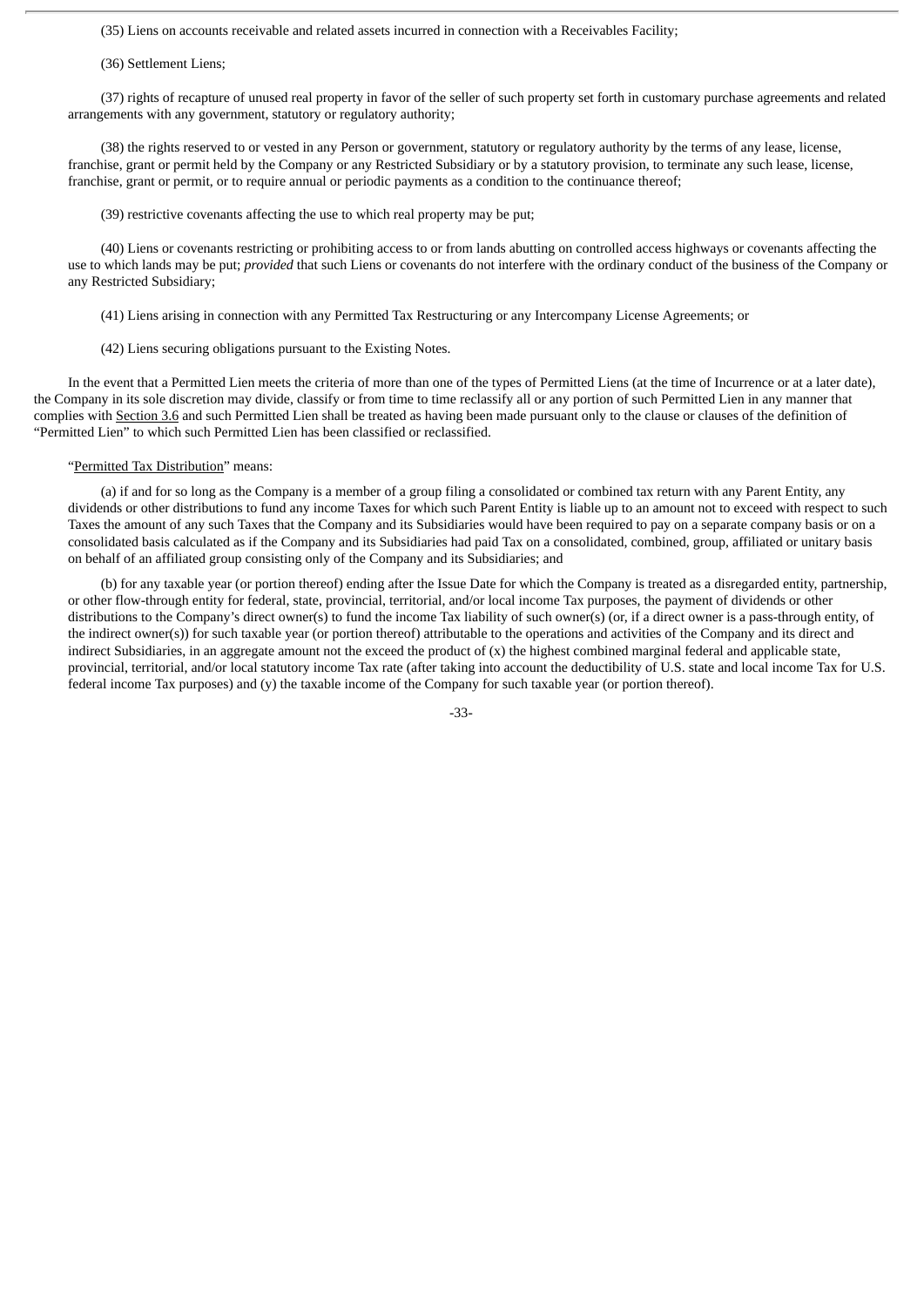(35) Liens on accounts receivable and related assets incurred in connection with a Receivables Facility;

(36) Settlement Liens;

(37) rights of recapture of unused real property in favor of the seller of such property set forth in customary purchase agreements and related arrangements with any government, statutory or regulatory authority;

(38) the rights reserved to or vested in any Person or government, statutory or regulatory authority by the terms of any lease, license, franchise, grant or permit held by the Company or any Restricted Subsidiary or by a statutory provision, to terminate any such lease, license, franchise, grant or permit, or to require annual or periodic payments as a condition to the continuance thereof;

(39) restrictive covenants affecting the use to which real property may be put;

(40) Liens or covenants restricting or prohibiting access to or from lands abutting on controlled access highways or covenants affecting the use to which lands may be put; *provided* that such Liens or covenants do not interfere with the ordinary conduct of the business of the Company or any Restricted Subsidiary;

(41) Liens arising in connection with any Permitted Tax Restructuring or any Intercompany License Agreements; or

(42) Liens securing obligations pursuant to the Existing Notes.

In the event that a Permitted Lien meets the criteria of more than one of the types of Permitted Liens (at the time of Incurrence or at a later date), the Company in its sole discretion may divide, classify or from time to time reclassify all or any portion of such Permitted Lien in any manner that complies with Section 3.6 and such Permitted Lien shall be treated as having been made pursuant only to the clause or clauses of the definition of "Permitted Lien" to which such Permitted Lien has been classified or reclassified.

# "Permitted Tax Distribution" means:

(a) if and for so long as the Company is a member of a group filing a consolidated or combined tax return with any Parent Entity, any dividends or other distributions to fund any income Taxes for which such Parent Entity is liable up to an amount not to exceed with respect to such Taxes the amount of any such Taxes that the Company and its Subsidiaries would have been required to pay on a separate company basis or on a consolidated basis calculated as if the Company and its Subsidiaries had paid Tax on a consolidated, combined, group, affiliated or unitary basis on behalf of an affiliated group consisting only of the Company and its Subsidiaries; and

(b) for any taxable year (or portion thereof) ending after the Issue Date for which the Company is treated as a disregarded entity, partnership, or other flow-through entity for federal, state, provincial, territorial, and/or local income Tax purposes, the payment of dividends or other distributions to the Company's direct owner(s) to fund the income Tax liability of such owner(s) (or, if a direct owner is a pass-through entity, of the indirect owner(s)) for such taxable year (or portion thereof) attributable to the operations and activities of the Company and its direct and indirect Subsidiaries, in an aggregate amount not the exceed the product of (x) the highest combined marginal federal and applicable state, provincial, territorial, and/or local statutory income Tax rate (after taking into account the deductibility of U.S. state and local income Tax for U.S. federal income Tax purposes) and (y) the taxable income of the Company for such taxable year (or portion thereof).

-33-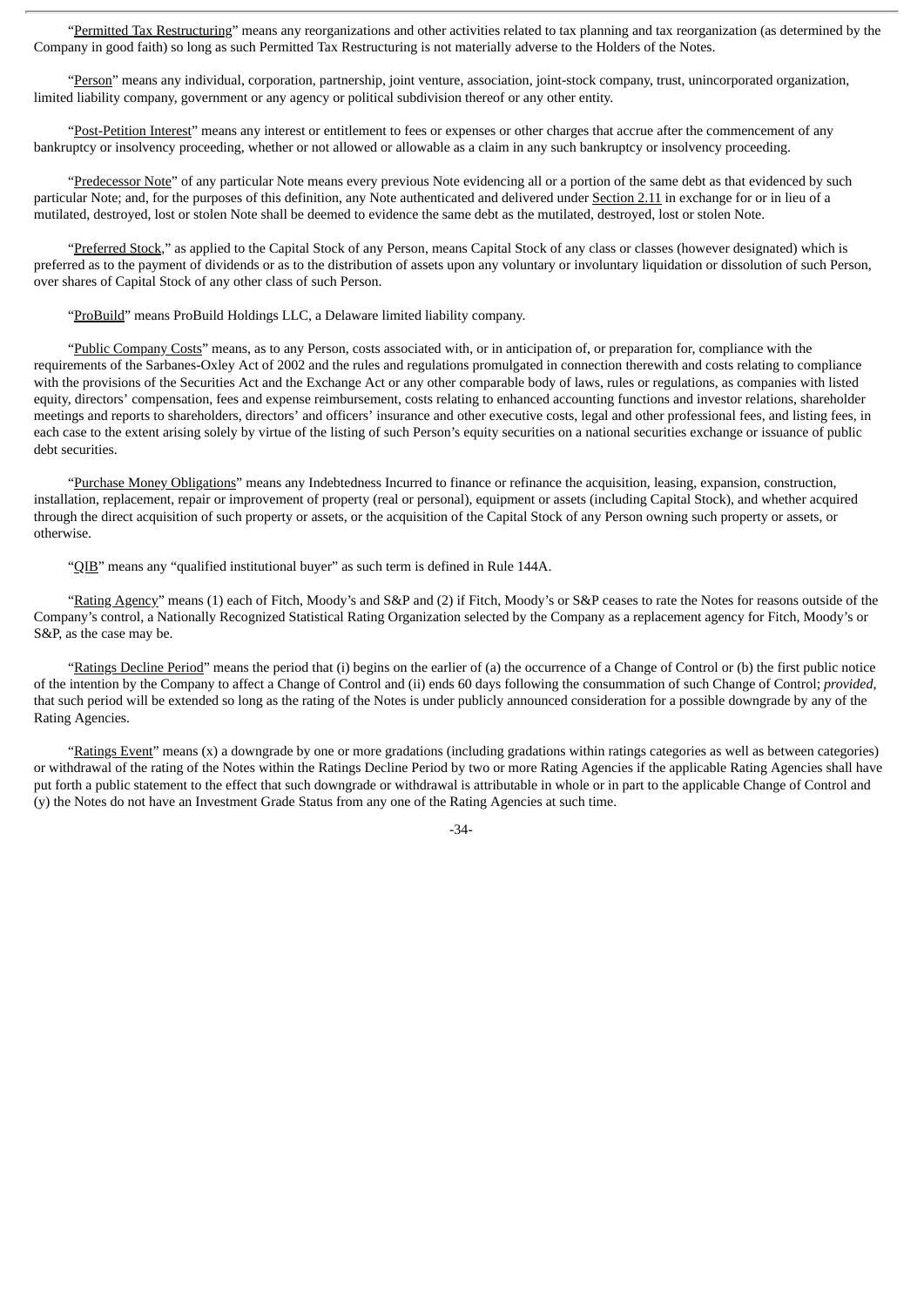"Permitted Tax Restructuring" means any reorganizations and other activities related to tax planning and tax reorganization (as determined by the Company in good faith) so long as such Permitted Tax Restructuring is not materially adverse to the Holders of the Notes.

"Person" means any individual, corporation, partnership, joint venture, association, joint-stock company, trust, unincorporated organization, limited liability company, government or any agency or political subdivision thereof or any other entity.

"Post-Petition Interest" means any interest or entitlement to fees or expenses or other charges that accrue after the commencement of any bankruptcy or insolvency proceeding, whether or not allowed or allowable as a claim in any such bankruptcy or insolvency proceeding.

"Predecessor Note" of any particular Note means every previous Note evidencing all or a portion of the same debt as that evidenced by such particular Note; and, for the purposes of this definition, any Note authenticated and delivered under Section 2.11 in exchange for or in lieu of a mutilated, destroyed, lost or stolen Note shall be deemed to evidence the same debt as the mutilated, destroyed, lost or stolen Note.

"Preferred Stock," as applied to the Capital Stock of any Person, means Capital Stock of any class or classes (however designated) which is preferred as to the payment of dividends or as to the distribution of assets upon any voluntary or involuntary liquidation or dissolution of such Person, over shares of Capital Stock of any other class of such Person.

"ProBuild" means ProBuild Holdings LLC, a Delaware limited liability company.

"Public Company Costs" means, as to any Person, costs associated with, or in anticipation of, or preparation for, compliance with the requirements of the Sarbanes-Oxley Act of 2002 and the rules and regulations promulgated in connection therewith and costs relating to compliance with the provisions of the Securities Act and the Exchange Act or any other comparable body of laws, rules or regulations, as companies with listed equity, directors' compensation, fees and expense reimbursement, costs relating to enhanced accounting functions and investor relations, shareholder meetings and reports to shareholders, directors' and officers' insurance and other executive costs, legal and other professional fees, and listing fees, in each case to the extent arising solely by virtue of the listing of such Person's equity securities on a national securities exchange or issuance of public debt securities.

"Purchase Money Obligations" means any Indebtedness Incurred to finance or refinance the acquisition, leasing, expansion, construction, installation, replacement, repair or improvement of property (real or personal), equipment or assets (including Capital Stock), and whether acquired through the direct acquisition of such property or assets, or the acquisition of the Capital Stock of any Person owning such property or assets, or otherwise.

"QIB" means any "qualified institutional buyer" as such term is defined in Rule 144A.

"Rating Agency" means (1) each of Fitch, Moody's and S&P and (2) if Fitch, Moody's or S&P ceases to rate the Notes for reasons outside of the Company's control, a Nationally Recognized Statistical Rating Organization selected by the Company as a replacement agency for Fitch, Moody's or S&P, as the case may be.

"Ratings Decline Period" means the period that (i) begins on the earlier of (a) the occurrence of a Change of Control or (b) the first public notice of the intention by the Company to affect a Change of Control and (ii) ends 60 days following the consummation of such Change of Control; *provided*, that such period will be extended so long as the rating of the Notes is under publicly announced consideration for a possible downgrade by any of the Rating Agencies.

"Ratings Event" means (x) a downgrade by one or more gradations (including gradations within ratings categories as well as between categories) or withdrawal of the rating of the Notes within the Ratings Decline Period by two or more Rating Agencies if the applicable Rating Agencies shall have put forth a public statement to the effect that such downgrade or withdrawal is attributable in whole or in part to the applicable Change of Control and (y) the Notes do not have an Investment Grade Status from any one of the Rating Agencies at such time.

-34-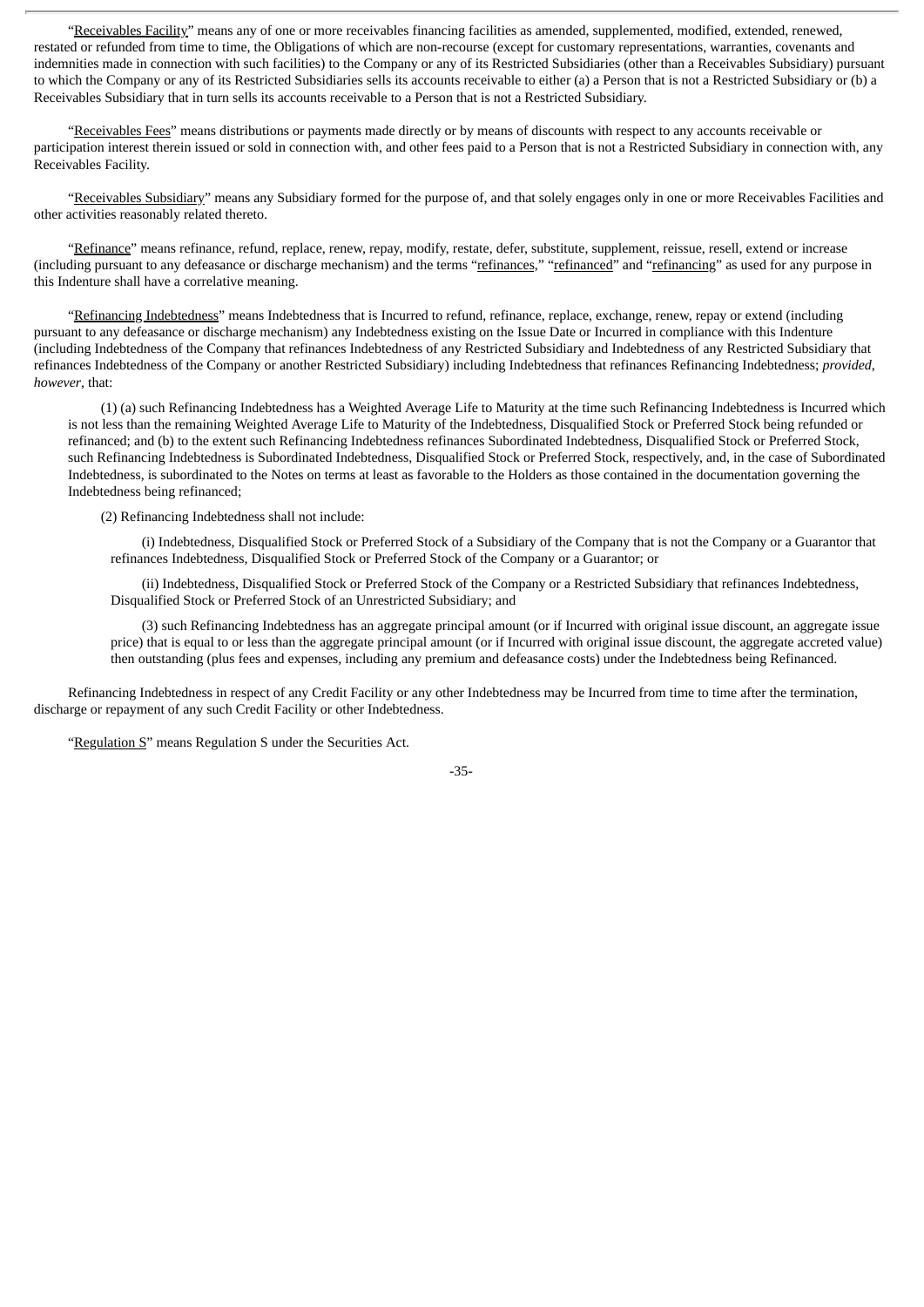"Receivables Facility" means any of one or more receivables financing facilities as amended, supplemented, modified, extended, renewed, restated or refunded from time to time, the Obligations of which are non-recourse (except for customary representations, warranties, covenants and indemnities made in connection with such facilities) to the Company or any of its Restricted Subsidiaries (other than a Receivables Subsidiary) pursuant to which the Company or any of its Restricted Subsidiaries sells its accounts receivable to either (a) a Person that is not a Restricted Subsidiary or (b) a Receivables Subsidiary that in turn sells its accounts receivable to a Person that is not a Restricted Subsidiary.

"Receivables Fees" means distributions or payments made directly or by means of discounts with respect to any accounts receivable or participation interest therein issued or sold in connection with, and other fees paid to a Person that is not a Restricted Subsidiary in connection with, any Receivables Facility.

"Receivables Subsidiary" means any Subsidiary formed for the purpose of, and that solely engages only in one or more Receivables Facilities and other activities reasonably related thereto.

"Refinance" means refinance, refund, replace, renew, repay, modify, restate, defer, substitute, supplement, reissue, resell, extend or increase (including pursuant to any defeasance or discharge mechanism) and the terms "refinances," "refinanced" and "refinancing" as used for any purpose in this Indenture shall have a correlative meaning.

"Refinancing Indebtedness" means Indebtedness that is Incurred to refund, refinance, replace, exchange, renew, repay or extend (including pursuant to any defeasance or discharge mechanism) any Indebtedness existing on the Issue Date or Incurred in compliance with this Indenture (including Indebtedness of the Company that refinances Indebtedness of any Restricted Subsidiary and Indebtedness of any Restricted Subsidiary that refinances Indebtedness of the Company or another Restricted Subsidiary) including Indebtedness that refinances Refinancing Indebtedness; *provided*, *however*, that:

(1) (a) such Refinancing Indebtedness has a Weighted Average Life to Maturity at the time such Refinancing Indebtedness is Incurred which is not less than the remaining Weighted Average Life to Maturity of the Indebtedness, Disqualified Stock or Preferred Stock being refunded or refinanced; and (b) to the extent such Refinancing Indebtedness refinances Subordinated Indebtedness, Disqualified Stock or Preferred Stock, such Refinancing Indebtedness is Subordinated Indebtedness, Disqualified Stock or Preferred Stock, respectively, and, in the case of Subordinated Indebtedness, is subordinated to the Notes on terms at least as favorable to the Holders as those contained in the documentation governing the Indebtedness being refinanced;

(2) Refinancing Indebtedness shall not include:

(i) Indebtedness, Disqualified Stock or Preferred Stock of a Subsidiary of the Company that is not the Company or a Guarantor that refinances Indebtedness, Disqualified Stock or Preferred Stock of the Company or a Guarantor; or

(ii) Indebtedness, Disqualified Stock or Preferred Stock of the Company or a Restricted Subsidiary that refinances Indebtedness, Disqualified Stock or Preferred Stock of an Unrestricted Subsidiary; and

(3) such Refinancing Indebtedness has an aggregate principal amount (or if Incurred with original issue discount, an aggregate issue price) that is equal to or less than the aggregate principal amount (or if Incurred with original issue discount, the aggregate accreted value) then outstanding (plus fees and expenses, including any premium and defeasance costs) under the Indebtedness being Refinanced.

Refinancing Indebtedness in respect of any Credit Facility or any other Indebtedness may be Incurred from time to time after the termination, discharge or repayment of any such Credit Facility or other Indebtedness.

"Regulation S" means Regulation S under the Securities Act.

-35-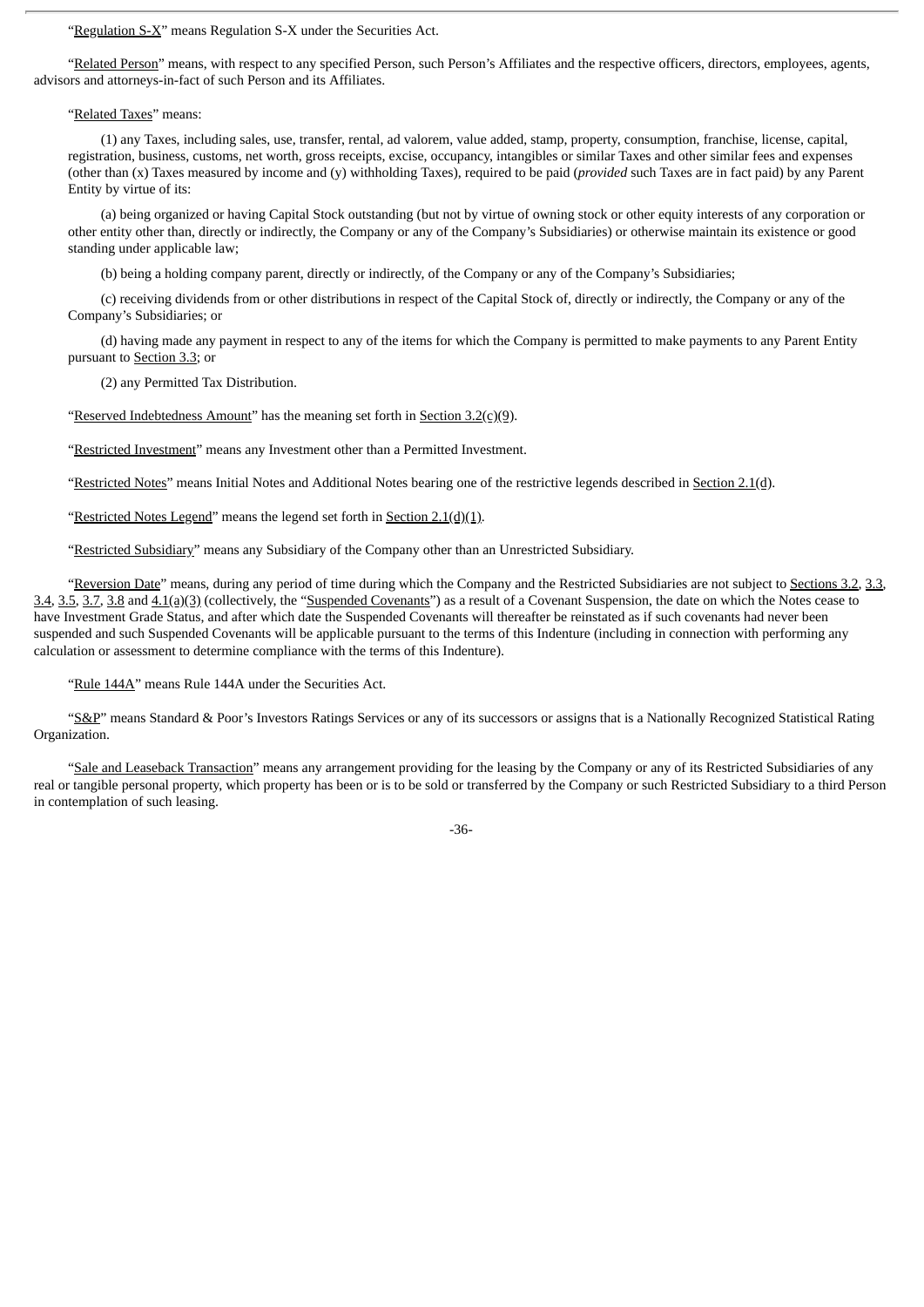"Regulation S-X" means Regulation S-X under the Securities Act.

"Related Person" means, with respect to any specified Person, such Person's Affiliates and the respective officers, directors, employees, agents, advisors and attorneys-in-fact of such Person and its Affiliates.

### "Related Taxes" means:

(1) any Taxes, including sales, use, transfer, rental, ad valorem, value added, stamp, property, consumption, franchise, license, capital, registration, business, customs, net worth, gross receipts, excise, occupancy, intangibles or similar Taxes and other similar fees and expenses (other than (x) Taxes measured by income and (y) withholding Taxes), required to be paid (*provided* such Taxes are in fact paid) by any Parent Entity by virtue of its:

(a) being organized or having Capital Stock outstanding (but not by virtue of owning stock or other equity interests of any corporation or other entity other than, directly or indirectly, the Company or any of the Company's Subsidiaries) or otherwise maintain its existence or good standing under applicable law;

(b) being a holding company parent, directly or indirectly, of the Company or any of the Company's Subsidiaries;

(c) receiving dividends from or other distributions in respect of the Capital Stock of, directly or indirectly, the Company or any of the Company's Subsidiaries; or

(d) having made any payment in respect to any of the items for which the Company is permitted to make payments to any Parent Entity pursuant to Section 3.3; or

(2) any Permitted Tax Distribution.

"Reserved Indebtedness Amount" has the meaning set forth in Section  $3.2(c)(9)$ .

"Restricted Investment" means any Investment other than a Permitted Investment.

"Restricted Notes" means Initial Notes and Additional Notes bearing one of the restrictive legends described in Section 2.1(d).

"Restricted Notes Legend" means the legend set forth in Section  $2.1(d)(1)$ .

"Restricted Subsidiary" means any Subsidiary of the Company other than an Unrestricted Subsidiary.

"Reversion Date" means, during any period of time during which the Company and the Restricted Subsidiaries are not subject to Sections 3.2, 3.3, 3.4, 3.5, 3.7, 3.8 and  $4.1(a)(3)$  (collectively, the "Suspended Covenants") as a result of a Covenant Suspension, the date on which the Notes cease to have Investment Grade Status, and after which date the Suspended Covenants will thereafter be reinstated as if such covenants had never been suspended and such Suspended Covenants will be applicable pursuant to the terms of this Indenture (including in connection with performing any calculation or assessment to determine compliance with the terms of this Indenture).

"Rule 144A" means Rule 144A under the Securities Act.

"S&P" means Standard & Poor's Investors Ratings Services or any of its successors or assigns that is a Nationally Recognized Statistical Rating Organization.

"Sale and Leaseback Transaction" means any arrangement providing for the leasing by the Company or any of its Restricted Subsidiaries of any real or tangible personal property, which property has been or is to be sold or transferred by the Company or such Restricted Subsidiary to a third Person in contemplation of such leasing.

-36-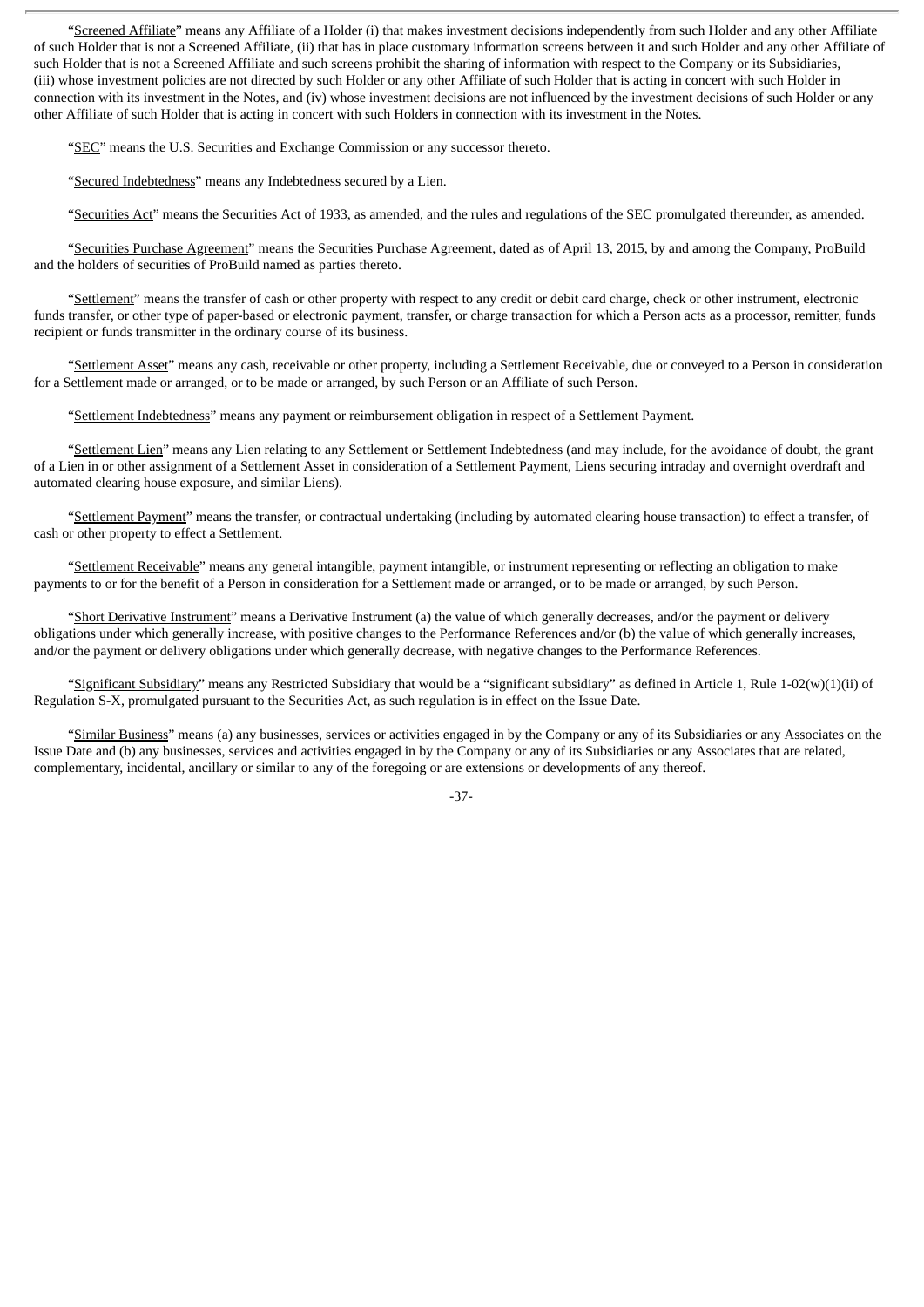"Screened Affiliate" means any Affiliate of a Holder (i) that makes investment decisions independently from such Holder and any other Affiliate of such Holder that is not a Screened Affiliate, (ii) that has in place customary information screens between it and such Holder and any other Affiliate of such Holder that is not a Screened Affiliate and such screens prohibit the sharing of information with respect to the Company or its Subsidiaries, (iii) whose investment policies are not directed by such Holder or any other Affiliate of such Holder that is acting in concert with such Holder in connection with its investment in the Notes, and (iv) whose investment decisions are not influenced by the investment decisions of such Holder or any other Affiliate of such Holder that is acting in concert with such Holders in connection with its investment in the Notes.

"SEC" means the U.S. Securities and Exchange Commission or any successor thereto.

"Secured Indebtedness" means any Indebtedness secured by a Lien.

"Securities Act" means the Securities Act of 1933, as amended, and the rules and regulations of the SEC promulgated thereunder, as amended.

"Securities Purchase Agreement" means the Securities Purchase Agreement, dated as of April 13, 2015, by and among the Company, ProBuild and the holders of securities of ProBuild named as parties thereto.

"Settlement" means the transfer of cash or other property with respect to any credit or debit card charge, check or other instrument, electronic funds transfer, or other type of paper-based or electronic payment, transfer, or charge transaction for which a Person acts as a processor, remitter, funds recipient or funds transmitter in the ordinary course of its business.

"Settlement Asset" means any cash, receivable or other property, including a Settlement Receivable, due or conveyed to a Person in consideration for a Settlement made or arranged, or to be made or arranged, by such Person or an Affiliate of such Person.

"Settlement Indebtedness" means any payment or reimbursement obligation in respect of a Settlement Payment.

"Settlement Lien" means any Lien relating to any Settlement or Settlement Indebtedness (and may include, for the avoidance of doubt, the grant of a Lien in or other assignment of a Settlement Asset in consideration of a Settlement Payment, Liens securing intraday and overnight overdraft and automated clearing house exposure, and similar Liens).

"Settlement Payment" means the transfer, or contractual undertaking (including by automated clearing house transaction) to effect a transfer, of cash or other property to effect a Settlement.

"Settlement Receivable" means any general intangible, payment intangible, or instrument representing or reflecting an obligation to make payments to or for the benefit of a Person in consideration for a Settlement made or arranged, or to be made or arranged, by such Person.

"Short Derivative Instrument" means a Derivative Instrument (a) the value of which generally decreases, and/or the payment or delivery obligations under which generally increase, with positive changes to the Performance References and/or (b) the value of which generally increases, and/or the payment or delivery obligations under which generally decrease, with negative changes to the Performance References.

"Significant Subsidiary" means any Restricted Subsidiary that would be a "significant subsidiary" as defined in Article 1, Rule 1-02(w)(1)(ii) of Regulation S-X, promulgated pursuant to the Securities Act, as such regulation is in effect on the Issue Date.

"Similar Business" means (a) any businesses, services or activities engaged in by the Company or any of its Subsidiaries or any Associates on the Issue Date and (b) any businesses, services and activities engaged in by the Company or any of its Subsidiaries or any Associates that are related, complementary, incidental, ancillary or similar to any of the foregoing or are extensions or developments of any thereof.

-37-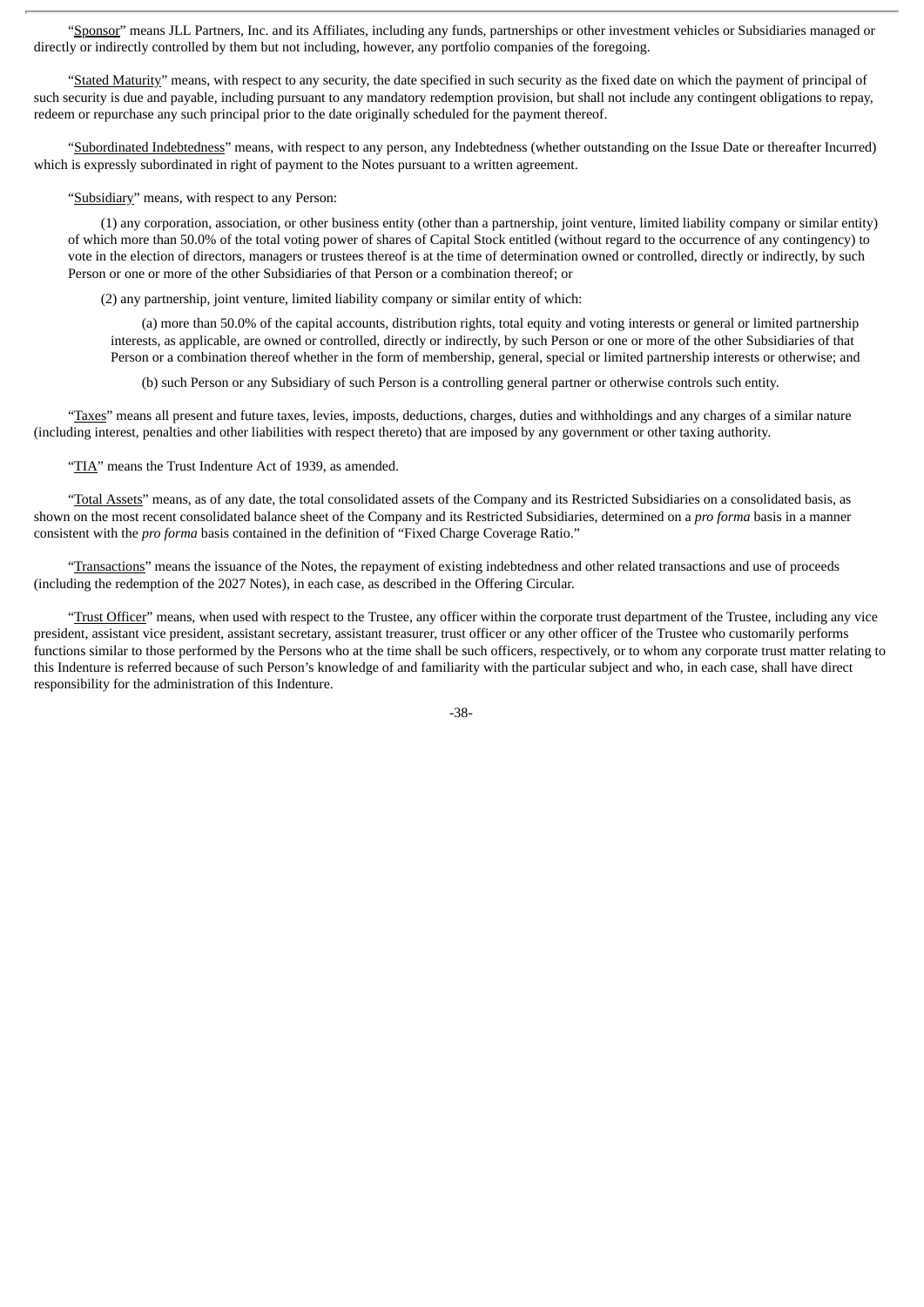"Sponsor" means JLL Partners, Inc. and its Affiliates, including any funds, partnerships or other investment vehicles or Subsidiaries managed or directly or indirectly controlled by them but not including, however, any portfolio companies of the foregoing.

"Stated Maturity" means, with respect to any security, the date specified in such security as the fixed date on which the payment of principal of such security is due and payable, including pursuant to any mandatory redemption provision, but shall not include any contingent obligations to repay, redeem or repurchase any such principal prior to the date originally scheduled for the payment thereof.

"Subordinated Indebtedness" means, with respect to any person, any Indebtedness (whether outstanding on the Issue Date or thereafter Incurred) which is expressly subordinated in right of payment to the Notes pursuant to a written agreement.

"Subsidiary" means, with respect to any Person:

(1) any corporation, association, or other business entity (other than a partnership, joint venture, limited liability company or similar entity) of which more than 50.0% of the total voting power of shares of Capital Stock entitled (without regard to the occurrence of any contingency) to vote in the election of directors, managers or trustees thereof is at the time of determination owned or controlled, directly or indirectly, by such Person or one or more of the other Subsidiaries of that Person or a combination thereof; or

(2) any partnership, joint venture, limited liability company or similar entity of which:

(a) more than 50.0% of the capital accounts, distribution rights, total equity and voting interests or general or limited partnership interests, as applicable, are owned or controlled, directly or indirectly, by such Person or one or more of the other Subsidiaries of that Person or a combination thereof whether in the form of membership, general, special or limited partnership interests or otherwise; and

(b) such Person or any Subsidiary of such Person is a controlling general partner or otherwise controls such entity.

"Taxes" means all present and future taxes, levies, imposts, deductions, charges, duties and withholdings and any charges of a similar nature (including interest, penalties and other liabilities with respect thereto) that are imposed by any government or other taxing authority.

"TIA" means the Trust Indenture Act of 1939, as amended.

"Total Assets" means, as of any date, the total consolidated assets of the Company and its Restricted Subsidiaries on a consolidated basis, as shown on the most recent consolidated balance sheet of the Company and its Restricted Subsidiaries, determined on a *pro forma* basis in a manner consistent with the *pro forma* basis contained in the definition of "Fixed Charge Coverage Ratio."

"Transactions" means the issuance of the Notes, the repayment of existing indebtedness and other related transactions and use of proceeds (including the redemption of the 2027 Notes), in each case, as described in the Offering Circular.

"Trust Officer" means, when used with respect to the Trustee, any officer within the corporate trust department of the Trustee, including any vice president, assistant vice president, assistant secretary, assistant treasurer, trust officer or any other officer of the Trustee who customarily performs functions similar to those performed by the Persons who at the time shall be such officers, respectively, or to whom any corporate trust matter relating to this Indenture is referred because of such Person's knowledge of and familiarity with the particular subject and who, in each case, shall have direct responsibility for the administration of this Indenture.

-38-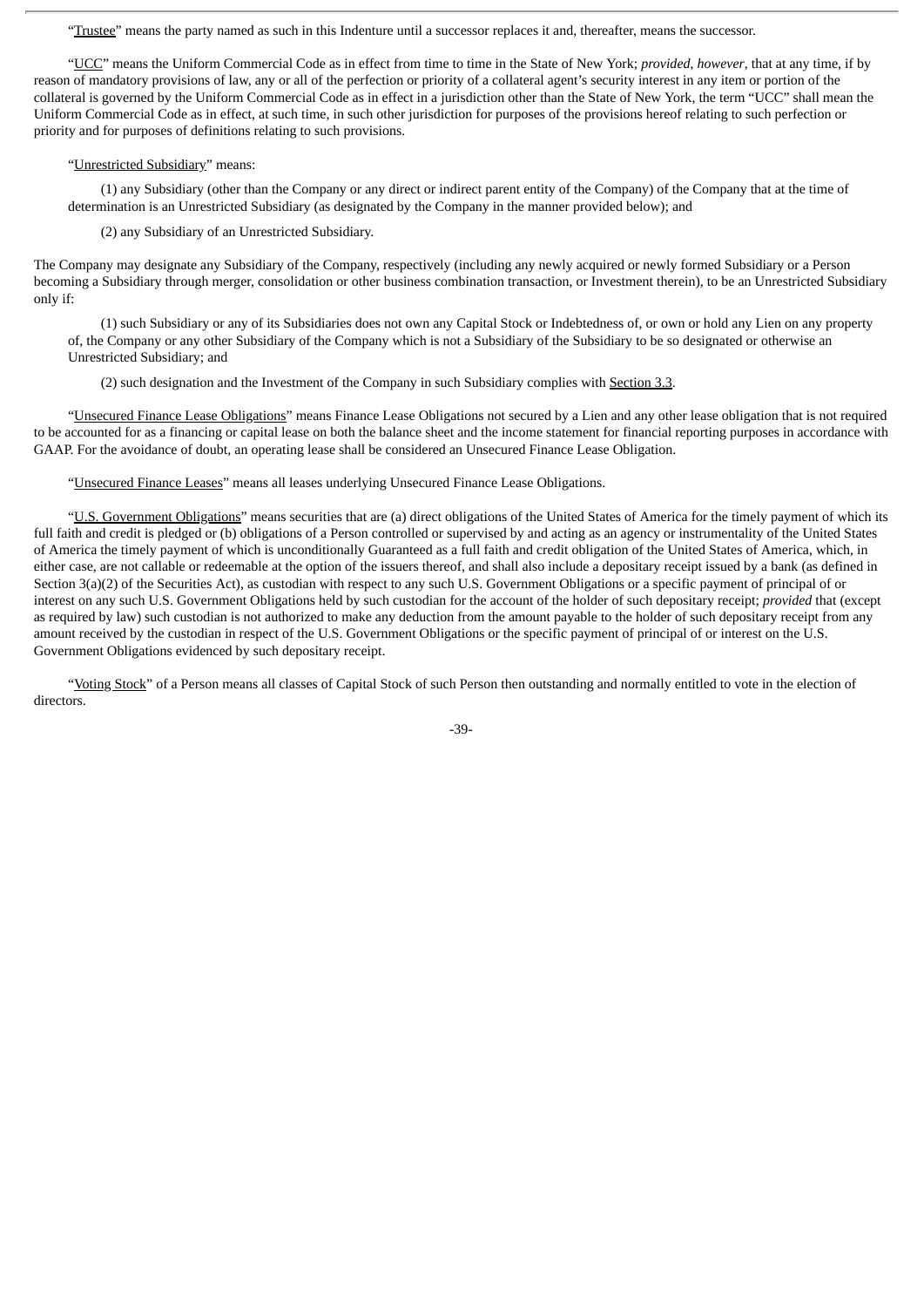"Trustee" means the party named as such in this Indenture until a successor replaces it and, thereafter, means the successor.

"UCC" means the Uniform Commercial Code as in effect from time to time in the State of New York; *provided*, *however*, that at any time, if by reason of mandatory provisions of law, any or all of the perfection or priority of a collateral agent's security interest in any item or portion of the collateral is governed by the Uniform Commercial Code as in effect in a jurisdiction other than the State of New York, the term "UCC" shall mean the Uniform Commercial Code as in effect, at such time, in such other jurisdiction for purposes of the provisions hereof relating to such perfection or priority and for purposes of definitions relating to such provisions.

## "Unrestricted Subsidiary" means:

(1) any Subsidiary (other than the Company or any direct or indirect parent entity of the Company) of the Company that at the time of determination is an Unrestricted Subsidiary (as designated by the Company in the manner provided below); and

(2) any Subsidiary of an Unrestricted Subsidiary.

The Company may designate any Subsidiary of the Company, respectively (including any newly acquired or newly formed Subsidiary or a Person becoming a Subsidiary through merger, consolidation or other business combination transaction, or Investment therein), to be an Unrestricted Subsidiary only if:

(1) such Subsidiary or any of its Subsidiaries does not own any Capital Stock or Indebtedness of, or own or hold any Lien on any property of, the Company or any other Subsidiary of the Company which is not a Subsidiary of the Subsidiary to be so designated or otherwise an Unrestricted Subsidiary; and

(2) such designation and the Investment of the Company in such Subsidiary complies with Section 3.3.

"Unsecured Finance Lease Obligations" means Finance Lease Obligations not secured by a Lien and any other lease obligation that is not required to be accounted for as a financing or capital lease on both the balance sheet and the income statement for financial reporting purposes in accordance with GAAP. For the avoidance of doubt, an operating lease shall be considered an Unsecured Finance Lease Obligation.

"Unsecured Finance Leases" means all leases underlying Unsecured Finance Lease Obligations.

"U.S. Government Obligations" means securities that are (a) direct obligations of the United States of America for the timely payment of which its full faith and credit is pledged or (b) obligations of a Person controlled or supervised by and acting as an agency or instrumentality of the United States of America the timely payment of which is unconditionally Guaranteed as a full faith and credit obligation of the United States of America, which, in either case, are not callable or redeemable at the option of the issuers thereof, and shall also include a depositary receipt issued by a bank (as defined in Section 3(a)(2) of the Securities Act), as custodian with respect to any such U.S. Government Obligations or a specific payment of principal of or interest on any such U.S. Government Obligations held by such custodian for the account of the holder of such depositary receipt; *provided* that (except as required by law) such custodian is not authorized to make any deduction from the amount payable to the holder of such depositary receipt from any amount received by the custodian in respect of the U.S. Government Obligations or the specific payment of principal of or interest on the U.S. Government Obligations evidenced by such depositary receipt.

"Voting Stock" of a Person means all classes of Capital Stock of such Person then outstanding and normally entitled to vote in the election of directors.

-39-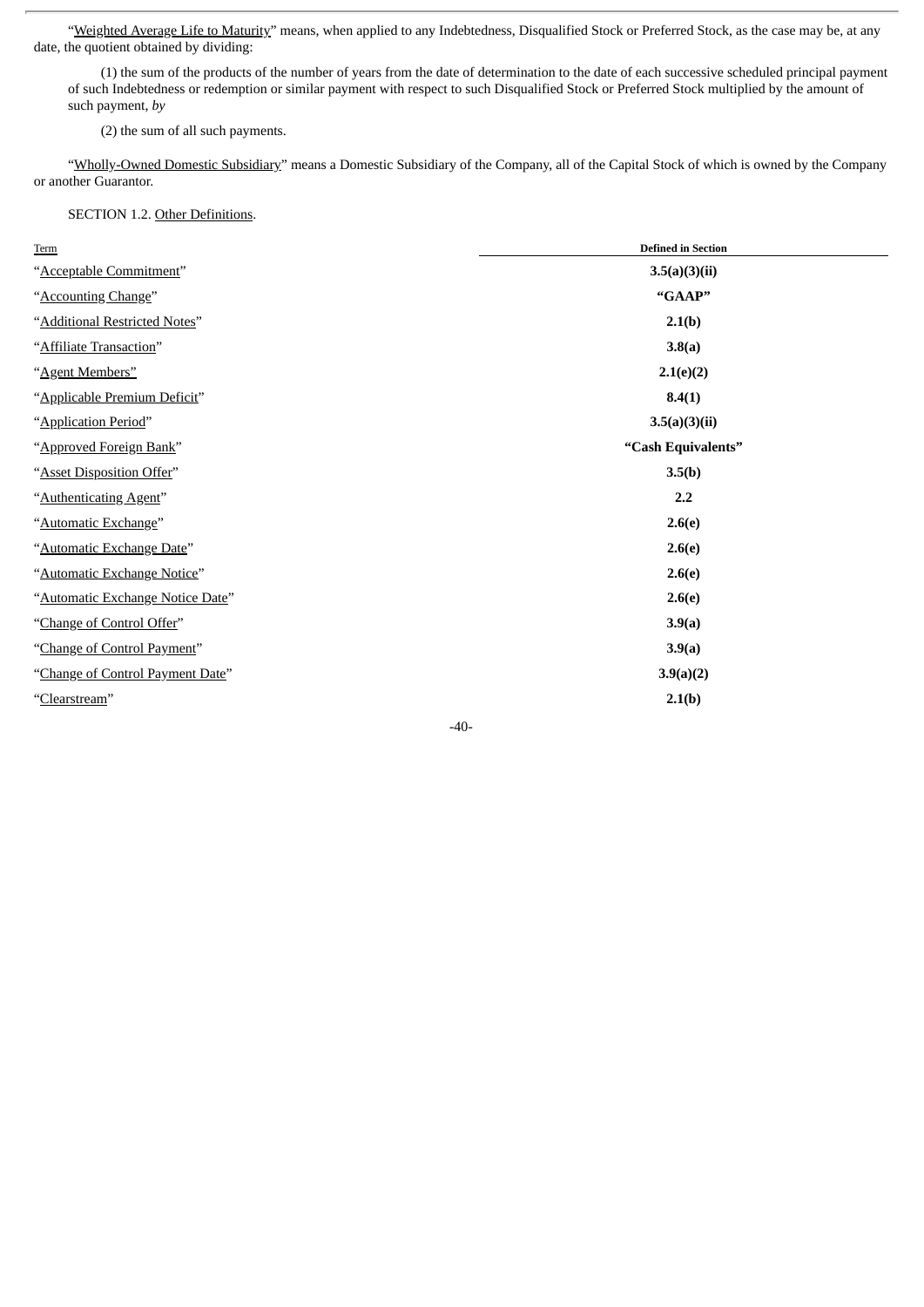"Weighted Average Life to Maturity" means, when applied to any Indebtedness, Disqualified Stock or Preferred Stock, as the case may be, at any date, the quotient obtained by dividing:

(1) the sum of the products of the number of years from the date of determination to the date of each successive scheduled principal payment of such Indebtedness or redemption or similar payment with respect to such Disqualified Stock or Preferred Stock multiplied by the amount of such payment, *by*

(2) the sum of all such payments.

"Wholly-Owned Domestic Subsidiary" means a Domestic Subsidiary of the Company, all of the Capital Stock of which is owned by the Company or another Guarantor.

# SECTION 1.2. Other Definitions.

| Term                             | <b>Defined in Section</b> |
|----------------------------------|---------------------------|
| "Acceptable Commitment"          | 3.5(a)(3)(ii)             |
| "Accounting Change"              | "GAAP"                    |
| "Additional Restricted Notes"    | 2.1(b)                    |
| "Affiliate Transaction"          | 3.8(a)                    |
| "Agent Members"                  | 2.1(e)(2)                 |
| "Applicable Premium Deficit"     | 8.4(1)                    |
| "Application Period"             | 3.5(a)(3)(ii)             |
| "Approved Foreign Bank"          | "Cash Equivalents"        |
| "Asset Disposition Offer"        | 3.5(b)                    |
| "Authenticating Agent"           | 2.2                       |
| "Automatic Exchange"             | 2.6(e)                    |
| "Automatic Exchange Date"        | 2.6(e)                    |
| "Automatic Exchange Notice"      | 2.6(e)                    |
| "Automatic Exchange Notice Date" | 2.6(e)                    |
| "Change of Control Offer"        | 3.9(a)                    |
| "Change of Control Payment"      | 3.9(a)                    |
| "Change of Control Payment Date" | 3.9(a)(2)                 |
| "Clearstream"                    | 2.1(b)                    |
|                                  |                           |

-40-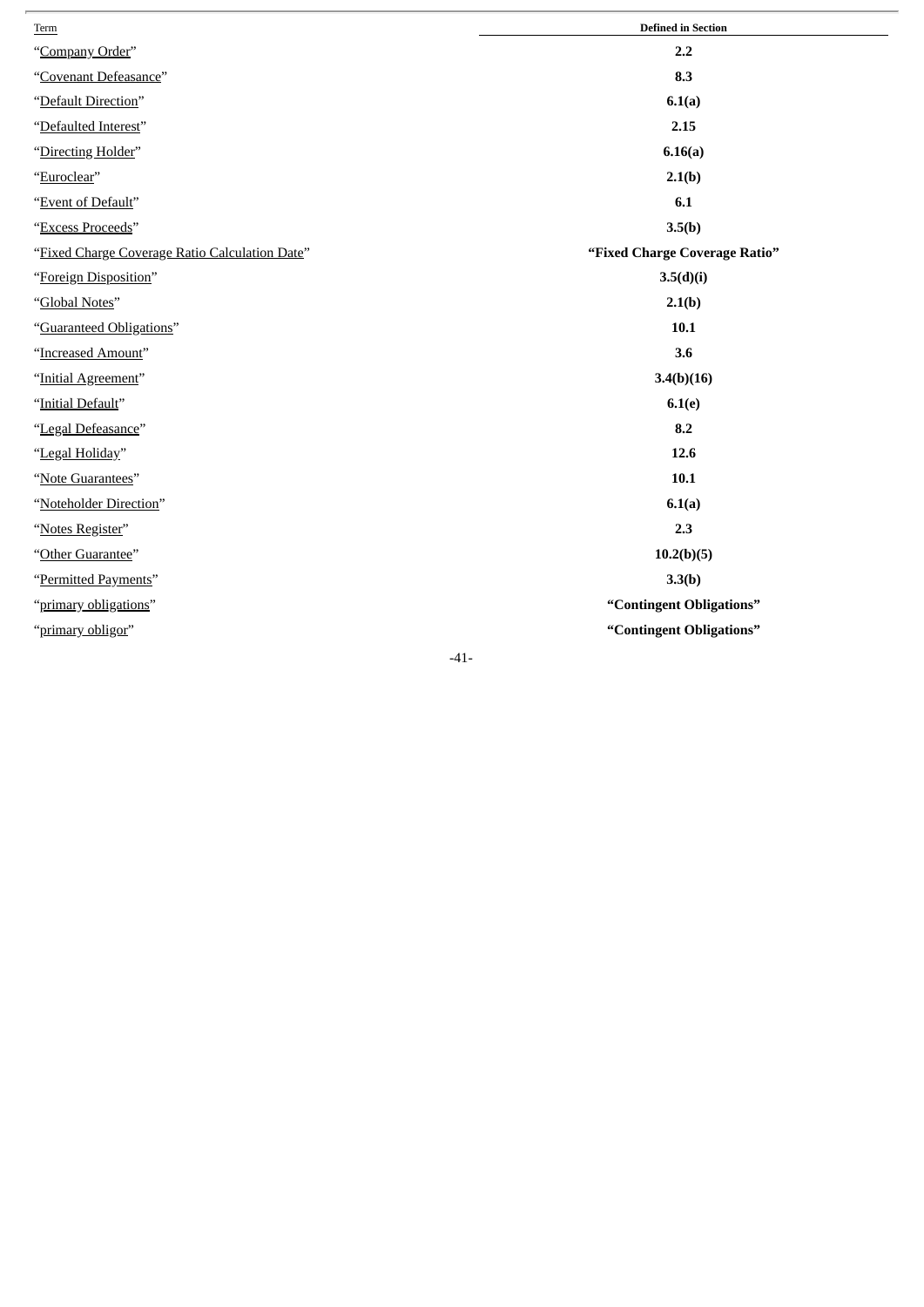| Term                                           | <b>Defined in Section</b>     |
|------------------------------------------------|-------------------------------|
| "Company Order"                                | 2.2                           |
| "Covenant Defeasance"                          | 8.3                           |
| "Default Direction"                            | 6.1(a)                        |
| "Defaulted Interest"                           | 2.15                          |
| "Directing Holder"                             | 6.16(a)                       |
| "Euroclear"                                    | 2.1(b)                        |
| "Event of Default"                             | 6.1                           |
| "Excess Proceeds"                              | 3.5(b)                        |
| "Fixed Charge Coverage Ratio Calculation Date" | "Fixed Charge Coverage Ratio" |
| "Foreign Disposition"                          | 3.5(d)(i)                     |
| "Global Notes"                                 | 2.1(b)                        |
| "Guaranteed Obligations"                       | 10.1                          |
| "Increased Amount"                             | 3.6                           |
| "Initial Agreement"                            | 3.4(b)(16)                    |
| "Initial Default"                              | 6.1(e)                        |
| "Legal Defeasance"                             | 8.2                           |
| "Legal Holiday"                                | 12.6                          |
| "Note Guarantees"                              | $10.1$                        |
| "Noteholder Direction"                         | 6.1(a)                        |
| "Notes Register"                               | 2.3                           |
| "Other Guarantee"                              | 10.2(b)(5)                    |
| "Permitted Payments"                           | 3.3(b)                        |
| "primary obligations"                          | "Contingent Obligations"      |
| "primary obligor"                              | "Contingent Obligations"      |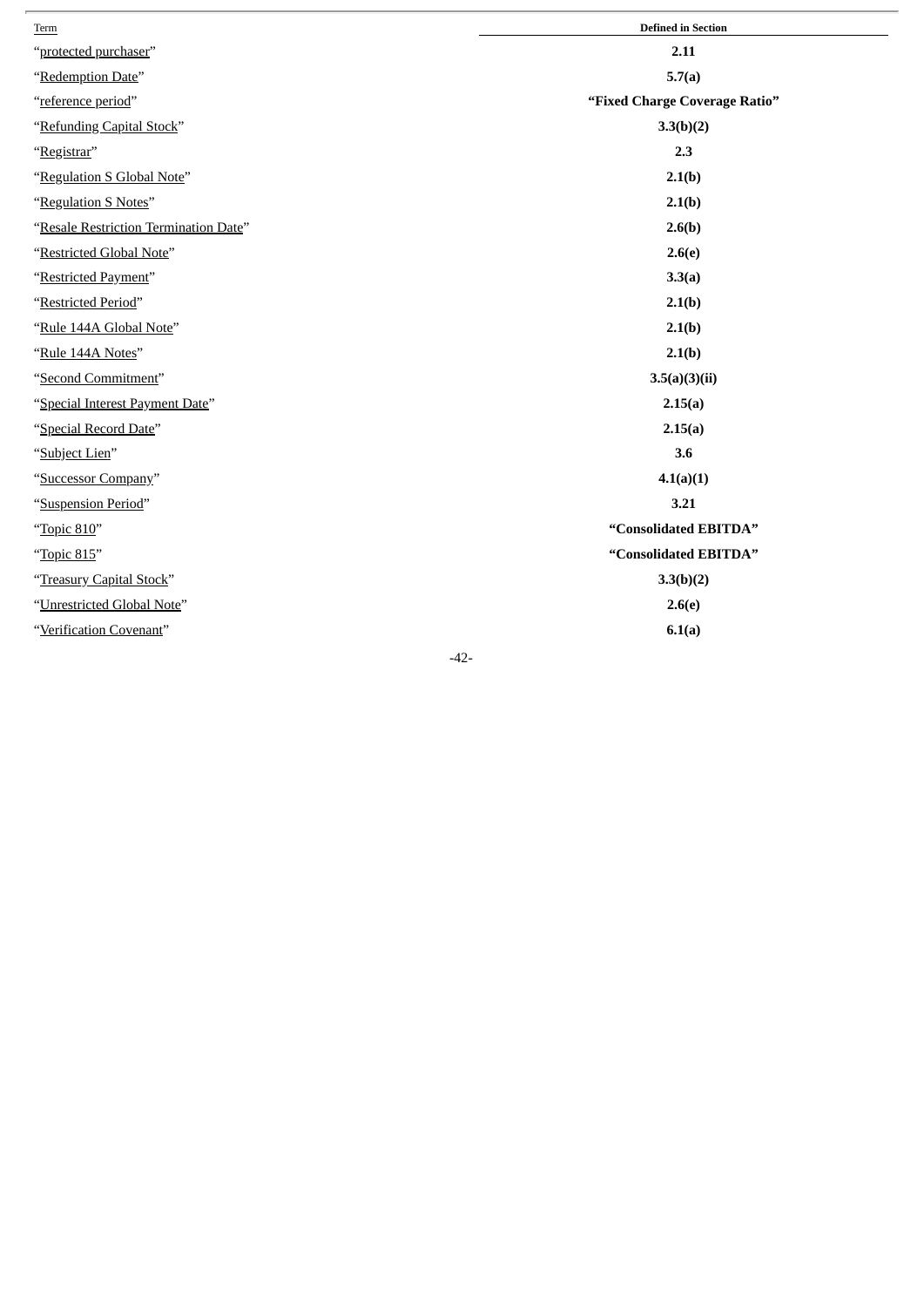| Term                                  | <b>Defined in Section</b>     |
|---------------------------------------|-------------------------------|
| "protected purchaser"                 | 2.11                          |
| "Redemption Date"                     | 5.7(a)                        |
| "reference period"                    | "Fixed Charge Coverage Ratio" |
| "Refunding Capital Stock"             | 3.3(b)(2)                     |
| "Registrar"                           | 2.3                           |
| "Regulation S Global Note"            | 2.1(b)                        |
| "Regulation S Notes"                  | 2.1(b)                        |
| "Resale Restriction Termination Date" | 2.6(b)                        |
| "Restricted Global Note"              | 2.6(e)                        |
| "Restricted Payment"                  | 3.3(a)                        |
| "Restricted Period"                   | 2.1(b)                        |
| "Rule 144A Global Note"               | 2.1(b)                        |
| "Rule 144A Notes"                     | 2.1(b)                        |
| "Second Commitment"                   | 3.5(a)(3)(ii)                 |
| "Special Interest Payment Date"       | 2.15(a)                       |
| "Special Record Date"                 | 2.15(a)                       |
| "Subject Lien"                        | 3.6                           |
| "Successor Company"                   | 4.1(a)(1)                     |
| "Suspension Period"                   | 3.21                          |
| "Topic 810"                           | "Consolidated EBITDA"         |
| "Topic 815"                           | "Consolidated EBITDA"         |
| "Treasury Capital Stock"              | 3.3(b)(2)                     |
| "Unrestricted Global Note"            | 2.6(e)                        |
| "Verification Covenant"               | 6.1(a)                        |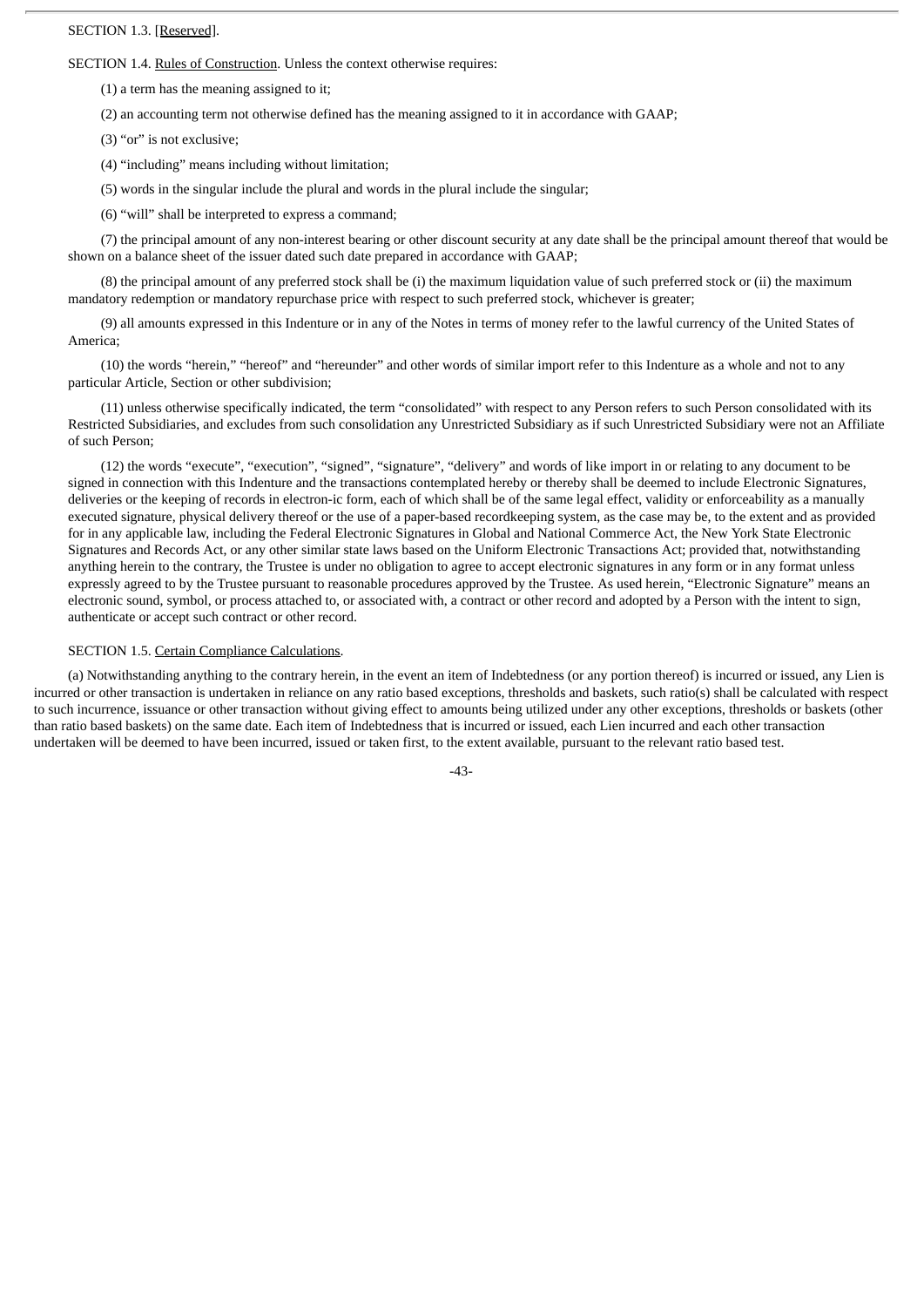#### SECTION 1.3. [Reserved].

SECTION 1.4. Rules of Construction. Unless the context otherwise requires:

(1) a term has the meaning assigned to it;

(2) an accounting term not otherwise defined has the meaning assigned to it in accordance with GAAP;

(3) "or" is not exclusive;

(4) "including" means including without limitation;

(5) words in the singular include the plural and words in the plural include the singular;

(6) "will" shall be interpreted to express a command;

(7) the principal amount of any non-interest bearing or other discount security at any date shall be the principal amount thereof that would be shown on a balance sheet of the issuer dated such date prepared in accordance with GAAP;

(8) the principal amount of any preferred stock shall be (i) the maximum liquidation value of such preferred stock or (ii) the maximum mandatory redemption or mandatory repurchase price with respect to such preferred stock, whichever is greater;

(9) all amounts expressed in this Indenture or in any of the Notes in terms of money refer to the lawful currency of the United States of America;

(10) the words "herein," "hereof" and "hereunder" and other words of similar import refer to this Indenture as a whole and not to any particular Article, Section or other subdivision;

(11) unless otherwise specifically indicated, the term "consolidated" with respect to any Person refers to such Person consolidated with its Restricted Subsidiaries, and excludes from such consolidation any Unrestricted Subsidiary as if such Unrestricted Subsidiary were not an Affiliate of such Person;

(12) the words "execute", "execution", "signed", "signature", "delivery" and words of like import in or relating to any document to be signed in connection with this Indenture and the transactions contemplated hereby or thereby shall be deemed to include Electronic Signatures, deliveries or the keeping of records in electron-ic form, each of which shall be of the same legal effect, validity or enforceability as a manually executed signature, physical delivery thereof or the use of a paper-based recordkeeping system, as the case may be, to the extent and as provided for in any applicable law, including the Federal Electronic Signatures in Global and National Commerce Act, the New York State Electronic Signatures and Records Act, or any other similar state laws based on the Uniform Electronic Transactions Act; provided that, notwithstanding anything herein to the contrary, the Trustee is under no obligation to agree to accept electronic signatures in any form or in any format unless expressly agreed to by the Trustee pursuant to reasonable procedures approved by the Trustee. As used herein, "Electronic Signature" means an electronic sound, symbol, or process attached to, or associated with, a contract or other record and adopted by a Person with the intent to sign, authenticate or accept such contract or other record.

#### SECTION 1.5. Certain Compliance Calculations.

(a) Notwithstanding anything to the contrary herein, in the event an item of Indebtedness (or any portion thereof) is incurred or issued, any Lien is incurred or other transaction is undertaken in reliance on any ratio based exceptions, thresholds and baskets, such ratio(s) shall be calculated with respect to such incurrence, issuance or other transaction without giving effect to amounts being utilized under any other exceptions, thresholds or baskets (other than ratio based baskets) on the same date. Each item of Indebtedness that is incurred or issued, each Lien incurred and each other transaction undertaken will be deemed to have been incurred, issued or taken first, to the extent available, pursuant to the relevant ratio based test.

-43-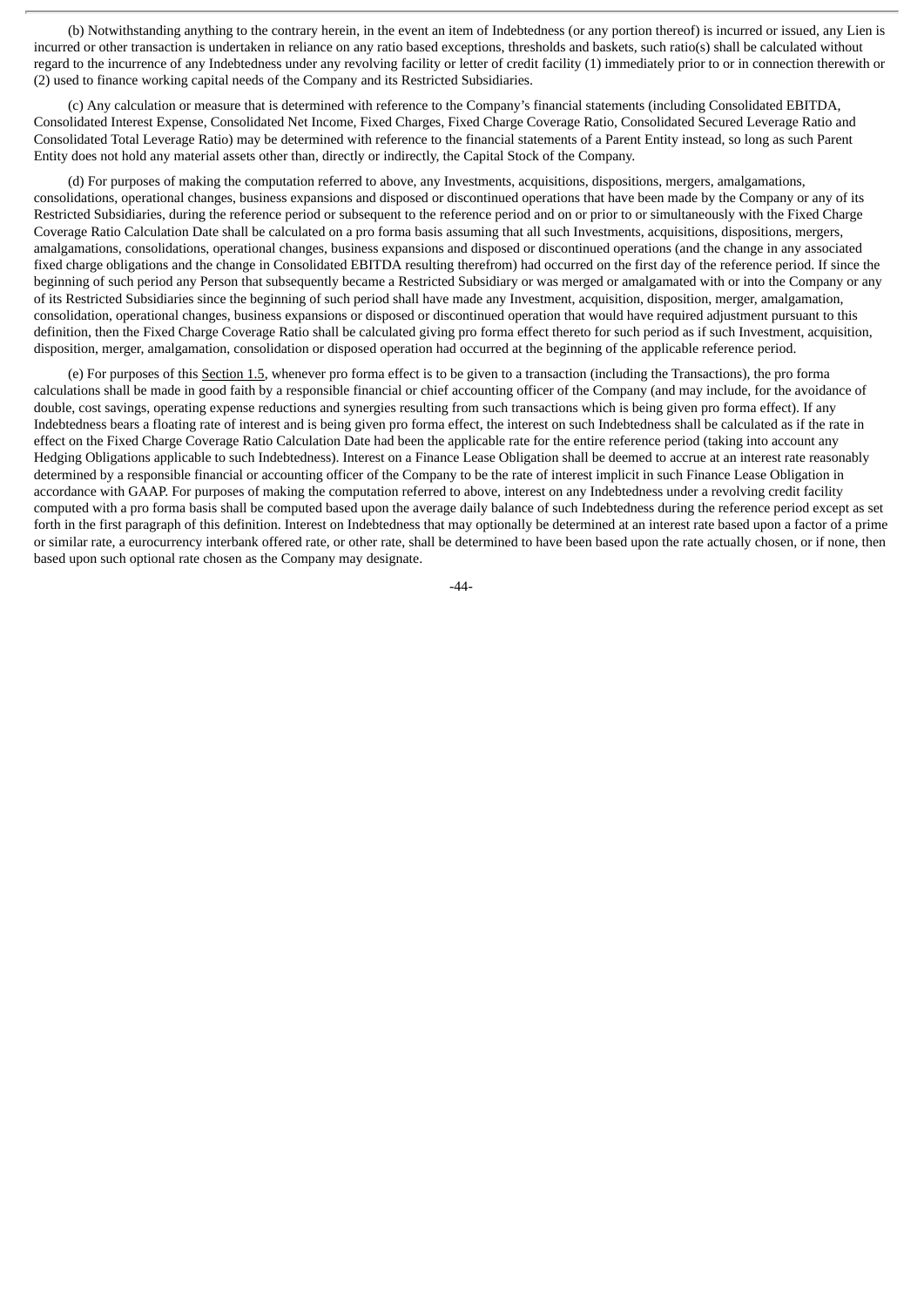(b) Notwithstanding anything to the contrary herein, in the event an item of Indebtedness (or any portion thereof) is incurred or issued, any Lien is incurred or other transaction is undertaken in reliance on any ratio based exceptions, thresholds and baskets, such ratio(s) shall be calculated without regard to the incurrence of any Indebtedness under any revolving facility or letter of credit facility (1) immediately prior to or in connection therewith or (2) used to finance working capital needs of the Company and its Restricted Subsidiaries.

(c) Any calculation or measure that is determined with reference to the Company's financial statements (including Consolidated EBITDA, Consolidated Interest Expense, Consolidated Net Income, Fixed Charges, Fixed Charge Coverage Ratio, Consolidated Secured Leverage Ratio and Consolidated Total Leverage Ratio) may be determined with reference to the financial statements of a Parent Entity instead, so long as such Parent Entity does not hold any material assets other than, directly or indirectly, the Capital Stock of the Company.

(d) For purposes of making the computation referred to above, any Investments, acquisitions, dispositions, mergers, amalgamations, consolidations, operational changes, business expansions and disposed or discontinued operations that have been made by the Company or any of its Restricted Subsidiaries, during the reference period or subsequent to the reference period and on or prior to or simultaneously with the Fixed Charge Coverage Ratio Calculation Date shall be calculated on a pro forma basis assuming that all such Investments, acquisitions, dispositions, mergers, amalgamations, consolidations, operational changes, business expansions and disposed or discontinued operations (and the change in any associated fixed charge obligations and the change in Consolidated EBITDA resulting therefrom) had occurred on the first day of the reference period. If since the beginning of such period any Person that subsequently became a Restricted Subsidiary or was merged or amalgamated with or into the Company or any of its Restricted Subsidiaries since the beginning of such period shall have made any Investment, acquisition, disposition, merger, amalgamation, consolidation, operational changes, business expansions or disposed or discontinued operation that would have required adjustment pursuant to this definition, then the Fixed Charge Coverage Ratio shall be calculated giving pro forma effect thereto for such period as if such Investment, acquisition, disposition, merger, amalgamation, consolidation or disposed operation had occurred at the beginning of the applicable reference period.

(e) For purposes of this Section 1.5, whenever pro forma effect is to be given to a transaction (including the Transactions), the pro forma calculations shall be made in good faith by a responsible financial or chief accounting officer of the Company (and may include, for the avoidance of double, cost savings, operating expense reductions and synergies resulting from such transactions which is being given pro forma effect). If any Indebtedness bears a floating rate of interest and is being given pro forma effect, the interest on such Indebtedness shall be calculated as if the rate in effect on the Fixed Charge Coverage Ratio Calculation Date had been the applicable rate for the entire reference period (taking into account any Hedging Obligations applicable to such Indebtedness). Interest on a Finance Lease Obligation shall be deemed to accrue at an interest rate reasonably determined by a responsible financial or accounting officer of the Company to be the rate of interest implicit in such Finance Lease Obligation in accordance with GAAP. For purposes of making the computation referred to above, interest on any Indebtedness under a revolving credit facility computed with a pro forma basis shall be computed based upon the average daily balance of such Indebtedness during the reference period except as set forth in the first paragraph of this definition. Interest on Indebtedness that may optionally be determined at an interest rate based upon a factor of a prime or similar rate, a eurocurrency interbank offered rate, or other rate, shall be determined to have been based upon the rate actually chosen, or if none, then based upon such optional rate chosen as the Company may designate.

 $-44-$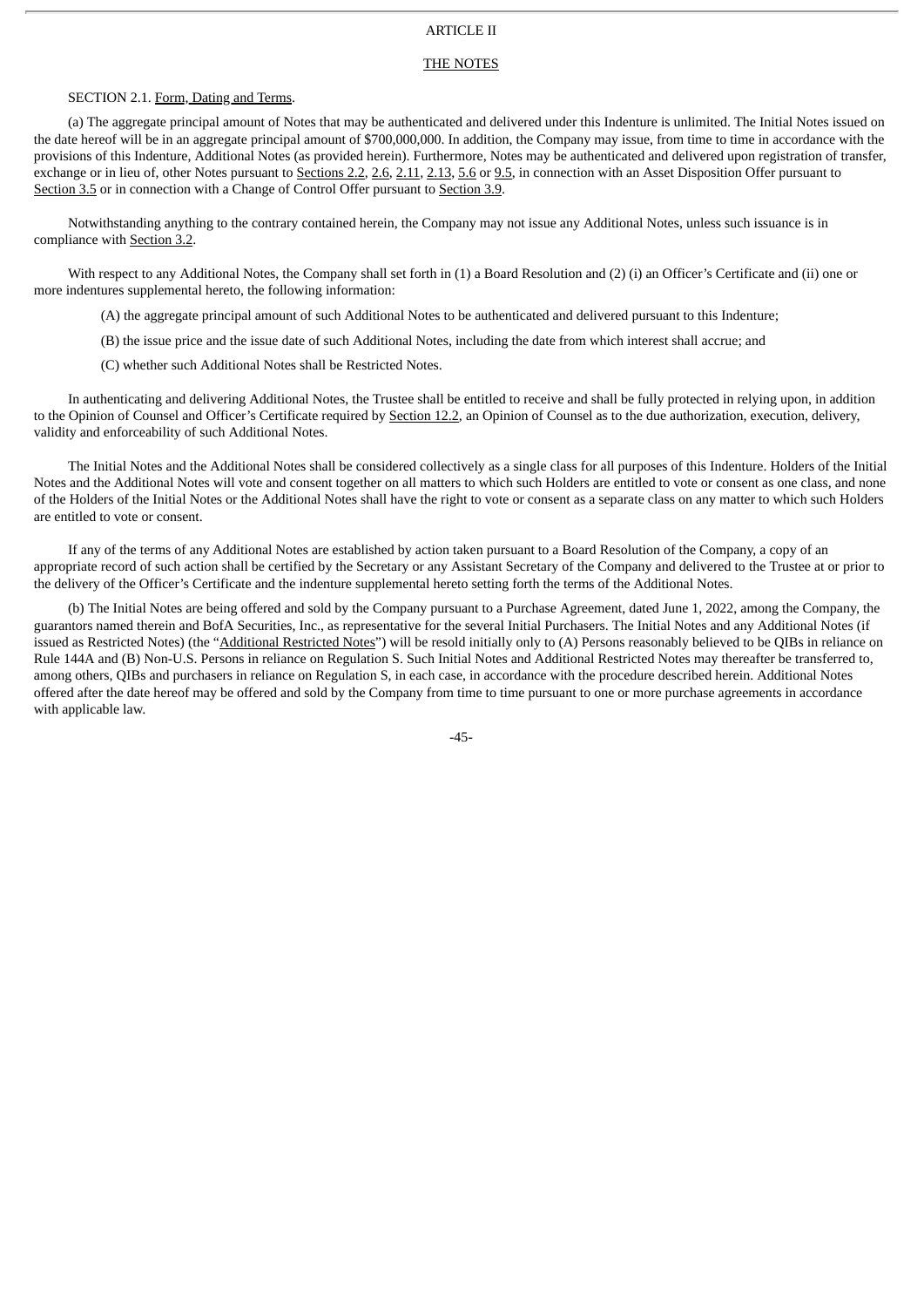# ARTICLE II

#### THE NOTES

## SECTION 2.1. Form, Dating and Terms.

(a) The aggregate principal amount of Notes that may be authenticated and delivered under this Indenture is unlimited. The Initial Notes issued on the date hereof will be in an aggregate principal amount of \$700,000,000. In addition, the Company may issue, from time to time in accordance with the provisions of this Indenture, Additional Notes (as provided herein). Furthermore, Notes may be authenticated and delivered upon registration of transfer, exchange or in lieu of, other Notes pursuant to Sections 2.2, 2.6, 2.11, 2.13, 5.6 or 9.5, in connection with an Asset Disposition Offer pursuant to Section 3.5 or in connection with a Change of Control Offer pursuant to Section 3.9.

Notwithstanding anything to the contrary contained herein, the Company may not issue any Additional Notes, unless such issuance is in compliance with Section 3.2.

With respect to any Additional Notes, the Company shall set forth in (1) a Board Resolution and (2) (i) an Officer's Certificate and (ii) one or more indentures supplemental hereto, the following information:

(A) the aggregate principal amount of such Additional Notes to be authenticated and delivered pursuant to this Indenture;

(B) the issue price and the issue date of such Additional Notes, including the date from which interest shall accrue; and

(C) whether such Additional Notes shall be Restricted Notes.

In authenticating and delivering Additional Notes, the Trustee shall be entitled to receive and shall be fully protected in relying upon, in addition to the Opinion of Counsel and Officer's Certificate required by Section 12.2, an Opinion of Counsel as to the due authorization, execution, delivery, validity and enforceability of such Additional Notes.

The Initial Notes and the Additional Notes shall be considered collectively as a single class for all purposes of this Indenture. Holders of the Initial Notes and the Additional Notes will vote and consent together on all matters to which such Holders are entitled to vote or consent as one class, and none of the Holders of the Initial Notes or the Additional Notes shall have the right to vote or consent as a separate class on any matter to which such Holders are entitled to vote or consent.

If any of the terms of any Additional Notes are established by action taken pursuant to a Board Resolution of the Company, a copy of an appropriate record of such action shall be certified by the Secretary or any Assistant Secretary of the Company and delivered to the Trustee at or prior to the delivery of the Officer's Certificate and the indenture supplemental hereto setting forth the terms of the Additional Notes.

(b) The Initial Notes are being offered and sold by the Company pursuant to a Purchase Agreement, dated June 1, 2022, among the Company, the guarantors named therein and BofA Securities, Inc., as representative for the several Initial Purchasers. The Initial Notes and any Additional Notes (if issued as Restricted Notes) (the "Additional Restricted Notes") will be resold initially only to (A) Persons reasonably believed to be QIBs in reliance on Rule 144A and (B) Non-U.S. Persons in reliance on Regulation S. Such Initial Notes and Additional Restricted Notes may thereafter be transferred to, among others, QIBs and purchasers in reliance on Regulation S, in each case, in accordance with the procedure described herein. Additional Notes offered after the date hereof may be offered and sold by the Company from time to time pursuant to one or more purchase agreements in accordance with applicable law.

-45-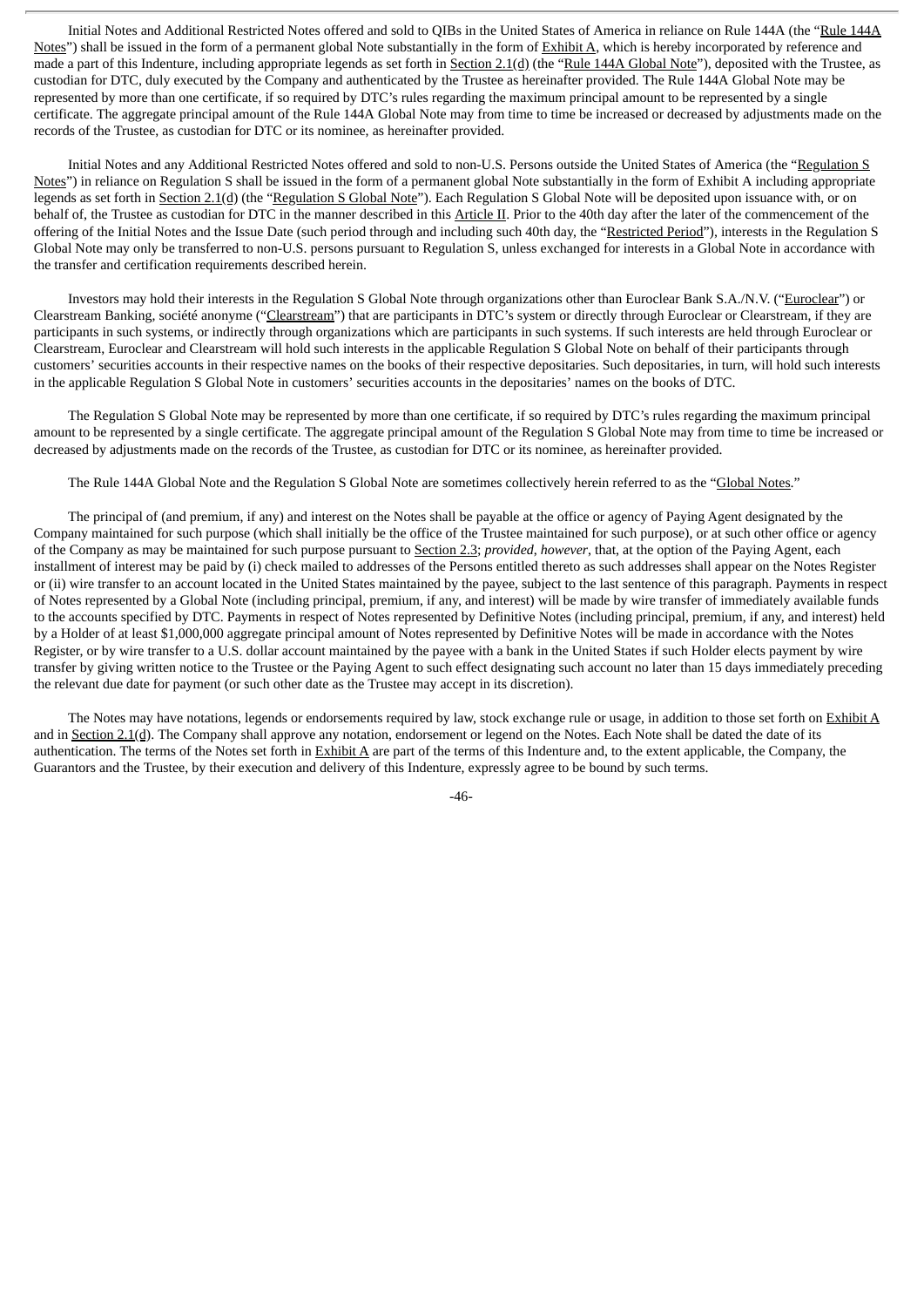Initial Notes and Additional Restricted Notes offered and sold to QIBs in the United States of America in reliance on Rule 144A (the "Rule 144A Notes") shall be issued in the form of a permanent global Note substantially in the form of Exhibit A, which is hereby incorporated by reference and made a part of this Indenture, including appropriate legends as set forth in Section 2.1(d) (the "Rule 144A Global Note"), deposited with the Trustee, as custodian for DTC, duly executed by the Company and authenticated by the Trustee as hereinafter provided. The Rule 144A Global Note may be represented by more than one certificate, if so required by DTC's rules regarding the maximum principal amount to be represented by a single certificate. The aggregate principal amount of the Rule 144A Global Note may from time to time be increased or decreased by adjustments made on the records of the Trustee, as custodian for DTC or its nominee, as hereinafter provided.

Initial Notes and any Additional Restricted Notes offered and sold to non-U.S. Persons outside the United States of America (the "Regulation S Notes") in reliance on Regulation S shall be issued in the form of a permanent global Note substantially in the form of Exhibit A including appropriate legends as set forth in Section 2.1(d) (the "Regulation S Global Note"). Each Regulation S Global Note will be deposited upon issuance with, or on behalf of, the Trustee as custodian for DTC in the manner described in this Article II. Prior to the 40th day after the later of the commencement of the offering of the Initial Notes and the Issue Date (such period through and including such 40th day, the "Restricted Period"), interests in the Regulation S Global Note may only be transferred to non-U.S. persons pursuant to Regulation S, unless exchanged for interests in a Global Note in accordance with the transfer and certification requirements described herein.

Investors may hold their interests in the Regulation S Global Note through organizations other than Euroclear Bank S.A./N.V. ("Euroclear") or Clearstream Banking, société anonyme ("Clearstream") that are participants in DTC's system or directly through Euroclear or Clearstream, if they are participants in such systems, or indirectly through organizations which are participants in such systems. If such interests are held through Euroclear or Clearstream, Euroclear and Clearstream will hold such interests in the applicable Regulation S Global Note on behalf of their participants through customers' securities accounts in their respective names on the books of their respective depositaries. Such depositaries, in turn, will hold such interests in the applicable Regulation S Global Note in customers' securities accounts in the depositaries' names on the books of DTC.

The Regulation S Global Note may be represented by more than one certificate, if so required by DTC's rules regarding the maximum principal amount to be represented by a single certificate. The aggregate principal amount of the Regulation S Global Note may from time to time be increased or decreased by adjustments made on the records of the Trustee, as custodian for DTC or its nominee, as hereinafter provided.

The Rule 144A Global Note and the Regulation S Global Note are sometimes collectively herein referred to as the "Global Notes."

The principal of (and premium, if any) and interest on the Notes shall be payable at the office or agency of Paying Agent designated by the Company maintained for such purpose (which shall initially be the office of the Trustee maintained for such purpose), or at such other office or agency of the Company as may be maintained for such purpose pursuant to Section 2.3; *provided*, *however*, that, at the option of the Paying Agent, each installment of interest may be paid by (i) check mailed to addresses of the Persons entitled thereto as such addresses shall appear on the Notes Register or (ii) wire transfer to an account located in the United States maintained by the payee, subject to the last sentence of this paragraph. Payments in respect of Notes represented by a Global Note (including principal, premium, if any, and interest) will be made by wire transfer of immediately available funds to the accounts specified by DTC. Payments in respect of Notes represented by Definitive Notes (including principal, premium, if any, and interest) held by a Holder of at least \$1,000,000 aggregate principal amount of Notes represented by Definitive Notes will be made in accordance with the Notes Register, or by wire transfer to a U.S. dollar account maintained by the payee with a bank in the United States if such Holder elects payment by wire transfer by giving written notice to the Trustee or the Paying Agent to such effect designating such account no later than 15 days immediately preceding the relevant due date for payment (or such other date as the Trustee may accept in its discretion).

The Notes may have notations, legends or endorsements required by law, stock exchange rule or usage, in addition to those set forth on  $\frac{\text{Exhibit A}}{\text{Area}}$ and in Section 2.1(d). The Company shall approve any notation, endorsement or legend on the Notes. Each Note shall be dated the date of its authentication. The terms of the Notes set forth in Exhibit A are part of the terms of this Indenture and, to the extent applicable, the Company, the Guarantors and the Trustee, by their execution and delivery of this Indenture, expressly agree to be bound by such terms.

-46-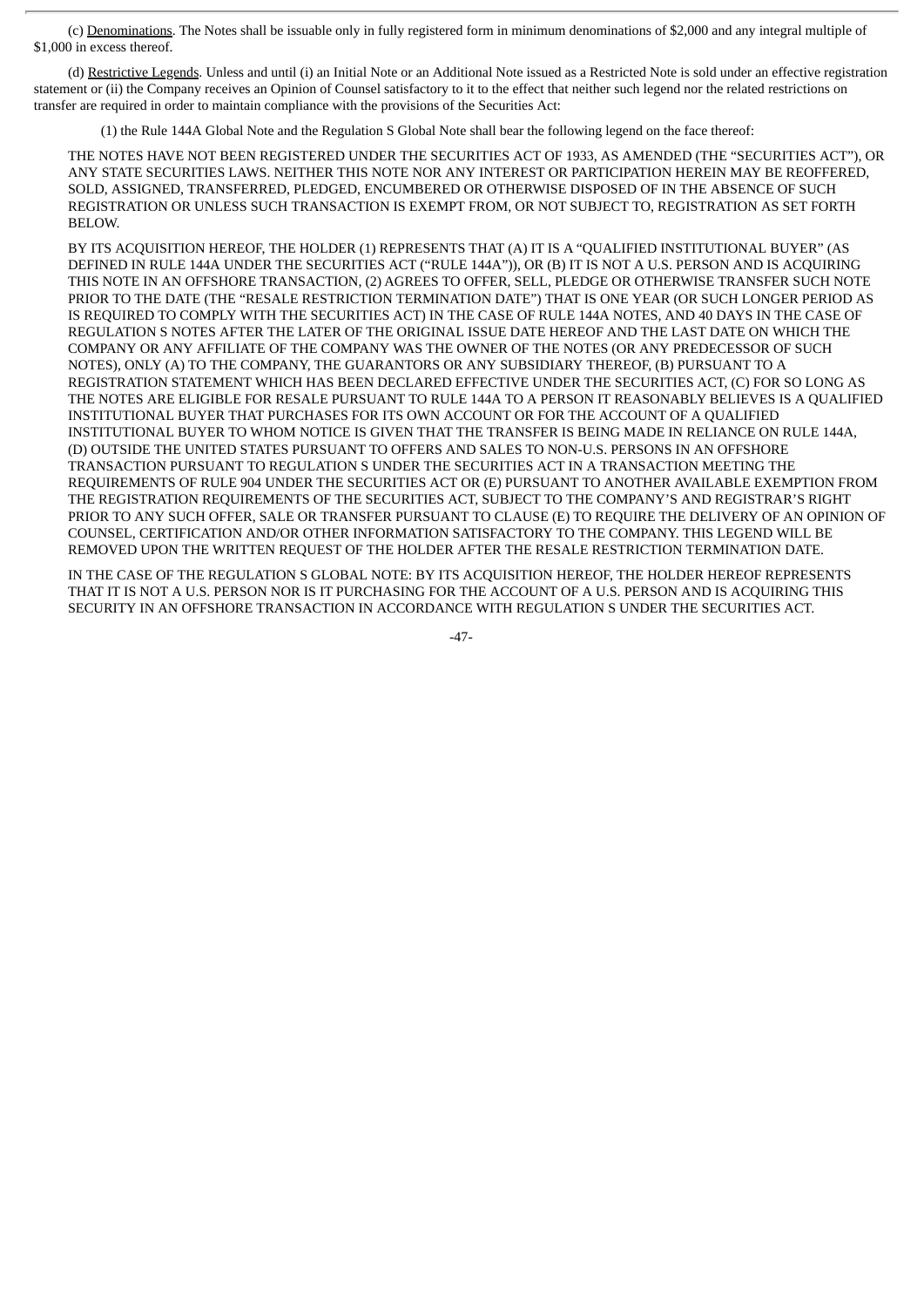(c) Denominations. The Notes shall be issuable only in fully registered form in minimum denominations of \$2,000 and any integral multiple of \$1,000 in excess thereof.

(d) Restrictive Legends. Unless and until (i) an Initial Note or an Additional Note issued as a Restricted Note is sold under an effective registration statement or (ii) the Company receives an Opinion of Counsel satisfactory to it to the effect that neither such legend nor the related restrictions on transfer are required in order to maintain compliance with the provisions of the Securities Act:

(1) the Rule 144A Global Note and the Regulation S Global Note shall bear the following legend on the face thereof:

THE NOTES HAVE NOT BEEN REGISTERED UNDER THE SECURITIES ACT OF 1933, AS AMENDED (THE "SECURITIES ACT"), OR ANY STATE SECURITIES LAWS. NEITHER THIS NOTE NOR ANY INTEREST OR PARTICIPATION HEREIN MAY BE REOFFERED, SOLD, ASSIGNED, TRANSFERRED, PLEDGED, ENCUMBERED OR OTHERWISE DISPOSED OF IN THE ABSENCE OF SUCH REGISTRATION OR UNLESS SUCH TRANSACTION IS EXEMPT FROM, OR NOT SUBJECT TO, REGISTRATION AS SET FORTH BELOW.

BY ITS ACQUISITION HEREOF, THE HOLDER (1) REPRESENTS THAT (A) IT IS A "QUALIFIED INSTITUTIONAL BUYER" (AS DEFINED IN RULE 144A UNDER THE SECURITIES ACT ("RULE 144A")), OR (B) IT IS NOT A U.S. PERSON AND IS ACQUIRING THIS NOTE IN AN OFFSHORE TRANSACTION, (2) AGREES TO OFFER, SELL, PLEDGE OR OTHERWISE TRANSFER SUCH NOTE PRIOR TO THE DATE (THE "RESALE RESTRICTION TERMINATION DATE") THAT IS ONE YEAR (OR SUCH LONGER PERIOD AS IS REQUIRED TO COMPLY WITH THE SECURITIES ACT) IN THE CASE OF RULE 144A NOTES, AND 40 DAYS IN THE CASE OF REGULATION S NOTES AFTER THE LATER OF THE ORIGINAL ISSUE DATE HEREOF AND THE LAST DATE ON WHICH THE COMPANY OR ANY AFFILIATE OF THE COMPANY WAS THE OWNER OF THE NOTES (OR ANY PREDECESSOR OF SUCH NOTES), ONLY (A) TO THE COMPANY, THE GUARANTORS OR ANY SUBSIDIARY THEREOF, (B) PURSUANT TO A REGISTRATION STATEMENT WHICH HAS BEEN DECLARED EFFECTIVE UNDER THE SECURITIES ACT, (C) FOR SO LONG AS THE NOTES ARE ELIGIBLE FOR RESALE PURSUANT TO RULE 144A TO A PERSON IT REASONABLY BELIEVES IS A QUALIFIED INSTITUTIONAL BUYER THAT PURCHASES FOR ITS OWN ACCOUNT OR FOR THE ACCOUNT OF A QUALIFIED INSTITUTIONAL BUYER TO WHOM NOTICE IS GIVEN THAT THE TRANSFER IS BEING MADE IN RELIANCE ON RULE 144A, (D) OUTSIDE THE UNITED STATES PURSUANT TO OFFERS AND SALES TO NON-U.S. PERSONS IN AN OFFSHORE TRANSACTION PURSUANT TO REGULATION S UNDER THE SECURITIES ACT IN A TRANSACTION MEETING THE REQUIREMENTS OF RULE 904 UNDER THE SECURITIES ACT OR (E) PURSUANT TO ANOTHER AVAILABLE EXEMPTION FROM THE REGISTRATION REQUIREMENTS OF THE SECURITIES ACT, SUBJECT TO THE COMPANY'S AND REGISTRAR'S RIGHT PRIOR TO ANY SUCH OFFER, SALE OR TRANSFER PURSUANT TO CLAUSE (E) TO REQUIRE THE DELIVERY OF AN OPINION OF COUNSEL, CERTIFICATION AND/OR OTHER INFORMATION SATISFACTORY TO THE COMPANY. THIS LEGEND WILL BE REMOVED UPON THE WRITTEN REQUEST OF THE HOLDER AFTER THE RESALE RESTRICTION TERMINATION DATE.

IN THE CASE OF THE REGULATION S GLOBAL NOTE: BY ITS ACQUISITION HEREOF, THE HOLDER HEREOF REPRESENTS THAT IT IS NOT A U.S. PERSON NOR IS IT PURCHASING FOR THE ACCOUNT OF A U.S. PERSON AND IS ACQUIRING THIS SECURITY IN AN OFFSHORE TRANSACTION IN ACCORDANCE WITH REGULATION S UNDER THE SECURITIES ACT.

-47-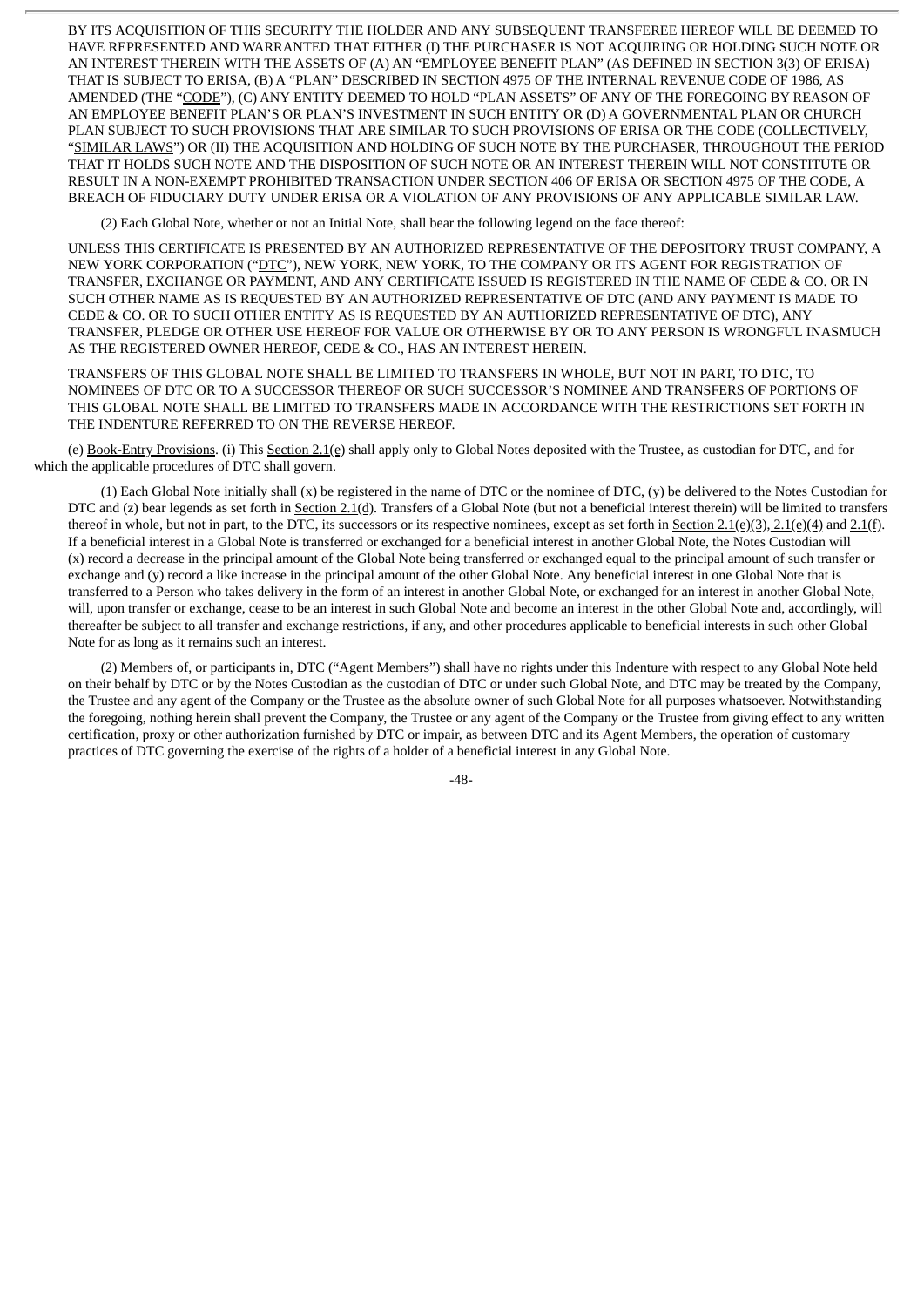BY ITS ACQUISITION OF THIS SECURITY THE HOLDER AND ANY SUBSEQUENT TRANSFEREE HEREOF WILL BE DEEMED TO HAVE REPRESENTED AND WARRANTED THAT EITHER (I) THE PURCHASER IS NOT ACQUIRING OR HOLDING SUCH NOTE OR AN INTEREST THEREIN WITH THE ASSETS OF (A) AN "EMPLOYEE BENEFIT PLAN" (AS DEFINED IN SECTION 3(3) OF ERISA) THAT IS SUBJECT TO ERISA, (B) A "PLAN" DESCRIBED IN SECTION 4975 OF THE INTERNAL REVENUE CODE OF 1986, AS AMENDED (THE "CODE"), (C) ANY ENTITY DEEMED TO HOLD "PLAN ASSETS" OF ANY OF THE FOREGOING BY REASON OF AN EMPLOYEE BENEFIT PLAN'S OR PLAN'S INVESTMENT IN SUCH ENTITY OR (D) A GOVERNMENTAL PLAN OR CHURCH PLAN SUBJECT TO SUCH PROVISIONS THAT ARE SIMILAR TO SUCH PROVISIONS OF ERISA OR THE CODE (COLLECTIVELY, "SIMILAR LAWS") OR (II) THE ACQUISITION AND HOLDING OF SUCH NOTE BY THE PURCHASER, THROUGHOUT THE PERIOD THAT IT HOLDS SUCH NOTE AND THE DISPOSITION OF SUCH NOTE OR AN INTEREST THEREIN WILL NOT CONSTITUTE OR RESULT IN A NON-EXEMPT PROHIBITED TRANSACTION UNDER SECTION 406 OF ERISA OR SECTION 4975 OF THE CODE, A BREACH OF FIDUCIARY DUTY UNDER ERISA OR A VIOLATION OF ANY PROVISIONS OF ANY APPLICABLE SIMILAR LAW.

(2) Each Global Note, whether or not an Initial Note, shall bear the following legend on the face thereof:

UNLESS THIS CERTIFICATE IS PRESENTED BY AN AUTHORIZED REPRESENTATIVE OF THE DEPOSITORY TRUST COMPANY, A NEW YORK CORPORATION ("DTC"), NEW YORK, NEW YORK, TO THE COMPANY OR ITS AGENT FOR REGISTRATION OF TRANSFER, EXCHANGE OR PAYMENT, AND ANY CERTIFICATE ISSUED IS REGISTERED IN THE NAME OF CEDE & CO. OR IN SUCH OTHER NAME AS IS REQUESTED BY AN AUTHORIZED REPRESENTATIVE OF DTC (AND ANY PAYMENT IS MADE TO CEDE & CO. OR TO SUCH OTHER ENTITY AS IS REQUESTED BY AN AUTHORIZED REPRESENTATIVE OF DTC), ANY TRANSFER, PLEDGE OR OTHER USE HEREOF FOR VALUE OR OTHERWISE BY OR TO ANY PERSON IS WRONGFUL INASMUCH AS THE REGISTERED OWNER HEREOF, CEDE & CO., HAS AN INTEREST HEREIN.

TRANSFERS OF THIS GLOBAL NOTE SHALL BE LIMITED TO TRANSFERS IN WHOLE, BUT NOT IN PART, TO DTC, TO NOMINEES OF DTC OR TO A SUCCESSOR THEREOF OR SUCH SUCCESSOR'S NOMINEE AND TRANSFERS OF PORTIONS OF THIS GLOBAL NOTE SHALL BE LIMITED TO TRANSFERS MADE IN ACCORDANCE WITH THE RESTRICTIONS SET FORTH IN THE INDENTURE REFERRED TO ON THE REVERSE HEREOF.

(e) Book-Entry Provisions. (i) This Section 2.1(e) shall apply only to Global Notes deposited with the Trustee, as custodian for DTC, and for which the applicable procedures of DTC shall govern.

(1) Each Global Note initially shall (x) be registered in the name of DTC or the nominee of DTC, (y) be delivered to the Notes Custodian for DTC and (z) bear legends as set forth in Section 2.1(d). Transfers of a Global Note (but not a beneficial interest therein) will be limited to transfers thereof in whole, but not in part, to the DTC, its successors or its respective nominees, except as set forth in Section 2.1(e)(3), 2.1(e)(4) and 2.1(f). If a beneficial interest in a Global Note is transferred or exchanged for a beneficial interest in another Global Note, the Notes Custodian will (x) record a decrease in the principal amount of the Global Note being transferred or exchanged equal to the principal amount of such transfer or exchange and (y) record a like increase in the principal amount of the other Global Note. Any beneficial interest in one Global Note that is transferred to a Person who takes delivery in the form of an interest in another Global Note, or exchanged for an interest in another Global Note, will, upon transfer or exchange, cease to be an interest in such Global Note and become an interest in the other Global Note and, accordingly, will thereafter be subject to all transfer and exchange restrictions, if any, and other procedures applicable to beneficial interests in such other Global Note for as long as it remains such an interest.

(2) Members of, or participants in, DTC ("Agent Members") shall have no rights under this Indenture with respect to any Global Note held on their behalf by DTC or by the Notes Custodian as the custodian of DTC or under such Global Note, and DTC may be treated by the Company, the Trustee and any agent of the Company or the Trustee as the absolute owner of such Global Note for all purposes whatsoever. Notwithstanding the foregoing, nothing herein shall prevent the Company, the Trustee or any agent of the Company or the Trustee from giving effect to any written certification, proxy or other authorization furnished by DTC or impair, as between DTC and its Agent Members, the operation of customary practices of DTC governing the exercise of the rights of a holder of a beneficial interest in any Global Note.

-48-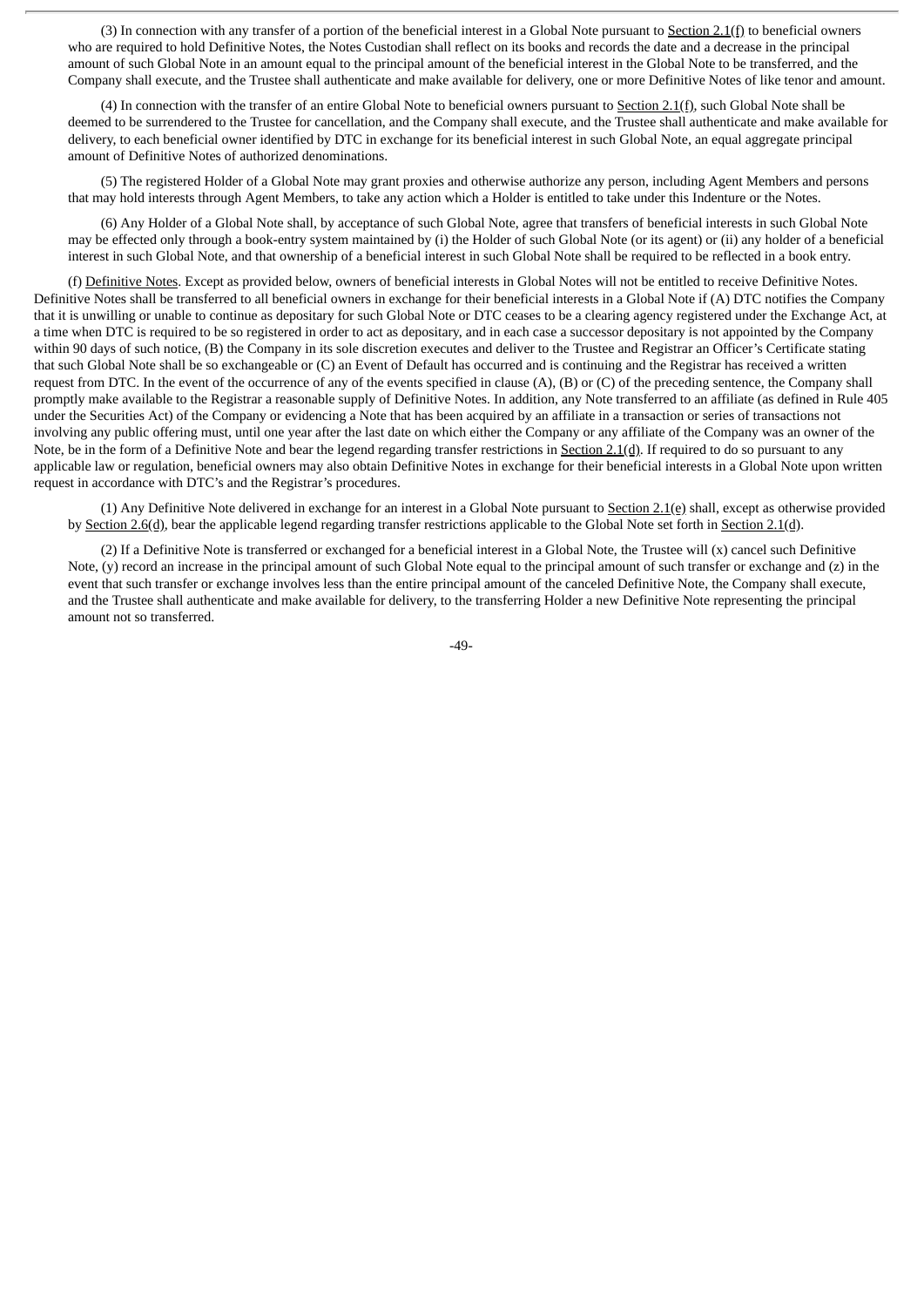(3) In connection with any transfer of a portion of the beneficial interest in a Global Note pursuant to Section 2.1(f) to beneficial owners who are required to hold Definitive Notes, the Notes Custodian shall reflect on its books and records the date and a decrease in the principal amount of such Global Note in an amount equal to the principal amount of the beneficial interest in the Global Note to be transferred, and the Company shall execute, and the Trustee shall authenticate and make available for delivery, one or more Definitive Notes of like tenor and amount.

(4) In connection with the transfer of an entire Global Note to beneficial owners pursuant to **Section 2.1(f)**, such Global Note shall be deemed to be surrendered to the Trustee for cancellation, and the Company shall execute, and the Trustee shall authenticate and make available for delivery, to each beneficial owner identified by DTC in exchange for its beneficial interest in such Global Note, an equal aggregate principal amount of Definitive Notes of authorized denominations.

(5) The registered Holder of a Global Note may grant proxies and otherwise authorize any person, including Agent Members and persons that may hold interests through Agent Members, to take any action which a Holder is entitled to take under this Indenture or the Notes.

(6) Any Holder of a Global Note shall, by acceptance of such Global Note, agree that transfers of beneficial interests in such Global Note may be effected only through a book-entry system maintained by (i) the Holder of such Global Note (or its agent) or (ii) any holder of a beneficial interest in such Global Note, and that ownership of a beneficial interest in such Global Note shall be required to be reflected in a book entry.

(f) Definitive Notes. Except as provided below, owners of beneficial interests in Global Notes will not be entitled to receive Definitive Notes. Definitive Notes shall be transferred to all beneficial owners in exchange for their beneficial interests in a Global Note if (A) DTC notifies the Company that it is unwilling or unable to continue as depositary for such Global Note or DTC ceases to be a clearing agency registered under the Exchange Act, at a time when DTC is required to be so registered in order to act as depositary, and in each case a successor depositary is not appointed by the Company within 90 days of such notice, (B) the Company in its sole discretion executes and deliver to the Trustee and Registrar an Officer's Certificate stating that such Global Note shall be so exchangeable or (C) an Event of Default has occurred and is continuing and the Registrar has received a written request from DTC. In the event of the occurrence of any of the events specified in clause (A), (B) or (C) of the preceding sentence, the Company shall promptly make available to the Registrar a reasonable supply of Definitive Notes. In addition, any Note transferred to an affiliate (as defined in Rule 405 under the Securities Act) of the Company or evidencing a Note that has been acquired by an affiliate in a transaction or series of transactions not involving any public offering must, until one year after the last date on which either the Company or any affiliate of the Company was an owner of the Note, be in the form of a Definitive Note and bear the legend regarding transfer restrictions in Section 2.1(d). If required to do so pursuant to any applicable law or regulation, beneficial owners may also obtain Definitive Notes in exchange for their beneficial interests in a Global Note upon written request in accordance with DTC's and the Registrar's procedures.

(1) Any Definitive Note delivered in exchange for an interest in a Global Note pursuant to **Section 2.1(e)** shall, except as otherwise provided by Section 2.6(d), bear the applicable legend regarding transfer restrictions applicable to the Global Note set forth in Section 2.1(d).

(2) If a Definitive Note is transferred or exchanged for a beneficial interest in a Global Note, the Trustee will (x) cancel such Definitive Note, (y) record an increase in the principal amount of such Global Note equal to the principal amount of such transfer or exchange and (z) in the event that such transfer or exchange involves less than the entire principal amount of the canceled Definitive Note, the Company shall execute, and the Trustee shall authenticate and make available for delivery, to the transferring Holder a new Definitive Note representing the principal amount not so transferred.

-49-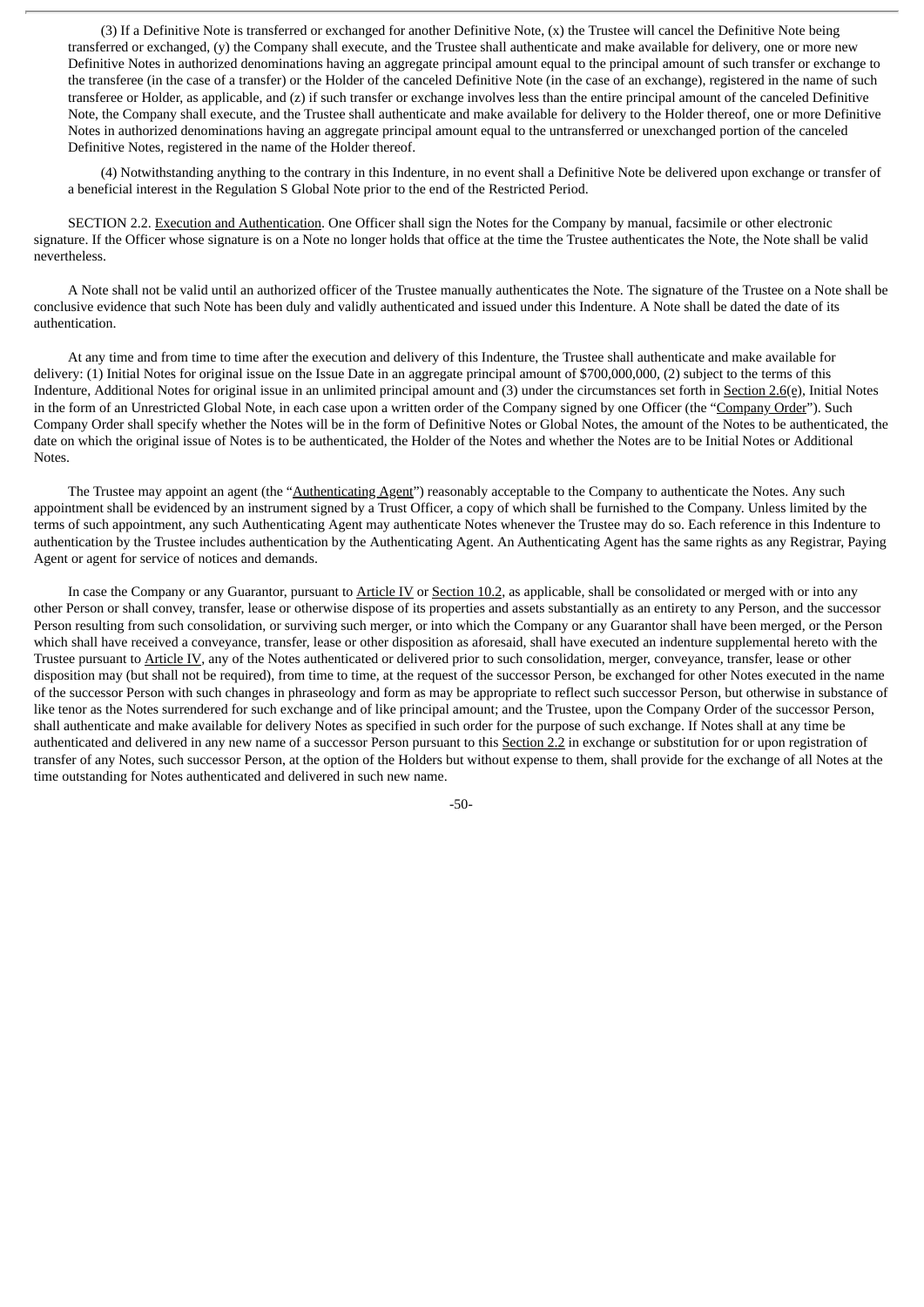(3) If a Definitive Note is transferred or exchanged for another Definitive Note, (x) the Trustee will cancel the Definitive Note being transferred or exchanged, (y) the Company shall execute, and the Trustee shall authenticate and make available for delivery, one or more new Definitive Notes in authorized denominations having an aggregate principal amount equal to the principal amount of such transfer or exchange to the transferee (in the case of a transfer) or the Holder of the canceled Definitive Note (in the case of an exchange), registered in the name of such transferee or Holder, as applicable, and (z) if such transfer or exchange involves less than the entire principal amount of the canceled Definitive Note, the Company shall execute, and the Trustee shall authenticate and make available for delivery to the Holder thereof, one or more Definitive Notes in authorized denominations having an aggregate principal amount equal to the untransferred or unexchanged portion of the canceled Definitive Notes, registered in the name of the Holder thereof.

(4) Notwithstanding anything to the contrary in this Indenture, in no event shall a Definitive Note be delivered upon exchange or transfer of a beneficial interest in the Regulation S Global Note prior to the end of the Restricted Period.

SECTION 2.2. Execution and Authentication. One Officer shall sign the Notes for the Company by manual, facsimile or other electronic signature. If the Officer whose signature is on a Note no longer holds that office at the time the Trustee authenticates the Note, the Note shall be valid nevertheless.

A Note shall not be valid until an authorized officer of the Trustee manually authenticates the Note. The signature of the Trustee on a Note shall be conclusive evidence that such Note has been duly and validly authenticated and issued under this Indenture. A Note shall be dated the date of its authentication.

At any time and from time to time after the execution and delivery of this Indenture, the Trustee shall authenticate and make available for delivery: (1) Initial Notes for original issue on the Issue Date in an aggregate principal amount of \$700,000,000, (2) subject to the terms of this Indenture, Additional Notes for original issue in an unlimited principal amount and (3) under the circumstances set forth in Section 2.6(e), Initial Notes in the form of an Unrestricted Global Note, in each case upon a written order of the Company signed by one Officer (the "Company Order"). Such Company Order shall specify whether the Notes will be in the form of Definitive Notes or Global Notes, the amount of the Notes to be authenticated, the date on which the original issue of Notes is to be authenticated, the Holder of the Notes and whether the Notes are to be Initial Notes or Additional Notes.

The Trustee may appoint an agent (the "Authenticating Agent") reasonably acceptable to the Company to authenticate the Notes. Any such appointment shall be evidenced by an instrument signed by a Trust Officer, a copy of which shall be furnished to the Company. Unless limited by the terms of such appointment, any such Authenticating Agent may authenticate Notes whenever the Trustee may do so. Each reference in this Indenture to authentication by the Trustee includes authentication by the Authenticating Agent. An Authenticating Agent has the same rights as any Registrar, Paying Agent or agent for service of notices and demands.

In case the Company or any Guarantor, pursuant to Article IV or Section 10.2, as applicable, shall be consolidated or merged with or into any other Person or shall convey, transfer, lease or otherwise dispose of its properties and assets substantially as an entirety to any Person, and the successor Person resulting from such consolidation, or surviving such merger, or into which the Company or any Guarantor shall have been merged, or the Person which shall have received a conveyance, transfer, lease or other disposition as aforesaid, shall have executed an indenture supplemental hereto with the Trustee pursuant to Article IV, any of the Notes authenticated or delivered prior to such consolidation, merger, conveyance, transfer, lease or other disposition may (but shall not be required), from time to time, at the request of the successor Person, be exchanged for other Notes executed in the name of the successor Person with such changes in phraseology and form as may be appropriate to reflect such successor Person, but otherwise in substance of like tenor as the Notes surrendered for such exchange and of like principal amount; and the Trustee, upon the Company Order of the successor Person, shall authenticate and make available for delivery Notes as specified in such order for the purpose of such exchange. If Notes shall at any time be authenticated and delivered in any new name of a successor Person pursuant to this Section 2.2 in exchange or substitution for or upon registration of transfer of any Notes, such successor Person, at the option of the Holders but without expense to them, shall provide for the exchange of all Notes at the time outstanding for Notes authenticated and delivered in such new name.

-50-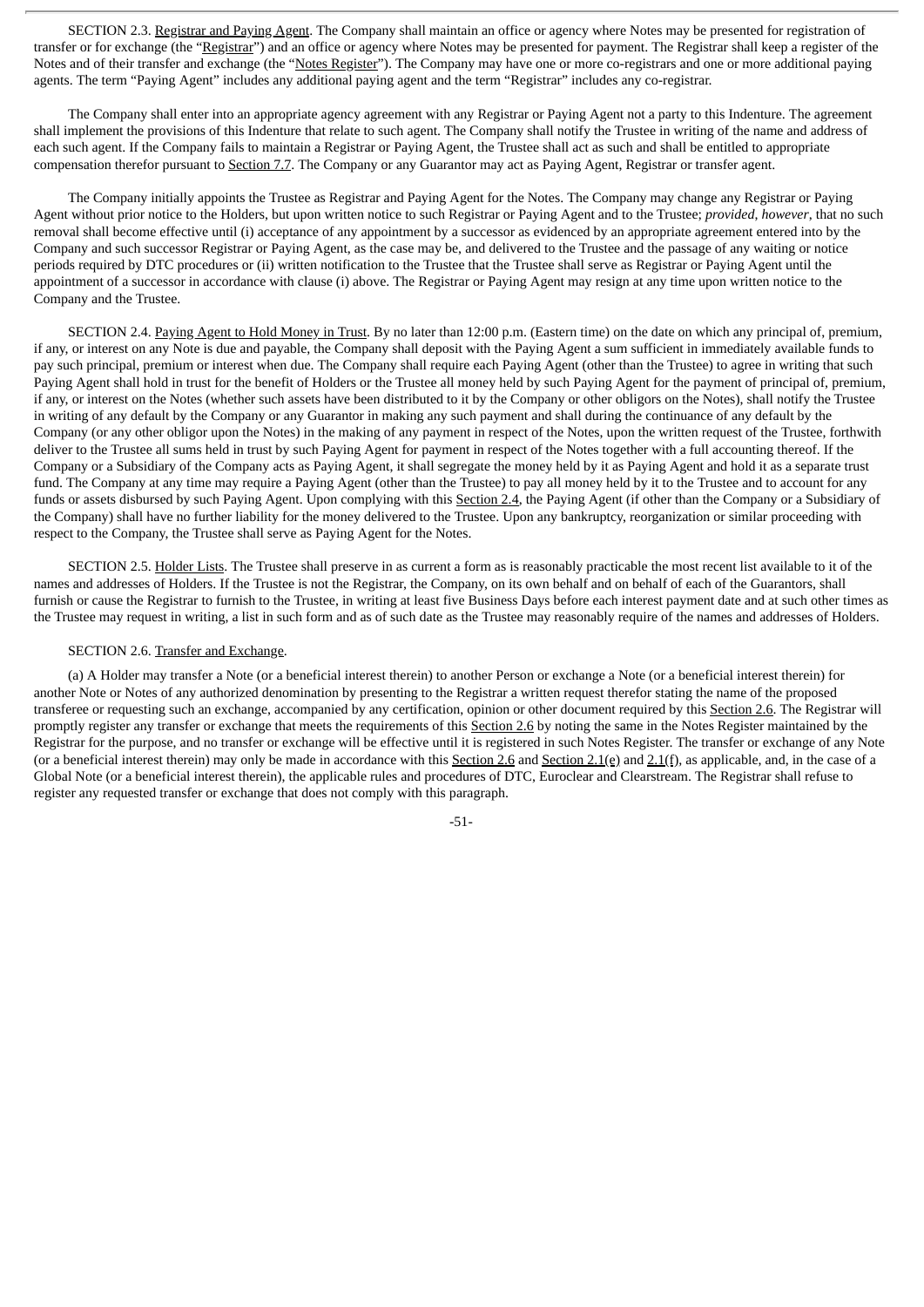SECTION 2.3. Registrar and Paying Agent. The Company shall maintain an office or agency where Notes may be presented for registration of transfer or for exchange (the "Registrar") and an office or agency where Notes may be presented for payment. The Registrar shall keep a register of the Notes and of their transfer and exchange (the "Notes Register"). The Company may have one or more co-registrars and one or more additional paying agents. The term "Paying Agent" includes any additional paying agent and the term "Registrar" includes any co-registrar.

The Company shall enter into an appropriate agency agreement with any Registrar or Paying Agent not a party to this Indenture. The agreement shall implement the provisions of this Indenture that relate to such agent. The Company shall notify the Trustee in writing of the name and address of each such agent. If the Company fails to maintain a Registrar or Paying Agent, the Trustee shall act as such and shall be entitled to appropriate compensation therefor pursuant to Section 7.7. The Company or any Guarantor may act as Paying Agent, Registrar or transfer agent.

The Company initially appoints the Trustee as Registrar and Paying Agent for the Notes. The Company may change any Registrar or Paying Agent without prior notice to the Holders, but upon written notice to such Registrar or Paying Agent and to the Trustee; *provided*, *however*, that no such removal shall become effective until (i) acceptance of any appointment by a successor as evidenced by an appropriate agreement entered into by the Company and such successor Registrar or Paying Agent, as the case may be, and delivered to the Trustee and the passage of any waiting or notice periods required by DTC procedures or (ii) written notification to the Trustee that the Trustee shall serve as Registrar or Paying Agent until the appointment of a successor in accordance with clause (i) above. The Registrar or Paying Agent may resign at any time upon written notice to the Company and the Trustee.

SECTION 2.4. Paying Agent to Hold Money in Trust. By no later than 12:00 p.m. (Eastern time) on the date on which any principal of, premium, if any, or interest on any Note is due and payable, the Company shall deposit with the Paying Agent a sum sufficient in immediately available funds to pay such principal, premium or interest when due. The Company shall require each Paying Agent (other than the Trustee) to agree in writing that such Paying Agent shall hold in trust for the benefit of Holders or the Trustee all money held by such Paying Agent for the payment of principal of, premium, if any, or interest on the Notes (whether such assets have been distributed to it by the Company or other obligors on the Notes), shall notify the Trustee in writing of any default by the Company or any Guarantor in making any such payment and shall during the continuance of any default by the Company (or any other obligor upon the Notes) in the making of any payment in respect of the Notes, upon the written request of the Trustee, forthwith deliver to the Trustee all sums held in trust by such Paying Agent for payment in respect of the Notes together with a full accounting thereof. If the Company or a Subsidiary of the Company acts as Paying Agent, it shall segregate the money held by it as Paying Agent and hold it as a separate trust fund. The Company at any time may require a Paying Agent (other than the Trustee) to pay all money held by it to the Trustee and to account for any funds or assets disbursed by such Paying Agent. Upon complying with this Section 2.4, the Paying Agent (if other than the Company or a Subsidiary of the Company) shall have no further liability for the money delivered to the Trustee. Upon any bankruptcy, reorganization or similar proceeding with respect to the Company, the Trustee shall serve as Paying Agent for the Notes.

SECTION 2.5. Holder Lists. The Trustee shall preserve in as current a form as is reasonably practicable the most recent list available to it of the names and addresses of Holders. If the Trustee is not the Registrar, the Company, on its own behalf and on behalf of each of the Guarantors, shall furnish or cause the Registrar to furnish to the Trustee, in writing at least five Business Days before each interest payment date and at such other times as the Trustee may request in writing, a list in such form and as of such date as the Trustee may reasonably require of the names and addresses of Holders.

### SECTION 2.6. Transfer and Exchange.

(a) A Holder may transfer a Note (or a beneficial interest therein) to another Person or exchange a Note (or a beneficial interest therein) for another Note or Notes of any authorized denomination by presenting to the Registrar a written request therefor stating the name of the proposed transferee or requesting such an exchange, accompanied by any certification, opinion or other document required by this Section 2.6. The Registrar will promptly register any transfer or exchange that meets the requirements of this Section 2.6 by noting the same in the Notes Register maintained by the Registrar for the purpose, and no transfer or exchange will be effective until it is registered in such Notes Register. The transfer or exchange of any Note (or a beneficial interest therein) may only be made in accordance with this Section 2.6 and Section 2.1(e) and  $2.1(f)$ , as applicable, and, in the case of a Global Note (or a beneficial interest therein), the applicable rules and procedures of DTC, Euroclear and Clearstream. The Registrar shall refuse to register any requested transfer or exchange that does not comply with this paragraph.

-51-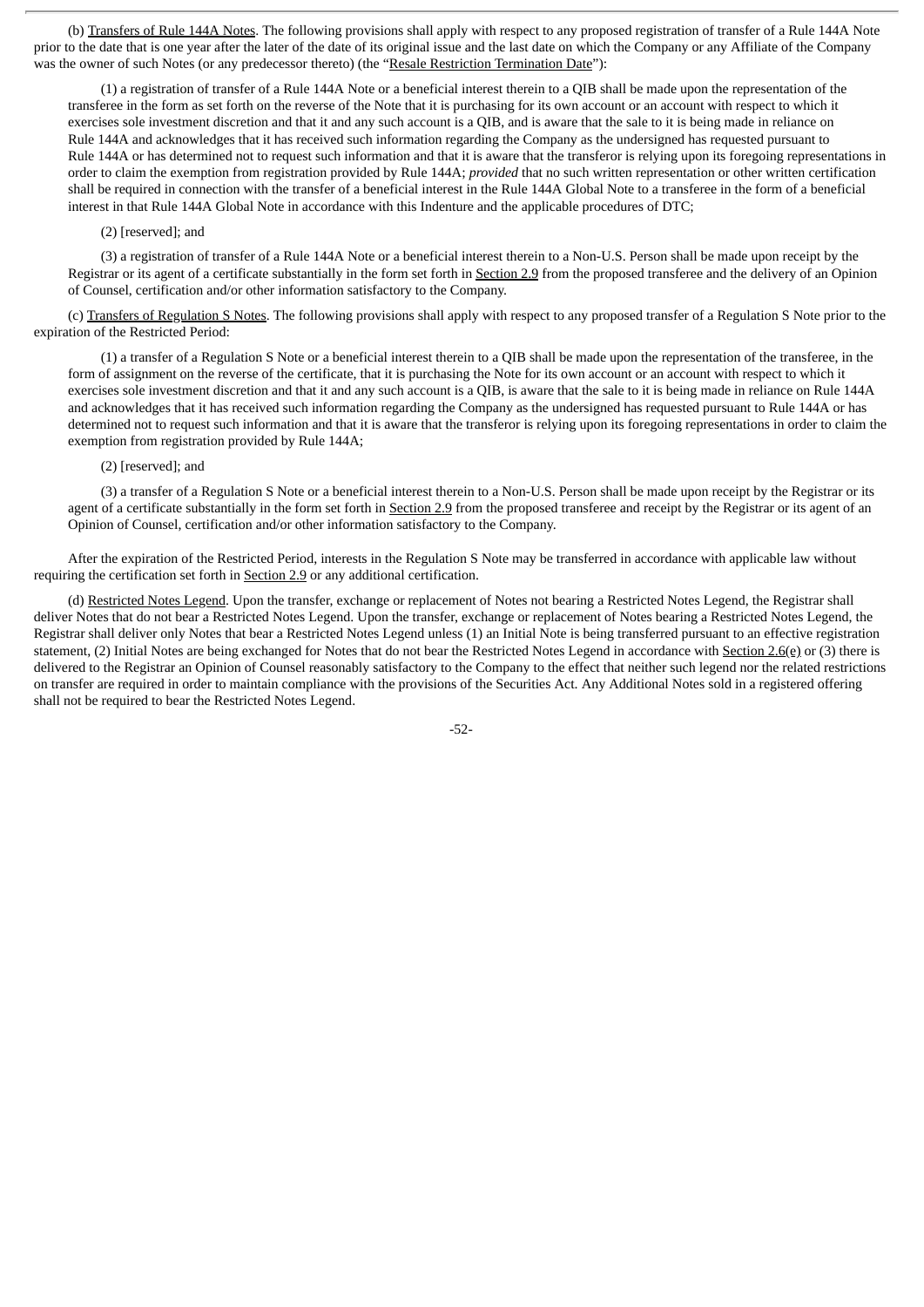(b) Transfers of Rule 144A Notes. The following provisions shall apply with respect to any proposed registration of transfer of a Rule 144A Note prior to the date that is one year after the later of the date of its original issue and the last date on which the Company or any Affiliate of the Company was the owner of such Notes (or any predecessor thereto) (the "Resale Restriction Termination Date"):

(1) a registration of transfer of a Rule 144A Note or a beneficial interest therein to a QIB shall be made upon the representation of the transferee in the form as set forth on the reverse of the Note that it is purchasing for its own account or an account with respect to which it exercises sole investment discretion and that it and any such account is a QIB, and is aware that the sale to it is being made in reliance on Rule 144A and acknowledges that it has received such information regarding the Company as the undersigned has requested pursuant to Rule 144A or has determined not to request such information and that it is aware that the transferor is relying upon its foregoing representations in order to claim the exemption from registration provided by Rule 144A; *provided* that no such written representation or other written certification shall be required in connection with the transfer of a beneficial interest in the Rule 144A Global Note to a transferee in the form of a beneficial interest in that Rule 144A Global Note in accordance with this Indenture and the applicable procedures of DTC;

## (2) [reserved]; and

(3) a registration of transfer of a Rule 144A Note or a beneficial interest therein to a Non-U.S. Person shall be made upon receipt by the Registrar or its agent of a certificate substantially in the form set forth in Section 2.9 from the proposed transferee and the delivery of an Opinion of Counsel, certification and/or other information satisfactory to the Company.

(c) Transfers of Regulation S Notes. The following provisions shall apply with respect to any proposed transfer of a Regulation S Note prior to the expiration of the Restricted Period:

(1) a transfer of a Regulation S Note or a beneficial interest therein to a QIB shall be made upon the representation of the transferee, in the form of assignment on the reverse of the certificate, that it is purchasing the Note for its own account or an account with respect to which it exercises sole investment discretion and that it and any such account is a QIB, is aware that the sale to it is being made in reliance on Rule 144A and acknowledges that it has received such information regarding the Company as the undersigned has requested pursuant to Rule 144A or has determined not to request such information and that it is aware that the transferor is relying upon its foregoing representations in order to claim the exemption from registration provided by Rule 144A;

# (2) [reserved]; and

(3) a transfer of a Regulation S Note or a beneficial interest therein to a Non-U.S. Person shall be made upon receipt by the Registrar or its agent of a certificate substantially in the form set forth in Section 2.9 from the proposed transferee and receipt by the Registrar or its agent of an Opinion of Counsel, certification and/or other information satisfactory to the Company.

After the expiration of the Restricted Period, interests in the Regulation S Note may be transferred in accordance with applicable law without requiring the certification set forth in Section 2.9 or any additional certification.

(d) Restricted Notes Legend. Upon the transfer, exchange or replacement of Notes not bearing a Restricted Notes Legend, the Registrar shall deliver Notes that do not bear a Restricted Notes Legend. Upon the transfer, exchange or replacement of Notes bearing a Restricted Notes Legend, the Registrar shall deliver only Notes that bear a Restricted Notes Legend unless (1) an Initial Note is being transferred pursuant to an effective registration statement, (2) Initial Notes are being exchanged for Notes that do not bear the Restricted Notes Legend in accordance with Section 2.6(e) or (3) there is delivered to the Registrar an Opinion of Counsel reasonably satisfactory to the Company to the effect that neither such legend nor the related restrictions on transfer are required in order to maintain compliance with the provisions of the Securities Act. Any Additional Notes sold in a registered offering shall not be required to bear the Restricted Notes Legend.

-52-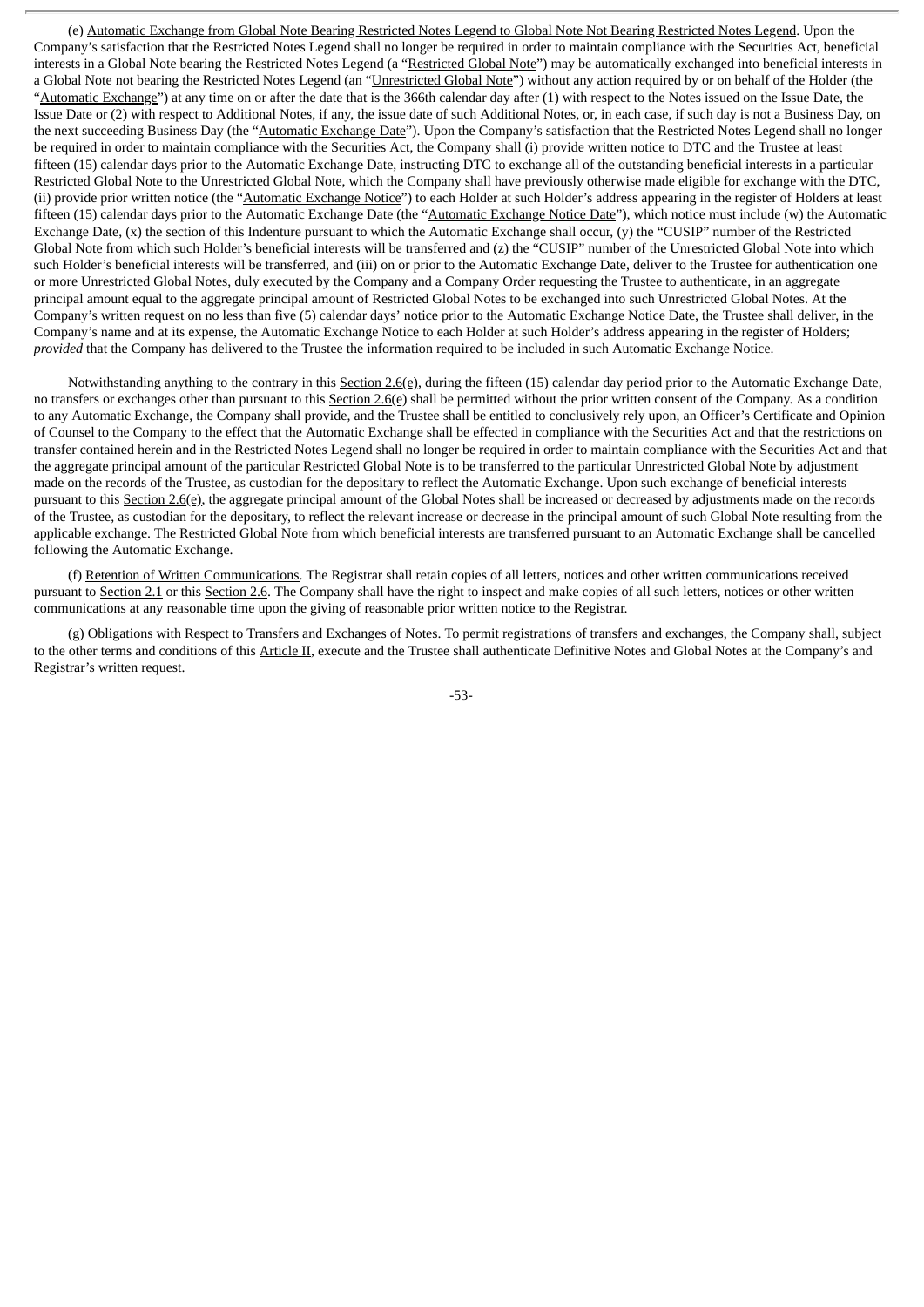(e) Automatic Exchange from Global Note Bearing Restricted Notes Legend to Global Note Not Bearing Restricted Notes Legend. Upon the Company's satisfaction that the Restricted Notes Legend shall no longer be required in order to maintain compliance with the Securities Act, beneficial interests in a Global Note bearing the Restricted Notes Legend (a "Restricted Global Note") may be automatically exchanged into beneficial interests in a Global Note not bearing the Restricted Notes Legend (an "Unrestricted Global Note") without any action required by or on behalf of the Holder (the "Automatic Exchange") at any time on or after the date that is the 366th calendar day after (1) with respect to the Notes issued on the Issue Date, the Issue Date or (2) with respect to Additional Notes, if any, the issue date of such Additional Notes, or, in each case, if such day is not a Business Day, on the next succeeding Business Day (the "Automatic Exchange Date"). Upon the Company's satisfaction that the Restricted Notes Legend shall no longer be required in order to maintain compliance with the Securities Act, the Company shall (i) provide written notice to DTC and the Trustee at least fifteen (15) calendar days prior to the Automatic Exchange Date, instructing DTC to exchange all of the outstanding beneficial interests in a particular Restricted Global Note to the Unrestricted Global Note, which the Company shall have previously otherwise made eligible for exchange with the DTC, (ii) provide prior written notice (the "Automatic Exchange Notice") to each Holder at such Holder's address appearing in the register of Holders at least fifteen (15) calendar days prior to the Automatic Exchange Date (the "Automatic Exchange Notice Date"), which notice must include (w) the Automatic Exchange Date, (x) the section of this Indenture pursuant to which the Automatic Exchange shall occur, (y) the "CUSIP" number of the Restricted Global Note from which such Holder's beneficial interests will be transferred and (z) the "CUSIP" number of the Unrestricted Global Note into which such Holder's beneficial interests will be transferred, and (iii) on or prior to the Automatic Exchange Date, deliver to the Trustee for authentication one or more Unrestricted Global Notes, duly executed by the Company and a Company Order requesting the Trustee to authenticate, in an aggregate principal amount equal to the aggregate principal amount of Restricted Global Notes to be exchanged into such Unrestricted Global Notes. At the Company's written request on no less than five (5) calendar days' notice prior to the Automatic Exchange Notice Date, the Trustee shall deliver, in the Company's name and at its expense, the Automatic Exchange Notice to each Holder at such Holder's address appearing in the register of Holders; *provided* that the Company has delivered to the Trustee the information required to be included in such Automatic Exchange Notice.

Notwithstanding anything to the contrary in this Section 2.6(e), during the fifteen (15) calendar day period prior to the Automatic Exchange Date, no transfers or exchanges other than pursuant to this  $Section 2.6(e)$  shall be permitted without the prior written consent of the Company. As a condition to any Automatic Exchange, the Company shall provide, and the Trustee shall be entitled to conclusively rely upon, an Officer's Certificate and Opinion of Counsel to the Company to the effect that the Automatic Exchange shall be effected in compliance with the Securities Act and that the restrictions on transfer contained herein and in the Restricted Notes Legend shall no longer be required in order to maintain compliance with the Securities Act and that the aggregate principal amount of the particular Restricted Global Note is to be transferred to the particular Unrestricted Global Note by adjustment made on the records of the Trustee, as custodian for the depositary to reflect the Automatic Exchange. Upon such exchange of beneficial interests pursuant to this Section 2.6(e), the aggregate principal amount of the Global Notes shall be increased or decreased by adjustments made on the records of the Trustee, as custodian for the depositary, to reflect the relevant increase or decrease in the principal amount of such Global Note resulting from the applicable exchange. The Restricted Global Note from which beneficial interests are transferred pursuant to an Automatic Exchange shall be cancelled following the Automatic Exchange.

(f) Retention of Written Communications. The Registrar shall retain copies of all letters, notices and other written communications received pursuant to Section 2.1 or this Section 2.6. The Company shall have the right to inspect and make copies of all such letters, notices or other written communications at any reasonable time upon the giving of reasonable prior written notice to the Registrar.

(g) Obligations with Respect to Transfers and Exchanges of Notes. To permit registrations of transfers and exchanges, the Company shall, subject to the other terms and conditions of this Article II, execute and the Trustee shall authenticate Definitive Notes and Global Notes at the Company's and Registrar's written request.

-53-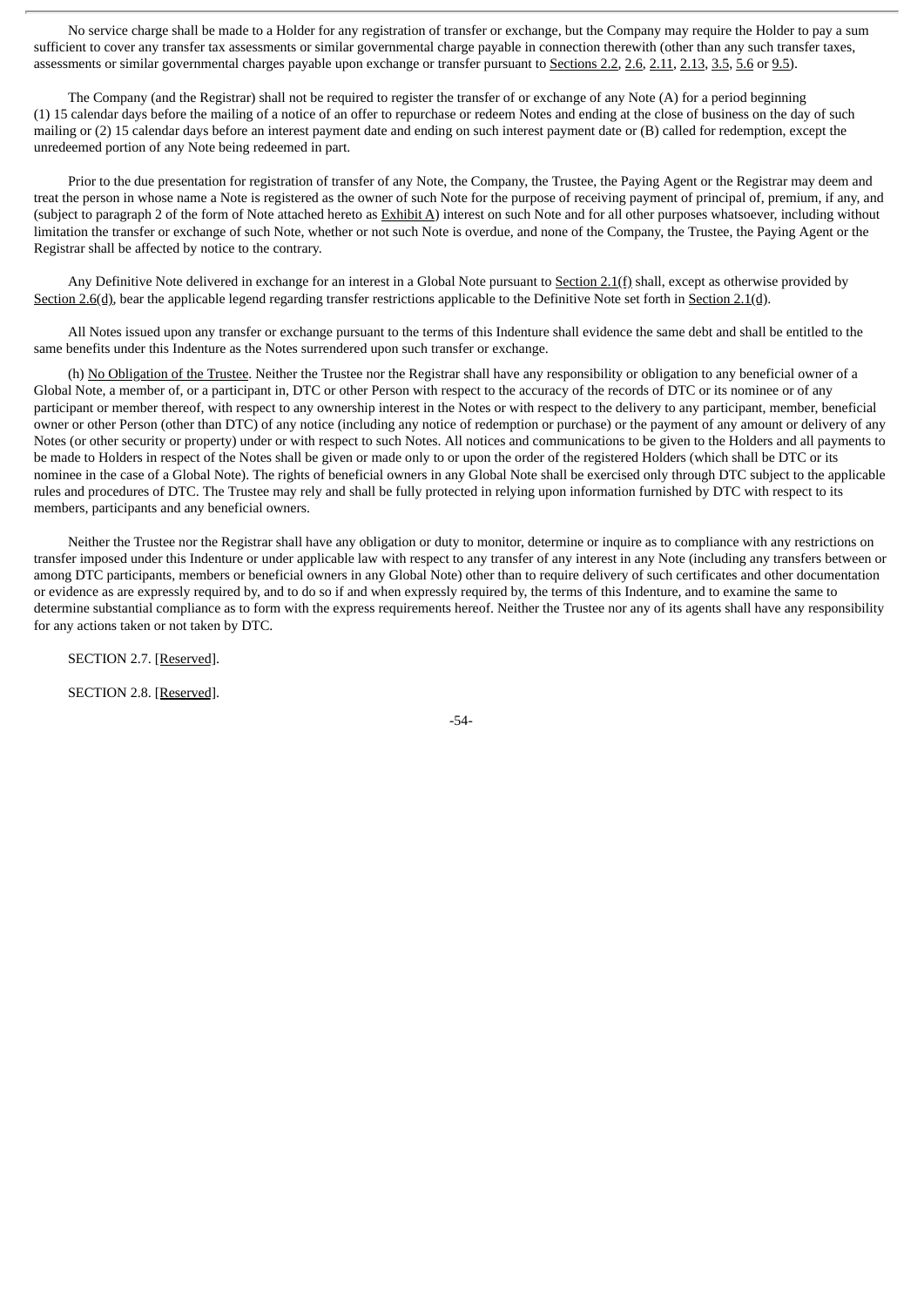No service charge shall be made to a Holder for any registration of transfer or exchange, but the Company may require the Holder to pay a sum sufficient to cover any transfer tax assessments or similar governmental charge payable in connection therewith (other than any such transfer taxes, assessments or similar governmental charges payable upon exchange or transfer pursuant to Sections 2.2, 2.6, 2.11, 2.13, 3.5, 5.6 or 9.5).

The Company (and the Registrar) shall not be required to register the transfer of or exchange of any Note (A) for a period beginning (1) 15 calendar days before the mailing of a notice of an offer to repurchase or redeem Notes and ending at the close of business on the day of such mailing or (2) 15 calendar days before an interest payment date and ending on such interest payment date or (B) called for redemption, except the unredeemed portion of any Note being redeemed in part.

Prior to the due presentation for registration of transfer of any Note, the Company, the Trustee, the Paying Agent or the Registrar may deem and treat the person in whose name a Note is registered as the owner of such Note for the purpose of receiving payment of principal of, premium, if any, and (subject to paragraph 2 of the form of Note attached hereto as  $\frac{Exhibit A}{A}$ ) interest on such Note and for all other purposes whatsoever, including without limitation the transfer or exchange of such Note, whether or not such Note is overdue, and none of the Company, the Trustee, the Paying Agent or the Registrar shall be affected by notice to the contrary.

Any Definitive Note delivered in exchange for an interest in a Global Note pursuant to Section 2.1(f) shall, except as otherwise provided by Section 2.6(d), bear the applicable legend regarding transfer restrictions applicable to the Definitive Note set forth in Section 2.1(d).

All Notes issued upon any transfer or exchange pursuant to the terms of this Indenture shall evidence the same debt and shall be entitled to the same benefits under this Indenture as the Notes surrendered upon such transfer or exchange.

(h) No Obligation of the Trustee. Neither the Trustee nor the Registrar shall have any responsibility or obligation to any beneficial owner of a Global Note, a member of, or a participant in, DTC or other Person with respect to the accuracy of the records of DTC or its nominee or of any participant or member thereof, with respect to any ownership interest in the Notes or with respect to the delivery to any participant, member, beneficial owner or other Person (other than DTC) of any notice (including any notice of redemption or purchase) or the payment of any amount or delivery of any Notes (or other security or property) under or with respect to such Notes. All notices and communications to be given to the Holders and all payments to be made to Holders in respect of the Notes shall be given or made only to or upon the order of the registered Holders (which shall be DTC or its nominee in the case of a Global Note). The rights of beneficial owners in any Global Note shall be exercised only through DTC subject to the applicable rules and procedures of DTC. The Trustee may rely and shall be fully protected in relying upon information furnished by DTC with respect to its members, participants and any beneficial owners.

Neither the Trustee nor the Registrar shall have any obligation or duty to monitor, determine or inquire as to compliance with any restrictions on transfer imposed under this Indenture or under applicable law with respect to any transfer of any interest in any Note (including any transfers between or among DTC participants, members or beneficial owners in any Global Note) other than to require delivery of such certificates and other documentation or evidence as are expressly required by, and to do so if and when expressly required by, the terms of this Indenture, and to examine the same to determine substantial compliance as to form with the express requirements hereof. Neither the Trustee nor any of its agents shall have any responsibility for any actions taken or not taken by DTC.

SECTION 2.7. [Reserved].

SECTION 2.8. [Reserved].

-54-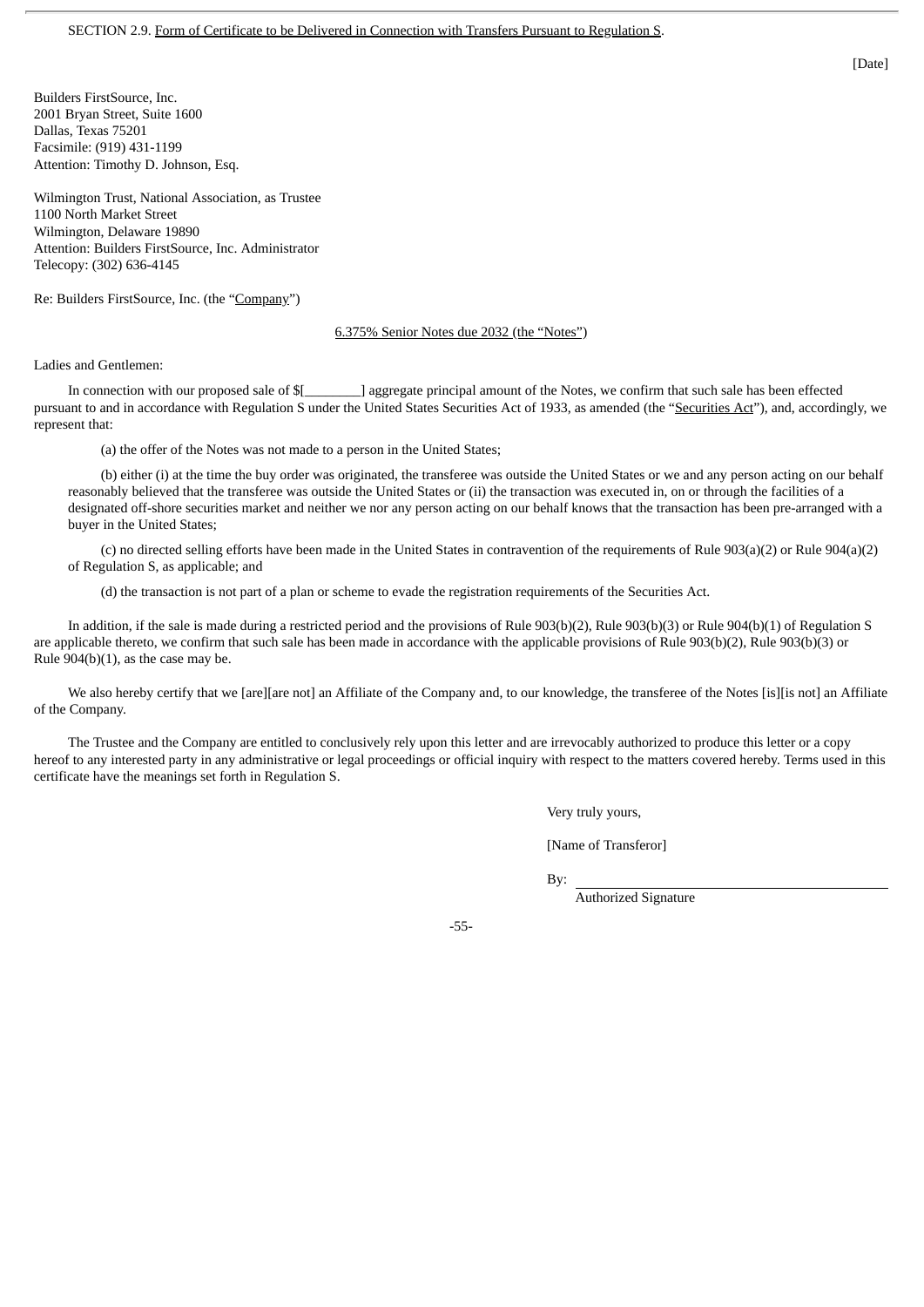Builders FirstSource, Inc. 2001 Bryan Street, Suite 1600 Dallas, Texas 75201 Facsimile: (919) 431-1199 Attention: Timothy D. Johnson, Esq.

Wilmington Trust, National Association, as Trustee 1100 North Market Street Wilmington, Delaware 19890 Attention: Builders FirstSource, Inc. Administrator Telecopy: (302) 636-4145

Re: Builders FirstSource, Inc. (the "Company")

#### 6.375% Senior Notes due 2032 (the "Notes")

Ladies and Gentlemen:

In connection with our proposed sale of \$[\_\_\_\_\_\_\_\_] aggregate principal amount of the Notes, we confirm that such sale has been effected pursuant to and in accordance with Regulation S under the United States Securities Act of 1933, as amended (the "Securities Act"), and, accordingly, we represent that:

(a) the offer of the Notes was not made to a person in the United States;

(b) either (i) at the time the buy order was originated, the transferee was outside the United States or we and any person acting on our behalf reasonably believed that the transferee was outside the United States or (ii) the transaction was executed in, on or through the facilities of a designated off-shore securities market and neither we nor any person acting on our behalf knows that the transaction has been pre-arranged with a buyer in the United States;

(c) no directed selling efforts have been made in the United States in contravention of the requirements of Rule 903(a)(2) or Rule 904(a)(2) of Regulation S, as applicable; and

(d) the transaction is not part of a plan or scheme to evade the registration requirements of the Securities Act.

In addition, if the sale is made during a restricted period and the provisions of Rule 903(b)(2), Rule 903(b)(3) or Rule 904(b)(1) of Regulation S are applicable thereto, we confirm that such sale has been made in accordance with the applicable provisions of Rule 903(b)(2), Rule 903(b)(3) or Rule 904(b)(1), as the case may be.

We also hereby certify that we [are][are not] an Affiliate of the Company and, to our knowledge, the transferee of the Notes [is][is not] an Affiliate of the Company.

The Trustee and the Company are entitled to conclusively rely upon this letter and are irrevocably authorized to produce this letter or a copy hereof to any interested party in any administrative or legal proceedings or official inquiry with respect to the matters covered hereby. Terms used in this certificate have the meanings set forth in Regulation S.

Very truly yours,

[Name of Transferor]

By:

Authorized Signature

-55-

[Date]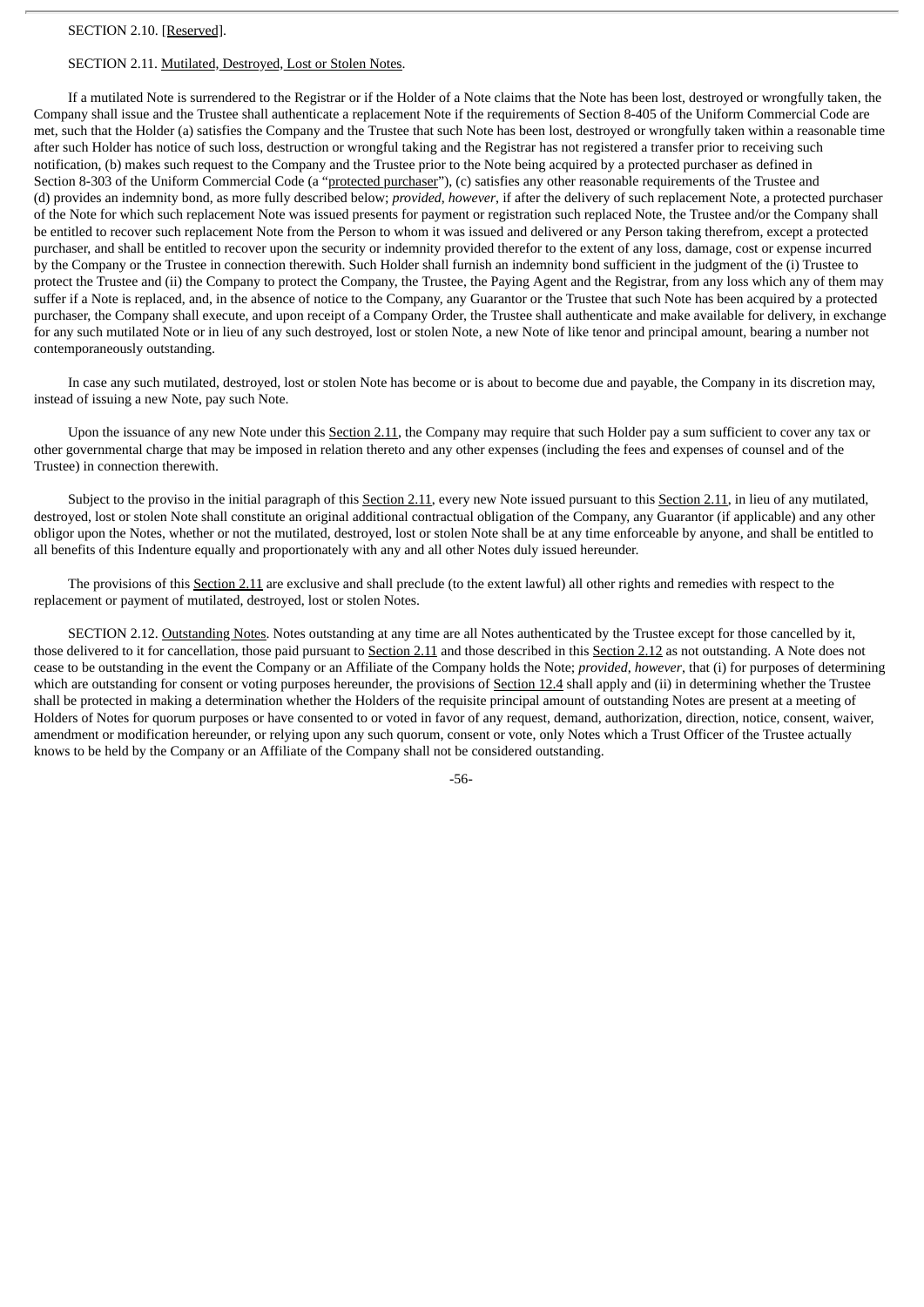## SECTION 2.11. Mutilated, Destroyed, Lost or Stolen Notes.

If a mutilated Note is surrendered to the Registrar or if the Holder of a Note claims that the Note has been lost, destroyed or wrongfully taken, the Company shall issue and the Trustee shall authenticate a replacement Note if the requirements of Section 8-405 of the Uniform Commercial Code are met, such that the Holder (a) satisfies the Company and the Trustee that such Note has been lost, destroyed or wrongfully taken within a reasonable time after such Holder has notice of such loss, destruction or wrongful taking and the Registrar has not registered a transfer prior to receiving such notification, (b) makes such request to the Company and the Trustee prior to the Note being acquired by a protected purchaser as defined in Section 8-303 of the Uniform Commercial Code (a "protected purchaser"), (c) satisfies any other reasonable requirements of the Trustee and (d) provides an indemnity bond, as more fully described below; *provided*, *however*, if after the delivery of such replacement Note, a protected purchaser of the Note for which such replacement Note was issued presents for payment or registration such replaced Note, the Trustee and/or the Company shall be entitled to recover such replacement Note from the Person to whom it was issued and delivered or any Person taking therefrom, except a protected purchaser, and shall be entitled to recover upon the security or indemnity provided therefor to the extent of any loss, damage, cost or expense incurred by the Company or the Trustee in connection therewith. Such Holder shall furnish an indemnity bond sufficient in the judgment of the (i) Trustee to protect the Trustee and (ii) the Company to protect the Company, the Trustee, the Paying Agent and the Registrar, from any loss which any of them may suffer if a Note is replaced, and, in the absence of notice to the Company, any Guarantor or the Trustee that such Note has been acquired by a protected purchaser, the Company shall execute, and upon receipt of a Company Order, the Trustee shall authenticate and make available for delivery, in exchange for any such mutilated Note or in lieu of any such destroyed, lost or stolen Note, a new Note of like tenor and principal amount, bearing a number not contemporaneously outstanding.

In case any such mutilated, destroyed, lost or stolen Note has become or is about to become due and payable, the Company in its discretion may, instead of issuing a new Note, pay such Note.

Upon the issuance of any new Note under this Section 2.11, the Company may require that such Holder pay a sum sufficient to cover any tax or other governmental charge that may be imposed in relation thereto and any other expenses (including the fees and expenses of counsel and of the Trustee) in connection therewith.

Subject to the proviso in the initial paragraph of this Section 2.11, every new Note issued pursuant to this Section 2.11, in lieu of any mutilated, destroyed, lost or stolen Note shall constitute an original additional contractual obligation of the Company, any Guarantor (if applicable) and any other obligor upon the Notes, whether or not the mutilated, destroyed, lost or stolen Note shall be at any time enforceable by anyone, and shall be entitled to all benefits of this Indenture equally and proportionately with any and all other Notes duly issued hereunder.

The provisions of this Section 2.11 are exclusive and shall preclude (to the extent lawful) all other rights and remedies with respect to the replacement or payment of mutilated, destroyed, lost or stolen Notes.

SECTION 2.12. Outstanding Notes. Notes outstanding at any time are all Notes authenticated by the Trustee except for those cancelled by it, those delivered to it for cancellation, those paid pursuant to Section 2.11 and those described in this Section 2.12 as not outstanding. A Note does not cease to be outstanding in the event the Company or an Affiliate of the Company holds the Note; *provided*, *however*, that (i) for purposes of determining which are outstanding for consent or voting purposes hereunder, the provisions of Section 12.4 shall apply and (ii) in determining whether the Trustee shall be protected in making a determination whether the Holders of the requisite principal amount of outstanding Notes are present at a meeting of Holders of Notes for quorum purposes or have consented to or voted in favor of any request, demand, authorization, direction, notice, consent, waiver, amendment or modification hereunder, or relying upon any such quorum, consent or vote, only Notes which a Trust Officer of the Trustee actually knows to be held by the Company or an Affiliate of the Company shall not be considered outstanding.

-56-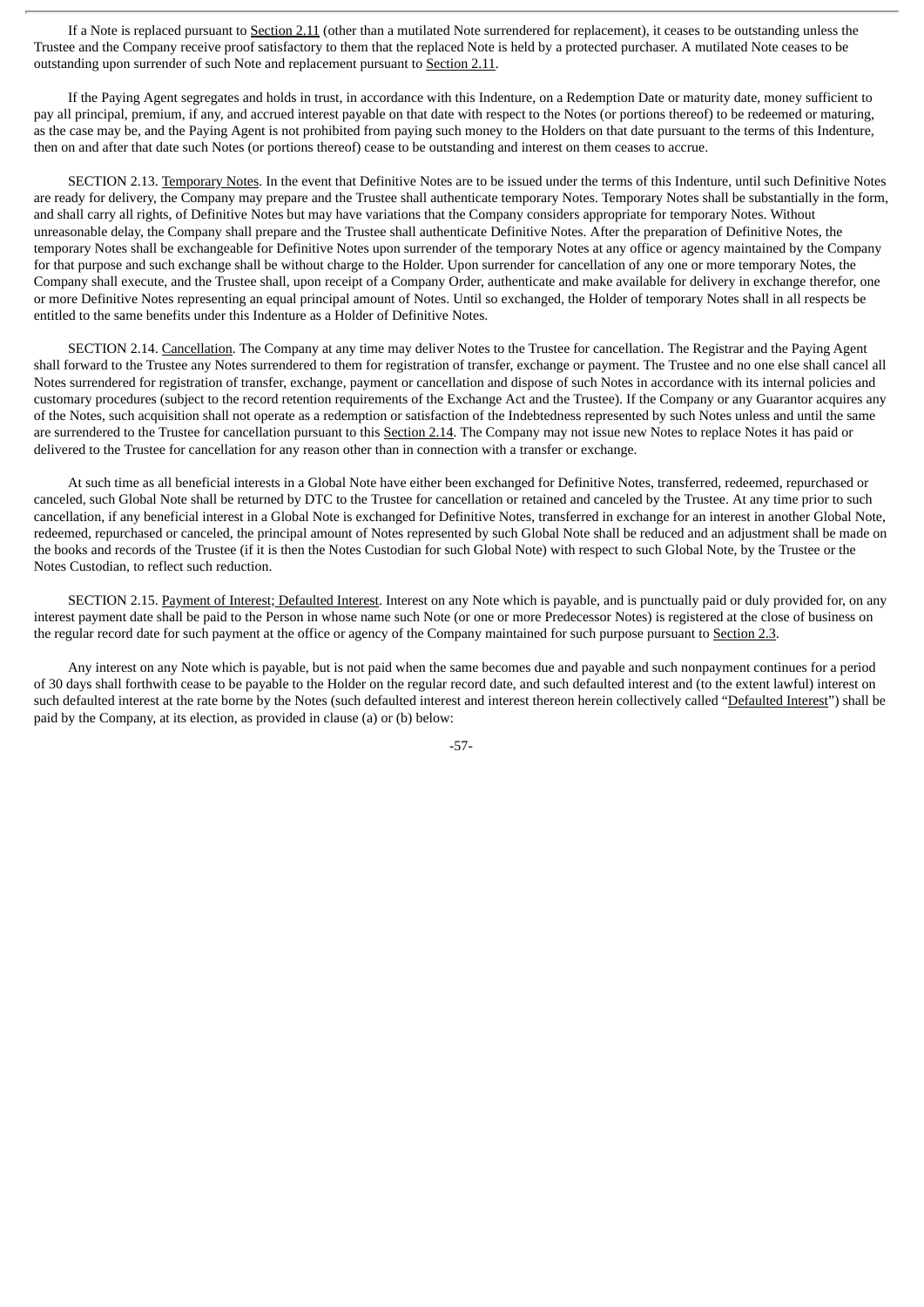If a Note is replaced pursuant to Section 2.11 (other than a mutilated Note surrendered for replacement), it ceases to be outstanding unless the Trustee and the Company receive proof satisfactory to them that the replaced Note is held by a protected purchaser. A mutilated Note ceases to be outstanding upon surrender of such Note and replacement pursuant to Section 2.11.

If the Paying Agent segregates and holds in trust, in accordance with this Indenture, on a Redemption Date or maturity date, money sufficient to pay all principal, premium, if any, and accrued interest payable on that date with respect to the Notes (or portions thereof) to be redeemed or maturing, as the case may be, and the Paying Agent is not prohibited from paying such money to the Holders on that date pursuant to the terms of this Indenture, then on and after that date such Notes (or portions thereof) cease to be outstanding and interest on them ceases to accrue.

SECTION 2.13. Temporary Notes. In the event that Definitive Notes are to be issued under the terms of this Indenture, until such Definitive Notes are ready for delivery, the Company may prepare and the Trustee shall authenticate temporary Notes. Temporary Notes shall be substantially in the form, and shall carry all rights, of Definitive Notes but may have variations that the Company considers appropriate for temporary Notes. Without unreasonable delay, the Company shall prepare and the Trustee shall authenticate Definitive Notes. After the preparation of Definitive Notes, the temporary Notes shall be exchangeable for Definitive Notes upon surrender of the temporary Notes at any office or agency maintained by the Company for that purpose and such exchange shall be without charge to the Holder. Upon surrender for cancellation of any one or more temporary Notes, the Company shall execute, and the Trustee shall, upon receipt of a Company Order, authenticate and make available for delivery in exchange therefor, one or more Definitive Notes representing an equal principal amount of Notes. Until so exchanged, the Holder of temporary Notes shall in all respects be entitled to the same benefits under this Indenture as a Holder of Definitive Notes.

SECTION 2.14. Cancellation. The Company at any time may deliver Notes to the Trustee for cancellation. The Registrar and the Paying Agent shall forward to the Trustee any Notes surrendered to them for registration of transfer, exchange or payment. The Trustee and no one else shall cancel all Notes surrendered for registration of transfer, exchange, payment or cancellation and dispose of such Notes in accordance with its internal policies and customary procedures (subject to the record retention requirements of the Exchange Act and the Trustee). If the Company or any Guarantor acquires any of the Notes, such acquisition shall not operate as a redemption or satisfaction of the Indebtedness represented by such Notes unless and until the same are surrendered to the Trustee for cancellation pursuant to this Section 2.14. The Company may not issue new Notes to replace Notes it has paid or delivered to the Trustee for cancellation for any reason other than in connection with a transfer or exchange.

At such time as all beneficial interests in a Global Note have either been exchanged for Definitive Notes, transferred, redeemed, repurchased or canceled, such Global Note shall be returned by DTC to the Trustee for cancellation or retained and canceled by the Trustee. At any time prior to such cancellation, if any beneficial interest in a Global Note is exchanged for Definitive Notes, transferred in exchange for an interest in another Global Note, redeemed, repurchased or canceled, the principal amount of Notes represented by such Global Note shall be reduced and an adjustment shall be made on the books and records of the Trustee (if it is then the Notes Custodian for such Global Note) with respect to such Global Note, by the Trustee or the Notes Custodian, to reflect such reduction.

SECTION 2.15. Payment of Interest; Defaulted Interest. Interest on any Note which is payable, and is punctually paid or duly provided for, on any interest payment date shall be paid to the Person in whose name such Note (or one or more Predecessor Notes) is registered at the close of business on the regular record date for such payment at the office or agency of the Company maintained for such purpose pursuant to Section 2.3.

Any interest on any Note which is payable, but is not paid when the same becomes due and payable and such nonpayment continues for a period of 30 days shall forthwith cease to be payable to the Holder on the regular record date, and such defaulted interest and (to the extent lawful) interest on such defaulted interest at the rate borne by the Notes (such defaulted interest and interest thereon herein collectively called "Defaulted Interest") shall be paid by the Company, at its election, as provided in clause (a) or (b) below:

-57-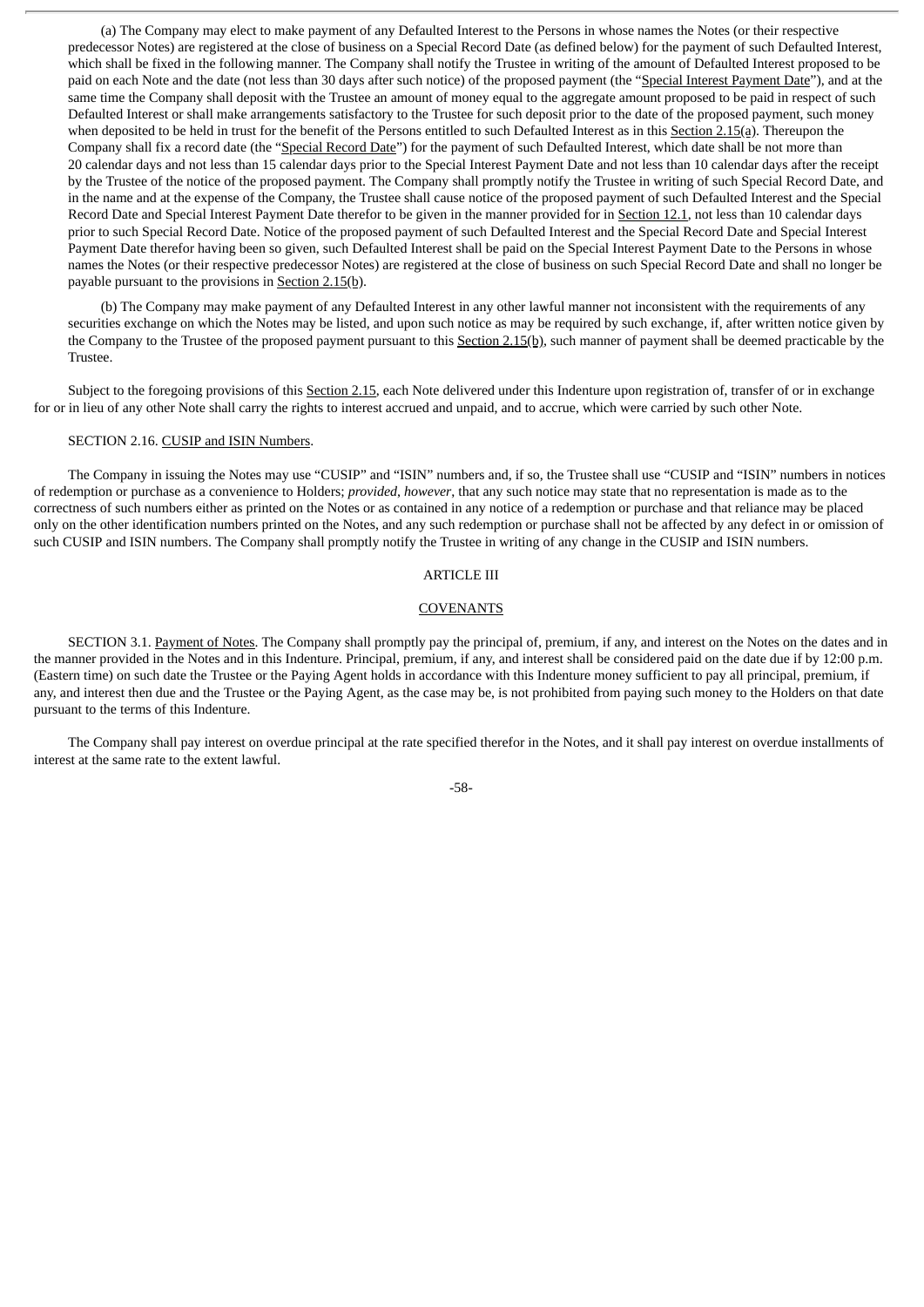(a) The Company may elect to make payment of any Defaulted Interest to the Persons in whose names the Notes (or their respective predecessor Notes) are registered at the close of business on a Special Record Date (as defined below) for the payment of such Defaulted Interest, which shall be fixed in the following manner. The Company shall notify the Trustee in writing of the amount of Defaulted Interest proposed to be paid on each Note and the date (not less than 30 days after such notice) of the proposed payment (the "Special Interest Payment Date"), and at the same time the Company shall deposit with the Trustee an amount of money equal to the aggregate amount proposed to be paid in respect of such Defaulted Interest or shall make arrangements satisfactory to the Trustee for such deposit prior to the date of the proposed payment, such money when deposited to be held in trust for the benefit of the Persons entitled to such Defaulted Interest as in this Section 2.15(a). Thereupon the Company shall fix a record date (the "Special Record Date") for the payment of such Defaulted Interest, which date shall be not more than 20 calendar days and not less than 15 calendar days prior to the Special Interest Payment Date and not less than 10 calendar days after the receipt by the Trustee of the notice of the proposed payment. The Company shall promptly notify the Trustee in writing of such Special Record Date, and in the name and at the expense of the Company, the Trustee shall cause notice of the proposed payment of such Defaulted Interest and the Special Record Date and Special Interest Payment Date therefor to be given in the manner provided for in Section 12.1, not less than 10 calendar days prior to such Special Record Date. Notice of the proposed payment of such Defaulted Interest and the Special Record Date and Special Interest Payment Date therefor having been so given, such Defaulted Interest shall be paid on the Special Interest Payment Date to the Persons in whose names the Notes (or their respective predecessor Notes) are registered at the close of business on such Special Record Date and shall no longer be payable pursuant to the provisions in Section 2.15(b).

(b) The Company may make payment of any Defaulted Interest in any other lawful manner not inconsistent with the requirements of any securities exchange on which the Notes may be listed, and upon such notice as may be required by such exchange, if, after written notice given by the Company to the Trustee of the proposed payment pursuant to this Section 2.15(b), such manner of payment shall be deemed practicable by the Trustee.

Subject to the foregoing provisions of this Section 2.15, each Note delivered under this Indenture upon registration of, transfer of or in exchange for or in lieu of any other Note shall carry the rights to interest accrued and unpaid, and to accrue, which were carried by such other Note.

## SECTION 2.16. CUSIP and ISIN Numbers.

The Company in issuing the Notes may use "CUSIP" and "ISIN" numbers and, if so, the Trustee shall use "CUSIP and "ISIN" numbers in notices of redemption or purchase as a convenience to Holders; *provided*, *however*, that any such notice may state that no representation is made as to the correctness of such numbers either as printed on the Notes or as contained in any notice of a redemption or purchase and that reliance may be placed only on the other identification numbers printed on the Notes, and any such redemption or purchase shall not be affected by any defect in or omission of such CUSIP and ISIN numbers. The Company shall promptly notify the Trustee in writing of any change in the CUSIP and ISIN numbers.

## ARTICLE III

#### COVENANTS

SECTION 3.1. Payment of Notes. The Company shall promptly pay the principal of, premium, if any, and interest on the Notes on the dates and in the manner provided in the Notes and in this Indenture. Principal, premium, if any, and interest shall be considered paid on the date due if by 12:00 p.m. (Eastern time) on such date the Trustee or the Paying Agent holds in accordance with this Indenture money sufficient to pay all principal, premium, if any, and interest then due and the Trustee or the Paying Agent, as the case may be, is not prohibited from paying such money to the Holders on that date pursuant to the terms of this Indenture.

The Company shall pay interest on overdue principal at the rate specified therefor in the Notes, and it shall pay interest on overdue installments of interest at the same rate to the extent lawful.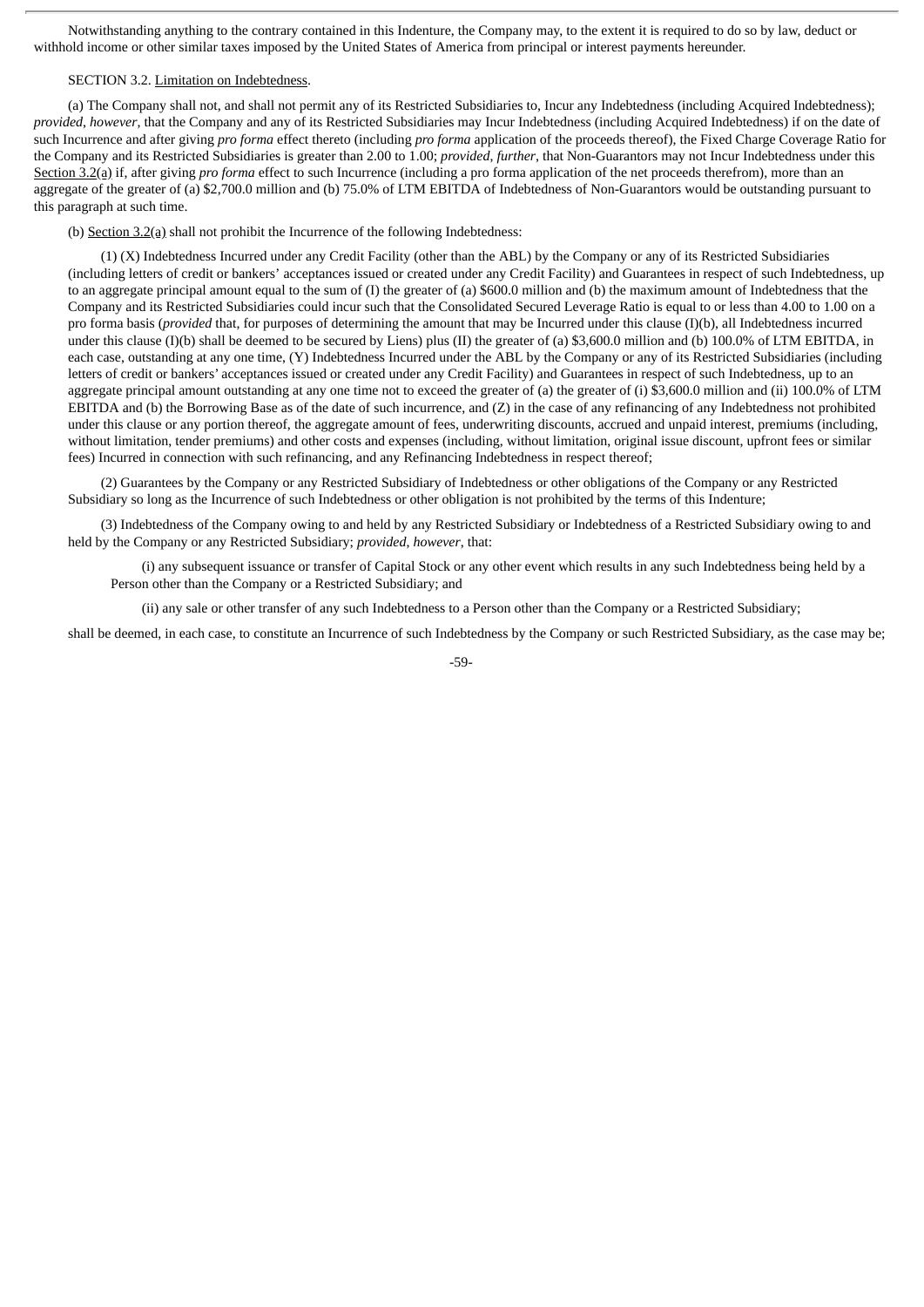Notwithstanding anything to the contrary contained in this Indenture, the Company may, to the extent it is required to do so by law, deduct or withhold income or other similar taxes imposed by the United States of America from principal or interest payments hereunder.

### SECTION 3.2. Limitation on Indebtedness.

(a) The Company shall not, and shall not permit any of its Restricted Subsidiaries to, Incur any Indebtedness (including Acquired Indebtedness); *provided*, *however*, that the Company and any of its Restricted Subsidiaries may Incur Indebtedness (including Acquired Indebtedness) if on the date of such Incurrence and after giving *pro forma* effect thereto (including *pro forma* application of the proceeds thereof), the Fixed Charge Coverage Ratio for the Company and its Restricted Subsidiaries is greater than 2.00 to 1.00; *provided*, *further*, that Non-Guarantors may not Incur Indebtedness under this Section 3.2(a) if, after giving *pro forma* effect to such Incurrence (including a pro forma application of the net proceeds therefrom), more than an aggregate of the greater of (a) \$2,700.0 million and (b) 75.0% of LTM EBITDA of Indebtedness of Non-Guarantors would be outstanding pursuant to this paragraph at such time.

(b) Section 3.2(a) shall not prohibit the Incurrence of the following Indebtedness:

(1) (X) Indebtedness Incurred under any Credit Facility (other than the ABL) by the Company or any of its Restricted Subsidiaries (including letters of credit or bankers' acceptances issued or created under any Credit Facility) and Guarantees in respect of such Indebtedness, up to an aggregate principal amount equal to the sum of (I) the greater of (a) \$600.0 million and (b) the maximum amount of Indebtedness that the Company and its Restricted Subsidiaries could incur such that the Consolidated Secured Leverage Ratio is equal to or less than 4.00 to 1.00 on a pro forma basis (*provided* that, for purposes of determining the amount that may be Incurred under this clause (I)(b), all Indebtedness incurred under this clause (I)(b) shall be deemed to be secured by Liens) plus (II) the greater of (a) \$3,600.0 million and (b) 100.0% of LTM EBITDA, in each case, outstanding at any one time, (Y) Indebtedness Incurred under the ABL by the Company or any of its Restricted Subsidiaries (including letters of credit or bankers' acceptances issued or created under any Credit Facility) and Guarantees in respect of such Indebtedness, up to an aggregate principal amount outstanding at any one time not to exceed the greater of (a) the greater of (i) \$3,600.0 million and (ii) 100.0% of LTM EBITDA and (b) the Borrowing Base as of the date of such incurrence, and (Z) in the case of any refinancing of any Indebtedness not prohibited under this clause or any portion thereof, the aggregate amount of fees, underwriting discounts, accrued and unpaid interest, premiums (including, without limitation, tender premiums) and other costs and expenses (including, without limitation, original issue discount, upfront fees or similar fees) Incurred in connection with such refinancing, and any Refinancing Indebtedness in respect thereof;

(2) Guarantees by the Company or any Restricted Subsidiary of Indebtedness or other obligations of the Company or any Restricted Subsidiary so long as the Incurrence of such Indebtedness or other obligation is not prohibited by the terms of this Indenture;

(3) Indebtedness of the Company owing to and held by any Restricted Subsidiary or Indebtedness of a Restricted Subsidiary owing to and held by the Company or any Restricted Subsidiary; *provided*, *however*, that:

(i) any subsequent issuance or transfer of Capital Stock or any other event which results in any such Indebtedness being held by a Person other than the Company or a Restricted Subsidiary; and

(ii) any sale or other transfer of any such Indebtedness to a Person other than the Company or a Restricted Subsidiary;

shall be deemed, in each case, to constitute an Incurrence of such Indebtedness by the Company or such Restricted Subsidiary, as the case may be;

-59-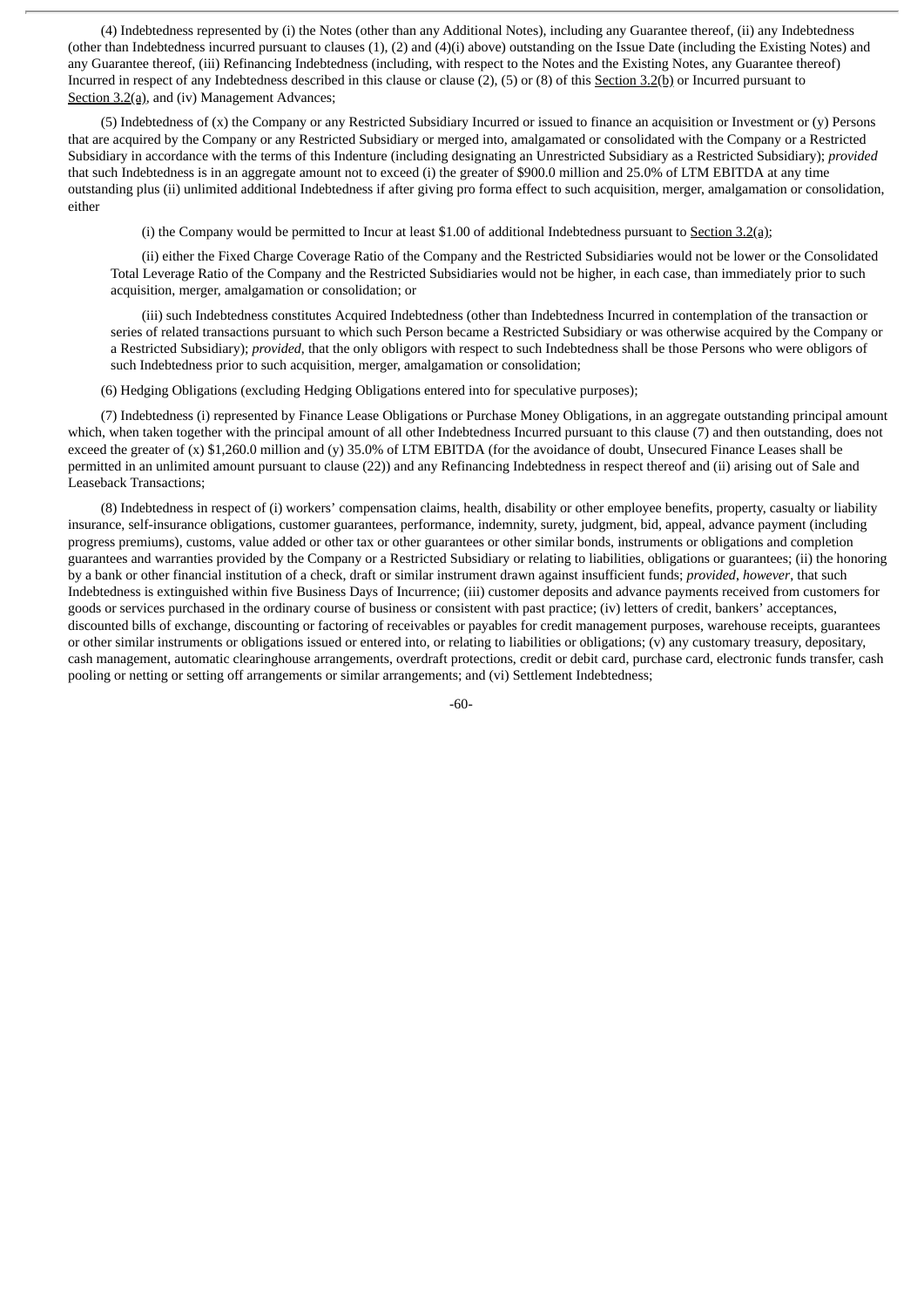(4) Indebtedness represented by (i) the Notes (other than any Additional Notes), including any Guarantee thereof, (ii) any Indebtedness (other than Indebtedness incurred pursuant to clauses (1), (2) and (4)(i) above) outstanding on the Issue Date (including the Existing Notes) and any Guarantee thereof, (iii) Refinancing Indebtedness (including, with respect to the Notes and the Existing Notes, any Guarantee thereof) Incurred in respect of any Indebtedness described in this clause or clause (2), (5) or (8) of this Section 3.2(b) or Incurred pursuant to Section 3.2(a), and (iv) Management Advances;

(5) Indebtedness of (x) the Company or any Restricted Subsidiary Incurred or issued to finance an acquisition or Investment or (y) Persons that are acquired by the Company or any Restricted Subsidiary or merged into, amalgamated or consolidated with the Company or a Restricted Subsidiary in accordance with the terms of this Indenture (including designating an Unrestricted Subsidiary as a Restricted Subsidiary); *provided* that such Indebtedness is in an aggregate amount not to exceed (i) the greater of \$900.0 million and 25.0% of LTM EBITDA at any time outstanding plus (ii) unlimited additional Indebtedness if after giving pro forma effect to such acquisition, merger, amalgamation or consolidation, either

(i) the Company would be permitted to Incur at least \$1.00 of additional Indebtedness pursuant to Section 3.2(a);

(ii) either the Fixed Charge Coverage Ratio of the Company and the Restricted Subsidiaries would not be lower or the Consolidated Total Leverage Ratio of the Company and the Restricted Subsidiaries would not be higher, in each case, than immediately prior to such acquisition, merger, amalgamation or consolidation; or

(iii) such Indebtedness constitutes Acquired Indebtedness (other than Indebtedness Incurred in contemplation of the transaction or series of related transactions pursuant to which such Person became a Restricted Subsidiary or was otherwise acquired by the Company or a Restricted Subsidiary); *provided*, that the only obligors with respect to such Indebtedness shall be those Persons who were obligors of such Indebtedness prior to such acquisition, merger, amalgamation or consolidation;

(6) Hedging Obligations (excluding Hedging Obligations entered into for speculative purposes);

(7) Indebtedness (i) represented by Finance Lease Obligations or Purchase Money Obligations, in an aggregate outstanding principal amount which, when taken together with the principal amount of all other Indebtedness Incurred pursuant to this clause (7) and then outstanding, does not exceed the greater of (x) \$1,260.0 million and (y) 35.0% of LTM EBITDA (for the avoidance of doubt, Unsecured Finance Leases shall be permitted in an unlimited amount pursuant to clause (22)) and any Refinancing Indebtedness in respect thereof and (ii) arising out of Sale and Leaseback Transactions;

(8) Indebtedness in respect of (i) workers' compensation claims, health, disability or other employee benefits, property, casualty or liability insurance, self-insurance obligations, customer guarantees, performance, indemnity, surety, judgment, bid, appeal, advance payment (including progress premiums), customs, value added or other tax or other guarantees or other similar bonds, instruments or obligations and completion guarantees and warranties provided by the Company or a Restricted Subsidiary or relating to liabilities, obligations or guarantees; (ii) the honoring by a bank or other financial institution of a check, draft or similar instrument drawn against insufficient funds; *provided*, *however*, that such Indebtedness is extinguished within five Business Days of Incurrence; (iii) customer deposits and advance payments received from customers for goods or services purchased in the ordinary course of business or consistent with past practice; (iv) letters of credit, bankers' acceptances, discounted bills of exchange, discounting or factoring of receivables or payables for credit management purposes, warehouse receipts, guarantees or other similar instruments or obligations issued or entered into, or relating to liabilities or obligations; (v) any customary treasury, depositary, cash management, automatic clearinghouse arrangements, overdraft protections, credit or debit card, purchase card, electronic funds transfer, cash pooling or netting or setting off arrangements or similar arrangements; and (vi) Settlement Indebtedness;

-60-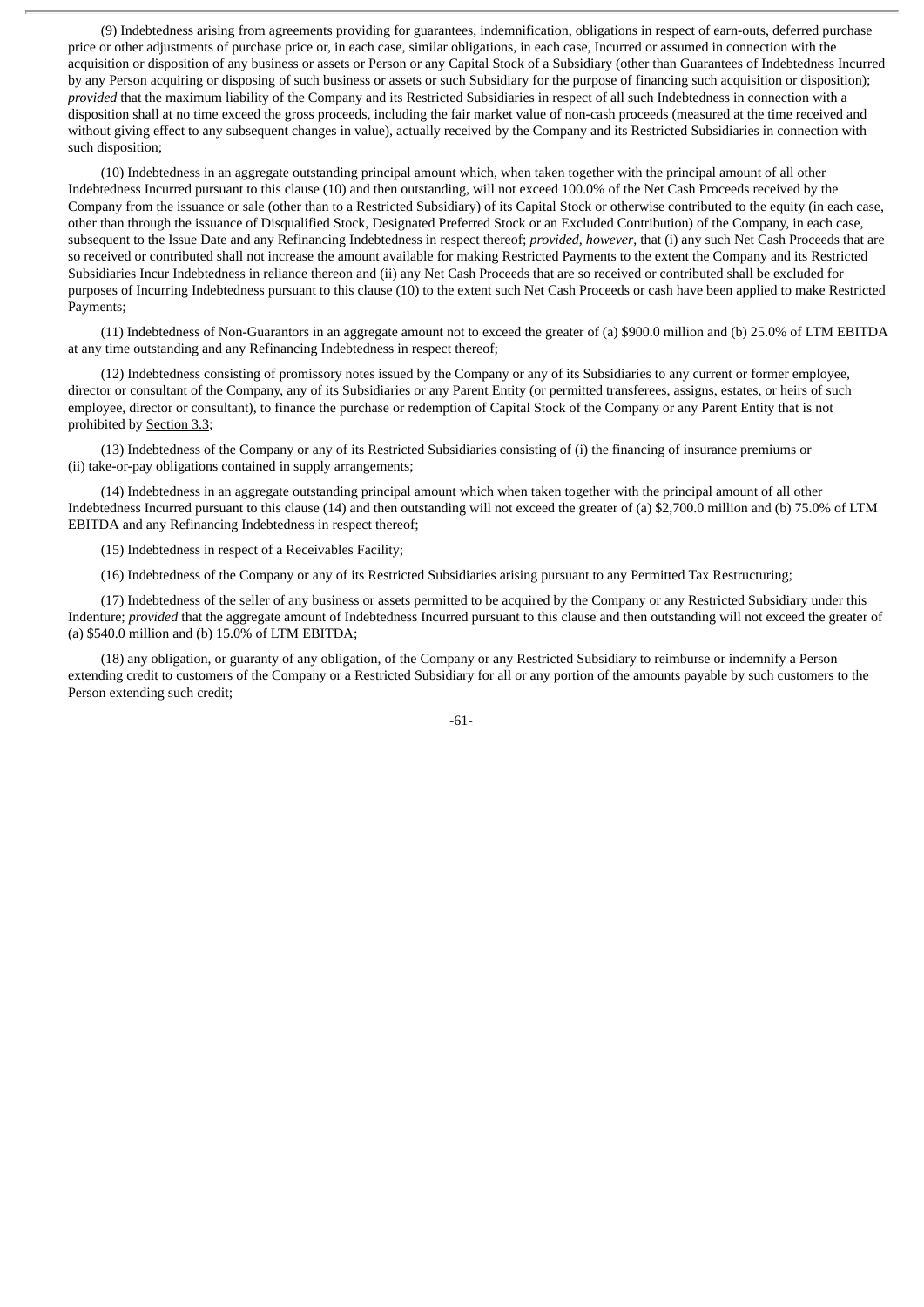(9) Indebtedness arising from agreements providing for guarantees, indemnification, obligations in respect of earn-outs, deferred purchase price or other adjustments of purchase price or, in each case, similar obligations, in each case, Incurred or assumed in connection with the acquisition or disposition of any business or assets or Person or any Capital Stock of a Subsidiary (other than Guarantees of Indebtedness Incurred by any Person acquiring or disposing of such business or assets or such Subsidiary for the purpose of financing such acquisition or disposition); *provided* that the maximum liability of the Company and its Restricted Subsidiaries in respect of all such Indebtedness in connection with a disposition shall at no time exceed the gross proceeds, including the fair market value of non-cash proceeds (measured at the time received and without giving effect to any subsequent changes in value), actually received by the Company and its Restricted Subsidiaries in connection with such disposition;

(10) Indebtedness in an aggregate outstanding principal amount which, when taken together with the principal amount of all other Indebtedness Incurred pursuant to this clause (10) and then outstanding, will not exceed 100.0% of the Net Cash Proceeds received by the Company from the issuance or sale (other than to a Restricted Subsidiary) of its Capital Stock or otherwise contributed to the equity (in each case, other than through the issuance of Disqualified Stock, Designated Preferred Stock or an Excluded Contribution) of the Company, in each case, subsequent to the Issue Date and any Refinancing Indebtedness in respect thereof; *provided*, *however*, that (i) any such Net Cash Proceeds that are so received or contributed shall not increase the amount available for making Restricted Payments to the extent the Company and its Restricted Subsidiaries Incur Indebtedness in reliance thereon and (ii) any Net Cash Proceeds that are so received or contributed shall be excluded for purposes of Incurring Indebtedness pursuant to this clause (10) to the extent such Net Cash Proceeds or cash have been applied to make Restricted Payments;

(11) Indebtedness of Non-Guarantors in an aggregate amount not to exceed the greater of (a) \$900.0 million and (b) 25.0% of LTM EBITDA at any time outstanding and any Refinancing Indebtedness in respect thereof;

(12) Indebtedness consisting of promissory notes issued by the Company or any of its Subsidiaries to any current or former employee, director or consultant of the Company, any of its Subsidiaries or any Parent Entity (or permitted transferees, assigns, estates, or heirs of such employee, director or consultant), to finance the purchase or redemption of Capital Stock of the Company or any Parent Entity that is not prohibited by Section 3.3;

(13) Indebtedness of the Company or any of its Restricted Subsidiaries consisting of (i) the financing of insurance premiums or (ii) take-or-pay obligations contained in supply arrangements;

(14) Indebtedness in an aggregate outstanding principal amount which when taken together with the principal amount of all other Indebtedness Incurred pursuant to this clause (14) and then outstanding will not exceed the greater of (a) \$2,700.0 million and (b) 75.0% of LTM EBITDA and any Refinancing Indebtedness in respect thereof;

(15) Indebtedness in respect of a Receivables Facility;

(16) Indebtedness of the Company or any of its Restricted Subsidiaries arising pursuant to any Permitted Tax Restructuring;

(17) Indebtedness of the seller of any business or assets permitted to be acquired by the Company or any Restricted Subsidiary under this Indenture; *provided* that the aggregate amount of Indebtedness Incurred pursuant to this clause and then outstanding will not exceed the greater of (a) \$540.0 million and (b) 15.0% of LTM EBITDA;

(18) any obligation, or guaranty of any obligation, of the Company or any Restricted Subsidiary to reimburse or indemnify a Person extending credit to customers of the Company or a Restricted Subsidiary for all or any portion of the amounts payable by such customers to the Person extending such credit;

-61-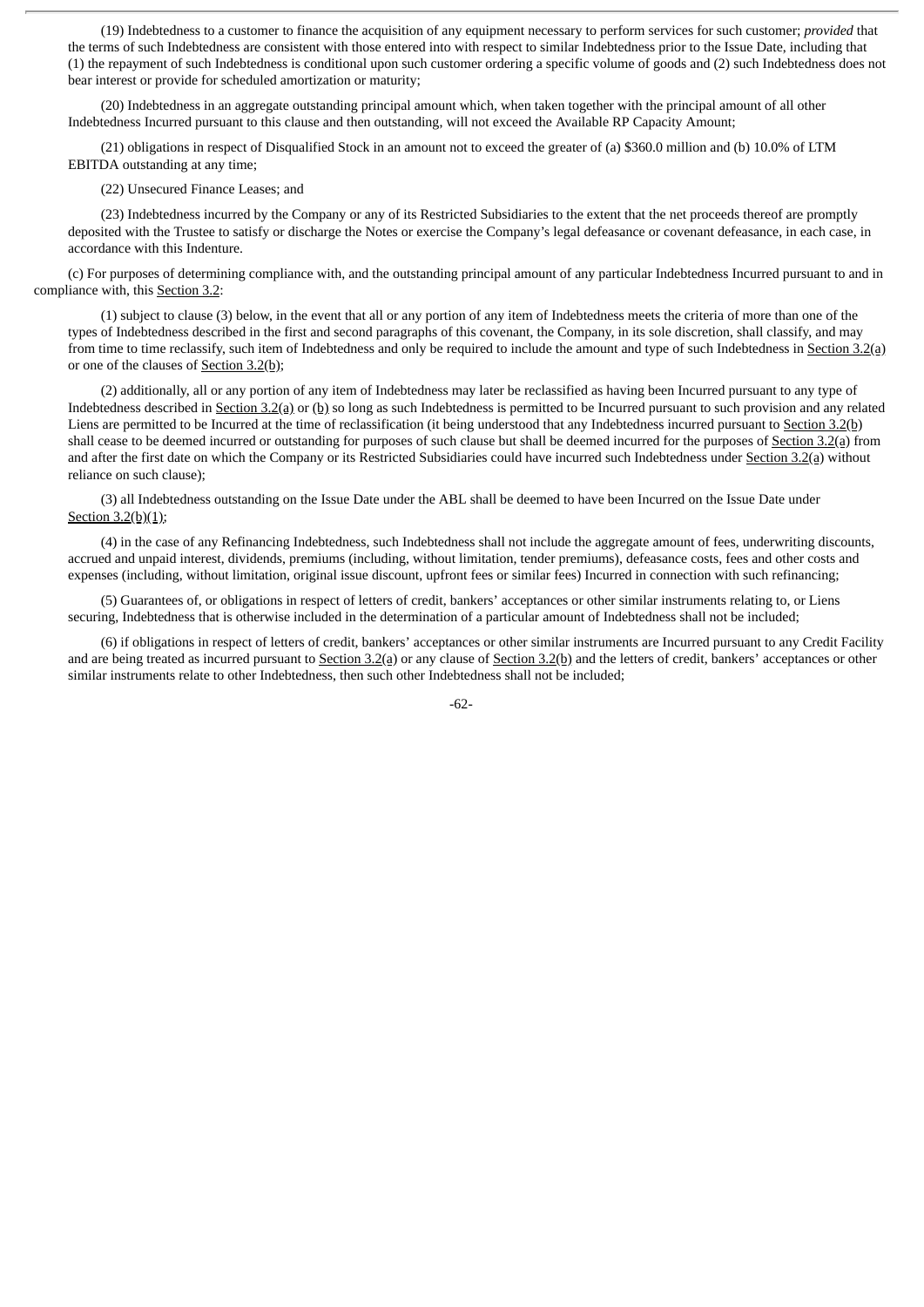(19) Indebtedness to a customer to finance the acquisition of any equipment necessary to perform services for such customer; *provided* that the terms of such Indebtedness are consistent with those entered into with respect to similar Indebtedness prior to the Issue Date, including that (1) the repayment of such Indebtedness is conditional upon such customer ordering a specific volume of goods and (2) such Indebtedness does not bear interest or provide for scheduled amortization or maturity;

(20) Indebtedness in an aggregate outstanding principal amount which, when taken together with the principal amount of all other Indebtedness Incurred pursuant to this clause and then outstanding, will not exceed the Available RP Capacity Amount;

(21) obligations in respect of Disqualified Stock in an amount not to exceed the greater of (a) \$360.0 million and (b) 10.0% of LTM EBITDA outstanding at any time;

(22) Unsecured Finance Leases; and

(23) Indebtedness incurred by the Company or any of its Restricted Subsidiaries to the extent that the net proceeds thereof are promptly deposited with the Trustee to satisfy or discharge the Notes or exercise the Company's legal defeasance or covenant defeasance, in each case, in accordance with this Indenture.

(c) For purposes of determining compliance with, and the outstanding principal amount of any particular Indebtedness Incurred pursuant to and in compliance with, this Section 3.2:

(1) subject to clause (3) below, in the event that all or any portion of any item of Indebtedness meets the criteria of more than one of the types of Indebtedness described in the first and second paragraphs of this covenant, the Company, in its sole discretion, shall classify, and may from time to time reclassify, such item of Indebtedness and only be required to include the amount and type of such Indebtedness in Section 3.2(a) or one of the clauses of Section 3.2(b);

(2) additionally, all or any portion of any item of Indebtedness may later be reclassified as having been Incurred pursuant to any type of Indebtedness described in Section 3.2(a) or (b) so long as such Indebtedness is permitted to be Incurred pursuant to such provision and any related Liens are permitted to be Incurred at the time of reclassification (it being understood that any Indebtedness incurred pursuant to Section 3.2(b) shall cease to be deemed incurred or outstanding for purposes of such clause but shall be deemed incurred for the purposes of Section 3.2(a) from and after the first date on which the Company or its Restricted Subsidiaries could have incurred such Indebtedness under Section 3.2(a) without reliance on such clause);

(3) all Indebtedness outstanding on the Issue Date under the ABL shall be deemed to have been Incurred on the Issue Date under Section 3.2(b)(1);

(4) in the case of any Refinancing Indebtedness, such Indebtedness shall not include the aggregate amount of fees, underwriting discounts, accrued and unpaid interest, dividends, premiums (including, without limitation, tender premiums), defeasance costs, fees and other costs and expenses (including, without limitation, original issue discount, upfront fees or similar fees) Incurred in connection with such refinancing;

(5) Guarantees of, or obligations in respect of letters of credit, bankers' acceptances or other similar instruments relating to, or Liens securing, Indebtedness that is otherwise included in the determination of a particular amount of Indebtedness shall not be included;

(6) if obligations in respect of letters of credit, bankers' acceptances or other similar instruments are Incurred pursuant to any Credit Facility and are being treated as incurred pursuant to Section  $3.2(a)$  or any clause of Section  $3.2(b)$  and the letters of credit, bankers' acceptances or other similar instruments relate to other Indebtedness, then such other Indebtedness shall not be included;

-62-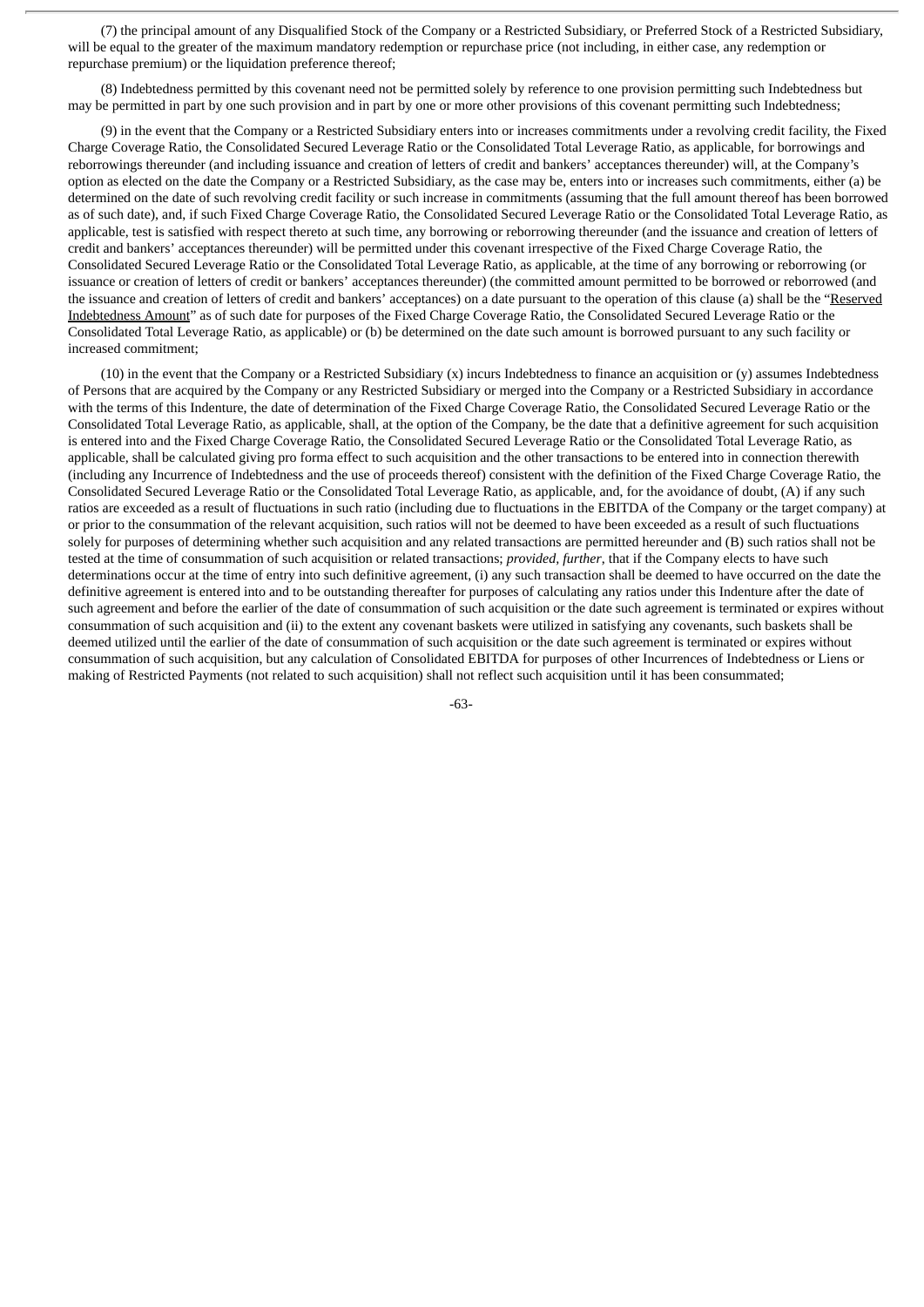(7) the principal amount of any Disqualified Stock of the Company or a Restricted Subsidiary, or Preferred Stock of a Restricted Subsidiary, will be equal to the greater of the maximum mandatory redemption or repurchase price (not including, in either case, any redemption or repurchase premium) or the liquidation preference thereof;

(8) Indebtedness permitted by this covenant need not be permitted solely by reference to one provision permitting such Indebtedness but may be permitted in part by one such provision and in part by one or more other provisions of this covenant permitting such Indebtedness;

(9) in the event that the Company or a Restricted Subsidiary enters into or increases commitments under a revolving credit facility, the Fixed Charge Coverage Ratio, the Consolidated Secured Leverage Ratio or the Consolidated Total Leverage Ratio, as applicable, for borrowings and reborrowings thereunder (and including issuance and creation of letters of credit and bankers' acceptances thereunder) will, at the Company's option as elected on the date the Company or a Restricted Subsidiary, as the case may be, enters into or increases such commitments, either (a) be determined on the date of such revolving credit facility or such increase in commitments (assuming that the full amount thereof has been borrowed as of such date), and, if such Fixed Charge Coverage Ratio, the Consolidated Secured Leverage Ratio or the Consolidated Total Leverage Ratio, as applicable, test is satisfied with respect thereto at such time, any borrowing or reborrowing thereunder (and the issuance and creation of letters of credit and bankers' acceptances thereunder) will be permitted under this covenant irrespective of the Fixed Charge Coverage Ratio, the Consolidated Secured Leverage Ratio or the Consolidated Total Leverage Ratio, as applicable, at the time of any borrowing or reborrowing (or issuance or creation of letters of credit or bankers' acceptances thereunder) (the committed amount permitted to be borrowed or reborrowed (and the issuance and creation of letters of credit and bankers' acceptances) on a date pursuant to the operation of this clause (a) shall be the "Reserved Indebtedness Amount" as of such date for purposes of the Fixed Charge Coverage Ratio, the Consolidated Secured Leverage Ratio or the Consolidated Total Leverage Ratio, as applicable) or (b) be determined on the date such amount is borrowed pursuant to any such facility or increased commitment;

(10) in the event that the Company or a Restricted Subsidiary (x) incurs Indebtedness to finance an acquisition or (y) assumes Indebtedness of Persons that are acquired by the Company or any Restricted Subsidiary or merged into the Company or a Restricted Subsidiary in accordance with the terms of this Indenture, the date of determination of the Fixed Charge Coverage Ratio, the Consolidated Secured Leverage Ratio or the Consolidated Total Leverage Ratio, as applicable, shall, at the option of the Company, be the date that a definitive agreement for such acquisition is entered into and the Fixed Charge Coverage Ratio, the Consolidated Secured Leverage Ratio or the Consolidated Total Leverage Ratio, as applicable, shall be calculated giving pro forma effect to such acquisition and the other transactions to be entered into in connection therewith (including any Incurrence of Indebtedness and the use of proceeds thereof) consistent with the definition of the Fixed Charge Coverage Ratio, the Consolidated Secured Leverage Ratio or the Consolidated Total Leverage Ratio, as applicable, and, for the avoidance of doubt, (A) if any such ratios are exceeded as a result of fluctuations in such ratio (including due to fluctuations in the EBITDA of the Company or the target company) at or prior to the consummation of the relevant acquisition, such ratios will not be deemed to have been exceeded as a result of such fluctuations solely for purposes of determining whether such acquisition and any related transactions are permitted hereunder and (B) such ratios shall not be tested at the time of consummation of such acquisition or related transactions; *provided, further*, that if the Company elects to have such determinations occur at the time of entry into such definitive agreement, (i) any such transaction shall be deemed to have occurred on the date the definitive agreement is entered into and to be outstanding thereafter for purposes of calculating any ratios under this Indenture after the date of such agreement and before the earlier of the date of consummation of such acquisition or the date such agreement is terminated or expires without consummation of such acquisition and (ii) to the extent any covenant baskets were utilized in satisfying any covenants, such baskets shall be deemed utilized until the earlier of the date of consummation of such acquisition or the date such agreement is terminated or expires without consummation of such acquisition, but any calculation of Consolidated EBITDA for purposes of other Incurrences of Indebtedness or Liens or making of Restricted Payments (not related to such acquisition) shall not reflect such acquisition until it has been consummated;

-63-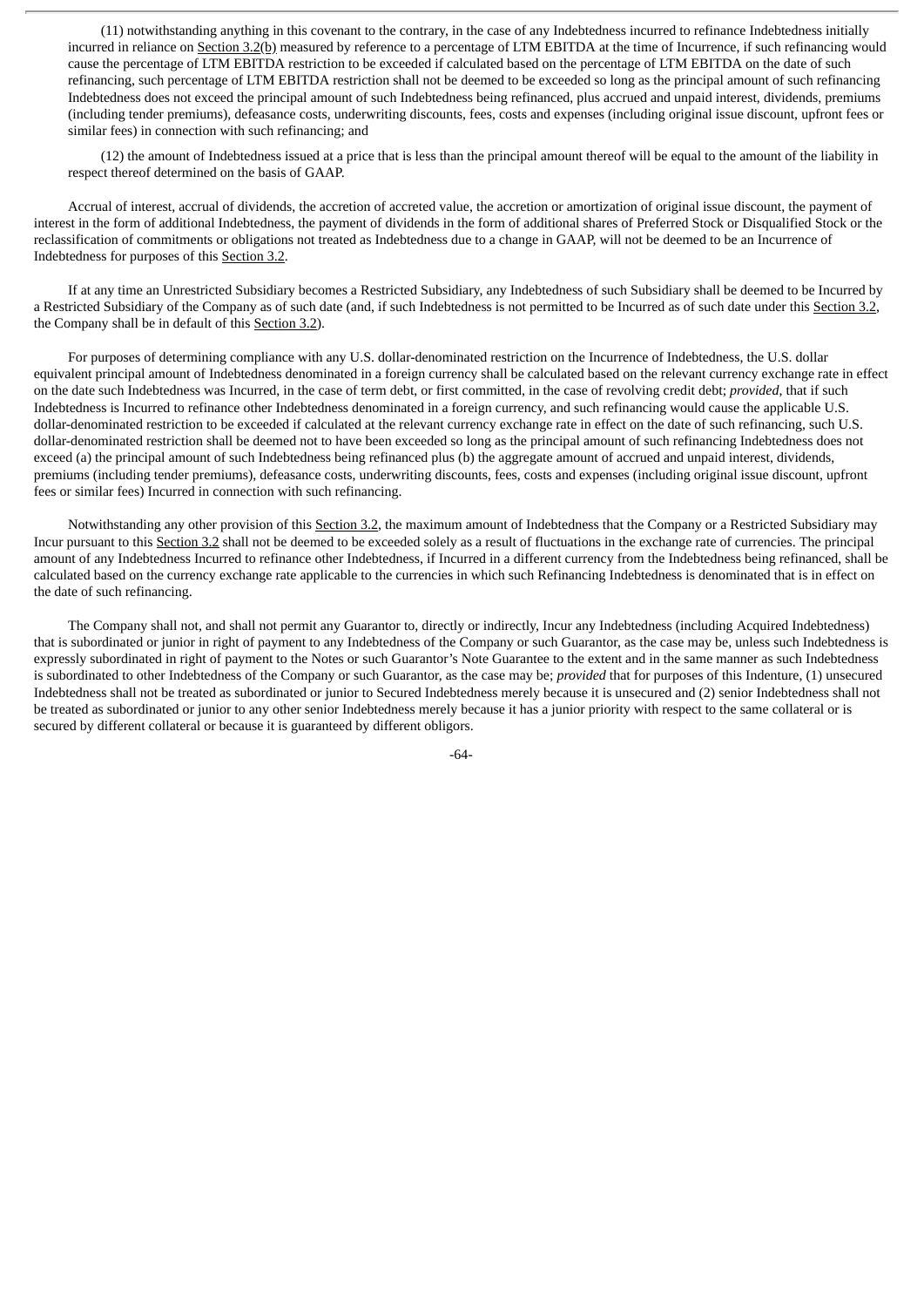(11) notwithstanding anything in this covenant to the contrary, in the case of any Indebtedness incurred to refinance Indebtedness initially incurred in reliance on Section 3.2(b) measured by reference to a percentage of LTM EBITDA at the time of Incurrence, if such refinancing would cause the percentage of LTM EBITDA restriction to be exceeded if calculated based on the percentage of LTM EBITDA on the date of such refinancing, such percentage of LTM EBITDA restriction shall not be deemed to be exceeded so long as the principal amount of such refinancing Indebtedness does not exceed the principal amount of such Indebtedness being refinanced, plus accrued and unpaid interest, dividends, premiums (including tender premiums), defeasance costs, underwriting discounts, fees, costs and expenses (including original issue discount, upfront fees or similar fees) in connection with such refinancing; and

(12) the amount of Indebtedness issued at a price that is less than the principal amount thereof will be equal to the amount of the liability in respect thereof determined on the basis of GAAP.

Accrual of interest, accrual of dividends, the accretion of accreted value, the accretion or amortization of original issue discount, the payment of interest in the form of additional Indebtedness, the payment of dividends in the form of additional shares of Preferred Stock or Disqualified Stock or the reclassification of commitments or obligations not treated as Indebtedness due to a change in GAAP, will not be deemed to be an Incurrence of Indebtedness for purposes of this Section 3.2.

If at any time an Unrestricted Subsidiary becomes a Restricted Subsidiary, any Indebtedness of such Subsidiary shall be deemed to be Incurred by a Restricted Subsidiary of the Company as of such date (and, if such Indebtedness is not permitted to be Incurred as of such date under this Section 3.2, the Company shall be in default of this Section 3.2).

For purposes of determining compliance with any U.S. dollar-denominated restriction on the Incurrence of Indebtedness, the U.S. dollar equivalent principal amount of Indebtedness denominated in a foreign currency shall be calculated based on the relevant currency exchange rate in effect on the date such Indebtedness was Incurred, in the case of term debt, or first committed, in the case of revolving credit debt; *provided*, that if such Indebtedness is Incurred to refinance other Indebtedness denominated in a foreign currency, and such refinancing would cause the applicable U.S. dollar-denominated restriction to be exceeded if calculated at the relevant currency exchange rate in effect on the date of such refinancing, such U.S. dollar-denominated restriction shall be deemed not to have been exceeded so long as the principal amount of such refinancing Indebtedness does not exceed (a) the principal amount of such Indebtedness being refinanced plus (b) the aggregate amount of accrued and unpaid interest, dividends, premiums (including tender premiums), defeasance costs, underwriting discounts, fees, costs and expenses (including original issue discount, upfront fees or similar fees) Incurred in connection with such refinancing.

Notwithstanding any other provision of this Section 3.2, the maximum amount of Indebtedness that the Company or a Restricted Subsidiary may Incur pursuant to this Section 3.2 shall not be deemed to be exceeded solely as a result of fluctuations in the exchange rate of currencies. The principal amount of any Indebtedness Incurred to refinance other Indebtedness, if Incurred in a different currency from the Indebtedness being refinanced, shall be calculated based on the currency exchange rate applicable to the currencies in which such Refinancing Indebtedness is denominated that is in effect on the date of such refinancing.

The Company shall not, and shall not permit any Guarantor to, directly or indirectly, Incur any Indebtedness (including Acquired Indebtedness) that is subordinated or junior in right of payment to any Indebtedness of the Company or such Guarantor, as the case may be, unless such Indebtedness is expressly subordinated in right of payment to the Notes or such Guarantor's Note Guarantee to the extent and in the same manner as such Indebtedness is subordinated to other Indebtedness of the Company or such Guarantor, as the case may be; *provided* that for purposes of this Indenture, (1) unsecured Indebtedness shall not be treated as subordinated or junior to Secured Indebtedness merely because it is unsecured and (2) senior Indebtedness shall not be treated as subordinated or junior to any other senior Indebtedness merely because it has a junior priority with respect to the same collateral or is secured by different collateral or because it is guaranteed by different obligors.

-64-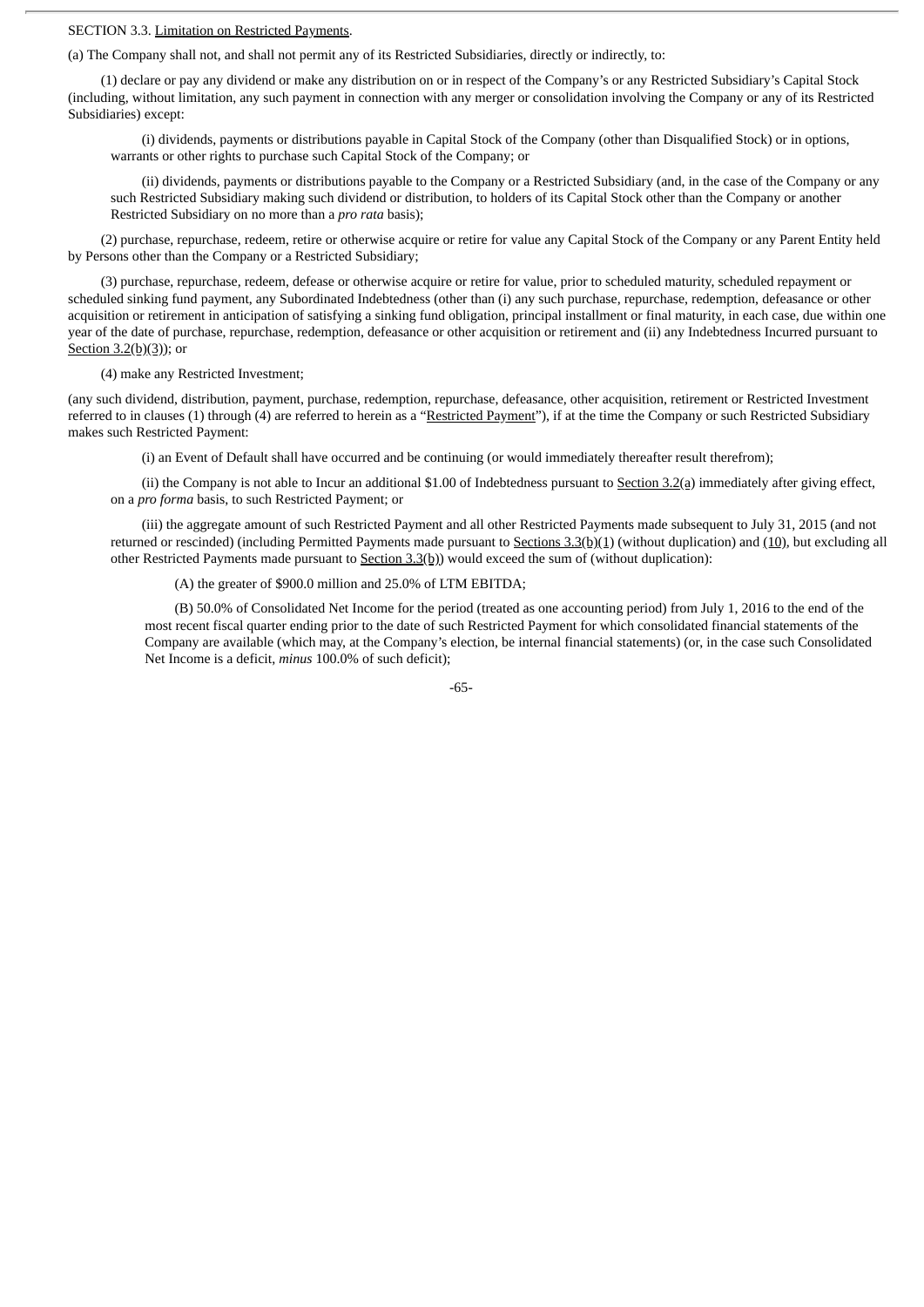# SECTION 3.3. Limitation on Restricted Payments.

(a) The Company shall not, and shall not permit any of its Restricted Subsidiaries, directly or indirectly, to:

(1) declare or pay any dividend or make any distribution on or in respect of the Company's or any Restricted Subsidiary's Capital Stock (including, without limitation, any such payment in connection with any merger or consolidation involving the Company or any of its Restricted Subsidiaries) except:

(i) dividends, payments or distributions payable in Capital Stock of the Company (other than Disqualified Stock) or in options, warrants or other rights to purchase such Capital Stock of the Company; or

(ii) dividends, payments or distributions payable to the Company or a Restricted Subsidiary (and, in the case of the Company or any such Restricted Subsidiary making such dividend or distribution, to holders of its Capital Stock other than the Company or another Restricted Subsidiary on no more than a *pro rata* basis);

(2) purchase, repurchase, redeem, retire or otherwise acquire or retire for value any Capital Stock of the Company or any Parent Entity held by Persons other than the Company or a Restricted Subsidiary;

(3) purchase, repurchase, redeem, defease or otherwise acquire or retire for value, prior to scheduled maturity, scheduled repayment or scheduled sinking fund payment, any Subordinated Indebtedness (other than (i) any such purchase, repurchase, redemption, defeasance or other acquisition or retirement in anticipation of satisfying a sinking fund obligation, principal installment or final maturity, in each case, due within one year of the date of purchase, repurchase, redemption, defeasance or other acquisition or retirement and (ii) any Indebtedness Incurred pursuant to Section 3.2(b)(3)); or

(4) make any Restricted Investment;

(any such dividend, distribution, payment, purchase, redemption, repurchase, defeasance, other acquisition, retirement or Restricted Investment referred to in clauses (1) through (4) are referred to herein as a "Restricted Payment"), if at the time the Company or such Restricted Subsidiary makes such Restricted Payment:

(i) an Event of Default shall have occurred and be continuing (or would immediately thereafter result therefrom);

(ii) the Company is not able to Incur an additional \$1.00 of Indebtedness pursuant to  $Section 3.2(a)$  immediately after giving effect, on a *pro forma* basis, to such Restricted Payment; or

(iii) the aggregate amount of such Restricted Payment and all other Restricted Payments made subsequent to July 31, 2015 (and not returned or rescinded) (including Permitted Payments made pursuant to Sections  $3.3(b)(1)$  (without duplication) and (10), but excluding all other Restricted Payments made pursuant to Section 3.3(b)) would exceed the sum of (without duplication):

(A) the greater of \$900.0 million and 25.0% of LTM EBITDA;

(B) 50.0% of Consolidated Net Income for the period (treated as one accounting period) from July 1, 2016 to the end of the most recent fiscal quarter ending prior to the date of such Restricted Payment for which consolidated financial statements of the Company are available (which may, at the Company's election, be internal financial statements) (or, in the case such Consolidated Net Income is a deficit, *minus* 100.0% of such deficit);

-65-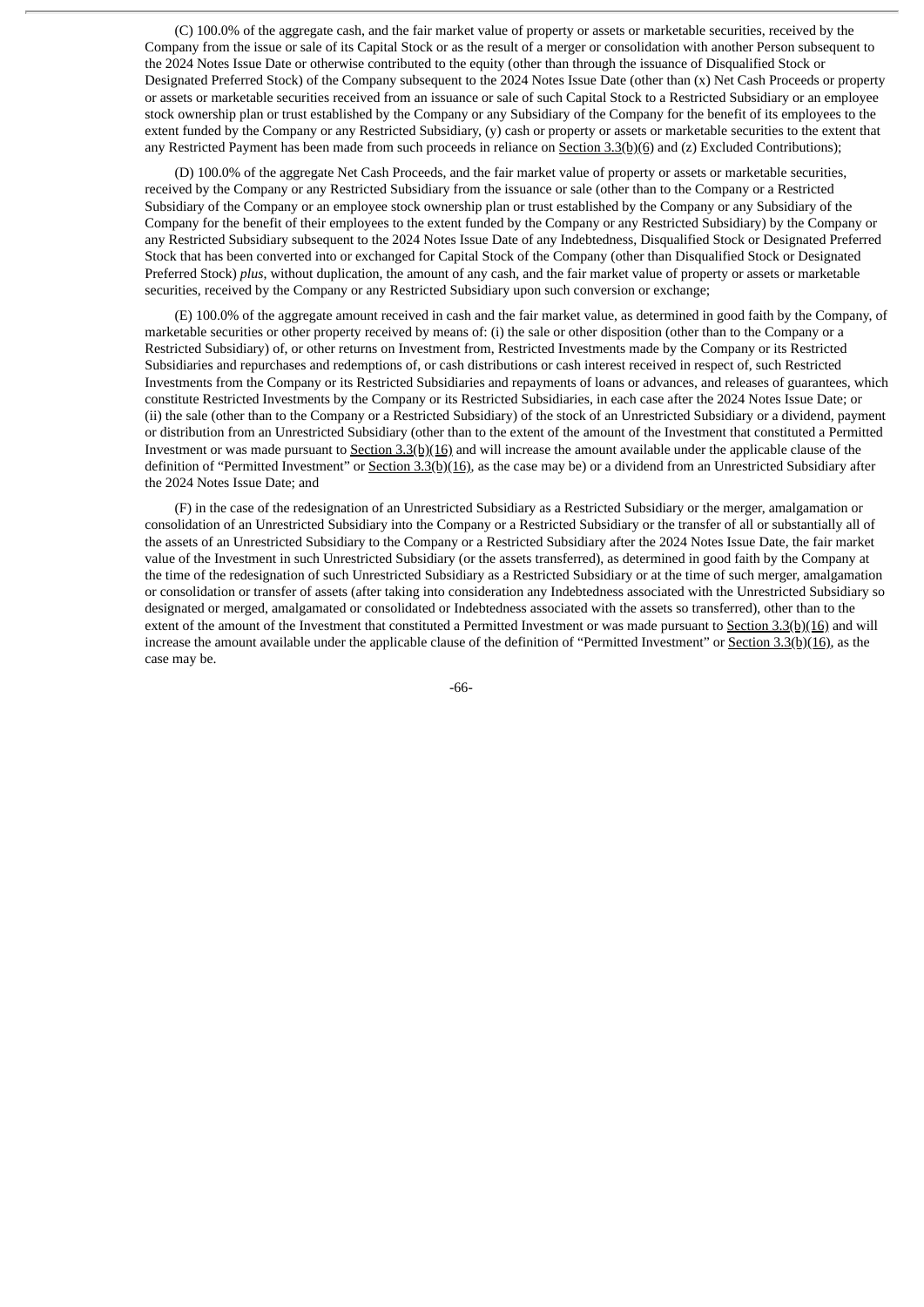(C) 100.0% of the aggregate cash, and the fair market value of property or assets or marketable securities, received by the Company from the issue or sale of its Capital Stock or as the result of a merger or consolidation with another Person subsequent to the 2024 Notes Issue Date or otherwise contributed to the equity (other than through the issuance of Disqualified Stock or Designated Preferred Stock) of the Company subsequent to the 2024 Notes Issue Date (other than (x) Net Cash Proceeds or property or assets or marketable securities received from an issuance or sale of such Capital Stock to a Restricted Subsidiary or an employee stock ownership plan or trust established by the Company or any Subsidiary of the Company for the benefit of its employees to the extent funded by the Company or any Restricted Subsidiary, (y) cash or property or assets or marketable securities to the extent that any Restricted Payment has been made from such proceeds in reliance on Section  $3.3(b)(6)$  and (z) Excluded Contributions);

(D) 100.0% of the aggregate Net Cash Proceeds, and the fair market value of property or assets or marketable securities, received by the Company or any Restricted Subsidiary from the issuance or sale (other than to the Company or a Restricted Subsidiary of the Company or an employee stock ownership plan or trust established by the Company or any Subsidiary of the Company for the benefit of their employees to the extent funded by the Company or any Restricted Subsidiary) by the Company or any Restricted Subsidiary subsequent to the 2024 Notes Issue Date of any Indebtedness, Disqualified Stock or Designated Preferred Stock that has been converted into or exchanged for Capital Stock of the Company (other than Disqualified Stock or Designated Preferred Stock) *plus*, without duplication, the amount of any cash, and the fair market value of property or assets or marketable securities, received by the Company or any Restricted Subsidiary upon such conversion or exchange;

(E) 100.0% of the aggregate amount received in cash and the fair market value, as determined in good faith by the Company, of marketable securities or other property received by means of: (i) the sale or other disposition (other than to the Company or a Restricted Subsidiary) of, or other returns on Investment from, Restricted Investments made by the Company or its Restricted Subsidiaries and repurchases and redemptions of, or cash distributions or cash interest received in respect of, such Restricted Investments from the Company or its Restricted Subsidiaries and repayments of loans or advances, and releases of guarantees, which constitute Restricted Investments by the Company or its Restricted Subsidiaries, in each case after the 2024 Notes Issue Date; or (ii) the sale (other than to the Company or a Restricted Subsidiary) of the stock of an Unrestricted Subsidiary or a dividend, payment or distribution from an Unrestricted Subsidiary (other than to the extent of the amount of the Investment that constituted a Permitted Investment or was made pursuant to  $Section 3.3(b)(16)$  and will increase the amount available under the applicable clause of the</u> definition of "Permitted Investment" or Section 3.3(b)(16), as the case may be) or a dividend from an Unrestricted Subsidiary after the 2024 Notes Issue Date; and

(F) in the case of the redesignation of an Unrestricted Subsidiary as a Restricted Subsidiary or the merger, amalgamation or consolidation of an Unrestricted Subsidiary into the Company or a Restricted Subsidiary or the transfer of all or substantially all of the assets of an Unrestricted Subsidiary to the Company or a Restricted Subsidiary after the 2024 Notes Issue Date, the fair market value of the Investment in such Unrestricted Subsidiary (or the assets transferred), as determined in good faith by the Company at the time of the redesignation of such Unrestricted Subsidiary as a Restricted Subsidiary or at the time of such merger, amalgamation or consolidation or transfer of assets (after taking into consideration any Indebtedness associated with the Unrestricted Subsidiary so designated or merged, amalgamated or consolidated or Indebtedness associated with the assets so transferred), other than to the extent of the amount of the Investment that constituted a Permitted Investment or was made pursuant to  $Section 3.3(b)(16)$  and will increase the amount available under the applicable clause of the definition of "Permitted Investment" or Section  $3.3(b)(16)$ , as the case may be.

-66-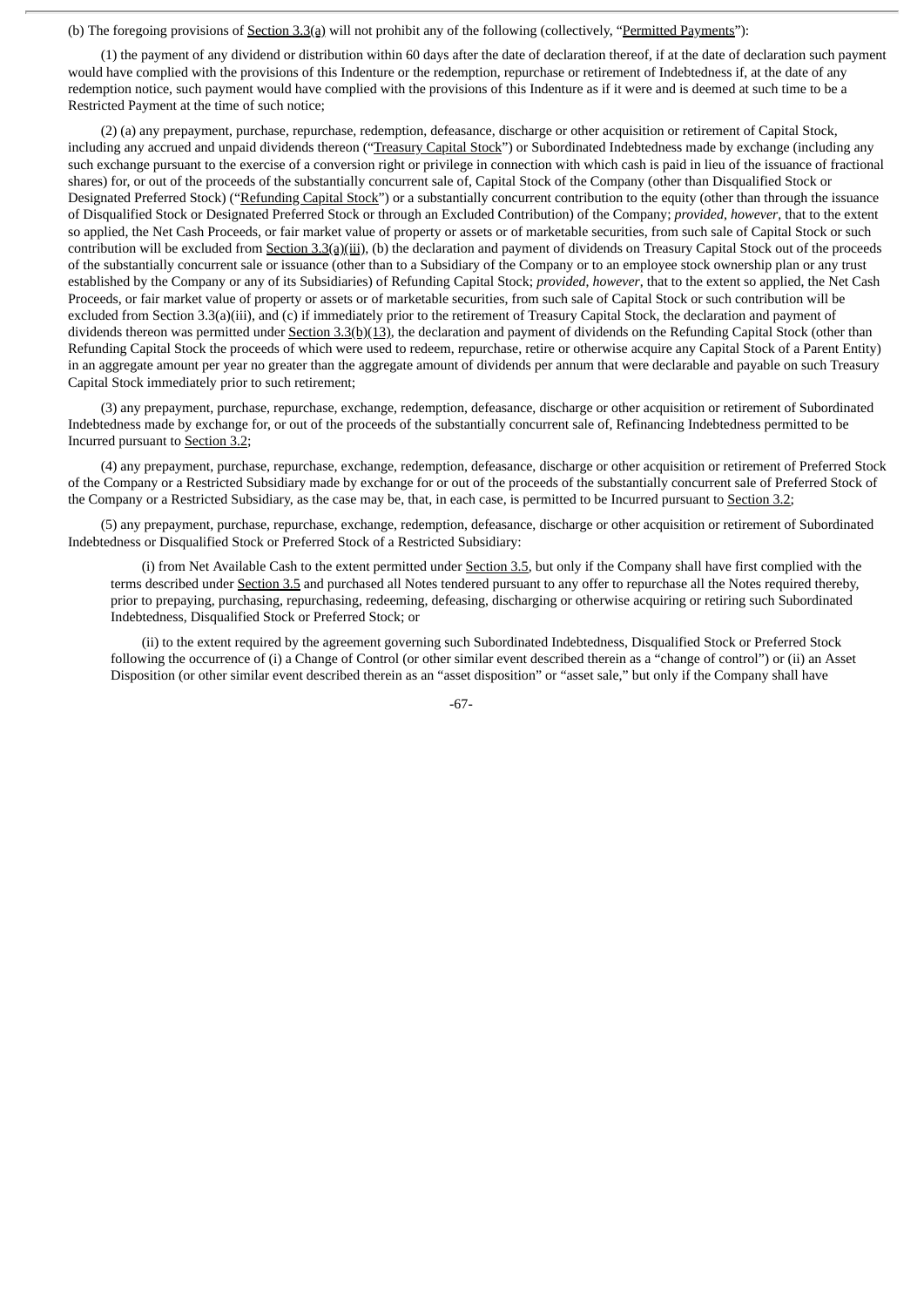(b) The foregoing provisions of Section 3.3(a) will not prohibit any of the following (collectively, "Permitted Payments"):

(1) the payment of any dividend or distribution within 60 days after the date of declaration thereof, if at the date of declaration such payment would have complied with the provisions of this Indenture or the redemption, repurchase or retirement of Indebtedness if, at the date of any redemption notice, such payment would have complied with the provisions of this Indenture as if it were and is deemed at such time to be a Restricted Payment at the time of such notice;

(2) (a) any prepayment, purchase, repurchase, redemption, defeasance, discharge or other acquisition or retirement of Capital Stock, including any accrued and unpaid dividends thereon ("Treasury Capital Stock") or Subordinated Indebtedness made by exchange (including any such exchange pursuant to the exercise of a conversion right or privilege in connection with which cash is paid in lieu of the issuance of fractional shares) for, or out of the proceeds of the substantially concurrent sale of, Capital Stock of the Company (other than Disqualified Stock or Designated Preferred Stock) ("Refunding Capital Stock") or a substantially concurrent contribution to the equity (other than through the issuance of Disqualified Stock or Designated Preferred Stock or through an Excluded Contribution) of the Company; *provided*, *however*, that to the extent so applied, the Net Cash Proceeds, or fair market value of property or assets or of marketable securities, from such sale of Capital Stock or such contribution will be excluded from Section 3.3(a)(iii), (b) the declaration and payment of dividends on Treasury Capital Stock out of the proceeds of the substantially concurrent sale or issuance (other than to a Subsidiary of the Company or to an employee stock ownership plan or any trust established by the Company or any of its Subsidiaries) of Refunding Capital Stock; *provided*, *however*, that to the extent so applied, the Net Cash Proceeds, or fair market value of property or assets or of marketable securities, from such sale of Capital Stock or such contribution will be excluded from Section 3.3(a)(iii), and (c) if immediately prior to the retirement of Treasury Capital Stock, the declaration and payment of dividends thereon was permitted under Section 3.3(b)(13), the declaration and payment of dividends on the Refunding Capital Stock (other than Refunding Capital Stock the proceeds of which were used to redeem, repurchase, retire or otherwise acquire any Capital Stock of a Parent Entity) in an aggregate amount per year no greater than the aggregate amount of dividends per annum that were declarable and payable on such Treasury Capital Stock immediately prior to such retirement;

(3) any prepayment, purchase, repurchase, exchange, redemption, defeasance, discharge or other acquisition or retirement of Subordinated Indebtedness made by exchange for, or out of the proceeds of the substantially concurrent sale of, Refinancing Indebtedness permitted to be Incurred pursuant to Section 3.2;

(4) any prepayment, purchase, repurchase, exchange, redemption, defeasance, discharge or other acquisition or retirement of Preferred Stock of the Company or a Restricted Subsidiary made by exchange for or out of the proceeds of the substantially concurrent sale of Preferred Stock of the Company or a Restricted Subsidiary, as the case may be, that, in each case, is permitted to be Incurred pursuant to Section 3.2;

(5) any prepayment, purchase, repurchase, exchange, redemption, defeasance, discharge or other acquisition or retirement of Subordinated Indebtedness or Disqualified Stock or Preferred Stock of a Restricted Subsidiary:

(i) from Net Available Cash to the extent permitted under Section 3.5, but only if the Company shall have first complied with the terms described under Section 3.5 and purchased all Notes tendered pursuant to any offer to repurchase all the Notes required thereby, prior to prepaying, purchasing, repurchasing, redeeming, defeasing, discharging or otherwise acquiring or retiring such Subordinated Indebtedness, Disqualified Stock or Preferred Stock; or

(ii) to the extent required by the agreement governing such Subordinated Indebtedness, Disqualified Stock or Preferred Stock following the occurrence of (i) a Change of Control (or other similar event described therein as a "change of control") or (ii) an Asset Disposition (or other similar event described therein as an "asset disposition" or "asset sale," but only if the Company shall have

-67-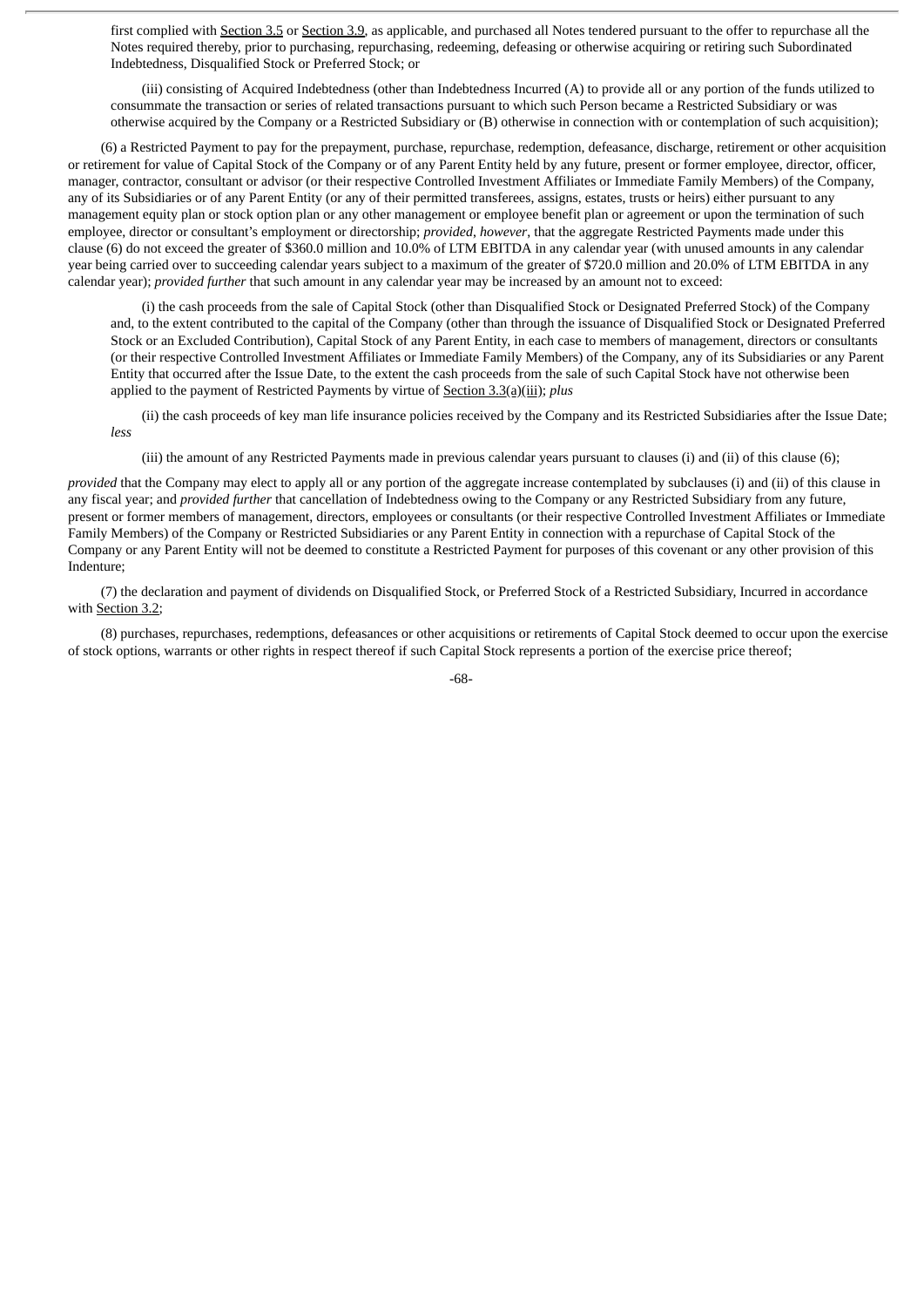first complied with Section 3.5 or Section 3.9, as applicable, and purchased all Notes tendered pursuant to the offer to repurchase all the Notes required thereby, prior to purchasing, repurchasing, redeeming, defeasing or otherwise acquiring or retiring such Subordinated Indebtedness, Disqualified Stock or Preferred Stock; or

(iii) consisting of Acquired Indebtedness (other than Indebtedness Incurred (A) to provide all or any portion of the funds utilized to consummate the transaction or series of related transactions pursuant to which such Person became a Restricted Subsidiary or was otherwise acquired by the Company or a Restricted Subsidiary or (B) otherwise in connection with or contemplation of such acquisition);

(6) a Restricted Payment to pay for the prepayment, purchase, repurchase, redemption, defeasance, discharge, retirement or other acquisition or retirement for value of Capital Stock of the Company or of any Parent Entity held by any future, present or former employee, director, officer, manager, contractor, consultant or advisor (or their respective Controlled Investment Affiliates or Immediate Family Members) of the Company, any of its Subsidiaries or of any Parent Entity (or any of their permitted transferees, assigns, estates, trusts or heirs) either pursuant to any management equity plan or stock option plan or any other management or employee benefit plan or agreement or upon the termination of such employee, director or consultant's employment or directorship; *provided*, *however*, that the aggregate Restricted Payments made under this clause (6) do not exceed the greater of \$360.0 million and 10.0% of LTM EBITDA in any calendar year (with unused amounts in any calendar year being carried over to succeeding calendar years subject to a maximum of the greater of \$720.0 million and 20.0% of LTM EBITDA in any calendar year); *provided further* that such amount in any calendar year may be increased by an amount not to exceed:

(i) the cash proceeds from the sale of Capital Stock (other than Disqualified Stock or Designated Preferred Stock) of the Company and, to the extent contributed to the capital of the Company (other than through the issuance of Disqualified Stock or Designated Preferred Stock or an Excluded Contribution), Capital Stock of any Parent Entity, in each case to members of management, directors or consultants (or their respective Controlled Investment Affiliates or Immediate Family Members) of the Company, any of its Subsidiaries or any Parent Entity that occurred after the Issue Date, to the extent the cash proceeds from the sale of such Capital Stock have not otherwise been applied to the payment of Restricted Payments by virtue of Section 3.3(a)(iii); *plus*

(ii) the cash proceeds of key man life insurance policies received by the Company and its Restricted Subsidiaries after the Issue Date; *less*

(iii) the amount of any Restricted Payments made in previous calendar years pursuant to clauses (i) and (ii) of this clause (6);

*provided* that the Company may elect to apply all or any portion of the aggregate increase contemplated by subclauses (i) and (ii) of this clause in any fiscal year; and *provided further* that cancellation of Indebtedness owing to the Company or any Restricted Subsidiary from any future, present or former members of management, directors, employees or consultants (or their respective Controlled Investment Affiliates or Immediate Family Members) of the Company or Restricted Subsidiaries or any Parent Entity in connection with a repurchase of Capital Stock of the Company or any Parent Entity will not be deemed to constitute a Restricted Payment for purposes of this covenant or any other provision of this Indenture;

(7) the declaration and payment of dividends on Disqualified Stock, or Preferred Stock of a Restricted Subsidiary, Incurred in accordance with Section 3.2;

(8) purchases, repurchases, redemptions, defeasances or other acquisitions or retirements of Capital Stock deemed to occur upon the exercise of stock options, warrants or other rights in respect thereof if such Capital Stock represents a portion of the exercise price thereof;

-68-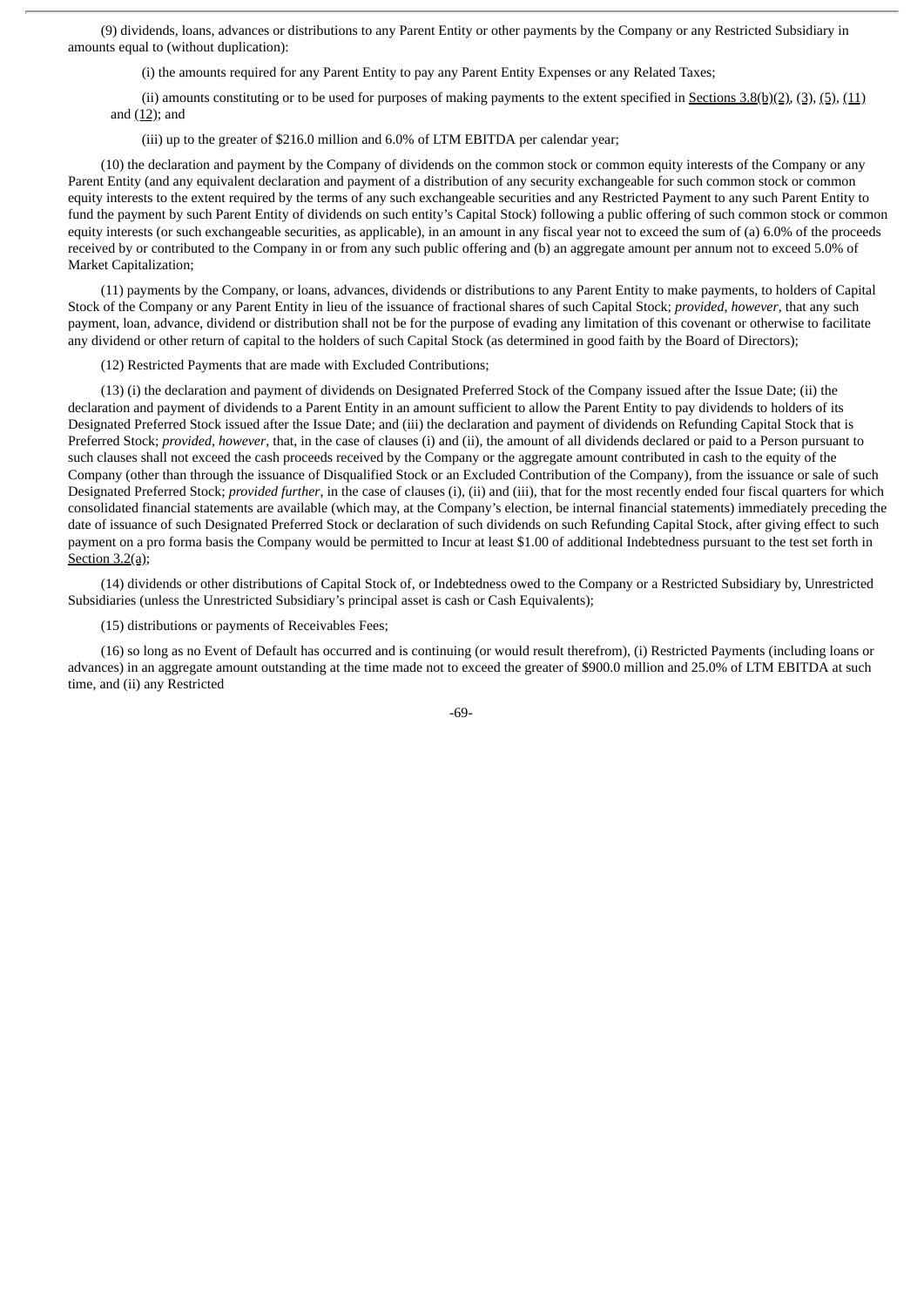(9) dividends, loans, advances or distributions to any Parent Entity or other payments by the Company or any Restricted Subsidiary in amounts equal to (without duplication):

(i) the amounts required for any Parent Entity to pay any Parent Entity Expenses or any Related Taxes;

(ii) amounts constituting or to be used for purposes of making payments to the extent specified in  $S$ ections  $3.8(b)(2)$ ,  $(3)$ ,  $(5)$ ,  $(11)$ and  $(12)$ ; and

(iii) up to the greater of \$216.0 million and 6.0% of LTM EBITDA per calendar year;

(10) the declaration and payment by the Company of dividends on the common stock or common equity interests of the Company or any Parent Entity (and any equivalent declaration and payment of a distribution of any security exchangeable for such common stock or common equity interests to the extent required by the terms of any such exchangeable securities and any Restricted Payment to any such Parent Entity to fund the payment by such Parent Entity of dividends on such entity's Capital Stock) following a public offering of such common stock or common equity interests (or such exchangeable securities, as applicable), in an amount in any fiscal year not to exceed the sum of (a) 6.0% of the proceeds received by or contributed to the Company in or from any such public offering and (b) an aggregate amount per annum not to exceed 5.0% of Market Capitalization;

(11) payments by the Company, or loans, advances, dividends or distributions to any Parent Entity to make payments, to holders of Capital Stock of the Company or any Parent Entity in lieu of the issuance of fractional shares of such Capital Stock; *provided*, *however*, that any such payment, loan, advance, dividend or distribution shall not be for the purpose of evading any limitation of this covenant or otherwise to facilitate any dividend or other return of capital to the holders of such Capital Stock (as determined in good faith by the Board of Directors);

(12) Restricted Payments that are made with Excluded Contributions;

(13) (i) the declaration and payment of dividends on Designated Preferred Stock of the Company issued after the Issue Date; (ii) the declaration and payment of dividends to a Parent Entity in an amount sufficient to allow the Parent Entity to pay dividends to holders of its Designated Preferred Stock issued after the Issue Date; and (iii) the declaration and payment of dividends on Refunding Capital Stock that is Preferred Stock; *provided*, *however*, that, in the case of clauses (i) and (ii), the amount of all dividends declared or paid to a Person pursuant to such clauses shall not exceed the cash proceeds received by the Company or the aggregate amount contributed in cash to the equity of the Company (other than through the issuance of Disqualified Stock or an Excluded Contribution of the Company), from the issuance or sale of such Designated Preferred Stock; *provided further*, in the case of clauses (i), (ii) and (iii), that for the most recently ended four fiscal quarters for which consolidated financial statements are available (which may, at the Company's election, be internal financial statements) immediately preceding the date of issuance of such Designated Preferred Stock or declaration of such dividends on such Refunding Capital Stock, after giving effect to such payment on a pro forma basis the Company would be permitted to Incur at least \$1.00 of additional Indebtedness pursuant to the test set forth in Section 3.2(a);

(14) dividends or other distributions of Capital Stock of, or Indebtedness owed to the Company or a Restricted Subsidiary by, Unrestricted Subsidiaries (unless the Unrestricted Subsidiary's principal asset is cash or Cash Equivalents);

(15) distributions or payments of Receivables Fees;

(16) so long as no Event of Default has occurred and is continuing (or would result therefrom), (i) Restricted Payments (including loans or advances) in an aggregate amount outstanding at the time made not to exceed the greater of \$900.0 million and 25.0% of LTM EBITDA at such time, and (ii) any Restricted

-69-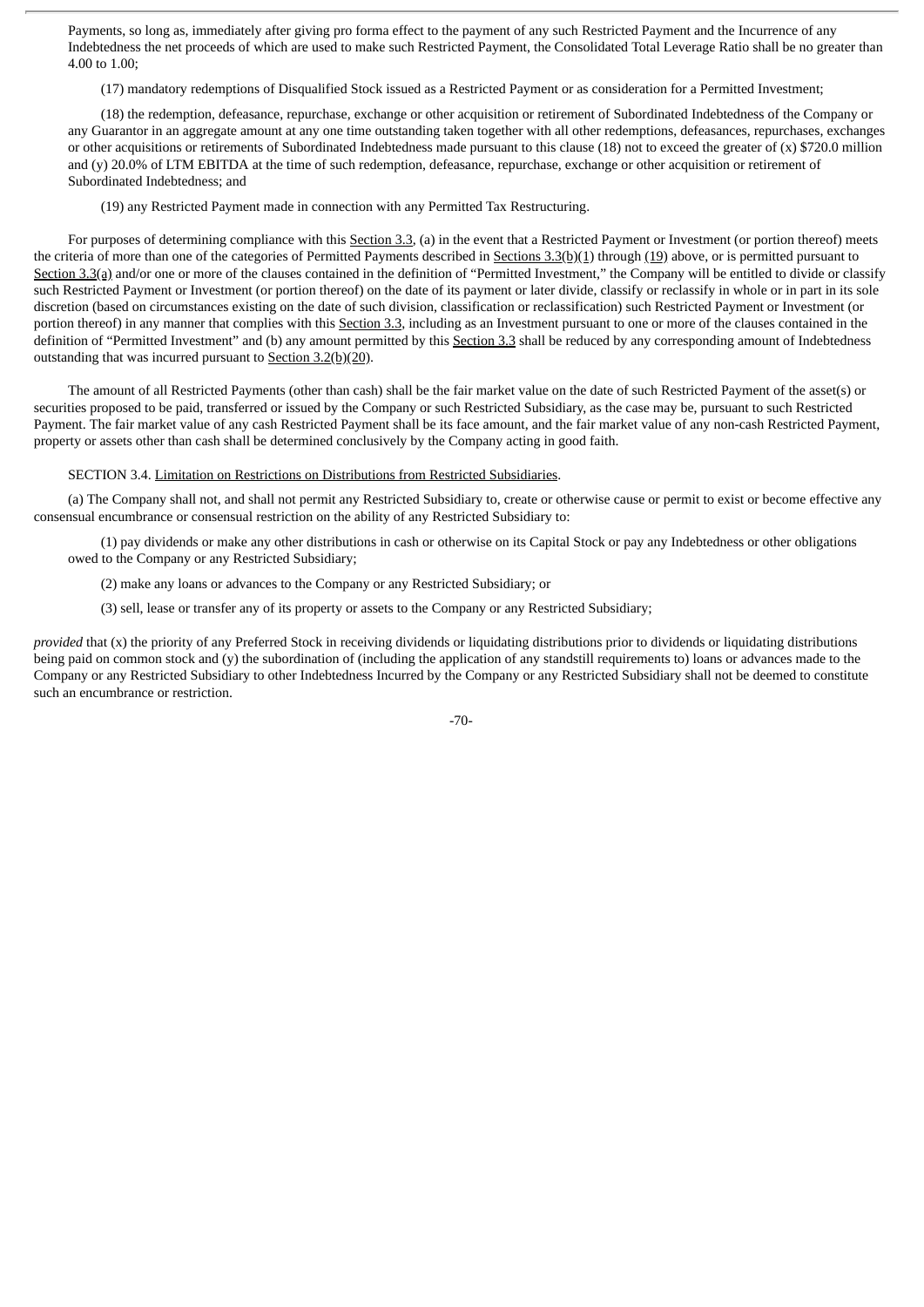Payments, so long as, immediately after giving pro forma effect to the payment of any such Restricted Payment and the Incurrence of any Indebtedness the net proceeds of which are used to make such Restricted Payment, the Consolidated Total Leverage Ratio shall be no greater than 4.00 to 1.00;

(17) mandatory redemptions of Disqualified Stock issued as a Restricted Payment or as consideration for a Permitted Investment;

(18) the redemption, defeasance, repurchase, exchange or other acquisition or retirement of Subordinated Indebtedness of the Company or any Guarantor in an aggregate amount at any one time outstanding taken together with all other redemptions, defeasances, repurchases, exchanges or other acquisitions or retirements of Subordinated Indebtedness made pursuant to this clause (18) not to exceed the greater of (x) \$720.0 million and (y) 20.0% of LTM EBITDA at the time of such redemption, defeasance, repurchase, exchange or other acquisition or retirement of Subordinated Indebtedness; and

(19) any Restricted Payment made in connection with any Permitted Tax Restructuring.

For purposes of determining compliance with this Section 3.3, (a) in the event that a Restricted Payment or Investment (or portion thereof) meets the criteria of more than one of the categories of Permitted Payments described in Sections 3.3(b)(1) through (19) above, or is permitted pursuant to Section 3.3(a) and/or one or more of the clauses contained in the definition of "Permitted Investment," the Company will be entitled to divide or classify such Restricted Payment or Investment (or portion thereof) on the date of its payment or later divide, classify or reclassify in whole or in part in its sole discretion (based on circumstances existing on the date of such division, classification or reclassification) such Restricted Payment or Investment (or portion thereof) in any manner that complies with this Section 3.3, including as an Investment pursuant to one or more of the clauses contained in the definition of "Permitted Investment" and (b) any amount permitted by this Section 3.3 shall be reduced by any corresponding amount of Indebtedness outstanding that was incurred pursuant to Section 3.2(b)(20).

The amount of all Restricted Payments (other than cash) shall be the fair market value on the date of such Restricted Payment of the asset(s) or securities proposed to be paid, transferred or issued by the Company or such Restricted Subsidiary, as the case may be, pursuant to such Restricted Payment. The fair market value of any cash Restricted Payment shall be its face amount, and the fair market value of any non-cash Restricted Payment, property or assets other than cash shall be determined conclusively by the Company acting in good faith.

#### SECTION 3.4. Limitation on Restrictions on Distributions from Restricted Subsidiaries.

(a) The Company shall not, and shall not permit any Restricted Subsidiary to, create or otherwise cause or permit to exist or become effective any consensual encumbrance or consensual restriction on the ability of any Restricted Subsidiary to:

(1) pay dividends or make any other distributions in cash or otherwise on its Capital Stock or pay any Indebtedness or other obligations owed to the Company or any Restricted Subsidiary;

(2) make any loans or advances to the Company or any Restricted Subsidiary; or

(3) sell, lease or transfer any of its property or assets to the Company or any Restricted Subsidiary;

*provided* that (x) the priority of any Preferred Stock in receiving dividends or liquidating distributions prior to dividends or liquidating distributions being paid on common stock and (y) the subordination of (including the application of any standstill requirements to) loans or advances made to the Company or any Restricted Subsidiary to other Indebtedness Incurred by the Company or any Restricted Subsidiary shall not be deemed to constitute such an encumbrance or restriction.

-70-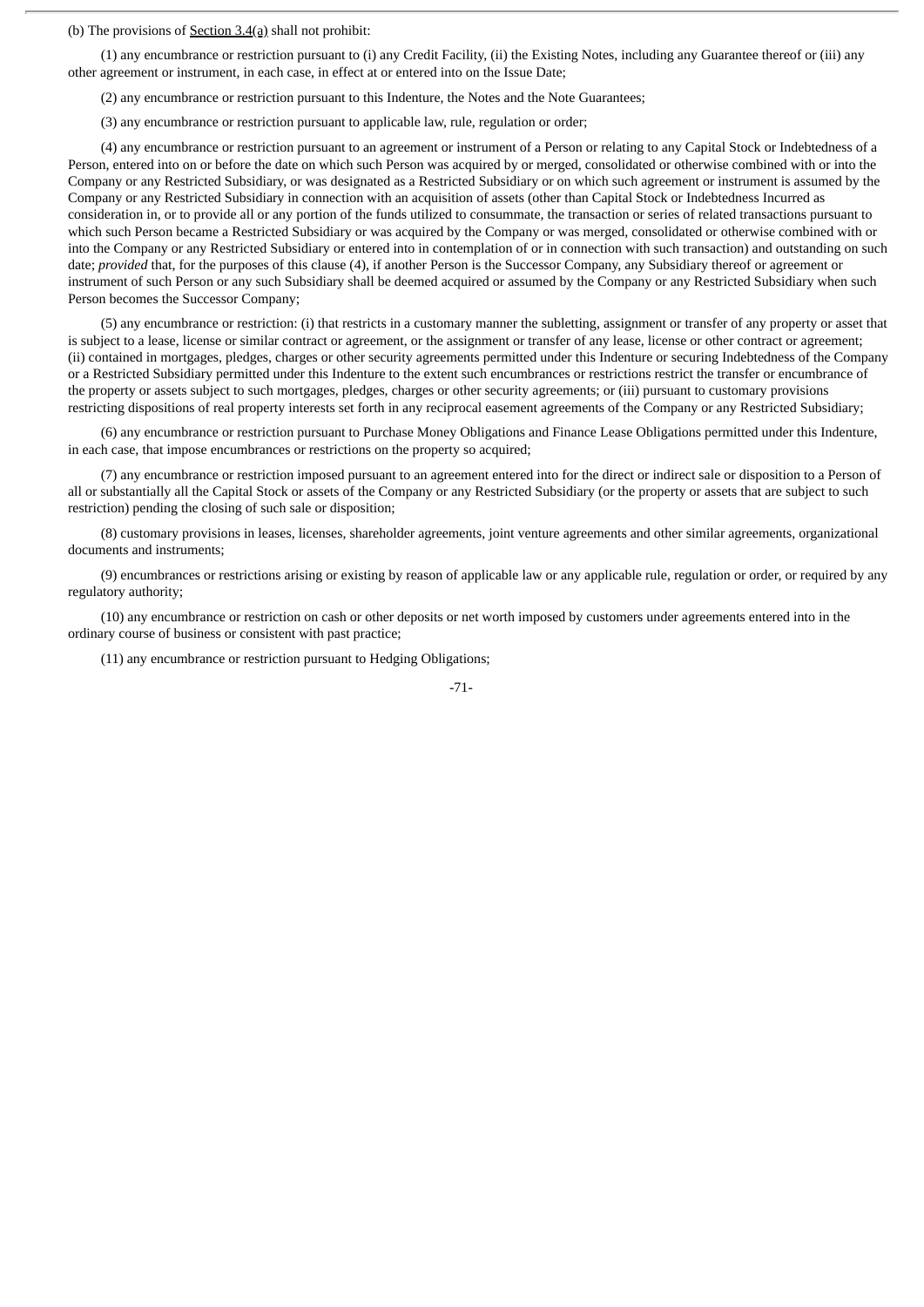(b) The provisions of Section 3.4(a) shall not prohibit:

(1) any encumbrance or restriction pursuant to (i) any Credit Facility, (ii) the Existing Notes, including any Guarantee thereof or (iii) any other agreement or instrument, in each case, in effect at or entered into on the Issue Date;

(2) any encumbrance or restriction pursuant to this Indenture, the Notes and the Note Guarantees;

(3) any encumbrance or restriction pursuant to applicable law, rule, regulation or order;

(4) any encumbrance or restriction pursuant to an agreement or instrument of a Person or relating to any Capital Stock or Indebtedness of a Person, entered into on or before the date on which such Person was acquired by or merged, consolidated or otherwise combined with or into the Company or any Restricted Subsidiary, or was designated as a Restricted Subsidiary or on which such agreement or instrument is assumed by the Company or any Restricted Subsidiary in connection with an acquisition of assets (other than Capital Stock or Indebtedness Incurred as consideration in, or to provide all or any portion of the funds utilized to consummate, the transaction or series of related transactions pursuant to which such Person became a Restricted Subsidiary or was acquired by the Company or was merged, consolidated or otherwise combined with or into the Company or any Restricted Subsidiary or entered into in contemplation of or in connection with such transaction) and outstanding on such date; *provided* that, for the purposes of this clause (4), if another Person is the Successor Company, any Subsidiary thereof or agreement or instrument of such Person or any such Subsidiary shall be deemed acquired or assumed by the Company or any Restricted Subsidiary when such Person becomes the Successor Company;

(5) any encumbrance or restriction: (i) that restricts in a customary manner the subletting, assignment or transfer of any property or asset that is subject to a lease, license or similar contract or agreement, or the assignment or transfer of any lease, license or other contract or agreement; (ii) contained in mortgages, pledges, charges or other security agreements permitted under this Indenture or securing Indebtedness of the Company or a Restricted Subsidiary permitted under this Indenture to the extent such encumbrances or restrictions restrict the transfer or encumbrance of the property or assets subject to such mortgages, pledges, charges or other security agreements; or (iii) pursuant to customary provisions restricting dispositions of real property interests set forth in any reciprocal easement agreements of the Company or any Restricted Subsidiary;

(6) any encumbrance or restriction pursuant to Purchase Money Obligations and Finance Lease Obligations permitted under this Indenture, in each case, that impose encumbrances or restrictions on the property so acquired;

(7) any encumbrance or restriction imposed pursuant to an agreement entered into for the direct or indirect sale or disposition to a Person of all or substantially all the Capital Stock or assets of the Company or any Restricted Subsidiary (or the property or assets that are subject to such restriction) pending the closing of such sale or disposition;

(8) customary provisions in leases, licenses, shareholder agreements, joint venture agreements and other similar agreements, organizational documents and instruments;

(9) encumbrances or restrictions arising or existing by reason of applicable law or any applicable rule, regulation or order, or required by any regulatory authority;

(10) any encumbrance or restriction on cash or other deposits or net worth imposed by customers under agreements entered into in the ordinary course of business or consistent with past practice;

(11) any encumbrance or restriction pursuant to Hedging Obligations;

$$
-71 -
$$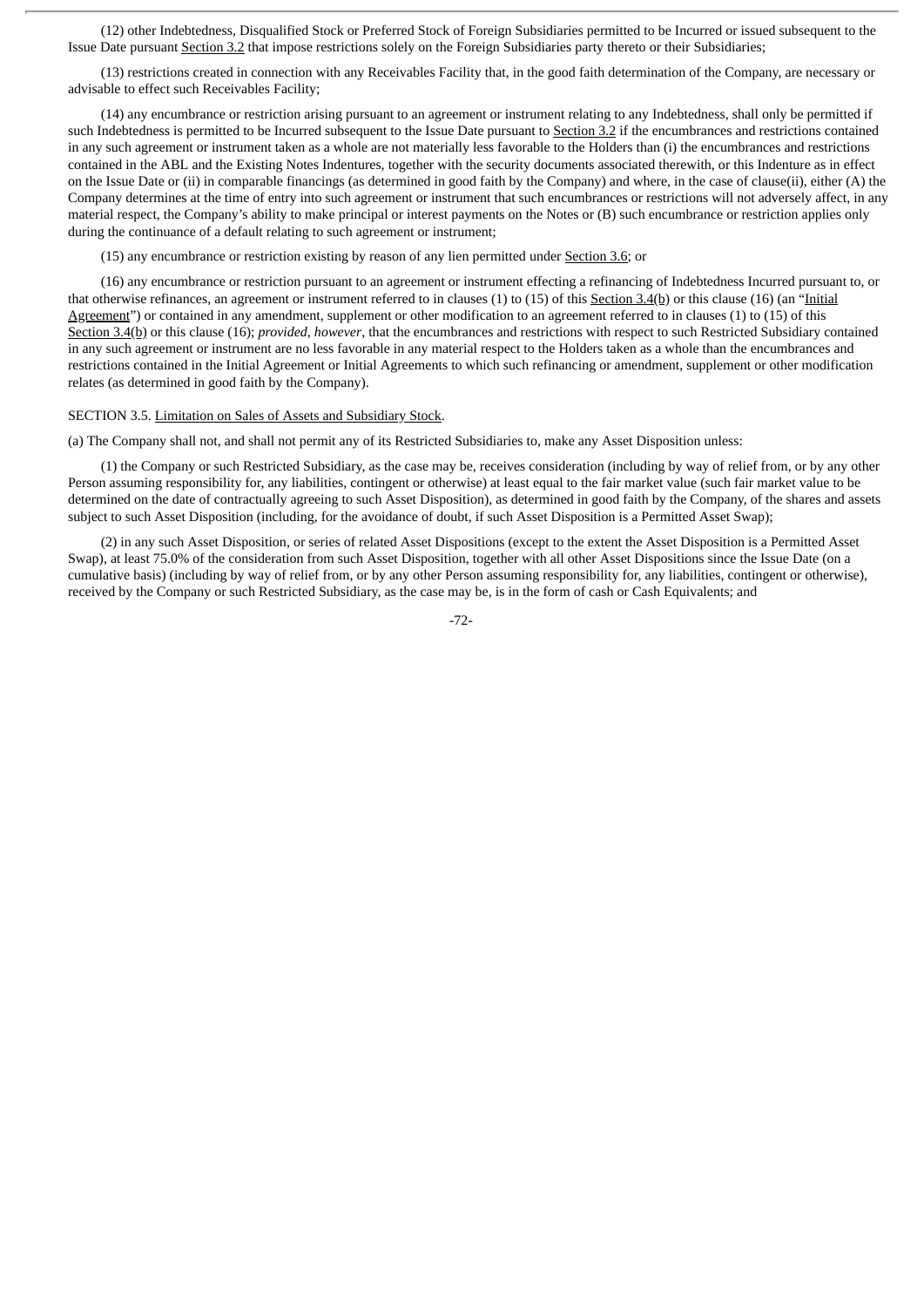(12) other Indebtedness, Disqualified Stock or Preferred Stock of Foreign Subsidiaries permitted to be Incurred or issued subsequent to the Issue Date pursuant Section 3.2 that impose restrictions solely on the Foreign Subsidiaries party thereto or their Subsidiaries;

(13) restrictions created in connection with any Receivables Facility that, in the good faith determination of the Company, are necessary or advisable to effect such Receivables Facility;

(14) any encumbrance or restriction arising pursuant to an agreement or instrument relating to any Indebtedness, shall only be permitted if such Indebtedness is permitted to be Incurred subsequent to the Issue Date pursuant to Section 3.2 if the encumbrances and restrictions contained in any such agreement or instrument taken as a whole are not materially less favorable to the Holders than (i) the encumbrances and restrictions contained in the ABL and the Existing Notes Indentures, together with the security documents associated therewith, or this Indenture as in effect on the Issue Date or (ii) in comparable financings (as determined in good faith by the Company) and where, in the case of clause(ii), either (A) the Company determines at the time of entry into such agreement or instrument that such encumbrances or restrictions will not adversely affect, in any material respect, the Company's ability to make principal or interest payments on the Notes or (B) such encumbrance or restriction applies only during the continuance of a default relating to such agreement or instrument;

(15) any encumbrance or restriction existing by reason of any lien permitted under Section 3.6; or

(16) any encumbrance or restriction pursuant to an agreement or instrument effecting a refinancing of Indebtedness Incurred pursuant to, or that otherwise refinances, an agreement or instrument referred to in clauses (1) to (15) of this Section 3.4(b) or this clause (16) (an "Initial Agreement") or contained in any amendment, supplement or other modification to an agreement referred to in clauses (1) to (15) of this Section 3.4(b) or this clause (16); *provided*, *however*, that the encumbrances and restrictions with respect to such Restricted Subsidiary contained in any such agreement or instrument are no less favorable in any material respect to the Holders taken as a whole than the encumbrances and restrictions contained in the Initial Agreement or Initial Agreements to which such refinancing or amendment, supplement or other modification relates (as determined in good faith by the Company).

## SECTION 3.5. Limitation on Sales of Assets and Subsidiary Stock.

(a) The Company shall not, and shall not permit any of its Restricted Subsidiaries to, make any Asset Disposition unless:

(1) the Company or such Restricted Subsidiary, as the case may be, receives consideration (including by way of relief from, or by any other Person assuming responsibility for, any liabilities, contingent or otherwise) at least equal to the fair market value (such fair market value to be determined on the date of contractually agreeing to such Asset Disposition), as determined in good faith by the Company, of the shares and assets subject to such Asset Disposition (including, for the avoidance of doubt, if such Asset Disposition is a Permitted Asset Swap);

(2) in any such Asset Disposition, or series of related Asset Dispositions (except to the extent the Asset Disposition is a Permitted Asset Swap), at least 75.0% of the consideration from such Asset Disposition, together with all other Asset Dispositions since the Issue Date (on a cumulative basis) (including by way of relief from, or by any other Person assuming responsibility for, any liabilities, contingent or otherwise), received by the Company or such Restricted Subsidiary, as the case may be, is in the form of cash or Cash Equivalents; and

-72-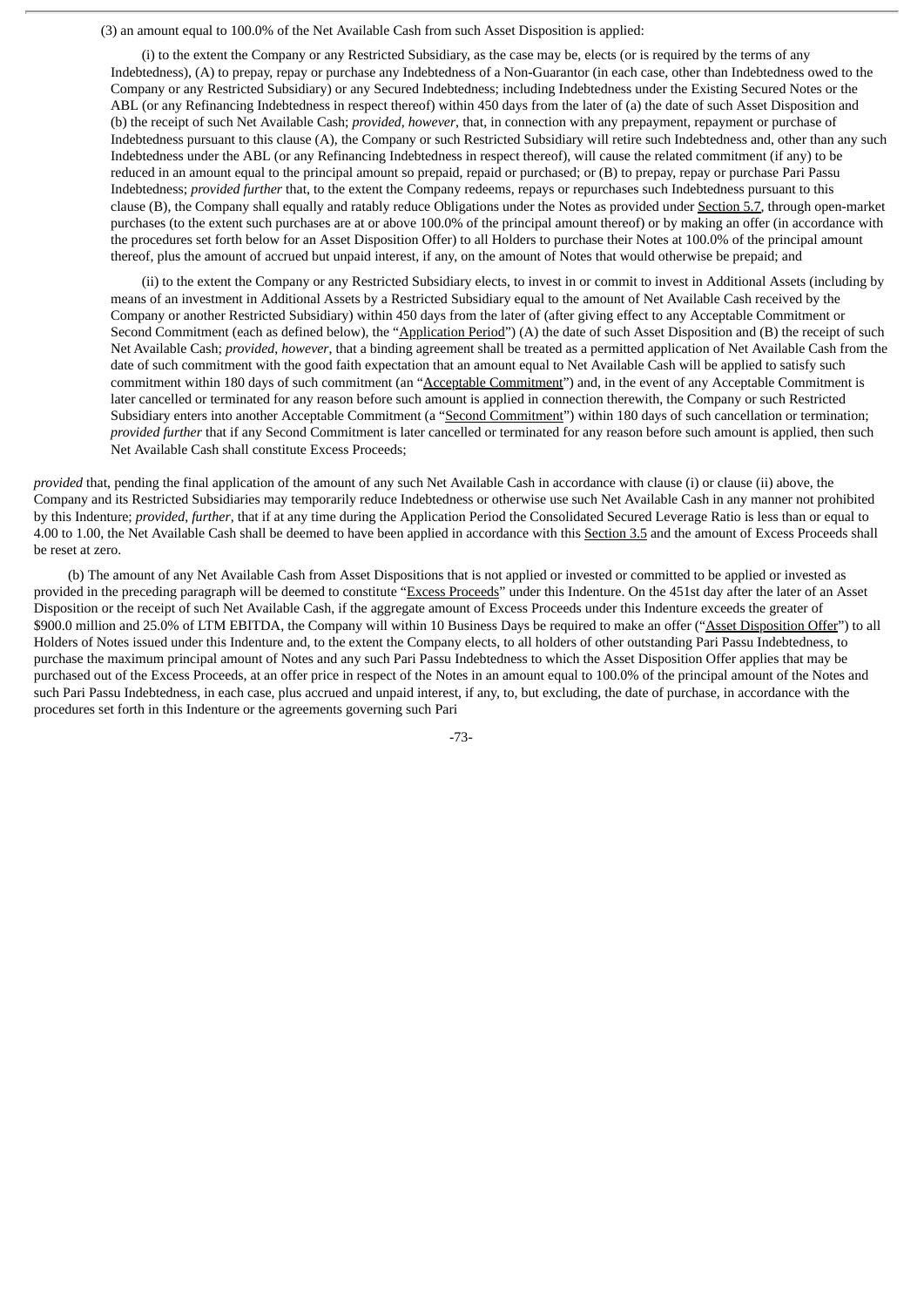(3) an amount equal to 100.0% of the Net Available Cash from such Asset Disposition is applied:

(i) to the extent the Company or any Restricted Subsidiary, as the case may be, elects (or is required by the terms of any Indebtedness), (A) to prepay, repay or purchase any Indebtedness of a Non-Guarantor (in each case, other than Indebtedness owed to the Company or any Restricted Subsidiary) or any Secured Indebtedness; including Indebtedness under the Existing Secured Notes or the ABL (or any Refinancing Indebtedness in respect thereof) within 450 days from the later of (a) the date of such Asset Disposition and (b) the receipt of such Net Available Cash; *provided*, *however*, that, in connection with any prepayment, repayment or purchase of Indebtedness pursuant to this clause (A), the Company or such Restricted Subsidiary will retire such Indebtedness and, other than any such Indebtedness under the ABL (or any Refinancing Indebtedness in respect thereof), will cause the related commitment (if any) to be reduced in an amount equal to the principal amount so prepaid, repaid or purchased; or (B) to prepay, repay or purchase Pari Passu Indebtedness; *provided further* that, to the extent the Company redeems, repays or repurchases such Indebtedness pursuant to this clause (B), the Company shall equally and ratably reduce Obligations under the Notes as provided under Section 5.7, through open-market purchases (to the extent such purchases are at or above 100.0% of the principal amount thereof) or by making an offer (in accordance with the procedures set forth below for an Asset Disposition Offer) to all Holders to purchase their Notes at 100.0% of the principal amount thereof, plus the amount of accrued but unpaid interest, if any, on the amount of Notes that would otherwise be prepaid; and

(ii) to the extent the Company or any Restricted Subsidiary elects, to invest in or commit to invest in Additional Assets (including by means of an investment in Additional Assets by a Restricted Subsidiary equal to the amount of Net Available Cash received by the Company or another Restricted Subsidiary) within 450 days from the later of (after giving effect to any Acceptable Commitment or Second Commitment (each as defined below), the "Application Period") (A) the date of such Asset Disposition and (B) the receipt of such Net Available Cash; *provided*, *however*, that a binding agreement shall be treated as a permitted application of Net Available Cash from the date of such commitment with the good faith expectation that an amount equal to Net Available Cash will be applied to satisfy such commitment within 180 days of such commitment (an "Acceptable Commitment") and, in the event of any Acceptable Commitment is later cancelled or terminated for any reason before such amount is applied in connection therewith, the Company or such Restricted Subsidiary enters into another Acceptable Commitment (a "Second Commitment") within 180 days of such cancellation or termination; *provided further* that if any Second Commitment is later cancelled or terminated for any reason before such amount is applied, then such Net Available Cash shall constitute Excess Proceeds;

*provided* that, pending the final application of the amount of any such Net Available Cash in accordance with clause (i) or clause (ii) above, the Company and its Restricted Subsidiaries may temporarily reduce Indebtedness or otherwise use such Net Available Cash in any manner not prohibited by this Indenture; *provided*, *further*, that if at any time during the Application Period the Consolidated Secured Leverage Ratio is less than or equal to 4.00 to 1.00, the Net Available Cash shall be deemed to have been applied in accordance with this Section 3.5 and the amount of Excess Proceeds shall be reset at zero.

(b) The amount of any Net Available Cash from Asset Dispositions that is not applied or invested or committed to be applied or invested as provided in the preceding paragraph will be deemed to constitute "Excess Proceeds" under this Indenture. On the 451st day after the later of an Asset Disposition or the receipt of such Net Available Cash, if the aggregate amount of Excess Proceeds under this Indenture exceeds the greater of \$900.0 million and 25.0% of LTM EBITDA, the Company will within 10 Business Days be required to make an offer ("Asset Disposition Offer") to all Holders of Notes issued under this Indenture and, to the extent the Company elects, to all holders of other outstanding Pari Passu Indebtedness, to purchase the maximum principal amount of Notes and any such Pari Passu Indebtedness to which the Asset Disposition Offer applies that may be purchased out of the Excess Proceeds, at an offer price in respect of the Notes in an amount equal to 100.0% of the principal amount of the Notes and such Pari Passu Indebtedness, in each case, plus accrued and unpaid interest, if any, to, but excluding, the date of purchase, in accordance with the procedures set forth in this Indenture or the agreements governing such Pari

-73-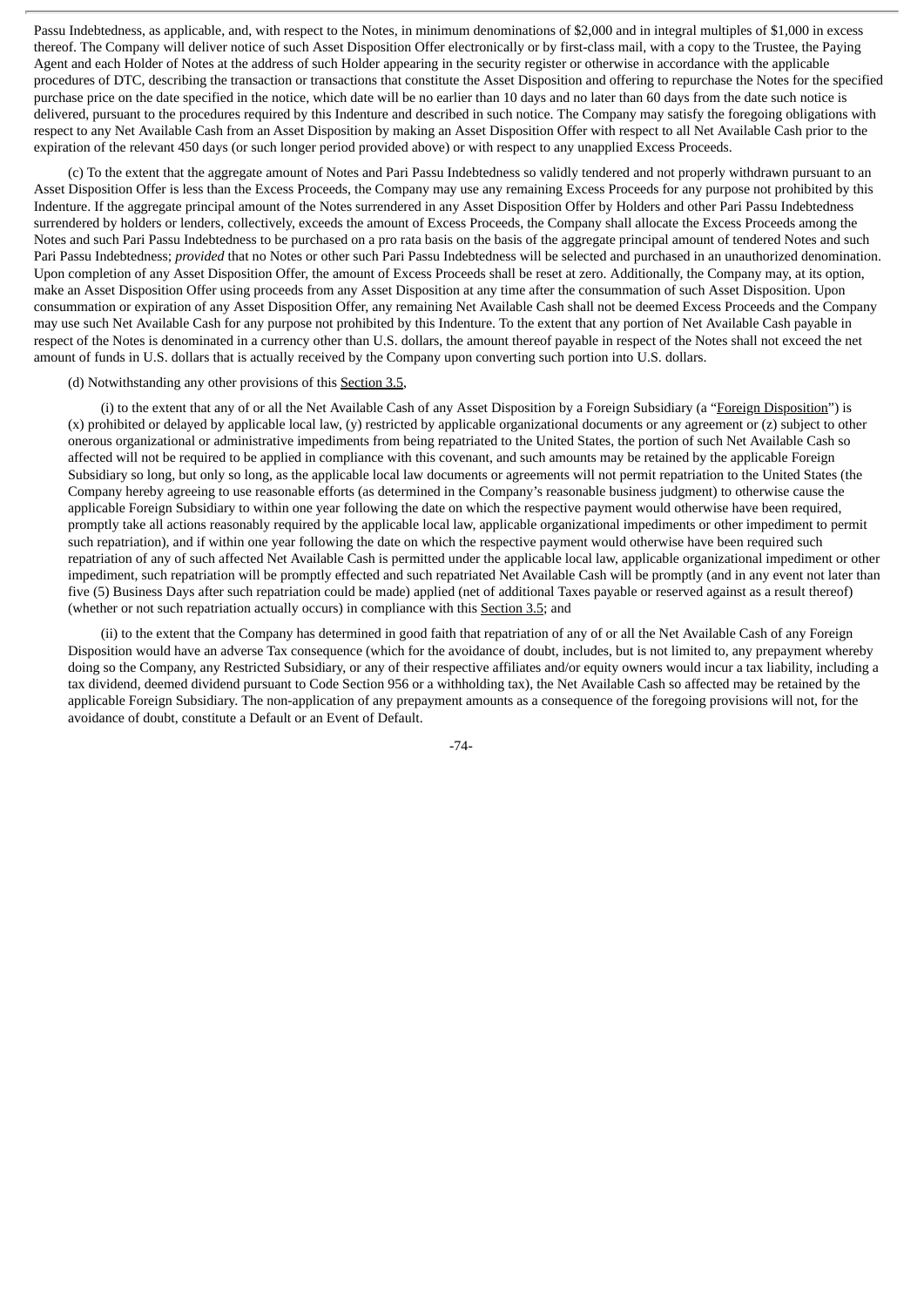Passu Indebtedness, as applicable, and, with respect to the Notes, in minimum denominations of \$2,000 and in integral multiples of \$1,000 in excess thereof. The Company will deliver notice of such Asset Disposition Offer electronically or by first-class mail, with a copy to the Trustee, the Paying Agent and each Holder of Notes at the address of such Holder appearing in the security register or otherwise in accordance with the applicable procedures of DTC, describing the transaction or transactions that constitute the Asset Disposition and offering to repurchase the Notes for the specified purchase price on the date specified in the notice, which date will be no earlier than 10 days and no later than 60 days from the date such notice is delivered, pursuant to the procedures required by this Indenture and described in such notice. The Company may satisfy the foregoing obligations with respect to any Net Available Cash from an Asset Disposition by making an Asset Disposition Offer with respect to all Net Available Cash prior to the expiration of the relevant 450 days (or such longer period provided above) or with respect to any unapplied Excess Proceeds.

(c) To the extent that the aggregate amount of Notes and Pari Passu Indebtedness so validly tendered and not properly withdrawn pursuant to an Asset Disposition Offer is less than the Excess Proceeds, the Company may use any remaining Excess Proceeds for any purpose not prohibited by this Indenture. If the aggregate principal amount of the Notes surrendered in any Asset Disposition Offer by Holders and other Pari Passu Indebtedness surrendered by holders or lenders, collectively, exceeds the amount of Excess Proceeds, the Company shall allocate the Excess Proceeds among the Notes and such Pari Passu Indebtedness to be purchased on a pro rata basis on the basis of the aggregate principal amount of tendered Notes and such Pari Passu Indebtedness; *provided* that no Notes or other such Pari Passu Indebtedness will be selected and purchased in an unauthorized denomination. Upon completion of any Asset Disposition Offer, the amount of Excess Proceeds shall be reset at zero. Additionally, the Company may, at its option, make an Asset Disposition Offer using proceeds from any Asset Disposition at any time after the consummation of such Asset Disposition. Upon consummation or expiration of any Asset Disposition Offer, any remaining Net Available Cash shall not be deemed Excess Proceeds and the Company may use such Net Available Cash for any purpose not prohibited by this Indenture. To the extent that any portion of Net Available Cash payable in respect of the Notes is denominated in a currency other than U.S. dollars, the amount thereof payable in respect of the Notes shall not exceed the net amount of funds in U.S. dollars that is actually received by the Company upon converting such portion into U.S. dollars.

## (d) Notwithstanding any other provisions of this Section 3.5,

(i) to the extent that any of or all the Net Available Cash of any Asset Disposition by a Foreign Subsidiary (a "Foreign Disposition") is (x) prohibited or delayed by applicable local law, (y) restricted by applicable organizational documents or any agreement or (z) subject to other onerous organizational or administrative impediments from being repatriated to the United States, the portion of such Net Available Cash so affected will not be required to be applied in compliance with this covenant, and such amounts may be retained by the applicable Foreign Subsidiary so long, but only so long, as the applicable local law documents or agreements will not permit repatriation to the United States (the Company hereby agreeing to use reasonable efforts (as determined in the Company's reasonable business judgment) to otherwise cause the applicable Foreign Subsidiary to within one year following the date on which the respective payment would otherwise have been required, promptly take all actions reasonably required by the applicable local law, applicable organizational impediments or other impediment to permit such repatriation), and if within one year following the date on which the respective payment would otherwise have been required such repatriation of any of such affected Net Available Cash is permitted under the applicable local law, applicable organizational impediment or other impediment, such repatriation will be promptly effected and such repatriated Net Available Cash will be promptly (and in any event not later than five (5) Business Days after such repatriation could be made) applied (net of additional Taxes payable or reserved against as a result thereof) (whether or not such repatriation actually occurs) in compliance with this Section 3.5; and

(ii) to the extent that the Company has determined in good faith that repatriation of any of or all the Net Available Cash of any Foreign Disposition would have an adverse Tax consequence (which for the avoidance of doubt, includes, but is not limited to, any prepayment whereby doing so the Company, any Restricted Subsidiary, or any of their respective affiliates and/or equity owners would incur a tax liability, including a tax dividend, deemed dividend pursuant to Code Section 956 or a withholding tax), the Net Available Cash so affected may be retained by the applicable Foreign Subsidiary. The non-application of any prepayment amounts as a consequence of the foregoing provisions will not, for the avoidance of doubt, constitute a Default or an Event of Default.

-74-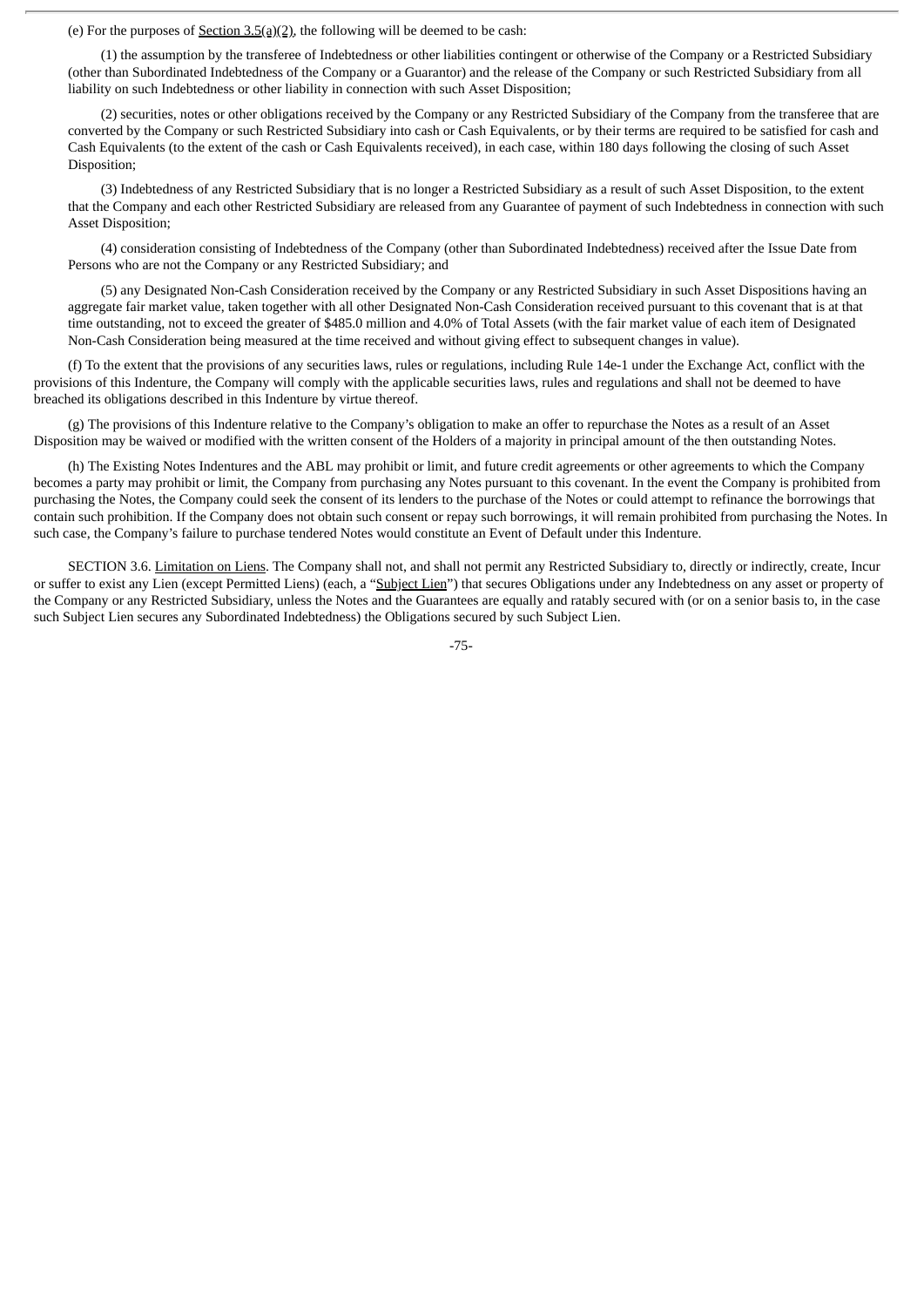(e) For the purposes of Section 3.5(a)(2), the following will be deemed to be cash:

(1) the assumption by the transferee of Indebtedness or other liabilities contingent or otherwise of the Company or a Restricted Subsidiary (other than Subordinated Indebtedness of the Company or a Guarantor) and the release of the Company or such Restricted Subsidiary from all liability on such Indebtedness or other liability in connection with such Asset Disposition;

(2) securities, notes or other obligations received by the Company or any Restricted Subsidiary of the Company from the transferee that are converted by the Company or such Restricted Subsidiary into cash or Cash Equivalents, or by their terms are required to be satisfied for cash and Cash Equivalents (to the extent of the cash or Cash Equivalents received), in each case, within 180 days following the closing of such Asset Disposition;

(3) Indebtedness of any Restricted Subsidiary that is no longer a Restricted Subsidiary as a result of such Asset Disposition, to the extent that the Company and each other Restricted Subsidiary are released from any Guarantee of payment of such Indebtedness in connection with such Asset Disposition;

(4) consideration consisting of Indebtedness of the Company (other than Subordinated Indebtedness) received after the Issue Date from Persons who are not the Company or any Restricted Subsidiary; and

(5) any Designated Non-Cash Consideration received by the Company or any Restricted Subsidiary in such Asset Dispositions having an aggregate fair market value, taken together with all other Designated Non-Cash Consideration received pursuant to this covenant that is at that time outstanding, not to exceed the greater of \$485.0 million and 4.0% of Total Assets (with the fair market value of each item of Designated Non-Cash Consideration being measured at the time received and without giving effect to subsequent changes in value).

(f) To the extent that the provisions of any securities laws, rules or regulations, including Rule 14e-1 under the Exchange Act, conflict with the provisions of this Indenture, the Company will comply with the applicable securities laws, rules and regulations and shall not be deemed to have breached its obligations described in this Indenture by virtue thereof.

(g) The provisions of this Indenture relative to the Company's obligation to make an offer to repurchase the Notes as a result of an Asset Disposition may be waived or modified with the written consent of the Holders of a majority in principal amount of the then outstanding Notes.

(h) The Existing Notes Indentures and the ABL may prohibit or limit, and future credit agreements or other agreements to which the Company becomes a party may prohibit or limit, the Company from purchasing any Notes pursuant to this covenant. In the event the Company is prohibited from purchasing the Notes, the Company could seek the consent of its lenders to the purchase of the Notes or could attempt to refinance the borrowings that contain such prohibition. If the Company does not obtain such consent or repay such borrowings, it will remain prohibited from purchasing the Notes. In such case, the Company's failure to purchase tendered Notes would constitute an Event of Default under this Indenture.

SECTION 3.6. Limitation on Liens. The Company shall not, and shall not permit any Restricted Subsidiary to, directly or indirectly, create, Incur or suffer to exist any Lien (except Permitted Liens) (each, a "Subject Lien") that secures Obligations under any Indebtedness on any asset or property of the Company or any Restricted Subsidiary, unless the Notes and the Guarantees are equally and ratably secured with (or on a senior basis to, in the case such Subject Lien secures any Subordinated Indebtedness) the Obligations secured by such Subject Lien.

-75-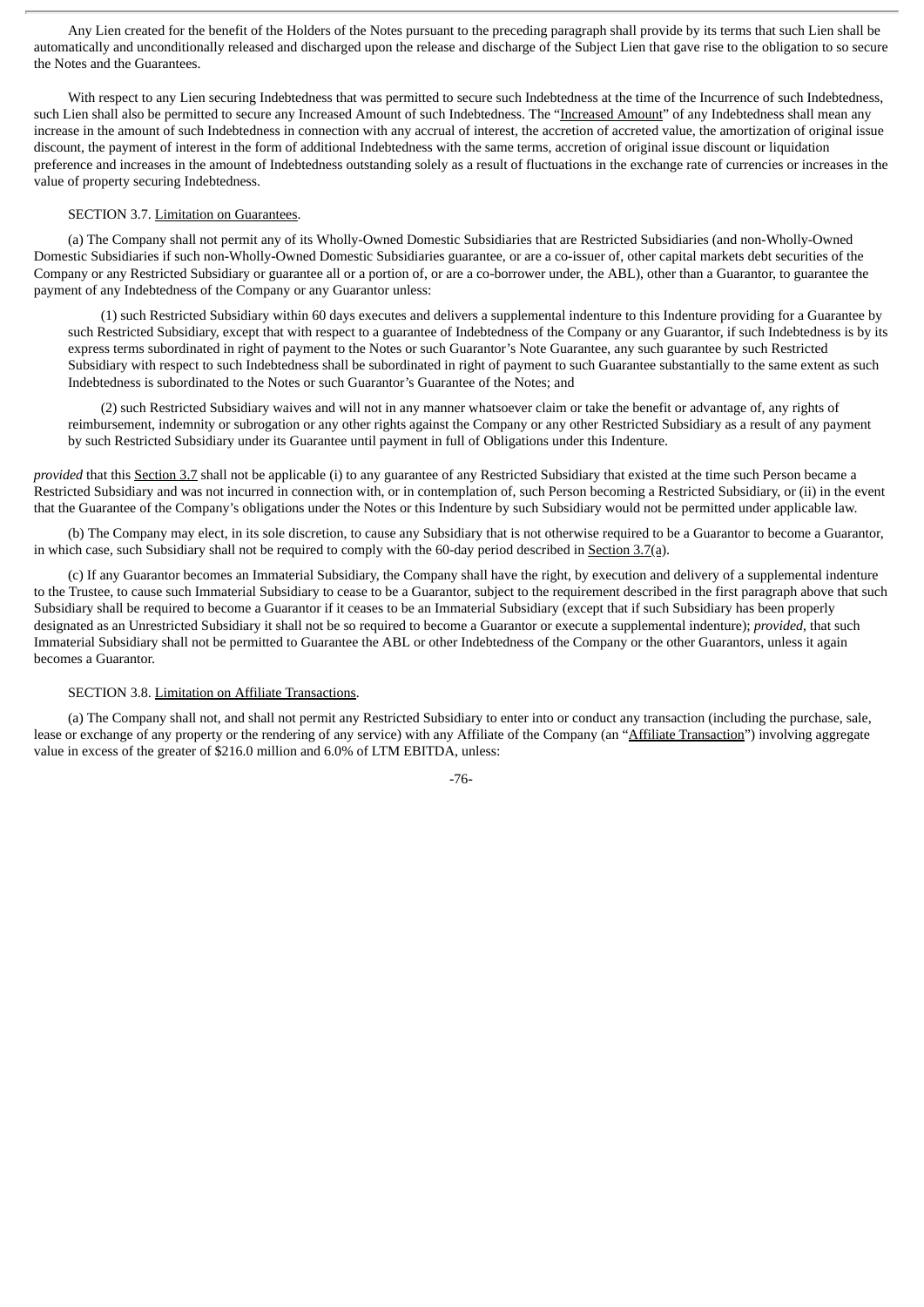Any Lien created for the benefit of the Holders of the Notes pursuant to the preceding paragraph shall provide by its terms that such Lien shall be automatically and unconditionally released and discharged upon the release and discharge of the Subject Lien that gave rise to the obligation to so secure the Notes and the Guarantees.

With respect to any Lien securing Indebtedness that was permitted to secure such Indebtedness at the time of the Incurrence of such Indebtedness, such Lien shall also be permitted to secure any Increased Amount of such Indebtedness. The "Increased Amount" of any Indebtedness shall mean any increase in the amount of such Indebtedness in connection with any accrual of interest, the accretion of accreted value, the amortization of original issue discount, the payment of interest in the form of additional Indebtedness with the same terms, accretion of original issue discount or liquidation preference and increases in the amount of Indebtedness outstanding solely as a result of fluctuations in the exchange rate of currencies or increases in the value of property securing Indebtedness.

## SECTION 3.7. Limitation on Guarantees.

(a) The Company shall not permit any of its Wholly-Owned Domestic Subsidiaries that are Restricted Subsidiaries (and non-Wholly-Owned Domestic Subsidiaries if such non-Wholly-Owned Domestic Subsidiaries guarantee, or are a co-issuer of, other capital markets debt securities of the Company or any Restricted Subsidiary or guarantee all or a portion of, or are a co-borrower under, the ABL), other than a Guarantor, to guarantee the payment of any Indebtedness of the Company or any Guarantor unless:

(1) such Restricted Subsidiary within 60 days executes and delivers a supplemental indenture to this Indenture providing for a Guarantee by such Restricted Subsidiary, except that with respect to a guarantee of Indebtedness of the Company or any Guarantor, if such Indebtedness is by its express terms subordinated in right of payment to the Notes or such Guarantor's Note Guarantee, any such guarantee by such Restricted Subsidiary with respect to such Indebtedness shall be subordinated in right of payment to such Guarantee substantially to the same extent as such Indebtedness is subordinated to the Notes or such Guarantor's Guarantee of the Notes; and

(2) such Restricted Subsidiary waives and will not in any manner whatsoever claim or take the benefit or advantage of, any rights of reimbursement, indemnity or subrogation or any other rights against the Company or any other Restricted Subsidiary as a result of any payment by such Restricted Subsidiary under its Guarantee until payment in full of Obligations under this Indenture.

*provided* that this Section 3.7 shall not be applicable (i) to any guarantee of any Restricted Subsidiary that existed at the time such Person became a Restricted Subsidiary and was not incurred in connection with, or in contemplation of, such Person becoming a Restricted Subsidiary, or (ii) in the event that the Guarantee of the Company's obligations under the Notes or this Indenture by such Subsidiary would not be permitted under applicable law.

(b) The Company may elect, in its sole discretion, to cause any Subsidiary that is not otherwise required to be a Guarantor to become a Guarantor, in which case, such Subsidiary shall not be required to comply with the 60-day period described in Section 3.7(a).

(c) If any Guarantor becomes an Immaterial Subsidiary, the Company shall have the right, by execution and delivery of a supplemental indenture to the Trustee, to cause such Immaterial Subsidiary to cease to be a Guarantor, subject to the requirement described in the first paragraph above that such Subsidiary shall be required to become a Guarantor if it ceases to be an Immaterial Subsidiary (except that if such Subsidiary has been properly designated as an Unrestricted Subsidiary it shall not be so required to become a Guarantor or execute a supplemental indenture); *provided*, that such Immaterial Subsidiary shall not be permitted to Guarantee the ABL or other Indebtedness of the Company or the other Guarantors, unless it again becomes a Guarantor.

#### SECTION 3.8. Limitation on Affiliate Transactions.

(a) The Company shall not, and shall not permit any Restricted Subsidiary to enter into or conduct any transaction (including the purchase, sale, lease or exchange of any property or the rendering of any service) with any Affiliate of the Company (an "Affiliate Transaction") involving aggregate value in excess of the greater of \$216.0 million and 6.0% of LTM EBITDA, unless:

-76-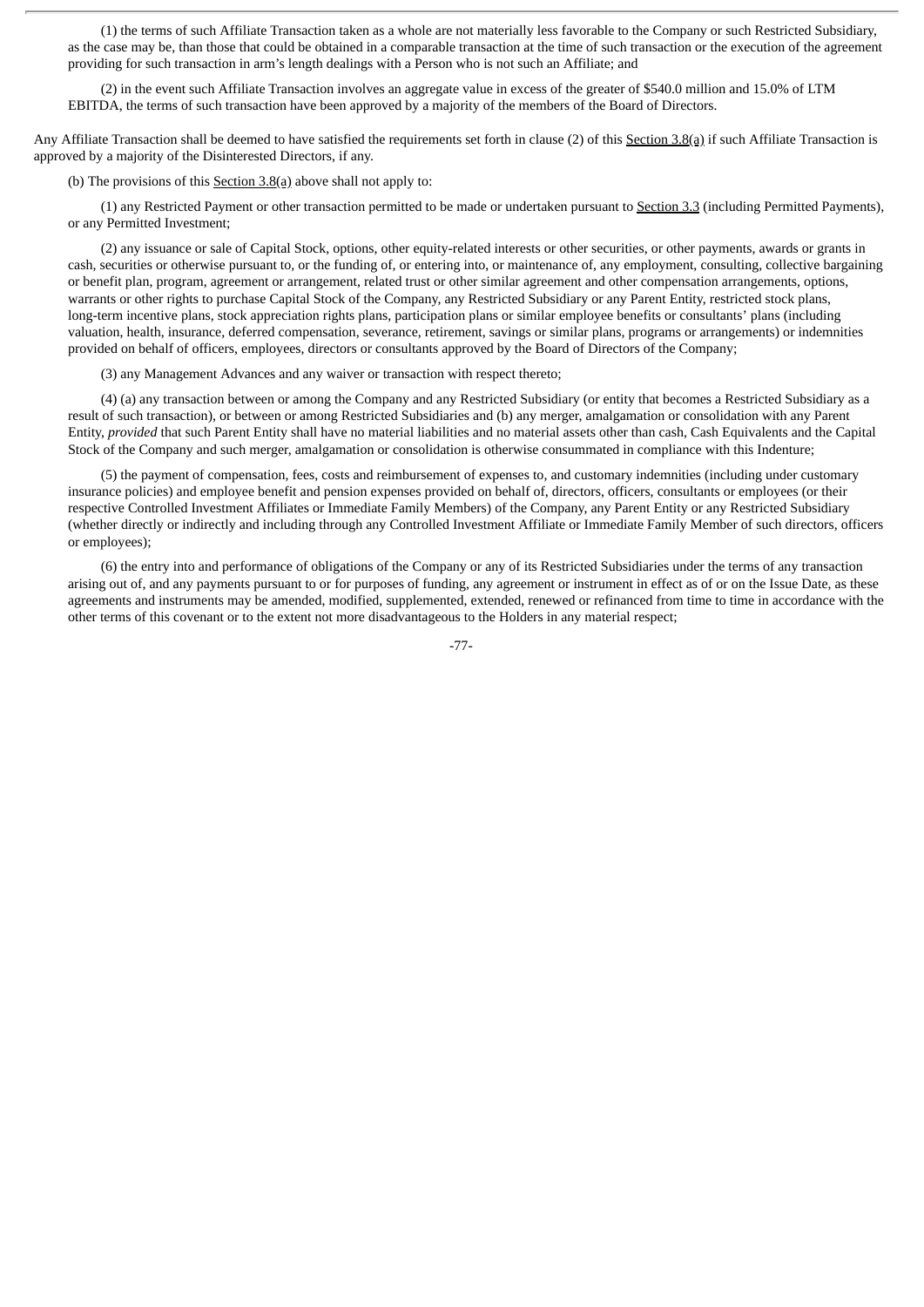(1) the terms of such Affiliate Transaction taken as a whole are not materially less favorable to the Company or such Restricted Subsidiary, as the case may be, than those that could be obtained in a comparable transaction at the time of such transaction or the execution of the agreement providing for such transaction in arm's length dealings with a Person who is not such an Affiliate; and

(2) in the event such Affiliate Transaction involves an aggregate value in excess of the greater of \$540.0 million and 15.0% of LTM EBITDA, the terms of such transaction have been approved by a majority of the members of the Board of Directors.

Any Affiliate Transaction shall be deemed to have satisfied the requirements set forth in clause (2) of this Section 3.8(a) if such Affiliate Transaction is approved by a majority of the Disinterested Directors, if any.

(b) The provisions of this  $S$ ection  $3.8(a)$  above shall not apply to:

(1) any Restricted Payment or other transaction permitted to be made or undertaken pursuant to Section 3.3 (including Permitted Payments), or any Permitted Investment;

(2) any issuance or sale of Capital Stock, options, other equity-related interests or other securities, or other payments, awards or grants in cash, securities or otherwise pursuant to, or the funding of, or entering into, or maintenance of, any employment, consulting, collective bargaining or benefit plan, program, agreement or arrangement, related trust or other similar agreement and other compensation arrangements, options, warrants or other rights to purchase Capital Stock of the Company, any Restricted Subsidiary or any Parent Entity, restricted stock plans, long-term incentive plans, stock appreciation rights plans, participation plans or similar employee benefits or consultants' plans (including valuation, health, insurance, deferred compensation, severance, retirement, savings or similar plans, programs or arrangements) or indemnities provided on behalf of officers, employees, directors or consultants approved by the Board of Directors of the Company;

(3) any Management Advances and any waiver or transaction with respect thereto;

(4) (a) any transaction between or among the Company and any Restricted Subsidiary (or entity that becomes a Restricted Subsidiary as a result of such transaction), or between or among Restricted Subsidiaries and (b) any merger, amalgamation or consolidation with any Parent Entity, *provided* that such Parent Entity shall have no material liabilities and no material assets other than cash, Cash Equivalents and the Capital Stock of the Company and such merger, amalgamation or consolidation is otherwise consummated in compliance with this Indenture;

(5) the payment of compensation, fees, costs and reimbursement of expenses to, and customary indemnities (including under customary insurance policies) and employee benefit and pension expenses provided on behalf of, directors, officers, consultants or employees (or their respective Controlled Investment Affiliates or Immediate Family Members) of the Company, any Parent Entity or any Restricted Subsidiary (whether directly or indirectly and including through any Controlled Investment Affiliate or Immediate Family Member of such directors, officers or employees);

(6) the entry into and performance of obligations of the Company or any of its Restricted Subsidiaries under the terms of any transaction arising out of, and any payments pursuant to or for purposes of funding, any agreement or instrument in effect as of or on the Issue Date, as these agreements and instruments may be amended, modified, supplemented, extended, renewed or refinanced from time to time in accordance with the other terms of this covenant or to the extent not more disadvantageous to the Holders in any material respect;

-77-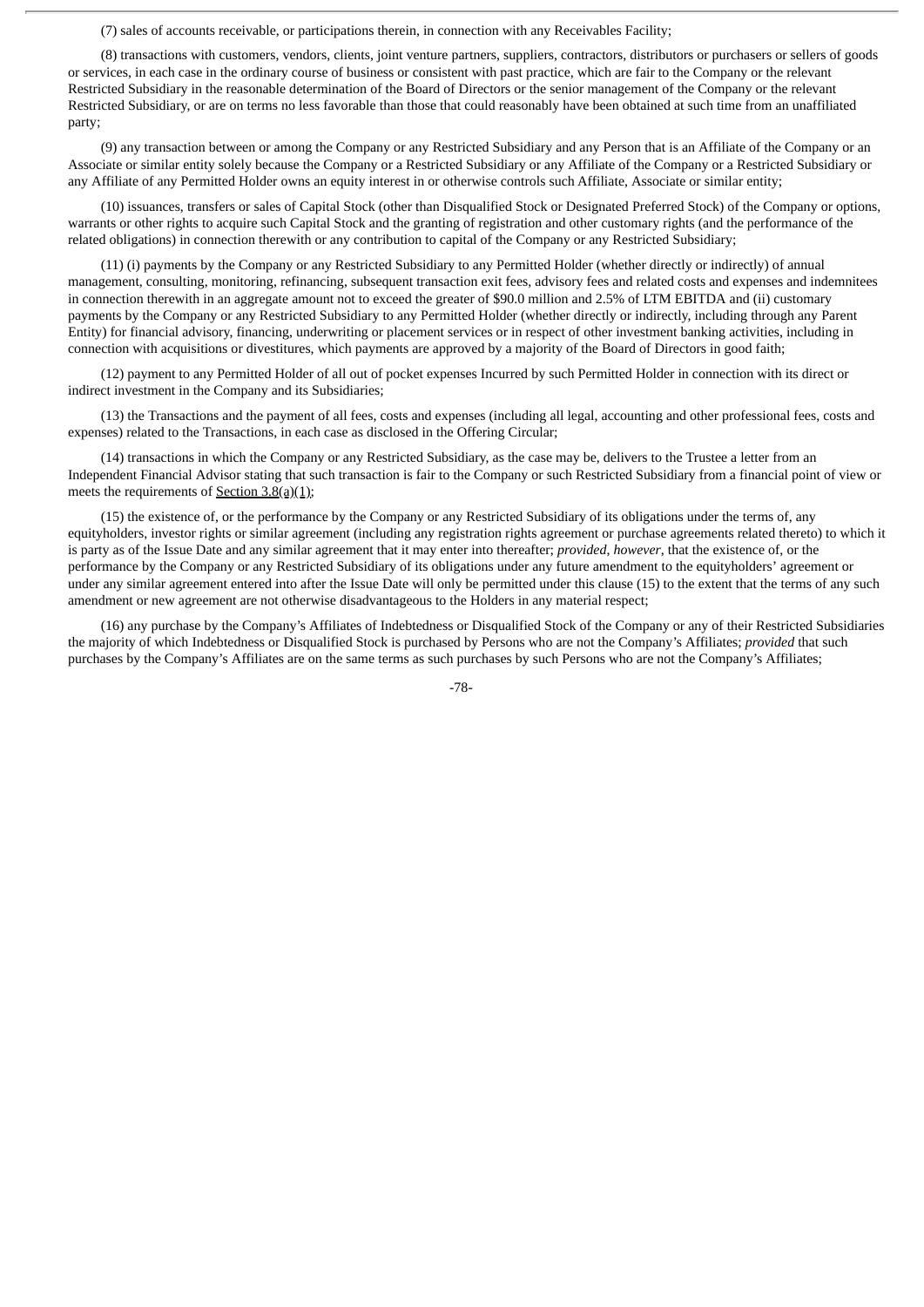(7) sales of accounts receivable, or participations therein, in connection with any Receivables Facility;

(8) transactions with customers, vendors, clients, joint venture partners, suppliers, contractors, distributors or purchasers or sellers of goods or services, in each case in the ordinary course of business or consistent with past practice, which are fair to the Company or the relevant Restricted Subsidiary in the reasonable determination of the Board of Directors or the senior management of the Company or the relevant Restricted Subsidiary, or are on terms no less favorable than those that could reasonably have been obtained at such time from an unaffiliated party;

(9) any transaction between or among the Company or any Restricted Subsidiary and any Person that is an Affiliate of the Company or an Associate or similar entity solely because the Company or a Restricted Subsidiary or any Affiliate of the Company or a Restricted Subsidiary or any Affiliate of any Permitted Holder owns an equity interest in or otherwise controls such Affiliate, Associate or similar entity;

(10) issuances, transfers or sales of Capital Stock (other than Disqualified Stock or Designated Preferred Stock) of the Company or options, warrants or other rights to acquire such Capital Stock and the granting of registration and other customary rights (and the performance of the related obligations) in connection therewith or any contribution to capital of the Company or any Restricted Subsidiary;

(11) (i) payments by the Company or any Restricted Subsidiary to any Permitted Holder (whether directly or indirectly) of annual management, consulting, monitoring, refinancing, subsequent transaction exit fees, advisory fees and related costs and expenses and indemnitees in connection therewith in an aggregate amount not to exceed the greater of \$90.0 million and 2.5% of LTM EBITDA and (ii) customary payments by the Company or any Restricted Subsidiary to any Permitted Holder (whether directly or indirectly, including through any Parent Entity) for financial advisory, financing, underwriting or placement services or in respect of other investment banking activities, including in connection with acquisitions or divestitures, which payments are approved by a majority of the Board of Directors in good faith;

(12) payment to any Permitted Holder of all out of pocket expenses Incurred by such Permitted Holder in connection with its direct or indirect investment in the Company and its Subsidiaries;

(13) the Transactions and the payment of all fees, costs and expenses (including all legal, accounting and other professional fees, costs and expenses) related to the Transactions, in each case as disclosed in the Offering Circular;

(14) transactions in which the Company or any Restricted Subsidiary, as the case may be, delivers to the Trustee a letter from an Independent Financial Advisor stating that such transaction is fair to the Company or such Restricted Subsidiary from a financial point of view or meets the requirements of  $Section 3.8(a)(1)$ ;

(15) the existence of, or the performance by the Company or any Restricted Subsidiary of its obligations under the terms of, any equityholders, investor rights or similar agreement (including any registration rights agreement or purchase agreements related thereto) to which it is party as of the Issue Date and any similar agreement that it may enter into thereafter; *provided*, *however*, that the existence of, or the performance by the Company or any Restricted Subsidiary of its obligations under any future amendment to the equityholders' agreement or under any similar agreement entered into after the Issue Date will only be permitted under this clause (15) to the extent that the terms of any such amendment or new agreement are not otherwise disadvantageous to the Holders in any material respect;

(16) any purchase by the Company's Affiliates of Indebtedness or Disqualified Stock of the Company or any of their Restricted Subsidiaries the majority of which Indebtedness or Disqualified Stock is purchased by Persons who are not the Company's Affiliates; *provided* that such purchases by the Company's Affiliates are on the same terms as such purchases by such Persons who are not the Company's Affiliates;

-78-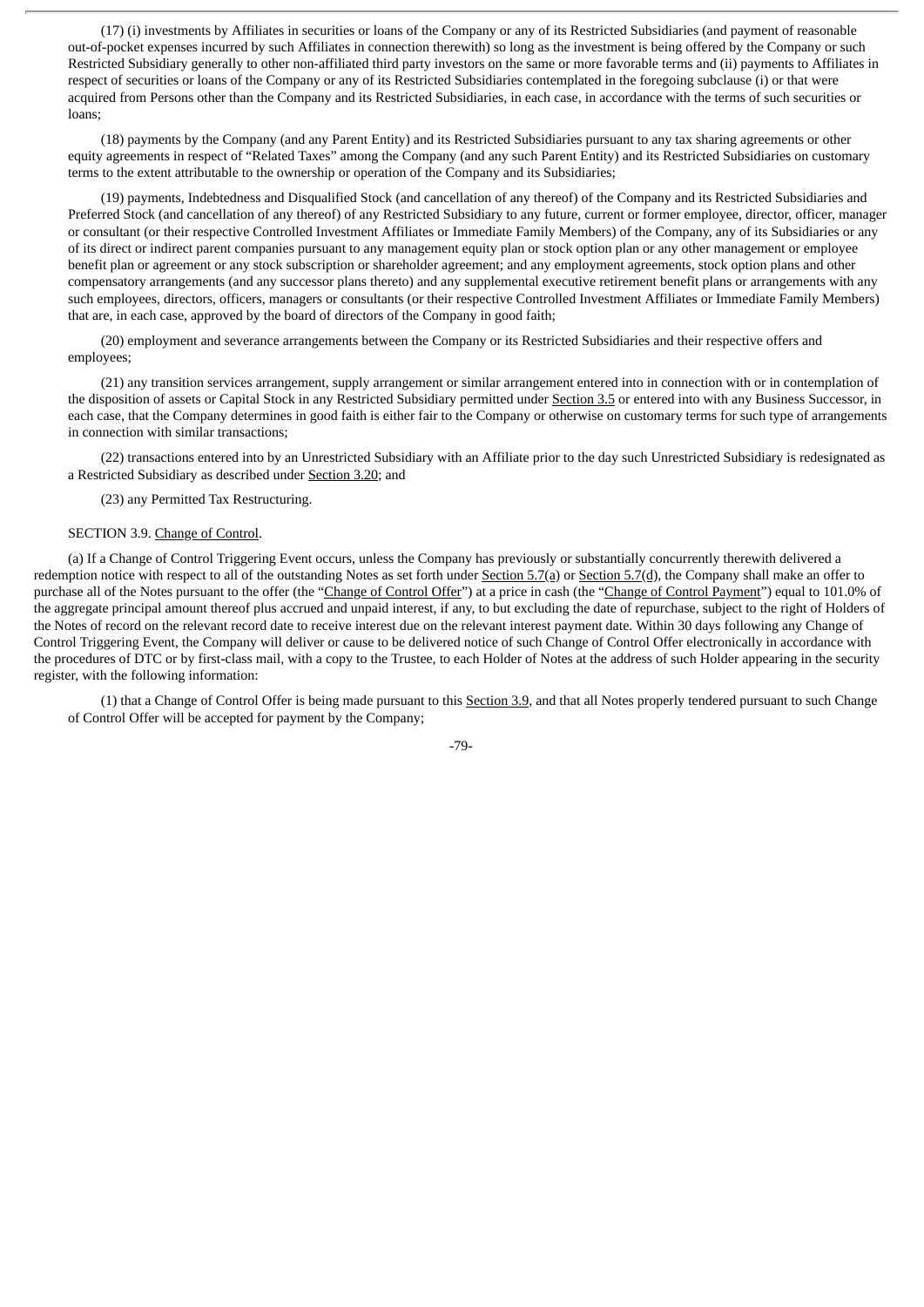(17) (i) investments by Affiliates in securities or loans of the Company or any of its Restricted Subsidiaries (and payment of reasonable out-of-pocket expenses incurred by such Affiliates in connection therewith) so long as the investment is being offered by the Company or such Restricted Subsidiary generally to other non-affiliated third party investors on the same or more favorable terms and (ii) payments to Affiliates in respect of securities or loans of the Company or any of its Restricted Subsidiaries contemplated in the foregoing subclause (i) or that were acquired from Persons other than the Company and its Restricted Subsidiaries, in each case, in accordance with the terms of such securities or loans;

(18) payments by the Company (and any Parent Entity) and its Restricted Subsidiaries pursuant to any tax sharing agreements or other equity agreements in respect of "Related Taxes" among the Company (and any such Parent Entity) and its Restricted Subsidiaries on customary terms to the extent attributable to the ownership or operation of the Company and its Subsidiaries;

(19) payments, Indebtedness and Disqualified Stock (and cancellation of any thereof) of the Company and its Restricted Subsidiaries and Preferred Stock (and cancellation of any thereof) of any Restricted Subsidiary to any future, current or former employee, director, officer, manager or consultant (or their respective Controlled Investment Affiliates or Immediate Family Members) of the Company, any of its Subsidiaries or any of its direct or indirect parent companies pursuant to any management equity plan or stock option plan or any other management or employee benefit plan or agreement or any stock subscription or shareholder agreement; and any employment agreements, stock option plans and other compensatory arrangements (and any successor plans thereto) and any supplemental executive retirement benefit plans or arrangements with any such employees, directors, officers, managers or consultants (or their respective Controlled Investment Affiliates or Immediate Family Members) that are, in each case, approved by the board of directors of the Company in good faith;

(20) employment and severance arrangements between the Company or its Restricted Subsidiaries and their respective offers and employees;

(21) any transition services arrangement, supply arrangement or similar arrangement entered into in connection with or in contemplation of the disposition of assets or Capital Stock in any Restricted Subsidiary permitted under Section 3.5 or entered into with any Business Successor, in each case, that the Company determines in good faith is either fair to the Company or otherwise on customary terms for such type of arrangements in connection with similar transactions;

(22) transactions entered into by an Unrestricted Subsidiary with an Affiliate prior to the day such Unrestricted Subsidiary is redesignated as a Restricted Subsidiary as described under Section 3.20; and

(23) any Permitted Tax Restructuring.

# SECTION 3.9. Change of Control.

(a) If a Change of Control Triggering Event occurs, unless the Company has previously or substantially concurrently therewith delivered a redemption notice with respect to all of the outstanding Notes as set forth under Section 5.7(a) or Section 5.7(d), the Company shall make an offer to purchase all of the Notes pursuant to the offer (the "Change of Control Offer") at a price in cash (the "Change of Control Payment") equal to 101.0% of the aggregate principal amount thereof plus accrued and unpaid interest, if any, to but excluding the date of repurchase, subject to the right of Holders of the Notes of record on the relevant record date to receive interest due on the relevant interest payment date. Within 30 days following any Change of Control Triggering Event, the Company will deliver or cause to be delivered notice of such Change of Control Offer electronically in accordance with the procedures of DTC or by first-class mail, with a copy to the Trustee, to each Holder of Notes at the address of such Holder appearing in the security register, with the following information:

(1) that a Change of Control Offer is being made pursuant to this Section 3.9, and that all Notes properly tendered pursuant to such Change of Control Offer will be accepted for payment by the Company;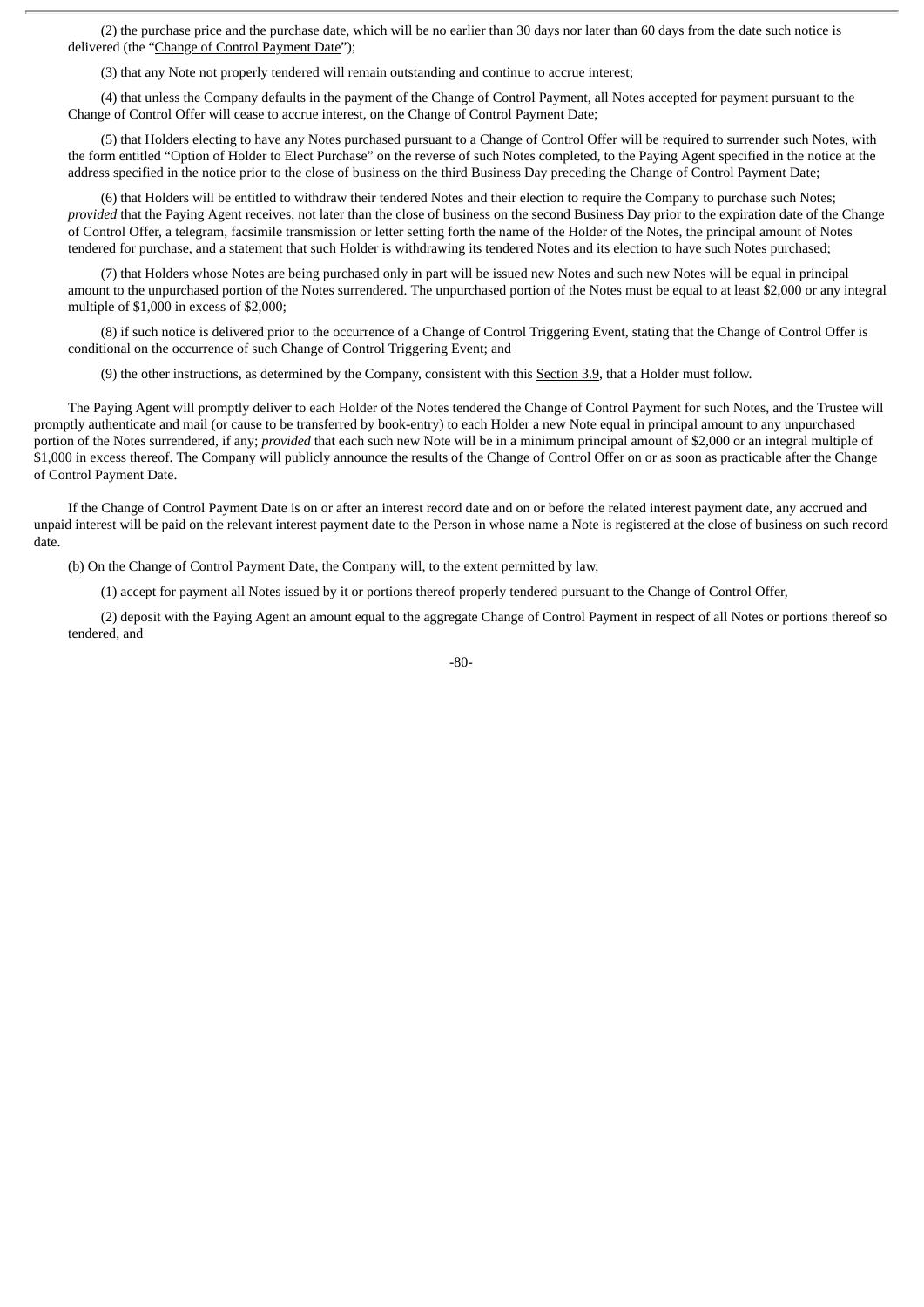(2) the purchase price and the purchase date, which will be no earlier than 30 days nor later than 60 days from the date such notice is delivered (the "Change of Control Payment Date");

(3) that any Note not properly tendered will remain outstanding and continue to accrue interest;

(4) that unless the Company defaults in the payment of the Change of Control Payment, all Notes accepted for payment pursuant to the Change of Control Offer will cease to accrue interest, on the Change of Control Payment Date;

(5) that Holders electing to have any Notes purchased pursuant to a Change of Control Offer will be required to surrender such Notes, with the form entitled "Option of Holder to Elect Purchase" on the reverse of such Notes completed, to the Paying Agent specified in the notice at the address specified in the notice prior to the close of business on the third Business Day preceding the Change of Control Payment Date;

(6) that Holders will be entitled to withdraw their tendered Notes and their election to require the Company to purchase such Notes; *provided* that the Paying Agent receives, not later than the close of business on the second Business Day prior to the expiration date of the Change of Control Offer, a telegram, facsimile transmission or letter setting forth the name of the Holder of the Notes, the principal amount of Notes tendered for purchase, and a statement that such Holder is withdrawing its tendered Notes and its election to have such Notes purchased;

(7) that Holders whose Notes are being purchased only in part will be issued new Notes and such new Notes will be equal in principal amount to the unpurchased portion of the Notes surrendered. The unpurchased portion of the Notes must be equal to at least \$2,000 or any integral multiple of \$1,000 in excess of \$2,000;

(8) if such notice is delivered prior to the occurrence of a Change of Control Triggering Event, stating that the Change of Control Offer is conditional on the occurrence of such Change of Control Triggering Event; and

(9) the other instructions, as determined by the Company, consistent with this Section 3.9, that a Holder must follow.

The Paying Agent will promptly deliver to each Holder of the Notes tendered the Change of Control Payment for such Notes, and the Trustee will promptly authenticate and mail (or cause to be transferred by book-entry) to each Holder a new Note equal in principal amount to any unpurchased portion of the Notes surrendered, if any; *provided* that each such new Note will be in a minimum principal amount of \$2,000 or an integral multiple of \$1,000 in excess thereof. The Company will publicly announce the results of the Change of Control Offer on or as soon as practicable after the Change of Control Payment Date.

If the Change of Control Payment Date is on or after an interest record date and on or before the related interest payment date, any accrued and unpaid interest will be paid on the relevant interest payment date to the Person in whose name a Note is registered at the close of business on such record date.

(b) On the Change of Control Payment Date, the Company will, to the extent permitted by law,

(1) accept for payment all Notes issued by it or portions thereof properly tendered pursuant to the Change of Control Offer,

(2) deposit with the Paying Agent an amount equal to the aggregate Change of Control Payment in respect of all Notes or portions thereof so tendered, and

-80-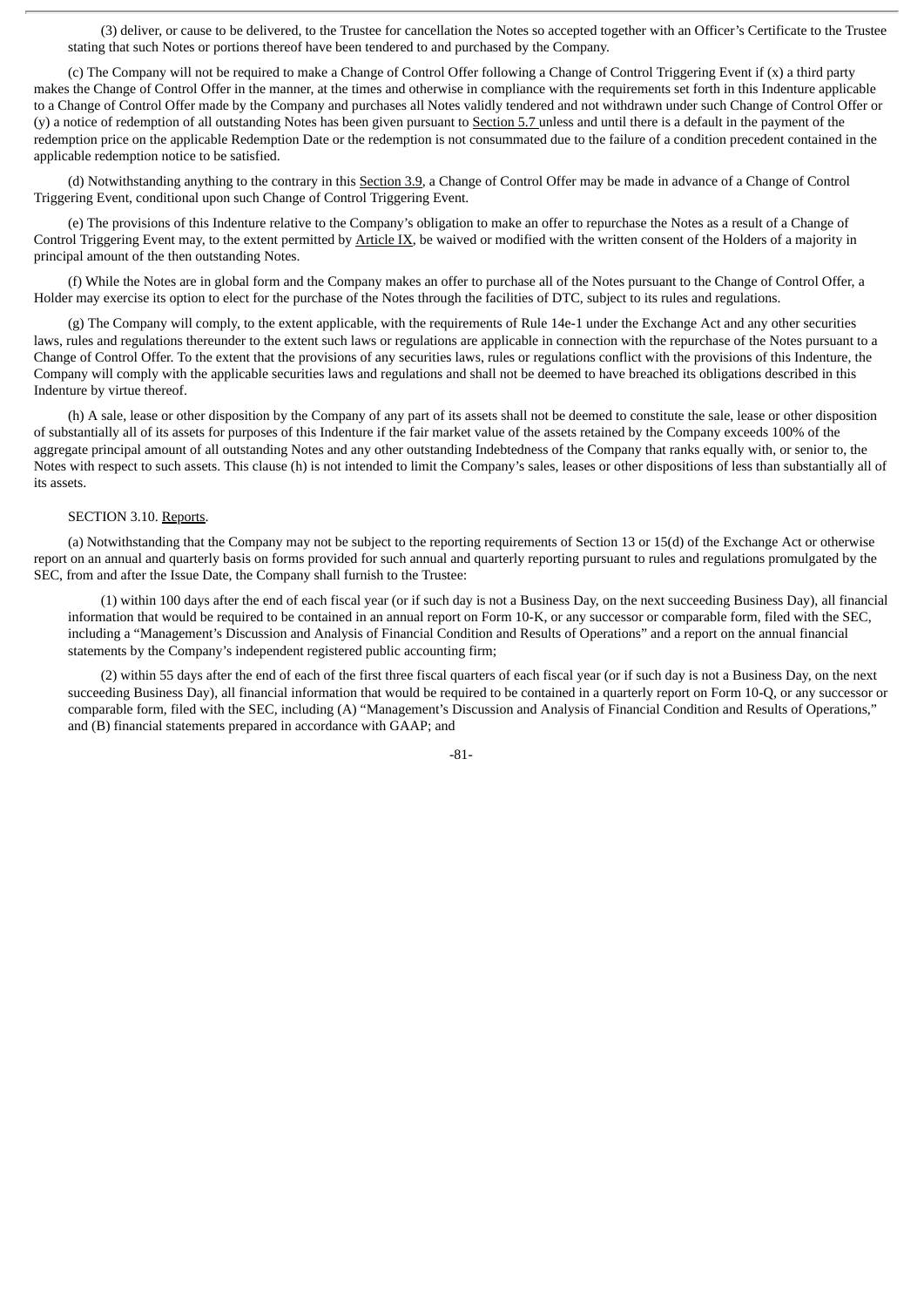(3) deliver, or cause to be delivered, to the Trustee for cancellation the Notes so accepted together with an Officer's Certificate to the Trustee stating that such Notes or portions thereof have been tendered to and purchased by the Company.

(c) The Company will not be required to make a Change of Control Offer following a Change of Control Triggering Event if (x) a third party makes the Change of Control Offer in the manner, at the times and otherwise in compliance with the requirements set forth in this Indenture applicable to a Change of Control Offer made by the Company and purchases all Notes validly tendered and not withdrawn under such Change of Control Offer or (y) a notice of redemption of all outstanding Notes has been given pursuant to Section 5.7 unless and until there is a default in the payment of the redemption price on the applicable Redemption Date or the redemption is not consummated due to the failure of a condition precedent contained in the applicable redemption notice to be satisfied.

(d) Notwithstanding anything to the contrary in this Section 3.9, a Change of Control Offer may be made in advance of a Change of Control Triggering Event, conditional upon such Change of Control Triggering Event.

(e) The provisions of this Indenture relative to the Company's obligation to make an offer to repurchase the Notes as a result of a Change of Control Triggering Event may, to the extent permitted by Article IX, be waived or modified with the written consent of the Holders of a majority in principal amount of the then outstanding Notes.

(f) While the Notes are in global form and the Company makes an offer to purchase all of the Notes pursuant to the Change of Control Offer, a Holder may exercise its option to elect for the purchase of the Notes through the facilities of DTC, subject to its rules and regulations.

(g) The Company will comply, to the extent applicable, with the requirements of Rule 14e-1 under the Exchange Act and any other securities laws, rules and regulations thereunder to the extent such laws or regulations are applicable in connection with the repurchase of the Notes pursuant to a Change of Control Offer. To the extent that the provisions of any securities laws, rules or regulations conflict with the provisions of this Indenture, the Company will comply with the applicable securities laws and regulations and shall not be deemed to have breached its obligations described in this Indenture by virtue thereof.

(h) A sale, lease or other disposition by the Company of any part of its assets shall not be deemed to constitute the sale, lease or other disposition of substantially all of its assets for purposes of this Indenture if the fair market value of the assets retained by the Company exceeds 100% of the aggregate principal amount of all outstanding Notes and any other outstanding Indebtedness of the Company that ranks equally with, or senior to, the Notes with respect to such assets. This clause (h) is not intended to limit the Company's sales, leases or other dispositions of less than substantially all of its assets.

# SECTION 3.10. Reports.

(a) Notwithstanding that the Company may not be subject to the reporting requirements of Section 13 or 15(d) of the Exchange Act or otherwise report on an annual and quarterly basis on forms provided for such annual and quarterly reporting pursuant to rules and regulations promulgated by the SEC, from and after the Issue Date, the Company shall furnish to the Trustee:

(1) within 100 days after the end of each fiscal year (or if such day is not a Business Day, on the next succeeding Business Day), all financial information that would be required to be contained in an annual report on Form 10-K, or any successor or comparable form, filed with the SEC, including a "Management's Discussion and Analysis of Financial Condition and Results of Operations" and a report on the annual financial statements by the Company's independent registered public accounting firm;

(2) within 55 days after the end of each of the first three fiscal quarters of each fiscal year (or if such day is not a Business Day, on the next succeeding Business Day), all financial information that would be required to be contained in a quarterly report on Form 10-Q, or any successor or comparable form, filed with the SEC, including (A) "Management's Discussion and Analysis of Financial Condition and Results of Operations," and (B) financial statements prepared in accordance with GAAP; and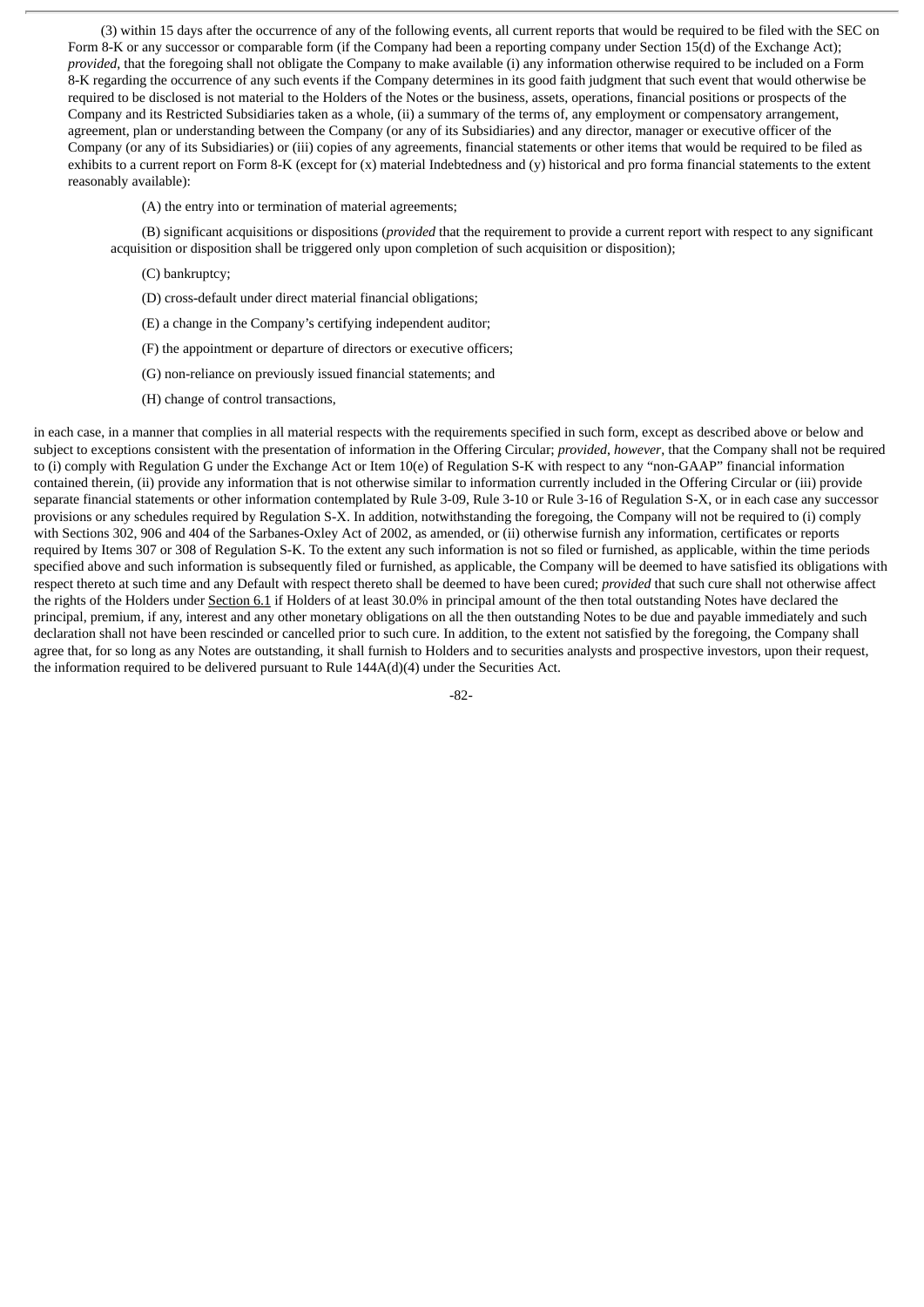(3) within 15 days after the occurrence of any of the following events, all current reports that would be required to be filed with the SEC on Form 8-K or any successor or comparable form (if the Company had been a reporting company under Section 15(d) of the Exchange Act); *provided*, that the foregoing shall not obligate the Company to make available (i) any information otherwise required to be included on a Form 8-K regarding the occurrence of any such events if the Company determines in its good faith judgment that such event that would otherwise be required to be disclosed is not material to the Holders of the Notes or the business, assets, operations, financial positions or prospects of the Company and its Restricted Subsidiaries taken as a whole, (ii) a summary of the terms of, any employment or compensatory arrangement, agreement, plan or understanding between the Company (or any of its Subsidiaries) and any director, manager or executive officer of the Company (or any of its Subsidiaries) or (iii) copies of any agreements, financial statements or other items that would be required to be filed as exhibits to a current report on Form 8-K (except for (x) material Indebtedness and (y) historical and pro forma financial statements to the extent reasonably available):

(A) the entry into or termination of material agreements;

(B) significant acquisitions or dispositions (*provided* that the requirement to provide a current report with respect to any significant acquisition or disposition shall be triggered only upon completion of such acquisition or disposition);

- (C) bankruptcy;
- (D) cross-default under direct material financial obligations;
- (E) a change in the Company's certifying independent auditor;
- (F) the appointment or departure of directors or executive officers;
- (G) non-reliance on previously issued financial statements; and
- (H) change of control transactions,

in each case, in a manner that complies in all material respects with the requirements specified in such form, except as described above or below and subject to exceptions consistent with the presentation of information in the Offering Circular; *provided*, *however*, that the Company shall not be required to (i) comply with Regulation G under the Exchange Act or Item 10(e) of Regulation S-K with respect to any "non-GAAP" financial information contained therein, (ii) provide any information that is not otherwise similar to information currently included in the Offering Circular or (iii) provide separate financial statements or other information contemplated by Rule 3-09, Rule 3-10 or Rule 3-16 of Regulation S-X, or in each case any successor provisions or any schedules required by Regulation S-X. In addition, notwithstanding the foregoing, the Company will not be required to (i) comply with Sections 302, 906 and 404 of the Sarbanes-Oxley Act of 2002, as amended, or (ii) otherwise furnish any information, certificates or reports required by Items 307 or 308 of Regulation S-K. To the extent any such information is not so filed or furnished, as applicable, within the time periods specified above and such information is subsequently filed or furnished, as applicable, the Company will be deemed to have satisfied its obligations with respect thereto at such time and any Default with respect thereto shall be deemed to have been cured; *provided* that such cure shall not otherwise affect the rights of the Holders under Section 6.1 if Holders of at least 30.0% in principal amount of the then total outstanding Notes have declared the principal, premium, if any, interest and any other monetary obligations on all the then outstanding Notes to be due and payable immediately and such declaration shall not have been rescinded or cancelled prior to such cure. In addition, to the extent not satisfied by the foregoing, the Company shall agree that, for so long as any Notes are outstanding, it shall furnish to Holders and to securities analysts and prospective investors, upon their request, the information required to be delivered pursuant to Rule  $144A(d)(4)$  under the Securities Act.

-82-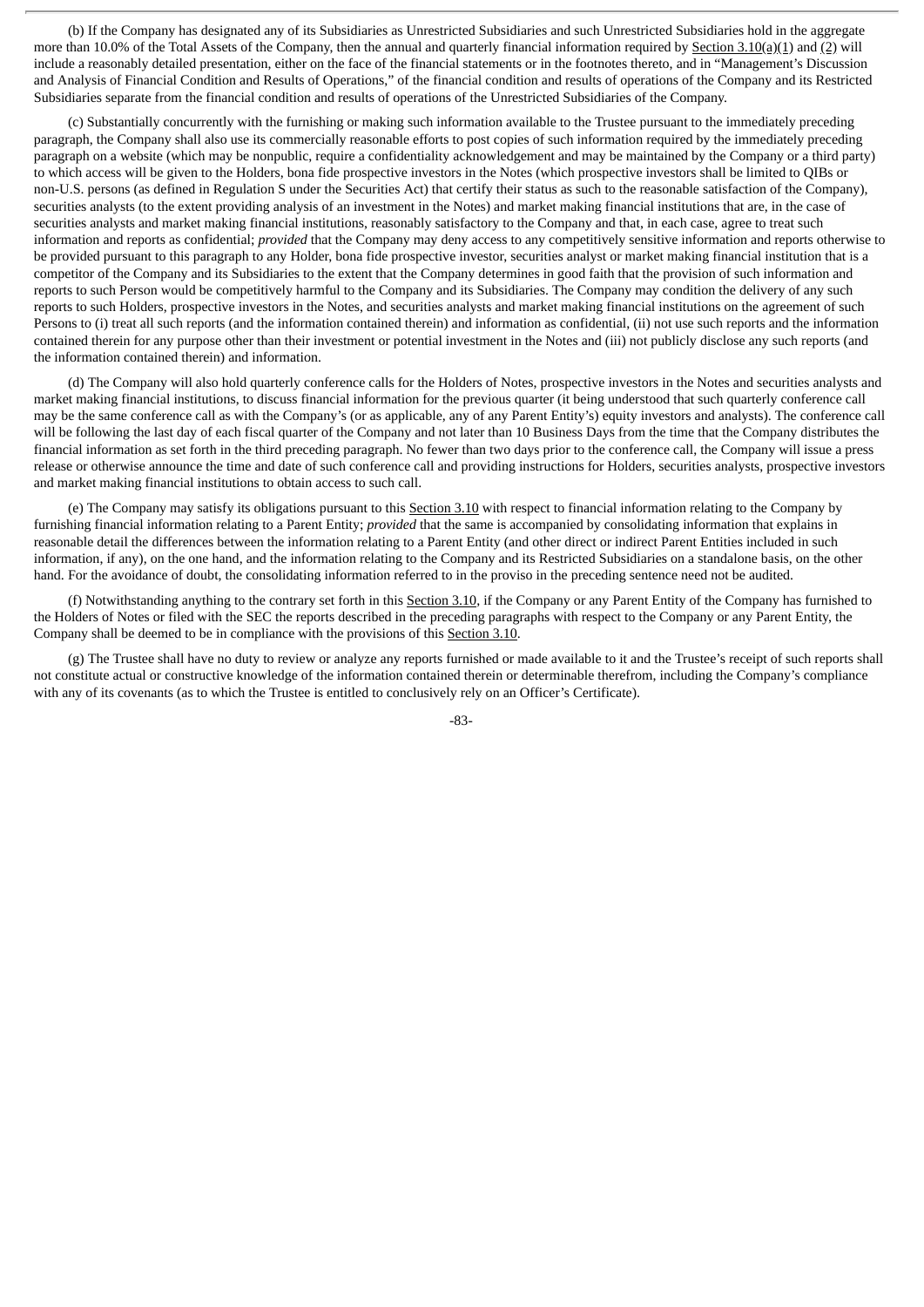(b) If the Company has designated any of its Subsidiaries as Unrestricted Subsidiaries and such Unrestricted Subsidiaries hold in the aggregate more than 10.0% of the Total Assets of the Company, then the annual and quarterly financial information required by Section 3.10(a)(1) and (2) will include a reasonably detailed presentation, either on the face of the financial statements or in the footnotes thereto, and in "Management's Discussion and Analysis of Financial Condition and Results of Operations," of the financial condition and results of operations of the Company and its Restricted Subsidiaries separate from the financial condition and results of operations of the Unrestricted Subsidiaries of the Company.

(c) Substantially concurrently with the furnishing or making such information available to the Trustee pursuant to the immediately preceding paragraph, the Company shall also use its commercially reasonable efforts to post copies of such information required by the immediately preceding paragraph on a website (which may be nonpublic, require a confidentiality acknowledgement and may be maintained by the Company or a third party) to which access will be given to the Holders, bona fide prospective investors in the Notes (which prospective investors shall be limited to QIBs or non-U.S. persons (as defined in Regulation S under the Securities Act) that certify their status as such to the reasonable satisfaction of the Company), securities analysts (to the extent providing analysis of an investment in the Notes) and market making financial institutions that are, in the case of securities analysts and market making financial institutions, reasonably satisfactory to the Company and that, in each case, agree to treat such information and reports as confidential; *provided* that the Company may deny access to any competitively sensitive information and reports otherwise to be provided pursuant to this paragraph to any Holder, bona fide prospective investor, securities analyst or market making financial institution that is a competitor of the Company and its Subsidiaries to the extent that the Company determines in good faith that the provision of such information and reports to such Person would be competitively harmful to the Company and its Subsidiaries. The Company may condition the delivery of any such reports to such Holders, prospective investors in the Notes, and securities analysts and market making financial institutions on the agreement of such Persons to (i) treat all such reports (and the information contained therein) and information as confidential, (ii) not use such reports and the information contained therein for any purpose other than their investment or potential investment in the Notes and (iii) not publicly disclose any such reports (and the information contained therein) and information.

(d) The Company will also hold quarterly conference calls for the Holders of Notes, prospective investors in the Notes and securities analysts and market making financial institutions, to discuss financial information for the previous quarter (it being understood that such quarterly conference call may be the same conference call as with the Company's (or as applicable, any of any Parent Entity's) equity investors and analysts). The conference call will be following the last day of each fiscal quarter of the Company and not later than 10 Business Days from the time that the Company distributes the financial information as set forth in the third preceding paragraph. No fewer than two days prior to the conference call, the Company will issue a press release or otherwise announce the time and date of such conference call and providing instructions for Holders, securities analysts, prospective investors and market making financial institutions to obtain access to such call.

(e) The Company may satisfy its obligations pursuant to this Section 3.10 with respect to financial information relating to the Company by furnishing financial information relating to a Parent Entity; *provided* that the same is accompanied by consolidating information that explains in reasonable detail the differences between the information relating to a Parent Entity (and other direct or indirect Parent Entities included in such information, if any), on the one hand, and the information relating to the Company and its Restricted Subsidiaries on a standalone basis, on the other hand. For the avoidance of doubt, the consolidating information referred to in the proviso in the preceding sentence need not be audited.

(f) Notwithstanding anything to the contrary set forth in this Section 3.10, if the Company or any Parent Entity of the Company has furnished to the Holders of Notes or filed with the SEC the reports described in the preceding paragraphs with respect to the Company or any Parent Entity, the Company shall be deemed to be in compliance with the provisions of this Section 3.10.

(g) The Trustee shall have no duty to review or analyze any reports furnished or made available to it and the Trustee's receipt of such reports shall not constitute actual or constructive knowledge of the information contained therein or determinable therefrom, including the Company's compliance with any of its covenants (as to which the Trustee is entitled to conclusively rely on an Officer's Certificate).

-83-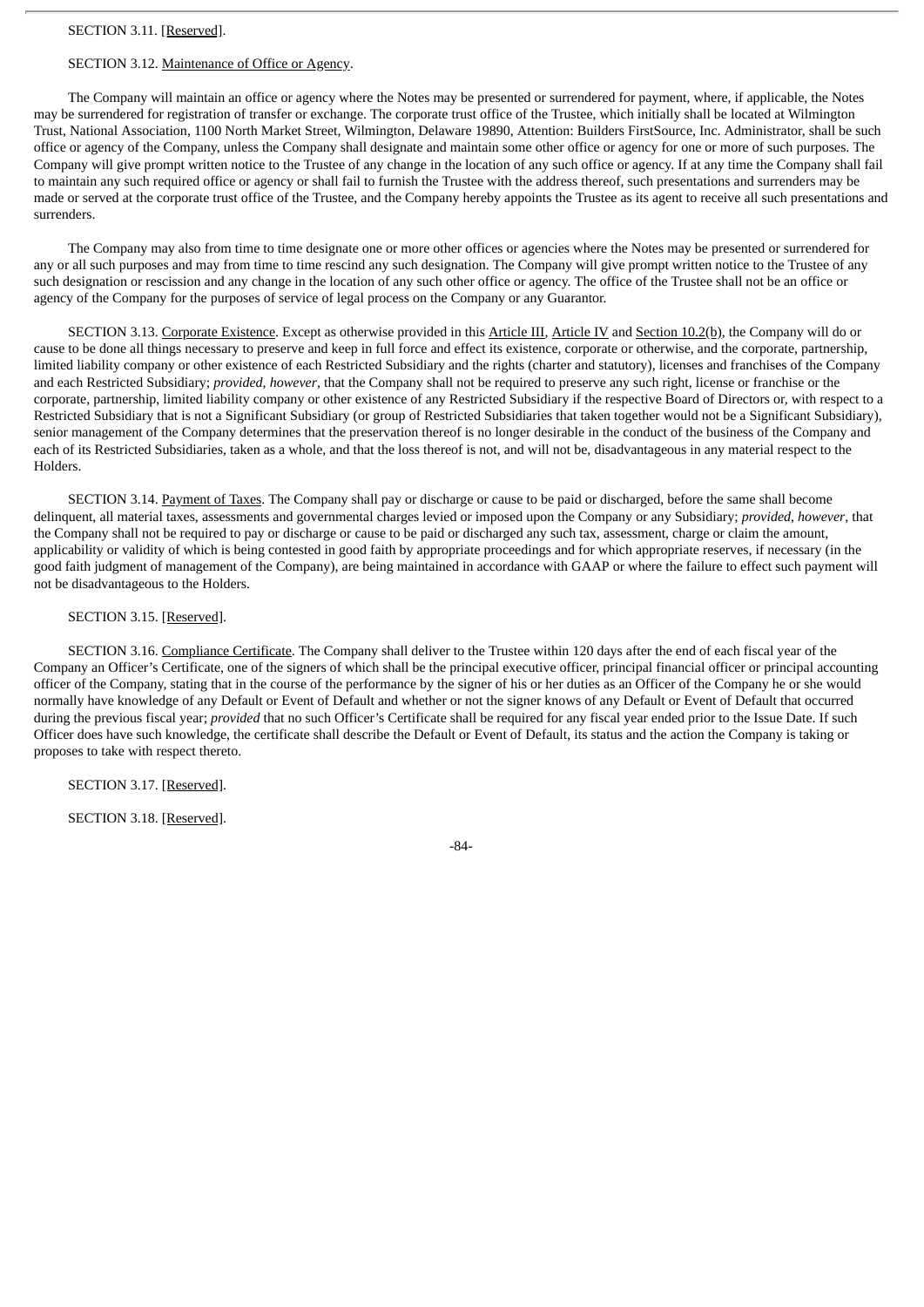# SECTION 3.12. Maintenance of Office or Agency.

The Company will maintain an office or agency where the Notes may be presented or surrendered for payment, where, if applicable, the Notes may be surrendered for registration of transfer or exchange. The corporate trust office of the Trustee, which initially shall be located at Wilmington Trust, National Association, 1100 North Market Street, Wilmington, Delaware 19890, Attention: Builders FirstSource, Inc. Administrator, shall be such office or agency of the Company, unless the Company shall designate and maintain some other office or agency for one or more of such purposes. The Company will give prompt written notice to the Trustee of any change in the location of any such office or agency. If at any time the Company shall fail to maintain any such required office or agency or shall fail to furnish the Trustee with the address thereof, such presentations and surrenders may be made or served at the corporate trust office of the Trustee, and the Company hereby appoints the Trustee as its agent to receive all such presentations and surrenders.

The Company may also from time to time designate one or more other offices or agencies where the Notes may be presented or surrendered for any or all such purposes and may from time to time rescind any such designation. The Company will give prompt written notice to the Trustee of any such designation or rescission and any change in the location of any such other office or agency. The office of the Trustee shall not be an office or agency of the Company for the purposes of service of legal process on the Company or any Guarantor.

SECTION 3.13. Corporate Existence. Except as otherwise provided in this Article III, Article IV and Section 10.2(b), the Company will do or cause to be done all things necessary to preserve and keep in full force and effect its existence, corporate or otherwise, and the corporate, partnership, limited liability company or other existence of each Restricted Subsidiary and the rights (charter and statutory), licenses and franchises of the Company and each Restricted Subsidiary; *provided*, *however*, that the Company shall not be required to preserve any such right, license or franchise or the corporate, partnership, limited liability company or other existence of any Restricted Subsidiary if the respective Board of Directors or, with respect to a Restricted Subsidiary that is not a Significant Subsidiary (or group of Restricted Subsidiaries that taken together would not be a Significant Subsidiary), senior management of the Company determines that the preservation thereof is no longer desirable in the conduct of the business of the Company and each of its Restricted Subsidiaries, taken as a whole, and that the loss thereof is not, and will not be, disadvantageous in any material respect to the Holders.

SECTION 3.14. Payment of Taxes. The Company shall pay or discharge or cause to be paid or discharged, before the same shall become delinquent, all material taxes, assessments and governmental charges levied or imposed upon the Company or any Subsidiary; *provided*, *however*, that the Company shall not be required to pay or discharge or cause to be paid or discharged any such tax, assessment, charge or claim the amount, applicability or validity of which is being contested in good faith by appropriate proceedings and for which appropriate reserves, if necessary (in the good faith judgment of management of the Company), are being maintained in accordance with GAAP or where the failure to effect such payment will not be disadvantageous to the Holders.

#### SECTION 3.15. [Reserved].

SECTION 3.16. Compliance Certificate. The Company shall deliver to the Trustee within 120 days after the end of each fiscal year of the Company an Officer's Certificate, one of the signers of which shall be the principal executive officer, principal financial officer or principal accounting officer of the Company, stating that in the course of the performance by the signer of his or her duties as an Officer of the Company he or she would normally have knowledge of any Default or Event of Default and whether or not the signer knows of any Default or Event of Default that occurred during the previous fiscal year; *provided* that no such Officer's Certificate shall be required for any fiscal year ended prior to the Issue Date. If such Officer does have such knowledge, the certificate shall describe the Default or Event of Default, its status and the action the Company is taking or proposes to take with respect thereto.

SECTION 3.17. [Reserved].

SECTION 3.18. [Reserved].

-84-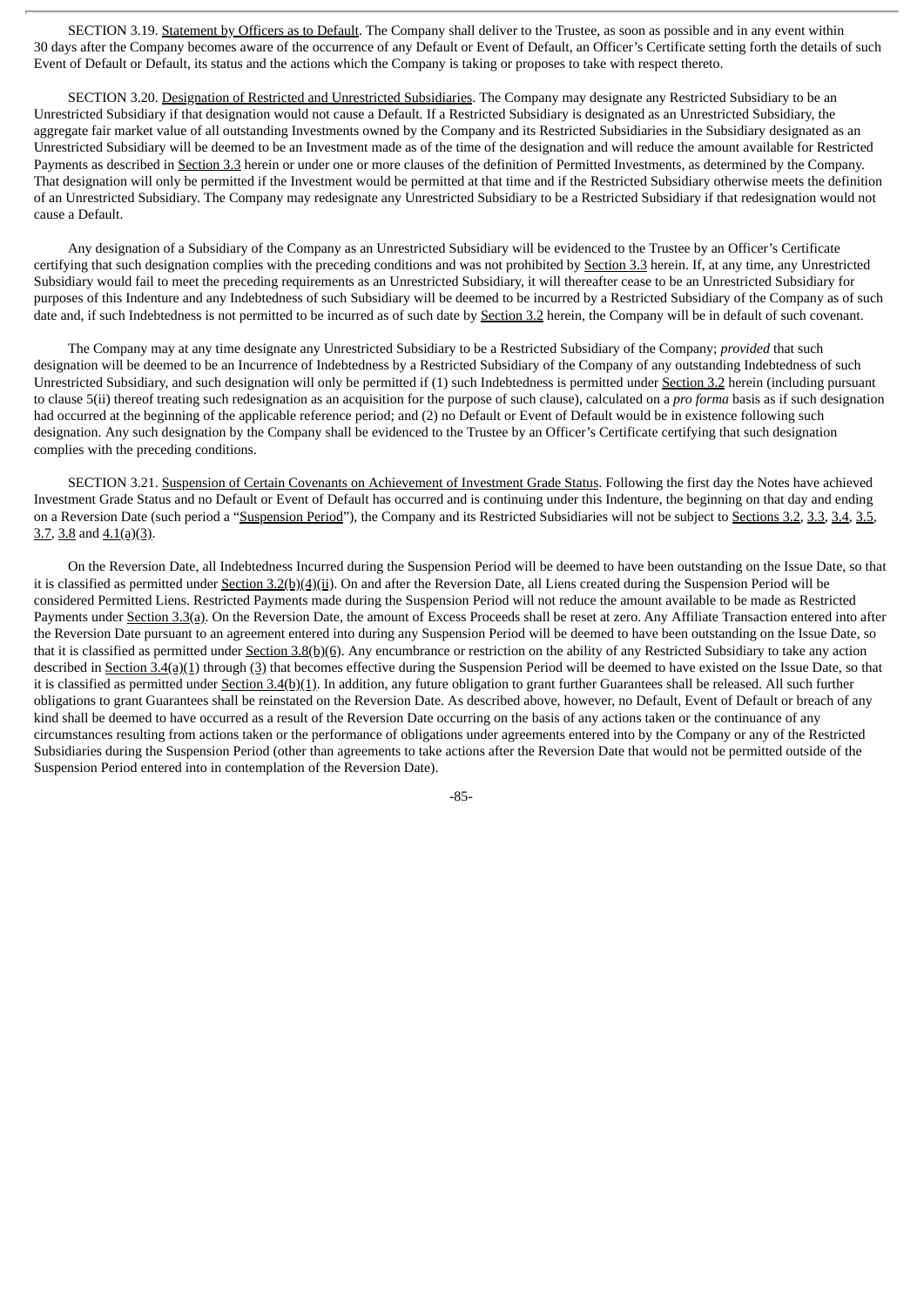SECTION 3.19. Statement by Officers as to Default. The Company shall deliver to the Trustee, as soon as possible and in any event within 30 days after the Company becomes aware of the occurrence of any Default or Event of Default, an Officer's Certificate setting forth the details of such Event of Default or Default, its status and the actions which the Company is taking or proposes to take with respect thereto.

SECTION 3.20. Designation of Restricted and Unrestricted Subsidiaries. The Company may designate any Restricted Subsidiary to be an Unrestricted Subsidiary if that designation would not cause a Default. If a Restricted Subsidiary is designated as an Unrestricted Subsidiary, the aggregate fair market value of all outstanding Investments owned by the Company and its Restricted Subsidiaries in the Subsidiary designated as an Unrestricted Subsidiary will be deemed to be an Investment made as of the time of the designation and will reduce the amount available for Restricted Payments as described in Section 3.3 herein or under one or more clauses of the definition of Permitted Investments, as determined by the Company. That designation will only be permitted if the Investment would be permitted at that time and if the Restricted Subsidiary otherwise meets the definition of an Unrestricted Subsidiary. The Company may redesignate any Unrestricted Subsidiary to be a Restricted Subsidiary if that redesignation would not cause a Default.

Any designation of a Subsidiary of the Company as an Unrestricted Subsidiary will be evidenced to the Trustee by an Officer's Certificate certifying that such designation complies with the preceding conditions and was not prohibited by Section 3.3 herein. If, at any time, any Unrestricted Subsidiary would fail to meet the preceding requirements as an Unrestricted Subsidiary, it will thereafter cease to be an Unrestricted Subsidiary for purposes of this Indenture and any Indebtedness of such Subsidiary will be deemed to be incurred by a Restricted Subsidiary of the Company as of such date and, if such Indebtedness is not permitted to be incurred as of such date by Section 3.2 herein, the Company will be in default of such covenant.

The Company may at any time designate any Unrestricted Subsidiary to be a Restricted Subsidiary of the Company; *provided* that such designation will be deemed to be an Incurrence of Indebtedness by a Restricted Subsidiary of the Company of any outstanding Indebtedness of such Unrestricted Subsidiary, and such designation will only be permitted if (1) such Indebtedness is permitted under Section 3.2 herein (including pursuant to clause 5(ii) thereof treating such redesignation as an acquisition for the purpose of such clause), calculated on a *pro forma* basis as if such designation had occurred at the beginning of the applicable reference period; and (2) no Default or Event of Default would be in existence following such designation. Any such designation by the Company shall be evidenced to the Trustee by an Officer's Certificate certifying that such designation complies with the preceding conditions.

SECTION 3.21. Suspension of Certain Covenants on Achievement of Investment Grade Status. Following the first day the Notes have achieved Investment Grade Status and no Default or Event of Default has occurred and is continuing under this Indenture, the beginning on that day and ending on a Reversion Date (such period a "Suspension Period"), the Company and its Restricted Subsidiaries will not be subject to Sections 3.2, 3.3, 3.4, 3.5,  $3.7, 3.8$  and  $4.1(a)(3)$ .

On the Reversion Date, all Indebtedness Incurred during the Suspension Period will be deemed to have been outstanding on the Issue Date, so that it is classified as permitted under Section 3.2(b)(4)(ii). On and after the Reversion Date, all Liens created during the Suspension Period will be considered Permitted Liens. Restricted Payments made during the Suspension Period will not reduce the amount available to be made as Restricted Payments under Section 3.3(a). On the Reversion Date, the amount of Excess Proceeds shall be reset at zero. Any Affiliate Transaction entered into after the Reversion Date pursuant to an agreement entered into during any Suspension Period will be deemed to have been outstanding on the Issue Date, so that it is classified as permitted under Section 3.8(b)(6). Any encumbrance or restriction on the ability of any Restricted Subsidiary to take any action described in Section 3.4(a)(1) through (3) that becomes effective during the Suspension Period will be deemed to have existed on the Issue Date, so that it is classified as permitted under Section 3.4(b)(1). In addition, any future obligation to grant further Guarantees shall be released. All such further obligations to grant Guarantees shall be reinstated on the Reversion Date. As described above, however, no Default, Event of Default or breach of any kind shall be deemed to have occurred as a result of the Reversion Date occurring on the basis of any actions taken or the continuance of any circumstances resulting from actions taken or the performance of obligations under agreements entered into by the Company or any of the Restricted Subsidiaries during the Suspension Period (other than agreements to take actions after the Reversion Date that would not be permitted outside of the Suspension Period entered into in contemplation of the Reversion Date).

-85-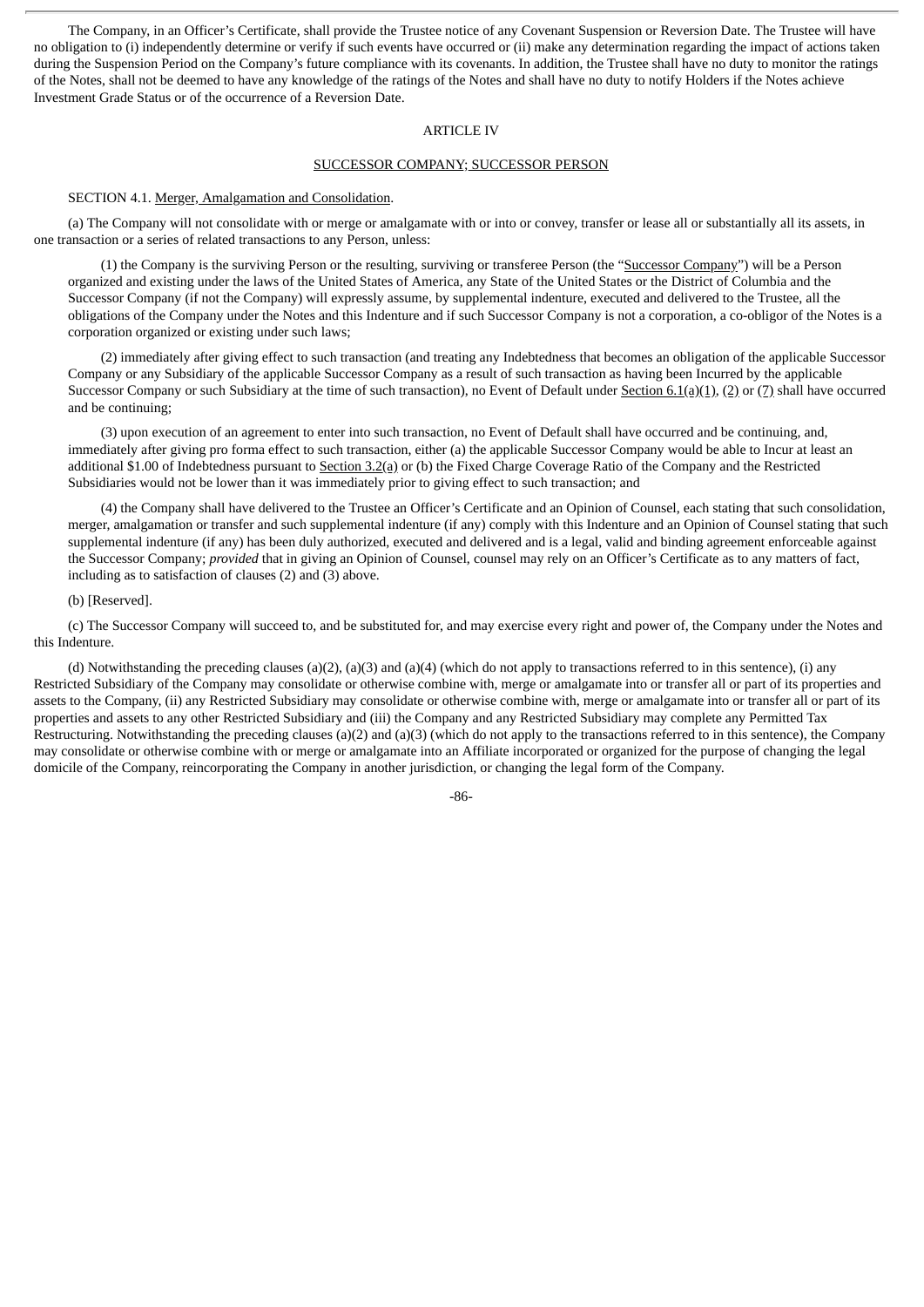The Company, in an Officer's Certificate, shall provide the Trustee notice of any Covenant Suspension or Reversion Date. The Trustee will have no obligation to (i) independently determine or verify if such events have occurred or (ii) make any determination regarding the impact of actions taken during the Suspension Period on the Company's future compliance with its covenants. In addition, the Trustee shall have no duty to monitor the ratings of the Notes, shall not be deemed to have any knowledge of the ratings of the Notes and shall have no duty to notify Holders if the Notes achieve Investment Grade Status or of the occurrence of a Reversion Date.

#### ARTICLE IV

### SUCCESSOR COMPANY; SUCCESSOR PERSON

#### SECTION 4.1. Merger, Amalgamation and Consolidation.

(a) The Company will not consolidate with or merge or amalgamate with or into or convey, transfer or lease all or substantially all its assets, in one transaction or a series of related transactions to any Person, unless:

(1) the Company is the surviving Person or the resulting, surviving or transferee Person (the "Successor Company") will be a Person organized and existing under the laws of the United States of America, any State of the United States or the District of Columbia and the Successor Company (if not the Company) will expressly assume, by supplemental indenture, executed and delivered to the Trustee, all the obligations of the Company under the Notes and this Indenture and if such Successor Company is not a corporation, a co-obligor of the Notes is a corporation organized or existing under such laws;

(2) immediately after giving effect to such transaction (and treating any Indebtedness that becomes an obligation of the applicable Successor Company or any Subsidiary of the applicable Successor Company as a result of such transaction as having been Incurred by the applicable Successor Company or such Subsidiary at the time of such transaction), no Event of Default under Section 6.1(a)(1), (2) or (7) shall have occurred and be continuing;

(3) upon execution of an agreement to enter into such transaction, no Event of Default shall have occurred and be continuing, and, immediately after giving pro forma effect to such transaction, either (a) the applicable Successor Company would be able to Incur at least an additional \$1.00 of Indebtedness pursuant to Section 3.2(a) or (b) the Fixed Charge Coverage Ratio of the Company and the Restricted Subsidiaries would not be lower than it was immediately prior to giving effect to such transaction; and

(4) the Company shall have delivered to the Trustee an Officer's Certificate and an Opinion of Counsel, each stating that such consolidation, merger, amalgamation or transfer and such supplemental indenture (if any) comply with this Indenture and an Opinion of Counsel stating that such supplemental indenture (if any) has been duly authorized, executed and delivered and is a legal, valid and binding agreement enforceable against the Successor Company; *provided* that in giving an Opinion of Counsel, counsel may rely on an Officer's Certificate as to any matters of fact, including as to satisfaction of clauses (2) and (3) above.

## (b) [Reserved].

(c) The Successor Company will succeed to, and be substituted for, and may exercise every right and power of, the Company under the Notes and this Indenture.

(d) Notwithstanding the preceding clauses (a)(2), (a)(3) and (a)(4) (which do not apply to transactions referred to in this sentence), (i) any Restricted Subsidiary of the Company may consolidate or otherwise combine with, merge or amalgamate into or transfer all or part of its properties and assets to the Company, (ii) any Restricted Subsidiary may consolidate or otherwise combine with, merge or amalgamate into or transfer all or part of its properties and assets to any other Restricted Subsidiary and (iii) the Company and any Restricted Subsidiary may complete any Permitted Tax Restructuring. Notwithstanding the preceding clauses (a)(2) and (a)(3) (which do not apply to the transactions referred to in this sentence), the Company may consolidate or otherwise combine with or merge or amalgamate into an Affiliate incorporated or organized for the purpose of changing the legal domicile of the Company, reincorporating the Company in another jurisdiction, or changing the legal form of the Company.

-86-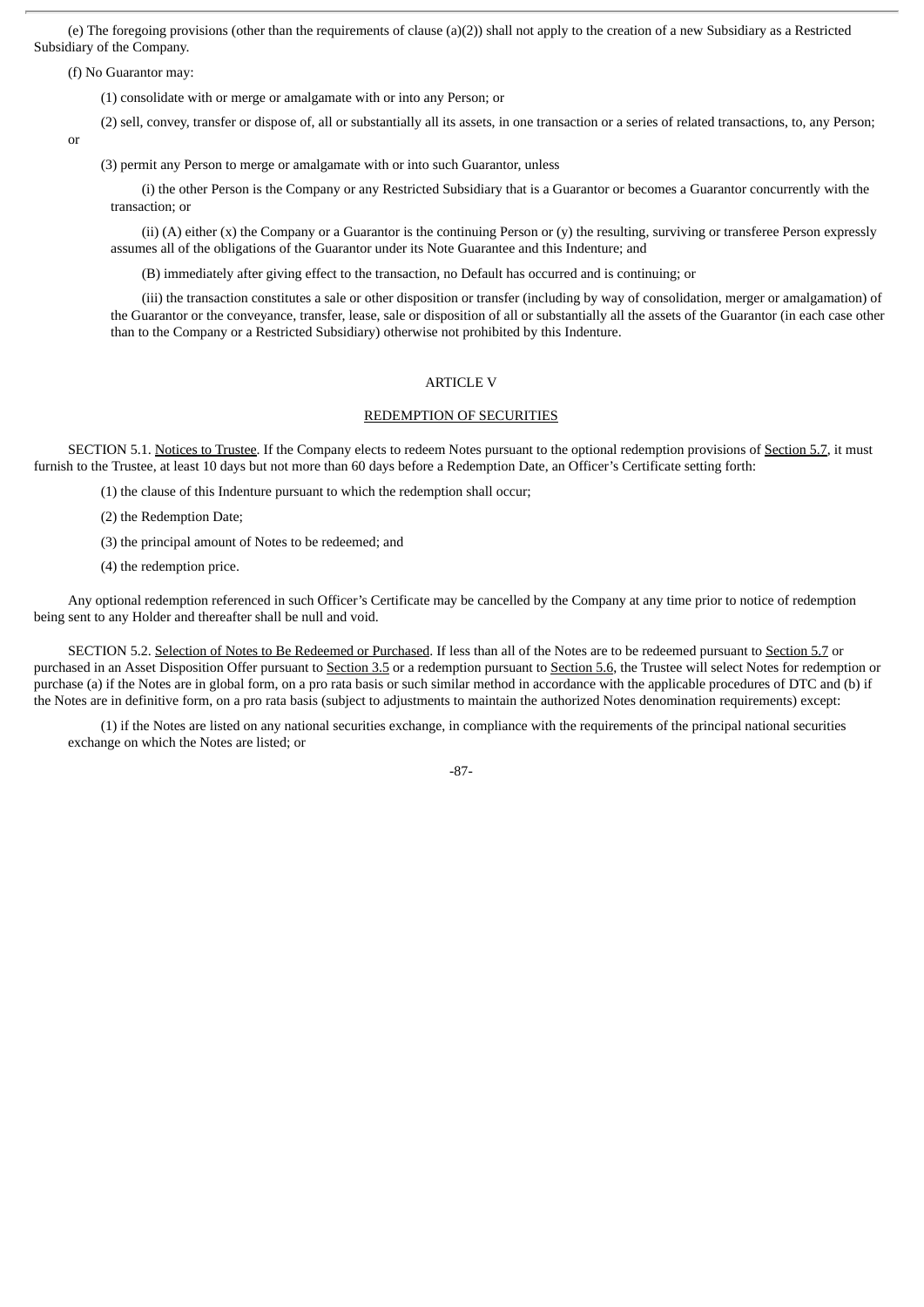(e) The foregoing provisions (other than the requirements of clause (a)(2)) shall not apply to the creation of a new Subsidiary as a Restricted Subsidiary of the Company.

(f) No Guarantor may:

(1) consolidate with or merge or amalgamate with or into any Person; or

(2) sell, convey, transfer or dispose of, all or substantially all its assets, in one transaction or a series of related transactions, to, any Person;

or

(3) permit any Person to merge or amalgamate with or into such Guarantor, unless

(i) the other Person is the Company or any Restricted Subsidiary that is a Guarantor or becomes a Guarantor concurrently with the transaction; or

(ii) (A) either (x) the Company or a Guarantor is the continuing Person or (y) the resulting, surviving or transferee Person expressly assumes all of the obligations of the Guarantor under its Note Guarantee and this Indenture; and

(B) immediately after giving effect to the transaction, no Default has occurred and is continuing; or

(iii) the transaction constitutes a sale or other disposition or transfer (including by way of consolidation, merger or amalgamation) of the Guarantor or the conveyance, transfer, lease, sale or disposition of all or substantially all the assets of the Guarantor (in each case other than to the Company or a Restricted Subsidiary) otherwise not prohibited by this Indenture.

# ARTICLE V

#### REDEMPTION OF SECURITIES

SECTION 5.1. Notices to Trustee. If the Company elects to redeem Notes pursuant to the optional redemption provisions of Section 5.7, it must furnish to the Trustee, at least 10 days but not more than 60 days before a Redemption Date, an Officer's Certificate setting forth:

(1) the clause of this Indenture pursuant to which the redemption shall occur;

(2) the Redemption Date;

(3) the principal amount of Notes to be redeemed; and

(4) the redemption price.

Any optional redemption referenced in such Officer's Certificate may be cancelled by the Company at any time prior to notice of redemption being sent to any Holder and thereafter shall be null and void.

SECTION 5.2. Selection of Notes to Be Redeemed or Purchased. If less than all of the Notes are to be redeemed pursuant to Section 5.7 or purchased in an Asset Disposition Offer pursuant to Section 3.5 or a redemption pursuant to Section 5.6, the Trustee will select Notes for redemption or purchase (a) if the Notes are in global form, on a pro rata basis or such similar method in accordance with the applicable procedures of DTC and (b) if the Notes are in definitive form, on a pro rata basis (subject to adjustments to maintain the authorized Notes denomination requirements) except:

(1) if the Notes are listed on any national securities exchange, in compliance with the requirements of the principal national securities exchange on which the Notes are listed; or

-87-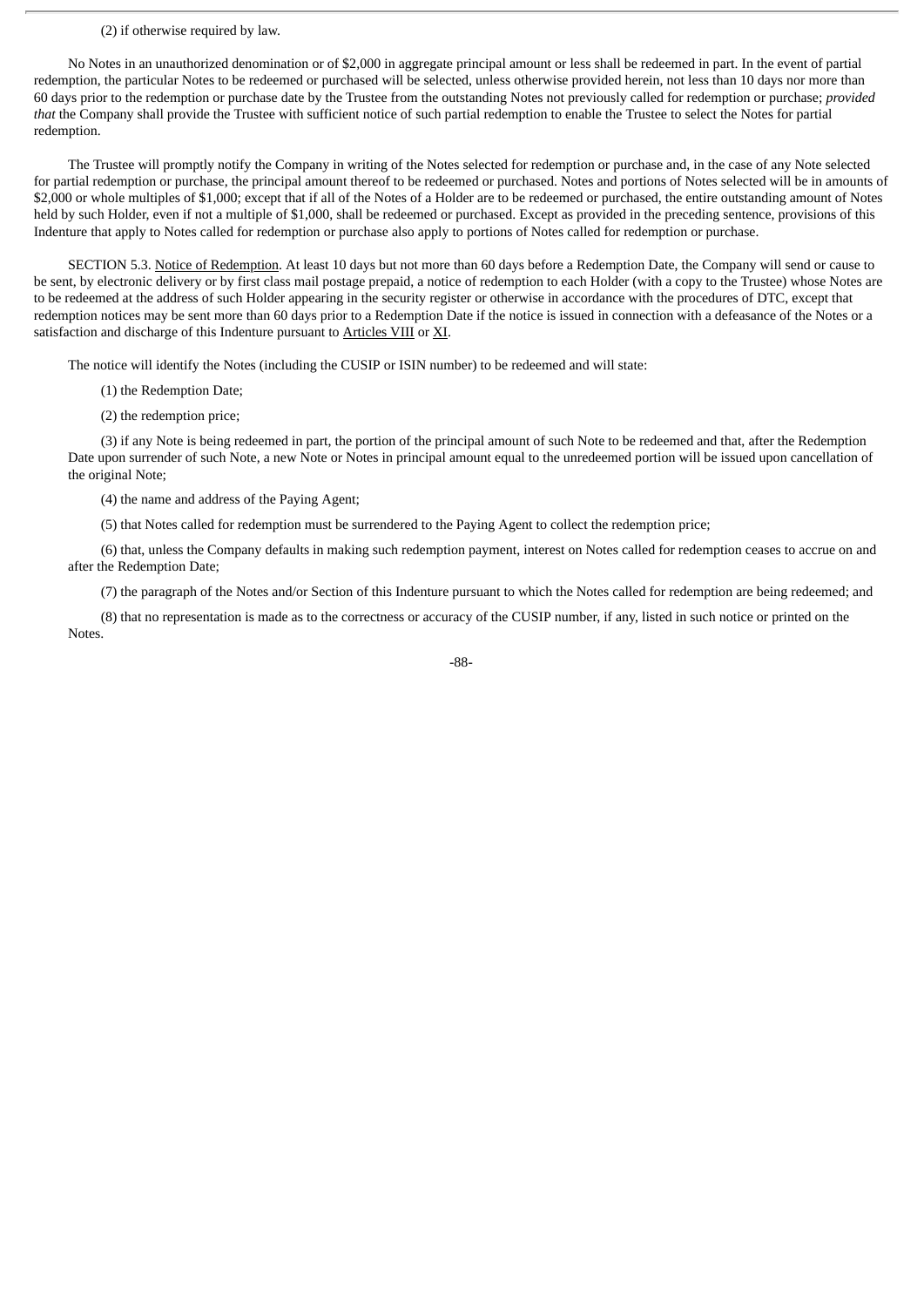#### (2) if otherwise required by law.

No Notes in an unauthorized denomination or of \$2,000 in aggregate principal amount or less shall be redeemed in part. In the event of partial redemption, the particular Notes to be redeemed or purchased will be selected, unless otherwise provided herein, not less than 10 days nor more than 60 days prior to the redemption or purchase date by the Trustee from the outstanding Notes not previously called for redemption or purchase; *provided that* the Company shall provide the Trustee with sufficient notice of such partial redemption to enable the Trustee to select the Notes for partial redemption.

The Trustee will promptly notify the Company in writing of the Notes selected for redemption or purchase and, in the case of any Note selected for partial redemption or purchase, the principal amount thereof to be redeemed or purchased. Notes and portions of Notes selected will be in amounts of \$2,000 or whole multiples of \$1,000; except that if all of the Notes of a Holder are to be redeemed or purchased, the entire outstanding amount of Notes held by such Holder, even if not a multiple of \$1,000, shall be redeemed or purchased. Except as provided in the preceding sentence, provisions of this Indenture that apply to Notes called for redemption or purchase also apply to portions of Notes called for redemption or purchase.

SECTION 5.3. Notice of Redemption. At least 10 days but not more than 60 days before a Redemption Date, the Company will send or cause to be sent, by electronic delivery or by first class mail postage prepaid, a notice of redemption to each Holder (with a copy to the Trustee) whose Notes are to be redeemed at the address of such Holder appearing in the security register or otherwise in accordance with the procedures of DTC, except that redemption notices may be sent more than 60 days prior to a Redemption Date if the notice is issued in connection with a defeasance of the Notes or a satisfaction and discharge of this Indenture pursuant to Articles VIII or XI.

The notice will identify the Notes (including the CUSIP or ISIN number) to be redeemed and will state:

- (1) the Redemption Date;
- (2) the redemption price;

(3) if any Note is being redeemed in part, the portion of the principal amount of such Note to be redeemed and that, after the Redemption Date upon surrender of such Note, a new Note or Notes in principal amount equal to the unredeemed portion will be issued upon cancellation of the original Note;

(4) the name and address of the Paying Agent;

(5) that Notes called for redemption must be surrendered to the Paying Agent to collect the redemption price;

(6) that, unless the Company defaults in making such redemption payment, interest on Notes called for redemption ceases to accrue on and after the Redemption Date;

(7) the paragraph of the Notes and/or Section of this Indenture pursuant to which the Notes called for redemption are being redeemed; and

(8) that no representation is made as to the correctness or accuracy of the CUSIP number, if any, listed in such notice or printed on the Notes.

-88-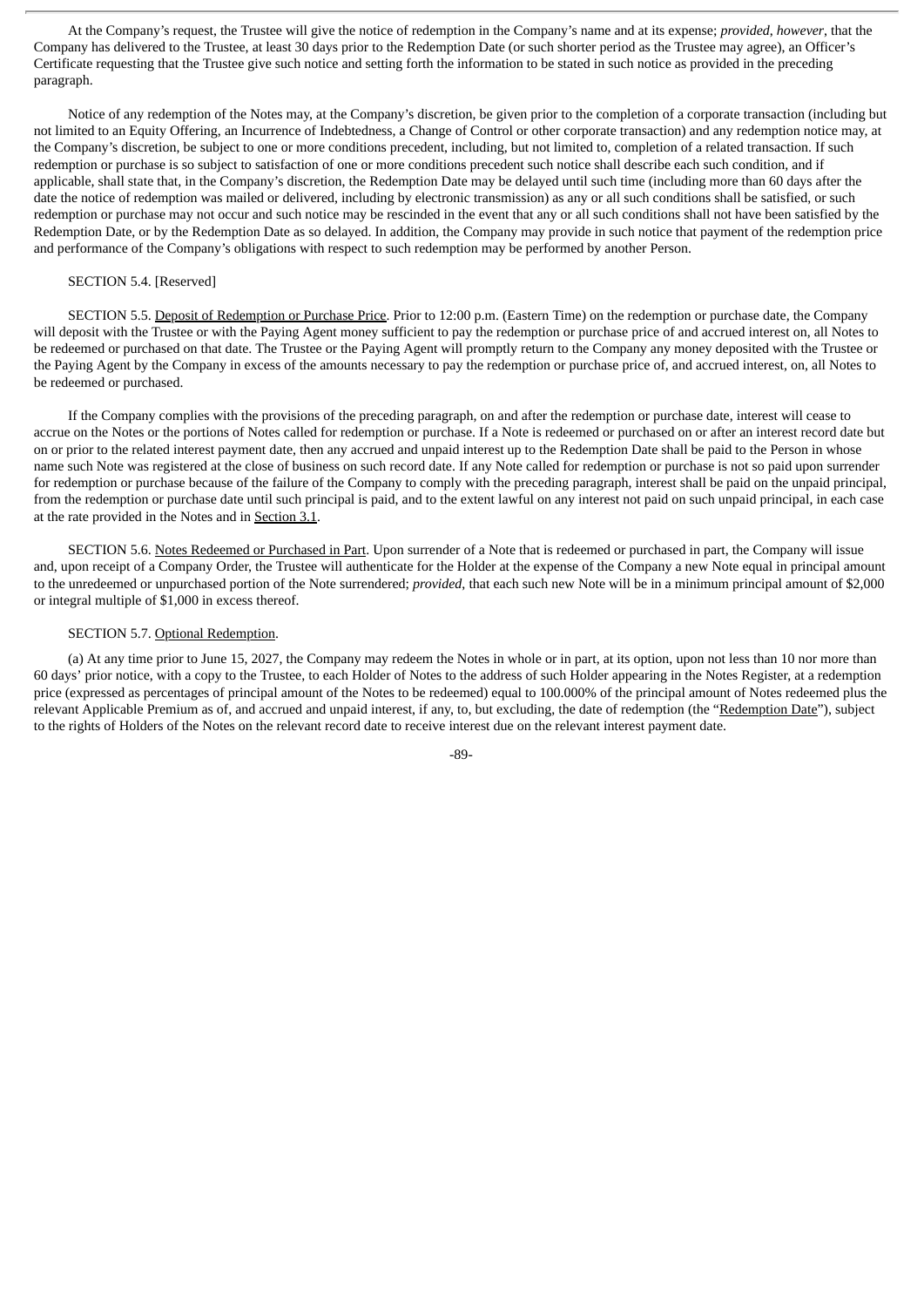At the Company's request, the Trustee will give the notice of redemption in the Company's name and at its expense; *provided*, *however*, that the Company has delivered to the Trustee, at least 30 days prior to the Redemption Date (or such shorter period as the Trustee may agree), an Officer's Certificate requesting that the Trustee give such notice and setting forth the information to be stated in such notice as provided in the preceding paragraph.

Notice of any redemption of the Notes may, at the Company's discretion, be given prior to the completion of a corporate transaction (including but not limited to an Equity Offering, an Incurrence of Indebtedness, a Change of Control or other corporate transaction) and any redemption notice may, at the Company's discretion, be subject to one or more conditions precedent, including, but not limited to, completion of a related transaction. If such redemption or purchase is so subject to satisfaction of one or more conditions precedent such notice shall describe each such condition, and if applicable, shall state that, in the Company's discretion, the Redemption Date may be delayed until such time (including more than 60 days after the date the notice of redemption was mailed or delivered, including by electronic transmission) as any or all such conditions shall be satisfied, or such redemption or purchase may not occur and such notice may be rescinded in the event that any or all such conditions shall not have been satisfied by the Redemption Date, or by the Redemption Date as so delayed. In addition, the Company may provide in such notice that payment of the redemption price and performance of the Company's obligations with respect to such redemption may be performed by another Person.

### SECTION 5.4. [Reserved]

SECTION 5.5. Deposit of Redemption or Purchase Price. Prior to 12:00 p.m. (Eastern Time) on the redemption or purchase date, the Company will deposit with the Trustee or with the Paying Agent money sufficient to pay the redemption or purchase price of and accrued interest on, all Notes to be redeemed or purchased on that date. The Trustee or the Paying Agent will promptly return to the Company any money deposited with the Trustee or the Paying Agent by the Company in excess of the amounts necessary to pay the redemption or purchase price of, and accrued interest, on, all Notes to be redeemed or purchased.

If the Company complies with the provisions of the preceding paragraph, on and after the redemption or purchase date, interest will cease to accrue on the Notes or the portions of Notes called for redemption or purchase. If a Note is redeemed or purchased on or after an interest record date but on or prior to the related interest payment date, then any accrued and unpaid interest up to the Redemption Date shall be paid to the Person in whose name such Note was registered at the close of business on such record date. If any Note called for redemption or purchase is not so paid upon surrender for redemption or purchase because of the failure of the Company to comply with the preceding paragraph, interest shall be paid on the unpaid principal, from the redemption or purchase date until such principal is paid, and to the extent lawful on any interest not paid on such unpaid principal, in each case at the rate provided in the Notes and in Section 3.1.

SECTION 5.6. Notes Redeemed or Purchased in Part. Upon surrender of a Note that is redeemed or purchased in part, the Company will issue and, upon receipt of a Company Order, the Trustee will authenticate for the Holder at the expense of the Company a new Note equal in principal amount to the unredeemed or unpurchased portion of the Note surrendered; *provided*, that each such new Note will be in a minimum principal amount of \$2,000 or integral multiple of \$1,000 in excess thereof.

#### SECTION 5.7. Optional Redemption.

(a) At any time prior to June 15, 2027, the Company may redeem the Notes in whole or in part, at its option, upon not less than 10 nor more than 60 days' prior notice, with a copy to the Trustee, to each Holder of Notes to the address of such Holder appearing in the Notes Register, at a redemption price (expressed as percentages of principal amount of the Notes to be redeemed) equal to 100.000% of the principal amount of Notes redeemed plus the relevant Applicable Premium as of, and accrued and unpaid interest, if any, to, but excluding, the date of redemption (the "Redemption Date"), subject to the rights of Holders of the Notes on the relevant record date to receive interest due on the relevant interest payment date.

-89-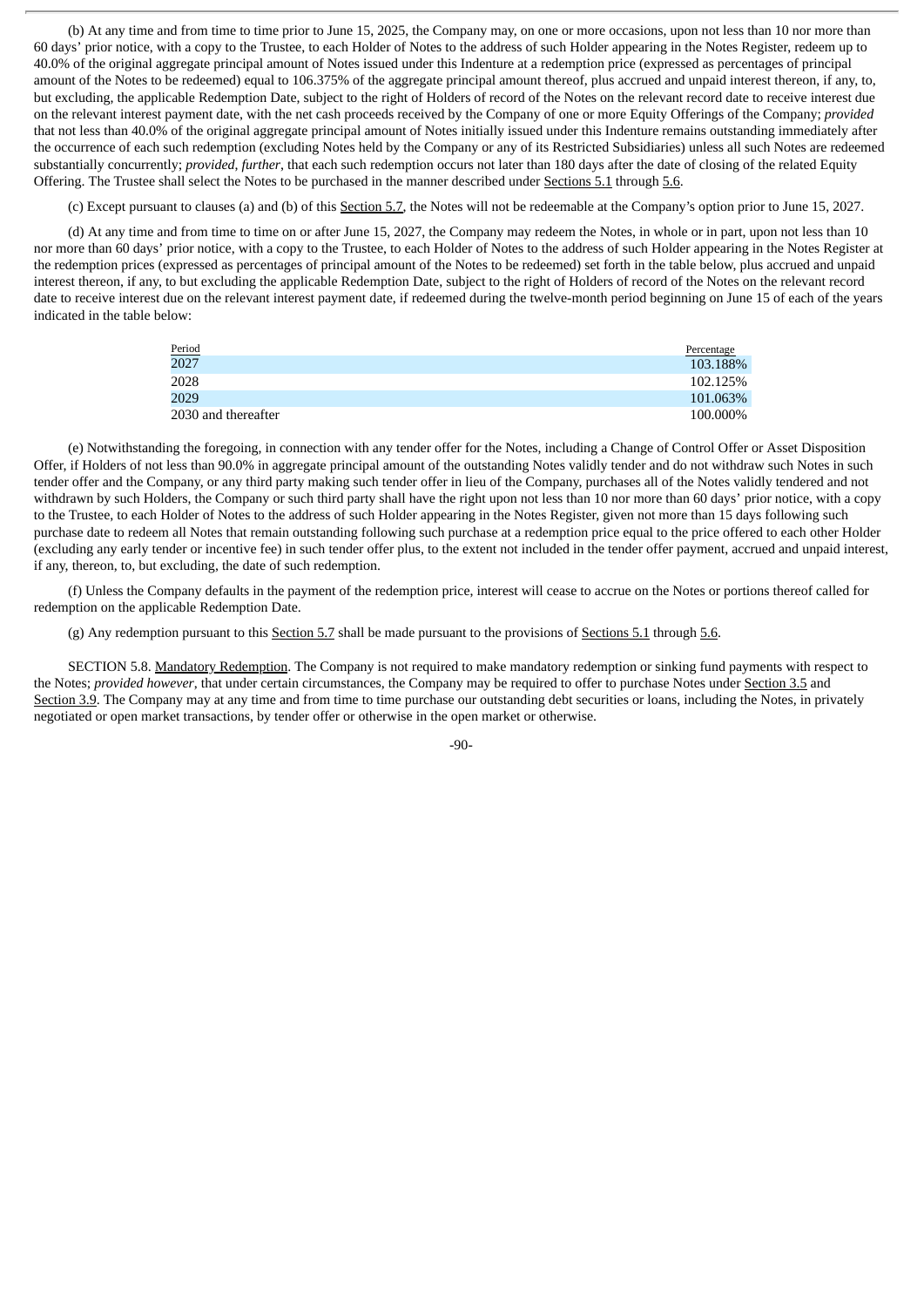(b) At any time and from time to time prior to June 15, 2025, the Company may, on one or more occasions, upon not less than 10 nor more than 60 days' prior notice, with a copy to the Trustee, to each Holder of Notes to the address of such Holder appearing in the Notes Register, redeem up to 40.0% of the original aggregate principal amount of Notes issued under this Indenture at a redemption price (expressed as percentages of principal amount of the Notes to be redeemed) equal to 106.375% of the aggregate principal amount thereof, plus accrued and unpaid interest thereon, if any, to, but excluding, the applicable Redemption Date, subject to the right of Holders of record of the Notes on the relevant record date to receive interest due on the relevant interest payment date, with the net cash proceeds received by the Company of one or more Equity Offerings of the Company; *provided* that not less than 40.0% of the original aggregate principal amount of Notes initially issued under this Indenture remains outstanding immediately after the occurrence of each such redemption (excluding Notes held by the Company or any of its Restricted Subsidiaries) unless all such Notes are redeemed substantially concurrently; *provided*, *further*, that each such redemption occurs not later than 180 days after the date of closing of the related Equity Offering. The Trustee shall select the Notes to be purchased in the manner described under Sections 5.1 through 5.6.

(c) Except pursuant to clauses (a) and (b) of this Section 5.7, the Notes will not be redeemable at the Company's option prior to June 15, 2027.

(d) At any time and from time to time on or after June 15, 2027, the Company may redeem the Notes, in whole or in part, upon not less than 10 nor more than 60 days' prior notice, with a copy to the Trustee, to each Holder of Notes to the address of such Holder appearing in the Notes Register at the redemption prices (expressed as percentages of principal amount of the Notes to be redeemed) set forth in the table below, plus accrued and unpaid interest thereon, if any, to but excluding the applicable Redemption Date, subject to the right of Holders of record of the Notes on the relevant record date to receive interest due on the relevant interest payment date, if redeemed during the twelve-month period beginning on June 15 of each of the years indicated in the table below:

| <u>Period</u>       | Percentage |
|---------------------|------------|
| 2027                | 103.188%   |
| 2028                | 102.125%   |
| 2029                | 101.063%   |
| 2030 and thereafter | 100.000%   |

(e) Notwithstanding the foregoing, in connection with any tender offer for the Notes, including a Change of Control Offer or Asset Disposition Offer, if Holders of not less than 90.0% in aggregate principal amount of the outstanding Notes validly tender and do not withdraw such Notes in such tender offer and the Company, or any third party making such tender offer in lieu of the Company, purchases all of the Notes validly tendered and not withdrawn by such Holders, the Company or such third party shall have the right upon not less than 10 nor more than 60 days' prior notice, with a copy to the Trustee, to each Holder of Notes to the address of such Holder appearing in the Notes Register, given not more than 15 days following such purchase date to redeem all Notes that remain outstanding following such purchase at a redemption price equal to the price offered to each other Holder (excluding any early tender or incentive fee) in such tender offer plus, to the extent not included in the tender offer payment, accrued and unpaid interest, if any, thereon, to, but excluding, the date of such redemption.

(f) Unless the Company defaults in the payment of the redemption price, interest will cease to accrue on the Notes or portions thereof called for redemption on the applicable Redemption Date.

(g) Any redemption pursuant to this Section 5.7 shall be made pursuant to the provisions of Sections 5.1 through 5.6.

SECTION 5.8. Mandatory Redemption. The Company is not required to make mandatory redemption or sinking fund payments with respect to the Notes; *provided however*, that under certain circumstances, the Company may be required to offer to purchase Notes under Section 3.5 and Section 3.9. The Company may at any time and from time to time purchase our outstanding debt securities or loans, including the Notes, in privately negotiated or open market transactions, by tender offer or otherwise in the open market or otherwise.

 $-90-$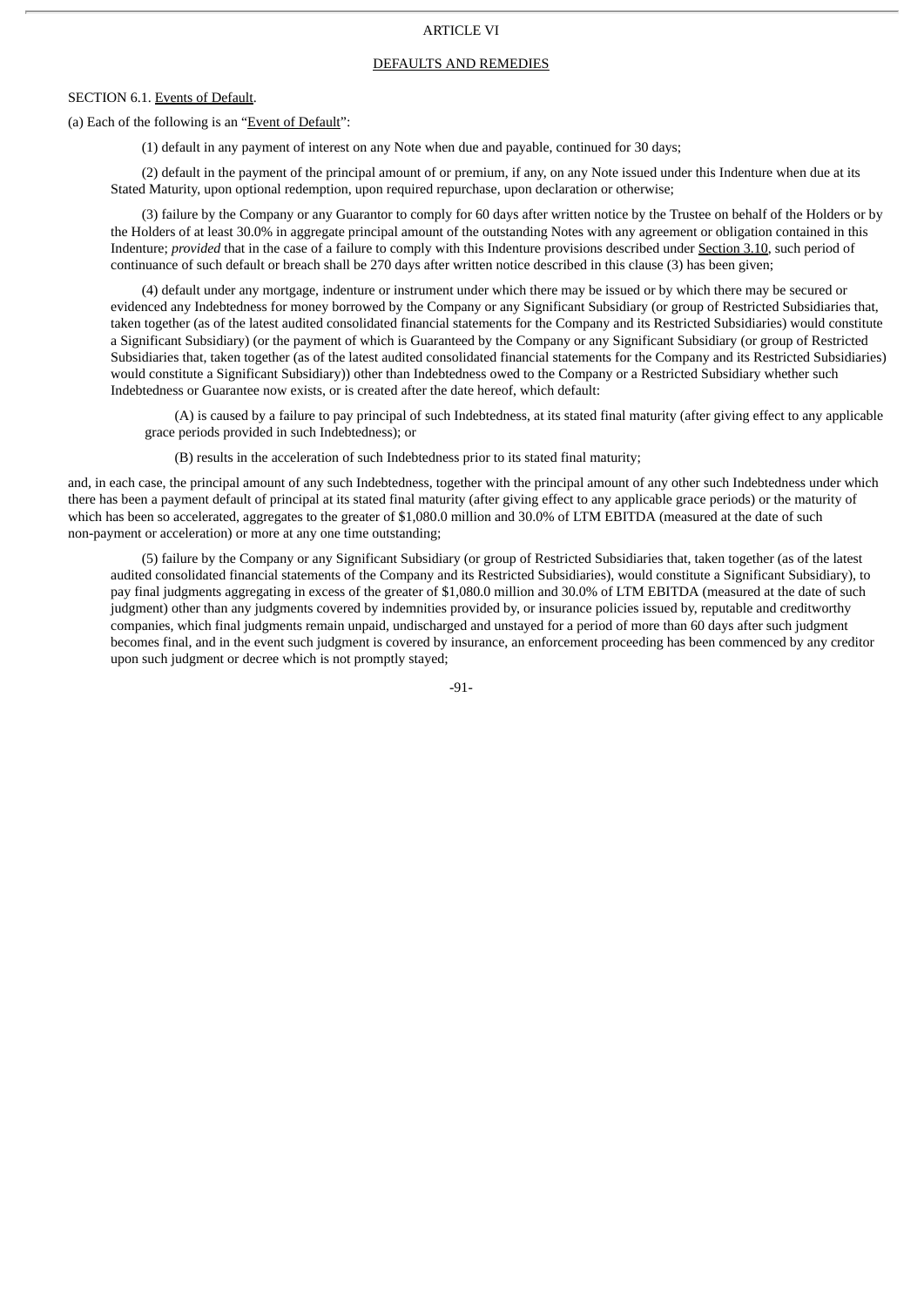# ARTICLE VI

### DEFAULTS AND REMEDIES

# SECTION 6.1. Events of Default.

### (a) Each of the following is an "Event of Default":

(1) default in any payment of interest on any Note when due and payable, continued for 30 days;

(2) default in the payment of the principal amount of or premium, if any, on any Note issued under this Indenture when due at its Stated Maturity, upon optional redemption, upon required repurchase, upon declaration or otherwise;

(3) failure by the Company or any Guarantor to comply for 60 days after written notice by the Trustee on behalf of the Holders or by the Holders of at least 30.0% in aggregate principal amount of the outstanding Notes with any agreement or obligation contained in this Indenture; *provided* that in the case of a failure to comply with this Indenture provisions described under Section 3.10, such period of continuance of such default or breach shall be 270 days after written notice described in this clause (3) has been given;

(4) default under any mortgage, indenture or instrument under which there may be issued or by which there may be secured or evidenced any Indebtedness for money borrowed by the Company or any Significant Subsidiary (or group of Restricted Subsidiaries that, taken together (as of the latest audited consolidated financial statements for the Company and its Restricted Subsidiaries) would constitute a Significant Subsidiary) (or the payment of which is Guaranteed by the Company or any Significant Subsidiary (or group of Restricted Subsidiaries that, taken together (as of the latest audited consolidated financial statements for the Company and its Restricted Subsidiaries) would constitute a Significant Subsidiary)) other than Indebtedness owed to the Company or a Restricted Subsidiary whether such Indebtedness or Guarantee now exists, or is created after the date hereof, which default:

(A) is caused by a failure to pay principal of such Indebtedness, at its stated final maturity (after giving effect to any applicable grace periods provided in such Indebtedness); or

(B) results in the acceleration of such Indebtedness prior to its stated final maturity;

and, in each case, the principal amount of any such Indebtedness, together with the principal amount of any other such Indebtedness under which there has been a payment default of principal at its stated final maturity (after giving effect to any applicable grace periods) or the maturity of which has been so accelerated, aggregates to the greater of \$1,080.0 million and 30.0% of LTM EBITDA (measured at the date of such non-payment or acceleration) or more at any one time outstanding;

(5) failure by the Company or any Significant Subsidiary (or group of Restricted Subsidiaries that, taken together (as of the latest audited consolidated financial statements of the Company and its Restricted Subsidiaries), would constitute a Significant Subsidiary), to pay final judgments aggregating in excess of the greater of \$1,080.0 million and 30.0% of LTM EBITDA (measured at the date of such judgment) other than any judgments covered by indemnities provided by, or insurance policies issued by, reputable and creditworthy companies, which final judgments remain unpaid, undischarged and unstayed for a period of more than 60 days after such judgment becomes final, and in the event such judgment is covered by insurance, an enforcement proceeding has been commenced by any creditor upon such judgment or decree which is not promptly stayed;

-91-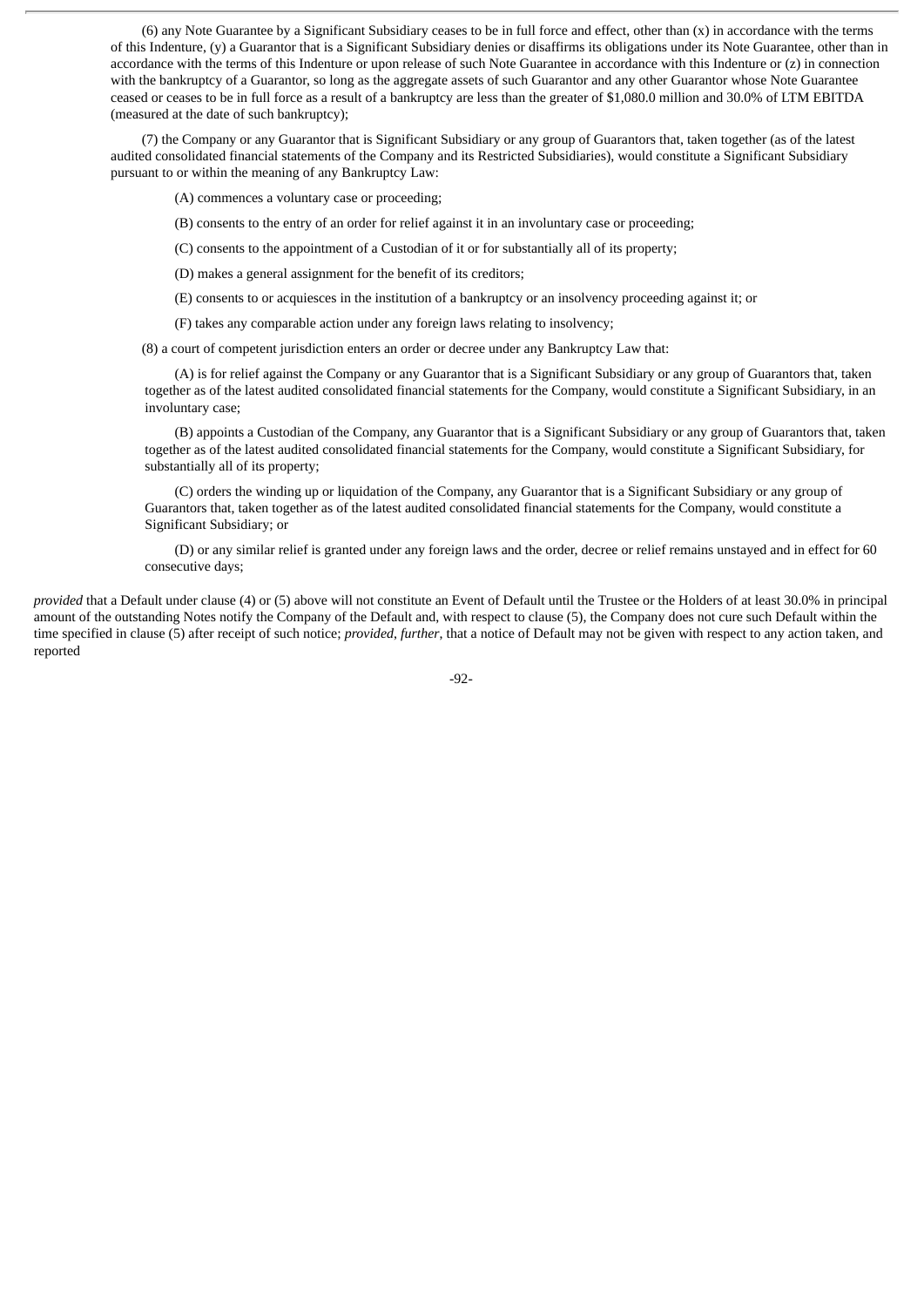(6) any Note Guarantee by a Significant Subsidiary ceases to be in full force and effect, other than (x) in accordance with the terms of this Indenture, (y) a Guarantor that is a Significant Subsidiary denies or disaffirms its obligations under its Note Guarantee, other than in accordance with the terms of this Indenture or upon release of such Note Guarantee in accordance with this Indenture or (z) in connection with the bankruptcy of a Guarantor, so long as the aggregate assets of such Guarantor and any other Guarantor whose Note Guarantee ceased or ceases to be in full force as a result of a bankruptcy are less than the greater of \$1,080.0 million and 30.0% of LTM EBITDA (measured at the date of such bankruptcy);

(7) the Company or any Guarantor that is Significant Subsidiary or any group of Guarantors that, taken together (as of the latest audited consolidated financial statements of the Company and its Restricted Subsidiaries), would constitute a Significant Subsidiary pursuant to or within the meaning of any Bankruptcy Law:

(A) commences a voluntary case or proceeding;

(B) consents to the entry of an order for relief against it in an involuntary case or proceeding;

(C) consents to the appointment of a Custodian of it or for substantially all of its property;

(D) makes a general assignment for the benefit of its creditors;

(E) consents to or acquiesces in the institution of a bankruptcy or an insolvency proceeding against it; or

(F) takes any comparable action under any foreign laws relating to insolvency;

(8) a court of competent jurisdiction enters an order or decree under any Bankruptcy Law that:

(A) is for relief against the Company or any Guarantor that is a Significant Subsidiary or any group of Guarantors that, taken together as of the latest audited consolidated financial statements for the Company, would constitute a Significant Subsidiary, in an involuntary case;

(B) appoints a Custodian of the Company, any Guarantor that is a Significant Subsidiary or any group of Guarantors that, taken together as of the latest audited consolidated financial statements for the Company, would constitute a Significant Subsidiary, for substantially all of its property;

(C) orders the winding up or liquidation of the Company, any Guarantor that is a Significant Subsidiary or any group of Guarantors that, taken together as of the latest audited consolidated financial statements for the Company, would constitute a Significant Subsidiary; or

(D) or any similar relief is granted under any foreign laws and the order, decree or relief remains unstayed and in effect for 60 consecutive days;

*provided* that a Default under clause (4) or (5) above will not constitute an Event of Default until the Trustee or the Holders of at least 30.0% in principal amount of the outstanding Notes notify the Company of the Default and, with respect to clause (5), the Company does not cure such Default within the time specified in clause (5) after receipt of such notice; *provided*, *further*, that a notice of Default may not be given with respect to any action taken, and reported

-92-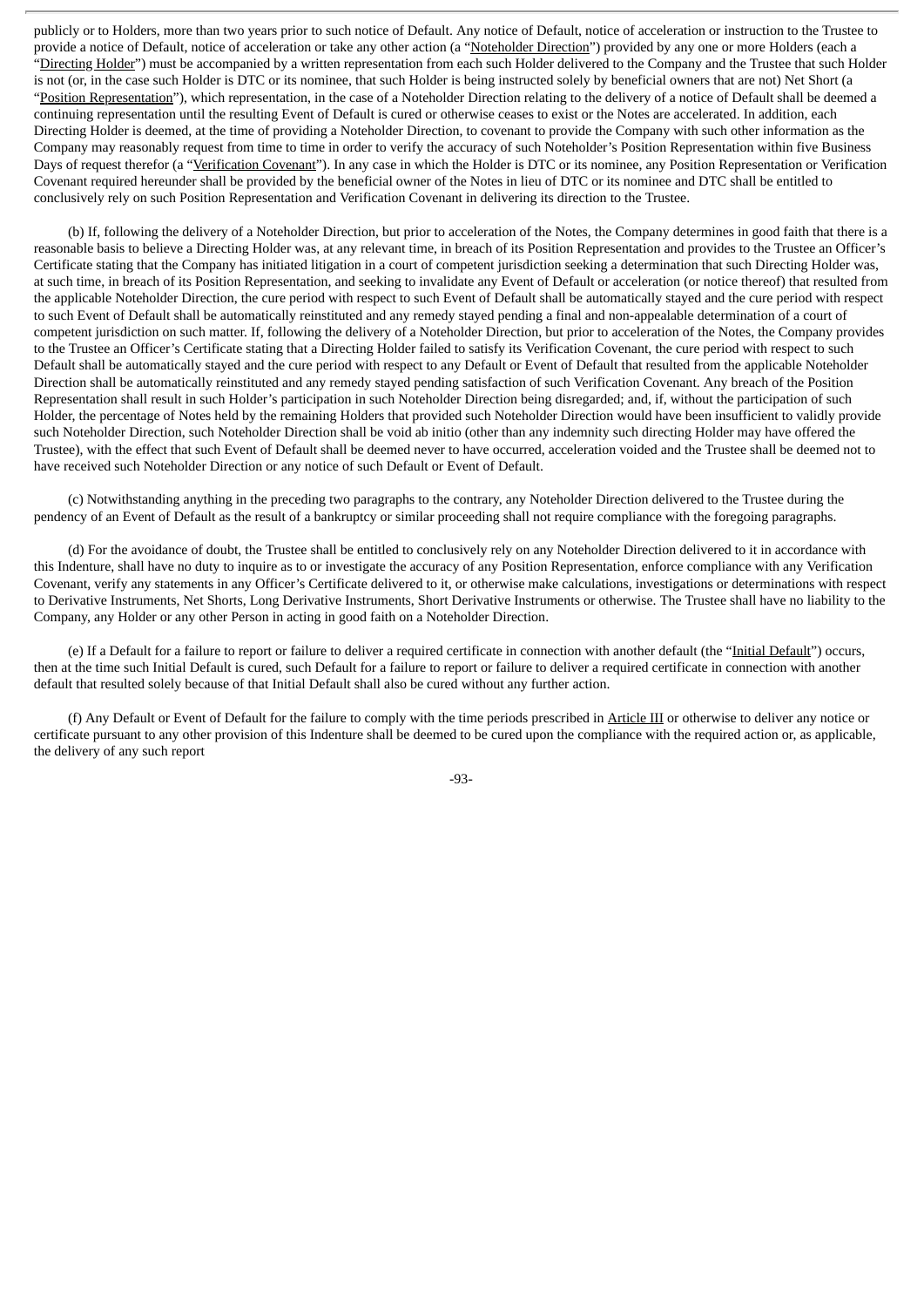publicly or to Holders, more than two years prior to such notice of Default. Any notice of Default, notice of acceleration or instruction to the Trustee to provide a notice of Default, notice of acceleration or take any other action (a "Noteholder Direction") provided by any one or more Holders (each a "Directing Holder") must be accompanied by a written representation from each such Holder delivered to the Company and the Trustee that such Holder is not (or, in the case such Holder is DTC or its nominee, that such Holder is being instructed solely by beneficial owners that are not) Net Short (a "Position Representation"), which representation, in the case of a Noteholder Direction relating to the delivery of a notice of Default shall be deemed a continuing representation until the resulting Event of Default is cured or otherwise ceases to exist or the Notes are accelerated. In addition, each Directing Holder is deemed, at the time of providing a Noteholder Direction, to covenant to provide the Company with such other information as the Company may reasonably request from time to time in order to verify the accuracy of such Noteholder's Position Representation within five Business Days of request therefor (a "Verification Covenant"). In any case in which the Holder is DTC or its nominee, any Position Representation or Verification Covenant required hereunder shall be provided by the beneficial owner of the Notes in lieu of DTC or its nominee and DTC shall be entitled to conclusively rely on such Position Representation and Verification Covenant in delivering its direction to the Trustee.

(b) If, following the delivery of a Noteholder Direction, but prior to acceleration of the Notes, the Company determines in good faith that there is a reasonable basis to believe a Directing Holder was, at any relevant time, in breach of its Position Representation and provides to the Trustee an Officer's Certificate stating that the Company has initiated litigation in a court of competent jurisdiction seeking a determination that such Directing Holder was, at such time, in breach of its Position Representation, and seeking to invalidate any Event of Default or acceleration (or notice thereof) that resulted from the applicable Noteholder Direction, the cure period with respect to such Event of Default shall be automatically stayed and the cure period with respect to such Event of Default shall be automatically reinstituted and any remedy stayed pending a final and non-appealable determination of a court of competent jurisdiction on such matter. If, following the delivery of a Noteholder Direction, but prior to acceleration of the Notes, the Company provides to the Trustee an Officer's Certificate stating that a Directing Holder failed to satisfy its Verification Covenant, the cure period with respect to such Default shall be automatically stayed and the cure period with respect to any Default or Event of Default that resulted from the applicable Noteholder Direction shall be automatically reinstituted and any remedy stayed pending satisfaction of such Verification Covenant. Any breach of the Position Representation shall result in such Holder's participation in such Noteholder Direction being disregarded; and, if, without the participation of such Holder, the percentage of Notes held by the remaining Holders that provided such Noteholder Direction would have been insufficient to validly provide such Noteholder Direction, such Noteholder Direction shall be void ab initio (other than any indemnity such directing Holder may have offered the Trustee), with the effect that such Event of Default shall be deemed never to have occurred, acceleration voided and the Trustee shall be deemed not to have received such Noteholder Direction or any notice of such Default or Event of Default.

(c) Notwithstanding anything in the preceding two paragraphs to the contrary, any Noteholder Direction delivered to the Trustee during the pendency of an Event of Default as the result of a bankruptcy or similar proceeding shall not require compliance with the foregoing paragraphs.

(d) For the avoidance of doubt, the Trustee shall be entitled to conclusively rely on any Noteholder Direction delivered to it in accordance with this Indenture, shall have no duty to inquire as to or investigate the accuracy of any Position Representation, enforce compliance with any Verification Covenant, verify any statements in any Officer's Certificate delivered to it, or otherwise make calculations, investigations or determinations with respect to Derivative Instruments, Net Shorts, Long Derivative Instruments, Short Derivative Instruments or otherwise. The Trustee shall have no liability to the Company, any Holder or any other Person in acting in good faith on a Noteholder Direction.

(e) If a Default for a failure to report or failure to deliver a required certificate in connection with another default (the "Initial Default") occurs, then at the time such Initial Default is cured, such Default for a failure to report or failure to deliver a required certificate in connection with another default that resulted solely because of that Initial Default shall also be cured without any further action.

(f) Any Default or Event of Default for the failure to comply with the time periods prescribed in Article III or otherwise to deliver any notice or certificate pursuant to any other provision of this Indenture shall be deemed to be cured upon the compliance with the required action or, as applicable, the delivery of any such report

-93-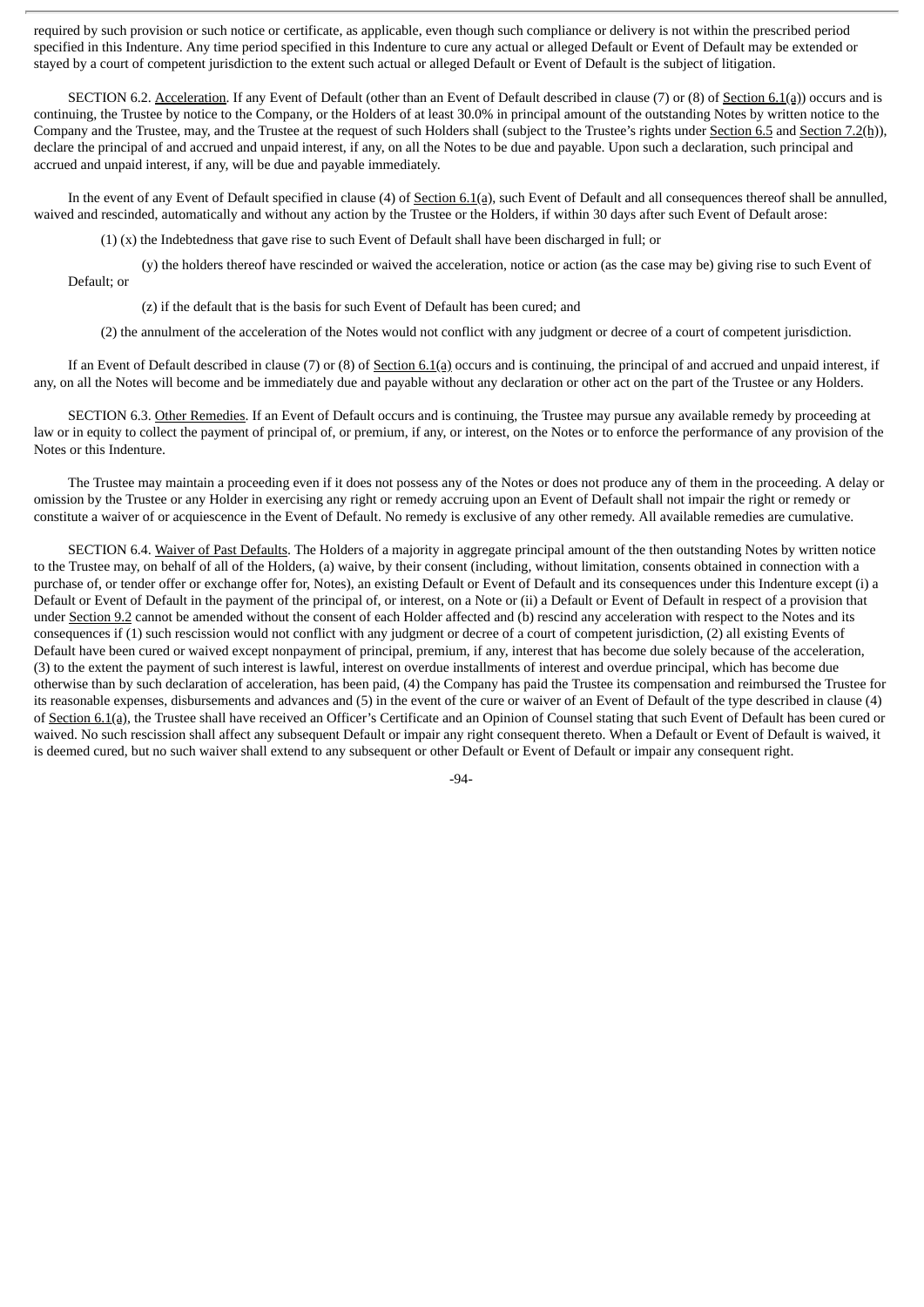required by such provision or such notice or certificate, as applicable, even though such compliance or delivery is not within the prescribed period specified in this Indenture. Any time period specified in this Indenture to cure any actual or alleged Default or Event of Default may be extended or stayed by a court of competent jurisdiction to the extent such actual or alleged Default or Event of Default is the subject of litigation.

SECTION 6.2. Acceleration. If any Event of Default (other than an Event of Default described in clause (7) or (8) of Section 6.1(a)) occurs and is continuing, the Trustee by notice to the Company, or the Holders of at least 30.0% in principal amount of the outstanding Notes by written notice to the Company and the Trustee, may, and the Trustee at the request of such Holders shall (subject to the Trustee's rights under Section 6.5 and Section 7.2(h)), declare the principal of and accrued and unpaid interest, if any, on all the Notes to be due and payable. Upon such a declaration, such principal and accrued and unpaid interest, if any, will be due and payable immediately.

In the event of any Event of Default specified in clause (4) of Section 6.1(a), such Event of Default and all consequences thereof shall be annulled, waived and rescinded, automatically and without any action by the Trustee or the Holders, if within 30 days after such Event of Default arose:

(1) (x) the Indebtedness that gave rise to such Event of Default shall have been discharged in full; or

(y) the holders thereof have rescinded or waived the acceleration, notice or action (as the case may be) giving rise to such Event of Default; or

(z) if the default that is the basis for such Event of Default has been cured; and

(2) the annulment of the acceleration of the Notes would not conflict with any judgment or decree of a court of competent jurisdiction.

If an Event of Default described in clause (7) or (8) of Section  $6.1(a)$  occurs and is continuing, the principal of and accrued and unpaid interest, if any, on all the Notes will become and be immediately due and payable without any declaration or other act on the part of the Trustee or any Holders.

SECTION 6.3. Other Remedies. If an Event of Default occurs and is continuing, the Trustee may pursue any available remedy by proceeding at law or in equity to collect the payment of principal of, or premium, if any, or interest, on the Notes or to enforce the performance of any provision of the Notes or this Indenture.

The Trustee may maintain a proceeding even if it does not possess any of the Notes or does not produce any of them in the proceeding. A delay or omission by the Trustee or any Holder in exercising any right or remedy accruing upon an Event of Default shall not impair the right or remedy or constitute a waiver of or acquiescence in the Event of Default. No remedy is exclusive of any other remedy. All available remedies are cumulative.

SECTION 6.4. Waiver of Past Defaults. The Holders of a majority in aggregate principal amount of the then outstanding Notes by written notice to the Trustee may, on behalf of all of the Holders, (a) waive, by their consent (including, without limitation, consents obtained in connection with a purchase of, or tender offer or exchange offer for, Notes), an existing Default or Event of Default and its consequences under this Indenture except (i) a Default or Event of Default in the payment of the principal of, or interest, on a Note or (ii) a Default or Event of Default in respect of a provision that under Section 9.2 cannot be amended without the consent of each Holder affected and (b) rescind any acceleration with respect to the Notes and its consequences if (1) such rescission would not conflict with any judgment or decree of a court of competent jurisdiction, (2) all existing Events of Default have been cured or waived except nonpayment of principal, premium, if any, interest that has become due solely because of the acceleration, (3) to the extent the payment of such interest is lawful, interest on overdue installments of interest and overdue principal, which has become due otherwise than by such declaration of acceleration, has been paid, (4) the Company has paid the Trustee its compensation and reimbursed the Trustee for its reasonable expenses, disbursements and advances and (5) in the event of the cure or waiver of an Event of Default of the type described in clause (4) of Section 6.1(a), the Trustee shall have received an Officer's Certificate and an Opinion of Counsel stating that such Event of Default has been cured or waived. No such rescission shall affect any subsequent Default or impair any right consequent thereto. When a Default or Event of Default is waived, it is deemed cured, but no such waiver shall extend to any subsequent or other Default or Event of Default or impair any consequent right.

-94-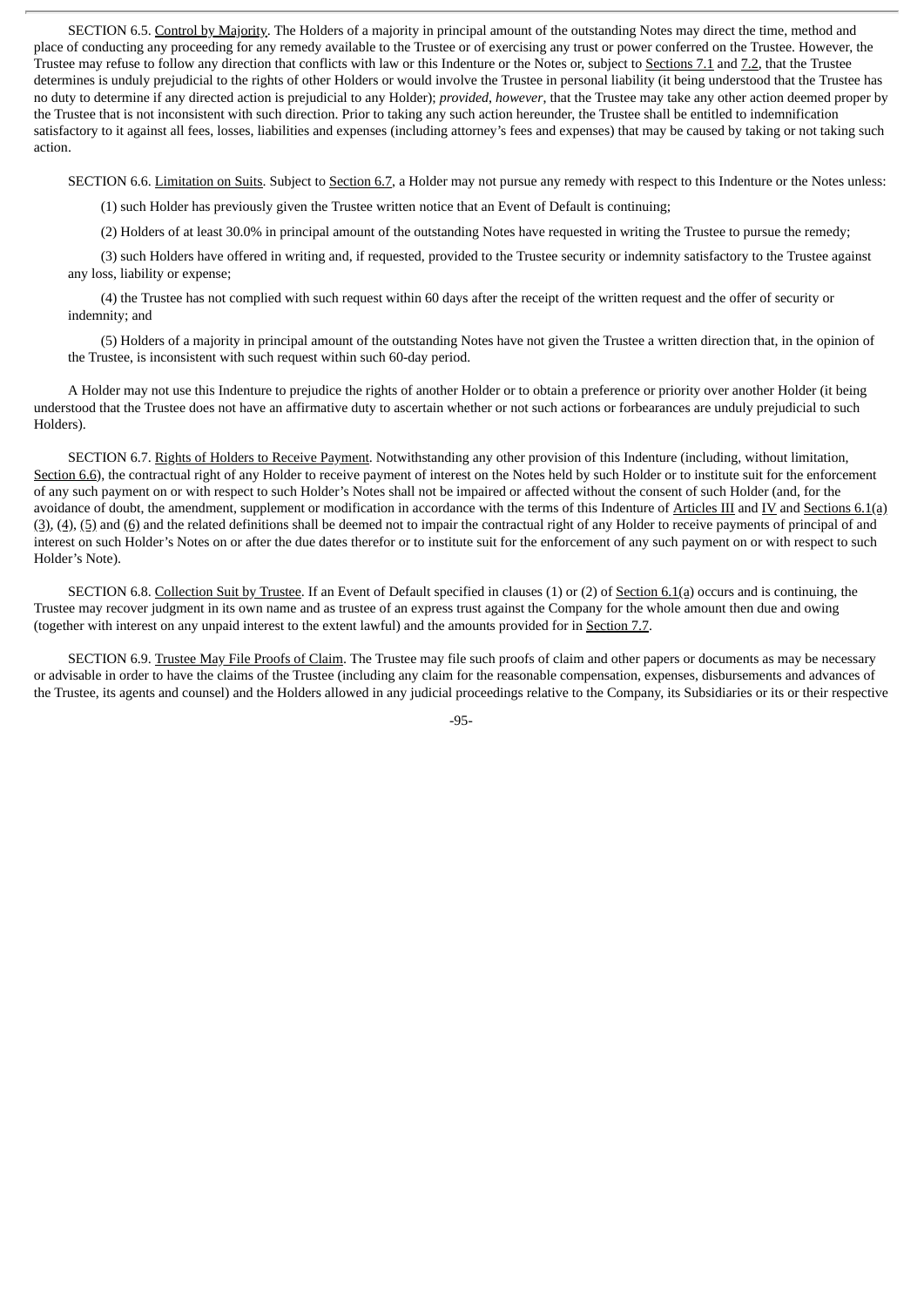SECTION 6.5. Control by Majority. The Holders of a majority in principal amount of the outstanding Notes may direct the time, method and place of conducting any proceeding for any remedy available to the Trustee or of exercising any trust or power conferred on the Trustee. However, the Trustee may refuse to follow any direction that conflicts with law or this Indenture or the Notes or, subject to Sections 7.1 and 7.2, that the Trustee determines is unduly prejudicial to the rights of other Holders or would involve the Trustee in personal liability (it being understood that the Trustee has no duty to determine if any directed action is prejudicial to any Holder); *provided*, *however*, that the Trustee may take any other action deemed proper by the Trustee that is not inconsistent with such direction. Prior to taking any such action hereunder, the Trustee shall be entitled to indemnification satisfactory to it against all fees, losses, liabilities and expenses (including attorney's fees and expenses) that may be caused by taking or not taking such action.

SECTION 6.6. Limitation on Suits. Subject to Section 6.7, a Holder may not pursue any remedy with respect to this Indenture or the Notes unless:

(1) such Holder has previously given the Trustee written notice that an Event of Default is continuing;

(2) Holders of at least 30.0% in principal amount of the outstanding Notes have requested in writing the Trustee to pursue the remedy;

(3) such Holders have offered in writing and, if requested, provided to the Trustee security or indemnity satisfactory to the Trustee against any loss, liability or expense;

(4) the Trustee has not complied with such request within 60 days after the receipt of the written request and the offer of security or indemnity; and

(5) Holders of a majority in principal amount of the outstanding Notes have not given the Trustee a written direction that, in the opinion of the Trustee, is inconsistent with such request within such 60-day period.

A Holder may not use this Indenture to prejudice the rights of another Holder or to obtain a preference or priority over another Holder (it being understood that the Trustee does not have an affirmative duty to ascertain whether or not such actions or forbearances are unduly prejudicial to such Holders).

SECTION 6.7. Rights of Holders to Receive Payment. Notwithstanding any other provision of this Indenture (including, without limitation, Section 6.6), the contractual right of any Holder to receive payment of interest on the Notes held by such Holder or to institute suit for the enforcement of any such payment on or with respect to such Holder's Notes shall not be impaired or affected without the consent of such Holder (and, for the avoidance of doubt, the amendment, supplement or modification in accordance with the terms of this Indenture of Articles III and IV and Sections 6.1(a) (3), (4), (5) and (6) and the related definitions shall be deemed not to impair the contractual right of any Holder to receive payments of principal of and interest on such Holder's Notes on or after the due dates therefor or to institute suit for the enforcement of any such payment on or with respect to such Holder's Note).

SECTION 6.8. Collection Suit by Trustee. If an Event of Default specified in clauses (1) or (2) of Section 6.1(a) occurs and is continuing, the Trustee may recover judgment in its own name and as trustee of an express trust against the Company for the whole amount then due and owing (together with interest on any unpaid interest to the extent lawful) and the amounts provided for in Section 7.7.

SECTION 6.9. Trustee May File Proofs of Claim. The Trustee may file such proofs of claim and other papers or documents as may be necessary or advisable in order to have the claims of the Trustee (including any claim for the reasonable compensation, expenses, disbursements and advances of the Trustee, its agents and counsel) and the Holders allowed in any judicial proceedings relative to the Company, its Subsidiaries or its or their respective

-95-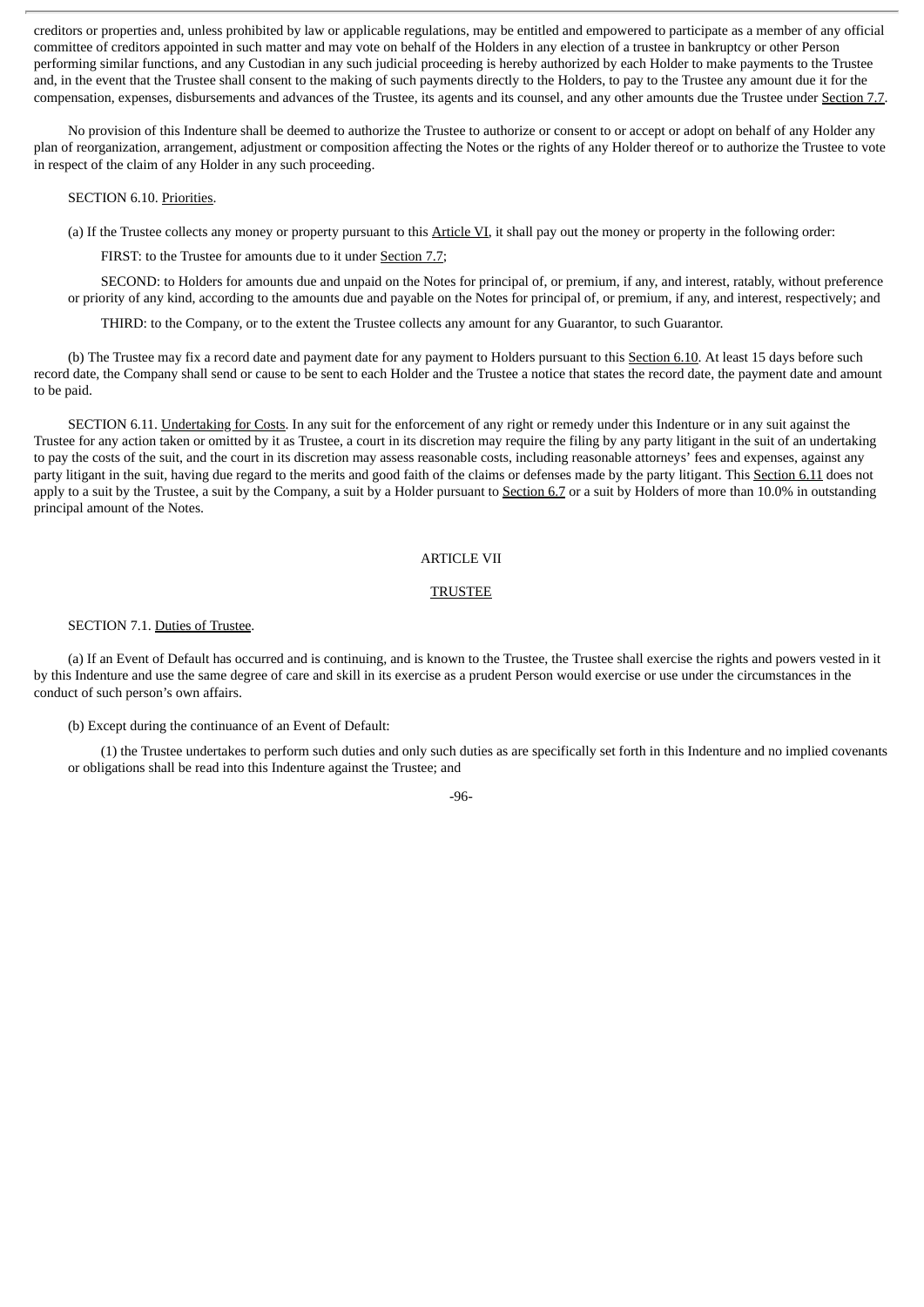creditors or properties and, unless prohibited by law or applicable regulations, may be entitled and empowered to participate as a member of any official committee of creditors appointed in such matter and may vote on behalf of the Holders in any election of a trustee in bankruptcy or other Person performing similar functions, and any Custodian in any such judicial proceeding is hereby authorized by each Holder to make payments to the Trustee and, in the event that the Trustee shall consent to the making of such payments directly to the Holders, to pay to the Trustee any amount due it for the compensation, expenses, disbursements and advances of the Trustee, its agents and its counsel, and any other amounts due the Trustee under Section 7.7.

No provision of this Indenture shall be deemed to authorize the Trustee to authorize or consent to or accept or adopt on behalf of any Holder any plan of reorganization, arrangement, adjustment or composition affecting the Notes or the rights of any Holder thereof or to authorize the Trustee to vote in respect of the claim of any Holder in any such proceeding.

### SECTION 6.10. Priorities.

(a) If the Trustee collects any money or property pursuant to this Article VI, it shall pay out the money or property in the following order:

FIRST: to the Trustee for amounts due to it under Section 7.7;

SECOND: to Holders for amounts due and unpaid on the Notes for principal of, or premium, if any, and interest, ratably, without preference or priority of any kind, according to the amounts due and payable on the Notes for principal of, or premium, if any, and interest, respectively; and

THIRD: to the Company, or to the extent the Trustee collects any amount for any Guarantor, to such Guarantor.

(b) The Trustee may fix a record date and payment date for any payment to Holders pursuant to this Section 6.10. At least 15 days before such record date, the Company shall send or cause to be sent to each Holder and the Trustee a notice that states the record date, the payment date and amount to be paid.

SECTION 6.11. Undertaking for Costs. In any suit for the enforcement of any right or remedy under this Indenture or in any suit against the Trustee for any action taken or omitted by it as Trustee, a court in its discretion may require the filing by any party litigant in the suit of an undertaking to pay the costs of the suit, and the court in its discretion may assess reasonable costs, including reasonable attorneys' fees and expenses, against any party litigant in the suit, having due regard to the merits and good faith of the claims or defenses made by the party litigant. This Section 6.11 does not apply to a suit by the Trustee, a suit by the Company, a suit by a Holder pursuant to Section  $6.7$  or a suit by Holders of more than  $10.0\%$  in outstanding principal amount of the Notes.

### ARTICLE VII

## TRUSTEE

#### SECTION 7.1. Duties of Trustee.

(a) If an Event of Default has occurred and is continuing, and is known to the Trustee, the Trustee shall exercise the rights and powers vested in it by this Indenture and use the same degree of care and skill in its exercise as a prudent Person would exercise or use under the circumstances in the conduct of such person's own affairs.

### (b) Except during the continuance of an Event of Default:

(1) the Trustee undertakes to perform such duties and only such duties as are specifically set forth in this Indenture and no implied covenants or obligations shall be read into this Indenture against the Trustee; and

#### -96-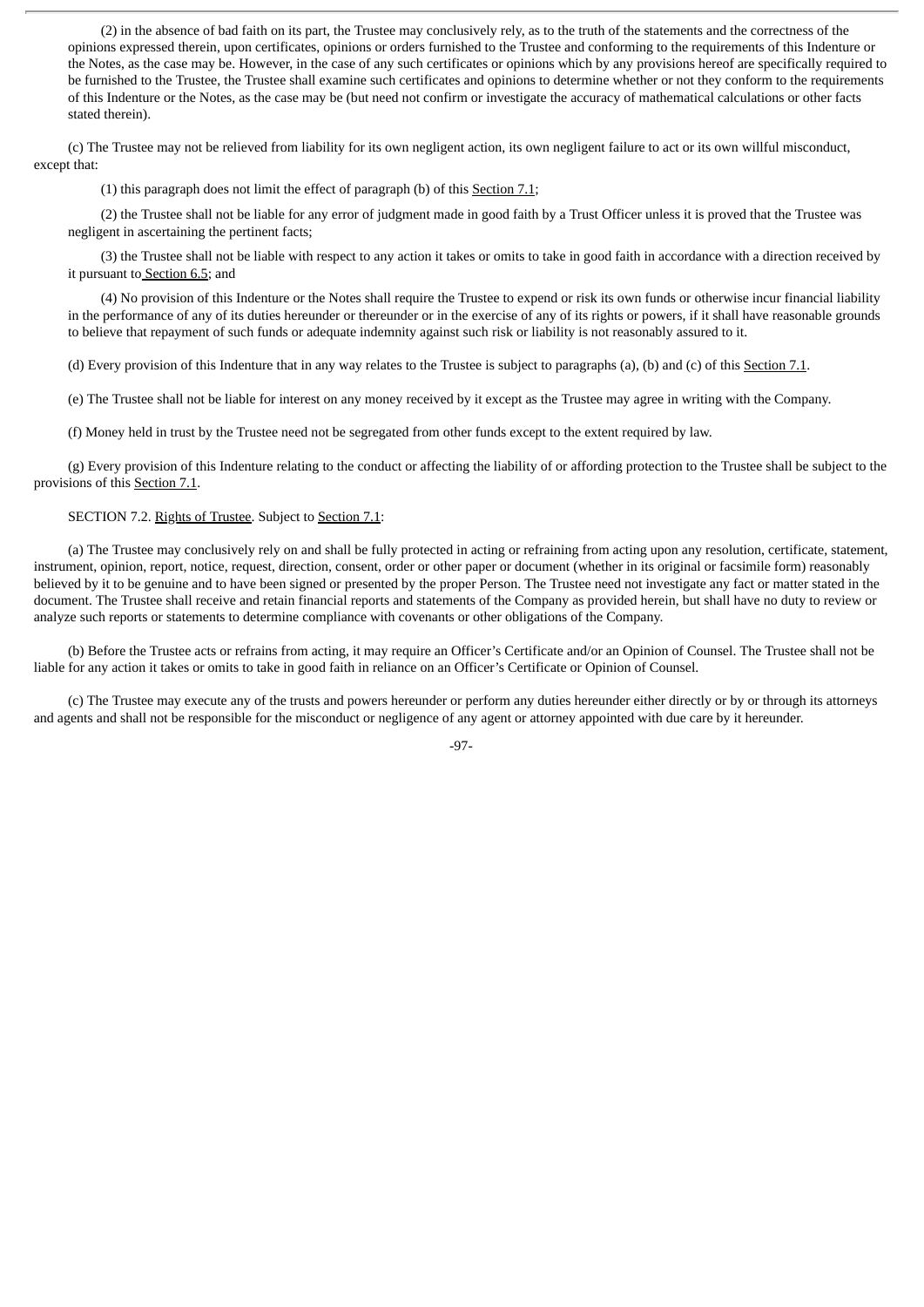(2) in the absence of bad faith on its part, the Trustee may conclusively rely, as to the truth of the statements and the correctness of the opinions expressed therein, upon certificates, opinions or orders furnished to the Trustee and conforming to the requirements of this Indenture or the Notes, as the case may be. However, in the case of any such certificates or opinions which by any provisions hereof are specifically required to be furnished to the Trustee, the Trustee shall examine such certificates and opinions to determine whether or not they conform to the requirements of this Indenture or the Notes, as the case may be (but need not confirm or investigate the accuracy of mathematical calculations or other facts stated therein).

(c) The Trustee may not be relieved from liability for its own negligent action, its own negligent failure to act or its own willful misconduct, except that:

(1) this paragraph does not limit the effect of paragraph (b) of this Section 7.1;

(2) the Trustee shall not be liable for any error of judgment made in good faith by a Trust Officer unless it is proved that the Trustee was negligent in ascertaining the pertinent facts;

(3) the Trustee shall not be liable with respect to any action it takes or omits to take in good faith in accordance with a direction received by it pursuant to Section 6.5; and

(4) No provision of this Indenture or the Notes shall require the Trustee to expend or risk its own funds or otherwise incur financial liability in the performance of any of its duties hereunder or thereunder or in the exercise of any of its rights or powers, if it shall have reasonable grounds to believe that repayment of such funds or adequate indemnity against such risk or liability is not reasonably assured to it.

(d) Every provision of this Indenture that in any way relates to the Trustee is subject to paragraphs (a), (b) and (c) of this Section 7.1.

(e) The Trustee shall not be liable for interest on any money received by it except as the Trustee may agree in writing with the Company.

(f) Money held in trust by the Trustee need not be segregated from other funds except to the extent required by law.

(g) Every provision of this Indenture relating to the conduct or affecting the liability of or affording protection to the Trustee shall be subject to the provisions of this Section 7.1.

# SECTION 7.2. Rights of Trustee. Subject to Section 7.1:

(a) The Trustee may conclusively rely on and shall be fully protected in acting or refraining from acting upon any resolution, certificate, statement, instrument, opinion, report, notice, request, direction, consent, order or other paper or document (whether in its original or facsimile form) reasonably believed by it to be genuine and to have been signed or presented by the proper Person. The Trustee need not investigate any fact or matter stated in the document. The Trustee shall receive and retain financial reports and statements of the Company as provided herein, but shall have no duty to review or analyze such reports or statements to determine compliance with covenants or other obligations of the Company.

(b) Before the Trustee acts or refrains from acting, it may require an Officer's Certificate and/or an Opinion of Counsel. The Trustee shall not be liable for any action it takes or omits to take in good faith in reliance on an Officer's Certificate or Opinion of Counsel.

(c) The Trustee may execute any of the trusts and powers hereunder or perform any duties hereunder either directly or by or through its attorneys and agents and shall not be responsible for the misconduct or negligence of any agent or attorney appointed with due care by it hereunder.

-97-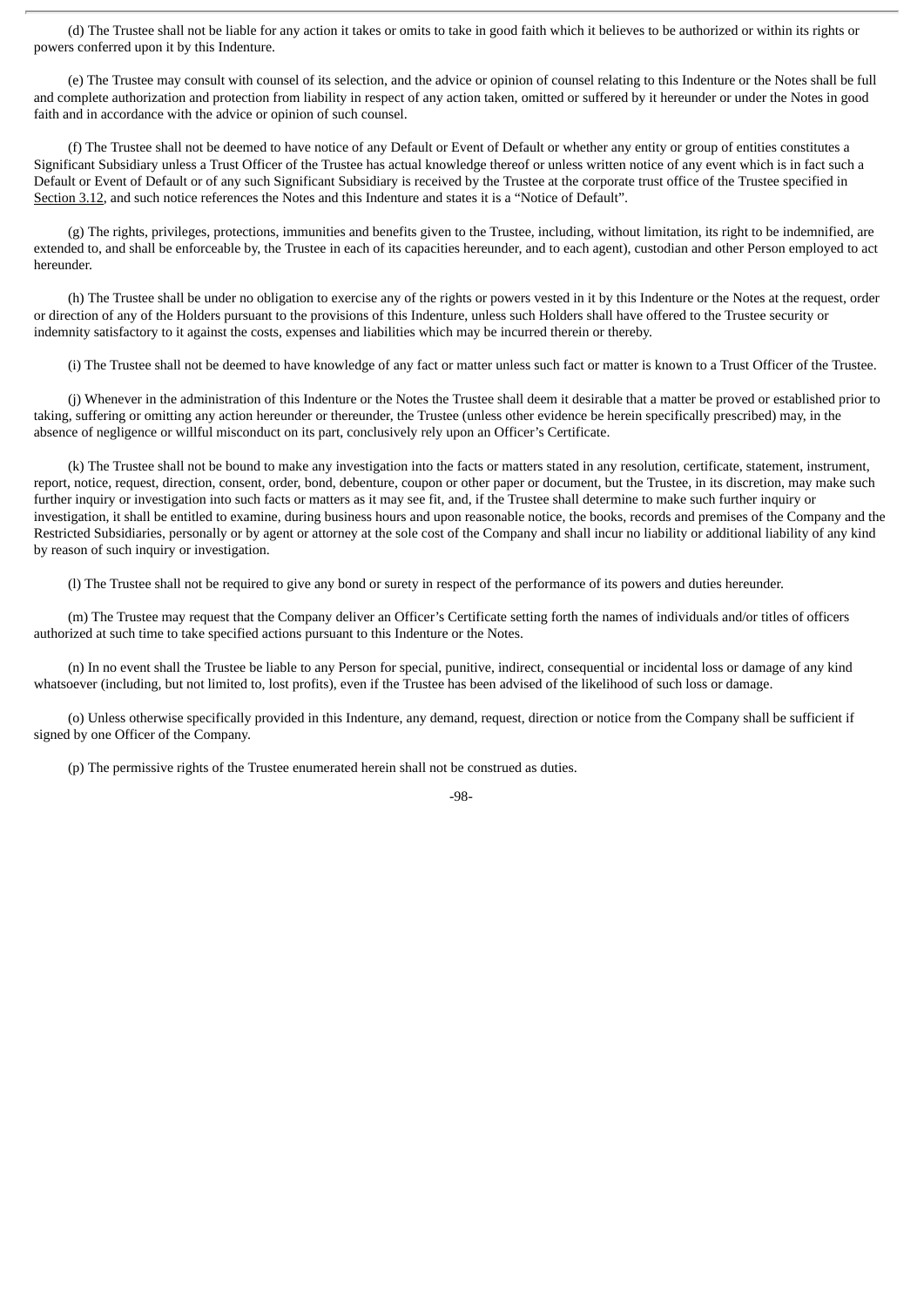(d) The Trustee shall not be liable for any action it takes or omits to take in good faith which it believes to be authorized or within its rights or powers conferred upon it by this Indenture.

(e) The Trustee may consult with counsel of its selection, and the advice or opinion of counsel relating to this Indenture or the Notes shall be full and complete authorization and protection from liability in respect of any action taken, omitted or suffered by it hereunder or under the Notes in good faith and in accordance with the advice or opinion of such counsel.

(f) The Trustee shall not be deemed to have notice of any Default or Event of Default or whether any entity or group of entities constitutes a Significant Subsidiary unless a Trust Officer of the Trustee has actual knowledge thereof or unless written notice of any event which is in fact such a Default or Event of Default or of any such Significant Subsidiary is received by the Trustee at the corporate trust office of the Trustee specified in Section 3.12, and such notice references the Notes and this Indenture and states it is a "Notice of Default".

(g) The rights, privileges, protections, immunities and benefits given to the Trustee, including, without limitation, its right to be indemnified, are extended to, and shall be enforceable by, the Trustee in each of its capacities hereunder, and to each agent), custodian and other Person employed to act hereunder.

(h) The Trustee shall be under no obligation to exercise any of the rights or powers vested in it by this Indenture or the Notes at the request, order or direction of any of the Holders pursuant to the provisions of this Indenture, unless such Holders shall have offered to the Trustee security or indemnity satisfactory to it against the costs, expenses and liabilities which may be incurred therein or thereby.

(i) The Trustee shall not be deemed to have knowledge of any fact or matter unless such fact or matter is known to a Trust Officer of the Trustee.

(j) Whenever in the administration of this Indenture or the Notes the Trustee shall deem it desirable that a matter be proved or established prior to taking, suffering or omitting any action hereunder or thereunder, the Trustee (unless other evidence be herein specifically prescribed) may, in the absence of negligence or willful misconduct on its part, conclusively rely upon an Officer's Certificate.

(k) The Trustee shall not be bound to make any investigation into the facts or matters stated in any resolution, certificate, statement, instrument, report, notice, request, direction, consent, order, bond, debenture, coupon or other paper or document, but the Trustee, in its discretion, may make such further inquiry or investigation into such facts or matters as it may see fit, and, if the Trustee shall determine to make such further inquiry or investigation, it shall be entitled to examine, during business hours and upon reasonable notice, the books, records and premises of the Company and the Restricted Subsidiaries, personally or by agent or attorney at the sole cost of the Company and shall incur no liability or additional liability of any kind by reason of such inquiry or investigation.

(l) The Trustee shall not be required to give any bond or surety in respect of the performance of its powers and duties hereunder.

(m) The Trustee may request that the Company deliver an Officer's Certificate setting forth the names of individuals and/or titles of officers authorized at such time to take specified actions pursuant to this Indenture or the Notes.

(n) In no event shall the Trustee be liable to any Person for special, punitive, indirect, consequential or incidental loss or damage of any kind whatsoever (including, but not limited to, lost profits), even if the Trustee has been advised of the likelihood of such loss or damage.

(o) Unless otherwise specifically provided in this Indenture, any demand, request, direction or notice from the Company shall be sufficient if signed by one Officer of the Company.

(p) The permissive rights of the Trustee enumerated herein shall not be construed as duties.

#### -98-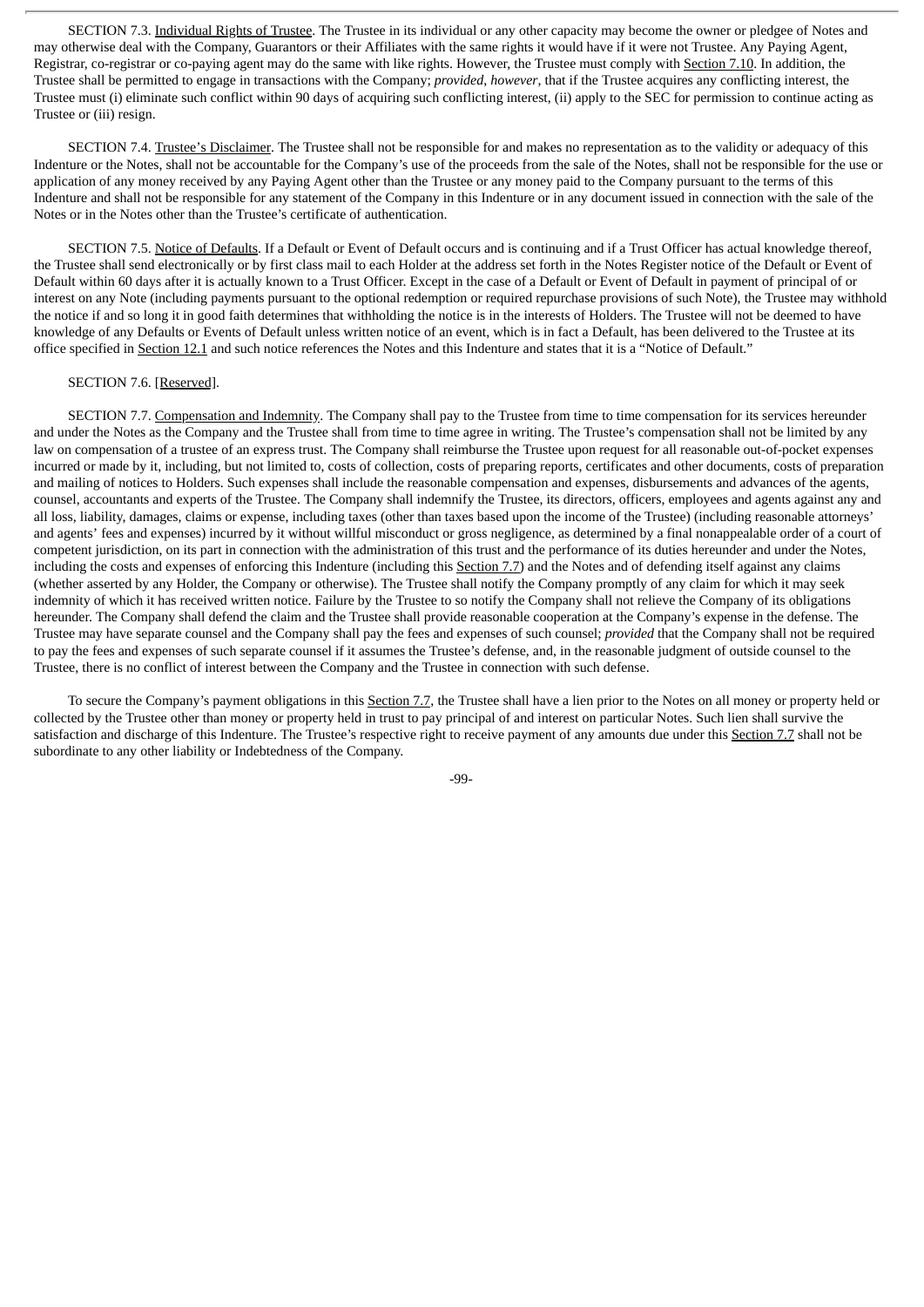SECTION 7.3. Individual Rights of Trustee. The Trustee in its individual or any other capacity may become the owner or pledgee of Notes and may otherwise deal with the Company, Guarantors or their Affiliates with the same rights it would have if it were not Trustee. Any Paying Agent, Registrar, co-registrar or co-paying agent may do the same with like rights. However, the Trustee must comply with Section 7.10. In addition, the Trustee shall be permitted to engage in transactions with the Company; *provided*, *however*, that if the Trustee acquires any conflicting interest, the Trustee must (i) eliminate such conflict within 90 days of acquiring such conflicting interest, (ii) apply to the SEC for permission to continue acting as Trustee or (iii) resign.

SECTION 7.4. Trustee's Disclaimer. The Trustee shall not be responsible for and makes no representation as to the validity or adequacy of this Indenture or the Notes, shall not be accountable for the Company's use of the proceeds from the sale of the Notes, shall not be responsible for the use or application of any money received by any Paying Agent other than the Trustee or any money paid to the Company pursuant to the terms of this Indenture and shall not be responsible for any statement of the Company in this Indenture or in any document issued in connection with the sale of the Notes or in the Notes other than the Trustee's certificate of authentication.

SECTION 7.5. Notice of Defaults. If a Default or Event of Default occurs and is continuing and if a Trust Officer has actual knowledge thereof, the Trustee shall send electronically or by first class mail to each Holder at the address set forth in the Notes Register notice of the Default or Event of Default within 60 days after it is actually known to a Trust Officer. Except in the case of a Default or Event of Default in payment of principal of or interest on any Note (including payments pursuant to the optional redemption or required repurchase provisions of such Note), the Trustee may withhold the notice if and so long it in good faith determines that withholding the notice is in the interests of Holders. The Trustee will not be deemed to have knowledge of any Defaults or Events of Default unless written notice of an event, which is in fact a Default, has been delivered to the Trustee at its office specified in Section 12.1 and such notice references the Notes and this Indenture and states that it is a "Notice of Default."

#### SECTION 7.6. [Reserved].

SECTION 7.7. Compensation and Indemnity. The Company shall pay to the Trustee from time to time compensation for its services hereunder and under the Notes as the Company and the Trustee shall from time to time agree in writing. The Trustee's compensation shall not be limited by any law on compensation of a trustee of an express trust. The Company shall reimburse the Trustee upon request for all reasonable out-of-pocket expenses incurred or made by it, including, but not limited to, costs of collection, costs of preparing reports, certificates and other documents, costs of preparation and mailing of notices to Holders. Such expenses shall include the reasonable compensation and expenses, disbursements and advances of the agents, counsel, accountants and experts of the Trustee. The Company shall indemnify the Trustee, its directors, officers, employees and agents against any and all loss, liability, damages, claims or expense, including taxes (other than taxes based upon the income of the Trustee) (including reasonable attorneys' and agents' fees and expenses) incurred by it without willful misconduct or gross negligence, as determined by a final nonappealable order of a court of competent jurisdiction, on its part in connection with the administration of this trust and the performance of its duties hereunder and under the Notes, including the costs and expenses of enforcing this Indenture (including this Section 7.7) and the Notes and of defending itself against any claims (whether asserted by any Holder, the Company or otherwise). The Trustee shall notify the Company promptly of any claim for which it may seek indemnity of which it has received written notice. Failure by the Trustee to so notify the Company shall not relieve the Company of its obligations hereunder. The Company shall defend the claim and the Trustee shall provide reasonable cooperation at the Company's expense in the defense. The Trustee may have separate counsel and the Company shall pay the fees and expenses of such counsel; *provided* that the Company shall not be required to pay the fees and expenses of such separate counsel if it assumes the Trustee's defense, and, in the reasonable judgment of outside counsel to the Trustee, there is no conflict of interest between the Company and the Trustee in connection with such defense.

To secure the Company's payment obligations in this Section 7.7, the Trustee shall have a lien prior to the Notes on all money or property held or collected by the Trustee other than money or property held in trust to pay principal of and interest on particular Notes. Such lien shall survive the satisfaction and discharge of this Indenture. The Trustee's respective right to receive payment of any amounts due under this Section 7.7 shall not be subordinate to any other liability or Indebtedness of the Company.

-99-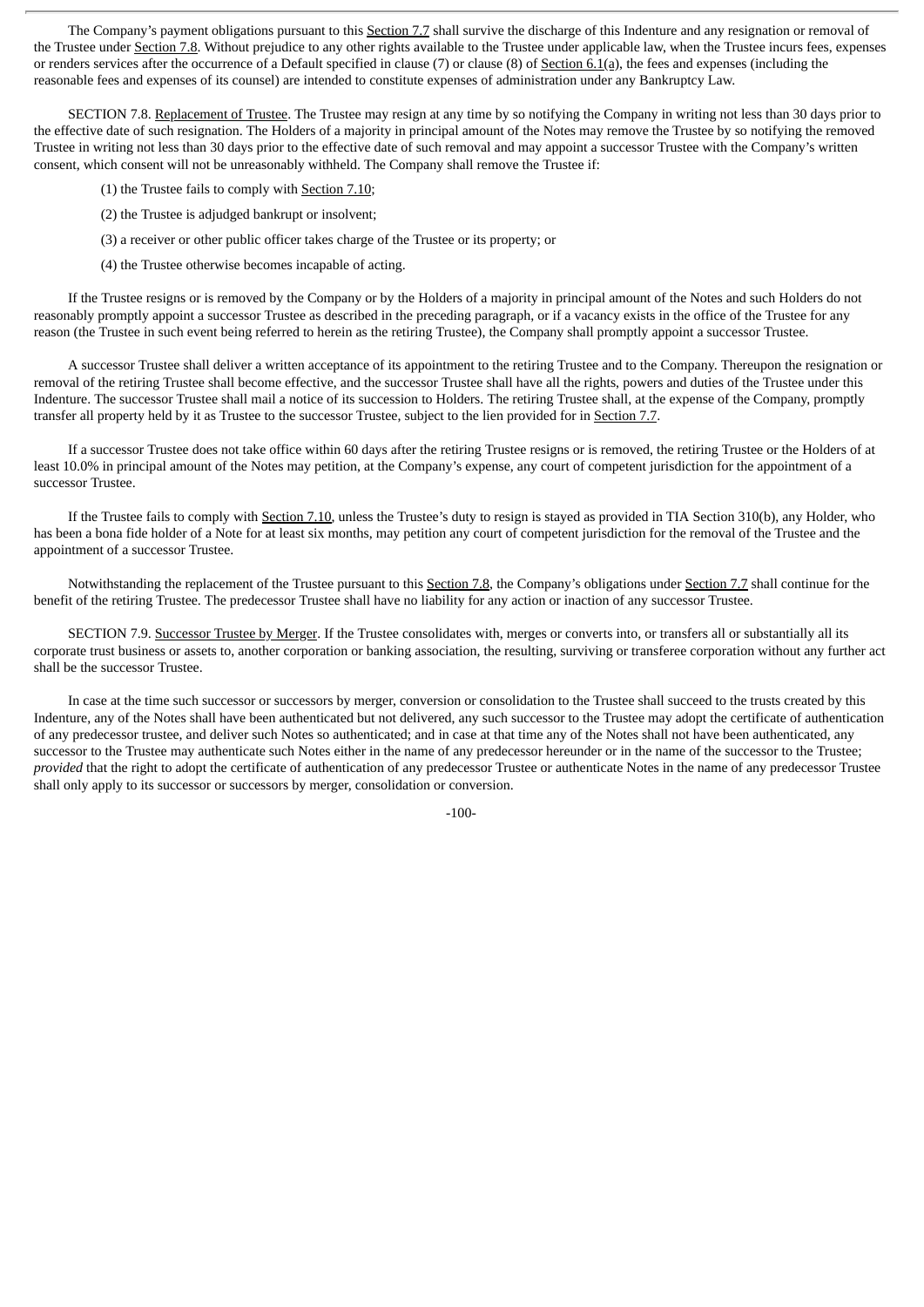The Company's payment obligations pursuant to this Section 7.7 shall survive the discharge of this Indenture and any resignation or removal of the Trustee under Section 7.8. Without prejudice to any other rights available to the Trustee under applicable law, when the Trustee incurs fees, expenses or renders services after the occurrence of a Default specified in clause (7) or clause (8) of Section 6.1(a), the fees and expenses (including the reasonable fees and expenses of its counsel) are intended to constitute expenses of administration under any Bankruptcy Law.

SECTION 7.8. Replacement of Trustee. The Trustee may resign at any time by so notifying the Company in writing not less than 30 days prior to the effective date of such resignation. The Holders of a majority in principal amount of the Notes may remove the Trustee by so notifying the removed Trustee in writing not less than 30 days prior to the effective date of such removal and may appoint a successor Trustee with the Company's written consent, which consent will not be unreasonably withheld. The Company shall remove the Trustee if:

(1) the Trustee fails to comply with Section 7.10;

(2) the Trustee is adjudged bankrupt or insolvent;

(3) a receiver or other public officer takes charge of the Trustee or its property; or

(4) the Trustee otherwise becomes incapable of acting.

If the Trustee resigns or is removed by the Company or by the Holders of a majority in principal amount of the Notes and such Holders do not reasonably promptly appoint a successor Trustee as described in the preceding paragraph, or if a vacancy exists in the office of the Trustee for any reason (the Trustee in such event being referred to herein as the retiring Trustee), the Company shall promptly appoint a successor Trustee.

A successor Trustee shall deliver a written acceptance of its appointment to the retiring Trustee and to the Company. Thereupon the resignation or removal of the retiring Trustee shall become effective, and the successor Trustee shall have all the rights, powers and duties of the Trustee under this Indenture. The successor Trustee shall mail a notice of its succession to Holders. The retiring Trustee shall, at the expense of the Company, promptly transfer all property held by it as Trustee to the successor Trustee, subject to the lien provided for in Section 7.7.

If a successor Trustee does not take office within 60 days after the retiring Trustee resigns or is removed, the retiring Trustee or the Holders of at least 10.0% in principal amount of the Notes may petition, at the Company's expense, any court of competent jurisdiction for the appointment of a successor Trustee.

If the Trustee fails to comply with Section 7.10, unless the Trustee's duty to resign is stayed as provided in TIA Section 310(b), any Holder, who has been a bona fide holder of a Note for at least six months, may petition any court of competent jurisdiction for the removal of the Trustee and the appointment of a successor Trustee.

Notwithstanding the replacement of the Trustee pursuant to this Section 7.8, the Company's obligations under Section 7.7 shall continue for the benefit of the retiring Trustee. The predecessor Trustee shall have no liability for any action or inaction of any successor Trustee.

SECTION 7.9. Successor Trustee by Merger. If the Trustee consolidates with, merges or converts into, or transfers all or substantially all its corporate trust business or assets to, another corporation or banking association, the resulting, surviving or transferee corporation without any further act shall be the successor Trustee.

In case at the time such successor or successors by merger, conversion or consolidation to the Trustee shall succeed to the trusts created by this Indenture, any of the Notes shall have been authenticated but not delivered, any such successor to the Trustee may adopt the certificate of authentication of any predecessor trustee, and deliver such Notes so authenticated; and in case at that time any of the Notes shall not have been authenticated, any successor to the Trustee may authenticate such Notes either in the name of any predecessor hereunder or in the name of the successor to the Trustee; *provided* that the right to adopt the certificate of authentication of any predecessor Trustee or authenticate Notes in the name of any predecessor Trustee shall only apply to its successor or successors by merger, consolidation or conversion.

-100-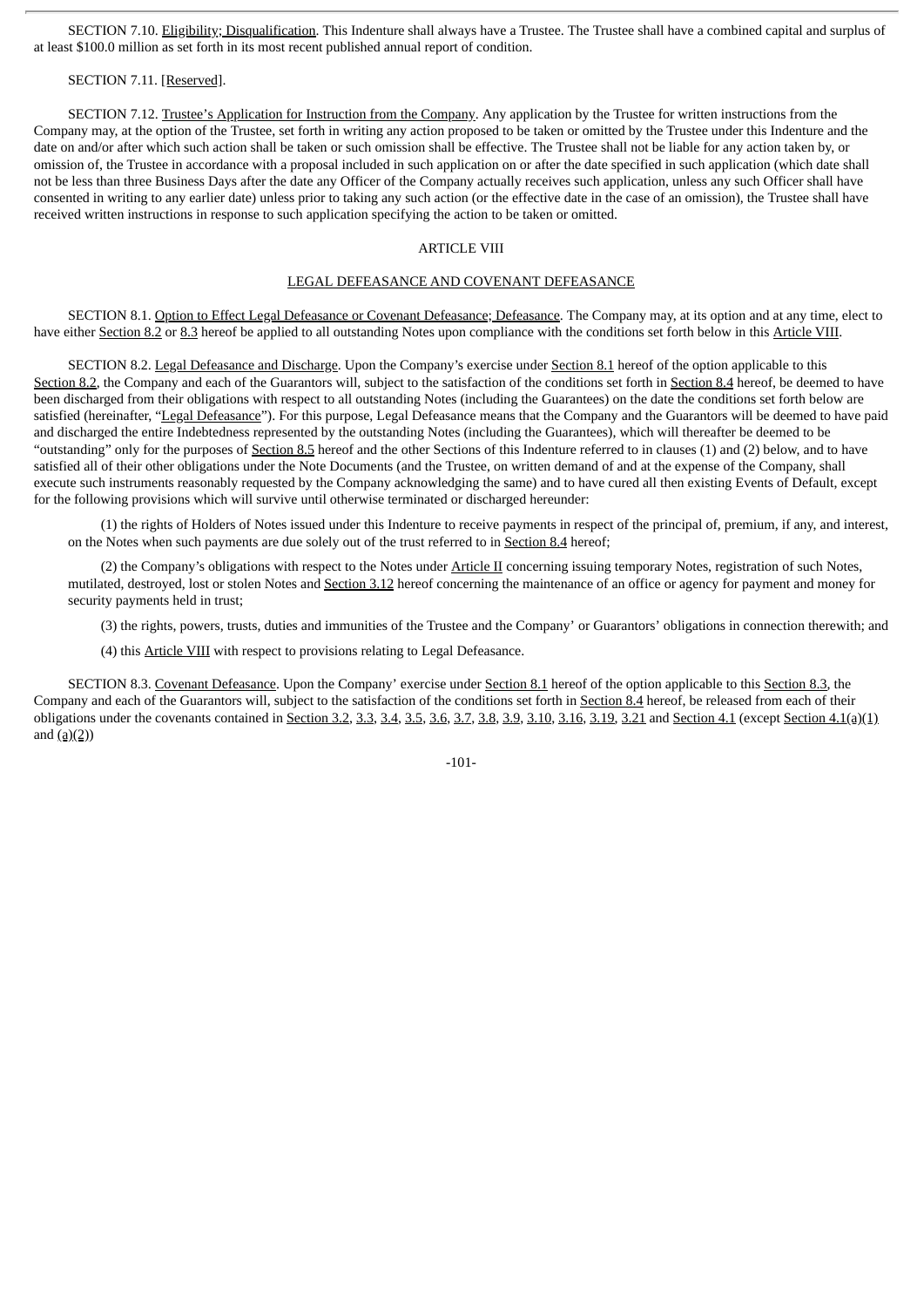SECTION 7.10. Eligibility; Disqualification. This Indenture shall always have a Trustee. The Trustee shall have a combined capital and surplus of at least \$100.0 million as set forth in its most recent published annual report of condition.

# SECTION 7.11. [Reserved].

SECTION 7.12. Trustee's Application for Instruction from the Company. Any application by the Trustee for written instructions from the Company may, at the option of the Trustee, set forth in writing any action proposed to be taken or omitted by the Trustee under this Indenture and the date on and/or after which such action shall be taken or such omission shall be effective. The Trustee shall not be liable for any action taken by, or omission of, the Trustee in accordance with a proposal included in such application on or after the date specified in such application (which date shall not be less than three Business Days after the date any Officer of the Company actually receives such application, unless any such Officer shall have consented in writing to any earlier date) unless prior to taking any such action (or the effective date in the case of an omission), the Trustee shall have received written instructions in response to such application specifying the action to be taken or omitted.

# ARTICLE VIII

## LEGAL DEFEASANCE AND COVENANT DEFEASANCE

SECTION 8.1. Option to Effect Legal Defeasance or Covenant Defeasance; Defeasance. The Company may, at its option and at any time, elect to have either Section 8.2 or 8.3 hereof be applied to all outstanding Notes upon compliance with the conditions set forth below in this Article VIII.

SECTION 8.2. Legal Defeasance and Discharge. Upon the Company's exercise under Section 8.1 hereof of the option applicable to this Section 8.2, the Company and each of the Guarantors will, subject to the satisfaction of the conditions set forth in Section 8.4 hereof, be deemed to have been discharged from their obligations with respect to all outstanding Notes (including the Guarantees) on the date the conditions set forth below are satisfied (hereinafter, "Legal Defeasance"). For this purpose, Legal Defeasance means that the Company and the Guarantors will be deemed to have paid and discharged the entire Indebtedness represented by the outstanding Notes (including the Guarantees), which will thereafter be deemed to be "outstanding" only for the purposes of Section 8.5 hereof and the other Sections of this Indenture referred to in clauses (1) and (2) below, and to have satisfied all of their other obligations under the Note Documents (and the Trustee, on written demand of and at the expense of the Company, shall execute such instruments reasonably requested by the Company acknowledging the same) and to have cured all then existing Events of Default, except for the following provisions which will survive until otherwise terminated or discharged hereunder:

(1) the rights of Holders of Notes issued under this Indenture to receive payments in respect of the principal of, premium, if any, and interest, on the Notes when such payments are due solely out of the trust referred to in Section 8.4 hereof;

(2) the Company's obligations with respect to the Notes under Article II concerning issuing temporary Notes, registration of such Notes, mutilated, destroyed, lost or stolen Notes and Section 3.12 hereof concerning the maintenance of an office or agency for payment and money for security payments held in trust;

(3) the rights, powers, trusts, duties and immunities of the Trustee and the Company' or Guarantors' obligations in connection therewith; and

(4) this Article VIII with respect to provisions relating to Legal Defeasance.

SECTION 8.3. Covenant Defeasance. Upon the Company' exercise under Section 8.1 hereof of the option applicable to this Section 8.3, the Company and each of the Guarantors will, subject to the satisfaction of the conditions set forth in Section 8.4 hereof, be released from each of their obligations under the covenants contained in Section 3.2, 3.3, 3.4, 3.5, 3.6, 3.7, 3.8, 3.9, 3.10, 3.16, 3.19, 3.21 and Section 4.1 (except Section 4.1(a)(1) and  $(a)(2)$ )

-101-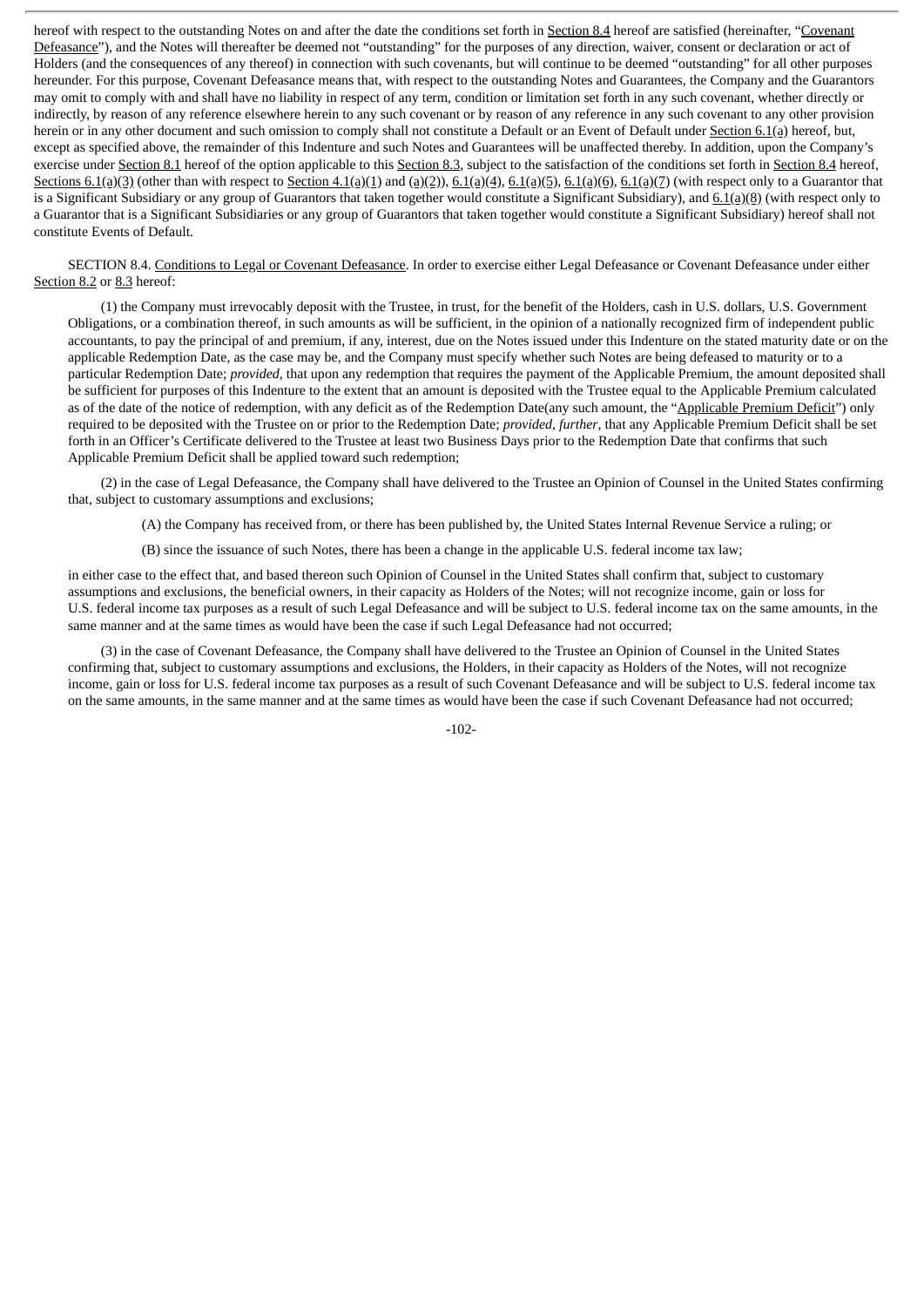hereof with respect to the outstanding Notes on and after the date the conditions set forth in Section 8.4 hereof are satisfied (hereinafter, "Covenant Defeasance"), and the Notes will thereafter be deemed not "outstanding" for the purposes of any direction, waiver, consent or declaration or act of Holders (and the consequences of any thereof) in connection with such covenants, but will continue to be deemed "outstanding" for all other purposes hereunder. For this purpose, Covenant Defeasance means that, with respect to the outstanding Notes and Guarantees, the Company and the Guarantors may omit to comply with and shall have no liability in respect of any term, condition or limitation set forth in any such covenant, whether directly or indirectly, by reason of any reference elsewhere herein to any such covenant or by reason of any reference in any such covenant to any other provision herein or in any other document and such omission to comply shall not constitute a Default or an Event of Default under Section 6.1(a) hereof, but, except as specified above, the remainder of this Indenture and such Notes and Guarantees will be unaffected thereby. In addition, upon the Company's exercise under Section 8.1 hereof of the option applicable to this Section 8.3, subject to the satisfaction of the conditions set forth in Section 8.4 hereof, Sections  $6.1(a)(3)$  (other than with respect to Section  $4.1(a)(1)$  and  $(a)(2)$ ),  $6.1(a)(4)$ ,  $6.1(a)(5)$ ,  $6.1(a)(6)$ ,  $6.1(a)(7)$  (with respect only to a Guarantor that is a Significant Subsidiary or any group of Guarantors that taken together would constitute a Significant Subsidiary), and  $6.1(a)(8)$  (with respect only to a Guarantor that is a Significant Subsidiaries or any group of Guarantors that taken together would constitute a Significant Subsidiary) hereof shall not constitute Events of Default.

SECTION 8.4. Conditions to Legal or Covenant Defeasance. In order to exercise either Legal Defeasance or Covenant Defeasance under either Section 8.2 or 8.3 hereof:

(1) the Company must irrevocably deposit with the Trustee, in trust, for the benefit of the Holders, cash in U.S. dollars, U.S. Government Obligations, or a combination thereof, in such amounts as will be sufficient, in the opinion of a nationally recognized firm of independent public accountants, to pay the principal of and premium, if any, interest, due on the Notes issued under this Indenture on the stated maturity date or on the applicable Redemption Date, as the case may be, and the Company must specify whether such Notes are being defeased to maturity or to a particular Redemption Date; *provided*, that upon any redemption that requires the payment of the Applicable Premium, the amount deposited shall be sufficient for purposes of this Indenture to the extent that an amount is deposited with the Trustee equal to the Applicable Premium calculated as of the date of the notice of redemption, with any deficit as of the Redemption Date(any such amount, the "Applicable Premium Deficit") only required to be deposited with the Trustee on or prior to the Redemption Date; *provided*, *further*, that any Applicable Premium Deficit shall be set forth in an Officer's Certificate delivered to the Trustee at least two Business Days prior to the Redemption Date that confirms that such Applicable Premium Deficit shall be applied toward such redemption;

(2) in the case of Legal Defeasance, the Company shall have delivered to the Trustee an Opinion of Counsel in the United States confirming that, subject to customary assumptions and exclusions;

(A) the Company has received from, or there has been published by, the United States Internal Revenue Service a ruling; or

(B) since the issuance of such Notes, there has been a change in the applicable U.S. federal income tax law;

in either case to the effect that, and based thereon such Opinion of Counsel in the United States shall confirm that, subject to customary assumptions and exclusions, the beneficial owners, in their capacity as Holders of the Notes; will not recognize income, gain or loss for U.S. federal income tax purposes as a result of such Legal Defeasance and will be subject to U.S. federal income tax on the same amounts, in the same manner and at the same times as would have been the case if such Legal Defeasance had not occurred;

(3) in the case of Covenant Defeasance, the Company shall have delivered to the Trustee an Opinion of Counsel in the United States confirming that, subject to customary assumptions and exclusions, the Holders, in their capacity as Holders of the Notes, will not recognize income, gain or loss for U.S. federal income tax purposes as a result of such Covenant Defeasance and will be subject to U.S. federal income tax on the same amounts, in the same manner and at the same times as would have been the case if such Covenant Defeasance had not occurred;

-102-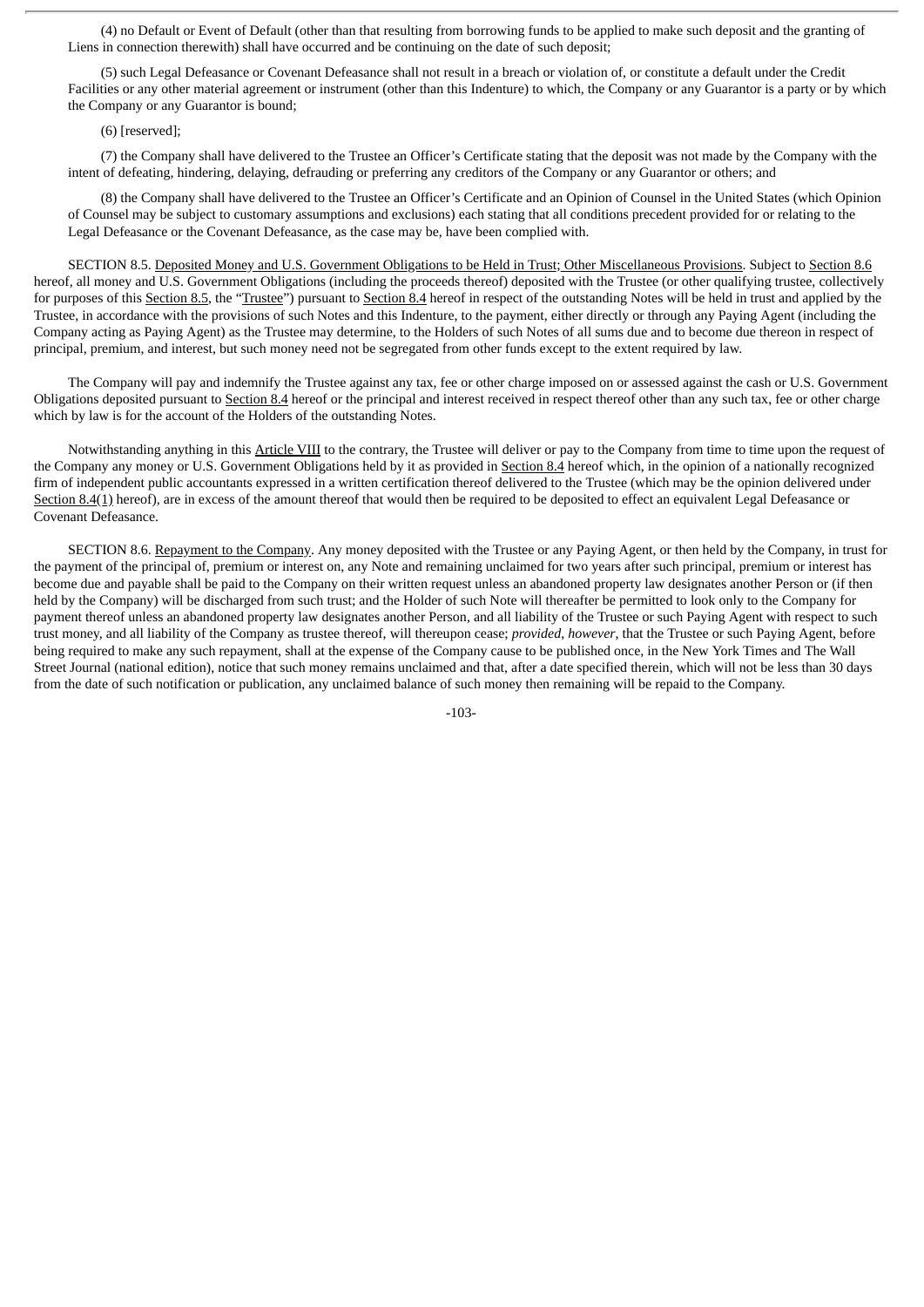(4) no Default or Event of Default (other than that resulting from borrowing funds to be applied to make such deposit and the granting of Liens in connection therewith) shall have occurred and be continuing on the date of such deposit;

(5) such Legal Defeasance or Covenant Defeasance shall not result in a breach or violation of, or constitute a default under the Credit Facilities or any other material agreement or instrument (other than this Indenture) to which, the Company or any Guarantor is a party or by which the Company or any Guarantor is bound;

(6) [reserved];

(7) the Company shall have delivered to the Trustee an Officer's Certificate stating that the deposit was not made by the Company with the intent of defeating, hindering, delaying, defrauding or preferring any creditors of the Company or any Guarantor or others; and

(8) the Company shall have delivered to the Trustee an Officer's Certificate and an Opinion of Counsel in the United States (which Opinion of Counsel may be subject to customary assumptions and exclusions) each stating that all conditions precedent provided for or relating to the Legal Defeasance or the Covenant Defeasance, as the case may be, have been complied with.

SECTION 8.5. Deposited Money and U.S. Government Obligations to be Held in Trust; Other Miscellaneous Provisions. Subject to Section 8.6 hereof, all money and U.S. Government Obligations (including the proceeds thereof) deposited with the Trustee (or other qualifying trustee, collectively for purposes of this Section 8.5, the "Trustee") pursuant to Section 8.4 hereof in respect of the outstanding Notes will be held in trust and applied by the Trustee, in accordance with the provisions of such Notes and this Indenture, to the payment, either directly or through any Paying Agent (including the Company acting as Paying Agent) as the Trustee may determine, to the Holders of such Notes of all sums due and to become due thereon in respect of principal, premium, and interest, but such money need not be segregated from other funds except to the extent required by law.

The Company will pay and indemnify the Trustee against any tax, fee or other charge imposed on or assessed against the cash or U.S. Government Obligations deposited pursuant to Section 8.4 hereof or the principal and interest received in respect thereof other than any such tax, fee or other charge which by law is for the account of the Holders of the outstanding Notes.

Notwithstanding anything in this Article VIII to the contrary, the Trustee will deliver or pay to the Company from time to time upon the request of the Company any money or U.S. Government Obligations held by it as provided in Section 8.4 hereof which, in the opinion of a nationally recognized firm of independent public accountants expressed in a written certification thereof delivered to the Trustee (which may be the opinion delivered under Section 8.4(1) hereof), are in excess of the amount thereof that would then be required to be deposited to effect an equivalent Legal Defeasance or Covenant Defeasance.

SECTION 8.6. Repayment to the Company. Any money deposited with the Trustee or any Paying Agent, or then held by the Company, in trust for the payment of the principal of, premium or interest on, any Note and remaining unclaimed for two years after such principal, premium or interest has become due and payable shall be paid to the Company on their written request unless an abandoned property law designates another Person or (if then held by the Company) will be discharged from such trust; and the Holder of such Note will thereafter be permitted to look only to the Company for payment thereof unless an abandoned property law designates another Person, and all liability of the Trustee or such Paying Agent with respect to such trust money, and all liability of the Company as trustee thereof, will thereupon cease; *provided*, *however*, that the Trustee or such Paying Agent, before being required to make any such repayment, shall at the expense of the Company cause to be published once, in the New York Times and The Wall Street Journal (national edition), notice that such money remains unclaimed and that, after a date specified therein, which will not be less than 30 days from the date of such notification or publication, any unclaimed balance of such money then remaining will be repaid to the Company.

-103-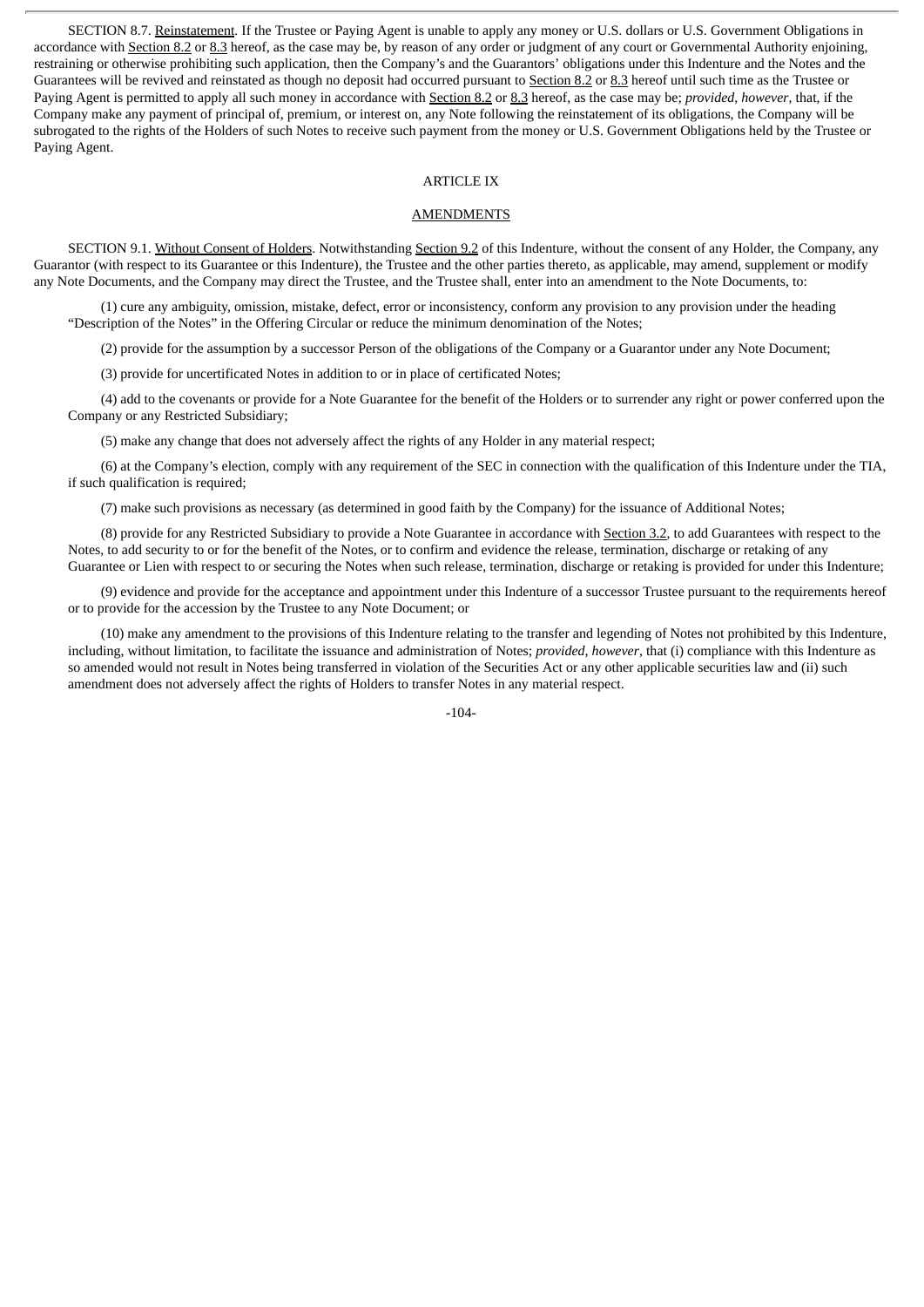SECTION 8.7. Reinstatement. If the Trustee or Paying Agent is unable to apply any money or U.S. dollars or U.S. Government Obligations in accordance with Section 8.2 or 8.3 hereof, as the case may be, by reason of any order or judgment of any court or Governmental Authority enjoining, restraining or otherwise prohibiting such application, then the Company's and the Guarantors' obligations under this Indenture and the Notes and the Guarantees will be revived and reinstated as though no deposit had occurred pursuant to Section 8.2 or 8.3 hereof until such time as the Trustee or Paying Agent is permitted to apply all such money in accordance with Section 8.2 or 8.3 hereof, as the case may be; *provided*, *however*, that, if the Company make any payment of principal of, premium, or interest on, any Note following the reinstatement of its obligations, the Company will be subrogated to the rights of the Holders of such Notes to receive such payment from the money or U.S. Government Obligations held by the Trustee or Paying Agent.

### ARTICLE IX

#### **AMENDMENTS**

SECTION 9.1. Without Consent of Holders. Notwithstanding Section 9.2 of this Indenture, without the consent of any Holder, the Company, any Guarantor (with respect to its Guarantee or this Indenture), the Trustee and the other parties thereto, as applicable, may amend, supplement or modify any Note Documents, and the Company may direct the Trustee, and the Trustee shall, enter into an amendment to the Note Documents, to:

(1) cure any ambiguity, omission, mistake, defect, error or inconsistency, conform any provision to any provision under the heading "Description of the Notes" in the Offering Circular or reduce the minimum denomination of the Notes;

(2) provide for the assumption by a successor Person of the obligations of the Company or a Guarantor under any Note Document;

(3) provide for uncertificated Notes in addition to or in place of certificated Notes;

(4) add to the covenants or provide for a Note Guarantee for the benefit of the Holders or to surrender any right or power conferred upon the Company or any Restricted Subsidiary;

(5) make any change that does not adversely affect the rights of any Holder in any material respect;

(6) at the Company's election, comply with any requirement of the SEC in connection with the qualification of this Indenture under the TIA, if such qualification is required;

(7) make such provisions as necessary (as determined in good faith by the Company) for the issuance of Additional Notes;

(8) provide for any Restricted Subsidiary to provide a Note Guarantee in accordance with Section 3.2, to add Guarantees with respect to the Notes, to add security to or for the benefit of the Notes, or to confirm and evidence the release, termination, discharge or retaking of any Guarantee or Lien with respect to or securing the Notes when such release, termination, discharge or retaking is provided for under this Indenture;

(9) evidence and provide for the acceptance and appointment under this Indenture of a successor Trustee pursuant to the requirements hereof or to provide for the accession by the Trustee to any Note Document; or

(10) make any amendment to the provisions of this Indenture relating to the transfer and legending of Notes not prohibited by this Indenture, including, without limitation, to facilitate the issuance and administration of Notes; *provided*, *however*, that (i) compliance with this Indenture as so amended would not result in Notes being transferred in violation of the Securities Act or any other applicable securities law and (ii) such amendment does not adversely affect the rights of Holders to transfer Notes in any material respect.

 $-104$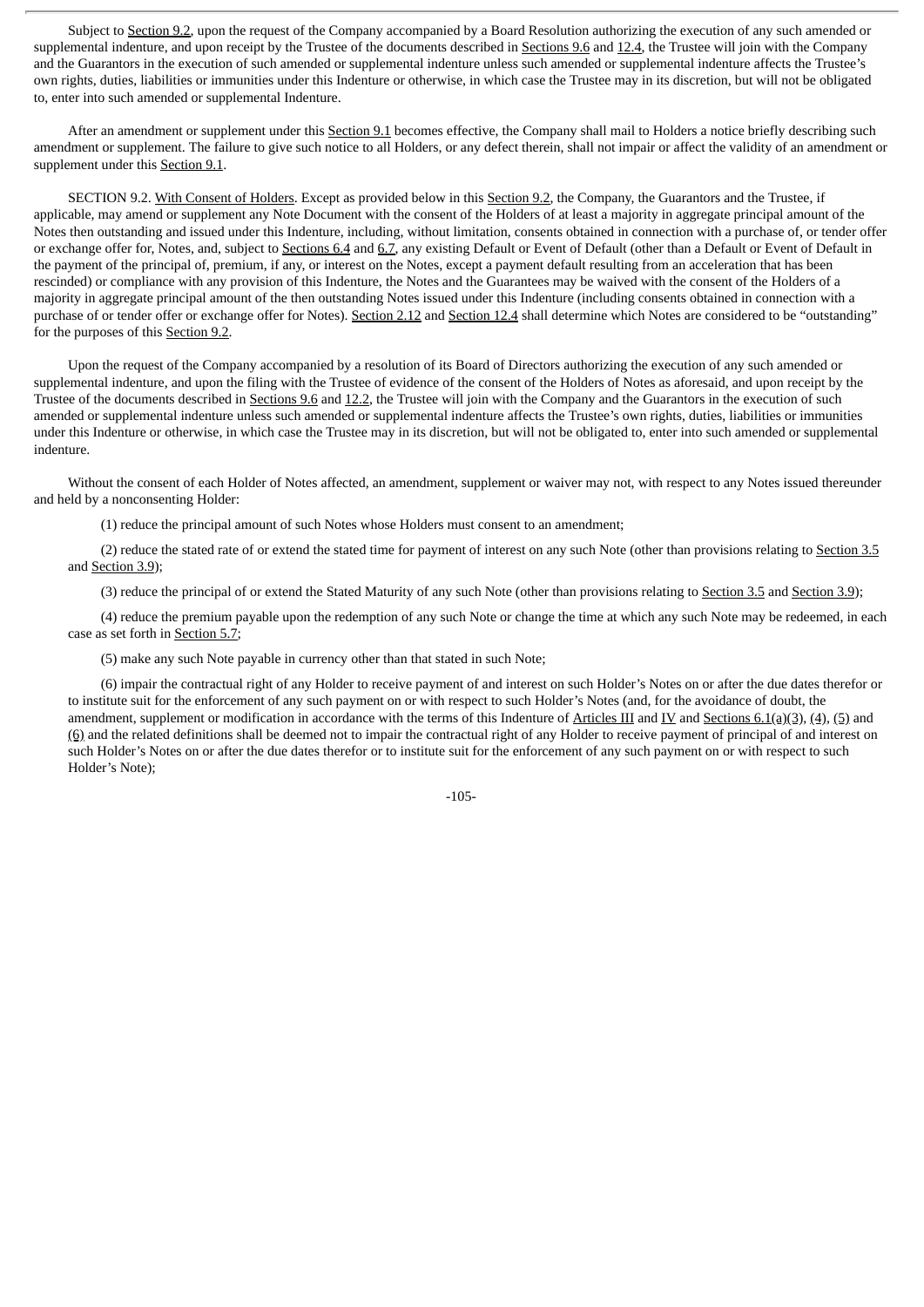Subject to Section 9.2, upon the request of the Company accompanied by a Board Resolution authorizing the execution of any such amended or supplemental indenture, and upon receipt by the Trustee of the documents described in Sections 9.6 and 12.4, the Trustee will join with the Company and the Guarantors in the execution of such amended or supplemental indenture unless such amended or supplemental indenture affects the Trustee's own rights, duties, liabilities or immunities under this Indenture or otherwise, in which case the Trustee may in its discretion, but will not be obligated to, enter into such amended or supplemental Indenture.

After an amendment or supplement under this Section 9.1 becomes effective, the Company shall mail to Holders a notice briefly describing such amendment or supplement. The failure to give such notice to all Holders, or any defect therein, shall not impair or affect the validity of an amendment or supplement under this Section 9.1.

SECTION 9.2. With Consent of Holders. Except as provided below in this Section 9.2, the Company, the Guarantors and the Trustee, if applicable, may amend or supplement any Note Document with the consent of the Holders of at least a majority in aggregate principal amount of the Notes then outstanding and issued under this Indenture, including, without limitation, consents obtained in connection with a purchase of, or tender offer or exchange offer for, Notes, and, subject to Sections 6.4 and 6.7, any existing Default or Event of Default (other than a Default or Event of Default in the payment of the principal of, premium, if any, or interest on the Notes, except a payment default resulting from an acceleration that has been rescinded) or compliance with any provision of this Indenture, the Notes and the Guarantees may be waived with the consent of the Holders of a majority in aggregate principal amount of the then outstanding Notes issued under this Indenture (including consents obtained in connection with a purchase of or tender offer or exchange offer for Notes). Section 2.12 and Section 12.4 shall determine which Notes are considered to be "outstanding" for the purposes of this Section 9.2.

Upon the request of the Company accompanied by a resolution of its Board of Directors authorizing the execution of any such amended or supplemental indenture, and upon the filing with the Trustee of evidence of the consent of the Holders of Notes as aforesaid, and upon receipt by the Trustee of the documents described in Sections 9.6 and 12.2, the Trustee will join with the Company and the Guarantors in the execution of such amended or supplemental indenture unless such amended or supplemental indenture affects the Trustee's own rights, duties, liabilities or immunities under this Indenture or otherwise, in which case the Trustee may in its discretion, but will not be obligated to, enter into such amended or supplemental indenture.

Without the consent of each Holder of Notes affected, an amendment, supplement or waiver may not, with respect to any Notes issued thereunder and held by a nonconsenting Holder:

(1) reduce the principal amount of such Notes whose Holders must consent to an amendment;

(2) reduce the stated rate of or extend the stated time for payment of interest on any such Note (other than provisions relating to Section 3.5 and Section 3.9);

(3) reduce the principal of or extend the Stated Maturity of any such Note (other than provisions relating to Section 3.5 and Section 3.9);

(4) reduce the premium payable upon the redemption of any such Note or change the time at which any such Note may be redeemed, in each case as set forth in Section 5.7;

(5) make any such Note payable in currency other than that stated in such Note;

(6) impair the contractual right of any Holder to receive payment of and interest on such Holder's Notes on or after the due dates therefor or to institute suit for the enforcement of any such payment on or with respect to such Holder's Notes (and, for the avoidance of doubt, the amendment, supplement or modification in accordance with the terms of this Indenture of Articles III and IV and Sections 6.1(a)(3), (4), (5) and (6) and the related definitions shall be deemed not to impair the contractual right of any Holder to receive payment of principal of and interest on such Holder's Notes on or after the due dates therefor or to institute suit for the enforcement of any such payment on or with respect to such Holder's Note);

-105-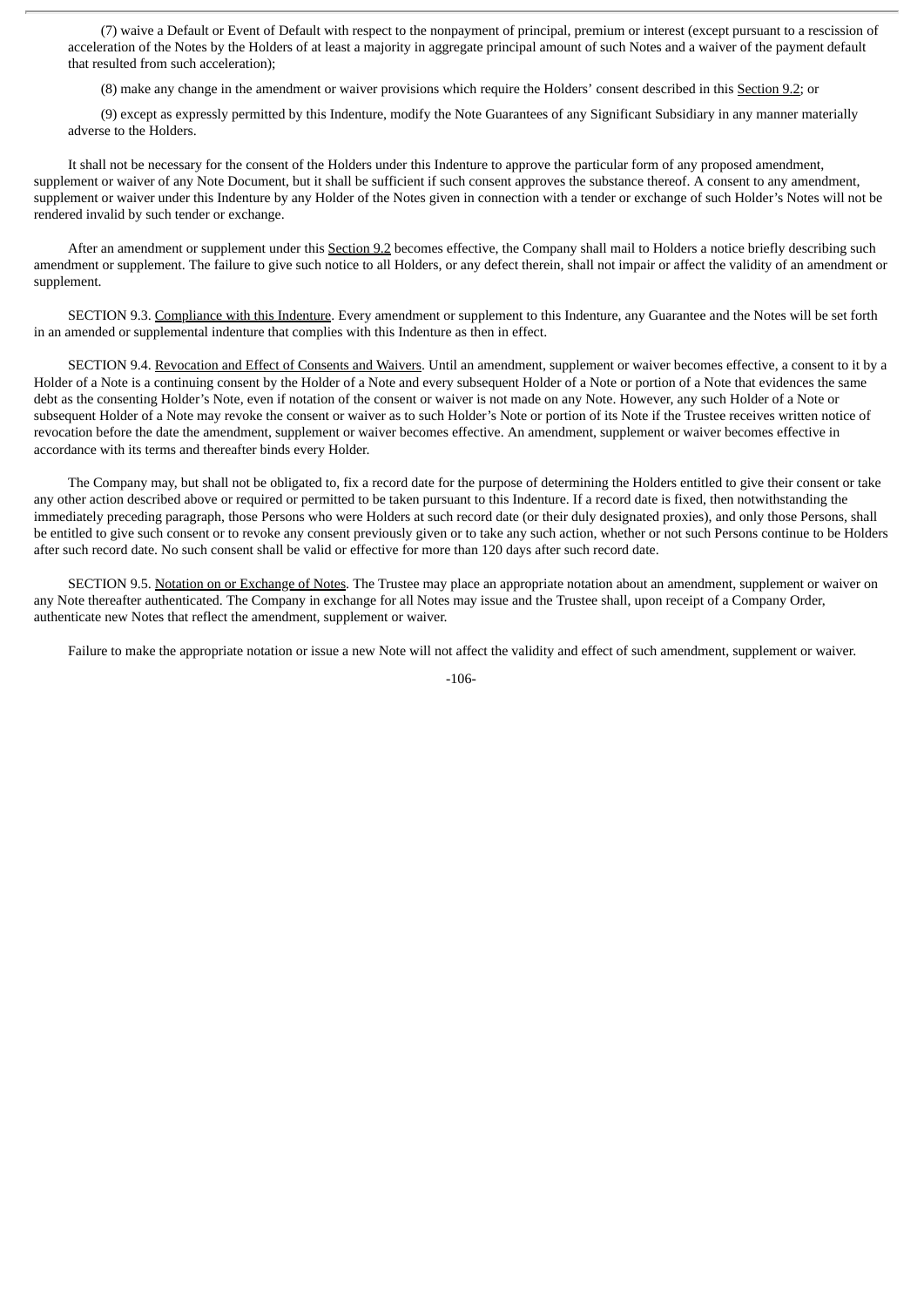(7) waive a Default or Event of Default with respect to the nonpayment of principal, premium or interest (except pursuant to a rescission of acceleration of the Notes by the Holders of at least a majority in aggregate principal amount of such Notes and a waiver of the payment default that resulted from such acceleration);

(8) make any change in the amendment or waiver provisions which require the Holders' consent described in this Section 9.2; or

(9) except as expressly permitted by this Indenture, modify the Note Guarantees of any Significant Subsidiary in any manner materially adverse to the Holders.

It shall not be necessary for the consent of the Holders under this Indenture to approve the particular form of any proposed amendment, supplement or waiver of any Note Document, but it shall be sufficient if such consent approves the substance thereof. A consent to any amendment, supplement or waiver under this Indenture by any Holder of the Notes given in connection with a tender or exchange of such Holder's Notes will not be rendered invalid by such tender or exchange.

After an amendment or supplement under this Section 9.2 becomes effective, the Company shall mail to Holders a notice briefly describing such amendment or supplement. The failure to give such notice to all Holders, or any defect therein, shall not impair or affect the validity of an amendment or supplement.

SECTION 9.3. Compliance with this Indenture. Every amendment or supplement to this Indenture, any Guarantee and the Notes will be set forth in an amended or supplemental indenture that complies with this Indenture as then in effect.

SECTION 9.4. Revocation and Effect of Consents and Waivers. Until an amendment, supplement or waiver becomes effective, a consent to it by a Holder of a Note is a continuing consent by the Holder of a Note and every subsequent Holder of a Note or portion of a Note that evidences the same debt as the consenting Holder's Note, even if notation of the consent or waiver is not made on any Note. However, any such Holder of a Note or subsequent Holder of a Note may revoke the consent or waiver as to such Holder's Note or portion of its Note if the Trustee receives written notice of revocation before the date the amendment, supplement or waiver becomes effective. An amendment, supplement or waiver becomes effective in accordance with its terms and thereafter binds every Holder.

The Company may, but shall not be obligated to, fix a record date for the purpose of determining the Holders entitled to give their consent or take any other action described above or required or permitted to be taken pursuant to this Indenture. If a record date is fixed, then notwithstanding the immediately preceding paragraph, those Persons who were Holders at such record date (or their duly designated proxies), and only those Persons, shall be entitled to give such consent or to revoke any consent previously given or to take any such action, whether or not such Persons continue to be Holders after such record date. No such consent shall be valid or effective for more than 120 days after such record date.

SECTION 9.5. Notation on or Exchange of Notes. The Trustee may place an appropriate notation about an amendment, supplement or waiver on any Note thereafter authenticated. The Company in exchange for all Notes may issue and the Trustee shall, upon receipt of a Company Order, authenticate new Notes that reflect the amendment, supplement or waiver.

Failure to make the appropriate notation or issue a new Note will not affect the validity and effect of such amendment, supplement or waiver.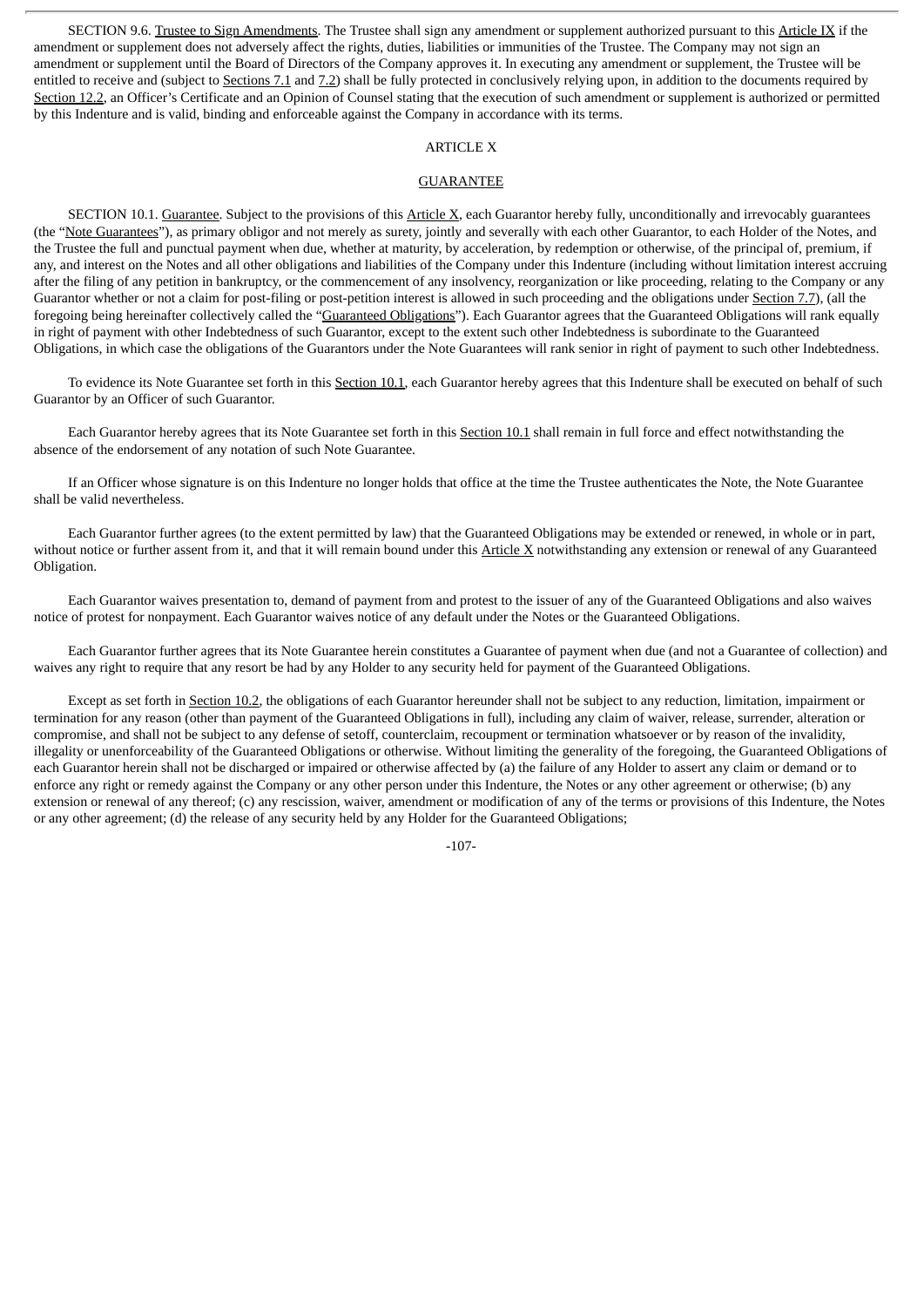SECTION 9.6. Trustee to Sign Amendments. The Trustee shall sign any amendment or supplement authorized pursuant to this Article IX if the amendment or supplement does not adversely affect the rights, duties, liabilities or immunities of the Trustee. The Company may not sign an amendment or supplement until the Board of Directors of the Company approves it. In executing any amendment or supplement, the Trustee will be entitled to receive and (subject to Sections 7.1 and 7.2) shall be fully protected in conclusively relying upon, in addition to the documents required by Section 12.2, an Officer's Certificate and an Opinion of Counsel stating that the execution of such amendment or supplement is authorized or permitted by this Indenture and is valid, binding and enforceable against the Company in accordance with its terms.

## ARTICLE X

## GUARANTEE

SECTION 10.1. Guarantee. Subject to the provisions of this Article X, each Guarantor hereby fully, unconditionally and irrevocably guarantees (the "Note Guarantees"), as primary obligor and not merely as surety, jointly and severally with each other Guarantor, to each Holder of the Notes, and the Trustee the full and punctual payment when due, whether at maturity, by acceleration, by redemption or otherwise, of the principal of, premium, if any, and interest on the Notes and all other obligations and liabilities of the Company under this Indenture (including without limitation interest accruing after the filing of any petition in bankruptcy, or the commencement of any insolvency, reorganization or like proceeding, relating to the Company or any Guarantor whether or not a claim for post-filing or post-petition interest is allowed in such proceeding and the obligations under Section 7.7), (all the foregoing being hereinafter collectively called the "Guaranteed Obligations"). Each Guarantor agrees that the Guaranteed Obligations will rank equally in right of payment with other Indebtedness of such Guarantor, except to the extent such other Indebtedness is subordinate to the Guaranteed Obligations, in which case the obligations of the Guarantors under the Note Guarantees will rank senior in right of payment to such other Indebtedness.

To evidence its Note Guarantee set forth in this Section 10.1, each Guarantor hereby agrees that this Indenture shall be executed on behalf of such Guarantor by an Officer of such Guarantor.

Each Guarantor hereby agrees that its Note Guarantee set forth in this Section 10.1 shall remain in full force and effect notwithstanding the absence of the endorsement of any notation of such Note Guarantee.

If an Officer whose signature is on this Indenture no longer holds that office at the time the Trustee authenticates the Note, the Note Guarantee shall be valid nevertheless.

Each Guarantor further agrees (to the extent permitted by law) that the Guaranteed Obligations may be extended or renewed, in whole or in part, without notice or further assent from it, and that it will remain bound under this Article X notwithstanding any extension or renewal of any Guaranteed Obligation.

Each Guarantor waives presentation to, demand of payment from and protest to the issuer of any of the Guaranteed Obligations and also waives notice of protest for nonpayment. Each Guarantor waives notice of any default under the Notes or the Guaranteed Obligations.

Each Guarantor further agrees that its Note Guarantee herein constitutes a Guarantee of payment when due (and not a Guarantee of collection) and waives any right to require that any resort be had by any Holder to any security held for payment of the Guaranteed Obligations.

Except as set forth in Section 10.2, the obligations of each Guarantor hereunder shall not be subject to any reduction, limitation, impairment or termination for any reason (other than payment of the Guaranteed Obligations in full), including any claim of waiver, release, surrender, alteration or compromise, and shall not be subject to any defense of setoff, counterclaim, recoupment or termination whatsoever or by reason of the invalidity, illegality or unenforceability of the Guaranteed Obligations or otherwise. Without limiting the generality of the foregoing, the Guaranteed Obligations of each Guarantor herein shall not be discharged or impaired or otherwise affected by (a) the failure of any Holder to assert any claim or demand or to enforce any right or remedy against the Company or any other person under this Indenture, the Notes or any other agreement or otherwise; (b) any extension or renewal of any thereof; (c) any rescission, waiver, amendment or modification of any of the terms or provisions of this Indenture, the Notes or any other agreement; (d) the release of any security held by any Holder for the Guaranteed Obligations;

-107-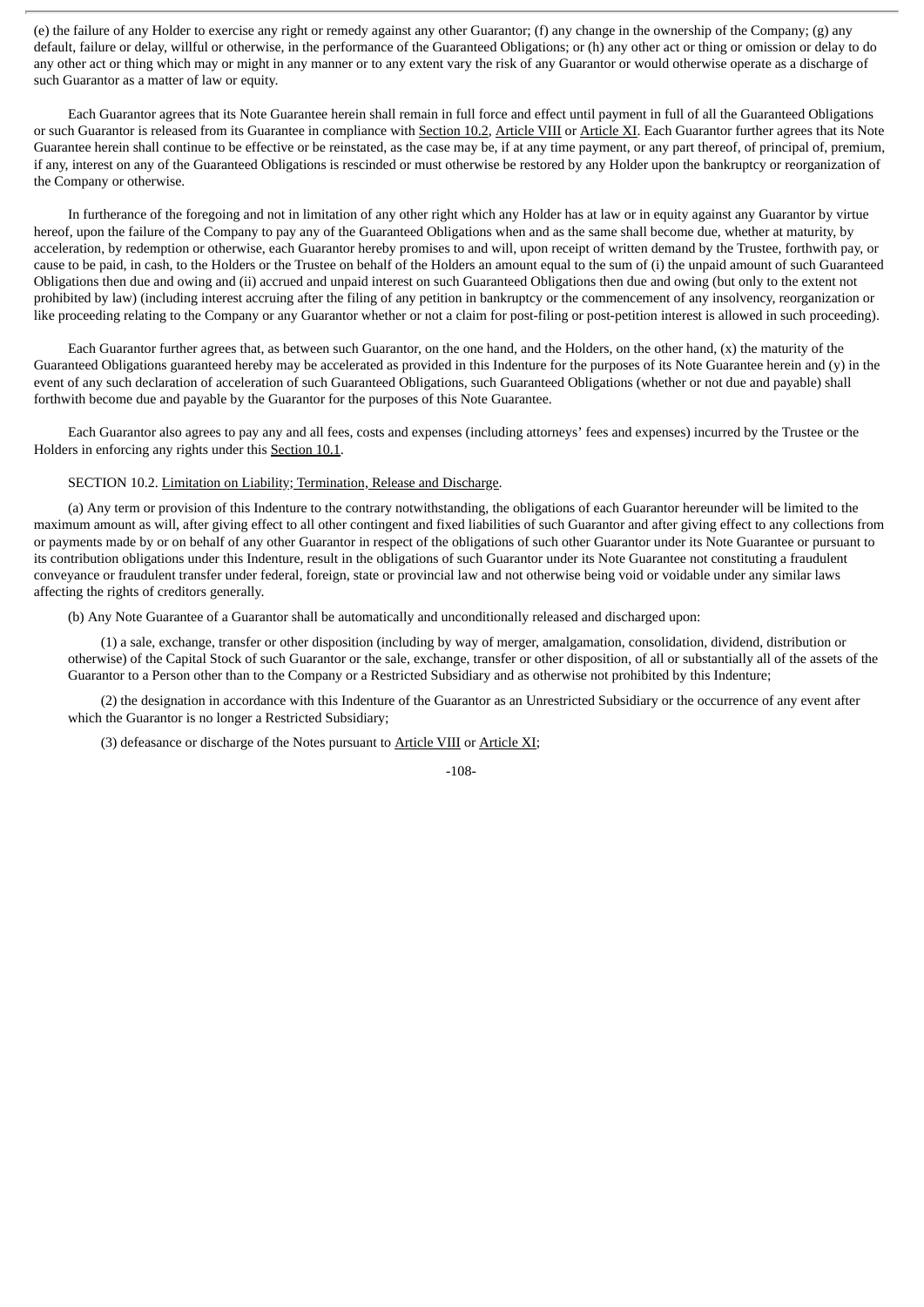(e) the failure of any Holder to exercise any right or remedy against any other Guarantor; (f) any change in the ownership of the Company; (g) any default, failure or delay, willful or otherwise, in the performance of the Guaranteed Obligations; or (h) any other act or thing or omission or delay to do any other act or thing which may or might in any manner or to any extent vary the risk of any Guarantor or would otherwise operate as a discharge of such Guarantor as a matter of law or equity.

Each Guarantor agrees that its Note Guarantee herein shall remain in full force and effect until payment in full of all the Guaranteed Obligations or such Guarantor is released from its Guarantee in compliance with Section 10.2, Article VIII or Article XI. Each Guarantor further agrees that its Note Guarantee herein shall continue to be effective or be reinstated, as the case may be, if at any time payment, or any part thereof, of principal of, premium, if any, interest on any of the Guaranteed Obligations is rescinded or must otherwise be restored by any Holder upon the bankruptcy or reorganization of the Company or otherwise.

In furtherance of the foregoing and not in limitation of any other right which any Holder has at law or in equity against any Guarantor by virtue hereof, upon the failure of the Company to pay any of the Guaranteed Obligations when and as the same shall become due, whether at maturity, by acceleration, by redemption or otherwise, each Guarantor hereby promises to and will, upon receipt of written demand by the Trustee, forthwith pay, or cause to be paid, in cash, to the Holders or the Trustee on behalf of the Holders an amount equal to the sum of (i) the unpaid amount of such Guaranteed Obligations then due and owing and (ii) accrued and unpaid interest on such Guaranteed Obligations then due and owing (but only to the extent not prohibited by law) (including interest accruing after the filing of any petition in bankruptcy or the commencement of any insolvency, reorganization or like proceeding relating to the Company or any Guarantor whether or not a claim for post-filing or post-petition interest is allowed in such proceeding).

Each Guarantor further agrees that, as between such Guarantor, on the one hand, and the Holders, on the other hand, (x) the maturity of the Guaranteed Obligations guaranteed hereby may be accelerated as provided in this Indenture for the purposes of its Note Guarantee herein and (y) in the event of any such declaration of acceleration of such Guaranteed Obligations, such Guaranteed Obligations (whether or not due and payable) shall forthwith become due and payable by the Guarantor for the purposes of this Note Guarantee.

Each Guarantor also agrees to pay any and all fees, costs and expenses (including attorneys' fees and expenses) incurred by the Trustee or the Holders in enforcing any rights under this Section 10.1.

#### SECTION 10.2. Limitation on Liability; Termination, Release and Discharge.

(a) Any term or provision of this Indenture to the contrary notwithstanding, the obligations of each Guarantor hereunder will be limited to the maximum amount as will, after giving effect to all other contingent and fixed liabilities of such Guarantor and after giving effect to any collections from or payments made by or on behalf of any other Guarantor in respect of the obligations of such other Guarantor under its Note Guarantee or pursuant to its contribution obligations under this Indenture, result in the obligations of such Guarantor under its Note Guarantee not constituting a fraudulent conveyance or fraudulent transfer under federal, foreign, state or provincial law and not otherwise being void or voidable under any similar laws affecting the rights of creditors generally.

(b) Any Note Guarantee of a Guarantor shall be automatically and unconditionally released and discharged upon:

(1) a sale, exchange, transfer or other disposition (including by way of merger, amalgamation, consolidation, dividend, distribution or otherwise) of the Capital Stock of such Guarantor or the sale, exchange, transfer or other disposition, of all or substantially all of the assets of the Guarantor to a Person other than to the Company or a Restricted Subsidiary and as otherwise not prohibited by this Indenture;

(2) the designation in accordance with this Indenture of the Guarantor as an Unrestricted Subsidiary or the occurrence of any event after which the Guarantor is no longer a Restricted Subsidiary;

(3) defeasance or discharge of the Notes pursuant to Article VIII or Article XI;

-108-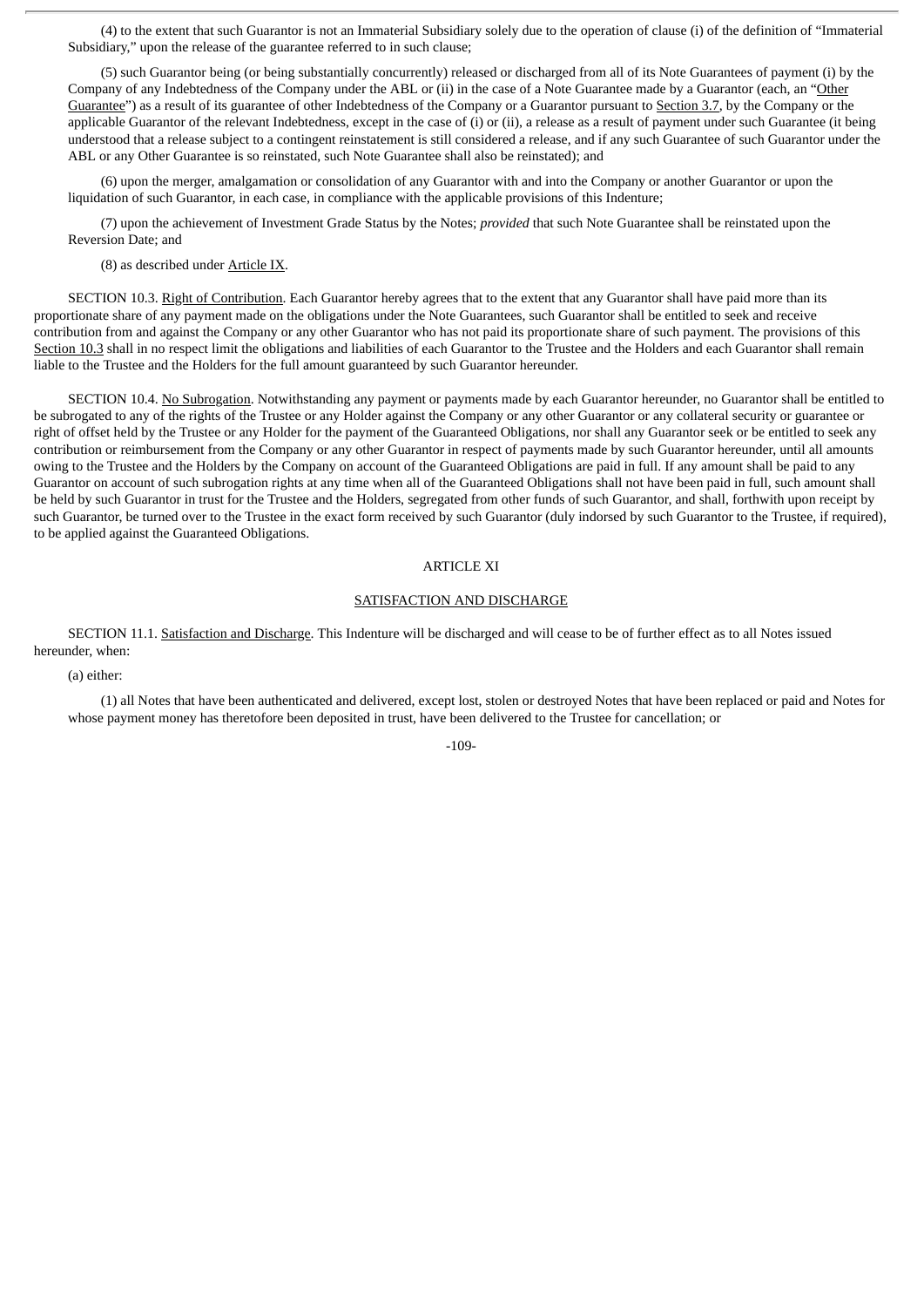(4) to the extent that such Guarantor is not an Immaterial Subsidiary solely due to the operation of clause (i) of the definition of "Immaterial Subsidiary," upon the release of the guarantee referred to in such clause;

(5) such Guarantor being (or being substantially concurrently) released or discharged from all of its Note Guarantees of payment (i) by the Company of any Indebtedness of the Company under the ABL or (ii) in the case of a Note Guarantee made by a Guarantor (each, an "Other Guarantee") as a result of its guarantee of other Indebtedness of the Company or a Guarantor pursuant to Section 3.7, by the Company or the applicable Guarantor of the relevant Indebtedness, except in the case of (i) or (ii), a release as a result of payment under such Guarantee (it being understood that a release subject to a contingent reinstatement is still considered a release, and if any such Guarantee of such Guarantor under the ABL or any Other Guarantee is so reinstated, such Note Guarantee shall also be reinstated); and

(6) upon the merger, amalgamation or consolidation of any Guarantor with and into the Company or another Guarantor or upon the liquidation of such Guarantor, in each case, in compliance with the applicable provisions of this Indenture;

(7) upon the achievement of Investment Grade Status by the Notes; *provided* that such Note Guarantee shall be reinstated upon the Reversion Date; and

(8) as described under Article IX.

SECTION 10.3. Right of Contribution. Each Guarantor hereby agrees that to the extent that any Guarantor shall have paid more than its proportionate share of any payment made on the obligations under the Note Guarantees, such Guarantor shall be entitled to seek and receive contribution from and against the Company or any other Guarantor who has not paid its proportionate share of such payment. The provisions of this Section 10.3 shall in no respect limit the obligations and liabilities of each Guarantor to the Trustee and the Holders and each Guarantor shall remain liable to the Trustee and the Holders for the full amount guaranteed by such Guarantor hereunder.

SECTION 10.4. No Subrogation. Notwithstanding any payment or payments made by each Guarantor hereunder, no Guarantor shall be entitled to be subrogated to any of the rights of the Trustee or any Holder against the Company or any other Guarantor or any collateral security or guarantee or right of offset held by the Trustee or any Holder for the payment of the Guaranteed Obligations, nor shall any Guarantor seek or be entitled to seek any contribution or reimbursement from the Company or any other Guarantor in respect of payments made by such Guarantor hereunder, until all amounts owing to the Trustee and the Holders by the Company on account of the Guaranteed Obligations are paid in full. If any amount shall be paid to any Guarantor on account of such subrogation rights at any time when all of the Guaranteed Obligations shall not have been paid in full, such amount shall be held by such Guarantor in trust for the Trustee and the Holders, segregated from other funds of such Guarantor, and shall, forthwith upon receipt by such Guarantor, be turned over to the Trustee in the exact form received by such Guarantor (duly indorsed by such Guarantor to the Trustee, if required), to be applied against the Guaranteed Obligations.

#### ARTICLE XI

#### SATISFACTION AND DISCHARGE

SECTION 11.1. Satisfaction and Discharge. This Indenture will be discharged and will cease to be of further effect as to all Notes issued hereunder, when:

(a) either:

(1) all Notes that have been authenticated and delivered, except lost, stolen or destroyed Notes that have been replaced or paid and Notes for whose payment money has theretofore been deposited in trust, have been delivered to the Trustee for cancellation; or

-109-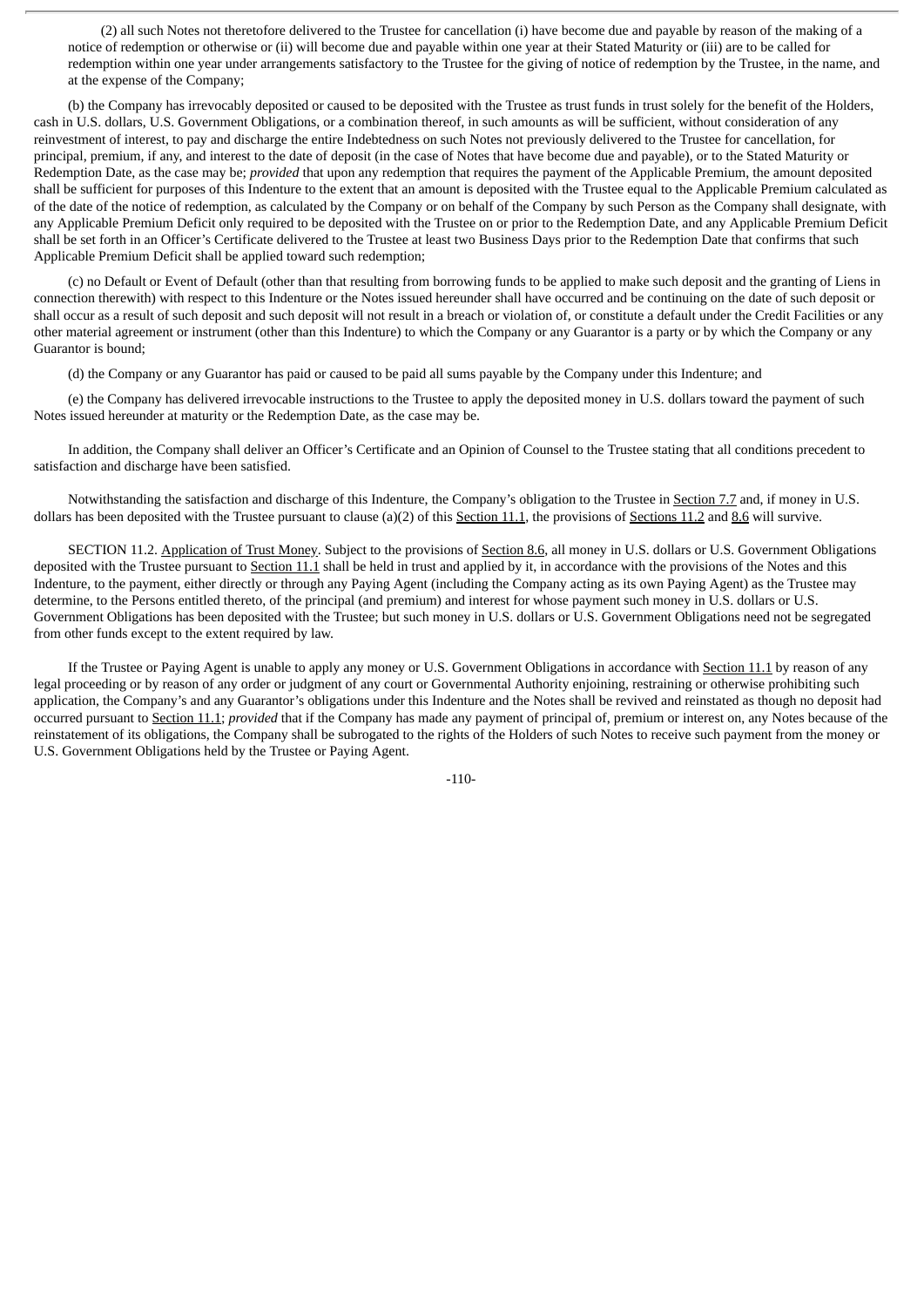(2) all such Notes not theretofore delivered to the Trustee for cancellation (i) have become due and payable by reason of the making of a notice of redemption or otherwise or (ii) will become due and payable within one year at their Stated Maturity or (iii) are to be called for redemption within one year under arrangements satisfactory to the Trustee for the giving of notice of redemption by the Trustee, in the name, and at the expense of the Company;

(b) the Company has irrevocably deposited or caused to be deposited with the Trustee as trust funds in trust solely for the benefit of the Holders, cash in U.S. dollars, U.S. Government Obligations, or a combination thereof, in such amounts as will be sufficient, without consideration of any reinvestment of interest, to pay and discharge the entire Indebtedness on such Notes not previously delivered to the Trustee for cancellation, for principal, premium, if any, and interest to the date of deposit (in the case of Notes that have become due and payable), or to the Stated Maturity or Redemption Date, as the case may be; *provided* that upon any redemption that requires the payment of the Applicable Premium, the amount deposited shall be sufficient for purposes of this Indenture to the extent that an amount is deposited with the Trustee equal to the Applicable Premium calculated as of the date of the notice of redemption, as calculated by the Company or on behalf of the Company by such Person as the Company shall designate, with any Applicable Premium Deficit only required to be deposited with the Trustee on or prior to the Redemption Date, and any Applicable Premium Deficit shall be set forth in an Officer's Certificate delivered to the Trustee at least two Business Days prior to the Redemption Date that confirms that such Applicable Premium Deficit shall be applied toward such redemption;

(c) no Default or Event of Default (other than that resulting from borrowing funds to be applied to make such deposit and the granting of Liens in connection therewith) with respect to this Indenture or the Notes issued hereunder shall have occurred and be continuing on the date of such deposit or shall occur as a result of such deposit and such deposit will not result in a breach or violation of, or constitute a default under the Credit Facilities or any other material agreement or instrument (other than this Indenture) to which the Company or any Guarantor is a party or by which the Company or any Guarantor is bound;

(d) the Company or any Guarantor has paid or caused to be paid all sums payable by the Company under this Indenture; and

(e) the Company has delivered irrevocable instructions to the Trustee to apply the deposited money in U.S. dollars toward the payment of such Notes issued hereunder at maturity or the Redemption Date, as the case may be.

In addition, the Company shall deliver an Officer's Certificate and an Opinion of Counsel to the Trustee stating that all conditions precedent to satisfaction and discharge have been satisfied.

Notwithstanding the satisfaction and discharge of this Indenture, the Company's obligation to the Trustee in Section 7.7 and, if money in U.S. dollars has been deposited with the Trustee pursuant to clause (a)(2) of this Section 11.1, the provisions of Sections 11.2 and 8.6 will survive.

SECTION 11.2. Application of Trust Money. Subject to the provisions of Section 8.6, all money in U.S. dollars or U.S. Government Obligations deposited with the Trustee pursuant to Section 11.1 shall be held in trust and applied by it, in accordance with the provisions of the Notes and this Indenture, to the payment, either directly or through any Paying Agent (including the Company acting as its own Paying Agent) as the Trustee may determine, to the Persons entitled thereto, of the principal (and premium) and interest for whose payment such money in U.S. dollars or U.S. Government Obligations has been deposited with the Trustee; but such money in U.S. dollars or U.S. Government Obligations need not be segregated from other funds except to the extent required by law.

If the Trustee or Paying Agent is unable to apply any money or U.S. Government Obligations in accordance with Section 11.1 by reason of any legal proceeding or by reason of any order or judgment of any court or Governmental Authority enjoining, restraining or otherwise prohibiting such application, the Company's and any Guarantor's obligations under this Indenture and the Notes shall be revived and reinstated as though no deposit had occurred pursuant to Section 11.1; *provided* that if the Company has made any payment of principal of, premium or interest on, any Notes because of the reinstatement of its obligations, the Company shall be subrogated to the rights of the Holders of such Notes to receive such payment from the money or U.S. Government Obligations held by the Trustee or Paying Agent.

-110-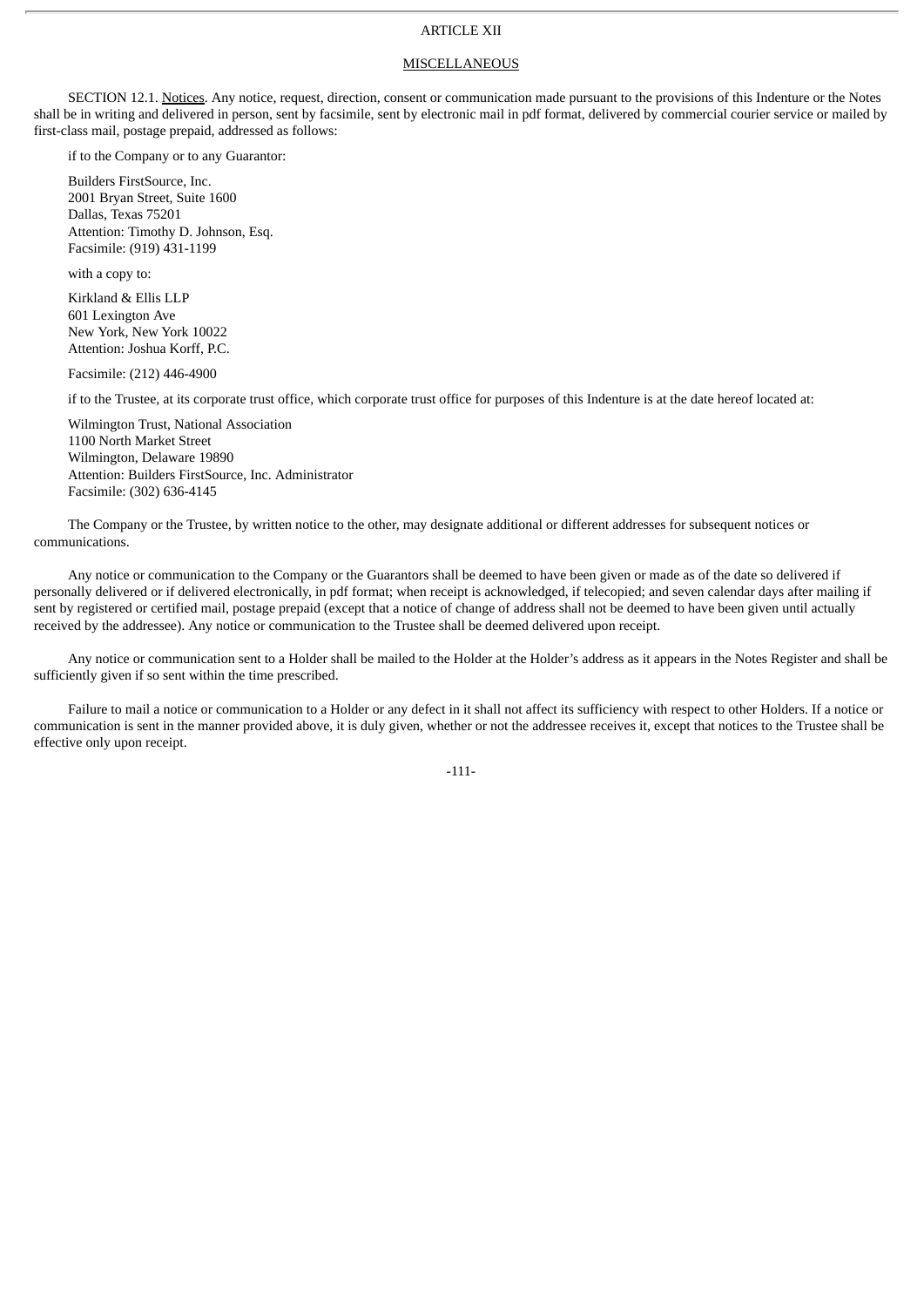# ARTICLE XII

## **MISCELLANEOUS**

SECTION 12.1. Notices. Any notice, request, direction, consent or communication made pursuant to the provisions of this Indenture or the Notes shall be in writing and delivered in person, sent by facsimile, sent by electronic mail in pdf format, delivered by commercial courier service or mailed by first-class mail, postage prepaid, addressed as follows:

if to the Company or to any Guarantor:

Builders FirstSource, Inc. 2001 Bryan Street, Suite 1600 Dallas, Texas 75201 Attention: Timothy D. Johnson, Esq. Facsimile: (919) 431-1199

with a copy to:

Kirkland & Ellis LLP 601 Lexington Ave New York, New York 10022 Attention: Joshua Korff, P.C.

Facsimile: (212) 446-4900

if to the Trustee, at its corporate trust office, which corporate trust office for purposes of this Indenture is at the date hereof located at:

Wilmington Trust, National Association 1100 North Market Street Wilmington, Delaware 19890 Attention: Builders FirstSource, Inc. Administrator Facsimile: (302) 636-4145

The Company or the Trustee, by written notice to the other, may designate additional or different addresses for subsequent notices or communications.

Any notice or communication to the Company or the Guarantors shall be deemed to have been given or made as of the date so delivered if personally delivered or if delivered electronically, in pdf format; when receipt is acknowledged, if telecopied; and seven calendar days after mailing if sent by registered or certified mail, postage prepaid (except that a notice of change of address shall not be deemed to have been given until actually received by the addressee). Any notice or communication to the Trustee shall be deemed delivered upon receipt.

Any notice or communication sent to a Holder shall be mailed to the Holder at the Holder's address as it appears in the Notes Register and shall be sufficiently given if so sent within the time prescribed.

Failure to mail a notice or communication to a Holder or any defect in it shall not affect its sufficiency with respect to other Holders. If a notice or communication is sent in the manner provided above, it is duly given, whether or not the addressee receives it, except that notices to the Trustee shall be effective only upon receipt.

-111-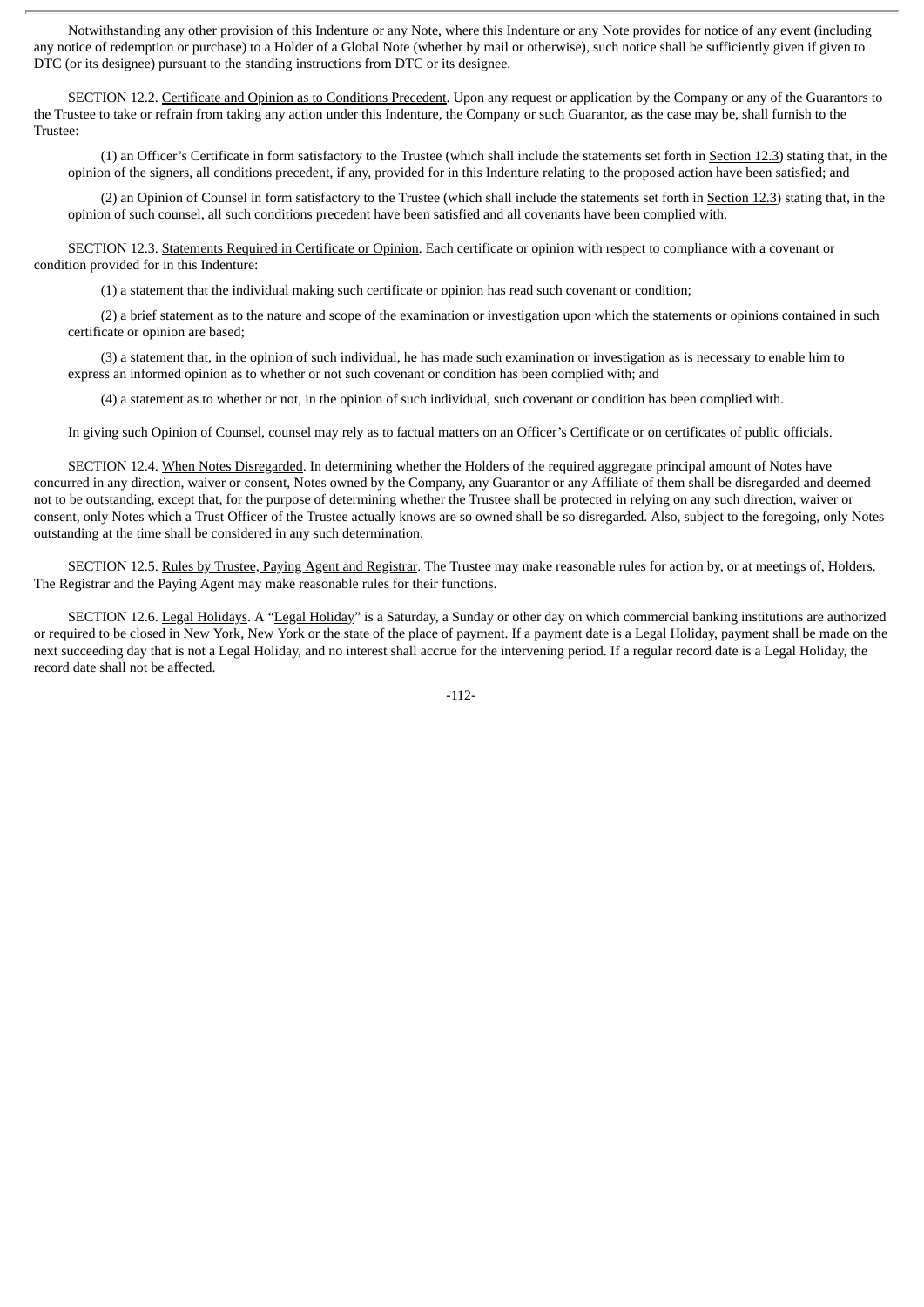Notwithstanding any other provision of this Indenture or any Note, where this Indenture or any Note provides for notice of any event (including any notice of redemption or purchase) to a Holder of a Global Note (whether by mail or otherwise), such notice shall be sufficiently given if given to DTC (or its designee) pursuant to the standing instructions from DTC or its designee.

SECTION 12.2. Certificate and Opinion as to Conditions Precedent. Upon any request or application by the Company or any of the Guarantors to the Trustee to take or refrain from taking any action under this Indenture, the Company or such Guarantor, as the case may be, shall furnish to the Trustee:

(1) an Officer's Certificate in form satisfactory to the Trustee (which shall include the statements set forth in Section 12.3) stating that, in the opinion of the signers, all conditions precedent, if any, provided for in this Indenture relating to the proposed action have been satisfied; and

(2) an Opinion of Counsel in form satisfactory to the Trustee (which shall include the statements set forth in Section 12.3) stating that, in the opinion of such counsel, all such conditions precedent have been satisfied and all covenants have been complied with.

SECTION 12.3. Statements Required in Certificate or Opinion. Each certificate or opinion with respect to compliance with a covenant or condition provided for in this Indenture:

(1) a statement that the individual making such certificate or opinion has read such covenant or condition;

(2) a brief statement as to the nature and scope of the examination or investigation upon which the statements or opinions contained in such certificate or opinion are based;

(3) a statement that, in the opinion of such individual, he has made such examination or investigation as is necessary to enable him to express an informed opinion as to whether or not such covenant or condition has been complied with; and

(4) a statement as to whether or not, in the opinion of such individual, such covenant or condition has been complied with.

In giving such Opinion of Counsel, counsel may rely as to factual matters on an Officer's Certificate or on certificates of public officials.

SECTION 12.4. When Notes Disregarded. In determining whether the Holders of the required aggregate principal amount of Notes have concurred in any direction, waiver or consent, Notes owned by the Company, any Guarantor or any Affiliate of them shall be disregarded and deemed not to be outstanding, except that, for the purpose of determining whether the Trustee shall be protected in relying on any such direction, waiver or consent, only Notes which a Trust Officer of the Trustee actually knows are so owned shall be so disregarded. Also, subject to the foregoing, only Notes outstanding at the time shall be considered in any such determination.

SECTION 12.5. Rules by Trustee, Paying Agent and Registrar. The Trustee may make reasonable rules for action by, or at meetings of, Holders. The Registrar and the Paying Agent may make reasonable rules for their functions.

SECTION 12.6. Legal Holidays. A "Legal Holiday" is a Saturday, a Sunday or other day on which commercial banking institutions are authorized or required to be closed in New York, New York or the state of the place of payment. If a payment date is a Legal Holiday, payment shall be made on the next succeeding day that is not a Legal Holiday, and no interest shall accrue for the intervening period. If a regular record date is a Legal Holiday, the record date shall not be affected.

-112-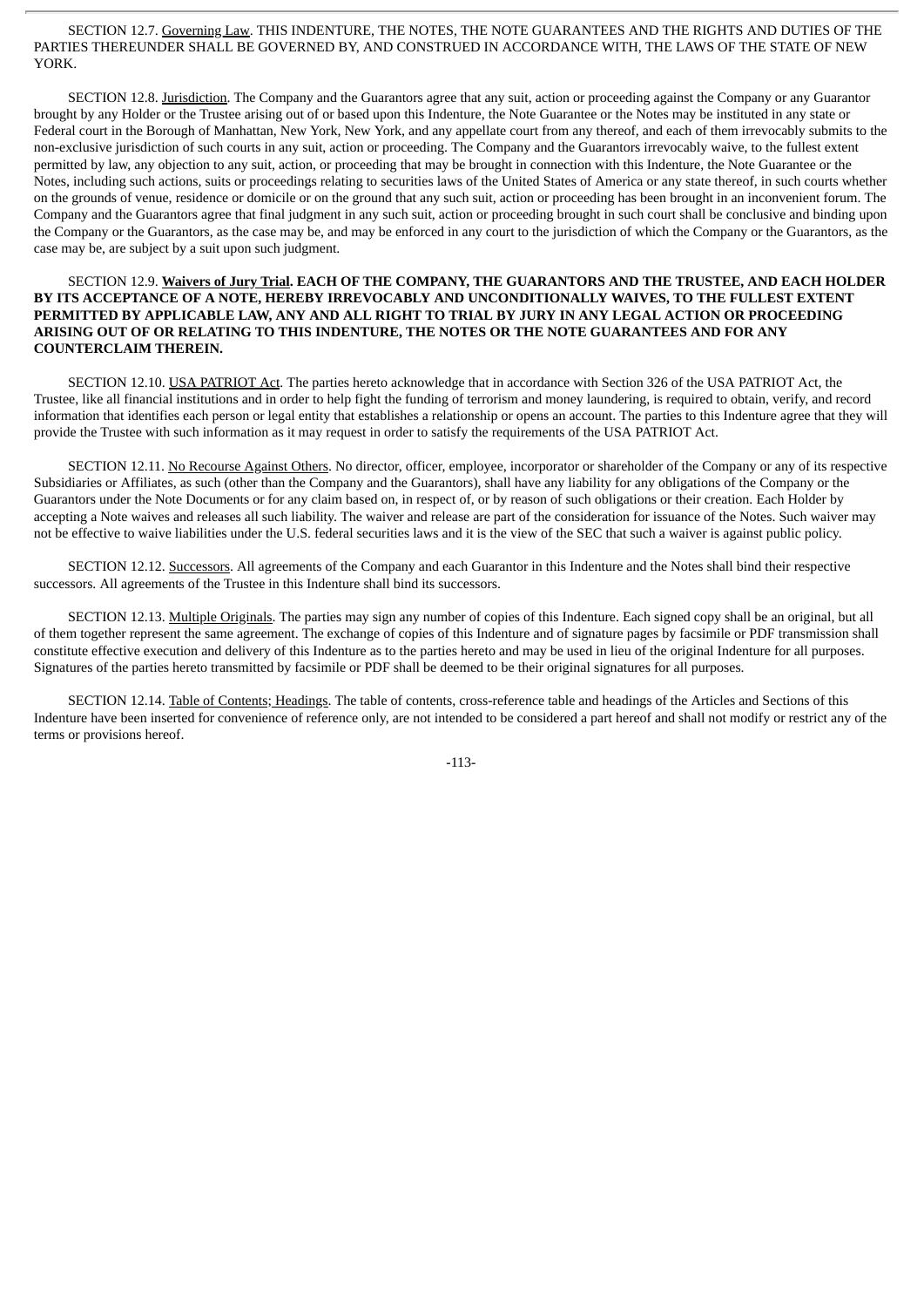SECTION 12.7. Governing Law. THIS INDENTURE, THE NOTES, THE NOTE GUARANTEES AND THE RIGHTS AND DUTIES OF THE PARTIES THEREUNDER SHALL BE GOVERNED BY, AND CONSTRUED IN ACCORDANCE WITH, THE LAWS OF THE STATE OF NEW YORK.

SECTION 12.8. Jurisdiction. The Company and the Guarantors agree that any suit, action or proceeding against the Company or any Guarantor brought by any Holder or the Trustee arising out of or based upon this Indenture, the Note Guarantee or the Notes may be instituted in any state or Federal court in the Borough of Manhattan, New York, New York, and any appellate court from any thereof, and each of them irrevocably submits to the non-exclusive jurisdiction of such courts in any suit, action or proceeding. The Company and the Guarantors irrevocably waive, to the fullest extent permitted by law, any objection to any suit, action, or proceeding that may be brought in connection with this Indenture, the Note Guarantee or the Notes, including such actions, suits or proceedings relating to securities laws of the United States of America or any state thereof, in such courts whether on the grounds of venue, residence or domicile or on the ground that any such suit, action or proceeding has been brought in an inconvenient forum. The Company and the Guarantors agree that final judgment in any such suit, action or proceeding brought in such court shall be conclusive and binding upon the Company or the Guarantors, as the case may be, and may be enforced in any court to the jurisdiction of which the Company or the Guarantors, as the case may be, are subject by a suit upon such judgment.

## SECTION 12.9. **Waivers of Jury Trial. EACH OF THE COMPANY, THE GUARANTORS AND THE TRUSTEE, AND EACH HOLDER BY ITS ACCEPTANCE OF A NOTE, HEREBY IRREVOCABLY AND UNCONDITIONALLY WAIVES, TO THE FULLEST EXTENT PERMITTED BY APPLICABLE LAW, ANY AND ALL RIGHT TO TRIAL BY JURY IN ANY LEGAL ACTION OR PROCEEDING ARISING OUT OF OR RELATING TO THIS INDENTURE, THE NOTES OR THE NOTE GUARANTEES AND FOR ANY COUNTERCLAIM THEREIN.**

SECTION 12.10. USA PATRIOT Act. The parties hereto acknowledge that in accordance with Section 326 of the USA PATRIOT Act, the Trustee, like all financial institutions and in order to help fight the funding of terrorism and money laundering, is required to obtain, verify, and record information that identifies each person or legal entity that establishes a relationship or opens an account. The parties to this Indenture agree that they will provide the Trustee with such information as it may request in order to satisfy the requirements of the USA PATRIOT Act.

SECTION 12.11. No Recourse Against Others. No director, officer, employee, incorporator or shareholder of the Company or any of its respective Subsidiaries or Affiliates, as such (other than the Company and the Guarantors), shall have any liability for any obligations of the Company or the Guarantors under the Note Documents or for any claim based on, in respect of, or by reason of such obligations or their creation. Each Holder by accepting a Note waives and releases all such liability. The waiver and release are part of the consideration for issuance of the Notes. Such waiver may not be effective to waive liabilities under the U.S. federal securities laws and it is the view of the SEC that such a waiver is against public policy.

SECTION 12.12. Successors. All agreements of the Company and each Guarantor in this Indenture and the Notes shall bind their respective successors. All agreements of the Trustee in this Indenture shall bind its successors.

SECTION 12.13. Multiple Originals. The parties may sign any number of copies of this Indenture. Each signed copy shall be an original, but all of them together represent the same agreement. The exchange of copies of this Indenture and of signature pages by facsimile or PDF transmission shall constitute effective execution and delivery of this Indenture as to the parties hereto and may be used in lieu of the original Indenture for all purposes. Signatures of the parties hereto transmitted by facsimile or PDF shall be deemed to be their original signatures for all purposes.

SECTION 12.14. Table of Contents; Headings. The table of contents, cross-reference table and headings of the Articles and Sections of this Indenture have been inserted for convenience of reference only, are not intended to be considered a part hereof and shall not modify or restrict any of the terms or provisions hereof.

-113-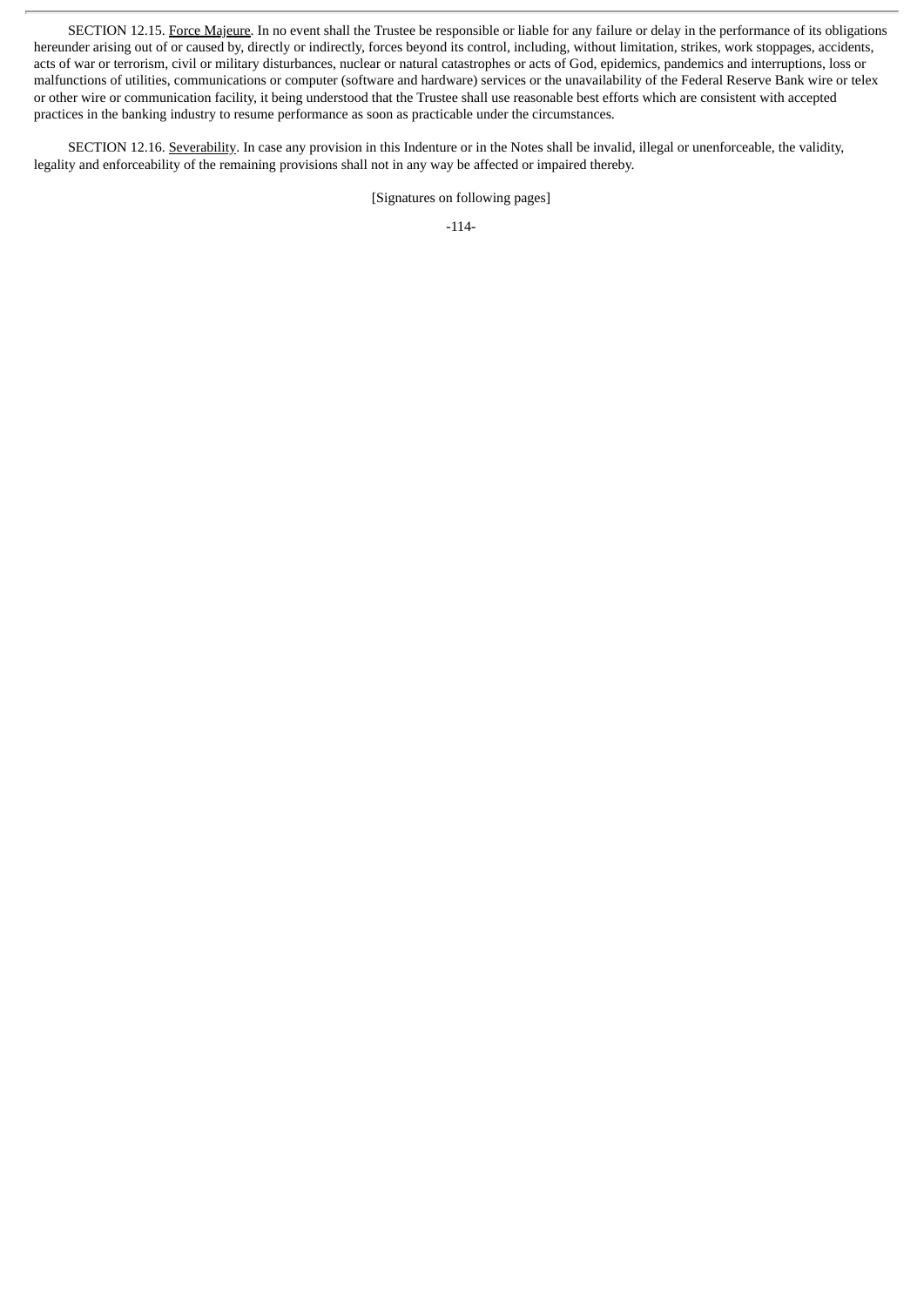SECTION 12.15. Force Majeure. In no event shall the Trustee be responsible or liable for any failure or delay in the performance of its obligations hereunder arising out of or caused by, directly or indirectly, forces beyond its control, including, without limitation, strikes, work stoppages, accidents, acts of war or terrorism, civil or military disturbances, nuclear or natural catastrophes or acts of God, epidemics, pandemics and interruptions, loss or malfunctions of utilities, communications or computer (software and hardware) services or the unavailability of the Federal Reserve Bank wire or telex or other wire or communication facility, it being understood that the Trustee shall use reasonable best efforts which are consistent with accepted practices in the banking industry to resume performance as soon as practicable under the circumstances.

SECTION 12.16. Severability. In case any provision in this Indenture or in the Notes shall be invalid, illegal or unenforceable, the validity, legality and enforceability of the remaining provisions shall not in any way be affected or impaired thereby.

[Signatures on following pages]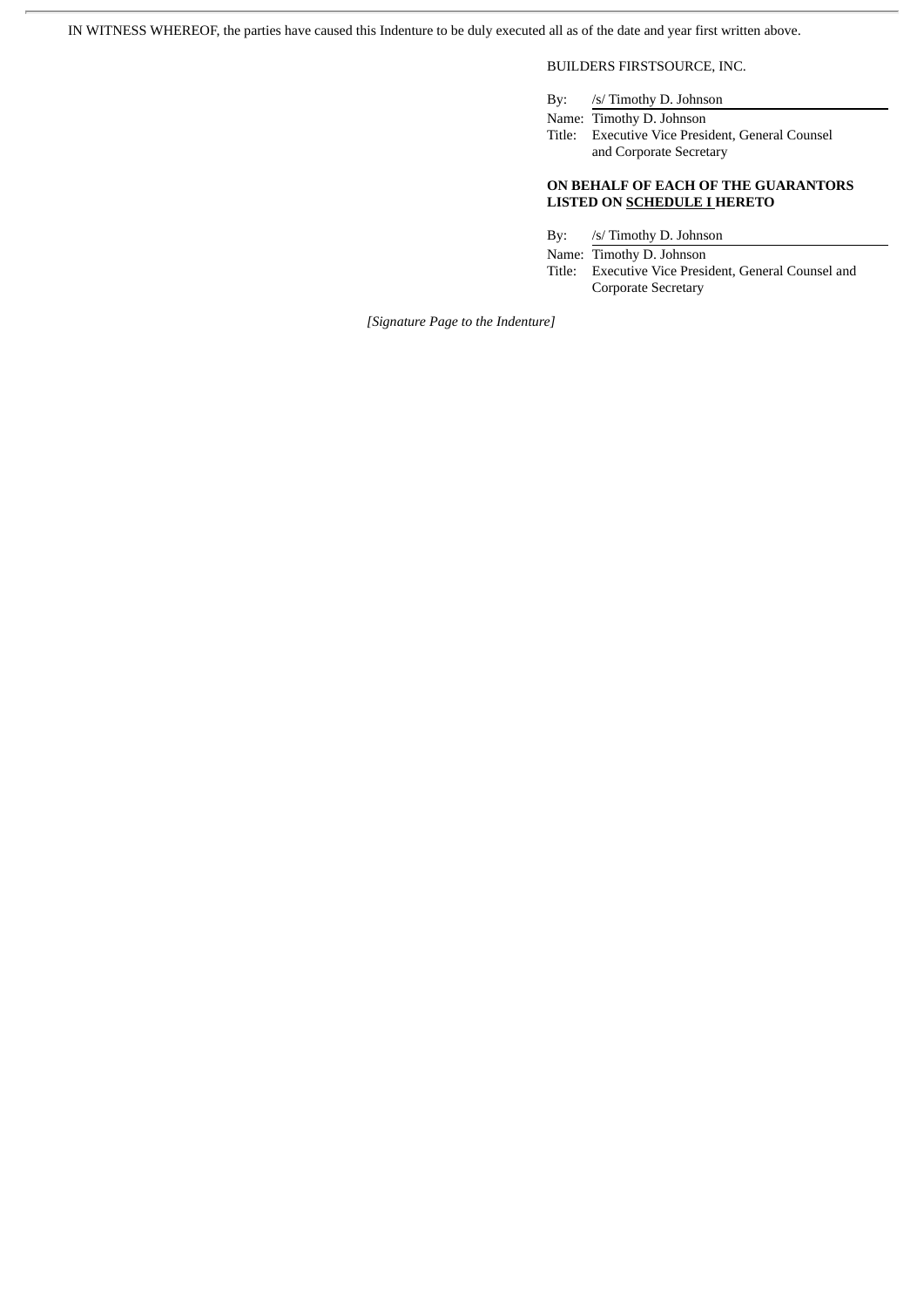IN WITNESS WHEREOF, the parties have caused this Indenture to be duly executed all as of the date and year first written above.

# BUILDERS FIRSTSOURCE, INC.

By: /s/ Timothy D. Johnson

Name: Timothy D. Johnson Title: Executive Vice President, General Counsel and Corporate Secretary

# **ON BEHALF OF EACH OF THE GUARANTORS LISTED ON SCHEDULE I HERETO**

By: /s/ Timothy D. Johnson

Name: Timothy D. Johnson Title: Executive Vice President, General Counsel and Corporate Secretary

*[Signature Page to the Indenture]*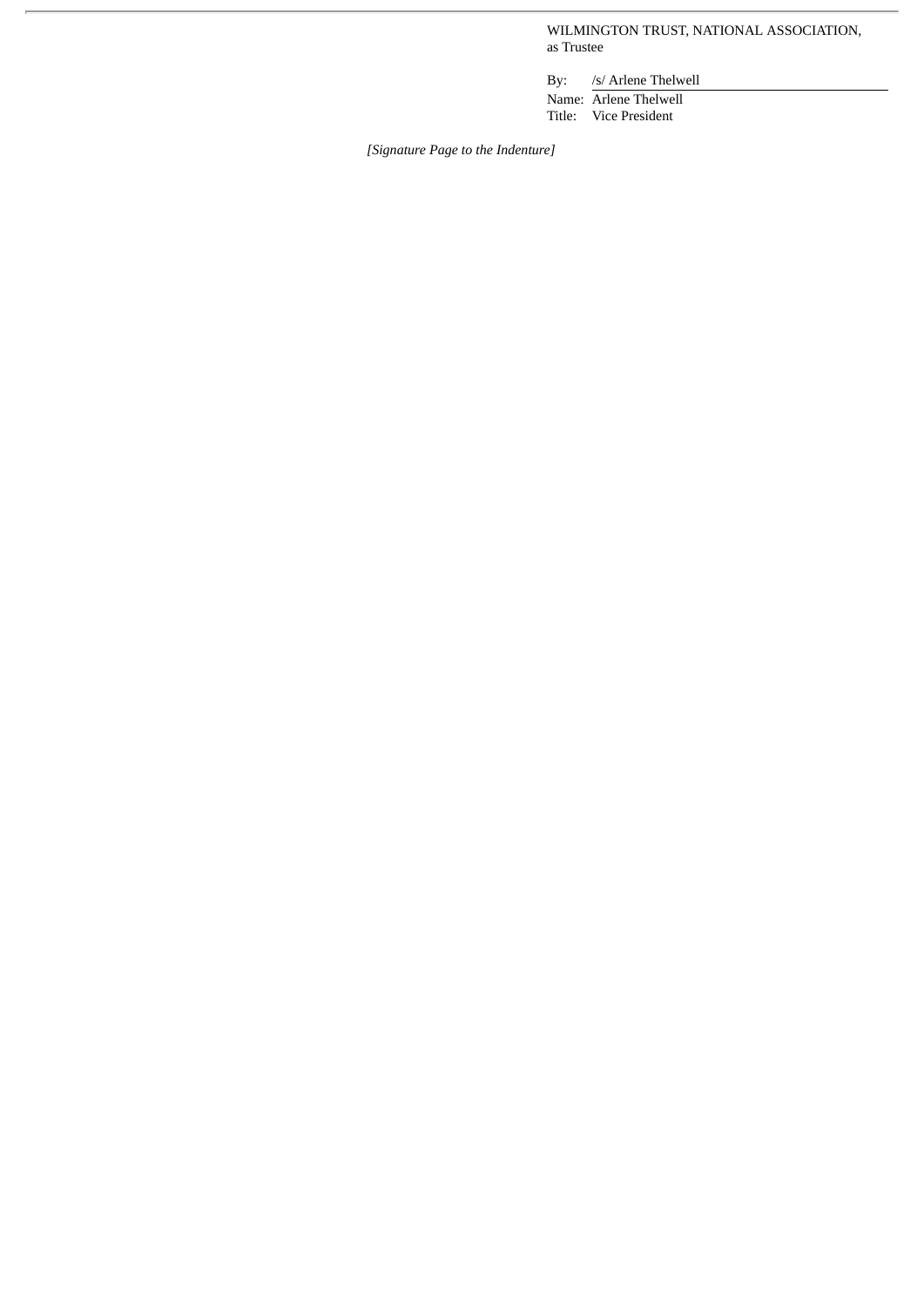WILMINGTON TRUST, NATIONAL ASSOCIATION, as Trustee

By: /s/ Arlene Thelwell Name: Arlene Thelwell Title: Vice President

*[Signature Page to the Indenture]*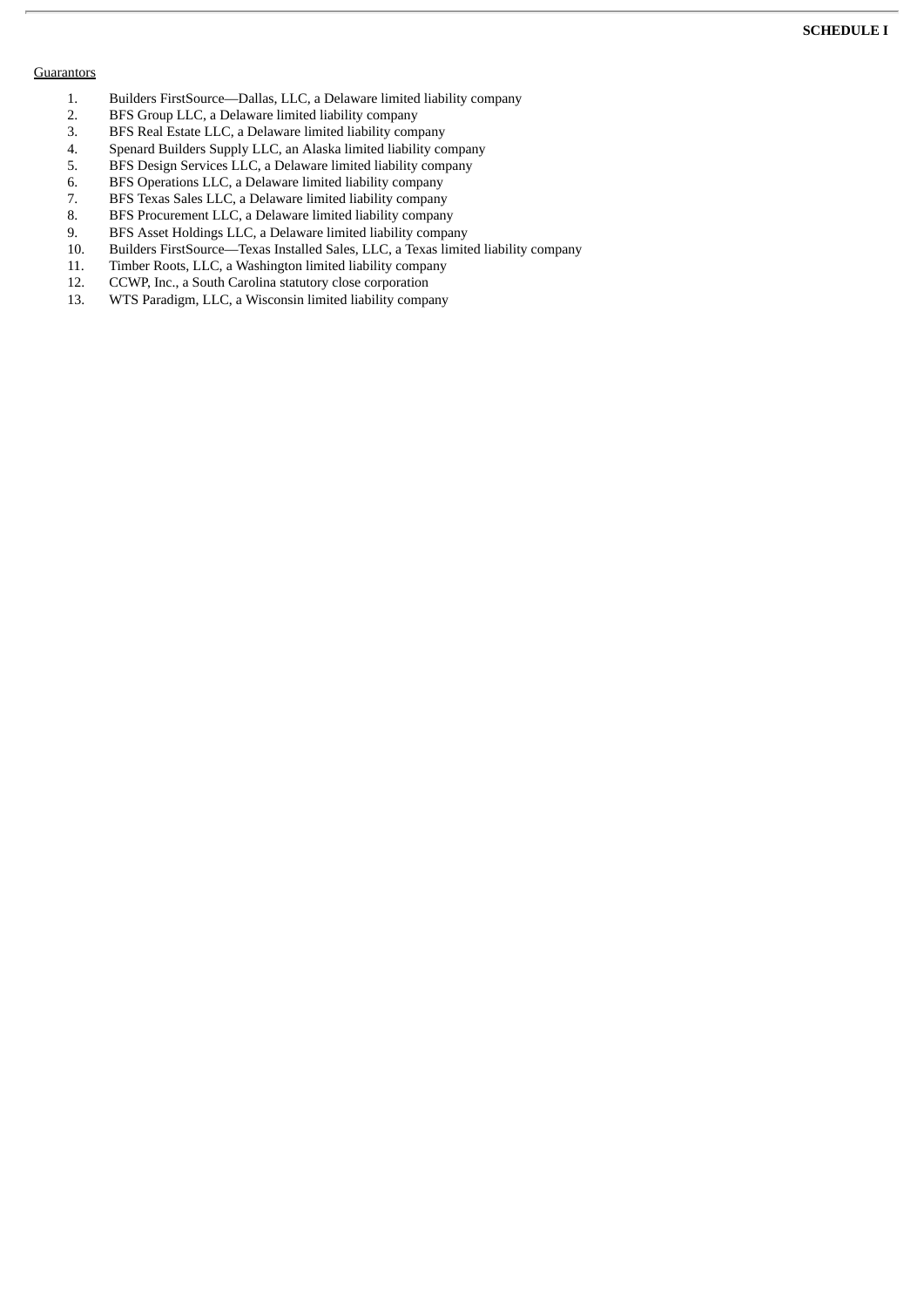## **SCHEDULE I**

#### **Guarantors**

- 1. Builders FirstSource—Dallas, LLC, a Delaware limited liability company<br>2. BFS Group LLC, a Delaware limited liability company
- 2. BFS Group LLC, a Delaware limited liability company<br>3. BFS Real Estate LLC. a Delaware limited liability company
- BFS Real Estate LLC, a Delaware limited liability company
- 4. Spenard Builders Supply LLC, an Alaska limited liability company<br>5. BFS Design Services LLC, a Delaware limited liability company
- 5. BFS Design Services LLC, a Delaware limited liability company
- 6. BFS Operations LLC, a Delaware limited liability company<br>7. BFS Texas Sales LLC, a Delaware limited liability company
- 7. BFS Texas Sales LLC, a Delaware limited liability company<br>8. BFS Procurement LLC, a Delaware limited liability company
- 8. BFS Procurement LLC, a Delaware limited liability company
- 9. BFS Asset Holdings LLC, a Delaware limited liability company<br>10. Builders FirstSource—Texas Installed Sales, LLC, a Texas limite
- Builders FirstSource—Texas Installed Sales, LLC, a Texas limited liability company
- 11. Timber Roots, LLC, a Washington limited liability company
- 12. CCWP, Inc., a South Carolina statutory close corporation<br>13. WTS Paradigm, LLC, a Wisconsin limited liability compa
- WTS Paradigm, LLC, a Wisconsin limited liability company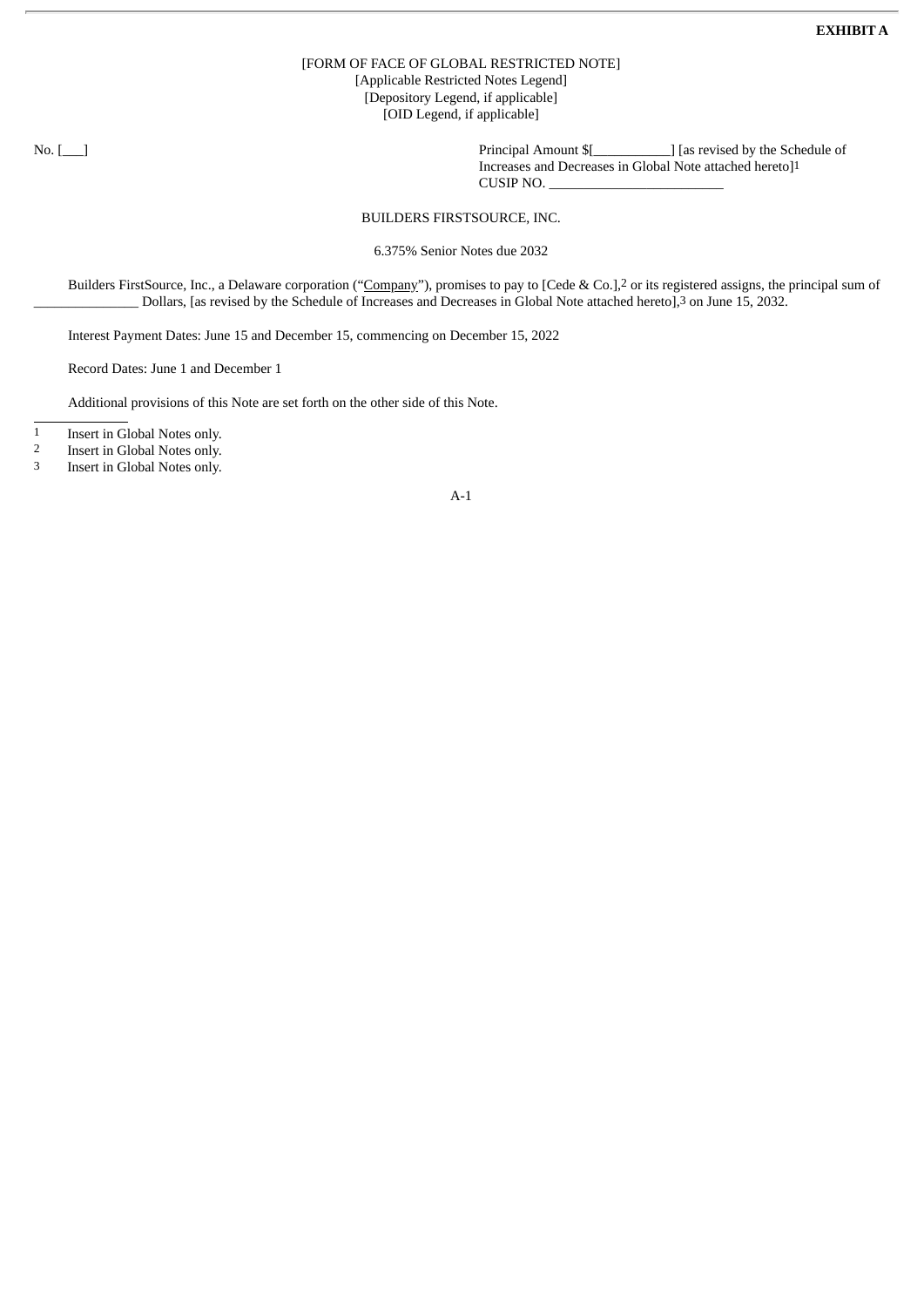## [FORM OF FACE OF GLOBAL RESTRICTED NOTE] [Applicable Restricted Notes Legend] [Depository Legend, if applicable] [OID Legend, if applicable]

No. [100] No. [200] Principal Amount \$[100] [as revised by the Schedule of Increases and Decreases in Global Note attached hereto]1 CUSIP NO. \_\_\_\_\_\_\_\_\_\_\_\_\_\_\_\_\_\_\_\_\_\_\_\_\_

# BUILDERS FIRSTSOURCE, INC.

6.375% Senior Notes due 2032

Builders FirstSource, Inc., a Delaware corporation ("Company"), promises to pay to [Cede & Co.],<sup>2</sup> or its registered assigns, the principal sum of \_\_\_\_\_\_\_\_\_\_\_\_\_\_\_ Dollars, [as revised by the Schedule of Increases and Decreases in Global Note attached hereto],3 on June 15, 2032.

Interest Payment Dates: June 15 and December 15, commencing on December 15, 2022

Record Dates: June 1 and December 1

Additional provisions of this Note are set forth on the other side of this Note.

1 Insert in Global Notes only.<br>2 Insert in Global Notes only.

<sup>2</sup> Insert in Global Notes only.<br><sup>3</sup> Insert in Global Notes only.

Insert in Global Notes only.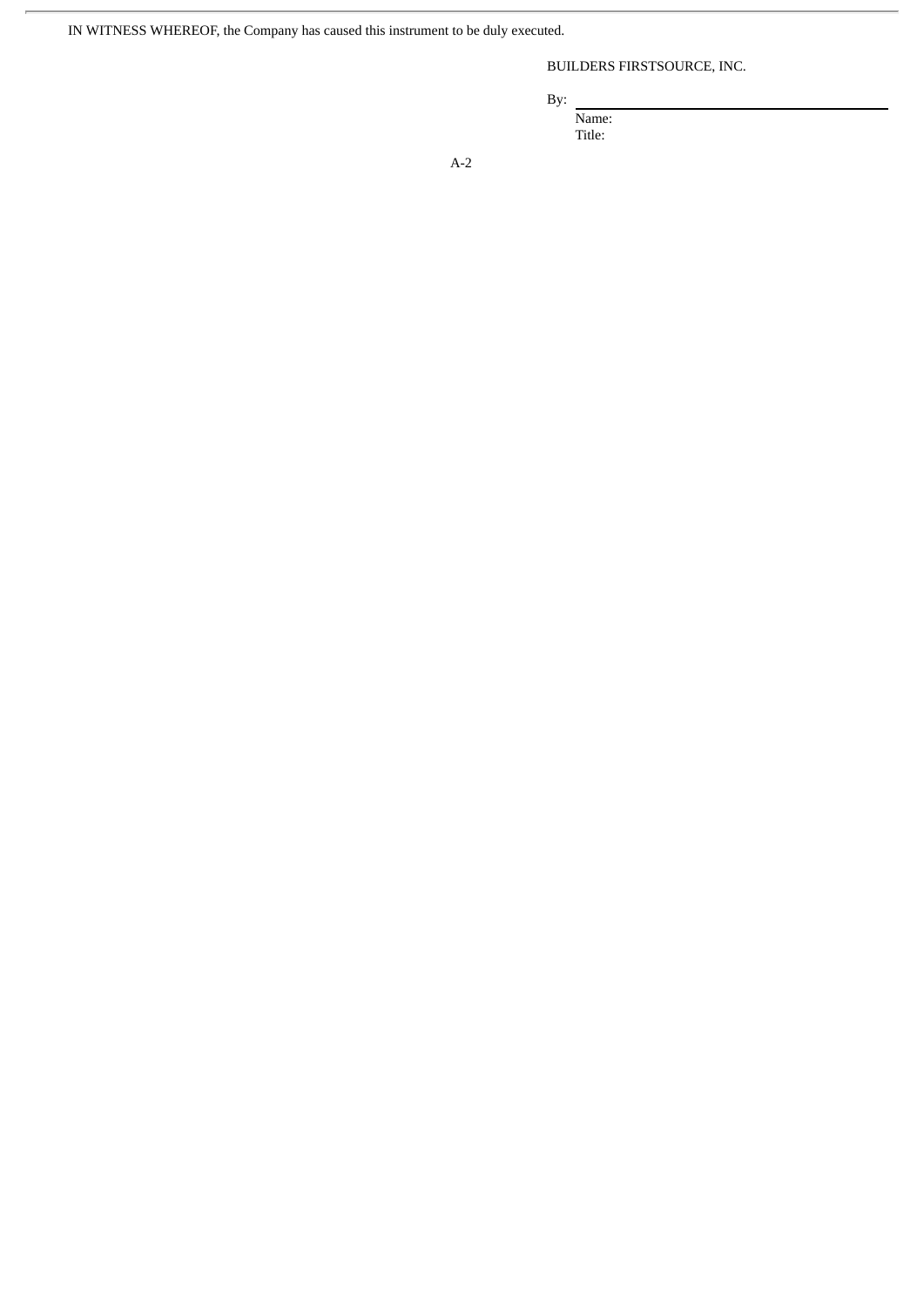IN WITNESS WHEREOF, the Company has caused this instrument to be duly executed.

# BUILDERS FIRSTSOURCE, INC.

By:

Name:

Title: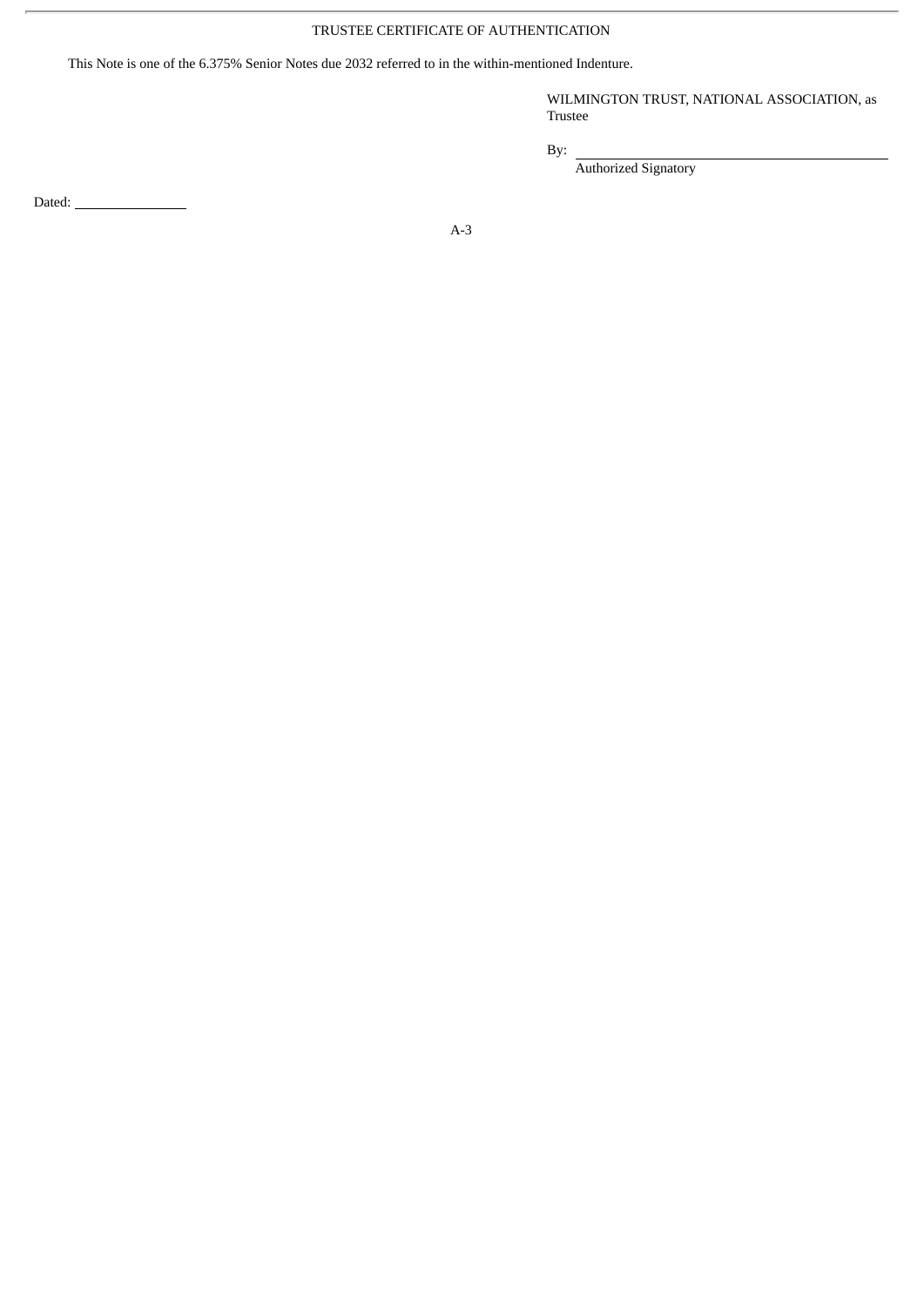# TRUSTEE CERTIFICATE OF AUTHENTICATION

This Note is one of the 6.375% Senior Notes due 2032 referred to in the within-mentioned Indenture.

WILMINGTON TRUST, NATIONAL ASSOCIATION, as Trustee

By:

Authorized Signatory

Dated: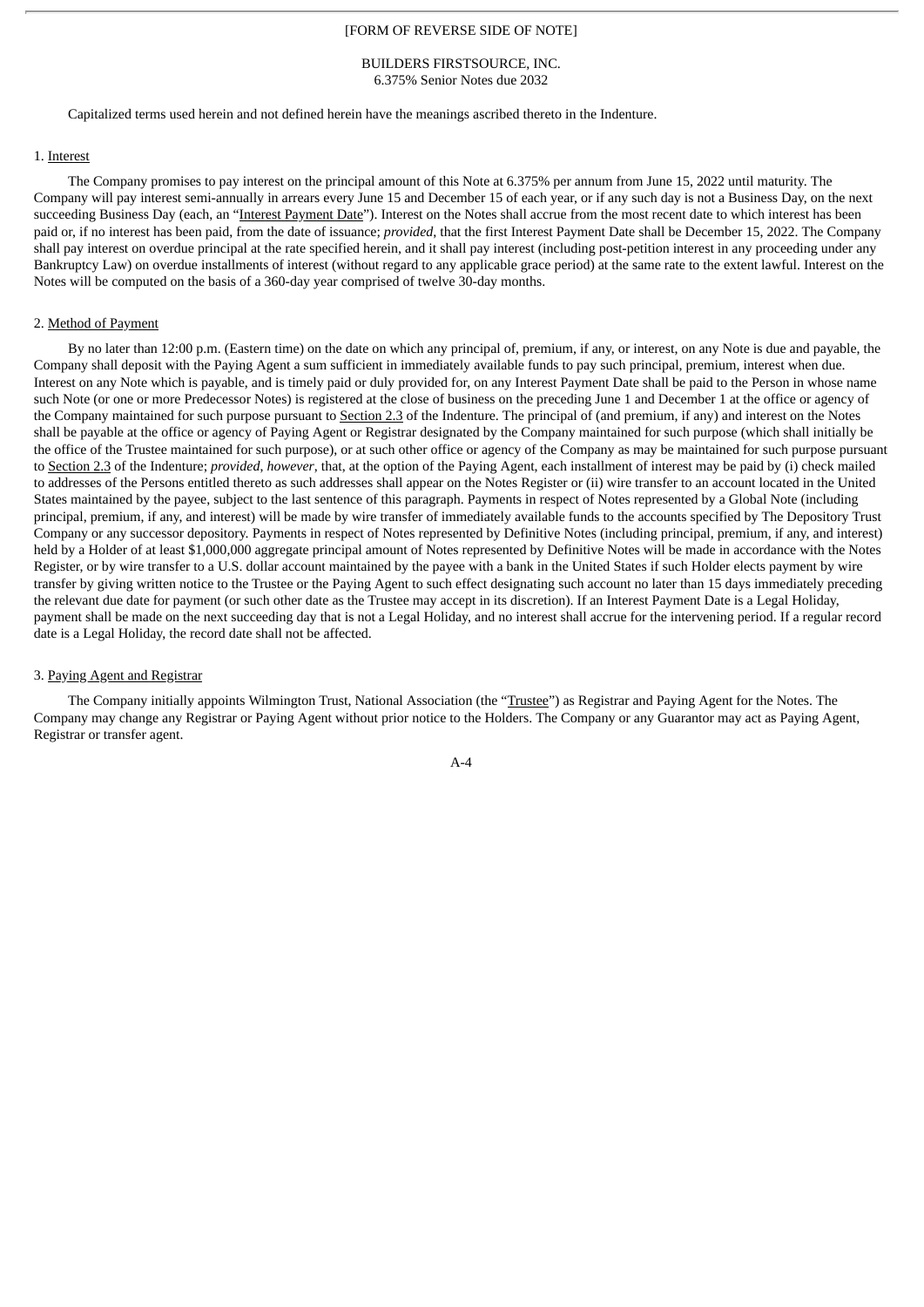## [FORM OF REVERSE SIDE OF NOTE]

#### BUILDERS FIRSTSOURCE, INC. 6.375% Senior Notes due 2032

Capitalized terms used herein and not defined herein have the meanings ascribed thereto in the Indenture.

#### 1. Interest

The Company promises to pay interest on the principal amount of this Note at 6.375% per annum from June 15, 2022 until maturity. The Company will pay interest semi-annually in arrears every June 15 and December 15 of each year, or if any such day is not a Business Day, on the next succeeding Business Day (each, an "Interest Payment Date"). Interest on the Notes shall accrue from the most recent date to which interest has been paid or, if no interest has been paid, from the date of issuance; *provided*, that the first Interest Payment Date shall be December 15, 2022. The Company shall pay interest on overdue principal at the rate specified herein, and it shall pay interest (including post-petition interest in any proceeding under any Bankruptcy Law) on overdue installments of interest (without regard to any applicable grace period) at the same rate to the extent lawful. Interest on the Notes will be computed on the basis of a 360-day year comprised of twelve 30-day months.

#### 2. Method of Payment

By no later than 12:00 p.m. (Eastern time) on the date on which any principal of, premium, if any, or interest, on any Note is due and payable, the Company shall deposit with the Paying Agent a sum sufficient in immediately available funds to pay such principal, premium, interest when due. Interest on any Note which is payable, and is timely paid or duly provided for, on any Interest Payment Date shall be paid to the Person in whose name such Note (or one or more Predecessor Notes) is registered at the close of business on the preceding June 1 and December 1 at the office or agency of the Company maintained for such purpose pursuant to Section 2.3 of the Indenture. The principal of (and premium, if any) and interest on the Notes shall be payable at the office or agency of Paying Agent or Registrar designated by the Company maintained for such purpose (which shall initially be the office of the Trustee maintained for such purpose), or at such other office or agency of the Company as may be maintained for such purpose pursuant to Section 2.3 of the Indenture; *provided*, *however*, that, at the option of the Paying Agent, each installment of interest may be paid by (i) check mailed to addresses of the Persons entitled thereto as such addresses shall appear on the Notes Register or (ii) wire transfer to an account located in the United States maintained by the payee, subject to the last sentence of this paragraph. Payments in respect of Notes represented by a Global Note (including principal, premium, if any, and interest) will be made by wire transfer of immediately available funds to the accounts specified by The Depository Trust Company or any successor depository. Payments in respect of Notes represented by Definitive Notes (including principal, premium, if any, and interest) held by a Holder of at least \$1,000,000 aggregate principal amount of Notes represented by Definitive Notes will be made in accordance with the Notes Register, or by wire transfer to a U.S. dollar account maintained by the payee with a bank in the United States if such Holder elects payment by wire transfer by giving written notice to the Trustee or the Paying Agent to such effect designating such account no later than 15 days immediately preceding the relevant due date for payment (or such other date as the Trustee may accept in its discretion). If an Interest Payment Date is a Legal Holiday, payment shall be made on the next succeeding day that is not a Legal Holiday, and no interest shall accrue for the intervening period. If a regular record date is a Legal Holiday, the record date shall not be affected.

#### 3. Paying Agent and Registrar

The Company initially appoints Wilmington Trust, National Association (the "Trustee") as Registrar and Paying Agent for the Notes. The Company may change any Registrar or Paying Agent without prior notice to the Holders. The Company or any Guarantor may act as Paying Agent, Registrar or transfer agent.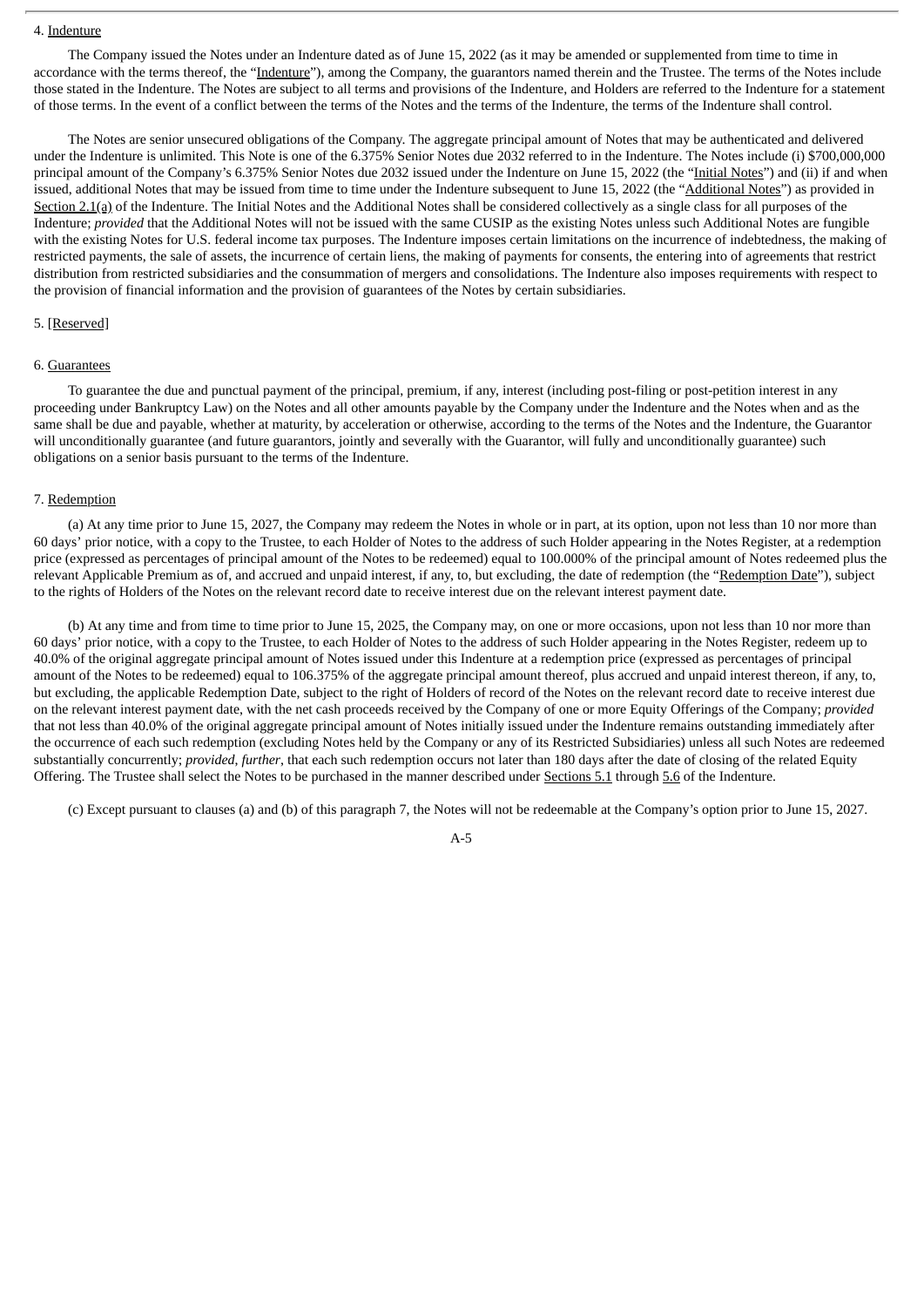## 4. Indenture

The Company issued the Notes under an Indenture dated as of June 15, 2022 (as it may be amended or supplemented from time to time in accordance with the terms thereof, the "Indenture"), among the Company, the guarantors named therein and the Trustee. The terms of the Notes include those stated in the Indenture. The Notes are subject to all terms and provisions of the Indenture, and Holders are referred to the Indenture for a statement of those terms. In the event of a conflict between the terms of the Notes and the terms of the Indenture, the terms of the Indenture shall control.

The Notes are senior unsecured obligations of the Company. The aggregate principal amount of Notes that may be authenticated and delivered under the Indenture is unlimited. This Note is one of the 6.375% Senior Notes due 2032 referred to in the Indenture. The Notes include (i) \$700,000,000 principal amount of the Company's 6.375% Senior Notes due 2032 issued under the Indenture on June 15, 2022 (the "Initial Notes") and (ii) if and when issued, additional Notes that may be issued from time to time under the Indenture subsequent to June 15, 2022 (the "Additional Notes") as provided in Section 2.1(a) of the Indenture. The Initial Notes and the Additional Notes shall be considered collectively as a single class for all purposes of the Indenture; *provided* that the Additional Notes will not be issued with the same CUSIP as the existing Notes unless such Additional Notes are fungible with the existing Notes for U.S. federal income tax purposes. The Indenture imposes certain limitations on the incurrence of indebtedness, the making of restricted payments, the sale of assets, the incurrence of certain liens, the making of payments for consents, the entering into of agreements that restrict distribution from restricted subsidiaries and the consummation of mergers and consolidations. The Indenture also imposes requirements with respect to the provision of financial information and the provision of guarantees of the Notes by certain subsidiaries.

#### 5. [Reserved]

## 6. Guarantees

To guarantee the due and punctual payment of the principal, premium, if any, interest (including post-filing or post-petition interest in any proceeding under Bankruptcy Law) on the Notes and all other amounts payable by the Company under the Indenture and the Notes when and as the same shall be due and payable, whether at maturity, by acceleration or otherwise, according to the terms of the Notes and the Indenture, the Guarantor will unconditionally guarantee (and future guarantors, jointly and severally with the Guarantor, will fully and unconditionally guarantee) such obligations on a senior basis pursuant to the terms of the Indenture.

## 7. Redemption

(a) At any time prior to June 15, 2027, the Company may redeem the Notes in whole or in part, at its option, upon not less than 10 nor more than 60 days' prior notice, with a copy to the Trustee, to each Holder of Notes to the address of such Holder appearing in the Notes Register, at a redemption price (expressed as percentages of principal amount of the Notes to be redeemed) equal to 100.000% of the principal amount of Notes redeemed plus the relevant Applicable Premium as of, and accrued and unpaid interest, if any, to, but excluding, the date of redemption (the "Redemption Date"), subject to the rights of Holders of the Notes on the relevant record date to receive interest due on the relevant interest payment date.

(b) At any time and from time to time prior to June 15, 2025, the Company may, on one or more occasions, upon not less than 10 nor more than 60 days' prior notice, with a copy to the Trustee, to each Holder of Notes to the address of such Holder appearing in the Notes Register, redeem up to 40.0% of the original aggregate principal amount of Notes issued under this Indenture at a redemption price (expressed as percentages of principal amount of the Notes to be redeemed) equal to 106.375% of the aggregate principal amount thereof, plus accrued and unpaid interest thereon, if any, to, but excluding, the applicable Redemption Date, subject to the right of Holders of record of the Notes on the relevant record date to receive interest due on the relevant interest payment date, with the net cash proceeds received by the Company of one or more Equity Offerings of the Company; *provided* that not less than 40.0% of the original aggregate principal amount of Notes initially issued under the Indenture remains outstanding immediately after the occurrence of each such redemption (excluding Notes held by the Company or any of its Restricted Subsidiaries) unless all such Notes are redeemed substantially concurrently; *provided*, *further*, that each such redemption occurs not later than 180 days after the date of closing of the related Equity Offering. The Trustee shall select the Notes to be purchased in the manner described under Sections 5.1 through 5.6 of the Indenture.

(c) Except pursuant to clauses (a) and (b) of this paragraph 7, the Notes will not be redeemable at the Company's option prior to June 15, 2027.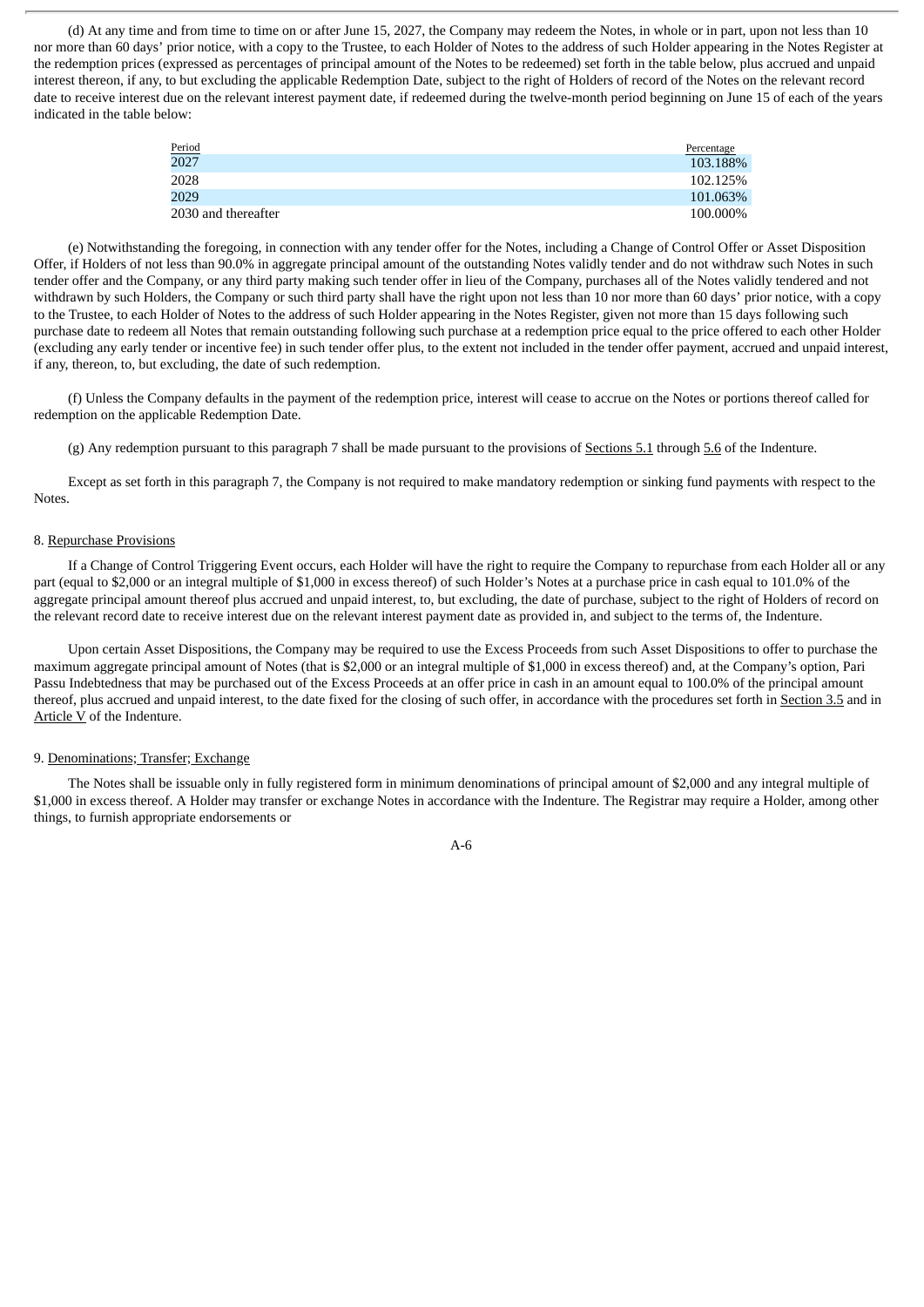(d) At any time and from time to time on or after June 15, 2027, the Company may redeem the Notes, in whole or in part, upon not less than 10 nor more than 60 days' prior notice, with a copy to the Trustee, to each Holder of Notes to the address of such Holder appearing in the Notes Register at the redemption prices (expressed as percentages of principal amount of the Notes to be redeemed) set forth in the table below, plus accrued and unpaid interest thereon, if any, to but excluding the applicable Redemption Date, subject to the right of Holders of record of the Notes on the relevant record date to receive interest due on the relevant interest payment date, if redeemed during the twelve-month period beginning on June 15 of each of the years indicated in the table below:

| Period              | Percentage |
|---------------------|------------|
| 2027                | 103.188%   |
| 2028                | 102.125%   |
| 2029                | 101.063%   |
| 2030 and thereafter | 100.000%   |

(e) Notwithstanding the foregoing, in connection with any tender offer for the Notes, including a Change of Control Offer or Asset Disposition Offer, if Holders of not less than 90.0% in aggregate principal amount of the outstanding Notes validly tender and do not withdraw such Notes in such tender offer and the Company, or any third party making such tender offer in lieu of the Company, purchases all of the Notes validly tendered and not withdrawn by such Holders, the Company or such third party shall have the right upon not less than 10 nor more than 60 days' prior notice, with a copy to the Trustee, to each Holder of Notes to the address of such Holder appearing in the Notes Register, given not more than 15 days following such purchase date to redeem all Notes that remain outstanding following such purchase at a redemption price equal to the price offered to each other Holder (excluding any early tender or incentive fee) in such tender offer plus, to the extent not included in the tender offer payment, accrued and unpaid interest, if any, thereon, to, but excluding, the date of such redemption.

(f) Unless the Company defaults in the payment of the redemption price, interest will cease to accrue on the Notes or portions thereof called for redemption on the applicable Redemption Date.

(g) Any redemption pursuant to this paragraph 7 shall be made pursuant to the provisions of Sections  $5.1$  through  $5.6$  of the Indenture.

Except as set forth in this paragraph 7, the Company is not required to make mandatory redemption or sinking fund payments with respect to the **Notes** 

#### 8. Repurchase Provisions

If a Change of Control Triggering Event occurs, each Holder will have the right to require the Company to repurchase from each Holder all or any part (equal to \$2,000 or an integral multiple of \$1,000 in excess thereof) of such Holder's Notes at a purchase price in cash equal to 101.0% of the aggregate principal amount thereof plus accrued and unpaid interest, to, but excluding, the date of purchase, subject to the right of Holders of record on the relevant record date to receive interest due on the relevant interest payment date as provided in, and subject to the terms of, the Indenture.

Upon certain Asset Dispositions, the Company may be required to use the Excess Proceeds from such Asset Dispositions to offer to purchase the maximum aggregate principal amount of Notes (that is \$2,000 or an integral multiple of \$1,000 in excess thereof) and, at the Company's option, Pari Passu Indebtedness that may be purchased out of the Excess Proceeds at an offer price in cash in an amount equal to 100.0% of the principal amount thereof, plus accrued and unpaid interest, to the date fixed for the closing of such offer, in accordance with the procedures set forth in Section 3.5 and in Article V of the Indenture.

## 9. Denominations; Transfer; Exchange

The Notes shall be issuable only in fully registered form in minimum denominations of principal amount of \$2,000 and any integral multiple of \$1,000 in excess thereof. A Holder may transfer or exchange Notes in accordance with the Indenture. The Registrar may require a Holder, among other things, to furnish appropriate endorsements or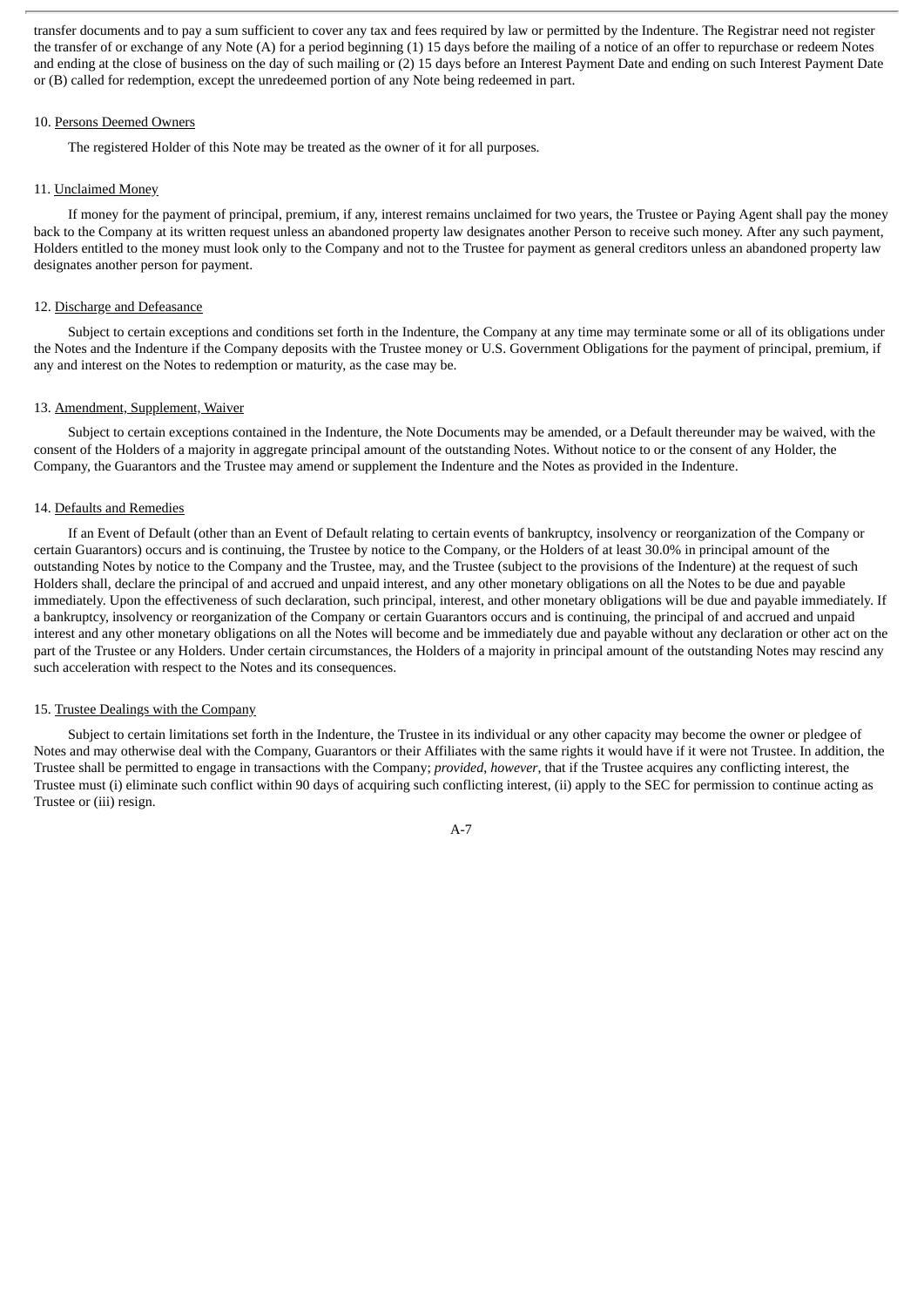transfer documents and to pay a sum sufficient to cover any tax and fees required by law or permitted by the Indenture. The Registrar need not register the transfer of or exchange of any Note (A) for a period beginning (1) 15 days before the mailing of a notice of an offer to repurchase or redeem Notes and ending at the close of business on the day of such mailing or (2) 15 days before an Interest Payment Date and ending on such Interest Payment Date or (B) called for redemption, except the unredeemed portion of any Note being redeemed in part.

#### 10. Persons Deemed Owners

The registered Holder of this Note may be treated as the owner of it for all purposes.

#### 11. Unclaimed Money

If money for the payment of principal, premium, if any, interest remains unclaimed for two years, the Trustee or Paying Agent shall pay the money back to the Company at its written request unless an abandoned property law designates another Person to receive such money. After any such payment, Holders entitled to the money must look only to the Company and not to the Trustee for payment as general creditors unless an abandoned property law designates another person for payment.

#### 12. Discharge and Defeasance

Subject to certain exceptions and conditions set forth in the Indenture, the Company at any time may terminate some or all of its obligations under the Notes and the Indenture if the Company deposits with the Trustee money or U.S. Government Obligations for the payment of principal, premium, if any and interest on the Notes to redemption or maturity, as the case may be.

#### 13. Amendment, Supplement, Waiver

Subject to certain exceptions contained in the Indenture, the Note Documents may be amended, or a Default thereunder may be waived, with the consent of the Holders of a majority in aggregate principal amount of the outstanding Notes. Without notice to or the consent of any Holder, the Company, the Guarantors and the Trustee may amend or supplement the Indenture and the Notes as provided in the Indenture.

#### 14. Defaults and Remedies

If an Event of Default (other than an Event of Default relating to certain events of bankruptcy, insolvency or reorganization of the Company or certain Guarantors) occurs and is continuing, the Trustee by notice to the Company, or the Holders of at least 30.0% in principal amount of the outstanding Notes by notice to the Company and the Trustee, may, and the Trustee (subject to the provisions of the Indenture) at the request of such Holders shall, declare the principal of and accrued and unpaid interest, and any other monetary obligations on all the Notes to be due and payable immediately. Upon the effectiveness of such declaration, such principal, interest, and other monetary obligations will be due and payable immediately. If a bankruptcy, insolvency or reorganization of the Company or certain Guarantors occurs and is continuing, the principal of and accrued and unpaid interest and any other monetary obligations on all the Notes will become and be immediately due and payable without any declaration or other act on the part of the Trustee or any Holders. Under certain circumstances, the Holders of a majority in principal amount of the outstanding Notes may rescind any such acceleration with respect to the Notes and its consequences.

#### 15. Trustee Dealings with the Company

Subject to certain limitations set forth in the Indenture, the Trustee in its individual or any other capacity may become the owner or pledgee of Notes and may otherwise deal with the Company, Guarantors or their Affiliates with the same rights it would have if it were not Trustee. In addition, the Trustee shall be permitted to engage in transactions with the Company; *provided*, *however*, that if the Trustee acquires any conflicting interest, the Trustee must (i) eliminate such conflict within 90 days of acquiring such conflicting interest, (ii) apply to the SEC for permission to continue acting as Trustee or (iii) resign.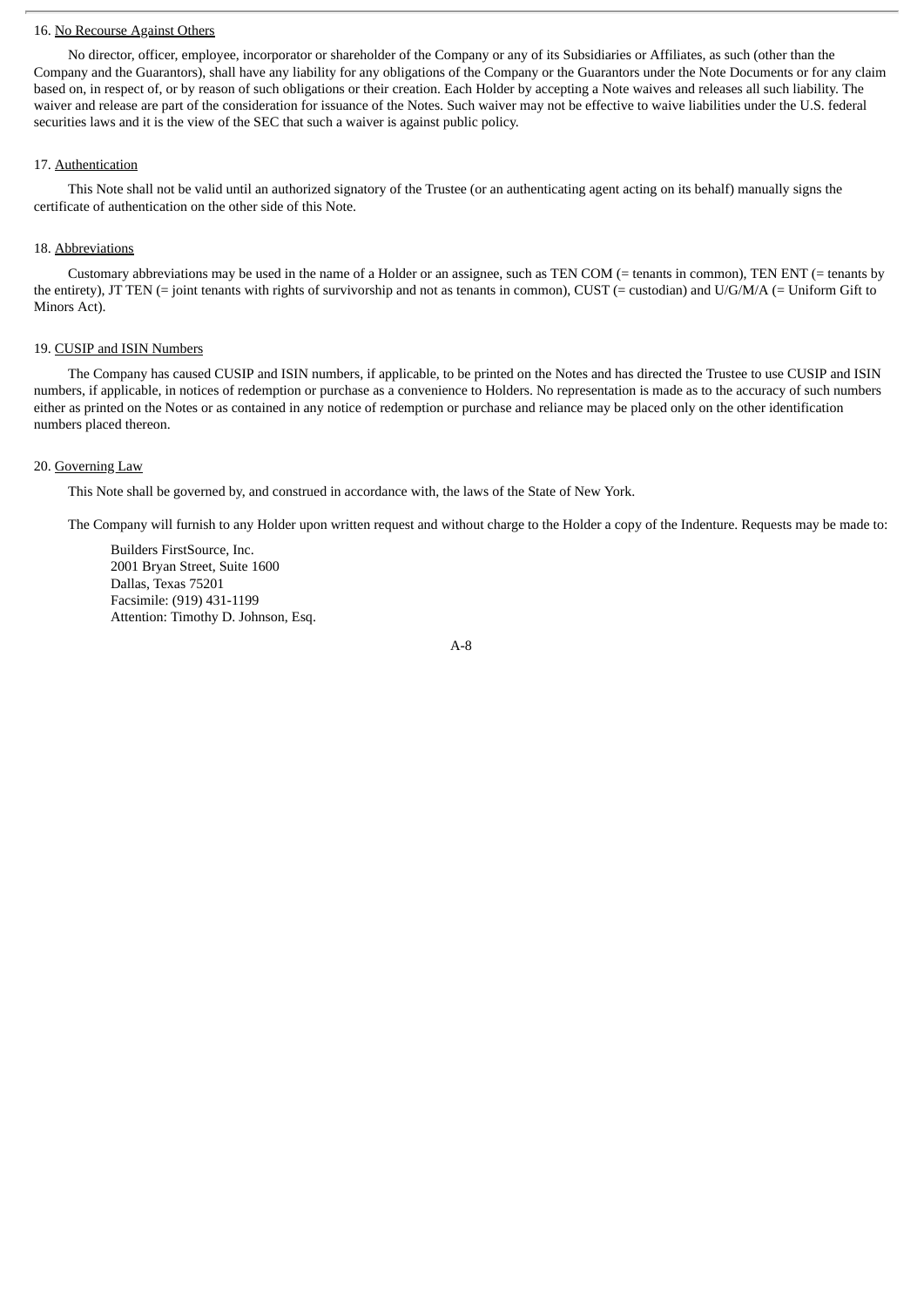#### 16. No Recourse Against Others

No director, officer, employee, incorporator or shareholder of the Company or any of its Subsidiaries or Affiliates, as such (other than the Company and the Guarantors), shall have any liability for any obligations of the Company or the Guarantors under the Note Documents or for any claim based on, in respect of, or by reason of such obligations or their creation. Each Holder by accepting a Note waives and releases all such liability. The waiver and release are part of the consideration for issuance of the Notes. Such waiver may not be effective to waive liabilities under the U.S. federal securities laws and it is the view of the SEC that such a waiver is against public policy.

### 17. Authentication

This Note shall not be valid until an authorized signatory of the Trustee (or an authenticating agent acting on its behalf) manually signs the certificate of authentication on the other side of this Note.

## 18. Abbreviations

Customary abbreviations may be used in the name of a Holder or an assignee, such as TEN COM (= tenants in common), TEN ENT (= tenants by the entirety), JT TEN (= joint tenants with rights of survivorship and not as tenants in common), CUST (= custodian) and U/G/M/A (= Uniform Gift to Minors Act).

## 19. CUSIP and ISIN Numbers

The Company has caused CUSIP and ISIN numbers, if applicable, to be printed on the Notes and has directed the Trustee to use CUSIP and ISIN numbers, if applicable, in notices of redemption or purchase as a convenience to Holders. No representation is made as to the accuracy of such numbers either as printed on the Notes or as contained in any notice of redemption or purchase and reliance may be placed only on the other identification numbers placed thereon.

# 20. Governing Law

This Note shall be governed by, and construed in accordance with, the laws of the State of New York.

The Company will furnish to any Holder upon written request and without charge to the Holder a copy of the Indenture. Requests may be made to:

Builders FirstSource, Inc. 2001 Bryan Street, Suite 1600 Dallas, Texas 75201 Facsimile: (919) 431-1199 Attention: Timothy D. Johnson, Esq.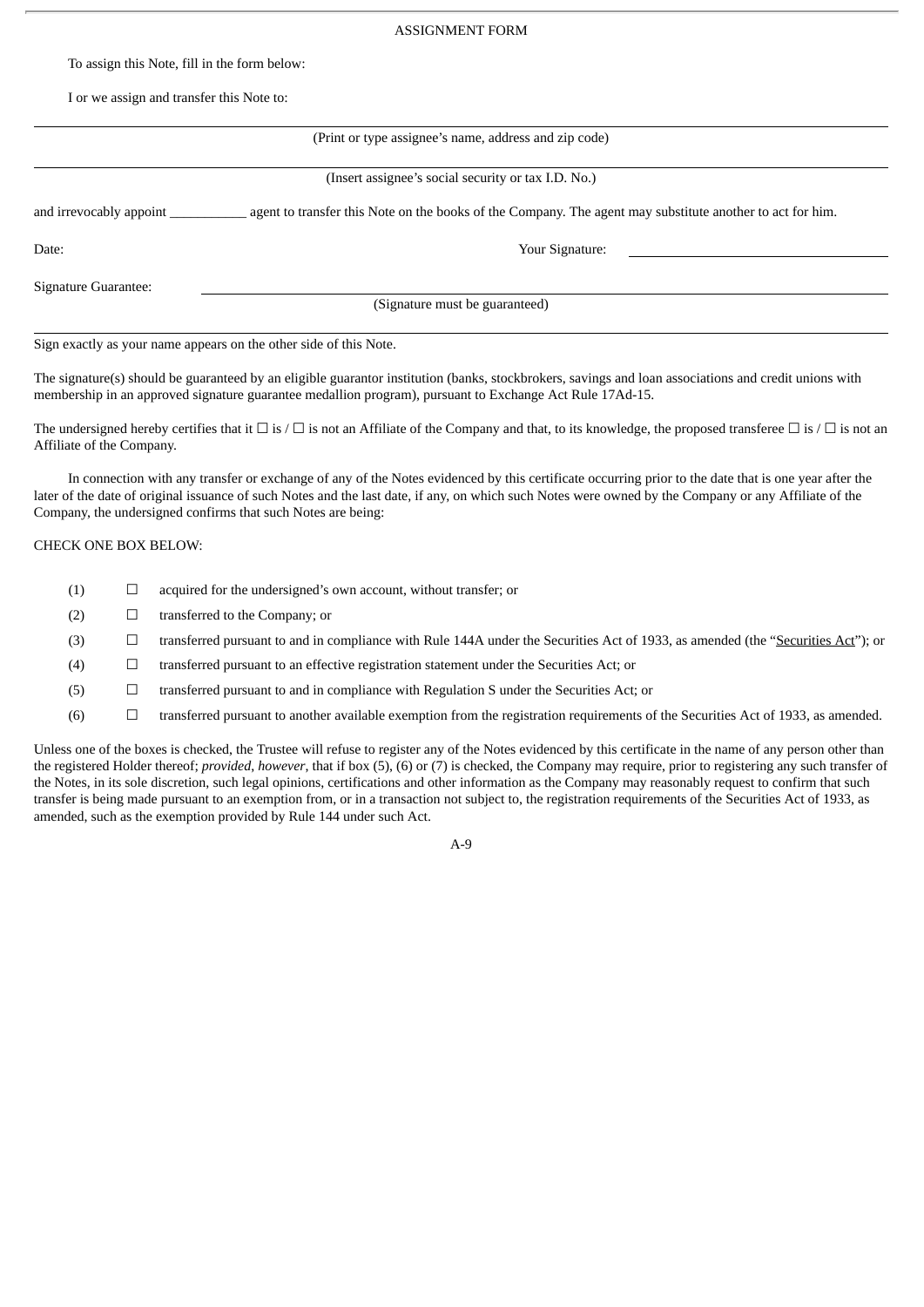#### ASSIGNMENT FORM

To assign this Note, fill in the form below:

I or we assign and transfer this Note to:

| (Print or type assignee's name, address and zip code)             |                                                                                                           |  |  |  |  |
|-------------------------------------------------------------------|-----------------------------------------------------------------------------------------------------------|--|--|--|--|
| (Insert assignee's social security or tax I.D. No.)               |                                                                                                           |  |  |  |  |
| and irrevocably appoint                                           | agent to transfer this Note on the books of the Company. The agent may substitute another to act for him. |  |  |  |  |
| Date:                                                             | Your Signature:                                                                                           |  |  |  |  |
| Signature Guarantee:                                              |                                                                                                           |  |  |  |  |
| (Signature must be guaranteed)                                    |                                                                                                           |  |  |  |  |
| Sign exactly as your name appears on the other side of this Note. |                                                                                                           |  |  |  |  |

The signature(s) should be guaranteed by an eligible guarantor institution (banks, stockbrokers, savings and loan associations and credit unions with membership in an approved signature guarantee medallion program), pursuant to Exchange Act Rule 17Ad-15.

The undersigned hereby certifies that it  $\Box$  is  $\Box$  is not an Affiliate of the Company and that, to its knowledge, the proposed transferee  $\Box$  is  $\Box$  is not an Affiliate of the Company.

In connection with any transfer or exchange of any of the Notes evidenced by this certificate occurring prior to the date that is one year after the later of the date of original issuance of such Notes and the last date, if any, on which such Notes were owned by the Company or any Affiliate of the Company, the undersigned confirms that such Notes are being:

#### CHECK ONE BOX BELOW:

- $(1)$   $\Box$  acquired for the undersigned's own account, without transfer; or
- $(2)$   $\Box$  transferred to the Company; or
- (3) ☐ transferred pursuant to and in compliance with Rule 144A under the Securities Act of 1933, as amended (the "Securities Act"); or
- (4) ☐ transferred pursuant to an effective registration statement under the Securities Act; or
- (5) ☐ transferred pursuant to and in compliance with Regulation S under the Securities Act; or
- $(6)$   $\Box$  transferred pursuant to another available exemption from the registration requirements of the Securities Act of 1933, as amended.

Unless one of the boxes is checked, the Trustee will refuse to register any of the Notes evidenced by this certificate in the name of any person other than the registered Holder thereof; *provided*, *however*, that if box (5), (6) or (7) is checked, the Company may require, prior to registering any such transfer of the Notes, in its sole discretion, such legal opinions, certifications and other information as the Company may reasonably request to confirm that such transfer is being made pursuant to an exemption from, or in a transaction not subject to, the registration requirements of the Securities Act of 1933, as amended, such as the exemption provided by Rule 144 under such Act.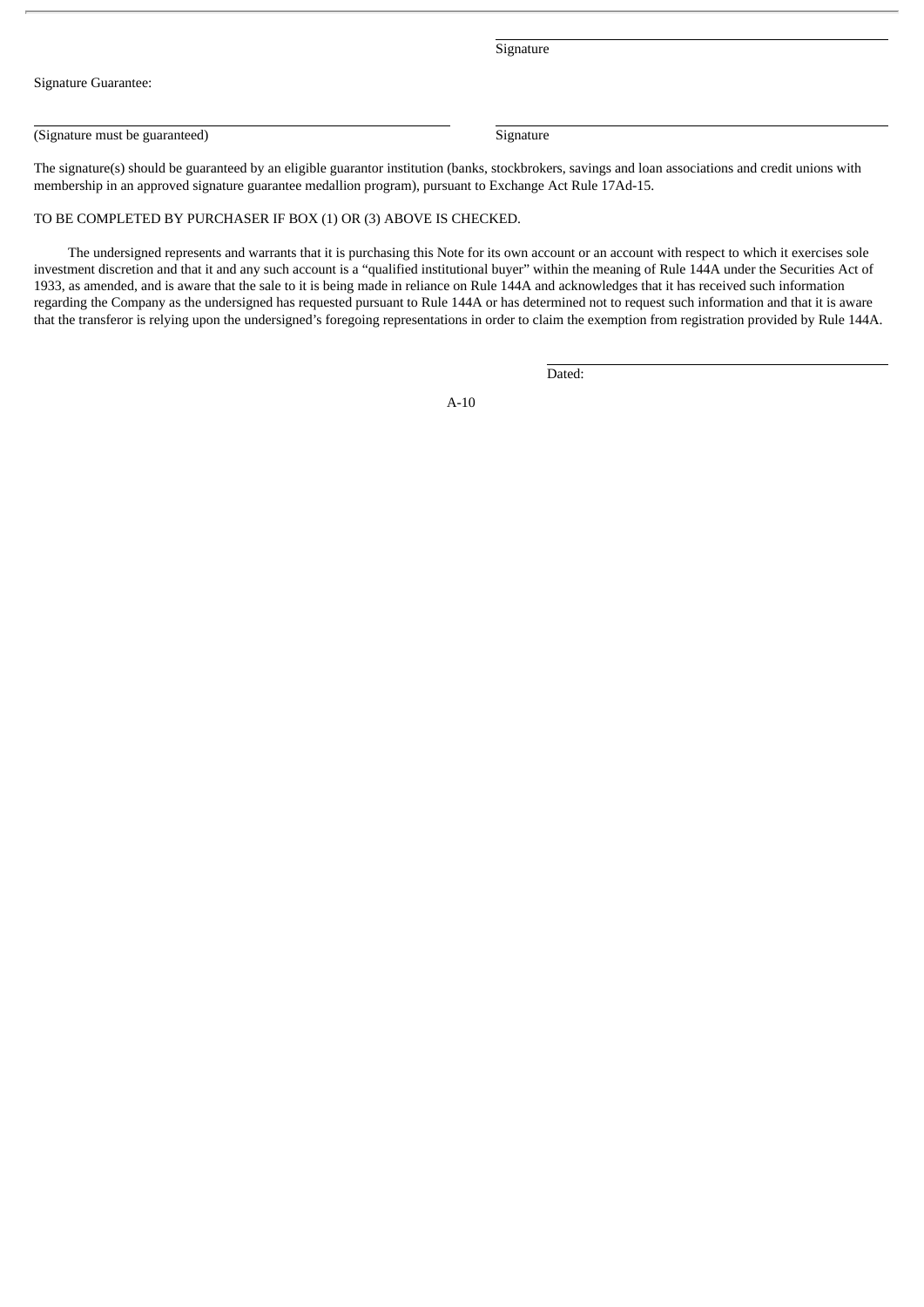**Signature** 

Signature Guarantee:

(Signature must be guaranteed) Signature Signature

The signature(s) should be guaranteed by an eligible guarantor institution (banks, stockbrokers, savings and loan associations and credit unions with membership in an approved signature guarantee medallion program), pursuant to Exchange Act Rule 17Ad-15.

# TO BE COMPLETED BY PURCHASER IF BOX (1) OR (3) ABOVE IS CHECKED.

The undersigned represents and warrants that it is purchasing this Note for its own account or an account with respect to which it exercises sole investment discretion and that it and any such account is a "qualified institutional buyer" within the meaning of Rule 144A under the Securities Act of 1933, as amended, and is aware that the sale to it is being made in reliance on Rule 144A and acknowledges that it has received such information regarding the Company as the undersigned has requested pursuant to Rule 144A or has determined not to request such information and that it is aware that the transferor is relying upon the undersigned's foregoing representations in order to claim the exemption from registration provided by Rule 144A.

Dated: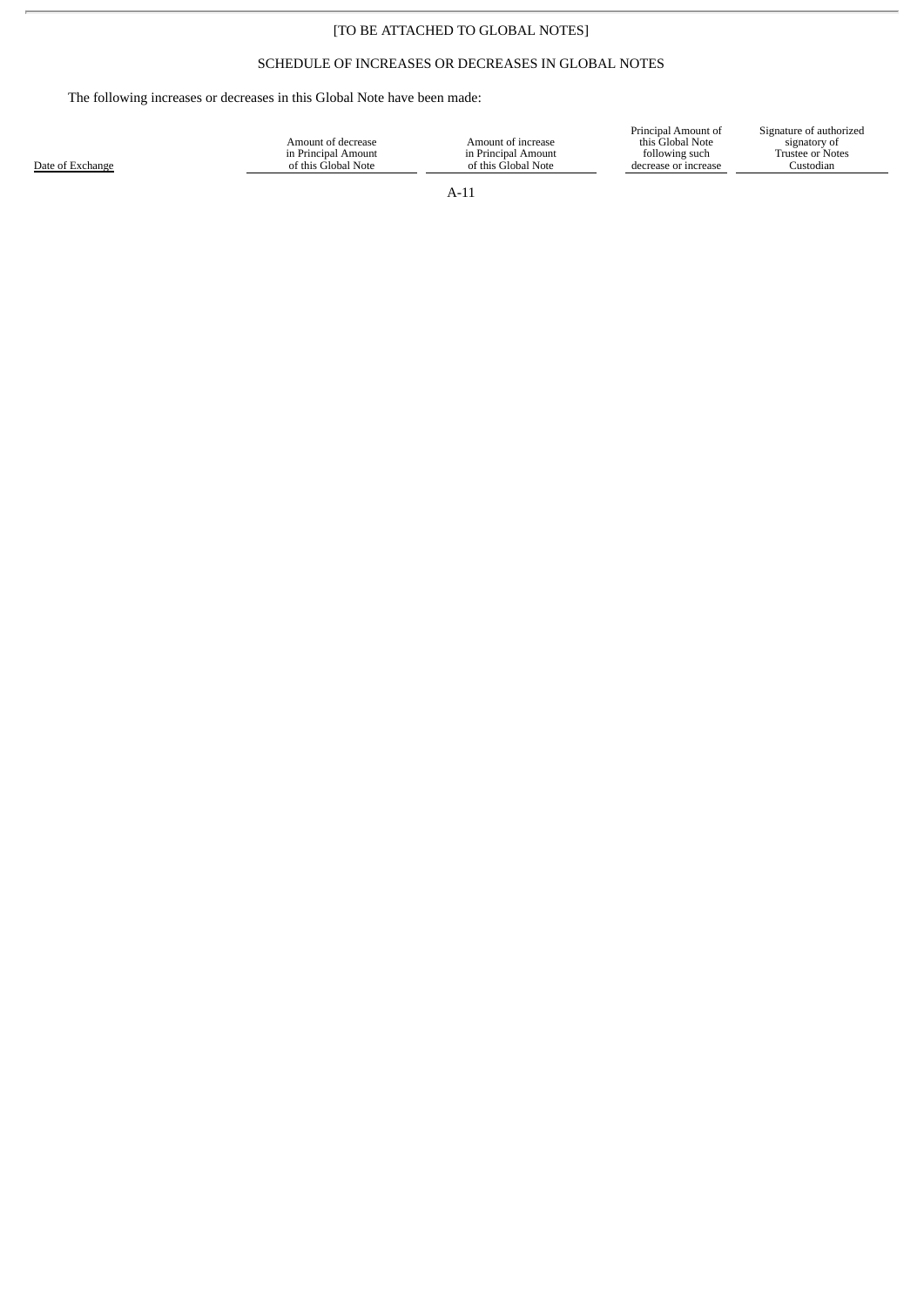# [TO BE ATTACHED TO GLOBAL NOTES]

# SCHEDULE OF INCREASES OR DECREASES IN GLOBAL NOTES

The following increases or decreases in this Global Note have been made:

|                  |                     |                     | Principal Amount of   | Signature of authorized |
|------------------|---------------------|---------------------|-----------------------|-------------------------|
|                  | Amount of decrease  | Amount of increase  | this Global Note      | signatory of            |
|                  | in Principal Amount | in Principal Amount | following such        | Frustee or Notes        |
| Date of Exchange | of this Global Note | of this Global Note | decrease or increase. | Custodian               |
|                  |                     |                     |                       |                         |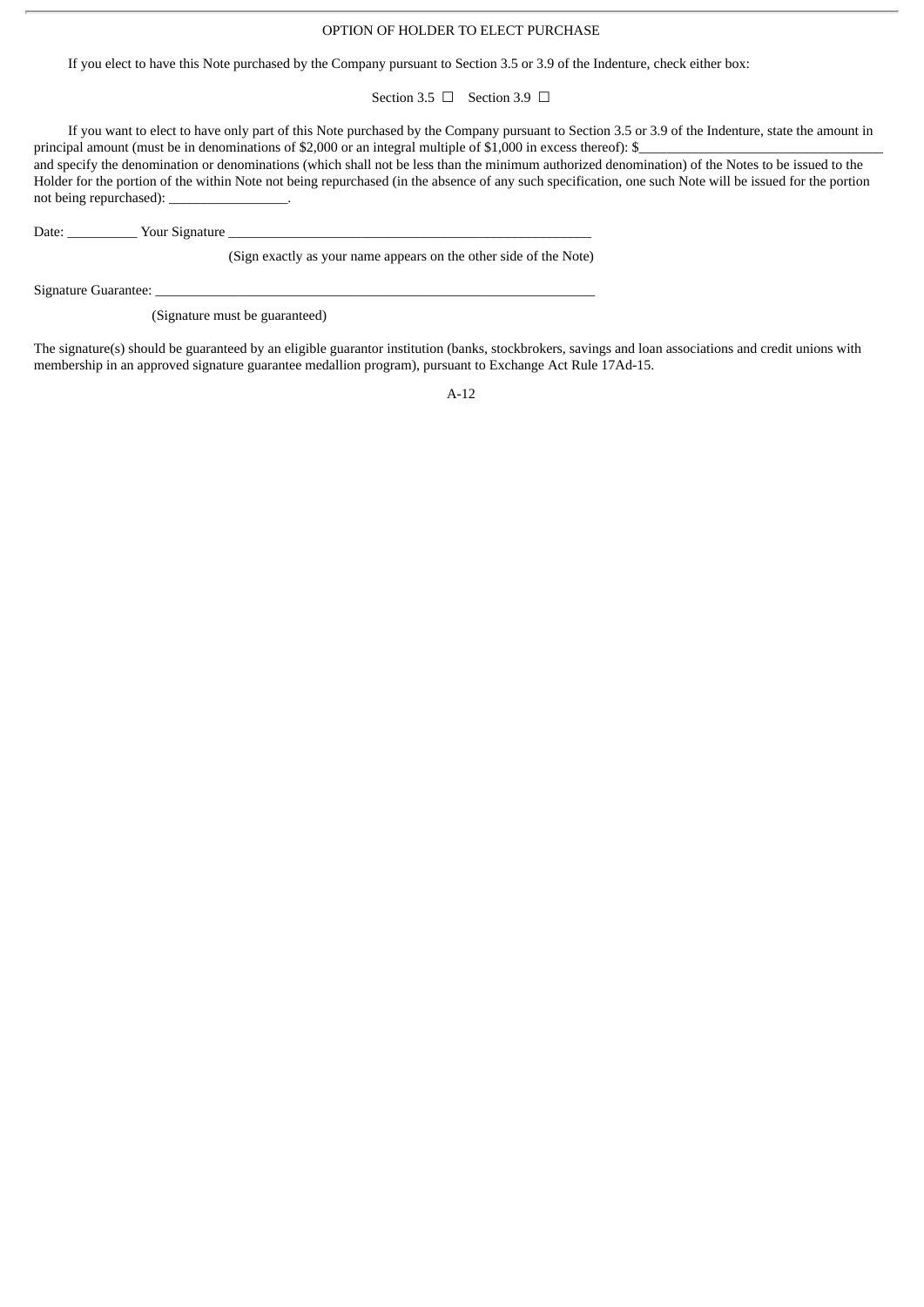## OPTION OF HOLDER TO ELECT PURCHASE

If you elect to have this Note purchased by the Company pursuant to Section 3.5 or 3.9 of the Indenture, check either box:

Section 3.5 □ Section 3.9 □

If you want to elect to have only part of this Note purchased by the Company pursuant to Section 3.5 or 3.9 of the Indenture, state the amount in principal amount (must be in denominations of \$2,000 or an integral multiple of \$1,000 in excess thereof): \$

and specify the denomination or denominations (which shall not be less than the minimum authorized denomination) of the Notes to be issued to the Holder for the portion of the within Note not being repurchased (in the absence of any such specification, one such Note will be issued for the portion not being repurchased):

Date: \_\_\_\_\_\_\_\_\_\_ Your Signature \_\_\_\_\_\_\_\_\_\_\_\_\_\_\_\_\_\_\_\_\_\_\_\_\_\_\_\_\_\_\_\_\_\_\_\_\_\_\_\_\_\_\_\_\_\_\_\_\_\_\_\_

(Sign exactly as your name appears on the other side of the Note)

Signature Guarantee:

(Signature must be guaranteed)

The signature(s) should be guaranteed by an eligible guarantor institution (banks, stockbrokers, savings and loan associations and credit unions with membership in an approved signature guarantee medallion program), pursuant to Exchange Act Rule 17Ad-15.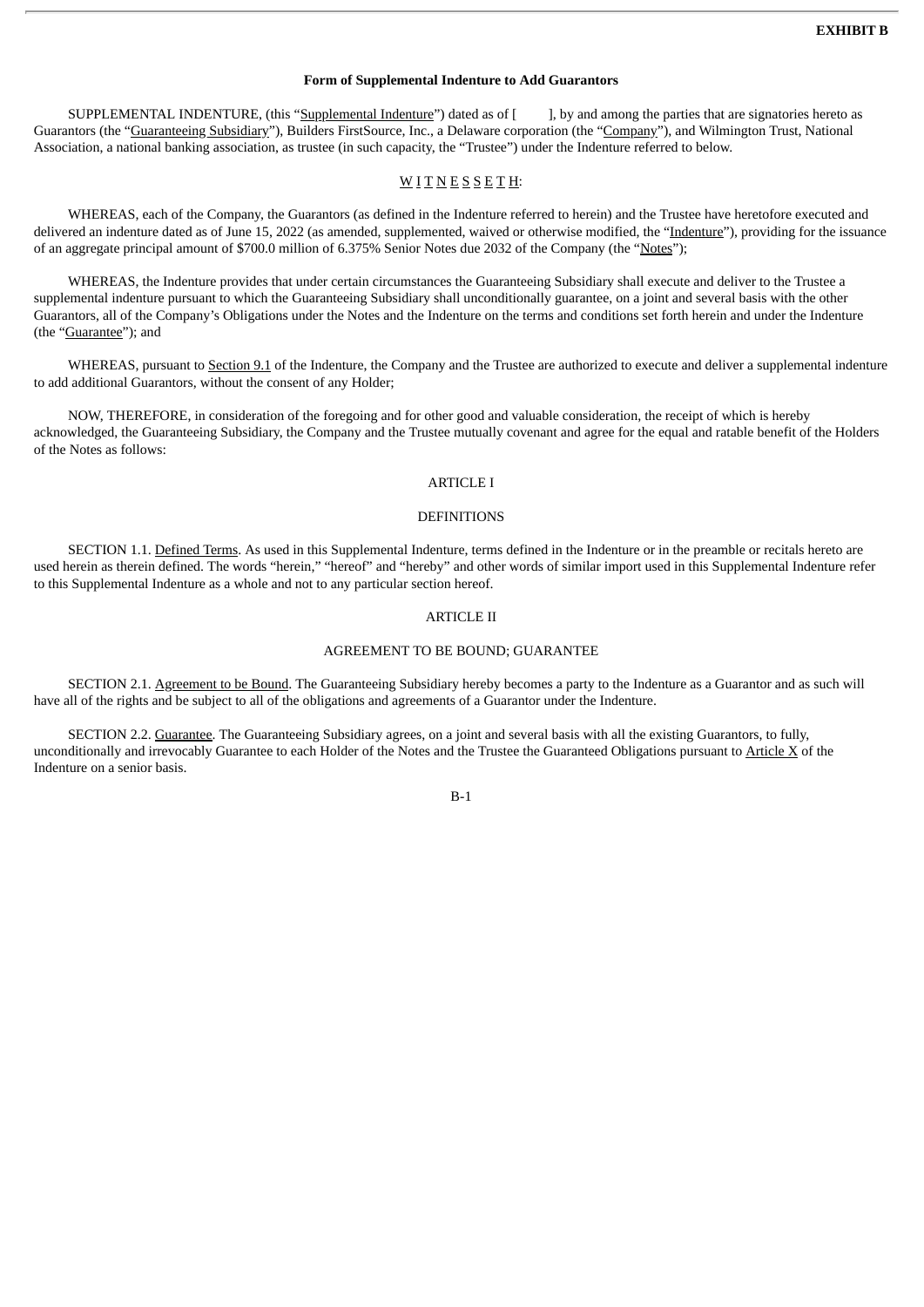## **Form of Supplemental Indenture to Add Guarantors**

SUPPLEMENTAL INDENTURE, (this "Supplemental Indenture") dated as of [ ], by and among the parties that are signatories hereto as Guarantors (the "Guaranteeing Subsidiary"), Builders FirstSource, Inc., a Delaware corporation (the "Company"), and Wilmington Trust, National Association, a national banking association, as trustee (in such capacity, the "Trustee") under the Indenture referred to below.

## $W$  I T N E S S E T H:

WHEREAS, each of the Company, the Guarantors (as defined in the Indenture referred to herein) and the Trustee have heretofore executed and delivered an indenture dated as of June 15, 2022 (as amended, supplemented, waived or otherwise modified, the "Indenture"), providing for the issuance of an aggregate principal amount of \$700.0 million of 6.375% Senior Notes due 2032 of the Company (the "Notes");

WHEREAS, the Indenture provides that under certain circumstances the Guaranteeing Subsidiary shall execute and deliver to the Trustee a supplemental indenture pursuant to which the Guaranteeing Subsidiary shall unconditionally guarantee, on a joint and several basis with the other Guarantors, all of the Company's Obligations under the Notes and the Indenture on the terms and conditions set forth herein and under the Indenture (the "Guarantee"); and

WHEREAS, pursuant to Section 9.1 of the Indenture, the Company and the Trustee are authorized to execute and deliver a supplemental indenture to add additional Guarantors, without the consent of any Holder;

NOW, THEREFORE, in consideration of the foregoing and for other good and valuable consideration, the receipt of which is hereby acknowledged, the Guaranteeing Subsidiary, the Company and the Trustee mutually covenant and agree for the equal and ratable benefit of the Holders of the Notes as follows:

## ARTICLE I

#### DEFINITIONS

SECTION 1.1. Defined Terms. As used in this Supplemental Indenture, terms defined in the Indenture or in the preamble or recitals hereto are used herein as therein defined. The words "herein," "hereof" and "hereby" and other words of similar import used in this Supplemental Indenture refer to this Supplemental Indenture as a whole and not to any particular section hereof.

#### ARTICLE II

#### AGREEMENT TO BE BOUND; GUARANTEE

SECTION 2.1. Agreement to be Bound. The Guaranteeing Subsidiary hereby becomes a party to the Indenture as a Guarantor and as such will have all of the rights and be subject to all of the obligations and agreements of a Guarantor under the Indenture.

SECTION 2.2. Guarantee. The Guaranteeing Subsidiary agrees, on a joint and several basis with all the existing Guarantors, to fully, unconditionally and irrevocably Guarantee to each Holder of the Notes and the Trustee the Guaranteed Obligations pursuant to Article X of the Indenture on a senior basis.

B-1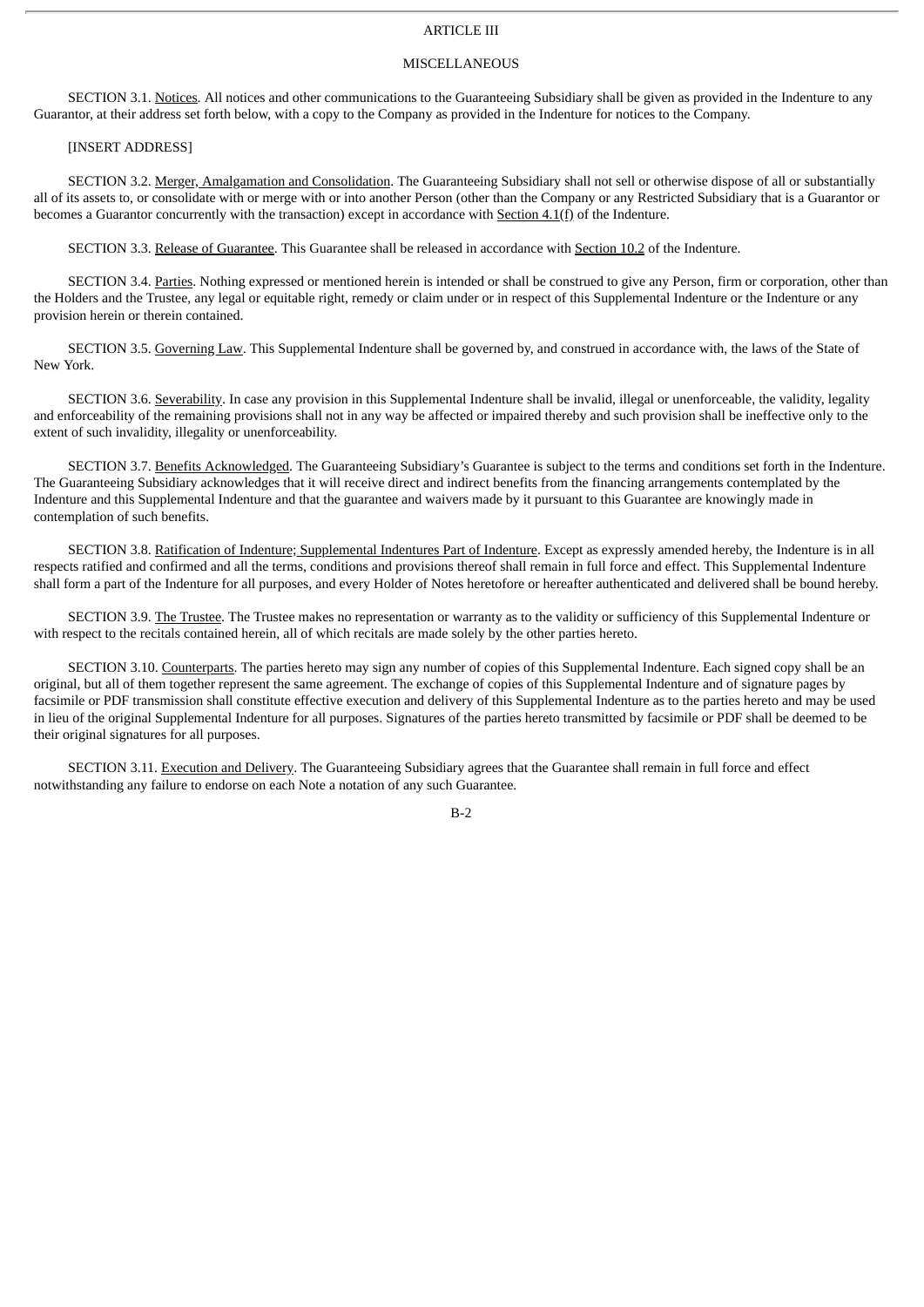# ARTICLE III

### MISCELLANEOUS

SECTION 3.1. Notices. All notices and other communications to the Guaranteeing Subsidiary shall be given as provided in the Indenture to any Guarantor, at their address set forth below, with a copy to the Company as provided in the Indenture for notices to the Company.

#### [INSERT ADDRESS]

SECTION 3.2. Merger, Amalgamation and Consolidation. The Guaranteeing Subsidiary shall not sell or otherwise dispose of all or substantially all of its assets to, or consolidate with or merge with or into another Person (other than the Company or any Restricted Subsidiary that is a Guarantor or becomes a Guarantor concurrently with the transaction) except in accordance with Section 4.1(f) of the Indenture.

SECTION 3.3. Release of Guarantee. This Guarantee shall be released in accordance with Section 10.2 of the Indenture.

SECTION 3.4. Parties. Nothing expressed or mentioned herein is intended or shall be construed to give any Person, firm or corporation, other than the Holders and the Trustee, any legal or equitable right, remedy or claim under or in respect of this Supplemental Indenture or the Indenture or any provision herein or therein contained.

SECTION 3.5. Governing Law. This Supplemental Indenture shall be governed by, and construed in accordance with, the laws of the State of New York.

SECTION 3.6. Severability. In case any provision in this Supplemental Indenture shall be invalid, illegal or unenforceable, the validity, legality and enforceability of the remaining provisions shall not in any way be affected or impaired thereby and such provision shall be ineffective only to the extent of such invalidity, illegality or unenforceability.

SECTION 3.7. Benefits Acknowledged. The Guaranteeing Subsidiary's Guarantee is subject to the terms and conditions set forth in the Indenture. The Guaranteeing Subsidiary acknowledges that it will receive direct and indirect benefits from the financing arrangements contemplated by the Indenture and this Supplemental Indenture and that the guarantee and waivers made by it pursuant to this Guarantee are knowingly made in contemplation of such benefits.

SECTION 3.8. Ratification of Indenture; Supplemental Indentures Part of Indenture. Except as expressly amended hereby, the Indenture is in all respects ratified and confirmed and all the terms, conditions and provisions thereof shall remain in full force and effect. This Supplemental Indenture shall form a part of the Indenture for all purposes, and every Holder of Notes heretofore or hereafter authenticated and delivered shall be bound hereby.

SECTION 3.9. The Trustee. The Trustee makes no representation or warranty as to the validity or sufficiency of this Supplemental Indenture or with respect to the recitals contained herein, all of which recitals are made solely by the other parties hereto.

SECTION 3.10. Counterparts. The parties hereto may sign any number of copies of this Supplemental Indenture. Each signed copy shall be an original, but all of them together represent the same agreement. The exchange of copies of this Supplemental Indenture and of signature pages by facsimile or PDF transmission shall constitute effective execution and delivery of this Supplemental Indenture as to the parties hereto and may be used in lieu of the original Supplemental Indenture for all purposes. Signatures of the parties hereto transmitted by facsimile or PDF shall be deemed to be their original signatures for all purposes.

SECTION 3.11. Execution and Delivery. The Guaranteeing Subsidiary agrees that the Guarantee shall remain in full force and effect notwithstanding any failure to endorse on each Note a notation of any such Guarantee.

B-2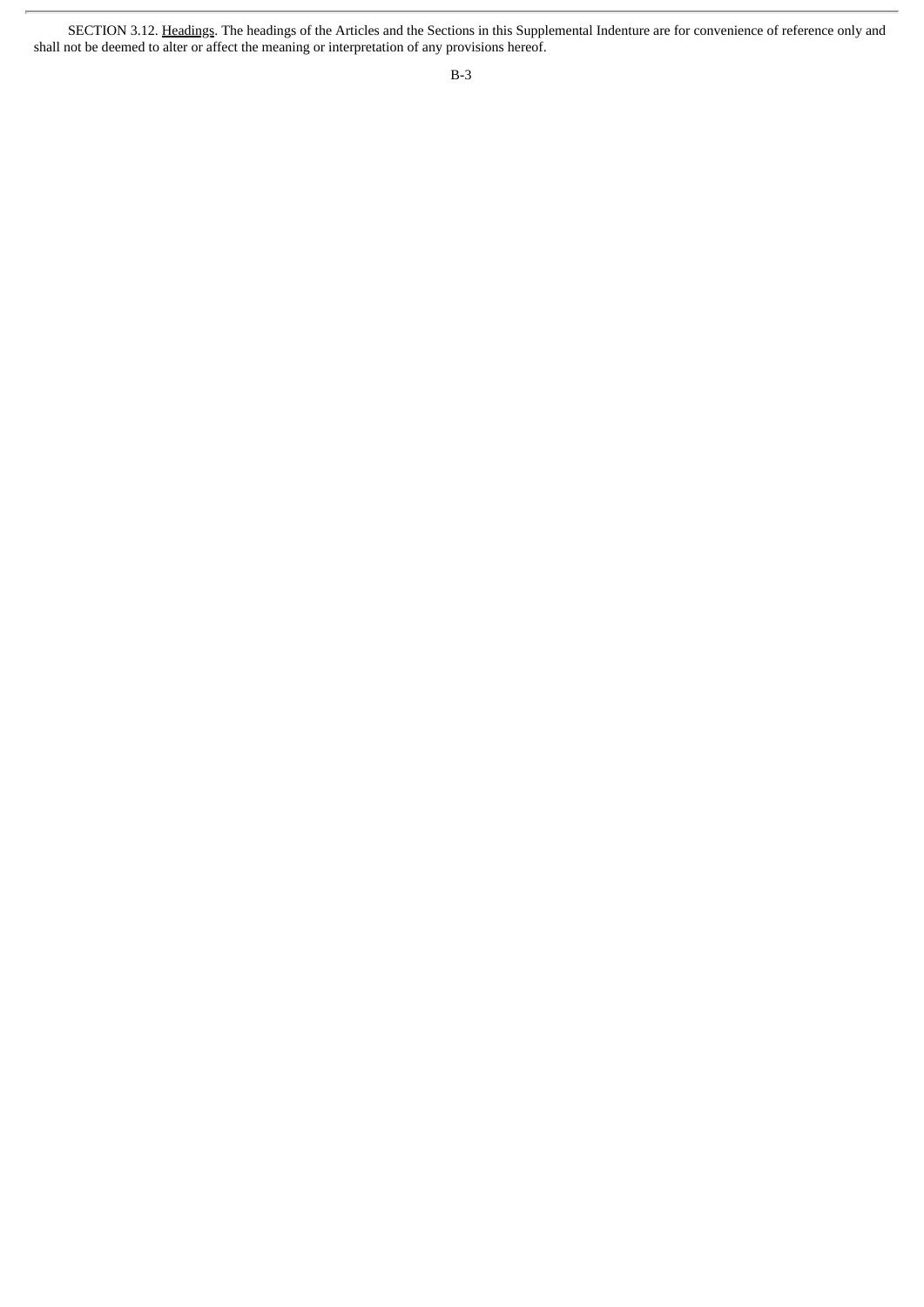SECTION 3.12. Headings. The headings of the Articles and the Sections in this Supplemental Indenture are for convenience of reference only and shall not be deemed to alter or affect the meaning or interpretation of any provisions hereof.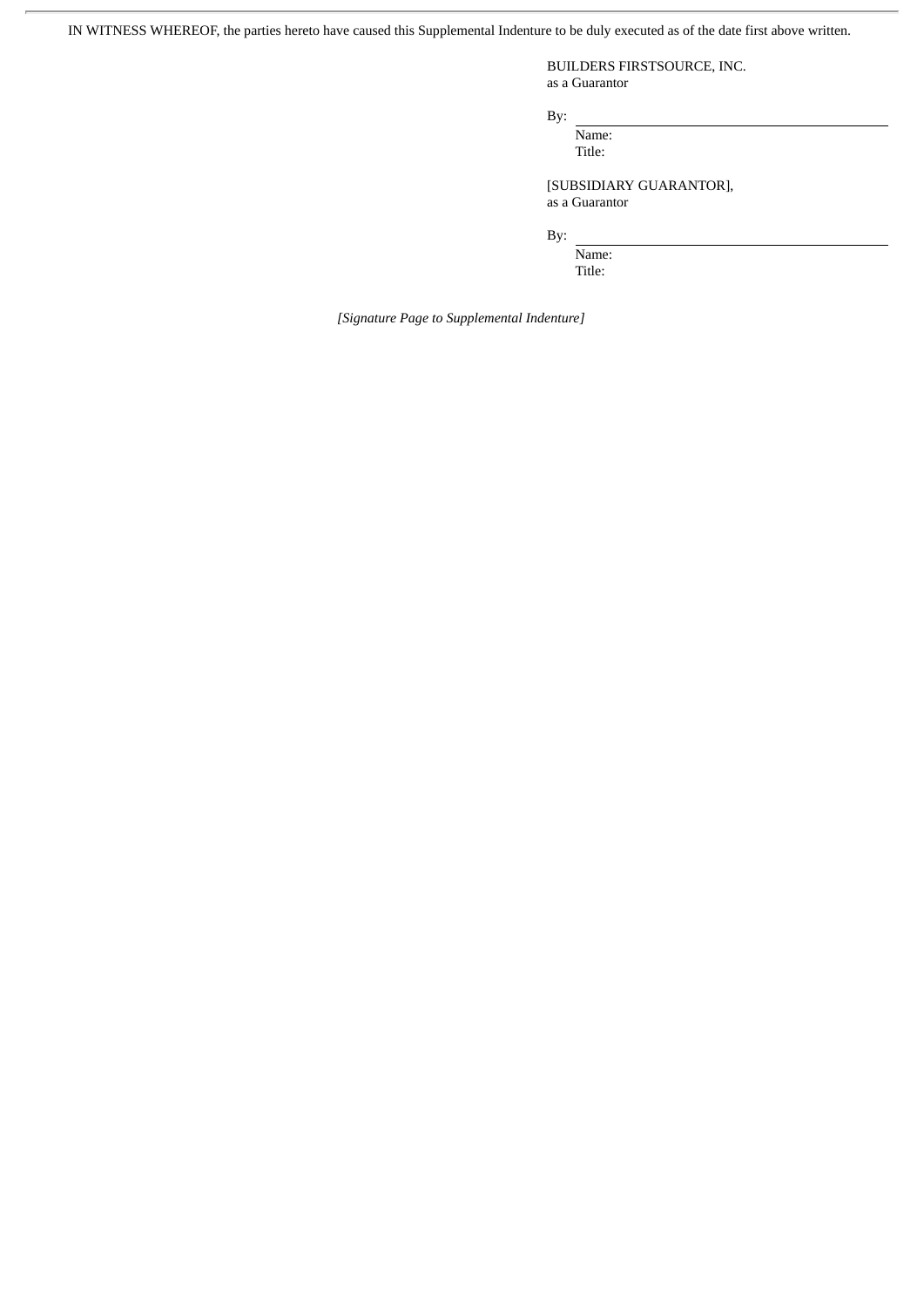IN WITNESS WHEREOF, the parties hereto have caused this Supplemental Indenture to be duly executed as of the date first above written.

BUILDERS FIRSTSOURCE, INC. as a Guarantor

By:

Name: Title:

[SUBSIDIARY GUARANTOR], as a Guarantor

By:

Name: Title:

*[Signature Page to Supplemental Indenture]*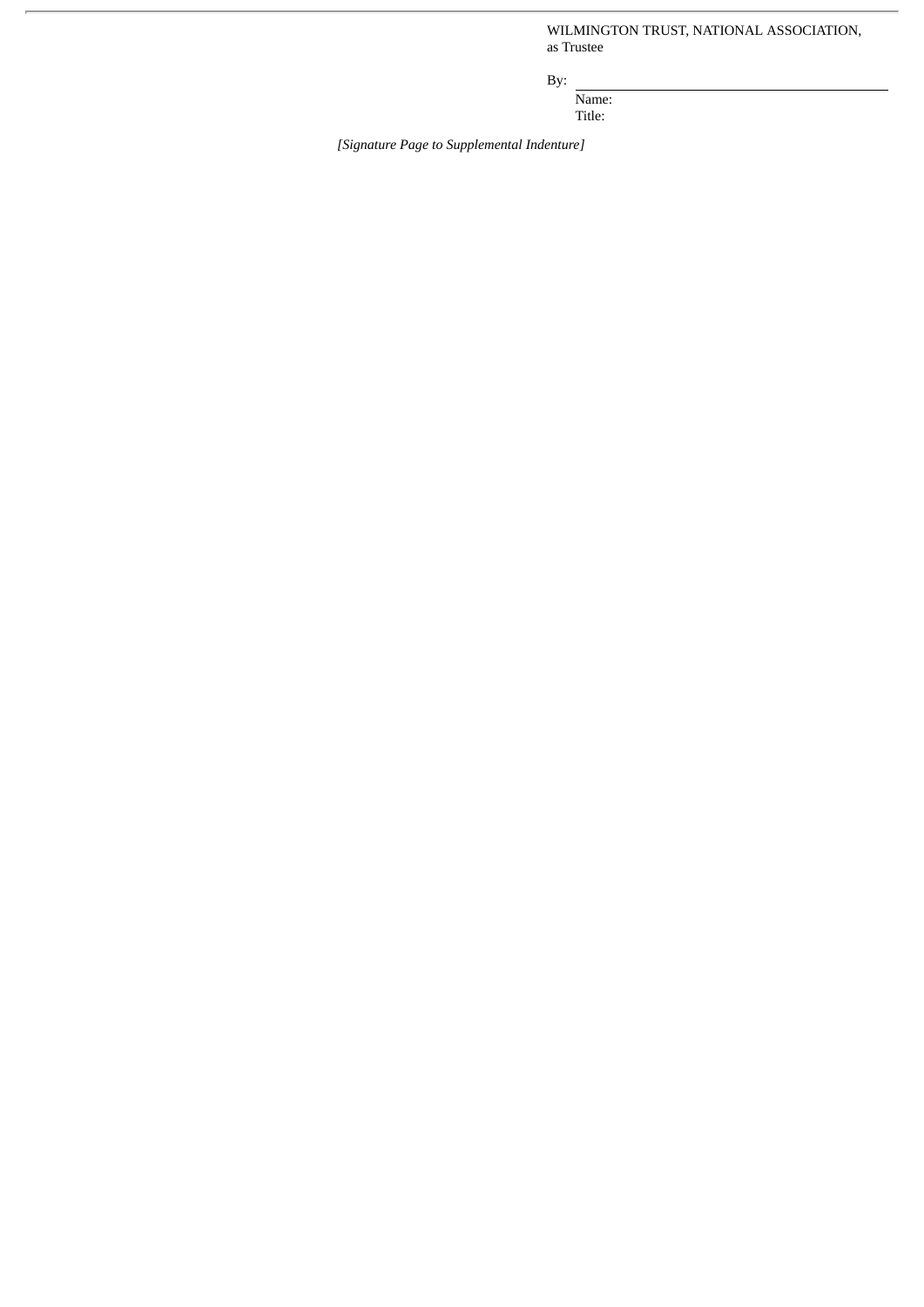WILMINGTON TRUST, NATIONAL ASSOCIATION, as Trustee

By:

Name: Title:

*[Signature Page to Supplemental Indenture]*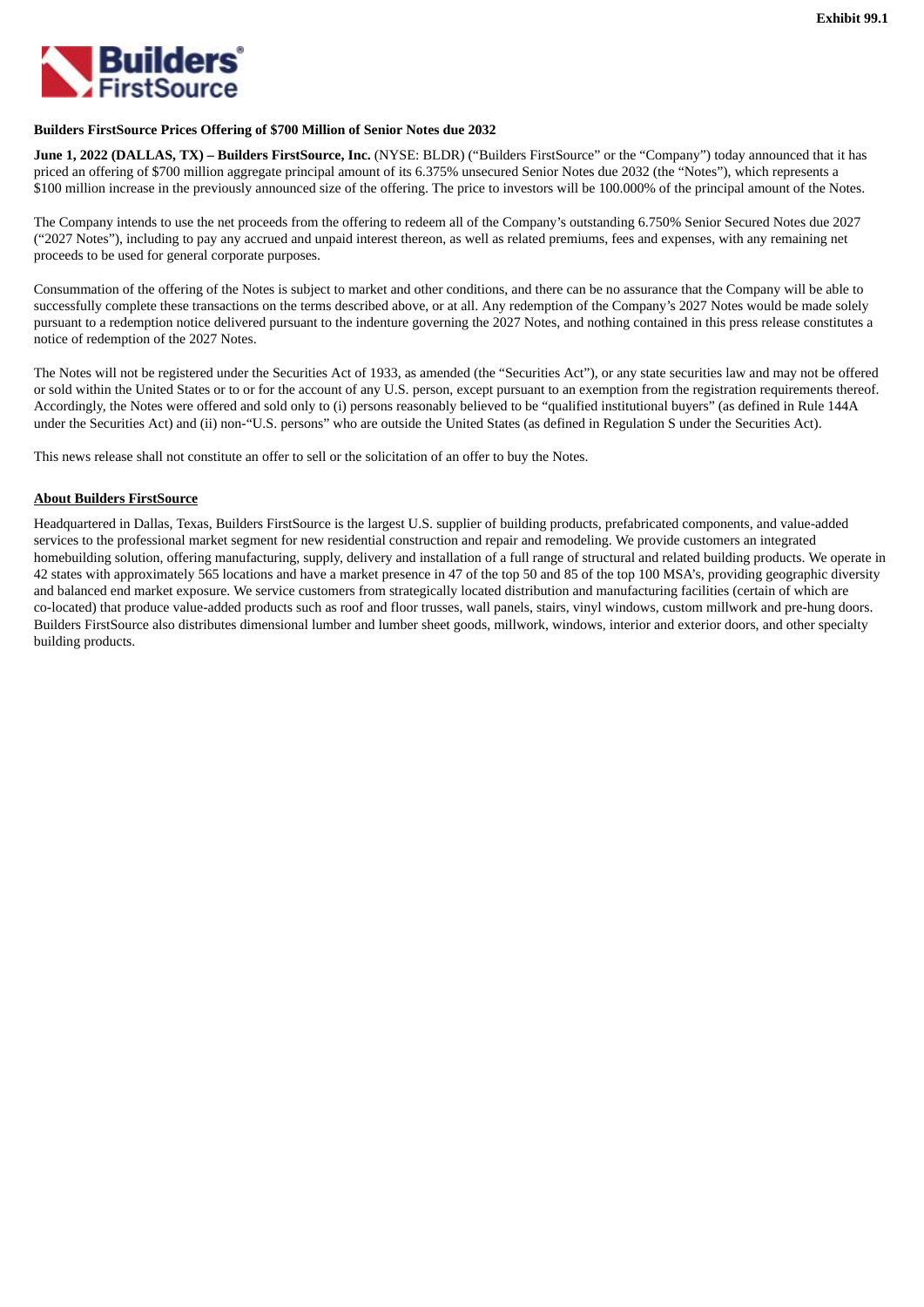

## **Builders FirstSource Prices Offering of \$700 Million of Senior Notes due 2032**

**June 1, 2022 (DALLAS, TX) – Builders FirstSource, Inc.** (NYSE: BLDR) ("Builders FirstSource" or the "Company") today announced that it has priced an offering of \$700 million aggregate principal amount of its 6.375% unsecured Senior Notes due 2032 (the "Notes"), which represents a \$100 million increase in the previously announced size of the offering. The price to investors will be 100.000% of the principal amount of the Notes.

The Company intends to use the net proceeds from the offering to redeem all of the Company's outstanding 6.750% Senior Secured Notes due 2027 ("2027 Notes"), including to pay any accrued and unpaid interest thereon, as well as related premiums, fees and expenses, with any remaining net proceeds to be used for general corporate purposes.

Consummation of the offering of the Notes is subject to market and other conditions, and there can be no assurance that the Company will be able to successfully complete these transactions on the terms described above, or at all. Any redemption of the Company's 2027 Notes would be made solely pursuant to a redemption notice delivered pursuant to the indenture governing the 2027 Notes, and nothing contained in this press release constitutes a notice of redemption of the 2027 Notes.

The Notes will not be registered under the Securities Act of 1933, as amended (the "Securities Act"), or any state securities law and may not be offered or sold within the United States or to or for the account of any U.S. person, except pursuant to an exemption from the registration requirements thereof. Accordingly, the Notes were offered and sold only to (i) persons reasonably believed to be "qualified institutional buyers" (as defined in Rule 144A under the Securities Act) and (ii) non-"U.S. persons" who are outside the United States (as defined in Regulation S under the Securities Act).

This news release shall not constitute an offer to sell or the solicitation of an offer to buy the Notes.

# **About Builders FirstSource**

Headquartered in Dallas, Texas, Builders FirstSource is the largest U.S. supplier of building products, prefabricated components, and value-added services to the professional market segment for new residential construction and repair and remodeling. We provide customers an integrated homebuilding solution, offering manufacturing, supply, delivery and installation of a full range of structural and related building products. We operate in 42 states with approximately 565 locations and have a market presence in 47 of the top 50 and 85 of the top 100 MSA's, providing geographic diversity and balanced end market exposure. We service customers from strategically located distribution and manufacturing facilities (certain of which are co-located) that produce value-added products such as roof and floor trusses, wall panels, stairs, vinyl windows, custom millwork and pre-hung doors. Builders FirstSource also distributes dimensional lumber and lumber sheet goods, millwork, windows, interior and exterior doors, and other specialty building products.